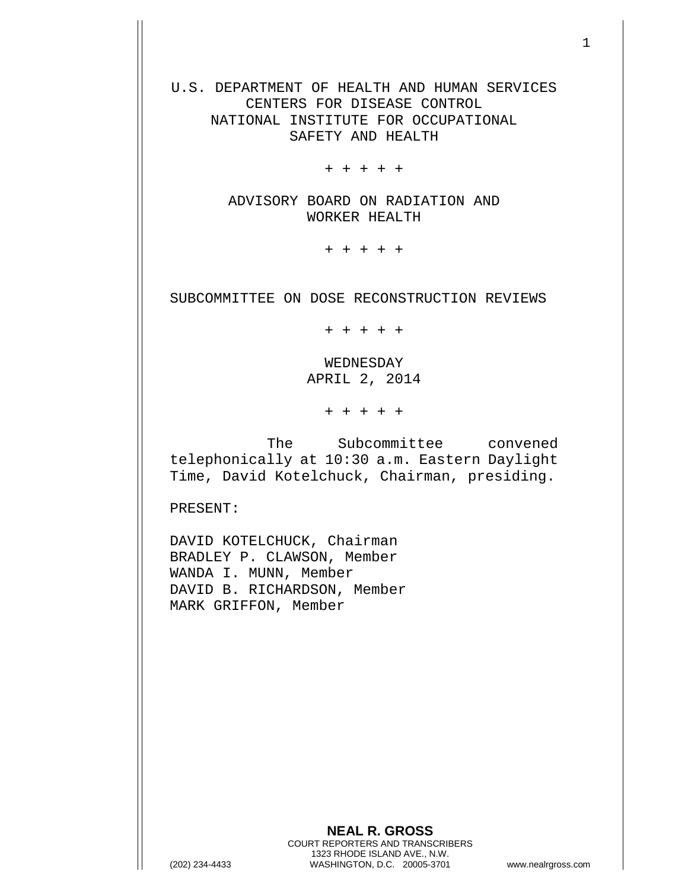U.S. DEPARTMENT OF HEALTH AND HUMAN SERVICES CENTERS FOR DISEASE CONTROL NATIONAL INSTITUTE FOR OCCUPATIONAL SAFETY AND HEALTH

+ + + + +

ADVISORY BOARD ON RADIATION AND WORKER HEALTH

+ + + + +

SUBCOMMITTEE ON DOSE RECONSTRUCTION REVIEWS

+ + + + +

WEDNESDAY APRIL 2, 2014

+ + + + +

The Subcommittee convened telephonically at 10:30 a.m. Eastern Daylight Time, David Kotelchuck, Chairman, presiding.

PRESENT:

DAVID KOTELCHUCK, Chairman BRADLEY P. CLAWSON, Member WANDA I. MUNN, Member DAVID B. RICHARDSON, Member MARK GRIFFON, Member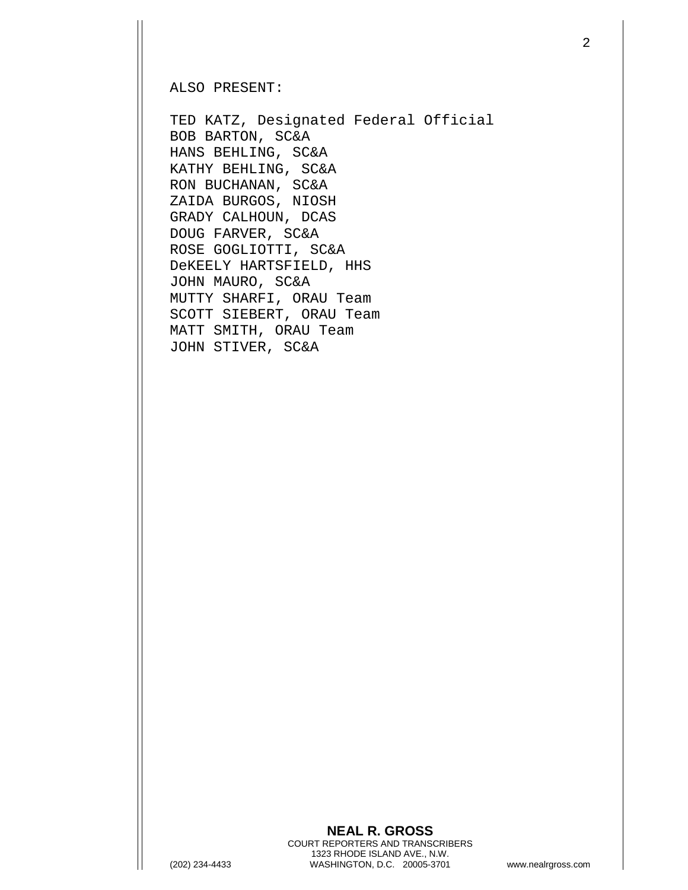## ALSO PRESENT:

TED KATZ, Designated Federal Official BOB BARTON, SC&A HANS BEHLING, SC&A KATHY BEHLING, SC&A RON BUCHANAN, SC&A ZAIDA BURGOS, NIOSH GRADY CALHOUN, DCAS DOUG FARVER, SC&A ROSE GOGLIOTTI, SC&A DeKEELY HARTSFIELD, HHS JOHN MAURO, SC&A MUTTY SHARFI, ORAU Team SCOTT SIEBERT, ORAU Team MATT SMITH, ORAU Team JOHN STIVER, SC&A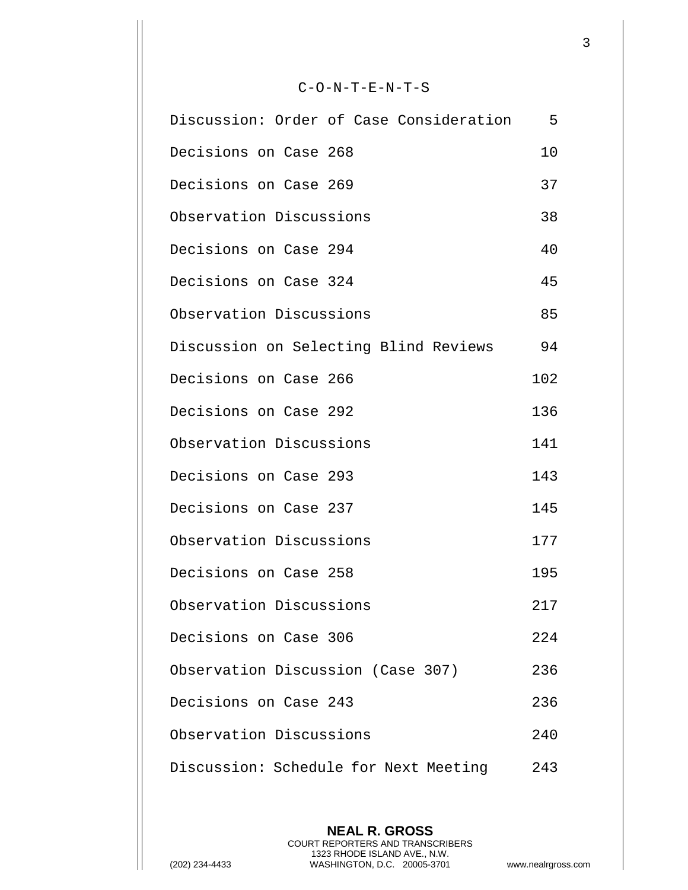## C-O-N-T-E-N-T-S

| Discussion: Order of Case Consideration | 5   |
|-----------------------------------------|-----|
| Decisions on Case 268                   | 10  |
| Decisions on Case 269                   | 37  |
| Observation Discussions                 | 38  |
| Decisions on Case 294                   | 40  |
| Decisions on Case 324                   | 45  |
| Observation Discussions                 | 85  |
| Discussion on Selecting Blind Reviews   | 94  |
| Decisions on Case 266                   | 102 |
| Decisions on Case 292                   | 136 |
| Observation Discussions                 | 141 |
| Decisions on Case 293                   | 143 |
| Decisions on Case 237                   | 145 |
| Observation Discussions                 | 177 |
| Decisions on Case 258                   | 195 |
| Observation Discussions                 | 217 |
| Decisions on Case 306                   | 224 |
| Observation Discussion (Case 307)       | 236 |
| Decisions on Case 243                   | 236 |
| Observation Discussions                 | 240 |
| Discussion: Schedule for Next Meeting   | 243 |

**NEAL R. GROSS** COURT REPORTERS AND TRANSCRIBERS 1323 RHODE ISLAND AVE., N.W. (202) 234-4433 WASHINGTON, D.C. 20005-3701 www.nealrgross.com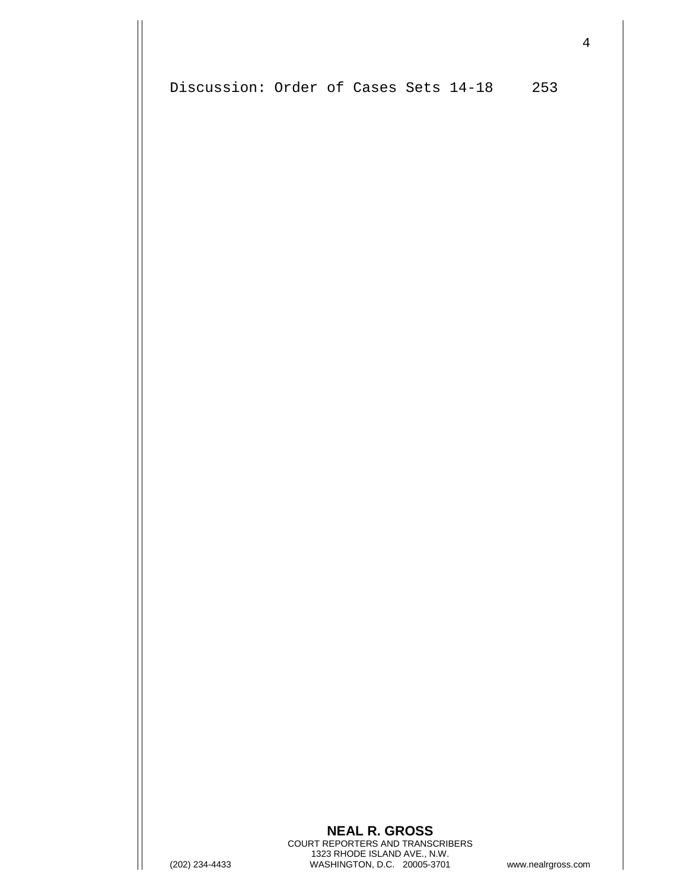Discussion: Order of Cases Sets 14-18 253

## **NEAL R. GROSS** COURT REPORTERS AND TRANSCRIBERS 1323 RHODE ISLAND AVE., N.W. (202) 234-4433 WASHINGTON, D.C. 20005-3701 www.nealrgross.com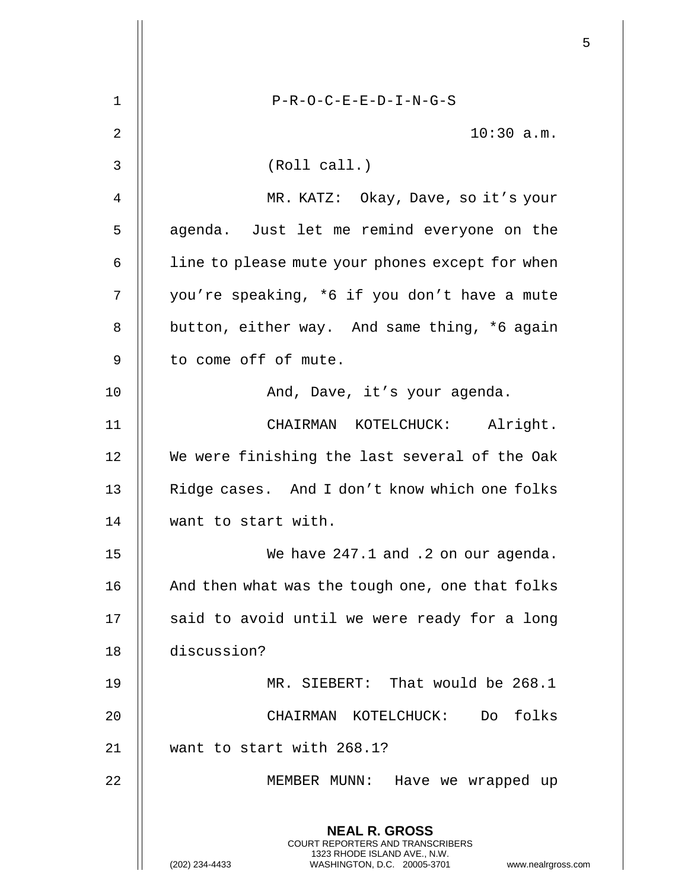|                |                                                                                                                                                                        | 5 |
|----------------|------------------------------------------------------------------------------------------------------------------------------------------------------------------------|---|
| $\mathbf 1$    | $P-R-O-C-E-E-D-I-N-G-S$                                                                                                                                                |   |
| $\overline{2}$ | $10:30$ a.m.                                                                                                                                                           |   |
| 3              | (Roll call.)                                                                                                                                                           |   |
| 4              | MR. KATZ: Okay, Dave, so it's your                                                                                                                                     |   |
| 5              | agenda. Just let me remind everyone on the                                                                                                                             |   |
| 6              | line to please mute your phones except for when                                                                                                                        |   |
| 7              | you're speaking, *6 if you don't have a mute                                                                                                                           |   |
| 8              | button, either way. And same thing, *6 again                                                                                                                           |   |
| 9              | to come off of mute.                                                                                                                                                   |   |
| 10             | And, Dave, it's your agenda.                                                                                                                                           |   |
| 11             | CHAIRMAN KOTELCHUCK: Alright.                                                                                                                                          |   |
| 12             | We were finishing the last several of the Oak                                                                                                                          |   |
| 13             | Ridge cases. And I don't know which one folks                                                                                                                          |   |
| 14             | want to start with.                                                                                                                                                    |   |
| 15             | We have 247.1 and .2 on our agenda.                                                                                                                                    |   |
| 16             | And then what was the tough one, one that folks                                                                                                                        |   |
| 17             | said to avoid until we were ready for a long                                                                                                                           |   |
| 18             | discussion?                                                                                                                                                            |   |
| 19             | MR. SIEBERT: That would be 268.1                                                                                                                                       |   |
| 20             | CHAIRMAN KOTELCHUCK: Do folks                                                                                                                                          |   |
| 21             | want to start with 268.1?                                                                                                                                              |   |
| 22             | MEMBER MUNN: Have we wrapped up                                                                                                                                        |   |
|                | <b>NEAL R. GROSS</b><br><b>COURT REPORTERS AND TRANSCRIBERS</b><br>1323 RHODE ISLAND AVE., N.W.<br>(202) 234-4433<br>WASHINGTON, D.C. 20005-3701<br>www.nealrgross.com |   |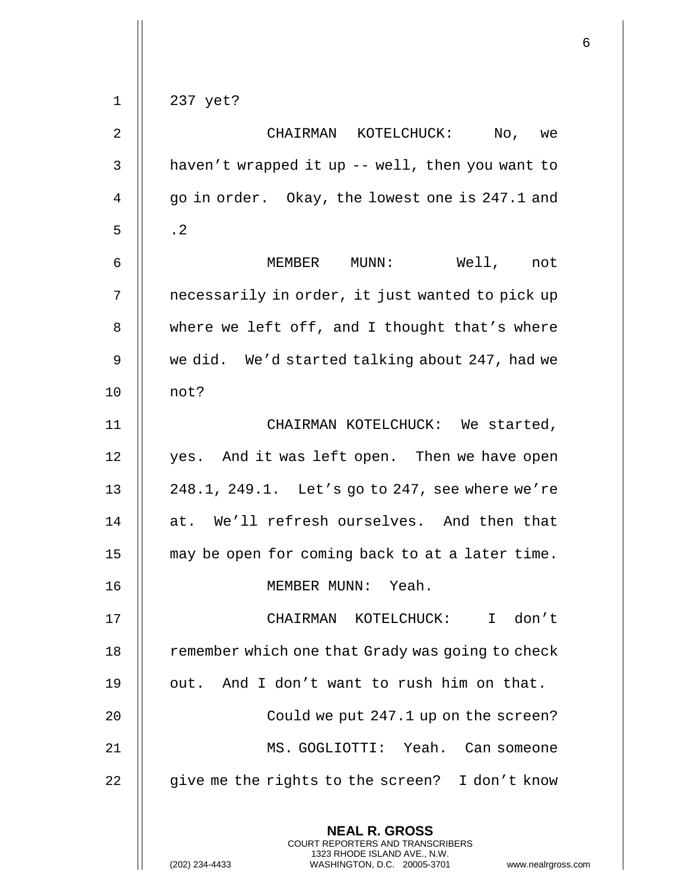| $\sqrt{2}$     | CHAIRMAN KOTELCHUCK: No, we                      |
|----------------|--------------------------------------------------|
| 3              | haven't wrapped it up -- well, then you want to  |
| $\overline{4}$ | go in order. Okay, the lowest one is 247.1 and   |
| 5              | $\cdot$ 2                                        |
| 6              | MEMBER MUNN:<br>Well, not                        |
| 7              | necessarily in order, it just wanted to pick up  |
| 8              | where we left off, and I thought that's where    |
| $\mathsf 9$    | we did. We'd started talking about 247, had we   |
| 10             | not?                                             |
| 11             | CHAIRMAN KOTELCHUCK: We started,                 |
| 12             | yes. And it was left open. Then we have open     |
| 13             | 248.1, 249.1. Let's go to 247, see where we're   |
| 14             | at. We'll refresh ourselves. And then that       |
| 15             | may be open for coming back to at a later time.  |
| 16             | MEMBER MUNN: Yeah.                               |
| 17             | CHAIRMAN KOTELCHUCK:<br>I don't                  |
| 18             | remember which one that Grady was going to check |
| 19             | out. And I don't want to rush him on that.       |
| 20             | Could we put 247.1 up on the screen?             |
| 21             | MS. GOGLIOTTI: Yeah. Can someone                 |
| 22             | give me the rights to the screen? I don't know   |
|                | <b>NEAL R. GROSS</b>                             |

COURT REPORTERS AND TRANSCRIBERS 1323 RHODE ISLAND AVE., N.W.

(202) 234-4433 WASHINGTON, D.C. 20005-3701 www.nealrgross.com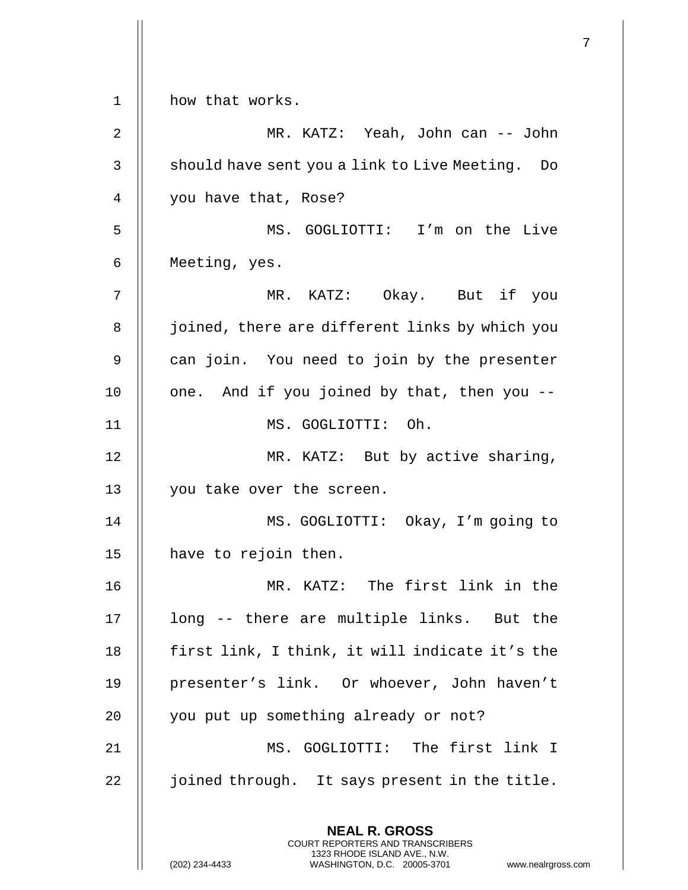**NEAL R. GROSS** COURT REPORTERS AND TRANSCRIBERS 1323 RHODE ISLAND AVE., N.W. (202) 234-4433 WASHINGTON, D.C. 20005-3701 www.nealrgross.com 1 | how that works. 2 MR. KATZ: Yeah, John can -- John 3 | should have sent you a link to Live Meeting. Do 4 | you have that, Rose? 5 MS. GOGLIOTTI: I'm on the Live 6 Meeting, yes. 7 MR. KATZ: Okay. But if you 8 | joined, there are different links by which you  $9 \parallel$  can join. You need to join by the presenter 10  $\parallel$  one. And if you joined by that, then you --11 MS. GOGLIOTTI: Oh. 12 || MR. KATZ: But by active sharing, 13 || you take over the screen. 14 MS. GOGLIOTTI: Okay, I'm going to 15 | have to rejoin then. 16 MR. KATZ: The first link in the 17 || long -- there are multiple links. But the 18 || first link, I think, it will indicate it's the 19 || presenter's link. Or whoever, John haven't 20 || you put up something already or not? 21 MS. GOGLIOTTI: The first link I 22 | joined through. It says present in the title.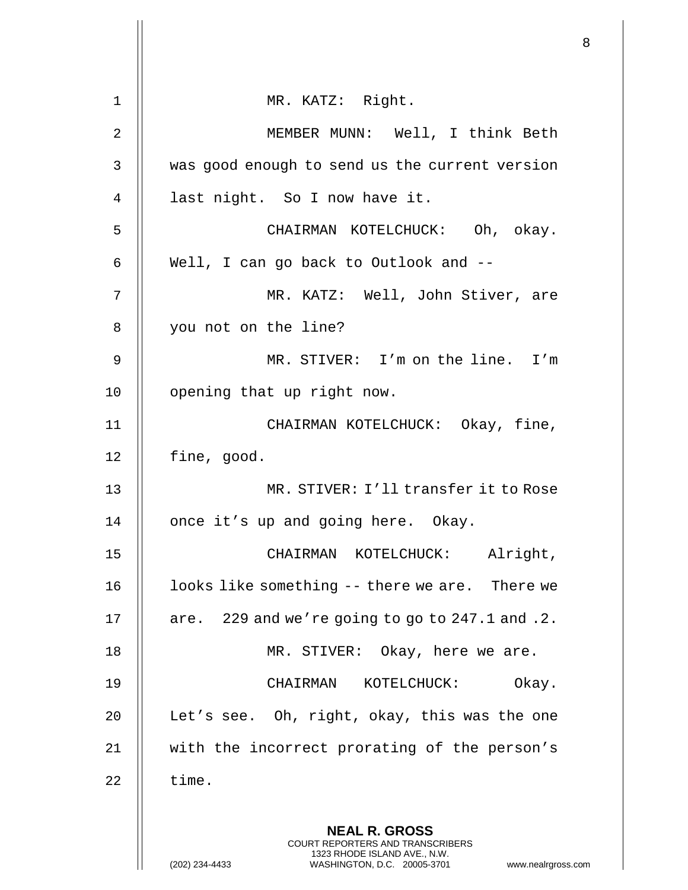|             |                                                                                                                                                                 | 8 |
|-------------|-----------------------------------------------------------------------------------------------------------------------------------------------------------------|---|
| $\mathbf 1$ | MR. KATZ: Right.                                                                                                                                                |   |
| 2           | MEMBER MUNN: Well, I think Beth                                                                                                                                 |   |
| 3           | was good enough to send us the current version                                                                                                                  |   |
| 4           | last night. So I now have it.                                                                                                                                   |   |
| 5           | CHAIRMAN KOTELCHUCK: Oh, okay.                                                                                                                                  |   |
| 6           | Well, I can go back to Outlook and --                                                                                                                           |   |
| 7           | MR. KATZ: Well, John Stiver, are                                                                                                                                |   |
| 8           | you not on the line?                                                                                                                                            |   |
| 9           | MR. STIVER: I'm on the line. I'm                                                                                                                                |   |
| 10          | opening that up right now.                                                                                                                                      |   |
| 11          | CHAIRMAN KOTELCHUCK: Okay, fine,                                                                                                                                |   |
| 12          | fine, good.                                                                                                                                                     |   |
| 13          | MR. STIVER: I'll transfer it to Rose                                                                                                                            |   |
| 14          | once it's up and going here. Okay.                                                                                                                              |   |
| 15          | CHAIRMAN KOTELCHUCK: Alright,                                                                                                                                   |   |
| 16          | looks like something -- there we are. There we                                                                                                                  |   |
| 17          | are. 229 and we're going to go to 247.1 and .2.                                                                                                                 |   |
| 18          | MR. STIVER: Okay, here we are.                                                                                                                                  |   |
| 19          | CHAIRMAN<br>KOTELCHUCK:<br>Okay.                                                                                                                                |   |
| 20          | Let's see. Oh, right, okay, this was the one                                                                                                                    |   |
| 21          | with the incorrect prorating of the person's                                                                                                                    |   |
| 22          | time.                                                                                                                                                           |   |
|             | <b>NEAL R. GROSS</b><br>COURT REPORTERS AND TRANSCRIBERS<br>1323 RHODE ISLAND AVE., N.W.<br>(202) 234-4433<br>WASHINGTON, D.C. 20005-3701<br>www.nealrgross.com |   |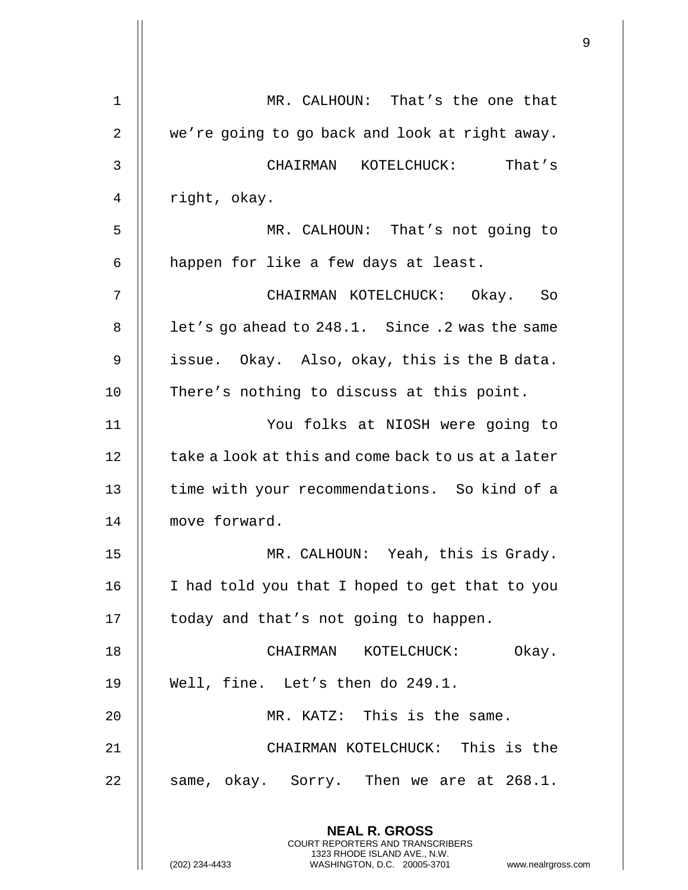| $\mathbf 1$ | MR. CALHOUN: That's the one that                                                                |
|-------------|-------------------------------------------------------------------------------------------------|
| 2           | we're going to go back and look at right away.                                                  |
| 3           | CHAIRMAN KOTELCHUCK: That's                                                                     |
| 4           | right, okay.                                                                                    |
| 5           | MR. CALHOUN: That's not going to                                                                |
| 6           | happen for like a few days at least.                                                            |
| 7           | CHAIRMAN KOTELCHUCK: Okay. So                                                                   |
| 8           | let's go ahead to 248.1. Since .2 was the same                                                  |
| 9           | issue. Okay. Also, okay, this is the B data.                                                    |
| 10          | There's nothing to discuss at this point.                                                       |
| 11          | You folks at NIOSH were going to                                                                |
| 12          | take a look at this and come back to us at a later                                              |
| 13          | time with your recommendations. So kind of a                                                    |
| 14          | move forward.                                                                                   |
| 15          | MR. CALHOUN: Yeah, this is Grady.                                                               |
| 16          | I had told you that I hoped to get that to you                                                  |
| 17          | today and that's not going to happen.                                                           |
| 18          | CHAIRMAN KOTELCHUCK: Okay.                                                                      |
| 19          | Well, fine. Let's then do 249.1.                                                                |
| 20          | MR. KATZ: This is the same.                                                                     |
| 21          | CHAIRMAN KOTELCHUCK: This is the                                                                |
| 22          | same, okay. Sorry. Then we are at 268.1.                                                        |
|             | <b>NEAL R. GROSS</b><br><b>COURT REPORTERS AND TRANSCRIBERS</b><br>1323 RHODE ISLAND AVE., N.W. |
|             | (202) 234-4433<br>WASHINGTON, D.C. 20005-3701<br>www.nealrgross.o                               |

 $\mathop{||}$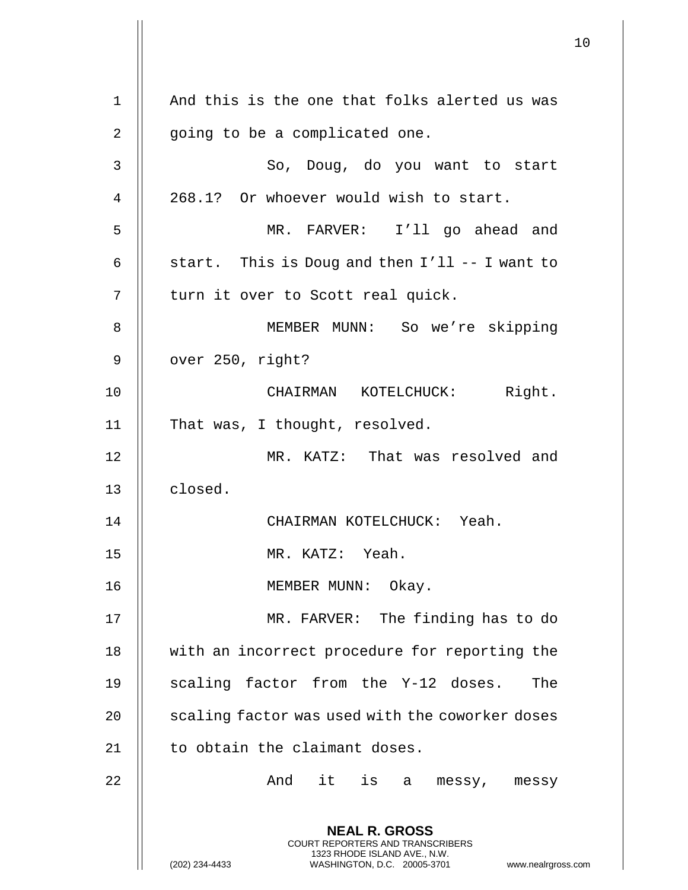**NEAL R. GROSS** COURT REPORTERS AND TRANSCRIBERS 1323 RHODE ISLAND AVE., N.W. (202) 234-4433 WASHINGTON, D.C. 20005-3701 www.nealrgross.com 1 || And this is the one that folks alerted us was 2 || going to be a complicated one. 3 So, Doug, do you want to start  $4 \parallel 268.1$ ? Or whoever would wish to start. 5 MR. FARVER: I'll go ahead and 6  $\parallel$  start. This is Doug and then I'll -- I want to  $7 \parallel$  turn it over to Scott real quick. 8 || MEMBER MUNN: So we're skipping 9 || over 250, right? 10 CHAIRMAN KOTELCHUCK: Right. 11 || That was, I thought, resolved. 12 MR. KATZ: That was resolved and 13 | closed. 14 CHAIRMAN KOTELCHUCK: Yeah. 15 MR. KATZ: Yeah. 16 || MEMBER MUNN: Okay. 17 MR. FARVER: The finding has to do 18 || with an incorrect procedure for reporting the 19 || scaling factor from the Y-12 doses. The 20 | scaling factor was used with the coworker doses 21 | to obtain the claimant doses. 22 And it is a messy, messy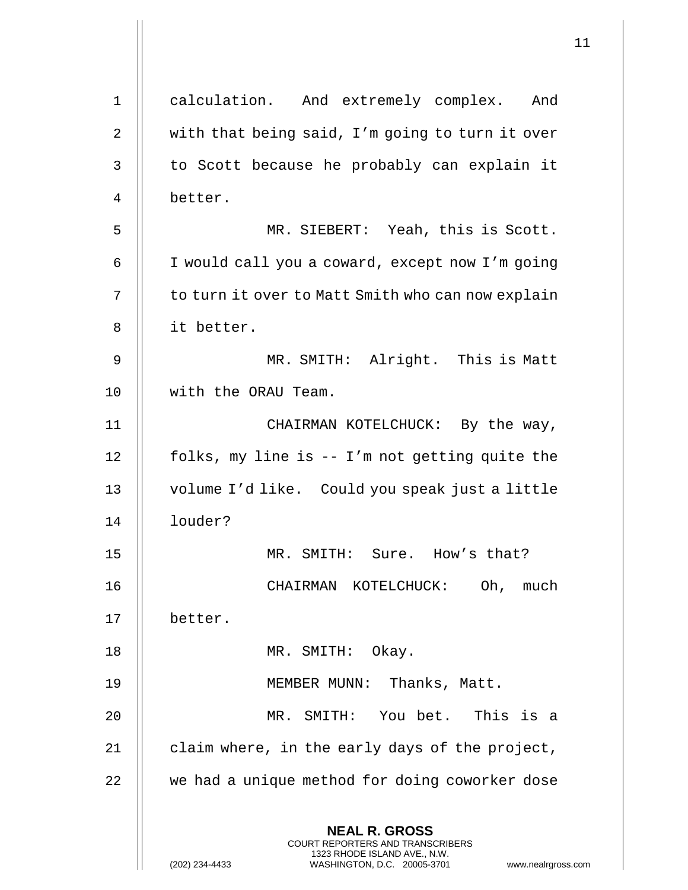|             |                                                                                                                                                                 | 11 |
|-------------|-----------------------------------------------------------------------------------------------------------------------------------------------------------------|----|
| $\mathbf 1$ | calculation. And extremely complex. And                                                                                                                         |    |
| 2           | with that being said, I'm going to turn it over                                                                                                                 |    |
| 3           | to Scott because he probably can explain it                                                                                                                     |    |
| 4           | better.                                                                                                                                                         |    |
| 5           | MR. SIEBERT: Yeah, this is Scott.                                                                                                                               |    |
| 6           | I would call you a coward, except now I'm going                                                                                                                 |    |
| 7           | to turn it over to Matt Smith who can now explain                                                                                                               |    |
| 8           | it better.                                                                                                                                                      |    |
| 9           | MR. SMITH: Alright. This is Matt                                                                                                                                |    |
| 10          | with the ORAU Team.                                                                                                                                             |    |
| 11          | CHAIRMAN KOTELCHUCK: By the way,                                                                                                                                |    |
| 12          | folks, my line is -- I'm not getting quite the                                                                                                                  |    |
| 13          | volume I'd like. Could you speak just a little                                                                                                                  |    |
| 14          | louder?                                                                                                                                                         |    |
| 15          | MR. SMITH: Sure. How's that?                                                                                                                                    |    |
| 16          | Oh, much<br>CHAIRMAN KOTELCHUCK:                                                                                                                                |    |
| 17          | better.                                                                                                                                                         |    |
| 18          | MR. SMITH: Okay.                                                                                                                                                |    |
| 19          | MEMBER MUNN: Thanks, Matt.                                                                                                                                      |    |
| 20          | MR. SMITH: You bet. This is a                                                                                                                                   |    |
| 21          | claim where, in the early days of the project,                                                                                                                  |    |
| 22          | we had a unique method for doing coworker dose                                                                                                                  |    |
|             | <b>NEAL R. GROSS</b><br>COURT REPORTERS AND TRANSCRIBERS<br>1323 RHODE ISLAND AVE., N.W.<br>(202) 234-4433<br>WASHINGTON, D.C. 20005-3701<br>www.nealrgross.com |    |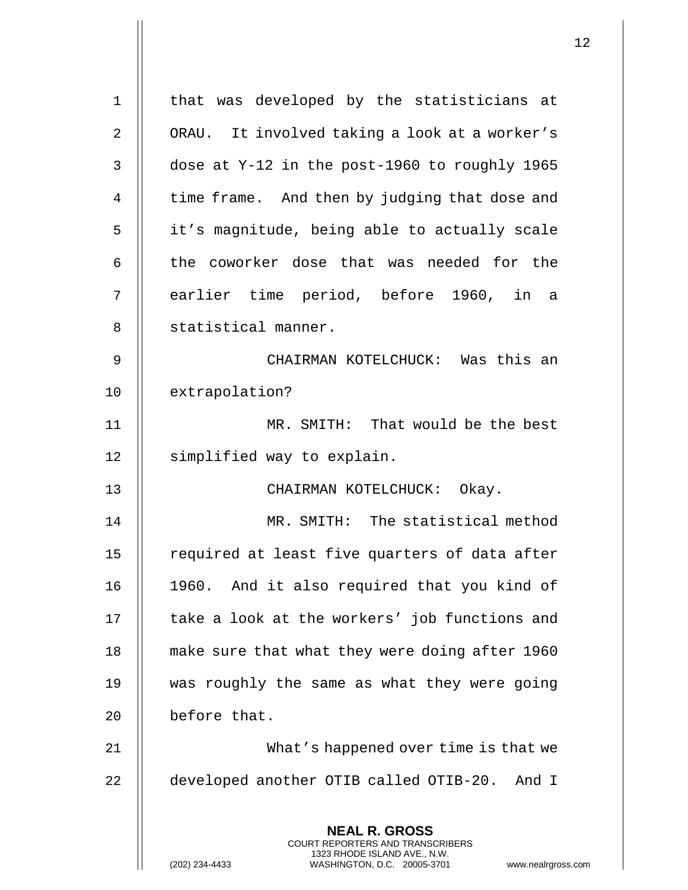| $\mathbf 1$ | that was developed by the statisticians at                                                                                                                      |
|-------------|-----------------------------------------------------------------------------------------------------------------------------------------------------------------|
| 2           | ORAU. It involved taking a look at a worker's                                                                                                                   |
| 3           | dose at Y-12 in the post-1960 to roughly 1965                                                                                                                   |
| 4           | time frame. And then by judging that dose and                                                                                                                   |
| 5           | it's magnitude, being able to actually scale                                                                                                                    |
| 6           | the coworker dose that was needed for the                                                                                                                       |
| 7           | earlier time period, before 1960, in a                                                                                                                          |
| 8           | statistical manner.                                                                                                                                             |
| 9           | CHAIRMAN KOTELCHUCK: Was this an                                                                                                                                |
| 10          | extrapolation?                                                                                                                                                  |
| 11          | MR. SMITH: That would be the best                                                                                                                               |
| 12          | simplified way to explain.                                                                                                                                      |
| 13          | CHAIRMAN KOTELCHUCK: Okay.                                                                                                                                      |
| 14          | MR. SMITH: The statistical method                                                                                                                               |
| 15          | required at least five quarters of data after                                                                                                                   |
| 16          | 1960. And it also required that you kind of                                                                                                                     |
| 17          | take a look at the workers' job functions and                                                                                                                   |
| 18          | make sure that what they were doing after 1960                                                                                                                  |
| 19          | was roughly the same as what they were going                                                                                                                    |
| 20          | before that.                                                                                                                                                    |
| 21          | What's happened over time is that we                                                                                                                            |
| 22          | developed another OTIB called OTIB-20. And I                                                                                                                    |
|             | <b>NEAL R. GROSS</b><br>COURT REPORTERS AND TRANSCRIBERS<br>1323 RHODE ISLAND AVE., N.W.<br>(202) 234-4433<br>WASHINGTON, D.C. 20005-3701<br>www.nealrgross.com |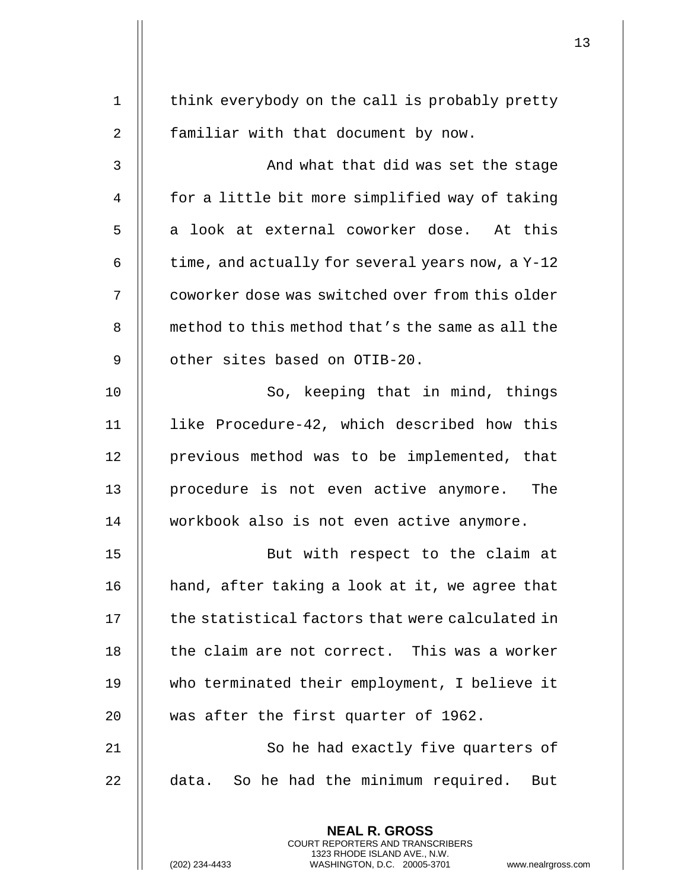| $\mathbf 1$    | think everybody on the call is probably pretty                                                                                                                      |
|----------------|---------------------------------------------------------------------------------------------------------------------------------------------------------------------|
| $\overline{2}$ | familiar with that document by now.                                                                                                                                 |
| 3              | And what that did was set the stage                                                                                                                                 |
| 4              | for a little bit more simplified way of taking                                                                                                                      |
| 5              | a look at external coworker dose. At this                                                                                                                           |
| 6              | time, and actually for several years now, a Y-12                                                                                                                    |
| 7              | coworker dose was switched over from this older                                                                                                                     |
| 8              | method to this method that's the same as all the                                                                                                                    |
| 9              | other sites based on OTIB-20.                                                                                                                                       |
| 10             | So, keeping that in mind, things                                                                                                                                    |
| 11             | like Procedure-42, which described how this                                                                                                                         |
| 12             | previous method was to be implemented, that                                                                                                                         |
| 13             | procedure is not even active anymore.<br>The                                                                                                                        |
| 14             | workbook also is not even active anymore.                                                                                                                           |
| 15             | But with respect to the claim at                                                                                                                                    |
| 16             | hand, after taking a look at it, we agree that                                                                                                                      |
| 17             | the statistical factors that were calculated in                                                                                                                     |
| 18             | the claim are not correct. This was a worker                                                                                                                        |
| 19             | who terminated their employment, I believe it                                                                                                                       |
| 20             | was after the first quarter of 1962.                                                                                                                                |
| 21             | So he had exactly five quarters of                                                                                                                                  |
| 22             | data. So he had the minimum required. But                                                                                                                           |
|                | <b>NEAL R. GROSS</b><br><b>COURT REPORTERS AND TRANSCRIBERS</b><br>1323 RHODE ISLAND AVE., N.W.<br>(202) 234-4433<br>WASHINGTON, D.C. 20005-3701<br>www.nealrgross. |

 $\mathsf{l}\mathsf{l}$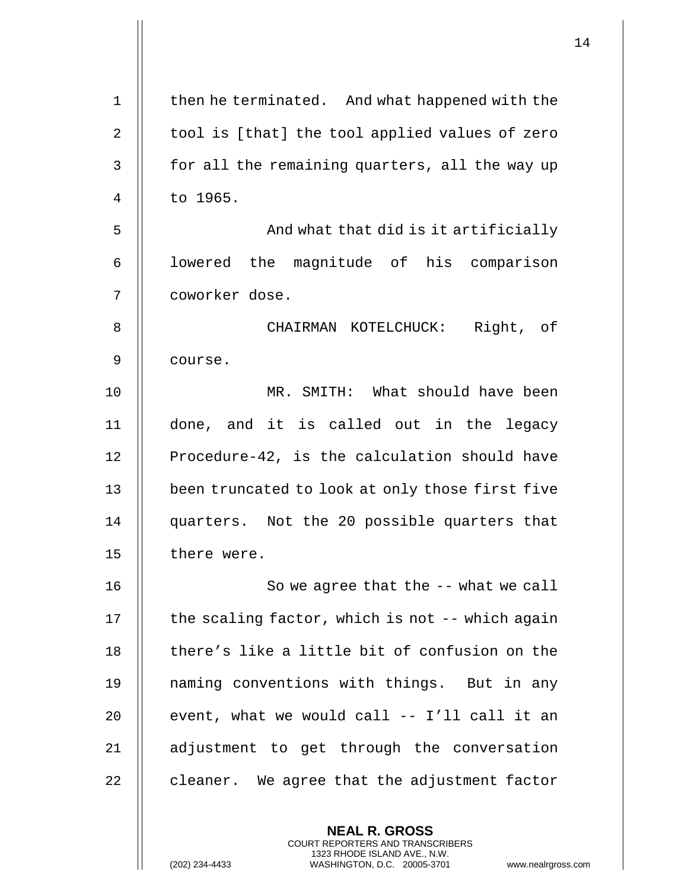| $\mathbf 1$    | then he terminated. And what happened with the  |
|----------------|-------------------------------------------------|
| $\overline{2}$ | tool is [that] the tool applied values of zero  |
| 3              | for all the remaining quarters, all the way up  |
| 4              | to 1965.                                        |
| 5              | And what that did is it artificially            |
| 6              | lowered the magnitude of his comparison         |
| 7              | coworker dose.                                  |
| 8              | CHAIRMAN KOTELCHUCK: Right, of                  |
| 9              | course.                                         |
| 10             | MR. SMITH: What should have been                |
| 11             | done, and it is called out in the legacy        |
| 12             | Procedure-42, is the calculation should have    |
| 13             | been truncated to look at only those first five |
| 14             | quarters. Not the 20 possible quarters that     |
| 15             | there were.                                     |
| 16             | So we agree that the -- what we call            |
| 17             | the scaling factor, which is not -- which again |
| 18             | there's like a little bit of confusion on the   |
| 19             | naming conventions with things. But in any      |
| 20             | event, what we would call -- I'll call it an    |
| 21             | adjustment to get through the conversation      |
| 22             | cleaner. We agree that the adjustment factor    |
|                |                                                 |

**NEAL R. GROSS** COURT REPORTERS AND TRANSCRIBERS 1323 RHODE ISLAND AVE., N.W.

 $\begin{array}{c} \hline \end{array}$ 

(202) 234-4433 WASHINGTON, D.C. 20005-3701 www.nealrgross.com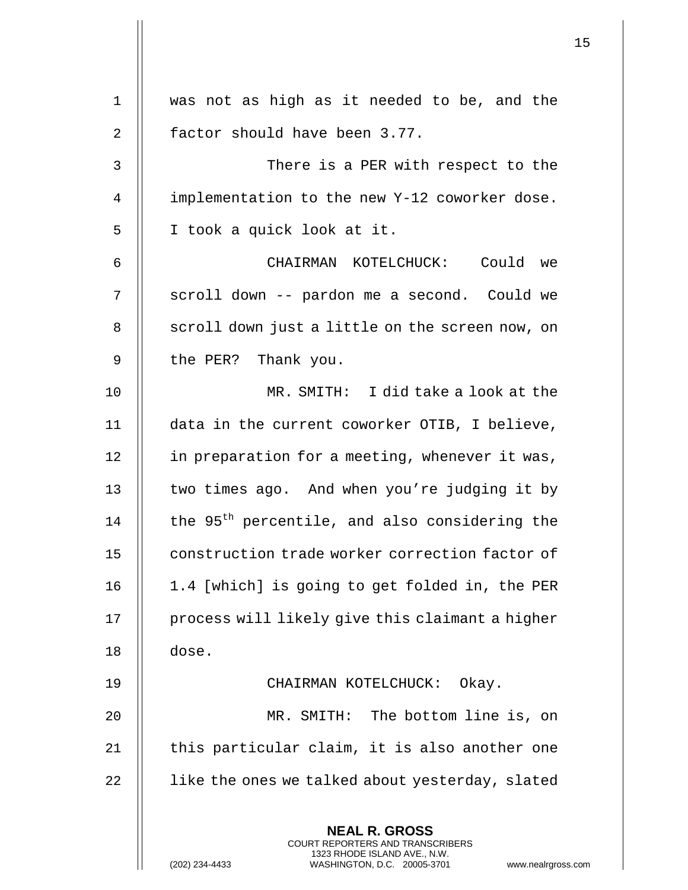| $\mathbf{1}$ | was not as high as it needed to be, and the                                                                                                                  |
|--------------|--------------------------------------------------------------------------------------------------------------------------------------------------------------|
| 2            | factor should have been 3.77.                                                                                                                                |
| 3            | There is a PER with respect to the                                                                                                                           |
| 4            | implementation to the new Y-12 coworker dose.                                                                                                                |
| 5            | I took a quick look at it.                                                                                                                                   |
| 6            | CHAIRMAN KOTELCHUCK: Could we                                                                                                                                |
| 7            | scroll down -- pardon me a second. Could we                                                                                                                  |
| 8            | scroll down just a little on the screen now, on                                                                                                              |
| 9            | the PER? Thank you.                                                                                                                                          |
| 10           | MR. SMITH: I did take a look at the                                                                                                                          |
| 11           | data in the current coworker OTIB, I believe,                                                                                                                |
| 12           | in preparation for a meeting, whenever it was,                                                                                                               |
| 13           | two times ago. And when you're judging it by                                                                                                                 |
| 14           | the 95 <sup>th</sup> percentile, and also considering the                                                                                                    |
| 15           | construction trade worker correction factor of                                                                                                               |
| 16           | 1.4 [which] is going to get folded in, the PER                                                                                                               |
| 17           | process will likely give this claimant a higher                                                                                                              |
| 18           | dose.                                                                                                                                                        |
| 19           | CHAIRMAN KOTELCHUCK:<br>Okay.                                                                                                                                |
| 20           | MR. SMITH: The bottom line is, on                                                                                                                            |
| 21           | this particular claim, it is also another one                                                                                                                |
| 22           | like the ones we talked about yesterday, slated                                                                                                              |
|              | <b>NEAL R. GROSS</b><br>COURT REPORTERS AND TRANSCRIBERS<br>1323 RHODE ISLAND AVE., N.W.<br>(202) 234-4433<br>WASHINGTON, D.C. 20005-3701<br>www.nealrgross. |

 $\mathsf{l}\mathsf{l}$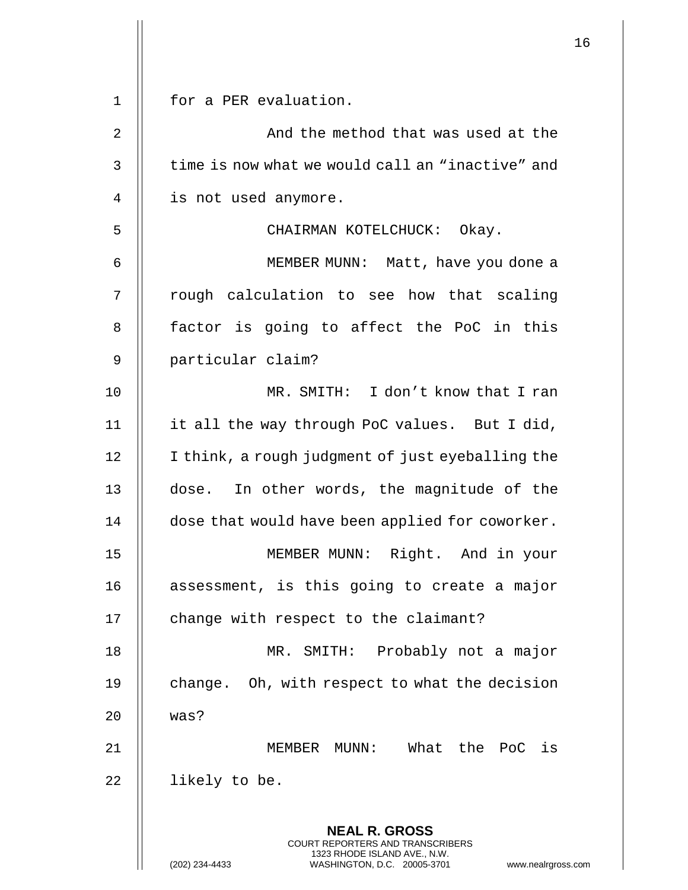| $\mathbf 1$ | for a PER evaluation.                                                                                                                                         |
|-------------|---------------------------------------------------------------------------------------------------------------------------------------------------------------|
| 2           | And the method that was used at the                                                                                                                           |
| 3           | time is now what we would call an "inactive" and                                                                                                              |
| 4           | is not used anymore.                                                                                                                                          |
| 5           | CHAIRMAN KOTELCHUCK: Okay.                                                                                                                                    |
| 6           | MEMBER MUNN: Matt, have you done a                                                                                                                            |
| 7           | rough calculation to see how that scaling                                                                                                                     |
| 8           | factor is going to affect the PoC in this                                                                                                                     |
| 9           | particular claim?                                                                                                                                             |
| 10          | MR. SMITH: I don't know that I ran                                                                                                                            |
| 11          | it all the way through PoC values. But I did,                                                                                                                 |
| 12          | I think, a rough judgment of just eyeballing the                                                                                                              |
| 13          | dose. In other words, the magnitude of the                                                                                                                    |
| 14          | dose that would have been applied for coworker.                                                                                                               |
| 15          | MEMBER MUNN: Right. And in your                                                                                                                               |
| 16          | assessment, is this going to create a major                                                                                                                   |
| 17          | change with respect to the claimant?                                                                                                                          |
| 18          | MR. SMITH: Probably not a major                                                                                                                               |
| 19          | change. Oh, with respect to what the decision                                                                                                                 |
| 20          | was?                                                                                                                                                          |
| 21          | What the PoC is<br>MEMBER MUNN:                                                                                                                               |
| 22          | likely to be.                                                                                                                                                 |
|             | <b>NEAL R. GROSS</b><br>COURT REPORTERS AND TRANSCRIBERS<br>1323 RHODE ISLAND AVE., N.W.<br>(202) 234-4433<br>WASHINGTON, D.C. 20005-3701<br>www.nealrgross.c |

 $\begin{array}{c} \hline \end{array}$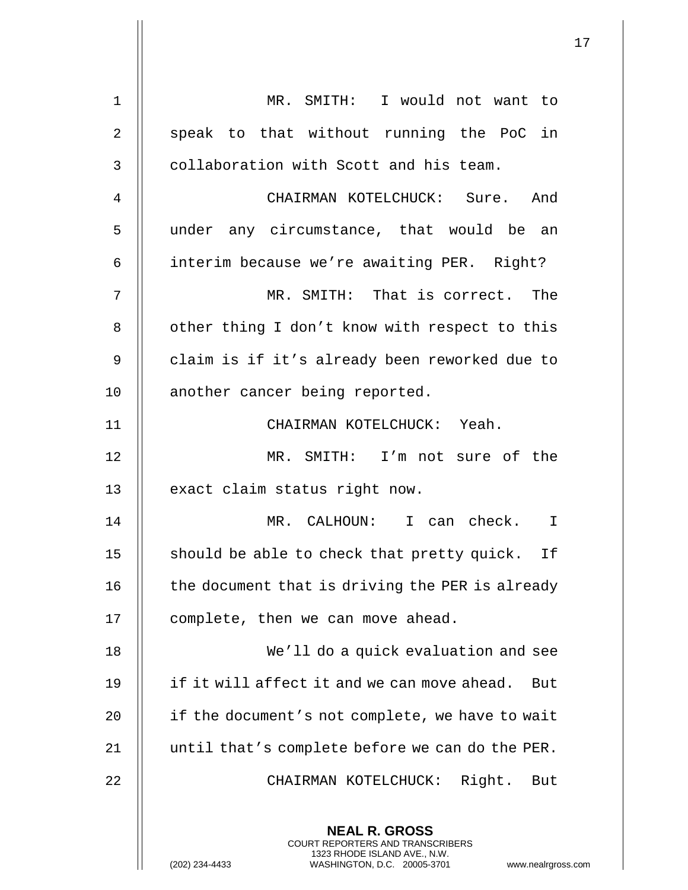| $\mathbf 1$    | MR. SMITH: I would not want to                                                                                                                                         |
|----------------|------------------------------------------------------------------------------------------------------------------------------------------------------------------------|
| $\overline{2}$ | speak to that without running the PoC in                                                                                                                               |
| 3              | collaboration with Scott and his team.                                                                                                                                 |
| 4              | CHAIRMAN KOTELCHUCK: Sure. And                                                                                                                                         |
| 5              | under any circumstance, that would be an                                                                                                                               |
| 6              | interim because we're awaiting PER. Right?                                                                                                                             |
| 7              | MR. SMITH: That is correct. The                                                                                                                                        |
| 8              | other thing I don't know with respect to this                                                                                                                          |
| 9              | claim is if it's already been reworked due to                                                                                                                          |
| 10             | another cancer being reported.                                                                                                                                         |
| 11             | CHAIRMAN KOTELCHUCK: Yeah.                                                                                                                                             |
| 12             | MR. SMITH: I'm not sure of the                                                                                                                                         |
| 13             | exact claim status right now.                                                                                                                                          |
| 14             | MR. CALHOUN: I can check.<br>$\mathbf I$                                                                                                                               |
| 15             | should be able to check that pretty quick. If                                                                                                                          |
| 16             | the document that is driving the PER is already                                                                                                                        |
| 17             | complete, then we can move ahead.                                                                                                                                      |
| 18             | We'll do a quick evaluation and see                                                                                                                                    |
| 19             | if it will affect it and we can move ahead. But                                                                                                                        |
| 20             | if the document's not complete, we have to wait                                                                                                                        |
| 21             | until that's complete before we can do the PER.                                                                                                                        |
| 22             | Right.<br>But<br>CHAIRMAN KOTELCHUCK:                                                                                                                                  |
|                | <b>NEAL R. GROSS</b><br><b>COURT REPORTERS AND TRANSCRIBERS</b><br>1323 RHODE ISLAND AVE., N.W.<br>(202) 234-4433<br>WASHINGTON, D.C. 20005-3701<br>www.nealrgross.com |

 $\mathsf{I}$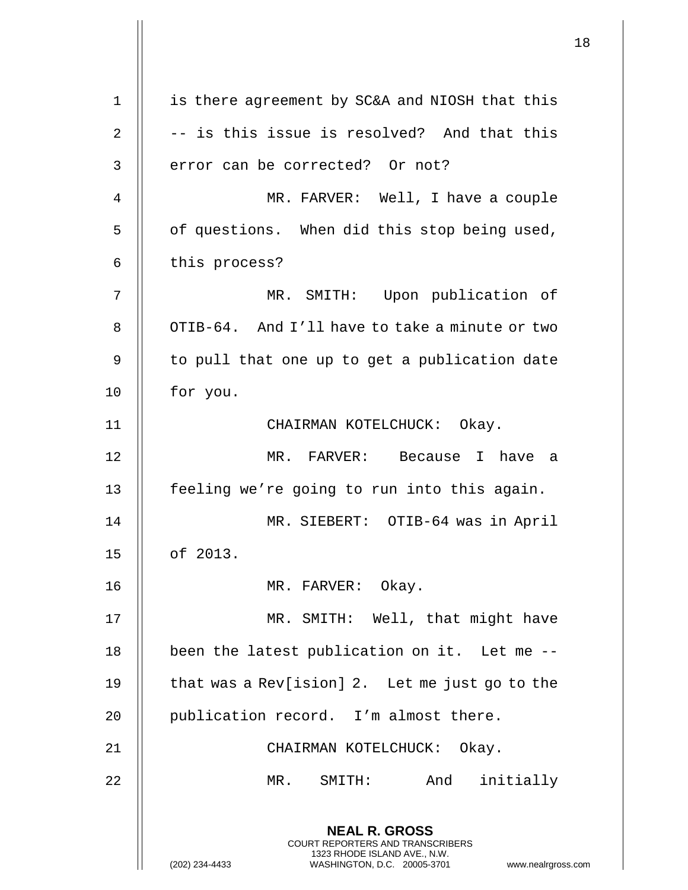**NEAL R. GROSS** COURT REPORTERS AND TRANSCRIBERS 1323 RHODE ISLAND AVE., N.W. (202) 234-4433 WASHINGTON, D.C. 20005-3701 www.nealrgross.com 1 || is there agreement by SC&A and NIOSH that this  $2 \parallel -$  is this issue is resolved? And that this  $3$  || error can be corrected? Or not? 4 MR. FARVER: Well, I have a couple 5 || of questions. When did this stop being used,  $6 \parallel$  this process? 7 MR. SMITH: Upon publication of 8 | OTIB-64. And I'll have to take a minute or two  $9$  || to pull that one up to get a publication date 10 || for you. 11 || CHAIRMAN KOTELCHUCK: Okay. 12 MR. FARVER: Because I have a 13 || feeling we're going to run into this again. 14 MR. SIEBERT: OTIB-64 was in April 15 of 2013. 16 || MR. FARVER: Okay. 17 MR. SMITH: Well, that might have 18 || been the latest publication on it. Let me --19  $\parallel$  that was a Rev[ision] 2. Let me just go to the 20 || publication record. I'm almost there. 21 CHAIRMAN KOTELCHUCK: Okay. 22 MR. SMITH: And initially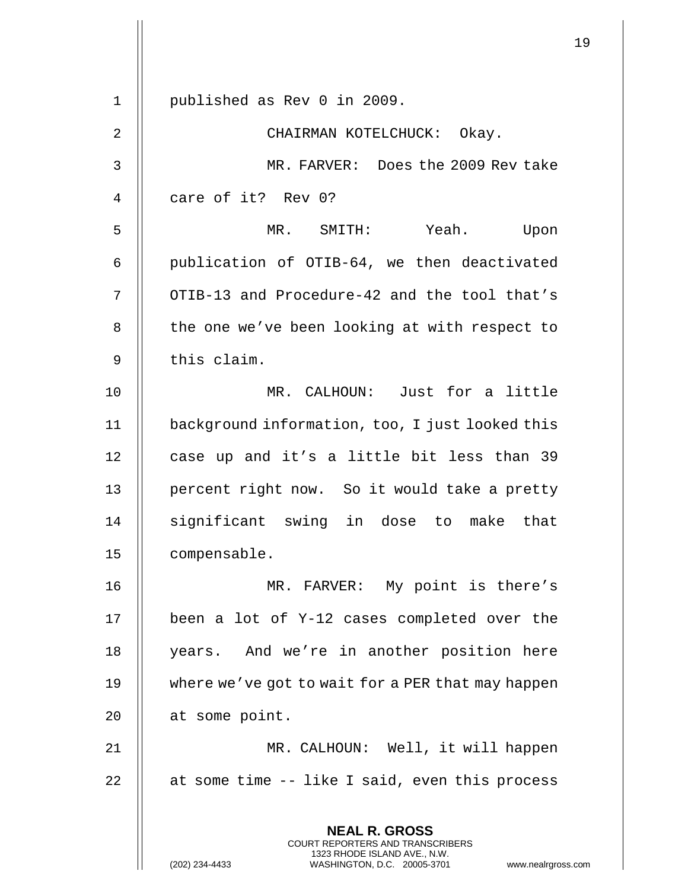**NEAL R. GROSS** COURT REPORTERS AND TRANSCRIBERS 1323 RHODE ISLAND AVE., N.W. 1 published as Rev 0 in 2009. 2 || CHAIRMAN KOTELCHUCK: Okay. 3 MR. FARVER: Does the 2009 Rev take 4 || care of it? Rev 0? 5 MR. SMITH: Yeah. Upon 6  $\parallel$  publication of OTIB-64, we then deactivated 7 | OTIB-13 and Procedure-42 and the tool that's 8 | the one we've been looking at with respect to  $9$   $\parallel$  this claim. 10 MR. CALHOUN: Just for a little 11 background information, too, I just looked this 12 || case up and it's a little bit less than 39 13 || percent right now. So it would take a pretty 14 || significant swing in dose to make that 15 compensable. 16 || MR. FARVER: My point is there's 17 been a lot of Y-12 cases completed over the 18 || years. And we're in another position here 19 where we've got to wait for a PER that may happen 20 | at some point. 21 MR. CALHOUN: Well, it will happen  $22$  || at some time  $-$  like I said, even this process

(202) 234-4433 WASHINGTON, D.C. 20005-3701 www.nealrgross.com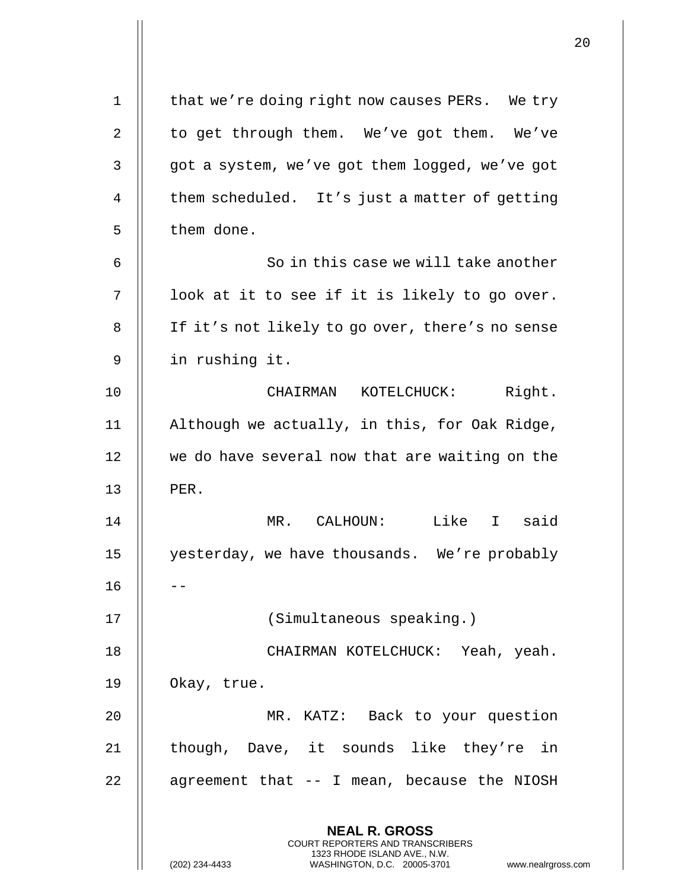|             |                                                                                          | 20 |
|-------------|------------------------------------------------------------------------------------------|----|
| $\mathbf 1$ | that we're doing right now causes PERs. We try                                           |    |
| 2           | to get through them. We've got them. We've                                               |    |
| 3           | got a system, we've got them logged, we've got                                           |    |
| 4           | them scheduled. It's just a matter of getting                                            |    |
| 5           | them done.                                                                               |    |
| 6           | So in this case we will take another                                                     |    |
| 7           | look at it to see if it is likely to go over.                                            |    |
| 8           | If it's not likely to go over, there's no sense                                          |    |
| 9           | in rushing it.                                                                           |    |
| 10          | CHAIRMAN KOTELCHUCK: Right.                                                              |    |
| 11          | Although we actually, in this, for Oak Ridge,                                            |    |
| 12          | we do have several now that are waiting on the                                           |    |
| 13          | PER.                                                                                     |    |
| 14          | Like I said<br>MR. CALHOUN:                                                              |    |
| 15          | yesterday, we have thousands. We're probably                                             |    |
| 16          |                                                                                          |    |
| 17          | (Simultaneous speaking.)                                                                 |    |
| 18          | CHAIRMAN KOTELCHUCK: Yeah, yeah.                                                         |    |
| 19          | Okay, true.                                                                              |    |
| 20          | MR. KATZ: Back to your question                                                          |    |
| 21          | though, Dave, it sounds like they're in                                                  |    |
| 22          | agreement that -- I mean, because the NIOSH                                              |    |
|             | <b>NEAL R. GROSS</b><br>COURT REPORTERS AND TRANSCRIBERS<br>1323 RHODE ISLAND AVE., N.W. |    |
|             | WASHINGTON, D.C. 20005-3701<br>(202) 234-4433<br>www.nealrgross.com                      |    |

 $\overline{1}$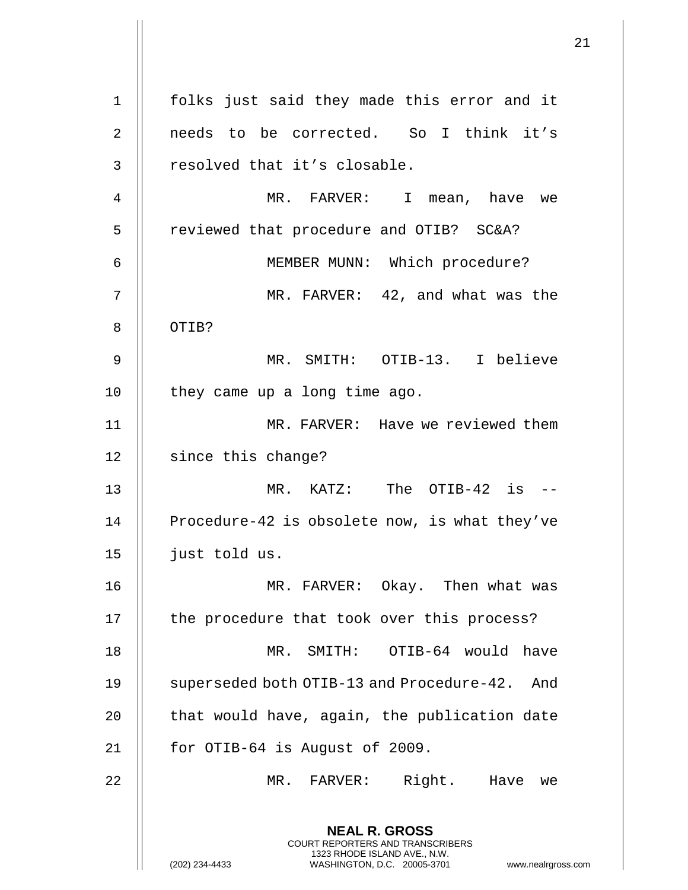**NEAL R. GROSS** COURT REPORTERS AND TRANSCRIBERS 1323 RHODE ISLAND AVE., N.W. (202) 234-4433 WASHINGTON, D.C. 20005-3701 www.nealrgross.com 1 folks just said they made this error and it 2 || needs to be corrected. So I think it's 3 || resolved that it's closable. 4 MR. FARVER: I mean, have we 5 | reviewed that procedure and OTIB? SC&A? 6 MEMBER MUNN: Which procedure? 7 MR. FARVER: 42, and what was the 8 || OTIB? 9 MR. SMITH: OTIB-13. I believe 10 || they came up a long time ago. 11 MR. FARVER: Have we reviewed them 12 | since this change? 13 MR. KATZ: The OTIB-42 is -- 14 | Procedure-42 is obsolete now, is what they've 15 just told us. 16 MR. FARVER: Okay. Then what was 17 || the procedure that took over this process? 18 MR. SMITH: OTIB-64 would have 19 | superseded both OTIB-13 and Procedure-42. And  $20$   $\parallel$  that would have, again, the publication date 21  $\parallel$  for OTIB-64 is August of 2009. 22 MR. FARVER: Right. Have we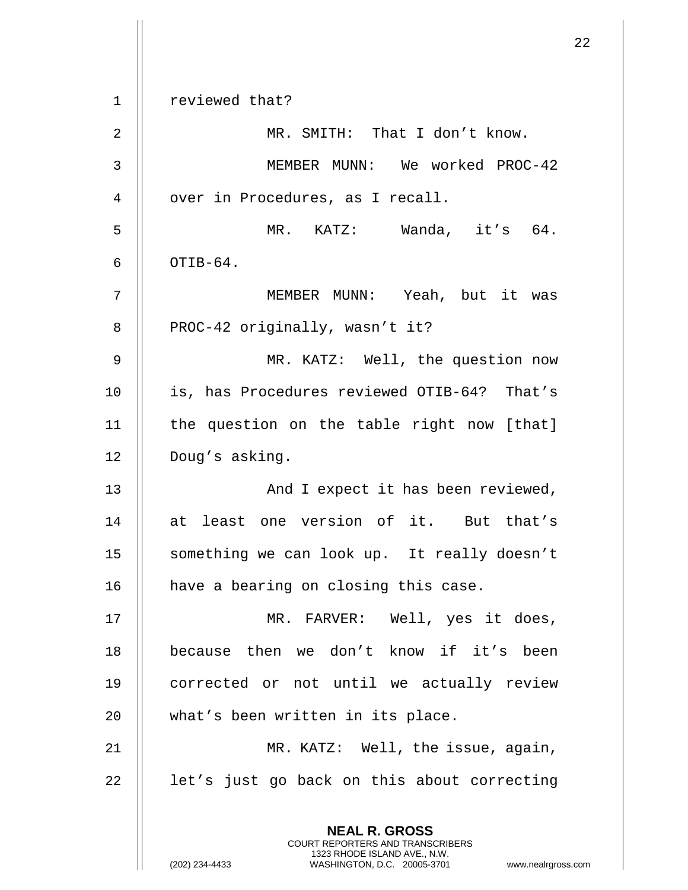|                |                                                                                                                                                                        | 22 |
|----------------|------------------------------------------------------------------------------------------------------------------------------------------------------------------------|----|
| 1              | reviewed that?                                                                                                                                                         |    |
| 2              | MR. SMITH: That I don't know.                                                                                                                                          |    |
| 3              | MEMBER MUNN: We worked PROC-42                                                                                                                                         |    |
| $\overline{4}$ | over in Procedures, as I recall.                                                                                                                                       |    |
| 5              | MR. KATZ: Wanda, it's 64.                                                                                                                                              |    |
| 6              | OTIB-64.                                                                                                                                                               |    |
| 7              | MEMBER MUNN: Yeah, but it was                                                                                                                                          |    |
| 8              | PROC-42 originally, wasn't it?                                                                                                                                         |    |
| 9              | MR. KATZ: Well, the question now                                                                                                                                       |    |
| 10             | is, has Procedures reviewed OTIB-64? That's                                                                                                                            |    |
| 11             | the question on the table right now [that]                                                                                                                             |    |
| 12             | Doug's asking.                                                                                                                                                         |    |
| 13             | And I expect it has been reviewed,                                                                                                                                     |    |
| 14             | least one version of it. But that's<br>at                                                                                                                              |    |
| 15             | something we can look up. It really doesn't                                                                                                                            |    |
| 16             | have a bearing on closing this case.                                                                                                                                   |    |
| 17             | MR. FARVER: Well, yes it does,                                                                                                                                         |    |
| 18             | because then we don't know if it's been                                                                                                                                |    |
| 19             | corrected or not until we actually review                                                                                                                              |    |
| 20             | what's been written in its place.                                                                                                                                      |    |
| 21             | MR. KATZ: Well, the issue, again,                                                                                                                                      |    |
| 22             | let's just go back on this about correcting                                                                                                                            |    |
|                |                                                                                                                                                                        |    |
|                | <b>NEAL R. GROSS</b><br><b>COURT REPORTERS AND TRANSCRIBERS</b><br>1323 RHODE ISLAND AVE., N.W.<br>(202) 234-4433<br>WASHINGTON, D.C. 20005-3701<br>www.nealrgross.com |    |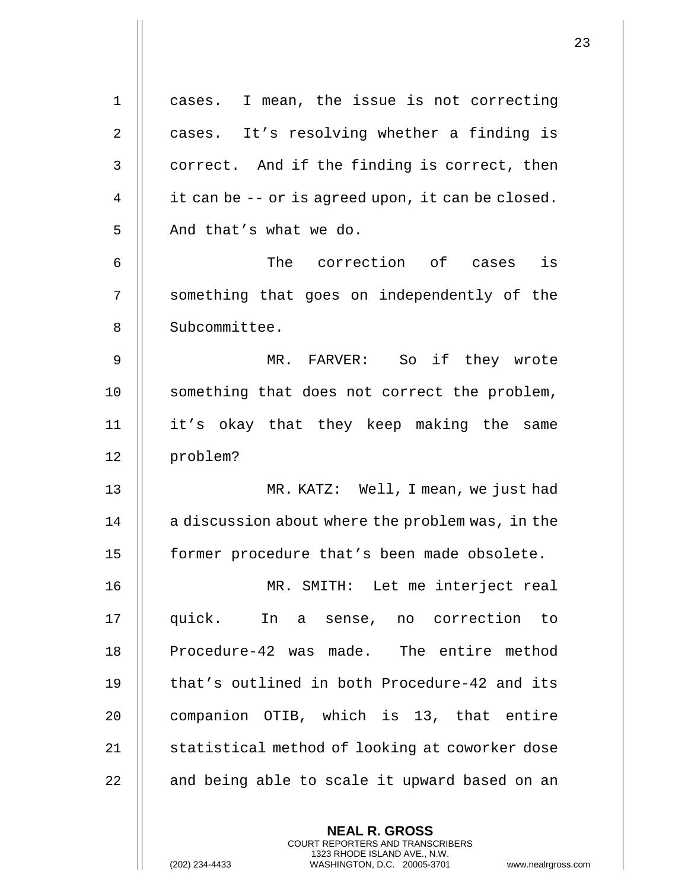1 cases. I mean, the issue is not correcting 2 || cases. It's resolving whether a finding is  $3 \parallel$  correct. And if the finding is correct, then 4  $\parallel$  it can be -- or is agreed upon, it can be closed. 5 | And that's what we do. 6 The correction of cases is 7 || something that goes on independently of the 8 | Subcommittee. 9 MR. FARVER: So if they wrote 10 || something that does not correct the problem, 11 it's okay that they keep making the same 12 problem? 13 MR. KATZ: Well, I mean, we just had  $14$  | a discussion about where the problem was, in the 15 former procedure that's been made obsolete. 16 MR. SMITH: Let me interject real 17 quick. In a sense, no correction to 18 || Procedure-42 was made. The entire method 19 || that's outlined in both Procedure-42 and its 20 || companion OTIB, which is 13, that entire 21 | statistical method of looking at coworker dose  $22$   $\parallel$  and being able to scale it upward based on an

> **NEAL R. GROSS** COURT REPORTERS AND TRANSCRIBERS 1323 RHODE ISLAND AVE., N.W.

(202) 234-4433 WASHINGTON, D.C. 20005-3701 www.nealrgross.com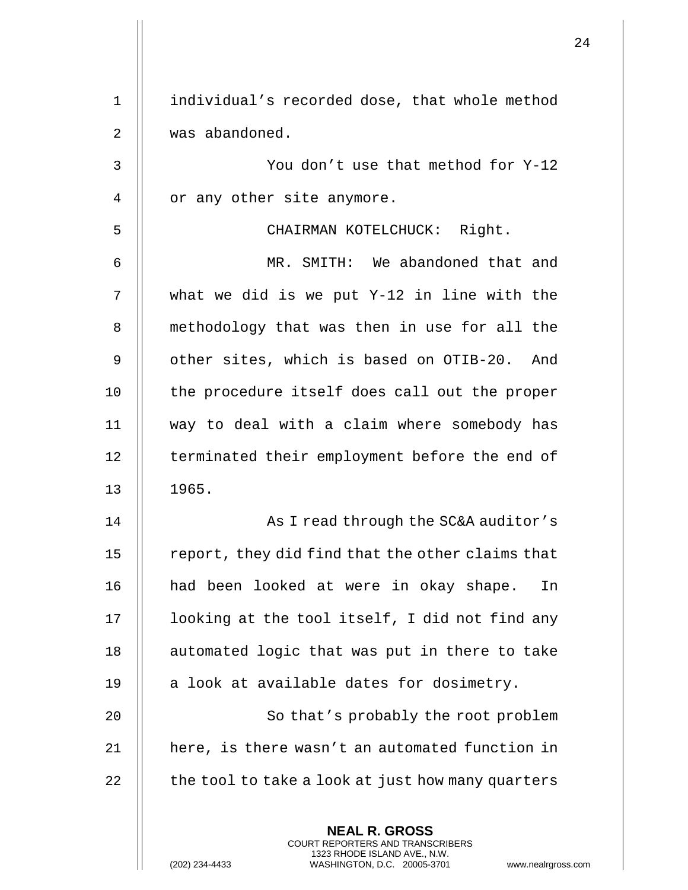|             | <b>NEAL R. GROSS</b><br><b>COURT REPORTERS AND TRANSCRIBERS</b><br>1323 RHODE ISLAND AVE., N.W.<br>(202) 234-4433<br>WASHINGTON, D.C. 20005-3701<br>www.nealrgross. |
|-------------|---------------------------------------------------------------------------------------------------------------------------------------------------------------------|
| 22          | the tool to take a look at just how many quarters                                                                                                                   |
| 21          | here, is there wasn't an automated function in                                                                                                                      |
| 20          | So that's probably the root problem                                                                                                                                 |
| 19          | a look at available dates for dosimetry.                                                                                                                            |
| 18          | automated logic that was put in there to take                                                                                                                       |
| 17          | looking at the tool itself, I did not find any                                                                                                                      |
| 16          | had been looked at were in okay shape.<br>In                                                                                                                        |
| 15          | report, they did find that the other claims that                                                                                                                    |
| 14          | As I read through the SC&A auditor's                                                                                                                                |
| 13          | 1965.                                                                                                                                                               |
| 12          | terminated their employment before the end of                                                                                                                       |
| 11          | way to deal with a claim where somebody has                                                                                                                         |
| 10          | the procedure itself does call out the proper                                                                                                                       |
| 9           | other sites, which is based on OTIB-20. And                                                                                                                         |
| 8           | methodology that was then in use for all the                                                                                                                        |
| 7           | what we did is we put Y-12 in line with the                                                                                                                         |
| 6           | MR. SMITH: We abandoned that and                                                                                                                                    |
| 5           | CHAIRMAN KOTELCHUCK: Right.                                                                                                                                         |
| 4           | or any other site anymore.                                                                                                                                          |
| 3           | You don't use that method for Y-12                                                                                                                                  |
| 2           | was abandoned.                                                                                                                                                      |
| $\mathbf 1$ | individual's recorded dose, that whole method                                                                                                                       |
|             |                                                                                                                                                                     |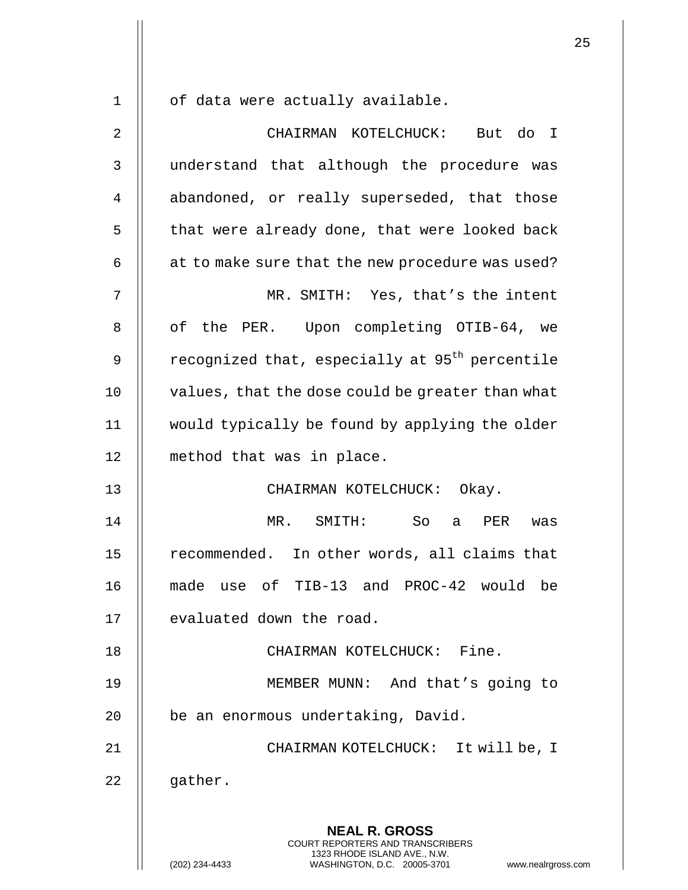$1 \parallel$  of data were actually available.

| $\sqrt{2}$     | CHAIRMAN KOTELCHUCK: But do I                                                                                                                                   |
|----------------|-----------------------------------------------------------------------------------------------------------------------------------------------------------------|
| 3              | understand that although the procedure was                                                                                                                      |
| $\overline{4}$ | abandoned, or really superseded, that those                                                                                                                     |
| 5              | that were already done, that were looked back                                                                                                                   |
| 6              | at to make sure that the new procedure was used?                                                                                                                |
| 7              | MR. SMITH: Yes, that's the intent                                                                                                                               |
| 8              | of the PER. Upon completing OTIB-64, we                                                                                                                         |
| 9              | recognized that, especially at 95 <sup>th</sup> percentile                                                                                                      |
| 10             | values, that the dose could be greater than what                                                                                                                |
| 11             | would typically be found by applying the older                                                                                                                  |
| 12             | method that was in place.                                                                                                                                       |
| 13             | CHAIRMAN KOTELCHUCK: Okay.                                                                                                                                      |
| 14             | MR. SMITH: So<br>a PER<br>was                                                                                                                                   |
| 15             | recommended. In other words, all claims that                                                                                                                    |
| 16             | made use of TIB-13 and PROC-42 would be                                                                                                                         |
| 17             | evaluated down the road.                                                                                                                                        |
| 18             | CHAIRMAN KOTELCHUCK: Fine.                                                                                                                                      |
| 19             | MEMBER MUNN: And that's going to                                                                                                                                |
| 20             | be an enormous undertaking, David.                                                                                                                              |
| 21             | CHAIRMAN KOTELCHUCK: It will be, I                                                                                                                              |
| 22             | gather.                                                                                                                                                         |
|                | <b>NEAL R. GROSS</b><br>COURT REPORTERS AND TRANSCRIBERS<br>1323 RHODE ISLAND AVE., N.W.<br>WASHINGTON, D.C. 20005-3701<br>(202) 234-4433<br>www.nealrgross.com |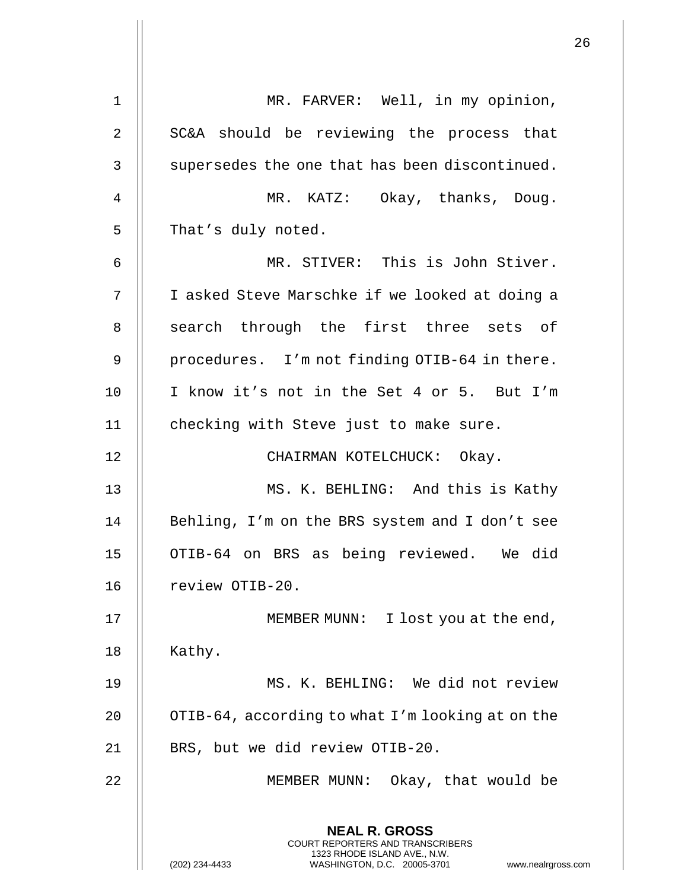| 1  | MR. FARVER: Well, in my opinion,                                                                                                                                       |
|----|------------------------------------------------------------------------------------------------------------------------------------------------------------------------|
| 2  | SC&A should be reviewing the process that                                                                                                                              |
| 3  | supersedes the one that has been discontinued.                                                                                                                         |
| 4  | MR. KATZ: Okay, thanks, Doug.                                                                                                                                          |
| 5  | That's duly noted.                                                                                                                                                     |
| 6  | MR. STIVER: This is John Stiver.                                                                                                                                       |
| 7  | I asked Steve Marschke if we looked at doing a                                                                                                                         |
| 8  | search through the first three sets of                                                                                                                                 |
| 9  | procedures. I'm not finding OTIB-64 in there.                                                                                                                          |
| 10 | I know it's not in the Set 4 or 5. But I'm                                                                                                                             |
| 11 | checking with Steve just to make sure.                                                                                                                                 |
| 12 | CHAIRMAN KOTELCHUCK: Okay.                                                                                                                                             |
| 13 | MS. K. BEHLING: And this is Kathy                                                                                                                                      |
| 14 | Behling, I'm on the BRS system and I don't see                                                                                                                         |
| 15 | OTIB-64 on BRS as being reviewed. We did                                                                                                                               |
| 16 | review OTIB-20.                                                                                                                                                        |
| 17 | MEMBER MUNN: I lost you at the end,                                                                                                                                    |
| 18 | Kathy.                                                                                                                                                                 |
| 19 | MS. K. BEHLING: We did not review                                                                                                                                      |
| 20 | OTIB-64, according to what I'm looking at on the                                                                                                                       |
| 21 | BRS, but we did review OTIB-20.                                                                                                                                        |
| 22 | MEMBER MUNN: Okay, that would be                                                                                                                                       |
|    | <b>NEAL R. GROSS</b><br><b>COURT REPORTERS AND TRANSCRIBERS</b><br>1323 RHODE ISLAND AVE., N.W.<br>(202) 234-4433<br>WASHINGTON, D.C. 20005-3701<br>www.nealrgross.com |

Η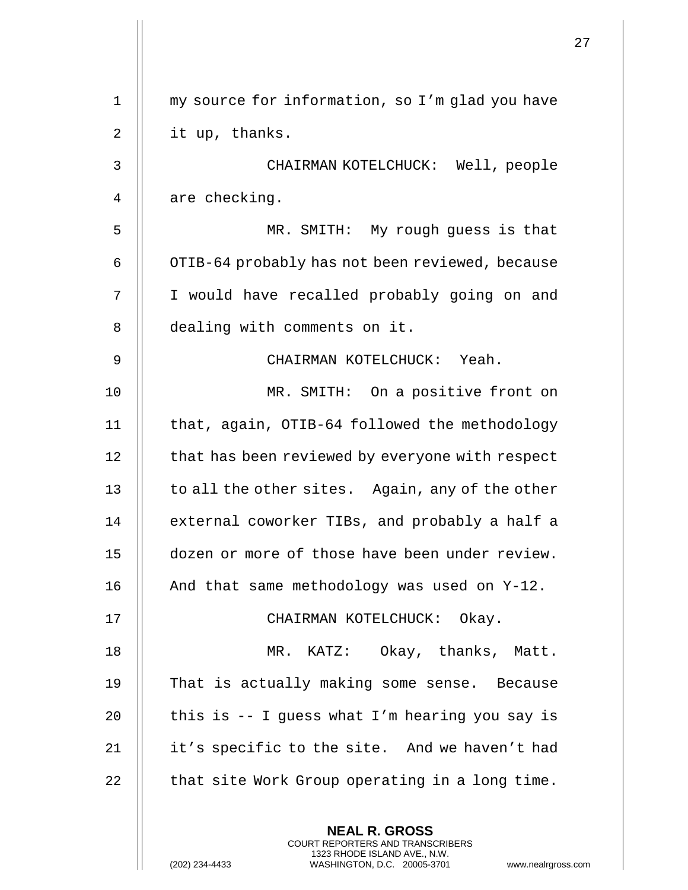| 1  | my source for information, so I'm glad you have                                                                                                               |
|----|---------------------------------------------------------------------------------------------------------------------------------------------------------------|
| 2  | it up, thanks.                                                                                                                                                |
| 3  | CHAIRMAN KOTELCHUCK: Well, people                                                                                                                             |
| 4  | are checking.                                                                                                                                                 |
| 5  | MR. SMITH: My rough guess is that                                                                                                                             |
| 6  | OTIB-64 probably has not been reviewed, because                                                                                                               |
| 7  | I would have recalled probably going on and                                                                                                                   |
| 8  | dealing with comments on it.                                                                                                                                  |
| 9  | CHAIRMAN KOTELCHUCK: Yeah.                                                                                                                                    |
| 10 | MR. SMITH: On a positive front on                                                                                                                             |
| 11 | that, again, OTIB-64 followed the methodology                                                                                                                 |
| 12 | that has been reviewed by everyone with respect                                                                                                               |
| 13 | to all the other sites. Again, any of the other                                                                                                               |
| 14 | external coworker TIBs, and probably a half a                                                                                                                 |
| 15 | dozen or more of those have been under review.                                                                                                                |
| 16 | And that same methodology was used on Y-12.                                                                                                                   |
| 17 | CHAIRMAN KOTELCHUCK: Okay.                                                                                                                                    |
| 18 | MR. KATZ: Okay, thanks, Matt.                                                                                                                                 |
| 19 | That is actually making some sense. Because                                                                                                                   |
| 20 | this is -- I guess what I'm hearing you say is                                                                                                                |
| 21 | it's specific to the site. And we haven't had                                                                                                                 |
| 22 | that site Work Group operating in a long time.                                                                                                                |
|    | <b>NEAL R. GROSS</b><br>COURT REPORTERS AND TRANSCRIBERS<br>1323 RHODE ISLAND AVE., N.W.<br>(202) 234-4433<br>WASHINGTON, D.C. 20005-3701<br>www.nealrgross.o |

 $\mathbf{1}$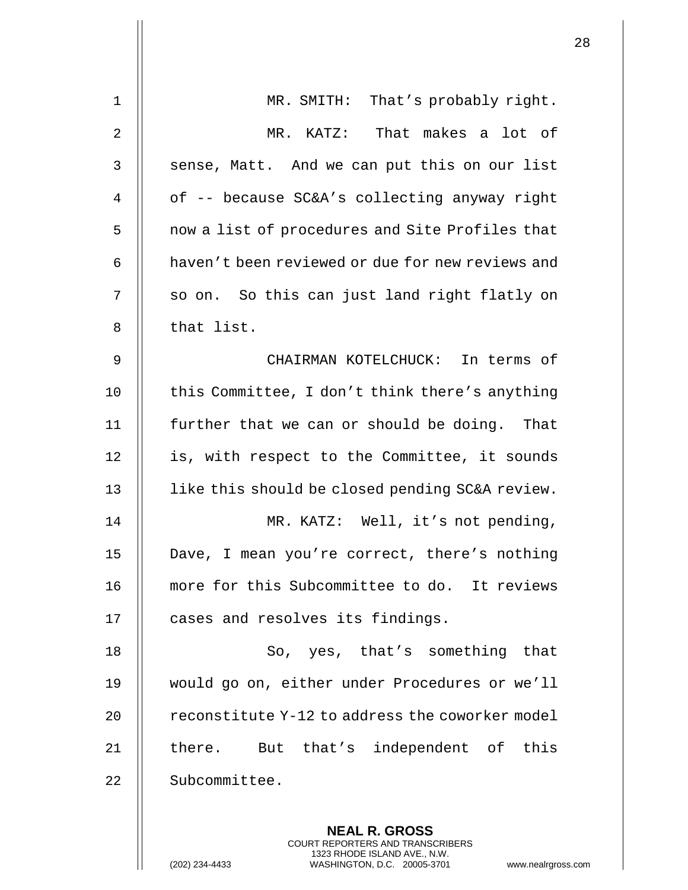| $\mathbf 1$    | MR. SMITH: That's probably right.                |
|----------------|--------------------------------------------------|
| $\overline{2}$ | MR. KATZ: That makes a lot of                    |
| 3              | sense, Matt. And we can put this on our list     |
| 4              | of -- because SC&A's collecting anyway right     |
| 5              | now a list of procedures and Site Profiles that  |
| 6              | haven't been reviewed or due for new reviews and |
| 7              | so on. So this can just land right flatly on     |
| 8              | that list.                                       |
| 9              | CHAIRMAN KOTELCHUCK: In terms of                 |
| 10             | this Committee, I don't think there's anything   |
| 11             | further that we can or should be doing. That     |
| 12             | is, with respect to the Committee, it sounds     |
| 13             | like this should be closed pending SC&A review.  |
| 14             | MR. KATZ: Well, it's not pending,                |
| 15             | Dave, I mean you're correct, there's nothing     |
| 16             | more for this Subcommittee to do. It reviews     |
| 17             | cases and resolves its findings.                 |
| 18             | So, yes, that's something that                   |
| 19             | would go on, either under Procedures or we'll    |
| 20             | reconstitute Y-12 to address the coworker model  |
| 21             | there. But that's independent of this            |
| 22             | Subcommittee.                                    |
|                |                                                  |
|                | <b>NEAL R. GROSS</b>                             |

COURT REPORTERS AND TRANSCRIBERS 1323 RHODE ISLAND AVE., N.W.

 $\prod$ 

(202) 234-4433 WASHINGTON, D.C. 20005-3701 www.nealrgross.com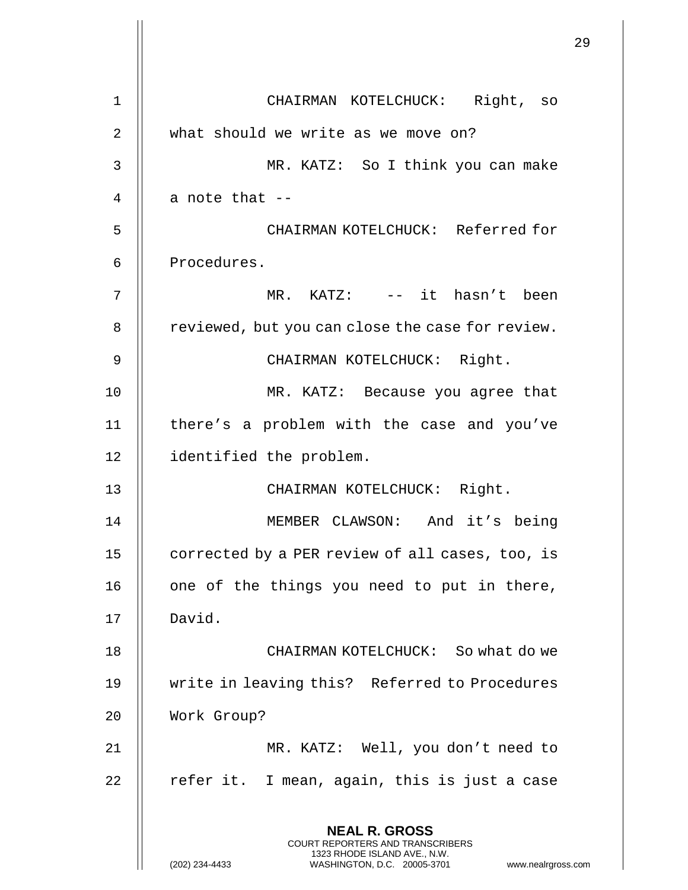|    |                                                                                                                                                                        | 29 |
|----|------------------------------------------------------------------------------------------------------------------------------------------------------------------------|----|
| 1  | CHAIRMAN KOTELCHUCK: Right, so                                                                                                                                         |    |
| 2  | what should we write as we move on?                                                                                                                                    |    |
| 3  | MR. KATZ: So I think you can make                                                                                                                                      |    |
| 4  | a note that --                                                                                                                                                         |    |
| 5  | CHAIRMAN KOTELCHUCK: Referred for                                                                                                                                      |    |
| 6  | Procedures.                                                                                                                                                            |    |
| 7  | MR. KATZ: -- it hasn't been                                                                                                                                            |    |
| 8  | reviewed, but you can close the case for review.                                                                                                                       |    |
| 9  | CHAIRMAN KOTELCHUCK: Right.                                                                                                                                            |    |
| 10 | MR. KATZ: Because you agree that                                                                                                                                       |    |
| 11 | there's a problem with the case and you've                                                                                                                             |    |
| 12 | identified the problem.                                                                                                                                                |    |
| 13 | CHAIRMAN KOTELCHUCK: Right.                                                                                                                                            |    |
| 14 | MEMBER CLAWSON: And it's being                                                                                                                                         |    |
| 15 | corrected by a PER review of all cases, too, is                                                                                                                        |    |
| 16 | one of the things you need to put in there,                                                                                                                            |    |
| 17 | David.                                                                                                                                                                 |    |
| 18 | CHAIRMAN KOTELCHUCK: So what do we                                                                                                                                     |    |
| 19 | write in leaving this? Referred to Procedures                                                                                                                          |    |
| 20 | Work Group?                                                                                                                                                            |    |
| 21 | MR. KATZ: Well, you don't need to                                                                                                                                      |    |
| 22 | refer it. I mean, again, this is just a case                                                                                                                           |    |
|    | <b>NEAL R. GROSS</b><br><b>COURT REPORTERS AND TRANSCRIBERS</b><br>1323 RHODE ISLAND AVE., N.W.<br>(202) 234-4433<br>www.nealrgross.com<br>WASHINGTON, D.C. 20005-3701 |    |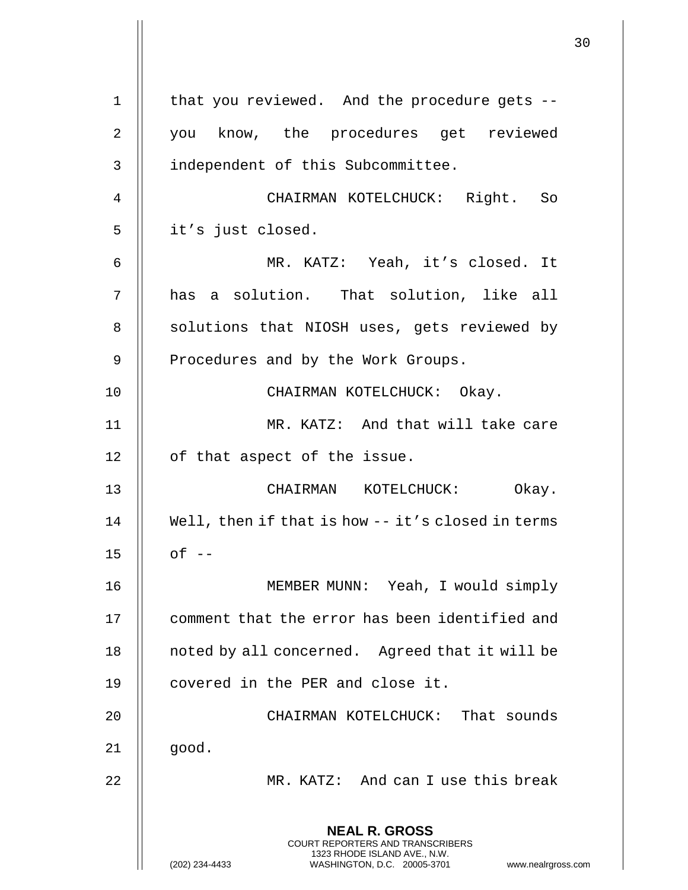|    |                                                                                                                                                                 | 30 |
|----|-----------------------------------------------------------------------------------------------------------------------------------------------------------------|----|
| 1  | that you reviewed. And the procedure gets --                                                                                                                    |    |
| 2  | you know, the procedures get reviewed                                                                                                                           |    |
| 3  | independent of this Subcommittee.                                                                                                                               |    |
| 4  | CHAIRMAN KOTELCHUCK: Right. So                                                                                                                                  |    |
| 5  | it's just closed.                                                                                                                                               |    |
|    |                                                                                                                                                                 |    |
| 6  | MR. KATZ: Yeah, it's closed. It                                                                                                                                 |    |
| 7  | has a solution. That solution, like all                                                                                                                         |    |
| 8  | solutions that NIOSH uses, gets reviewed by                                                                                                                     |    |
| 9  | Procedures and by the Work Groups.                                                                                                                              |    |
| 10 | CHAIRMAN KOTELCHUCK: Okay.                                                                                                                                      |    |
| 11 | MR. KATZ: And that will take care                                                                                                                               |    |
| 12 | of that aspect of the issue.                                                                                                                                    |    |
| 13 | CHAIRMAN KOTELCHUCK:<br>Okay.                                                                                                                                   |    |
| 14 | Well, then if that is how -- it's closed in terms                                                                                                               |    |
| 15 | $of --$                                                                                                                                                         |    |
| 16 | MEMBER MUNN: Yeah, I would simply                                                                                                                               |    |
| 17 | comment that the error has been identified and                                                                                                                  |    |
| 18 | noted by all concerned. Agreed that it will be                                                                                                                  |    |
| 19 | covered in the PER and close it.                                                                                                                                |    |
| 20 | CHAIRMAN KOTELCHUCK: That sounds                                                                                                                                |    |
| 21 | good.                                                                                                                                                           |    |
| 22 | MR. KATZ: And can I use this break                                                                                                                              |    |
|    | <b>NEAL R. GROSS</b><br>COURT REPORTERS AND TRANSCRIBERS<br>1323 RHODE ISLAND AVE., N.W.<br>(202) 234-4433<br>WASHINGTON, D.C. 20005-3701<br>www.nealrgross.com |    |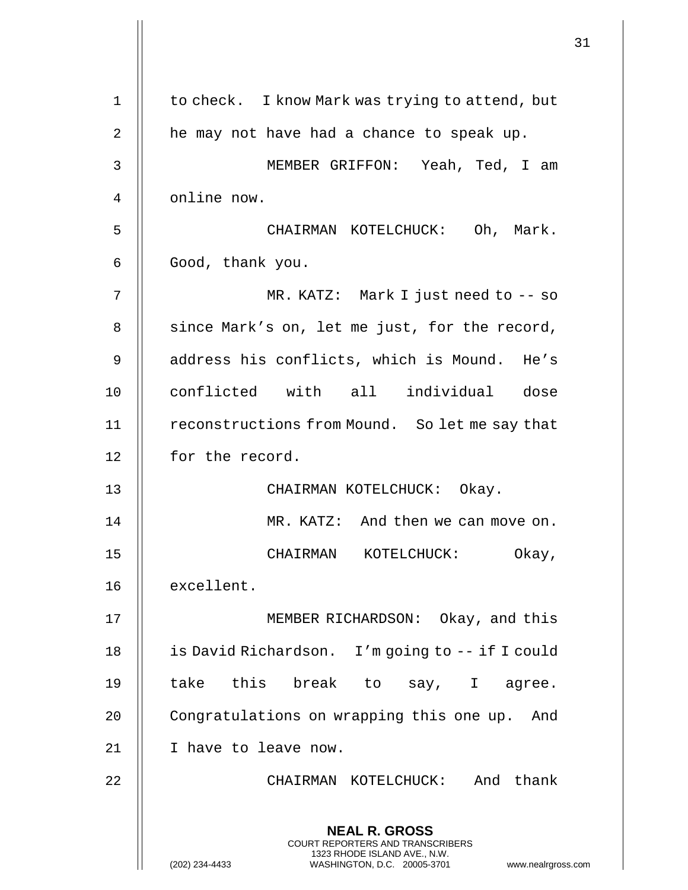|    |                                                                                                                                                                        | 31 |
|----|------------------------------------------------------------------------------------------------------------------------------------------------------------------------|----|
| 1  | to check. I know Mark was trying to attend, but                                                                                                                        |    |
| 2  | he may not have had a chance to speak up.                                                                                                                              |    |
| 3  | MEMBER GRIFFON: Yeah, Ted, I am                                                                                                                                        |    |
| 4  | online now.                                                                                                                                                            |    |
| 5  | CHAIRMAN KOTELCHUCK: Oh, Mark.                                                                                                                                         |    |
| 6  | Good, thank you.                                                                                                                                                       |    |
| 7  | MR. KATZ: Mark I just need to $-$ so                                                                                                                                   |    |
| 8  | since Mark's on, let me just, for the record,                                                                                                                          |    |
| 9  | address his conflicts, which is Mound. He's                                                                                                                            |    |
| 10 | conflicted with all individual dose                                                                                                                                    |    |
| 11 | reconstructions from Mound. So let me say that                                                                                                                         |    |
| 12 | for the record.                                                                                                                                                        |    |
| 13 | CHAIRMAN KOTELCHUCK: Okay.                                                                                                                                             |    |
| 14 | MR. KATZ: And then we can move on.                                                                                                                                     |    |
| 15 | CHAIRMAN KOTELCHUCK:<br>Okay,                                                                                                                                          |    |
| 16 | excellent.                                                                                                                                                             |    |
| 17 | MEMBER RICHARDSON: Okay, and this                                                                                                                                      |    |
| 18 | is David Richardson. I'm going to -- if I could                                                                                                                        |    |
| 19 | take this break to say, I agree.                                                                                                                                       |    |
| 20 | Congratulations on wrapping this one up. And                                                                                                                           |    |
| 21 | I have to leave now.                                                                                                                                                   |    |
| 22 | CHAIRMAN KOTELCHUCK: And thank                                                                                                                                         |    |
|    | <b>NEAL R. GROSS</b><br><b>COURT REPORTERS AND TRANSCRIBERS</b><br>1323 RHODE ISLAND AVE., N.W.<br>WASHINGTON, D.C. 20005-3701<br>(202) 234-4433<br>www.nealrgross.com |    |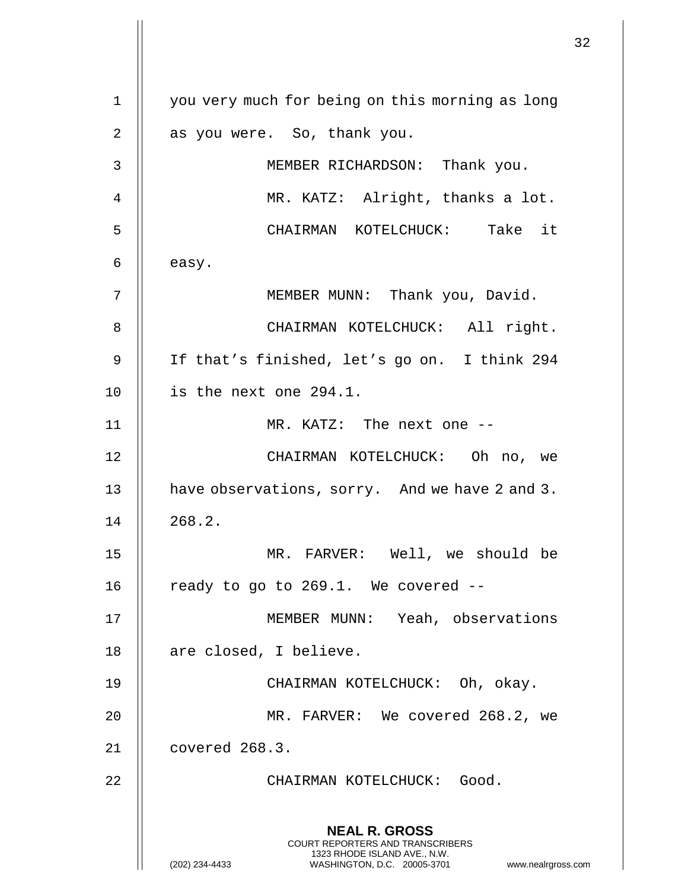**NEAL R. GROSS** COURT REPORTERS AND TRANSCRIBERS 1323 RHODE ISLAND AVE., N.W. (202) 234-4433 WASHINGTON, D.C. 20005-3701 www.nealrgross.com 1 || you very much for being on this morning as long 2 || as you were. So, thank you. 3 MEMBER RICHARDSON: Thank you. 4 || MR. KATZ: Alright, thanks a lot. 5 CHAIRMAN KOTELCHUCK: Take it  $6 \parallel$  easy. 7 || MEMBER MUNN: Thank you, David. 8 || CHAIRMAN KOTELCHUCK: All right. 9 If that's finished, let's go on. I think 294  $10$  | is the next one 294.1. 11 MR. KATZ: The next one -- 12 CHAIRMAN KOTELCHUCK: Oh no, we 13 **have observations, sorry.** And we have 2 and 3.  $14 \parallel 268.2.$ 15 MR. FARVER: Well, we should be 16  $\parallel$  ready to go to 269.1. We covered --17 MEMBER MUNN: Yeah, observations 18 | are closed, I believe. 19 CHAIRMAN KOTELCHUCK: Oh, okay. 20 MR. FARVER: We covered 268.2, we 21 covered 268.3. 22 || CHAIRMAN KOTELCHUCK: Good.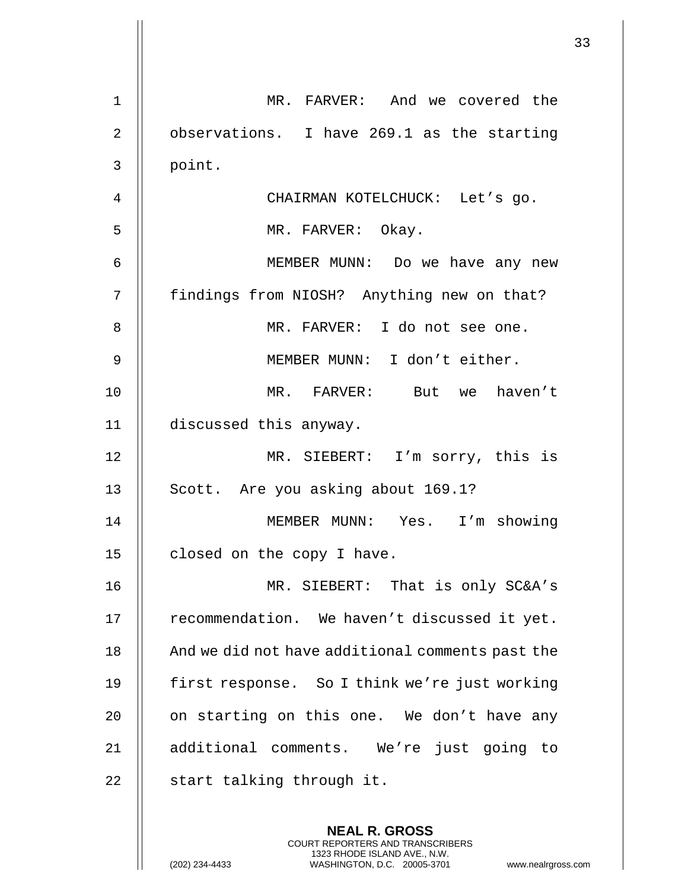| MR. FARVER: And we covered the                   |
|--------------------------------------------------|
|                                                  |
| observations. I have 269.1 as the starting       |
|                                                  |
|                                                  |
|                                                  |
| MEMBER MUNN: Do we have any new                  |
|                                                  |
|                                                  |
|                                                  |
| MR. FARVER: But we haven't                       |
|                                                  |
| MR. SIEBERT: I'm sorry, this is                  |
|                                                  |
| MEMBER MUNN: Yes. I'm showing                    |
|                                                  |
| MR. SIEBERT: That is only SC&A's                 |
| recommendation. We haven't discussed it yet.     |
| And we did not have additional comments past the |
| first response. So I think we're just working    |
| on starting on this one. We don't have any       |
| additional comments. We're just going to         |
|                                                  |
|                                                  |
| findings from NIOSH? Anything new on that?       |

COURT REPORTERS AND TRANSCRIBERS 1323 RHODE ISLAND AVE., N.W.

 $\prod$ 

 $\mathop{||}$ 

(202) 234-4433 WASHINGTON, D.C. 20005-3701 www.nealrgross.com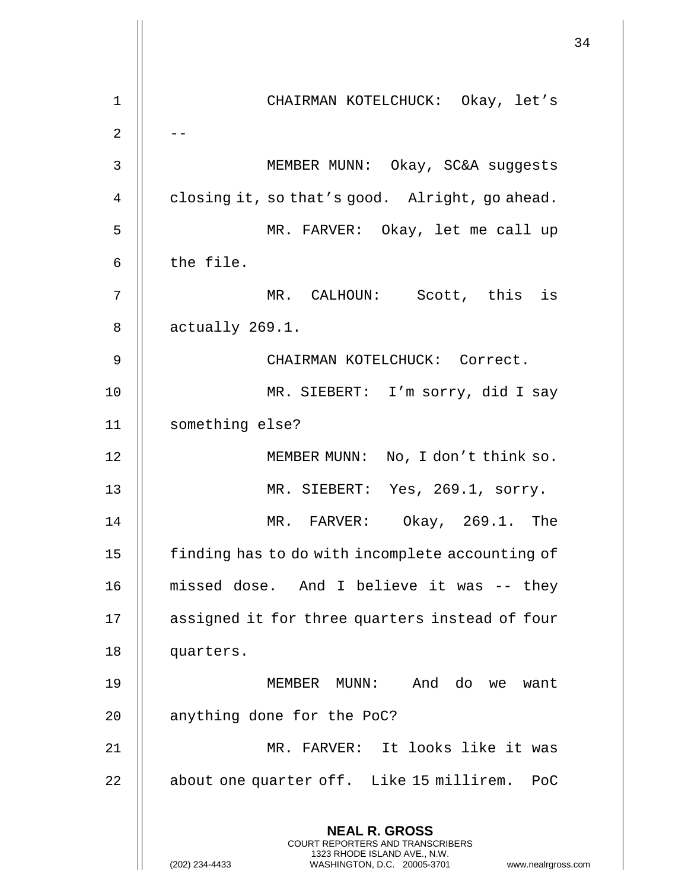34 **NEAL R. GROSS** COURT REPORTERS AND TRANSCRIBERS 1323 RHODE ISLAND AVE., N.W. (202) 234-4433 WASHINGTON, D.C. 20005-3701 www.nealrgross.com 1 CHAIRMAN KOTELCHUCK: Okay, let's  $2 \parallel -$ 3 || MEMBER MUNN: Okay, SC&A suggests 4  $\parallel$  closing it, so that's good. Alright, go ahead. 5 MR. FARVER: Okay, let me call up  $6$   $\parallel$  the file. 7 MR. CALHOUN: Scott, this is  $8 \parallel$  actually 269.1. 9 CHAIRMAN KOTELCHUCK: Correct. 10 MR. SIEBERT: I'm sorry, did I say 11 something else? 12 || MEMBER MUNN: No, I don't think so. 13 MR. SIEBERT: Yes, 269.1, sorry. 14 MR. FARVER: Okay, 269.1. The 15 | finding has to do with incomplete accounting of 16 missed dose. And I believe it was -- they 17 assigned it for three quarters instead of four 18 | quarters. 19 MEMBER MUNN: And do we want 20 || anything done for the PoC? 21 MR. FARVER: It looks like it was 22 || about one quarter off. Like 15 millirem. PoC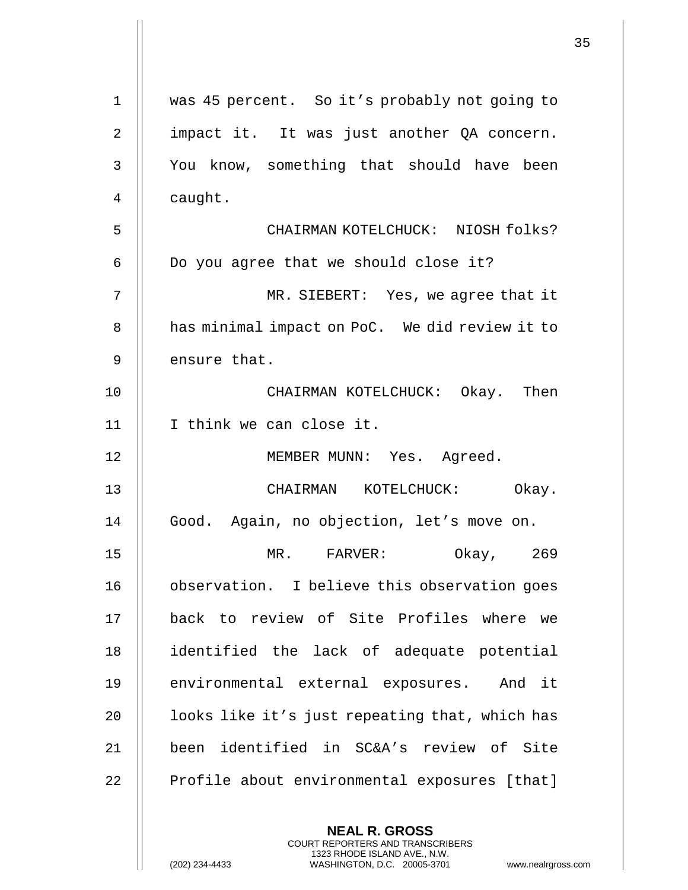|              |                                                | 35 |
|--------------|------------------------------------------------|----|
| $\mathbf{1}$ | was 45 percent. So it's probably not going to  |    |
| 2            | impact it. It was just another QA concern.     |    |
| 3            | You know, something that should have been      |    |
| 4            | caught.                                        |    |
| 5            | CHAIRMAN KOTELCHUCK: NIOSH folks?              |    |
| 6            | Do you agree that we should close it?          |    |
| 7            | MR. SIEBERT: Yes, we agree that it             |    |
| 8            | has minimal impact on PoC. We did review it to |    |
| 9            | ensure that.                                   |    |
| 10           | CHAIRMAN KOTELCHUCK: Okay. Then                |    |
| 11           | I think we can close it.                       |    |
| 12           | MEMBER MUNN: Yes. Agreed.                      |    |
|              |                                                |    |
| 13           | CHAIRMAN KOTELCHUCK: Okay.                     |    |
| 14           | Good. Again, no objection, let's move on.      |    |
| 15           | MR. FARVER:<br>Okay,<br>269                    |    |
| 16           | observation. I believe this observation goes   |    |
| 17           | back to review of Site Profiles where we       |    |
| 18           | identified the lack of adequate potential      |    |
| 19           | environmental external exposures. And it       |    |
| 20           | looks like it's just repeating that, which has |    |
| 21           | been identified in SC&A's review of Site       |    |
| 22           | Profile about environmental exposures [that]   |    |
|              |                                                |    |
|              | <b>NEAL R. GROSS</b>                           |    |

COURT REPORTERS AND TRANSCRIBERS 1323 RHODE ISLAND AVE., N.W.

 $\prod$ 

 $\begin{array}{c} \hline \end{array}$ 

(202) 234-4433 WASHINGTON, D.C. 20005-3701 www.nealrgross.com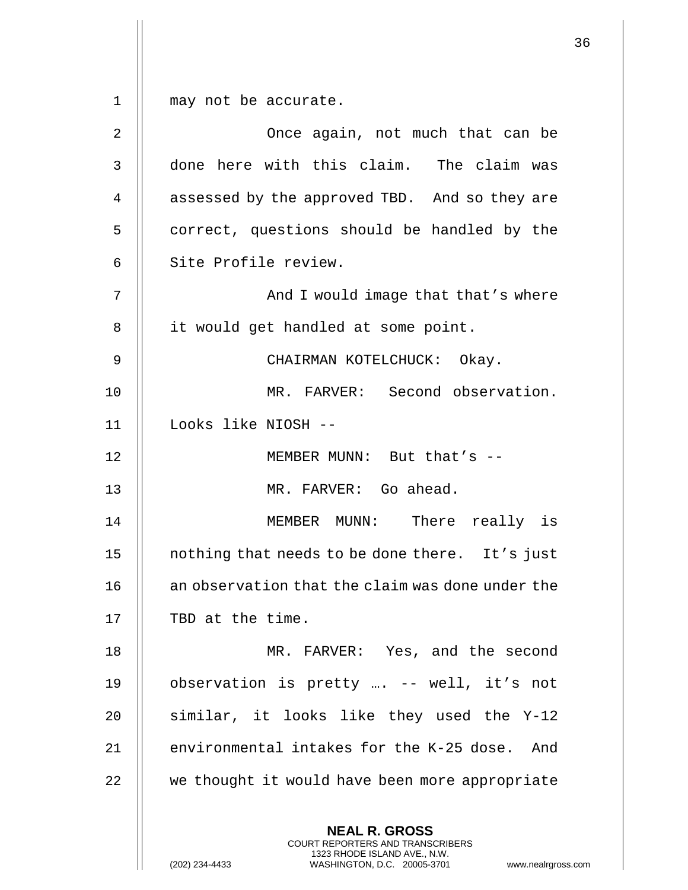1 || may not be accurate.

| $\overline{2}$ | Once again, not much that can be                                                                                                                                    |
|----------------|---------------------------------------------------------------------------------------------------------------------------------------------------------------------|
| 3              | done here with this claim. The claim was                                                                                                                            |
| $\overline{4}$ | assessed by the approved TBD. And so they are                                                                                                                       |
| 5              | correct, questions should be handled by the                                                                                                                         |
| 6              | Site Profile review.                                                                                                                                                |
| 7              | And I would image that that's where                                                                                                                                 |
| 8              | it would get handled at some point.                                                                                                                                 |
| 9              | CHAIRMAN KOTELCHUCK: Okay.                                                                                                                                          |
| 10             | MR. FARVER: Second observation.                                                                                                                                     |
| 11             | Looks like NIOSH --                                                                                                                                                 |
| 12             | MEMBER MUNN: But that's --                                                                                                                                          |
| 13             | MR. FARVER: Go ahead.                                                                                                                                               |
| 14             | MEMBER MUNN: There really is                                                                                                                                        |
| 15             | nothing that needs to be done there. It's just                                                                                                                      |
| 16             | an observation that the claim was done under the                                                                                                                    |
| 17             | TBD at the time.                                                                                                                                                    |
| 18             | MR. FARVER: Yes, and the second                                                                                                                                     |
| 19             | observation is pretty  -- well, it's not                                                                                                                            |
| 20             | similar, it looks like they used the Y-12                                                                                                                           |
| 21             | environmental intakes for the K-25 dose. And                                                                                                                        |
| 22             | we thought it would have been more appropriate                                                                                                                      |
|                | <b>NEAL R. GROSS</b><br><b>COURT REPORTERS AND TRANSCRIBERS</b><br>1323 RHODE ISLAND AVE., N.W.<br>(202) 234-4433<br>WASHINGTON, D.C. 20005-3701<br>www.nealrgross. |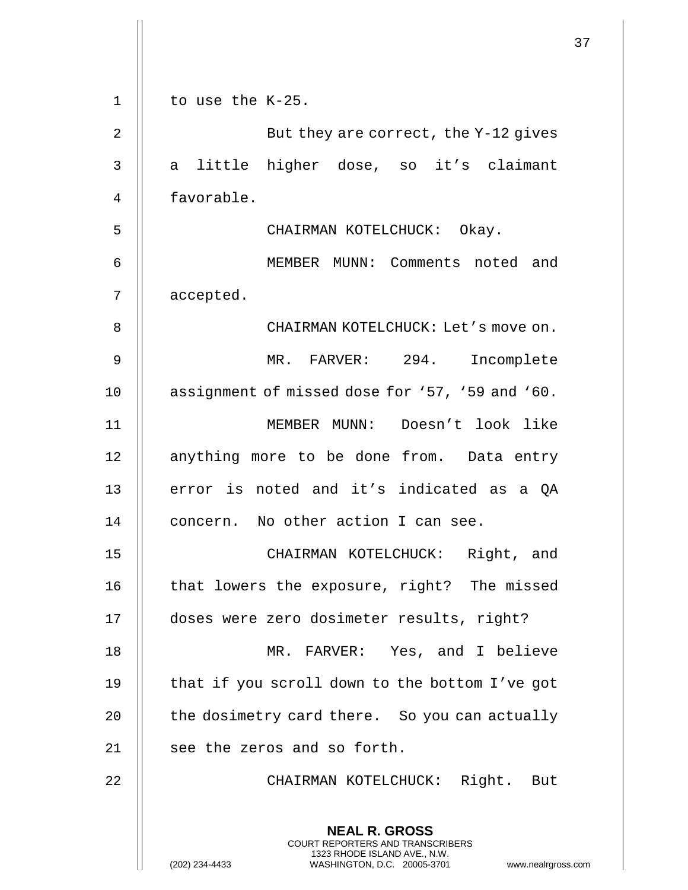|              |                                                                                                                                                                        | 37 |
|--------------|------------------------------------------------------------------------------------------------------------------------------------------------------------------------|----|
| $\mathbf{1}$ | to use the K-25.                                                                                                                                                       |    |
| 2            | But they are correct, the Y-12 gives                                                                                                                                   |    |
| 3            | little higher dose, so it's claimant<br>a                                                                                                                              |    |
| 4            | favorable.                                                                                                                                                             |    |
| 5            | CHAIRMAN KOTELCHUCK: Okay.                                                                                                                                             |    |
| 6            | MEMBER MUNN: Comments noted and                                                                                                                                        |    |
| 7            | accepted.                                                                                                                                                              |    |
| 8            | CHAIRMAN KOTELCHUCK: Let's move on.                                                                                                                                    |    |
| $\mathsf 9$  | MR. FARVER: 294. Incomplete                                                                                                                                            |    |
| 10           | assignment of missed dose for '57, '59 and '60.                                                                                                                        |    |
| 11           | MEMBER MUNN: Doesn't look like                                                                                                                                         |    |
| 12           | anything more to be done from. Data entry                                                                                                                              |    |
| 13           | error is noted and it's indicated as a QA                                                                                                                              |    |
| 14           | concern. No other action I can see.                                                                                                                                    |    |
| 15           | Right, and<br>CHAIRMAN KOTELCHUCK:                                                                                                                                     |    |
| 16           | that lowers the exposure, right? The missed                                                                                                                            |    |
| 17           | doses were zero dosimeter results, right?                                                                                                                              |    |
| 18           | MR. FARVER: Yes, and I believe                                                                                                                                         |    |
| 19           | that if you scroll down to the bottom I've got                                                                                                                         |    |
| 20           | the dosimetry card there. So you can actually                                                                                                                          |    |
| 21           | see the zeros and so forth.                                                                                                                                            |    |
| 22           | CHAIRMAN KOTELCHUCK: Right. But                                                                                                                                        |    |
|              | <b>NEAL R. GROSS</b><br><b>COURT REPORTERS AND TRANSCRIBERS</b><br>1323 RHODE ISLAND AVE., N.W.<br>(202) 234-4433<br>WASHINGTON, D.C. 20005-3701<br>www.nealrgross.com |    |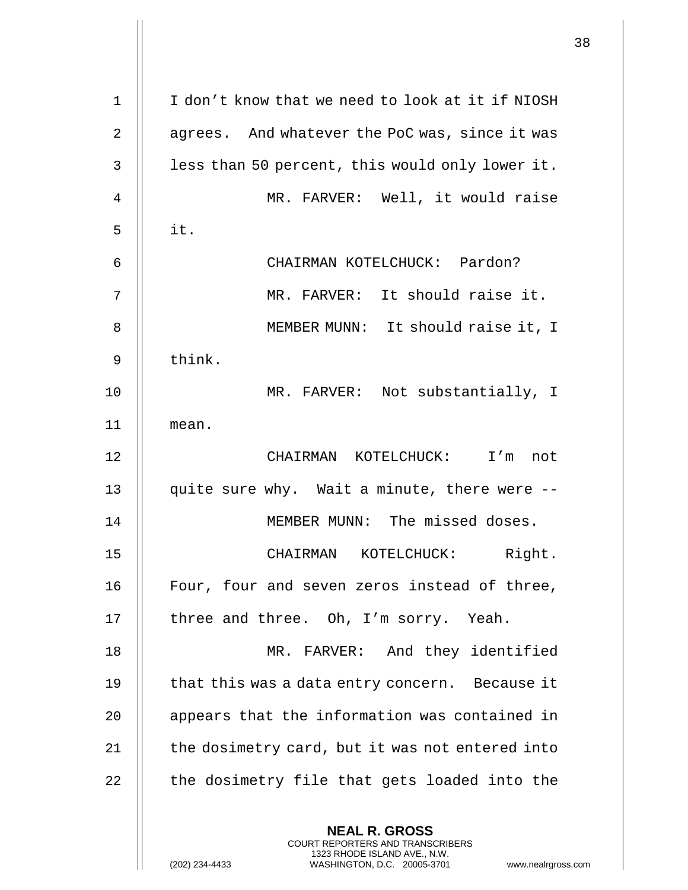| $\mathbf 1$    | I don't know that we need to look at it if NIOSH                                                                                                                    |
|----------------|---------------------------------------------------------------------------------------------------------------------------------------------------------------------|
| $\overline{2}$ | agrees. And whatever the PoC was, since it was                                                                                                                      |
| 3              | less than 50 percent, this would only lower it.                                                                                                                     |
| 4              | MR. FARVER: Well, it would raise                                                                                                                                    |
| 5              | it.                                                                                                                                                                 |
| 6              | CHAIRMAN KOTELCHUCK: Pardon?                                                                                                                                        |
| 7              | MR. FARVER: It should raise it.                                                                                                                                     |
| 8              | MEMBER MUNN: It should raise it, I                                                                                                                                  |
| 9              | think.                                                                                                                                                              |
| 10             | MR. FARVER: Not substantially, I                                                                                                                                    |
| 11             | mean.                                                                                                                                                               |
| 12             | CHAIRMAN KOTELCHUCK: I'm<br>not                                                                                                                                     |
| 13             | quite sure why. Wait a minute, there were --                                                                                                                        |
| 14             | MEMBER MUNN: The missed doses.                                                                                                                                      |
| 15             | Right.<br>CHAIRMAN<br>KOTELCHUCK:                                                                                                                                   |
| 16             | Four, four and seven zeros instead of three,                                                                                                                        |
| 17             | three and three. Oh, I'm sorry. Yeah.                                                                                                                               |
| 18             | MR. FARVER: And they identified                                                                                                                                     |
| 19             | that this was a data entry concern. Because it                                                                                                                      |
| 20             | appears that the information was contained in                                                                                                                       |
| 21             | the dosimetry card, but it was not entered into                                                                                                                     |
| 22             | the dosimetry file that gets loaded into the                                                                                                                        |
|                | <b>NEAL R. GROSS</b><br><b>COURT REPORTERS AND TRANSCRIBERS</b><br>1323 RHODE ISLAND AVE., N.W.<br>(202) 234-4433<br>WASHINGTON, D.C. 20005-3701<br>www.nealrgross. |

 $\mathsf{l}$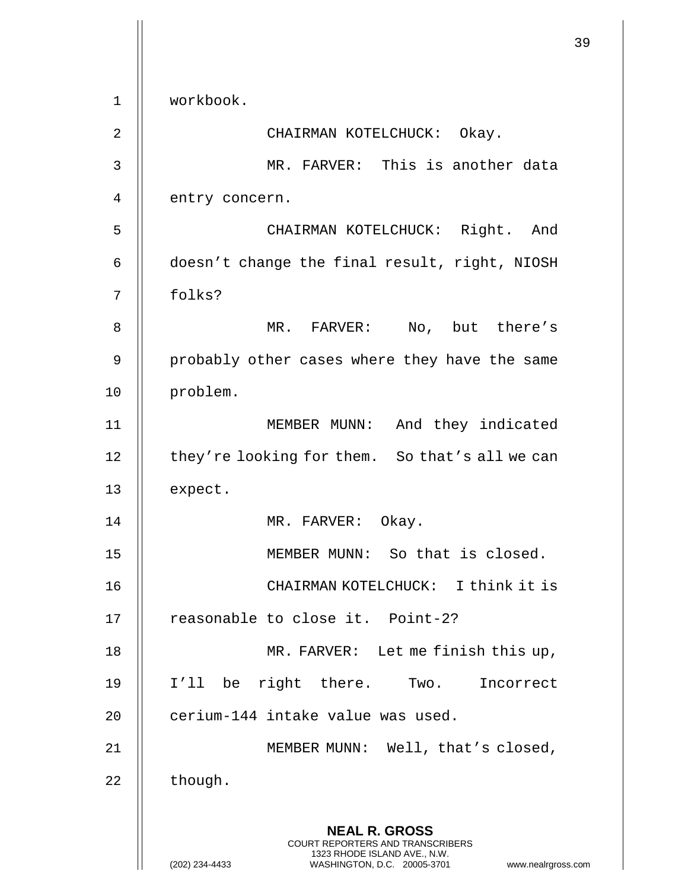|             |                                                                                                                                                                        | 39 |
|-------------|------------------------------------------------------------------------------------------------------------------------------------------------------------------------|----|
| $\mathbf 1$ | workbook.                                                                                                                                                              |    |
| 2           | CHAIRMAN KOTELCHUCK: Okay.                                                                                                                                             |    |
| 3           | MR. FARVER: This is another data                                                                                                                                       |    |
| 4           | entry concern.                                                                                                                                                         |    |
| 5           | CHAIRMAN KOTELCHUCK: Right. And                                                                                                                                        |    |
| 6           | doesn't change the final result, right, NIOSH                                                                                                                          |    |
| 7           | folks?                                                                                                                                                                 |    |
| 8           | MR. FARVER: No, but there's                                                                                                                                            |    |
| 9           | probably other cases where they have the same                                                                                                                          |    |
| 10          | problem.                                                                                                                                                               |    |
| 11          | MEMBER MUNN: And they indicated                                                                                                                                        |    |
| 12          | they're looking for them. So that's all we can                                                                                                                         |    |
| 13          | expect.                                                                                                                                                                |    |
| 14          | MR. FARVER: Okay.                                                                                                                                                      |    |
| 15          | MEMBER MUNN: So that is closed.                                                                                                                                        |    |
| 16          | CHAIRMAN KOTELCHUCK: I think it is                                                                                                                                     |    |
| 17          | reasonable to close it. Point-2?                                                                                                                                       |    |
| 18          | MR. FARVER: Let me finish this up,                                                                                                                                     |    |
| 19          | I'll be right there. Two. Incorrect                                                                                                                                    |    |
| 20          | cerium-144 intake value was used.                                                                                                                                      |    |
| 21          | MEMBER MUNN: Well, that's closed,                                                                                                                                      |    |
| 22          | though.                                                                                                                                                                |    |
|             | <b>NEAL R. GROSS</b><br><b>COURT REPORTERS AND TRANSCRIBERS</b><br>1323 RHODE ISLAND AVE., N.W.<br>(202) 234-4433<br>WASHINGTON, D.C. 20005-3701<br>www.nealrgross.com |    |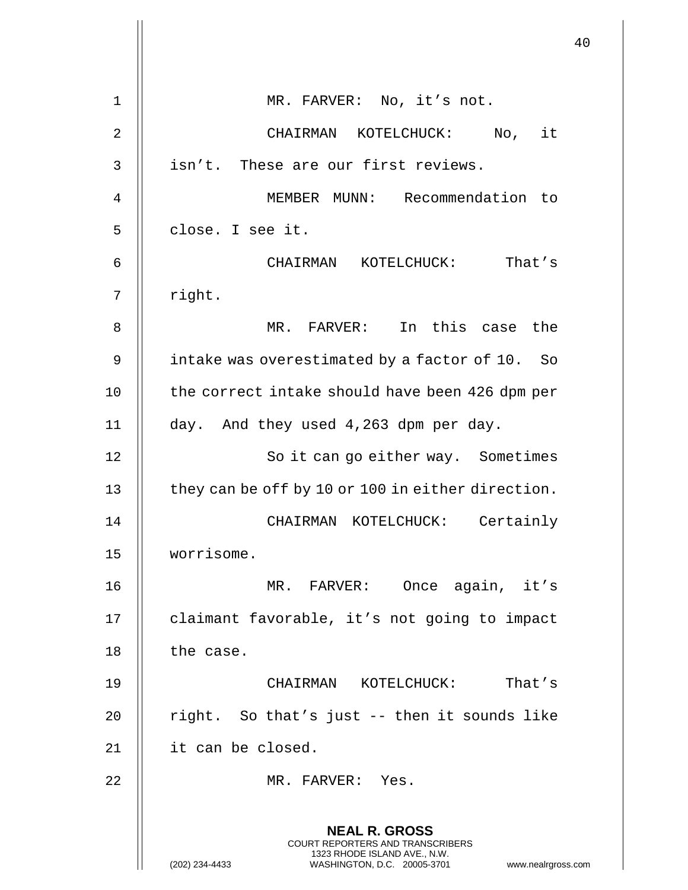|    |                                                                                                                                                                     | 40 |
|----|---------------------------------------------------------------------------------------------------------------------------------------------------------------------|----|
| 1  | MR. FARVER: No, it's not.                                                                                                                                           |    |
| 2  | CHAIRMAN KOTELCHUCK: No, it                                                                                                                                         |    |
| 3  | isn't. These are our first reviews.                                                                                                                                 |    |
| 4  | MEMBER MUNN: Recommendation to                                                                                                                                      |    |
| 5  | close. I see it.                                                                                                                                                    |    |
| 6  | CHAIRMAN KOTELCHUCK: That's                                                                                                                                         |    |
| 7  | right.                                                                                                                                                              |    |
| 8  | MR. FARVER: In this case the                                                                                                                                        |    |
| 9  | intake was overestimated by a factor of 10. So                                                                                                                      |    |
| 10 | the correct intake should have been 426 dpm per                                                                                                                     |    |
| 11 | day. And they used 4,263 dpm per day.                                                                                                                               |    |
| 12 | So it can go either way. Sometimes                                                                                                                                  |    |
| 13 | they can be off by 10 or 100 in either direction.                                                                                                                   |    |
| 14 | CHAIRMAN KOTELCHUCK: Certainly                                                                                                                                      |    |
| 15 | worrisome.                                                                                                                                                          |    |
| 16 | MR. FARVER: Once again, it's                                                                                                                                        |    |
| 17 | claimant favorable, it's not going to impact                                                                                                                        |    |
| 18 | the case.                                                                                                                                                           |    |
| 19 | CHAIRMAN KOTELCHUCK: That's                                                                                                                                         |    |
| 20 | right. So that's just -- then it sounds like                                                                                                                        |    |
| 21 | it can be closed.                                                                                                                                                   |    |
| 22 | MR. FARVER: Yes.                                                                                                                                                    |    |
|    | <b>NEAL R. GROSS</b><br><b>COURT REPORTERS AND TRANSCRIBERS</b><br>1323 RHODE ISLAND AVE., N.W.<br>WASHINGTON, D.C. 20005-3701 www.nealrgross.com<br>(202) 234-4433 |    |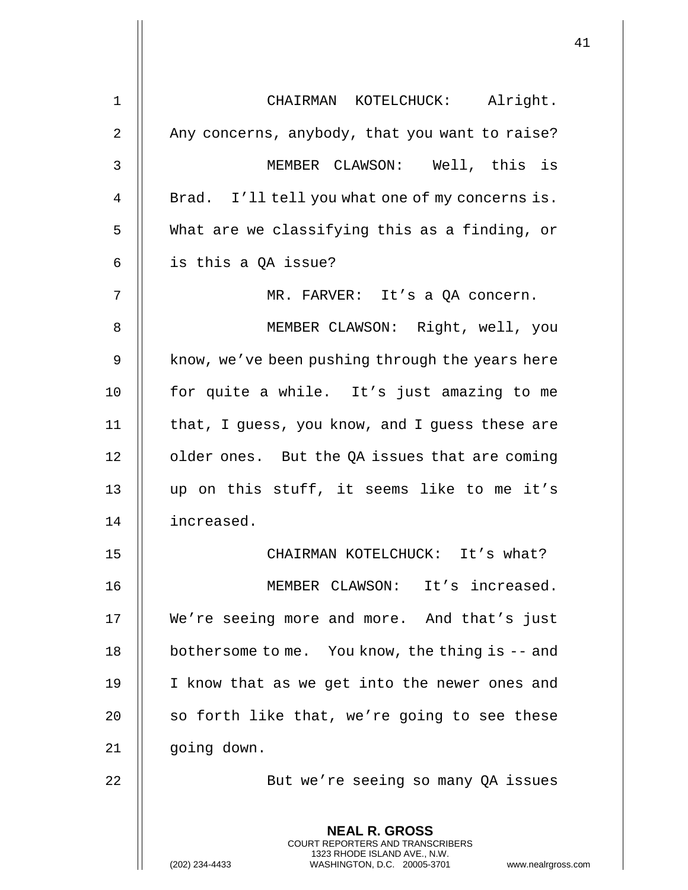| $\mathbf 1$    | CHAIRMAN KOTELCHUCK: Alright.                                                                                                                                      |
|----------------|--------------------------------------------------------------------------------------------------------------------------------------------------------------------|
| $\overline{2}$ | Any concerns, anybody, that you want to raise?                                                                                                                     |
| 3              | MEMBER CLAWSON: Well, this is                                                                                                                                      |
| 4              | Brad. I'll tell you what one of my concerns is.                                                                                                                    |
| 5              | What are we classifying this as a finding, or                                                                                                                      |
| 6              | is this a QA issue?                                                                                                                                                |
| 7              | MR. FARVER: It's a QA concern.                                                                                                                                     |
| 8              | MEMBER CLAWSON: Right, well, you                                                                                                                                   |
| 9              | know, we've been pushing through the years here                                                                                                                    |
| 10             | for quite a while. It's just amazing to me                                                                                                                         |
| 11             | that, I guess, you know, and I guess these are                                                                                                                     |
| 12             | older ones. But the QA issues that are coming                                                                                                                      |
| 13             | up on this stuff, it seems like to me it's                                                                                                                         |
| 14             | increased.                                                                                                                                                         |
| 15             | CHAIRMAN KOTELCHUCK: It's what?                                                                                                                                    |
| 16             | MEMBER CLAWSON: It's increased.                                                                                                                                    |
| 17             | We're seeing more and more. And that's just                                                                                                                        |
| 18             | bothersome to me. You know, the thing is $-$ and                                                                                                                   |
| 19             | I know that as we get into the newer ones and                                                                                                                      |
| 20             | so forth like that, we're going to see these                                                                                                                       |
| 21             | going down.                                                                                                                                                        |
| 22             | But we're seeing so many QA issues                                                                                                                                 |
|                | <b>NEAL R. GROSS</b><br><b>COURT REPORTERS AND TRANSCRIBERS</b><br>1323 RHODE ISLAND AVE., N.W.<br>WASHINGTON, D.C. 20005-3701<br>(202) 234-4433<br>www.nealrgross |

 $\mathop{||}$ 

(202) 234-4433 WASHINGTON, D.C. 20005-3701 www.nealrgross.com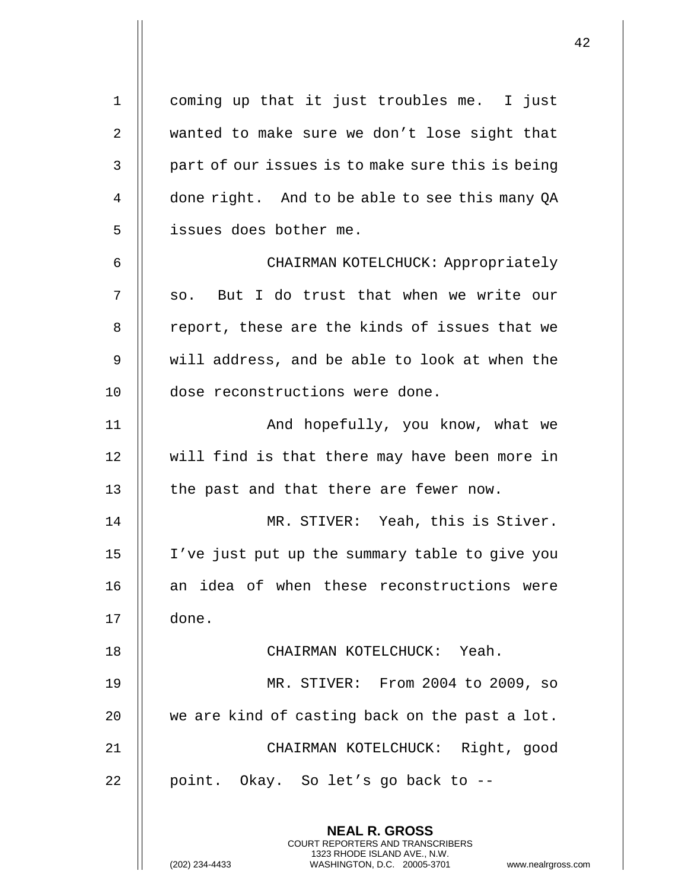**NEAL R. GROSS** COURT REPORTERS AND TRANSCRIBERS 1323 RHODE ISLAND AVE., N.W. 1 coming up that it just troubles me. I just 2 wanted to make sure we don't lose sight that  $3 \parallel$  part of our issues is to make sure this is being 4 | done right. And to be able to see this many QA 5 | issues does bother me. 6 CHAIRMAN KOTELCHUCK: Appropriately 7 || so. But I do trust that when we write our 8 || report, these are the kinds of issues that we 9 will address, and be able to look at when the 10 dose reconstructions were done. 11 || And hopefully, you know, what we 12 || will find is that there may have been more in  $13$   $\parallel$  the past and that there are fewer now. 14 MR. STIVER: Yeah, this is Stiver. 15 I've just put up the summary table to give you 16 || an idea of when these reconstructions were 17 done. 18 CHAIRMAN KOTELCHUCK: Yeah. 19 MR. STIVER: From 2004 to 2009, so  $20$   $\parallel$  we are kind of casting back on the past a lot. 21 CHAIRMAN KOTELCHUCK: Right, good 22 | point. Okay. So let's go back to  $-$ 

(202) 234-4433 WASHINGTON, D.C. 20005-3701 www.nealrgross.com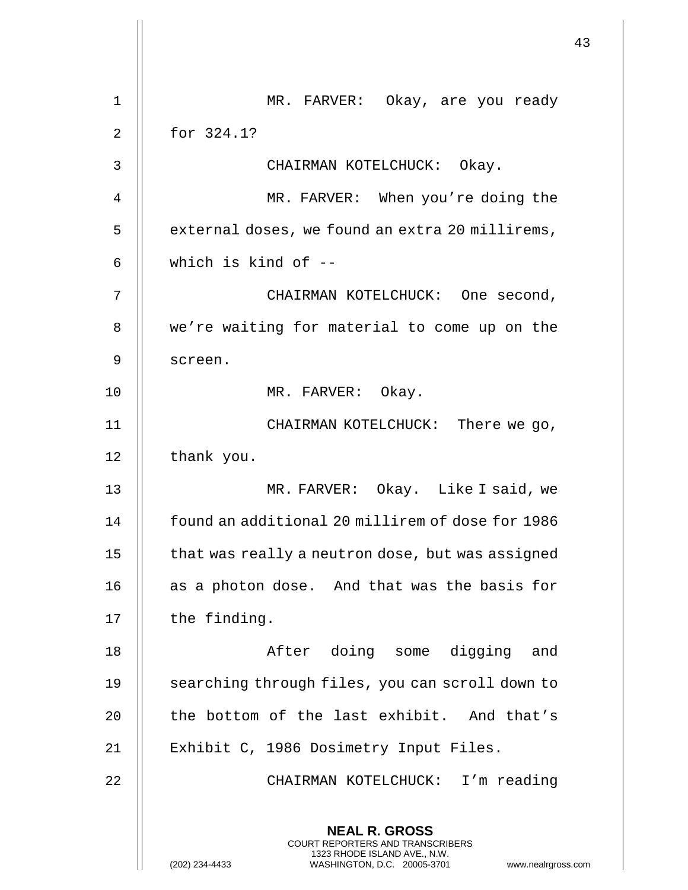|    |                                                                                                                                                                        | 43 |
|----|------------------------------------------------------------------------------------------------------------------------------------------------------------------------|----|
| 1  | MR. FARVER: Okay, are you ready                                                                                                                                        |    |
| 2  | for 324.1?                                                                                                                                                             |    |
| 3  | CHAIRMAN KOTELCHUCK: Okay.                                                                                                                                             |    |
| 4  | MR. FARVER: When you're doing the                                                                                                                                      |    |
| 5  | external doses, we found an extra 20 millirems,                                                                                                                        |    |
| 6  | which is kind of $-$                                                                                                                                                   |    |
| 7  | CHAIRMAN KOTELCHUCK: One second,                                                                                                                                       |    |
| 8  | we're waiting for material to come up on the                                                                                                                           |    |
| 9  | screen.                                                                                                                                                                |    |
| 10 | MR. FARVER: Okay.                                                                                                                                                      |    |
| 11 | CHAIRMAN KOTELCHUCK: There we go,                                                                                                                                      |    |
| 12 | thank you.                                                                                                                                                             |    |
| 13 | MR. FARVER: Okay. Like I said, we                                                                                                                                      |    |
| 14 | found an additional 20 millirem of dose for 1986                                                                                                                       |    |
| 15 | that was really a neutron dose, but was assigned                                                                                                                       |    |
| 16 | as a photon dose. And that was the basis for                                                                                                                           |    |
| 17 | the finding.                                                                                                                                                           |    |
| 18 | After doing some digging and                                                                                                                                           |    |
| 19 | searching through files, you can scroll down to                                                                                                                        |    |
| 20 | the bottom of the last exhibit. And that's                                                                                                                             |    |
| 21 | Exhibit C, 1986 Dosimetry Input Files.                                                                                                                                 |    |
| 22 | CHAIRMAN KOTELCHUCK: I'm reading                                                                                                                                       |    |
|    | <b>NEAL R. GROSS</b><br><b>COURT REPORTERS AND TRANSCRIBERS</b><br>1323 RHODE ISLAND AVE., N.W.<br>(202) 234-4433<br>WASHINGTON, D.C. 20005-3701<br>www.nealrgross.com |    |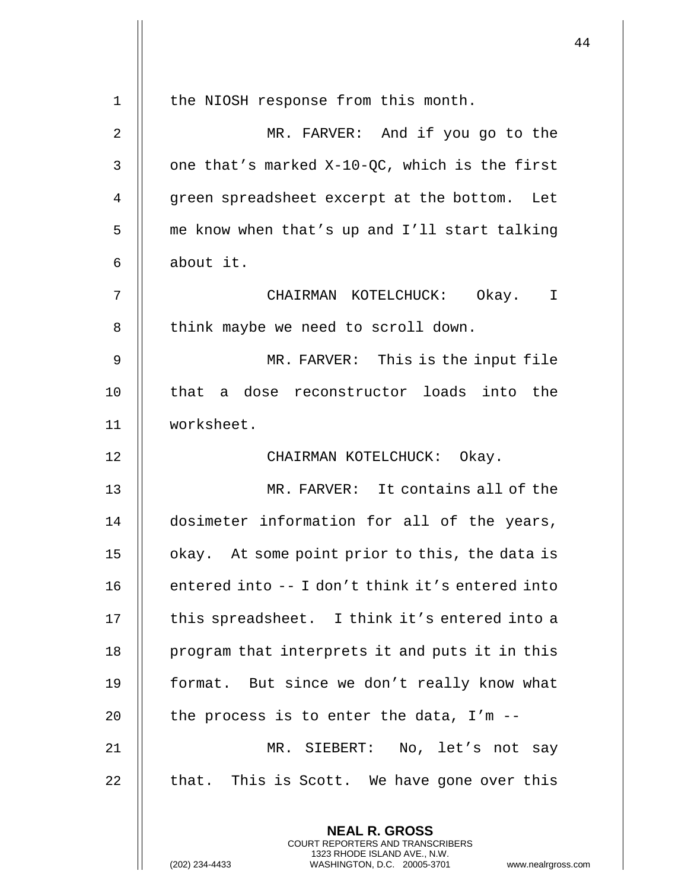| $\mathbf 1$ | the NIOSH response from this month.                                                      |
|-------------|------------------------------------------------------------------------------------------|
| 2           | MR. FARVER: And if you go to the                                                         |
| 3           | one that's marked X-10-QC, which is the first                                            |
| 4           | green spreadsheet excerpt at the bottom. Let                                             |
| 5           | me know when that's up and I'll start talking                                            |
| 6           | about it.                                                                                |
| 7           | CHAIRMAN KOTELCHUCK: Okay. I                                                             |
| 8           | think maybe we need to scroll down.                                                      |
| 9           | MR. FARVER: This is the input file                                                       |
| 10          | that a dose reconstructor loads into the                                                 |
| 11          | worksheet.                                                                               |
| 12          | CHAIRMAN KOTELCHUCK: Okay.                                                               |
| 13          | MR. FARVER: It contains all of the                                                       |
| 14          | dosimeter information for all of the years,                                              |
| 15          | okay. At some point prior to this, the data is                                           |
| 16          | entered into -- I don't think it's entered into                                          |
| 17          | this spreadsheet. I think it's entered into a                                            |
| 18          | program that interprets it and puts it in this                                           |
| 19          | format. But since we don't really know what                                              |
| 20          | the process is to enter the data, $I'm - -$                                              |
| 21          | MR. SIEBERT: No, let's not say                                                           |
| 22          | that. This is Scott. We have gone over this                                              |
|             | <b>NEAL R. GROSS</b><br>COURT REPORTERS AND TRANSCRIBERS<br>1323 RHODE ISLAND AVE., N.W. |
|             | (202) 234-4433<br>WASHINGTON, D.C. 20005-3701<br>www.nealrgross.o                        |

 $\mathbf{I}$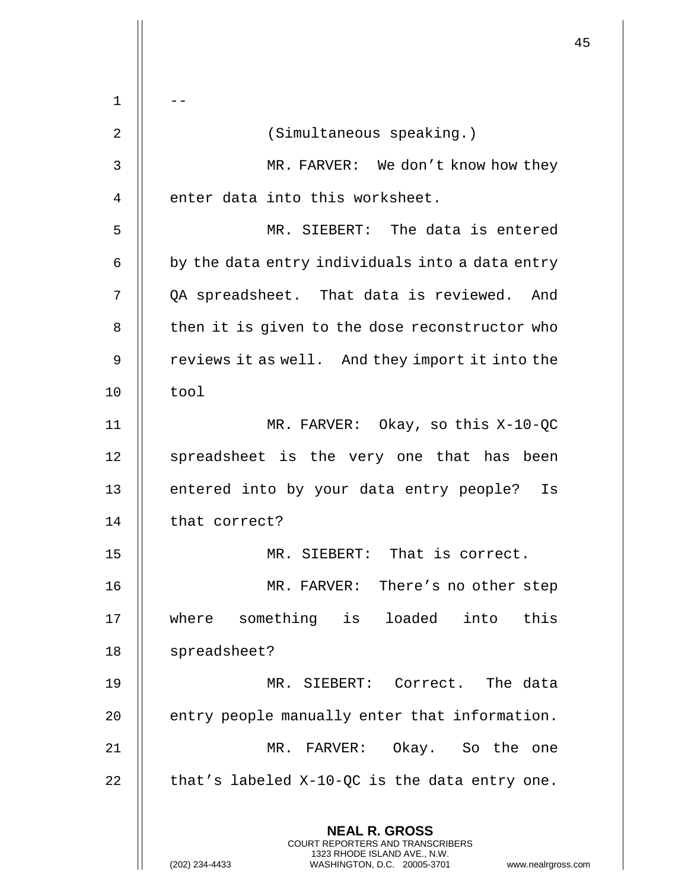**NEAL R. GROSS** COURT REPORTERS AND TRANSCRIBERS 1323 RHODE ISLAND AVE., N.W. (202) 234-4433 WASHINGTON, D.C. 20005-3701 www.nealrgross.com  $1 \parallel -$ 2 (Simultaneous speaking.) 3 MR. FARVER: We don't know how they  $4$  || enter data into this worksheet. 5 MR. SIEBERT: The data is entered  $6 \parallel$  by the data entry individuals into a data entry 7 | QA spreadsheet. That data is reviewed. And  $8$   $\parallel$  then it is given to the dose reconstructor who  $9 \parallel$  reviews it as well. And they import it into the  $10$  | tool 11 MR. FARVER: Okay, so this X-10-QC 12 || spreadsheet is the very one that has been 13 || entered into by your data entry people? Is 14 || that correct? 15 MR. SIEBERT: That is correct. 16 MR. FARVER: There's no other step 17 where something is loaded into this 18 || spreadsheet? 19 MR. SIEBERT: Correct. The data  $20$   $\parallel$  entry people manually enter that information. 21 || MR. FARVER: Okay. So the one 22  $\parallel$  that's labeled X-10-QC is the data entry one.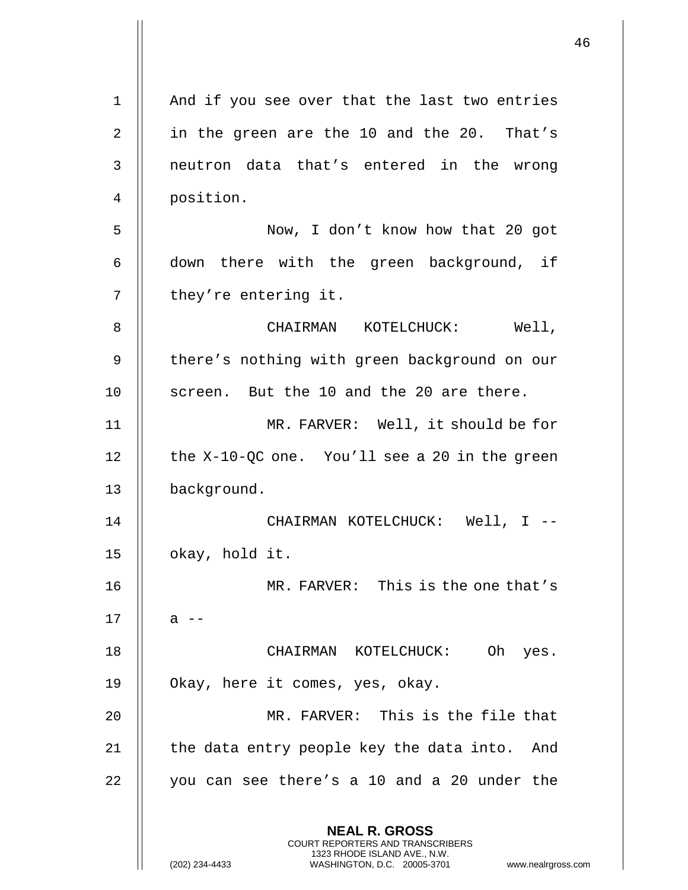|                |                                                                                                                                                                        | 46 |
|----------------|------------------------------------------------------------------------------------------------------------------------------------------------------------------------|----|
| $\mathbf 1$    | And if you see over that the last two entries                                                                                                                          |    |
| $\overline{2}$ | in the green are the 10 and the 20. That's                                                                                                                             |    |
| 3              | neutron data that's entered in the wrong                                                                                                                               |    |
| 4              | position.                                                                                                                                                              |    |
| 5              | Now, I don't know how that 20 got                                                                                                                                      |    |
| 6              | down there with the green background, if                                                                                                                               |    |
| 7              | they're entering it.                                                                                                                                                   |    |
|                |                                                                                                                                                                        |    |
| 8              | Well,<br>CHAIRMAN KOTELCHUCK:                                                                                                                                          |    |
| 9              | there's nothing with green background on our                                                                                                                           |    |
| 10             | screen. But the 10 and the 20 are there.                                                                                                                               |    |
| 11             | MR. FARVER: Well, it should be for                                                                                                                                     |    |
| 12             | the X-10-QC one. You'll see a 20 in the green                                                                                                                          |    |
| 13             | background.                                                                                                                                                            |    |
| 14             | CHAIRMAN KOTELCHUCK: Well, I --                                                                                                                                        |    |
| 15             | okay, hold it.                                                                                                                                                         |    |
| 16             | MR. FARVER: This is the one that's                                                                                                                                     |    |
| 17             | a --                                                                                                                                                                   |    |
| 18             | CHAIRMAN KOTELCHUCK: Oh yes.                                                                                                                                           |    |
| 19             | Okay, here it comes, yes, okay.                                                                                                                                        |    |
| 20             | MR. FARVER: This is the file that                                                                                                                                      |    |
| 21             | the data entry people key the data into. And                                                                                                                           |    |
| 22             | you can see there's a 10 and a 20 under the                                                                                                                            |    |
|                |                                                                                                                                                                        |    |
|                | <b>NEAL R. GROSS</b><br><b>COURT REPORTERS AND TRANSCRIBERS</b><br>1323 RHODE ISLAND AVE., N.W.<br>(202) 234-4433<br>WASHINGTON, D.C. 20005-3701<br>www.nealrgross.com |    |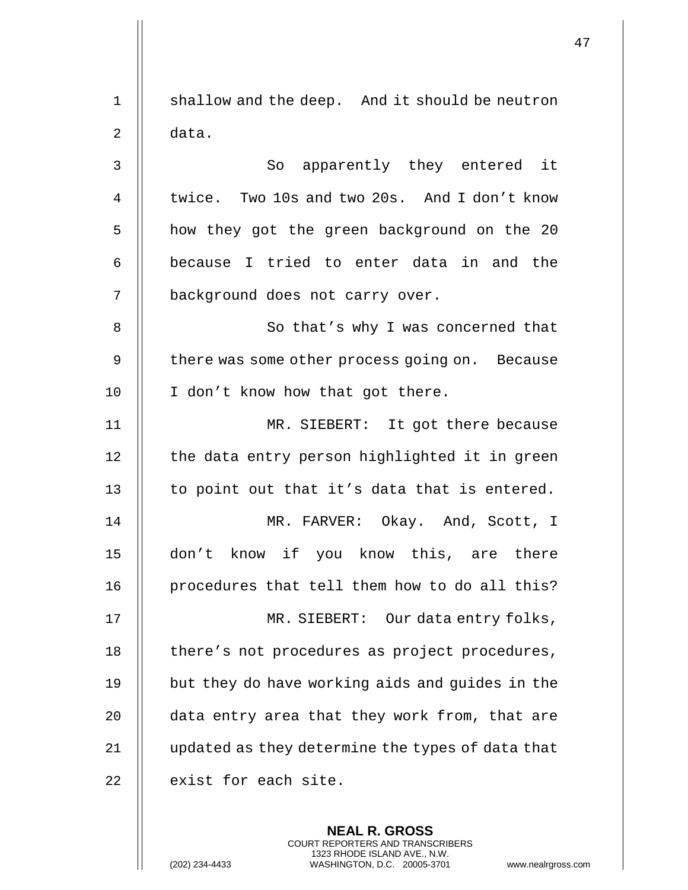1 | shallow and the deep. And it should be neutron  $2 \parallel$  data. 3 || So apparently they entered it 4 U twice. Two 10s and two 20s. And I don't know 5 | how they got the green background on the 20  $6$   $\parallel$  because I tried to enter data in and the 7 | background does not carry over. 8 || So that's why I was concerned that  $9$  | there was some other process going on. Because 10 || I don't know how that got there. 11 MR. SIEBERT: It got there because 12 || the data entry person highlighted it in green 13  $\parallel$  to point out that it's data that is entered. 14 MR. FARVER: Okay. And, Scott, I 15 don't know if you know this, are there 16 || procedures that tell them how to do all this? 17 MR. SIEBERT: Our data entry folks, 18 | there's not procedures as project procedures, 19 || but they do have working aids and guides in the 20 || data entry area that they work from, that are 21 | updated as they determine the types of data that  $22$  | exist for each site.

> **NEAL R. GROSS** COURT REPORTERS AND TRANSCRIBERS 1323 RHODE ISLAND AVE., N.W.

(202) 234-4433 WASHINGTON, D.C. 20005-3701 www.nealrgross.com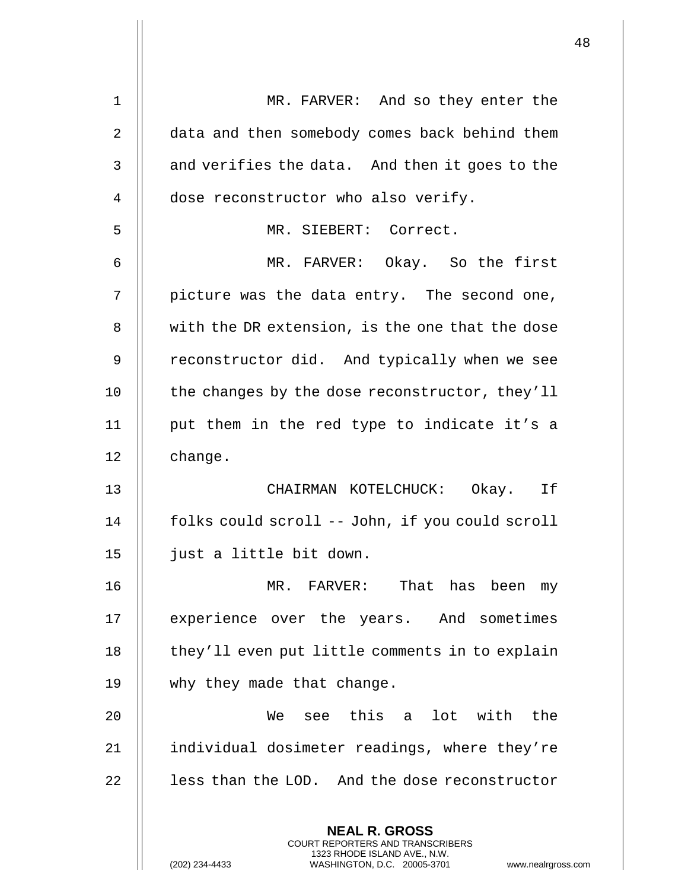| 1              | MR. FARVER: And so they enter the                                                                                                                                      |
|----------------|------------------------------------------------------------------------------------------------------------------------------------------------------------------------|
| $\overline{2}$ | data and then somebody comes back behind them                                                                                                                          |
| 3              | and verifies the data. And then it goes to the                                                                                                                         |
| 4              | dose reconstructor who also verify.                                                                                                                                    |
| 5              | MR. SIEBERT: Correct.                                                                                                                                                  |
| 6              | MR. FARVER: Okay. So the first                                                                                                                                         |
| 7              | picture was the data entry. The second one,                                                                                                                            |
| 8              | with the DR extension, is the one that the dose                                                                                                                        |
| 9              | reconstructor did. And typically when we see                                                                                                                           |
| 10             | the changes by the dose reconstructor, they'll                                                                                                                         |
| 11             | put them in the red type to indicate it's a                                                                                                                            |
| 12             | change.                                                                                                                                                                |
| 13             | CHAIRMAN KOTELCHUCK: Okay. If                                                                                                                                          |
| 14             | folks could scroll -- John, if you could scroll                                                                                                                        |
| 15             | just a little bit down.                                                                                                                                                |
| 16             | MR. FARVER: That has been<br>my                                                                                                                                        |
| 17             | experience over the years. And sometimes                                                                                                                               |
| 18             | they'll even put little comments in to explain                                                                                                                         |
| 19             | why they made that change.                                                                                                                                             |
| 20             | see this a lot with the<br>We                                                                                                                                          |
| 21             | individual dosimeter readings, where they're                                                                                                                           |
| 22             | less than the LOD. And the dose reconstructor                                                                                                                          |
|                | <b>NEAL R. GROSS</b><br><b>COURT REPORTERS AND TRANSCRIBERS</b><br>1323 RHODE ISLAND AVE., N.W.<br>(202) 234-4433<br>WASHINGTON, D.C. 20005-3701<br>www.nealrgross.com |

 $\mathsf{I}$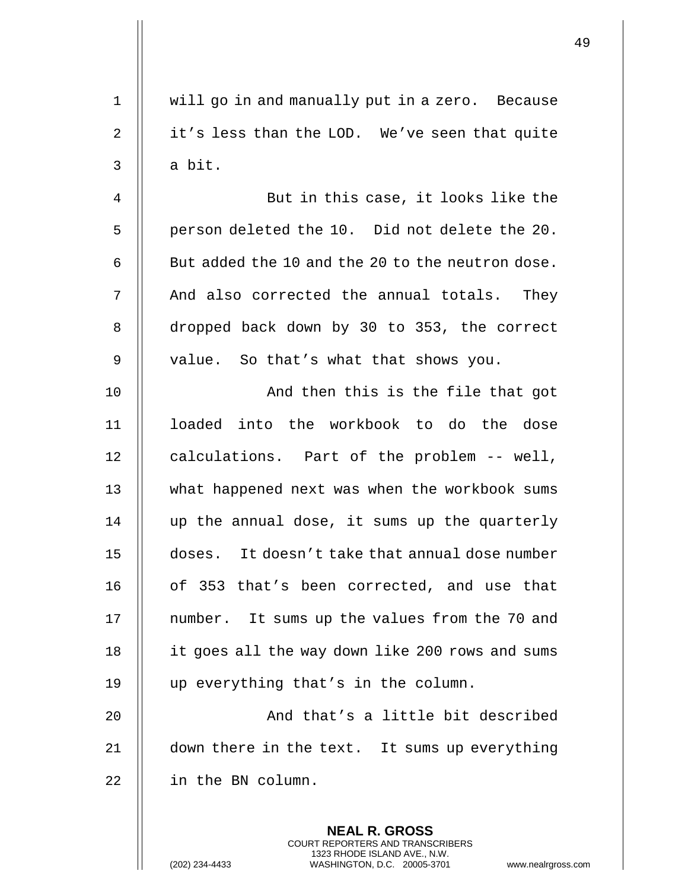| 1              | will go in and manually put in a zero. Because                                                                                                                |
|----------------|---------------------------------------------------------------------------------------------------------------------------------------------------------------|
| $\overline{2}$ | it's less than the LOD. We've seen that quite                                                                                                                 |
| $\mathsf{3}$   | a bit.                                                                                                                                                        |
| 4              | But in this case, it looks like the                                                                                                                           |
| 5              | person deleted the 10. Did not delete the 20.                                                                                                                 |
| 6              | But added the 10 and the 20 to the neutron dose.                                                                                                              |
| 7              | And also corrected the annual totals. They                                                                                                                    |
| 8              | dropped back down by 30 to 353, the correct                                                                                                                   |
| 9              | value. So that's what that shows you.                                                                                                                         |
| 10             | And then this is the file that got                                                                                                                            |
| 11             | loaded into the workbook to do the dose                                                                                                                       |
| 12             | calculations. Part of the problem -- well,                                                                                                                    |
| 13             | what happened next was when the workbook sums                                                                                                                 |
| 14             | up the annual dose, it sums up the quarterly                                                                                                                  |
| 15             | doses. It doesn't take that annual dose number                                                                                                                |
| 16             | of 353 that's been corrected, and use that                                                                                                                    |
| 17             | number. It sums up the values from the 70 and                                                                                                                 |
| 18             | it goes all the way down like 200 rows and sums                                                                                                               |
| 19             | up everything that's in the column.                                                                                                                           |
| 20             | And that's a little bit described                                                                                                                             |
| 21             | down there in the text. It sums up everything                                                                                                                 |
| 22             | in the BN column.                                                                                                                                             |
|                | <b>NEAL R. GROSS</b><br>COURT REPORTERS AND TRANSCRIBERS<br>1323 RHODE ISLAND AVE., N.W.<br>WASHINGTON, D.C. 20005-3701<br>(202) 234-4433<br>www.nealrgross.c |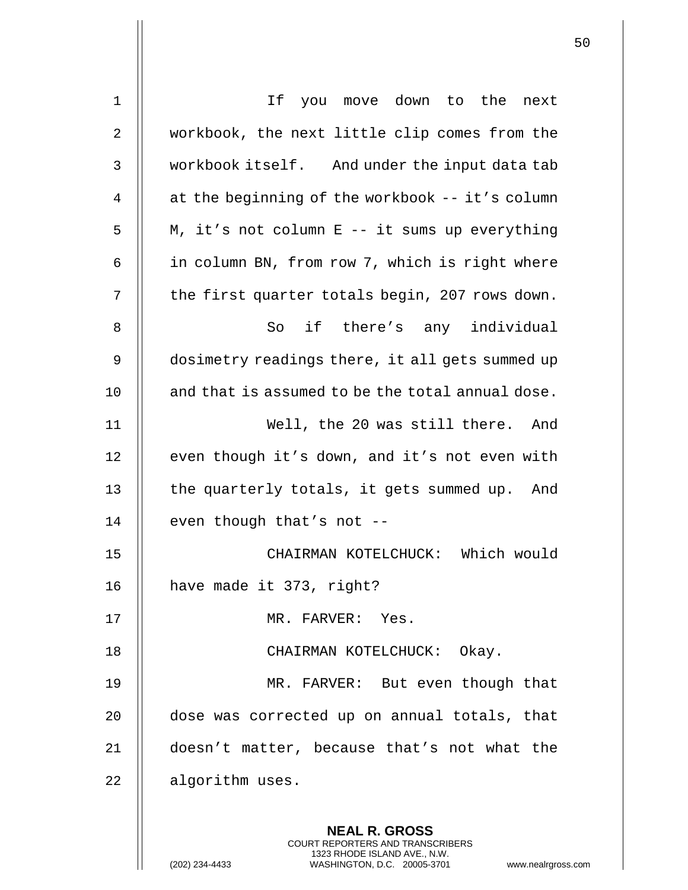| 1  | If you move down to the next                                                                                                                                       |
|----|--------------------------------------------------------------------------------------------------------------------------------------------------------------------|
| 2  | workbook, the next little clip comes from the                                                                                                                      |
| 3  | workbook itself. And under the input data tab                                                                                                                      |
| 4  | at the beginning of the workbook -- it's column                                                                                                                    |
| 5  | M, it's not column E -- it sums up everything                                                                                                                      |
| 6  | in column BN, from row 7, which is right where                                                                                                                     |
| 7  | the first quarter totals begin, 207 rows down.                                                                                                                     |
| 8  | if there's any individual<br>So                                                                                                                                    |
| 9  | dosimetry readings there, it all gets summed up                                                                                                                    |
| 10 | and that is assumed to be the total annual dose.                                                                                                                   |
| 11 | Well, the 20 was still there. And                                                                                                                                  |
| 12 | even though it's down, and it's not even with                                                                                                                      |
| 13 | the quarterly totals, it gets summed up. And                                                                                                                       |
| 14 | even though that's not --                                                                                                                                          |
| 15 | CHAIRMAN KOTELCHUCK: Which would                                                                                                                                   |
| 16 | have made it 373, right?                                                                                                                                           |
| 17 | MR. FARVER: Yes.                                                                                                                                                   |
| 18 | CHAIRMAN KOTELCHUCK: Okay.                                                                                                                                         |
| 19 | MR. FARVER: But even though that                                                                                                                                   |
| 20 | dose was corrected up on annual totals, that                                                                                                                       |
| 21 | doesn't matter, because that's not what the                                                                                                                        |
| 22 | algorithm uses.                                                                                                                                                    |
|    | <b>NEAL R. GROSS</b><br><b>COURT REPORTERS AND TRANSCRIBERS</b><br>1323 RHODE ISLAND AVE., N.W.<br>WASHINGTON, D.C. 20005-3701<br>(202) 234-4433<br>www.nealrgross |

(202) 234-4433 WASHINGTON, D.C. 20005-3701 www.nealrgross.com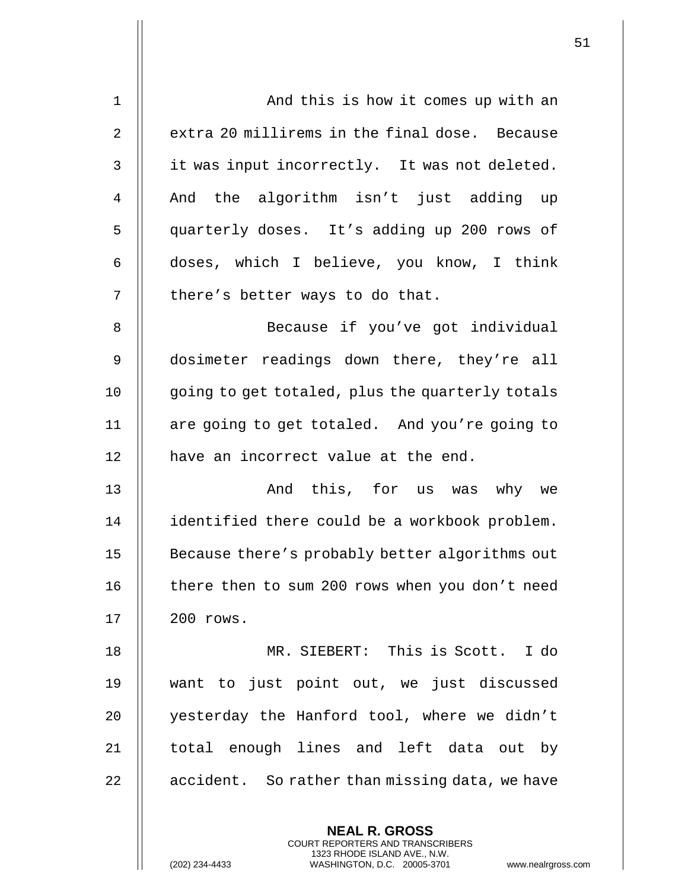| $\mathbf{1}$   | And this is how it comes up with an             |
|----------------|-------------------------------------------------|
| $\overline{2}$ | extra 20 millirems in the final dose. Because   |
| 3              | it was input incorrectly. It was not deleted.   |
| 4              | And the algorithm isn't just adding up          |
| 5              | quarterly doses. It's adding up 200 rows of     |
| 6              | doses, which I believe, you know, I think       |
| 7              | there's better ways to do that.                 |
| 8              | Because if you've got individual                |
| 9              | dosimeter readings down there, they're all      |
| 10             | going to get totaled, plus the quarterly totals |
| 11             | are going to get totaled. And you're going to   |
| 12             | have an incorrect value at the end.             |
| 13             | And this, for us was why we                     |
| 14             | identified there could be a workbook problem.   |
| 15             | Because there's probably better algorithms out  |
| 16             | there then to sum 200 rows when you don't need  |
| 17             | 200 rows.                                       |
| 18             | MR. SIEBERT: This is Scott. I do                |
| 19             | want to just point out, we just discussed       |
| 20             | yesterday the Hanford tool, where we didn't     |
| 21             | total enough lines and left data out by         |
| 22             | accident. So rather than missing data, we have  |
|                |                                                 |

**NEAL R. GROSS** COURT REPORTERS AND TRANSCRIBERS 1323 RHODE ISLAND AVE., N.W.

(202) 234-4433 WASHINGTON, D.C. 20005-3701 www.nealrgross.com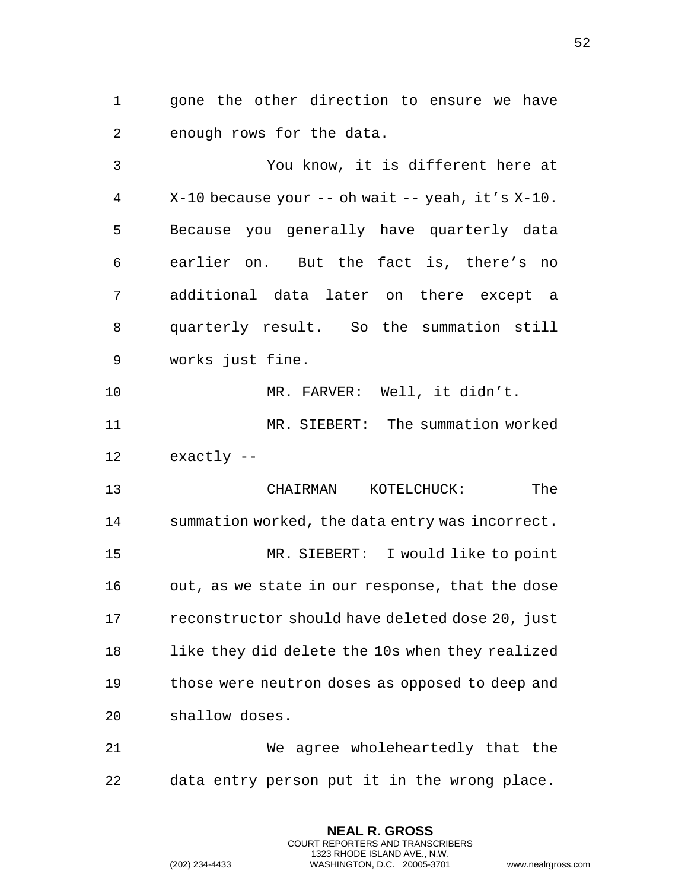**NEAL R. GROSS** COURT REPORTERS AND TRANSCRIBERS 1323 RHODE ISLAND AVE., N.W. (202) 234-4433 WASHINGTON, D.C. 20005-3701 www.nealrgross.com 1 || gone the other direction to ensure we have 2 || enough rows for the data. 3 You know, it is different here at 4  $\parallel$  X-10 because your -- oh wait -- yeah, it's X-10. 5 || Because you generally have quarterly data  $6 \parallel$  earlier on. But the fact is, there's no 7 additional data later on there except a 8 || quarterly result. So the summation still 9 works just fine. 10 MR. FARVER: Well, it didn't. 11 MR. SIEBERT: The summation worked  $12$  | exactly  $-$ 13 CHAIRMAN KOTELCHUCK: The 14 | summation worked, the data entry was incorrect. 15 MR. SIEBERT: I would like to point 16 | out, as we state in our response, that the dose 17 | reconstructor should have deleted dose 20, just 18 | like they did delete the 10s when they realized 19 | those were neutron doses as opposed to deep and 20 | shallow doses. 21 We agree wholeheartedly that the  $22$   $\parallel$  data entry person put it in the wrong place.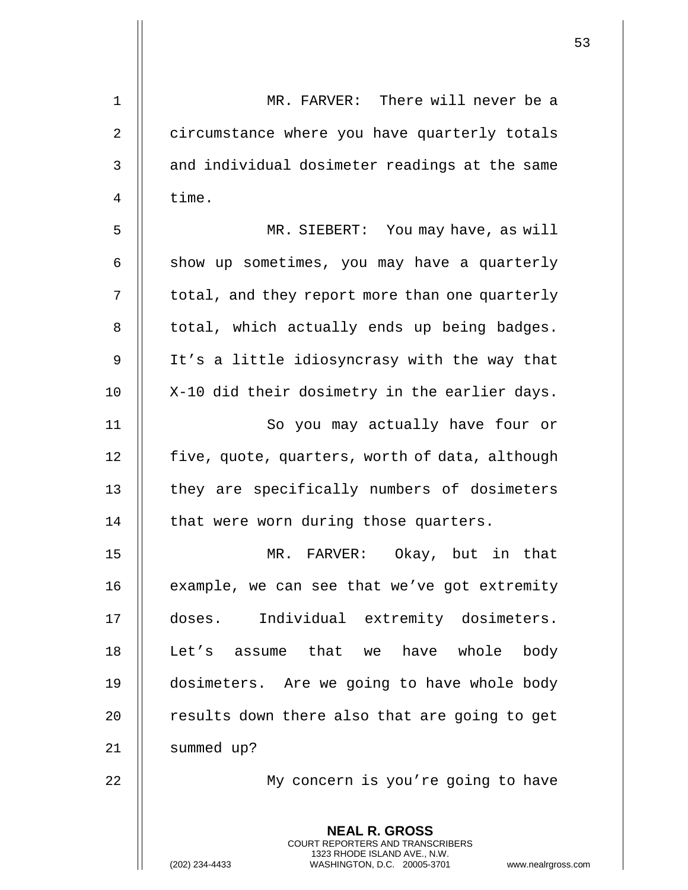| 1  | MR. FARVER: There will never be a                                                                                                                                  |
|----|--------------------------------------------------------------------------------------------------------------------------------------------------------------------|
| 2  | circumstance where you have quarterly totals                                                                                                                       |
| 3  | and individual dosimeter readings at the same                                                                                                                      |
| 4  | time.                                                                                                                                                              |
| 5  | MR. SIEBERT: You may have, as will                                                                                                                                 |
| 6  | show up sometimes, you may have a quarterly                                                                                                                        |
| 7  | total, and they report more than one quarterly                                                                                                                     |
| 8  | total, which actually ends up being badges.                                                                                                                        |
| 9  | It's a little idiosyncrasy with the way that                                                                                                                       |
| 10 | X-10 did their dosimetry in the earlier days.                                                                                                                      |
| 11 | So you may actually have four or                                                                                                                                   |
| 12 | five, quote, quarters, worth of data, although                                                                                                                     |
| 13 | they are specifically numbers of dosimeters                                                                                                                        |
| 14 | that were worn during those quarters.                                                                                                                              |
| 15 | MR. FARVER:<br>Okay, but in that                                                                                                                                   |
| 16 | example, we can see that we've got extremity                                                                                                                       |
| 17 | doses. Individual extremity dosimeters.                                                                                                                            |
| 18 | have whole<br>Let's assume that we<br>body                                                                                                                         |
| 19 | dosimeters. Are we going to have whole body                                                                                                                        |
| 20 | results down there also that are going to get                                                                                                                      |
| 21 | summed up?                                                                                                                                                         |
| 22 | My concern is you're going to have                                                                                                                                 |
|    | <b>NEAL R. GROSS</b><br><b>COURT REPORTERS AND TRANSCRIBERS</b><br>1323 RHODE ISLAND AVE., N.W.<br>WASHINGTON, D.C. 20005-3701<br>(202) 234-4433<br>www.nealrgross |

 $\mathsf{l}\mathsf{l}$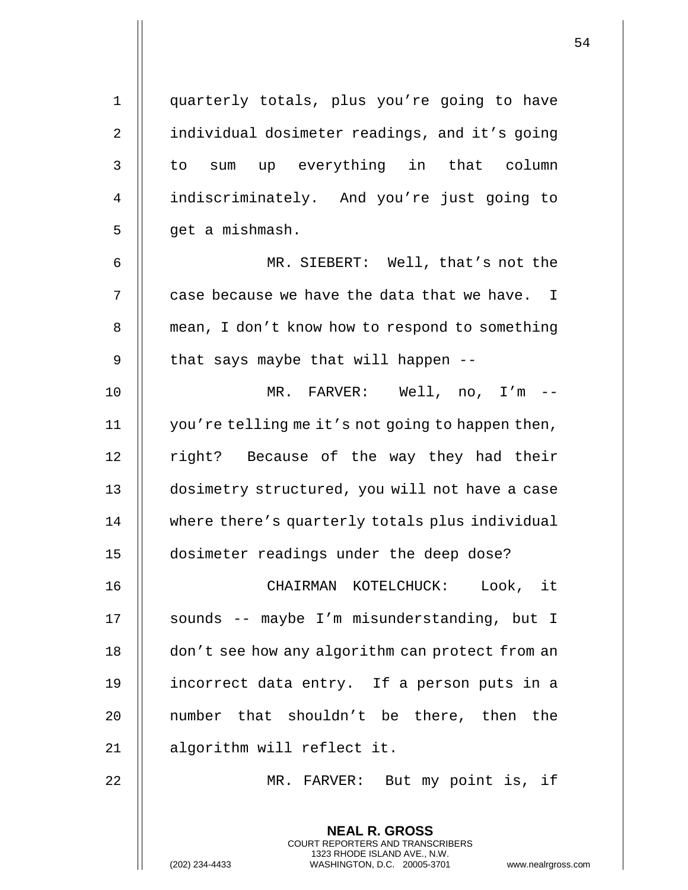| $\mathbf 1$    | quarterly totals, plus you're going to have                                                                                                                |
|----------------|------------------------------------------------------------------------------------------------------------------------------------------------------------|
| $\overline{2}$ | individual dosimeter readings, and it's going                                                                                                              |
| 3              | to sum up everything in that column                                                                                                                        |
| 4              | indiscriminately. And you're just going to                                                                                                                 |
| 5              | get a mishmash.                                                                                                                                            |
| 6              | MR. SIEBERT: Well, that's not the                                                                                                                          |
| 7              | case because we have the data that we have. I                                                                                                              |
| 8              | mean, I don't know how to respond to something                                                                                                             |
| 9              | that says maybe that will happen --                                                                                                                        |
| 10             | MR. FARVER: Well, no, I'm --                                                                                                                               |
| 11             | you're telling me it's not going to happen then,                                                                                                           |
| 12             | right? Because of the way they had their                                                                                                                   |
| 13             | dosimetry structured, you will not have a case                                                                                                             |
| 14             | where there's quarterly totals plus individual                                                                                                             |
| 15             | dosimeter readings under the deep dose?                                                                                                                    |
| 16             | CHAIRMAN KOTELCHUCK:<br>Look, it                                                                                                                           |
| 17             | sounds -- maybe I'm misunderstanding, but I                                                                                                                |
| 18             | don't see how any algorithm can protect from an                                                                                                            |
| 19             | incorrect data entry. If a person puts in a                                                                                                                |
| 20             | number that shouldn't be there, then the                                                                                                                   |
| 21             | algorithm will reflect it.                                                                                                                                 |
| 22             | MR. FARVER: But my point is, if                                                                                                                            |
|                | <b>NEAL R. GROSS</b><br>COURT REPORTERS AND TRANSCRIBERS<br>1323 RHODE ISLAND AVE., N.W.<br>WASHINGTON, D.C. 20005-3701<br>(202) 234-4433<br>www.nealrgros |

(202) 234-4433 WASHINGTON, D.C. 20005-3701 www.nealrgross.com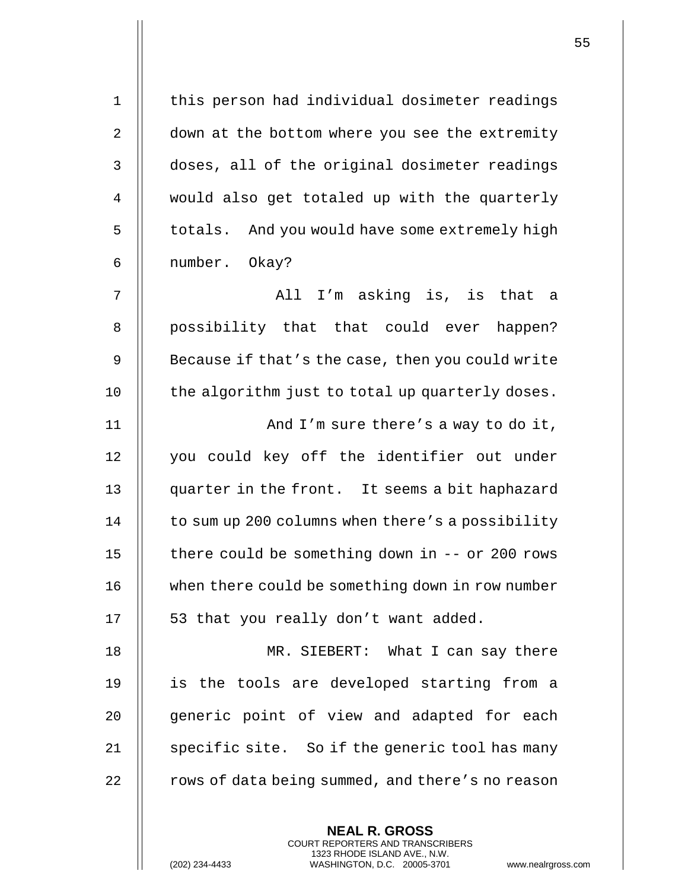| $\mathbf 1$    | this person had individual dosimeter readings     |
|----------------|---------------------------------------------------|
| $\mathbf{2}$   | down at the bottom where you see the extremity    |
| $\mathsf 3$    | doses, all of the original dosimeter readings     |
| $\overline{4}$ | would also get totaled up with the quarterly      |
| 5              | totals. And you would have some extremely high    |
| 6              | number. Okay?                                     |
| 7              | All I'm asking is, is that a                      |
| 8              | possibility that that could ever happen?          |
| 9              | Because if that's the case, then you could write  |
| 10             | the algorithm just to total up quarterly doses.   |
| 11             | And I'm sure there's a way to do it,              |
| 12             | you could key off the identifier out under        |
| 13             | quarter in the front. It seems a bit haphazard    |
| 14             | to sum up 200 columns when there's a possibility  |
| 15             | there could be something down in $--$ or 200 rows |
| 16             | when there could be something down in row number  |
| 17             | 53 that you really don't want added.              |
| 18             | MR. SIEBERT: What I can say there                 |
| 19             | is the tools are developed starting from a        |
| 20             | generic point of view and adapted for each        |
| 21             | specific site. So if the generic tool has many    |
| 22             | rows of data being summed, and there's no reason  |

**NEAL R. GROSS** COURT REPORTERS AND TRANSCRIBERS 1323 RHODE ISLAND AVE., N.W.

(202) 234-4433 WASHINGTON, D.C. 20005-3701 www.nealrgross.com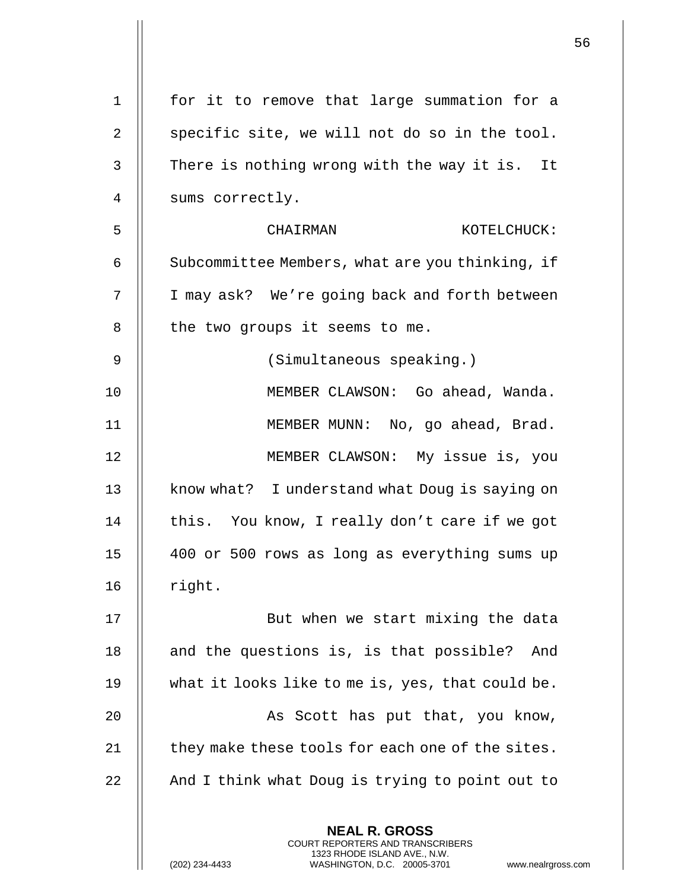| $\mathbf 1$ | for it to remove that large summation for a                                                                                                                            |
|-------------|------------------------------------------------------------------------------------------------------------------------------------------------------------------------|
| 2           | specific site, we will not do so in the tool.                                                                                                                          |
| 3           | There is nothing wrong with the way it is. It                                                                                                                          |
| 4           | sums correctly.                                                                                                                                                        |
| 5           | CHAIRMAN<br>KOTELCHUCK:                                                                                                                                                |
| 6           | Subcommittee Members, what are you thinking, if                                                                                                                        |
| 7           | I may ask? We're going back and forth between                                                                                                                          |
| 8           | the two groups it seems to me.                                                                                                                                         |
| 9           | (Simultaneous speaking.)                                                                                                                                               |
| 10          | MEMBER CLAWSON: Go ahead, Wanda.                                                                                                                                       |
| 11          | MEMBER MUNN: No, go ahead, Brad.                                                                                                                                       |
| 12          | MEMBER CLAWSON: My issue is, you                                                                                                                                       |
| 13          | know what? I understand what Doug is saying on                                                                                                                         |
| 14          | this. You know, I really don't care if we got                                                                                                                          |
| 15          | 400 or 500 rows as long as everything sums up                                                                                                                          |
| 16          | right.                                                                                                                                                                 |
| 17          | But when we start mixing the data                                                                                                                                      |
| 18          | and the questions is, is that possible? And                                                                                                                            |
| 19          | what it looks like to me is, yes, that could be.                                                                                                                       |
| 20          | As Scott has put that, you know,                                                                                                                                       |
| 21          | they make these tools for each one of the sites.                                                                                                                       |
| 22          | And I think what Doug is trying to point out to                                                                                                                        |
|             | <b>NEAL R. GROSS</b><br><b>COURT REPORTERS AND TRANSCRIBERS</b><br>1323 RHODE ISLAND AVE., N.W.<br>(202) 234-4433<br>WASHINGTON, D.C. 20005-3701<br>www.nealrgross.com |

 $\parallel$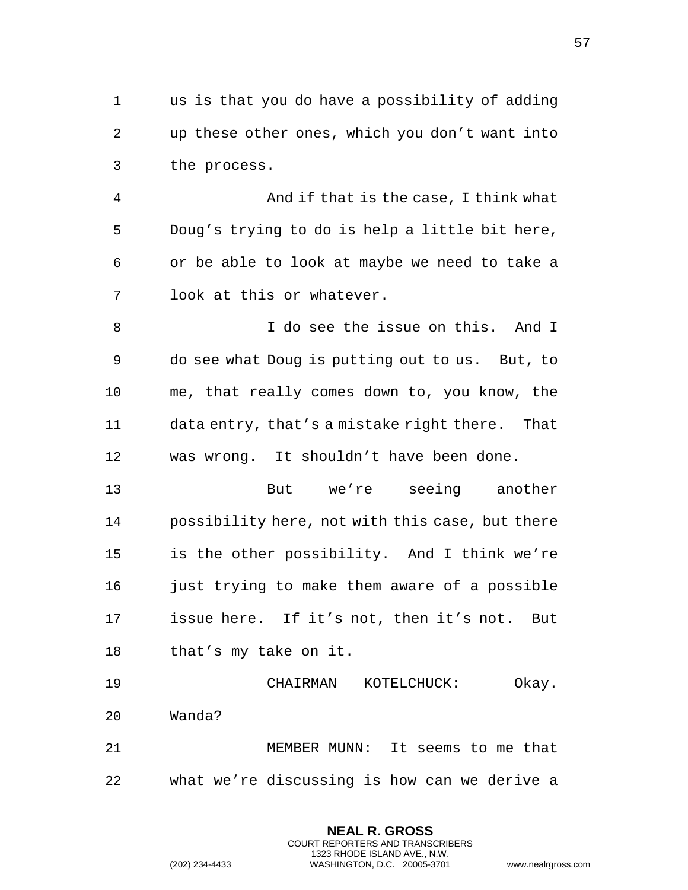|    |                                                                                                     | 57 |
|----|-----------------------------------------------------------------------------------------------------|----|
| 1  | us is that you do have a possibility of adding                                                      |    |
| 2  | up these other ones, which you don't want into                                                      |    |
| 3  | the process.                                                                                        |    |
| 4  | And if that is the case, I think what                                                               |    |
| 5  | Doug's trying to do is help a little bit here,                                                      |    |
|    |                                                                                                     |    |
| 6  | or be able to look at maybe we need to take a                                                       |    |
| 7  | look at this or whatever.                                                                           |    |
| 8  | I do see the issue on this. And I                                                                   |    |
| 9  | do see what Doug is putting out to us. But, to                                                      |    |
| 10 | me, that really comes down to, you know, the                                                        |    |
| 11 | data entry, that's a mistake right there. That                                                      |    |
| 12 | was wrong. It shouldn't have been done.                                                             |    |
| 13 | But we're seeing another                                                                            |    |
| 14 | possibility here, not with this case, but there                                                     |    |
| 15 | is the other possibility. And I think we're                                                         |    |
| 16 | just trying to make them aware of a possible                                                        |    |
| 17 | issue here. If it's not, then it's not. But                                                         |    |
| 18 | that's my take on it.                                                                               |    |
| 19 | CHAIRMAN KOTELCHUCK:<br>Okay.                                                                       |    |
| 20 | Wanda?                                                                                              |    |
| 21 | MEMBER MUNN: It seems to me that                                                                    |    |
| 22 | what we're discussing is how can we derive a                                                        |    |
|    | <b>NEAL R. GROSS</b><br>COURT REPORTERS AND TRANSCRIBERS                                            |    |
|    | 1323 RHODE ISLAND AVE., N.W.<br>(202) 234-4433<br>WASHINGTON, D.C. 20005-3701<br>www.nealrgross.com |    |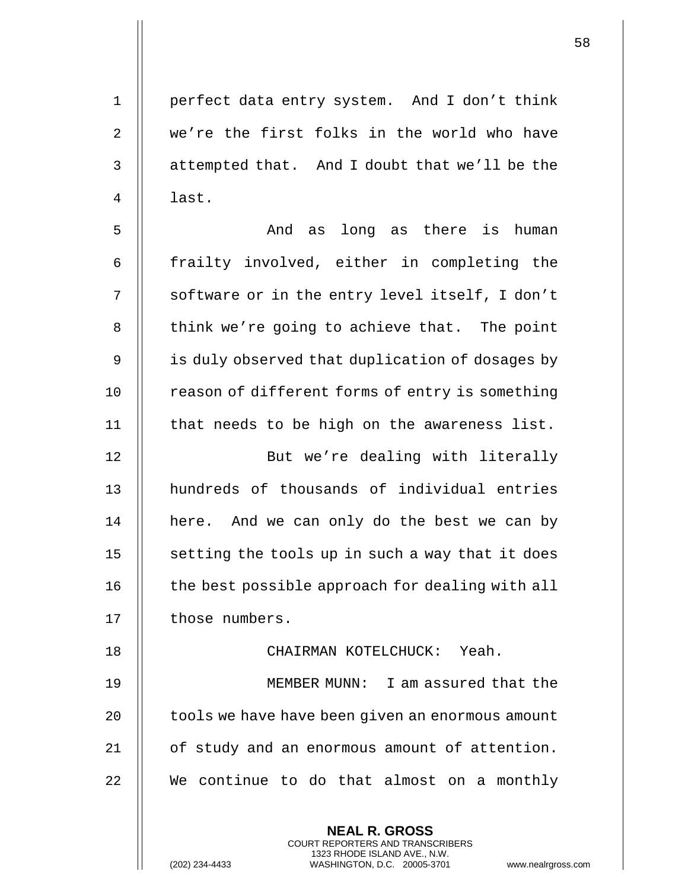1 perfect data entry system. And I don't think 2 || we're the first folks in the world who have  $3$  | attempted that. And I doubt that we'll be the 4 || last.

5 And as long as there is human 6 || frailty involved, either in completing the 7 || software or in the entry level itself, I don't  $8$  || think we're going to achieve that. The point  $9 \parallel$  is duly observed that duplication of dosages by 10 | reason of different forms of entry is something 11 | that needs to be high on the awareness list.

12 || But we're dealing with literally 13 **H** hundreds of thousands of individual entries 14 | here. And we can only do the best we can by  $15$   $\parallel$  setting the tools up in such a way that it does 16 | the best possible approach for dealing with all 17 | those numbers.

## 18 CHAIRMAN KOTELCHUCK: Yeah.

**NEAL R. GROSS** COURT REPORTERS AND TRANSCRIBERS 1323 RHODE ISLAND AVE., N.W.

19 MEMBER MUNN: I am assured that the 20 | tools we have have been given an enormous amount 21 | of study and an enormous amount of attention. 22 || We continue to do that almost on a monthly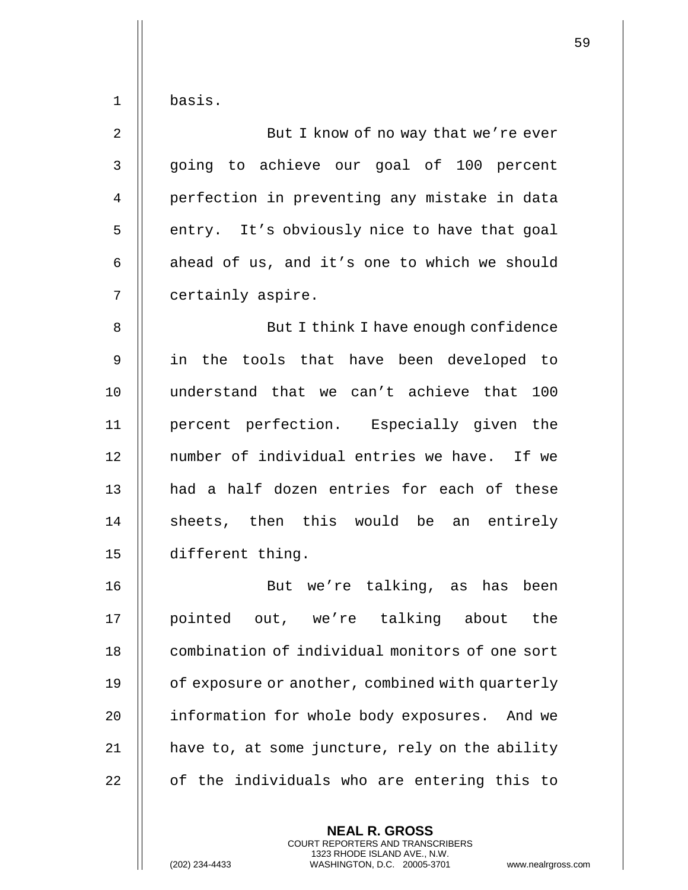|  | basıs |
|--|-------|
|--|-------|

| 2              | But I know of no way that we're ever         |
|----------------|----------------------------------------------|
| 3              | going to achieve our goal of 100 percent     |
| $\overline{4}$ | perfection in preventing any mistake in data |
| 5              | entry. It's obviously nice to have that goal |
| 6              | ahead of us, and it's one to which we should |
| 7              | certainly aspire.                            |

8 || But I think I have enough confidence 9 in the tools that have been developed to 10 understand that we can't achieve that 100 11 percent perfection. Especially given the 12 || number of individual entries we have. If we 13 || had a half dozen entries for each of these 14 || sheets, then this would be an entirely 15 different thing.

16 But we're talking, as has been 17 || pointed out, we're talking about the 18 **combination of individual monitors of one sort** 19 | of exposure or another, combined with quarterly 20 | information for whole body exposures. And we 21  $\parallel$  have to, at some juncture, rely on the ability  $22$   $\parallel$  of the individuals who are entering this to

> **NEAL R. GROSS** COURT REPORTERS AND TRANSCRIBERS 1323 RHODE ISLAND AVE., N.W.

(202) 234-4433 WASHINGTON, D.C. 20005-3701 www.nealrgross.com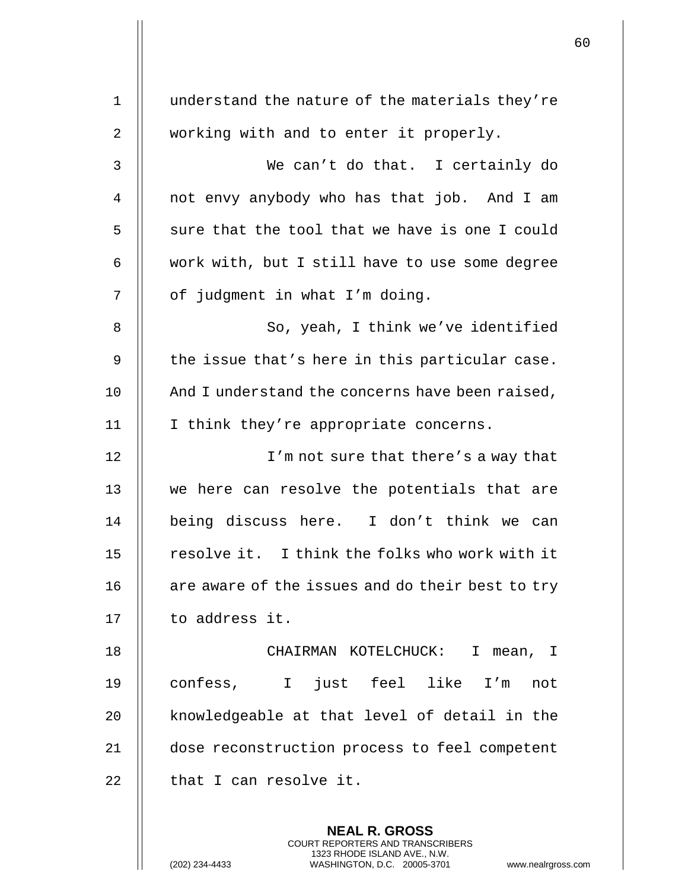| $\mathbf{1}$   | understand the nature of the materials they're   |
|----------------|--------------------------------------------------|
| $\overline{2}$ | working with and to enter it properly.           |
| 3              | We can't do that. I certainly do                 |
| 4              | not envy anybody who has that job. And I am      |
| 5              | sure that the tool that we have is one I could   |
| 6              | work with, but I still have to use some degree   |
| 7              | of judgment in what I'm doing.                   |
| 8              | So, yeah, I think we've identified               |
| 9              | the issue that's here in this particular case.   |
| 10             | And I understand the concerns have been raised,  |
| 11             | I think they're appropriate concerns.            |
| 12             | I'm not sure that there's a way that             |
| 13             | we here can resolve the potentials that are      |
| 14             | being discuss here. I don't think we can         |
| 15             | resolve it. I think the folks who work with it   |
| 16             | are aware of the issues and do their best to try |
| 17             | to address it.                                   |
| 18             | CHAIRMAN KOTELCHUCK: I mean, I                   |
| 19             | confess, I just feel like I'm<br>not             |
| 20             | knowledgeable at that level of detail in the     |
| 21             | dose reconstruction process to feel competent    |
| 22             | that I can resolve it.                           |
|                | <b>NEAL R. GROSS</b>                             |

COURT REPORTERS AND TRANSCRIBERS 1323 RHODE ISLAND AVE., N.W.

 $\mathsf{II}$ 

 $\mathbf{I}$ 

(202) 234-4433 WASHINGTON, D.C. 20005-3701 www.nealrgross.com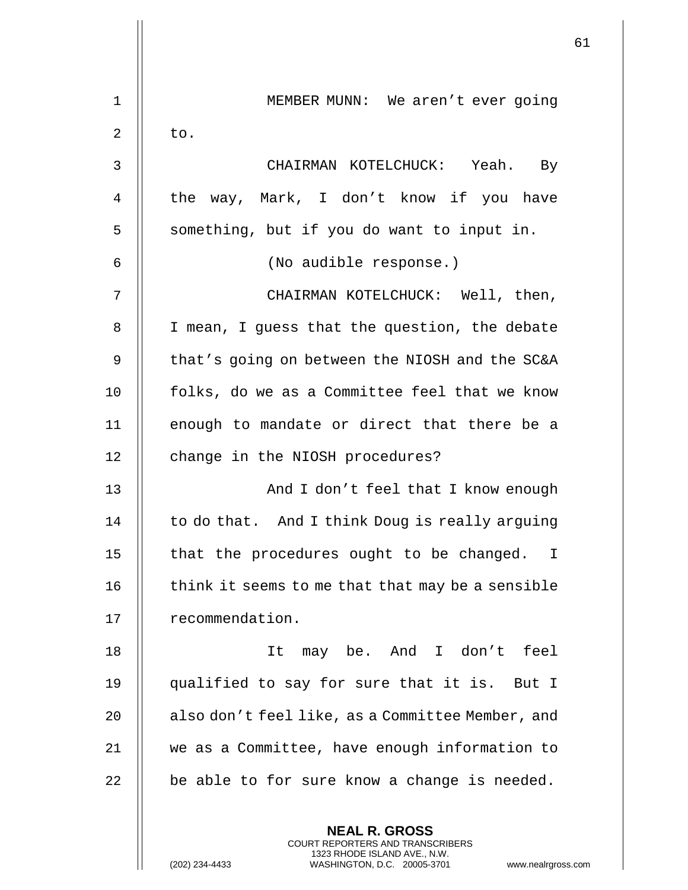|             |                                                  | 61 |
|-------------|--------------------------------------------------|----|
| $\mathbf 1$ | MEMBER MUNN: We aren't ever going                |    |
| 2           | to.                                              |    |
| 3           | CHAIRMAN KOTELCHUCK: Yeah. By                    |    |
| 4           | the way, Mark, I don't know if you have          |    |
| 5           | something, but if you do want to input in.       |    |
| 6           | (No audible response.)                           |    |
| 7           | CHAIRMAN KOTELCHUCK: Well, then,                 |    |
| 8           | I mean, I guess that the question, the debate    |    |
| 9           | that's going on between the NIOSH and the SC&A   |    |
| 10          | folks, do we as a Committee feel that we know    |    |
| 11          | enough to mandate or direct that there be a      |    |
| 12          | change in the NIOSH procedures?                  |    |
| 13          | And I don't feel that I know enough              |    |
| 14          | to do that. And I think Doug is really arguing   |    |
| 15          | that the procedures ought to be changed. I       |    |
| 16          | think it seems to me that that may be a sensible |    |
| 17          | recommendation.                                  |    |
| 18          | may be. And I don't feel<br>It                   |    |
| 19          | qualified to say for sure that it is. But I      |    |
| 20          | also don't feel like, as a Committee Member, and |    |
| 21          | we as a Committee, have enough information to    |    |
| 22          | be able to for sure know a change is needed.     |    |
|             |                                                  |    |
|             | <b>NEAL R. GROSS</b>                             |    |

COURT REPORTERS AND TRANSCRIBERS 1323 RHODE ISLAND AVE., N.W.

 $\mathbf{1}$ 

(202) 234-4433 WASHINGTON, D.C. 20005-3701 www.nealrgross.com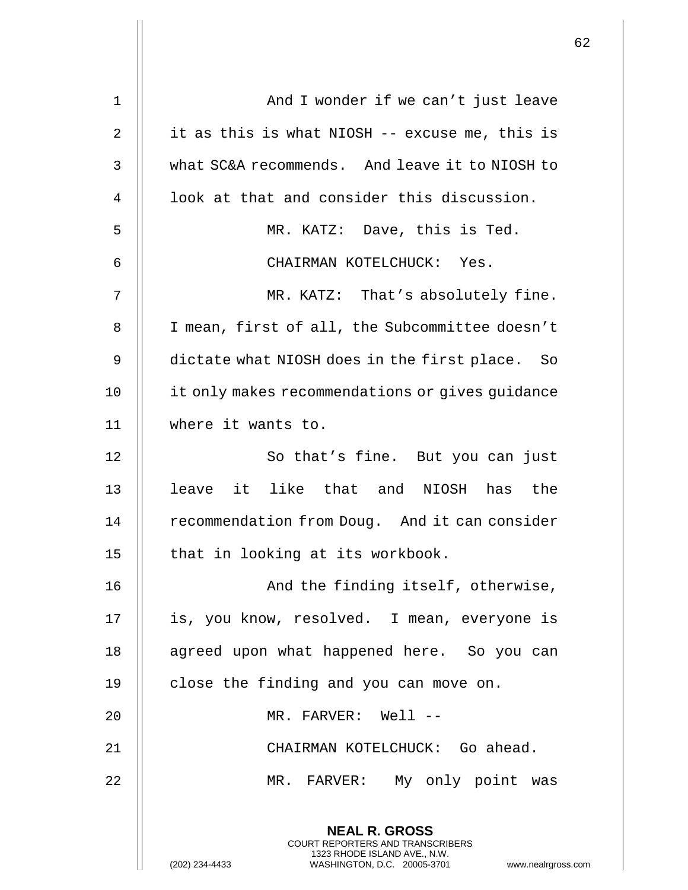| $\mathbf 1$ | And I wonder if we can't just leave                                                                                                                                  |
|-------------|----------------------------------------------------------------------------------------------------------------------------------------------------------------------|
| 2           | it as this is what NIOSH -- excuse me, this is                                                                                                                       |
| 3           | what SC&A recommends. And leave it to NIOSH to                                                                                                                       |
| 4           | look at that and consider this discussion.                                                                                                                           |
| 5           | MR. KATZ: Dave, this is Ted.                                                                                                                                         |
| 6           | CHAIRMAN KOTELCHUCK: Yes.                                                                                                                                            |
| 7           | MR. KATZ: That's absolutely fine.                                                                                                                                    |
| 8           | I mean, first of all, the Subcommittee doesn't                                                                                                                       |
| 9           | dictate what NIOSH does in the first place. So                                                                                                                       |
| 10          | it only makes recommendations or gives guidance                                                                                                                      |
| 11          | where it wants to.                                                                                                                                                   |
| 12          | So that's fine. But you can just                                                                                                                                     |
| 13          | leave it like that and NIOSH has the                                                                                                                                 |
| 14          | recommendation from Doug. And it can consider                                                                                                                        |
| 15          | that in looking at its workbook.                                                                                                                                     |
| 16          | And the finding itself, otherwise,                                                                                                                                   |
| 17          | is, you know, resolved. I mean, everyone is                                                                                                                          |
| 18          | agreed upon what happened here. So you can                                                                                                                           |
| 19          | close the finding and you can move on.                                                                                                                               |
| 20          | MR. FARVER: Well --                                                                                                                                                  |
| 21          | CHAIRMAN KOTELCHUCK: Go ahead.                                                                                                                                       |
| 22          | MR. FARVER: My only point was                                                                                                                                        |
|             | <b>NEAL R. GROSS</b><br><b>COURT REPORTERS AND TRANSCRIBERS</b><br>1323 RHODE ISLAND AVE., N.W.<br>(202) 234-4433<br>WASHINGTON, D.C. 20005-3701<br>www.nealrgross.c |

 $\mathsf{l}\mathsf{l}$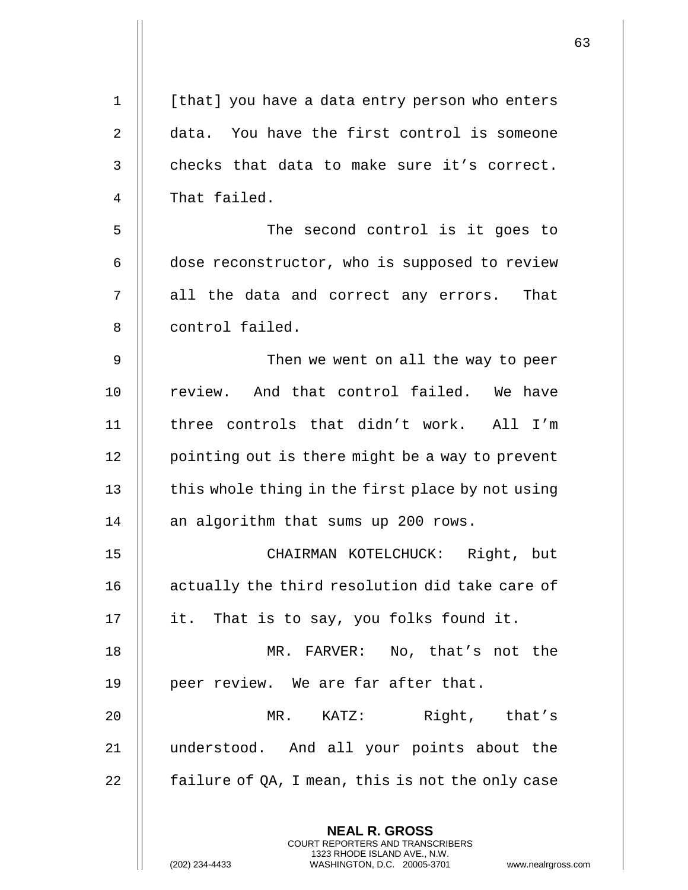| $\mathbf 1$    | [that] you have a data entry person who enters                                                                                                                     |
|----------------|--------------------------------------------------------------------------------------------------------------------------------------------------------------------|
| $\overline{2}$ | data. You have the first control is someone                                                                                                                        |
| 3              | checks that data to make sure it's correct.                                                                                                                        |
| 4              | That failed.                                                                                                                                                       |
| 5              | The second control is it goes to                                                                                                                                   |
| 6              | dose reconstructor, who is supposed to review                                                                                                                      |
| 7              | all the data and correct any errors. That                                                                                                                          |
| 8              | control failed.                                                                                                                                                    |
| 9              | Then we went on all the way to peer                                                                                                                                |
| 10             | review. And that control failed. We have                                                                                                                           |
| 11             | three controls that didn't work. All I'm                                                                                                                           |
| 12             | pointing out is there might be a way to prevent                                                                                                                    |
| 13             | this whole thing in the first place by not using                                                                                                                   |
| 14             | an algorithm that sums up 200 rows.                                                                                                                                |
| 15             | CHAIRMAN KOTELCHUCK: Right, but                                                                                                                                    |
| 16             | actually the third resolution did take care of                                                                                                                     |
| 17             | it. That is to say, you folks found it.                                                                                                                            |
| 18             | MR. FARVER: No, that's not the                                                                                                                                     |
| 19             | peer review. We are far after that.                                                                                                                                |
| 20             | Right, that's<br>$MR$ . $KATZ$ :                                                                                                                                   |
| 21             | understood. And all your points about the                                                                                                                          |
| 22             | failure of QA, I mean, this is not the only case                                                                                                                   |
|                | <b>NEAL R. GROSS</b><br><b>COURT REPORTERS AND TRANSCRIBERS</b><br>1323 RHODE ISLAND AVE., N.W.<br>WASHINGTON, D.C. 20005-3701<br>(202) 234-4433<br>www.nealrgross |

 $\mathsf{l}\mathsf{l}$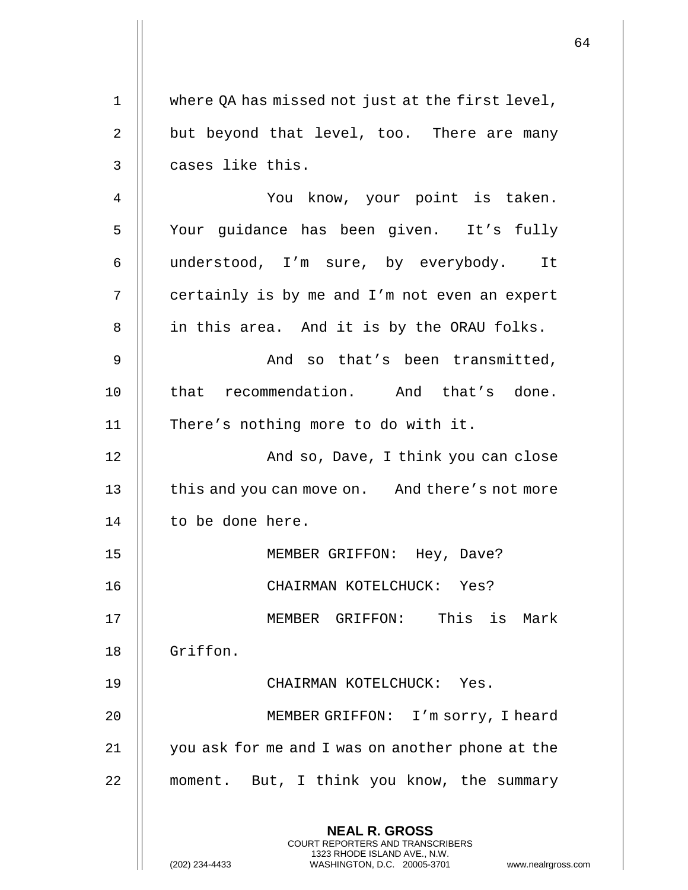|             |                                                                                                                                                                        | 64 |
|-------------|------------------------------------------------------------------------------------------------------------------------------------------------------------------------|----|
| $\mathbf 1$ | where QA has missed not just at the first level,                                                                                                                       |    |
| 2           | but beyond that level, too. There are many                                                                                                                             |    |
| 3           | cases like this.                                                                                                                                                       |    |
| 4           | You know, your point is taken.                                                                                                                                         |    |
| 5           | Your guidance has been given. It's fully                                                                                                                               |    |
| 6           | understood, I'm sure, by everybody. It                                                                                                                                 |    |
| 7           | certainly is by me and I'm not even an expert                                                                                                                          |    |
| 8           | in this area. And it is by the ORAU folks.                                                                                                                             |    |
| 9           | And so that's been transmitted,                                                                                                                                        |    |
| 10          | that recommendation. And that's done.                                                                                                                                  |    |
| 11          | There's nothing more to do with it.                                                                                                                                    |    |
| 12          | And so, Dave, I think you can close                                                                                                                                    |    |
| 13          | this and you can move on. And there's not more                                                                                                                         |    |
| 14          | to be done here.                                                                                                                                                       |    |
| 15          | MEMBER GRIFFON: Hey, Dave?                                                                                                                                             |    |
|             |                                                                                                                                                                        |    |
| 16          | CHAIRMAN KOTELCHUCK: Yes?                                                                                                                                              |    |
| 17          | MEMBER GRIFFON: This is Mark                                                                                                                                           |    |
| 18          | Griffon.                                                                                                                                                               |    |
| 19          | CHAIRMAN KOTELCHUCK: Yes.                                                                                                                                              |    |
| 20          | MEMBER GRIFFON: I'm sorry, I heard                                                                                                                                     |    |
| 21          | you ask for me and I was on another phone at the                                                                                                                       |    |
| 22          | moment. But, I think you know, the summary                                                                                                                             |    |
|             | <b>NEAL R. GROSS</b><br><b>COURT REPORTERS AND TRANSCRIBERS</b><br>1323 RHODE ISLAND AVE., N.W.<br>(202) 234-4433<br>WASHINGTON, D.C. 20005-3701<br>www.nealrgross.com |    |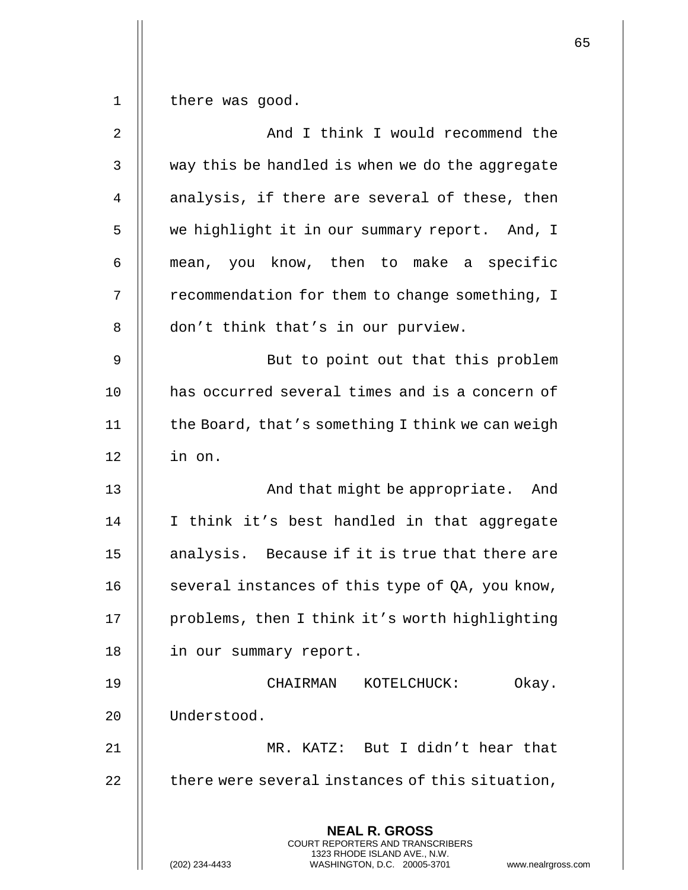$1 \parallel$  there was good.

| 2  | And I think I would recommend the                                                        |
|----|------------------------------------------------------------------------------------------|
| 3  | way this be handled is when we do the aggregate                                          |
| 4  | analysis, if there are several of these, then                                            |
| 5  | we highlight it in our summary report. And, I                                            |
| 6  | mean, you know, then to make a specific                                                  |
| 7  | recommendation for them to change something, I                                           |
| 8  | don't think that's in our purview.                                                       |
| 9  | But to point out that this problem                                                       |
| 10 | has occurred several times and is a concern of                                           |
| 11 | the Board, that's something I think we can weigh                                         |
| 12 | in on.                                                                                   |
| 13 | And that might be appropriate. And                                                       |
| 14 | I think it's best handled in that aggregate                                              |
| 15 | analysis. Because if it is true that there are                                           |
| 16 | several instances of this type of QA, you know,                                          |
| 17 | problems, then I think it's worth highlighting                                           |
| 18 | in our summary report.                                                                   |
| 19 | Okay.<br>CHAIRMAN<br>KOTELCHUCK:                                                         |
| 20 | Understood.                                                                              |
| 21 | MR. KATZ: But I didn't hear that                                                         |
| 22 | there were several instances of this situation,                                          |
|    | <b>NEAL R. GROSS</b><br>COURT REPORTERS AND TRANSCRIBERS<br>1323 RHODE ISLAND AVE., N.W. |
|    | (202) 234-4433<br>WASHINGTON, D.C. 20005-3701<br>www.nealrgross.com                      |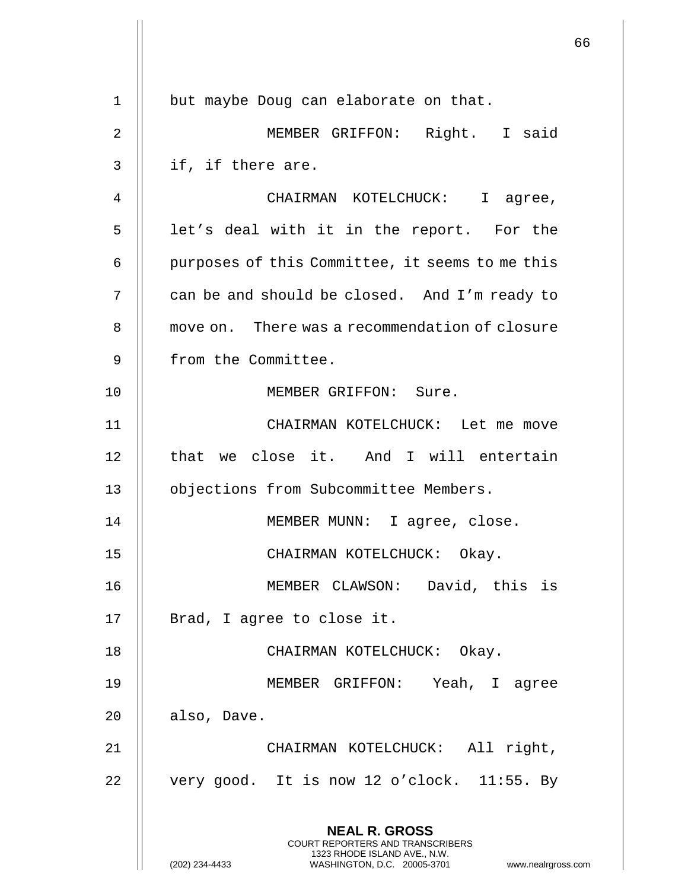**NEAL R. GROSS** COURT REPORTERS AND TRANSCRIBERS 1323 RHODE ISLAND AVE., N.W. (202) 234-4433 WASHINGTON, D.C. 20005-3701 www.nealrgross.com 1 | but maybe Doug can elaborate on that. 2 MEMBER GRIFFON: Right. I said  $3 \parallel$  if, if there are. 4 CHAIRMAN KOTELCHUCK: I agree, 5 || let's deal with it in the report. For the 6 | purposes of this Committee, it seems to me this 7 | can be and should be closed. And I'm ready to 8 | move on. There was a recommendation of closure 9 | from the Committee. 10 || MEMBER GRIFFON: Sure. 11 CHAIRMAN KOTELCHUCK: Let me move 12 || that we close it. And I will entertain 13 | objections from Subcommittee Members. 14 MEMBER MUNN: I agree, close. 15 CHAIRMAN KOTELCHUCK: Okay. 16 || MEMBER CLAWSON: David, this is 17 || Brad, I agree to close it. 18 CHAIRMAN KOTELCHUCK: Okay. 19 MEMBER GRIFFON: Yeah, I agree  $20$  | also, Dave. 21 CHAIRMAN KOTELCHUCK: All right, 22  $\parallel$  very good. It is now 12 o'clock. 11:55. By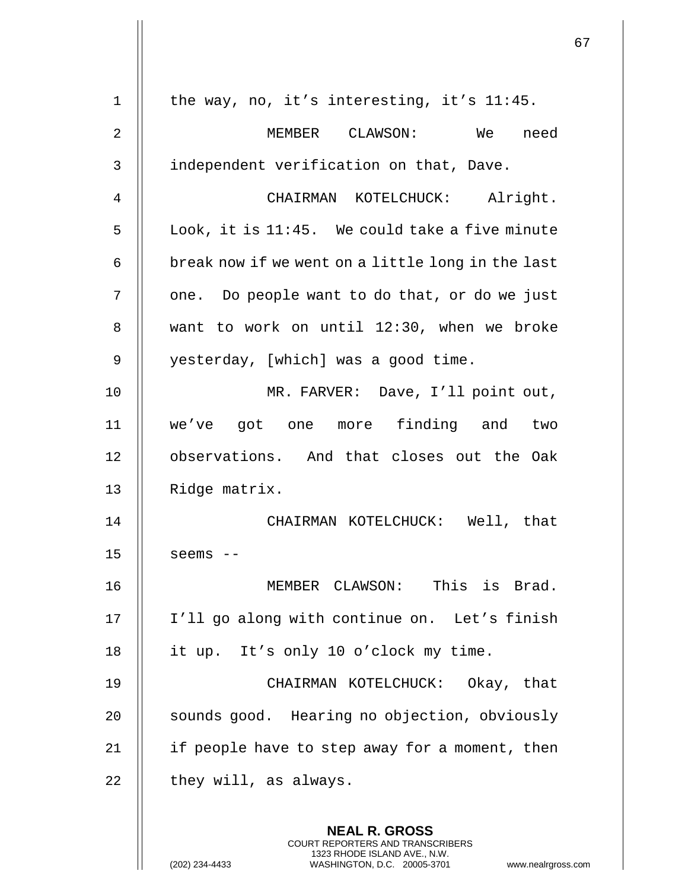|    |                                                                                                                                                                        | 67 |
|----|------------------------------------------------------------------------------------------------------------------------------------------------------------------------|----|
| 1  | the way, no, it's interesting, it's 11:45.                                                                                                                             |    |
| 2  | MEMBER CLAWSON: We<br>need                                                                                                                                             |    |
| 3  | independent verification on that, Dave.                                                                                                                                |    |
| 4  | CHAIRMAN KOTELCHUCK: Alright.                                                                                                                                          |    |
| 5  | Look, it is 11:45. We could take a five minute                                                                                                                         |    |
| 6  | break now if we went on a little long in the last                                                                                                                      |    |
| 7  | one. Do people want to do that, or do we just                                                                                                                          |    |
| 8  | want to work on until 12:30, when we broke                                                                                                                             |    |
| 9  | yesterday, [which] was a good time.                                                                                                                                    |    |
| 10 | MR. FARVER: Dave, I'll point out,                                                                                                                                      |    |
| 11 | we've got one more finding and two                                                                                                                                     |    |
| 12 | observations. And that closes out the Oak                                                                                                                              |    |
| 13 | Ridge matrix.                                                                                                                                                          |    |
| 14 | CHAIRMAN KOTELCHUCK: Well, that                                                                                                                                        |    |
| 15 | $seems$ --                                                                                                                                                             |    |
| 16 | MEMBER CLAWSON: This is Brad.                                                                                                                                          |    |
|    |                                                                                                                                                                        |    |
| 17 | I'll go along with continue on. Let's finish                                                                                                                           |    |
| 18 | it up. It's only 10 o'clock my time.                                                                                                                                   |    |
| 19 | CHAIRMAN KOTELCHUCK: Okay, that                                                                                                                                        |    |
| 20 | sounds good. Hearing no objection, obviously                                                                                                                           |    |
| 21 | if people have to step away for a moment, then                                                                                                                         |    |
| 22 | they will, as always.                                                                                                                                                  |    |
|    | <b>NEAL R. GROSS</b><br><b>COURT REPORTERS AND TRANSCRIBERS</b><br>1323 RHODE ISLAND AVE., N.W.<br>(202) 234-4433<br>WASHINGTON, D.C. 20005-3701<br>www.nealrgross.com |    |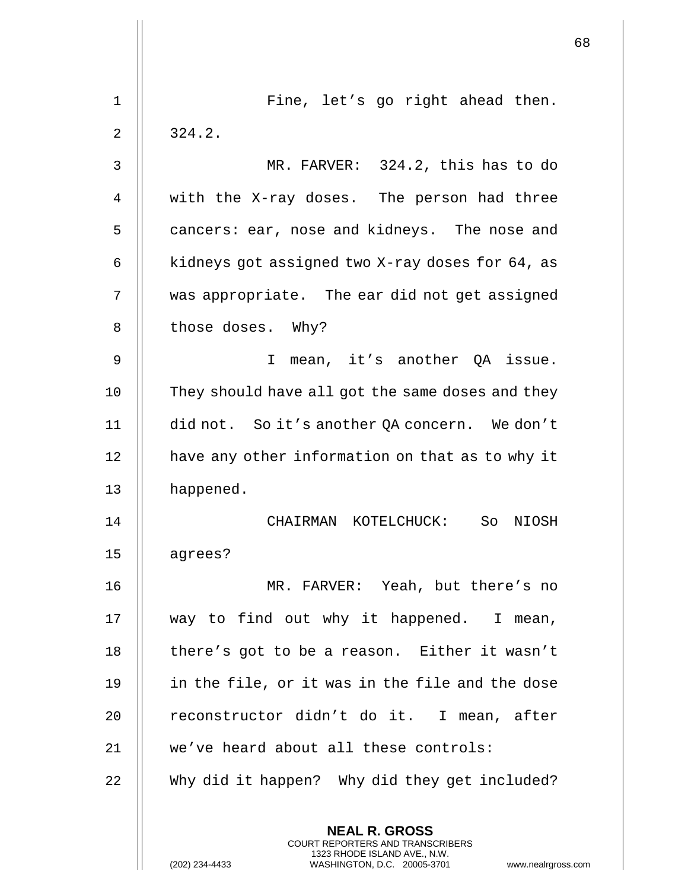|    |                                                                                                                                                                        | 68 |
|----|------------------------------------------------------------------------------------------------------------------------------------------------------------------------|----|
| 1  | Fine, let's go right ahead then.                                                                                                                                       |    |
| 2  | 324.2.                                                                                                                                                                 |    |
| 3  | MR. FARVER: 324.2, this has to do                                                                                                                                      |    |
| 4  | with the X-ray doses. The person had three                                                                                                                             |    |
| 5  | cancers: ear, nose and kidneys. The nose and                                                                                                                           |    |
| 6  | kidneys got assigned two X-ray doses for 64, as                                                                                                                        |    |
| 7  | was appropriate. The ear did not get assigned                                                                                                                          |    |
| 8  | those doses. Why?                                                                                                                                                      |    |
| 9  | $\mathbf{I}$<br>mean, it's another QA issue.                                                                                                                           |    |
| 10 | They should have all got the same doses and they                                                                                                                       |    |
| 11 | did not. So it's another QA concern. We don't                                                                                                                          |    |
| 12 | have any other information on that as to why it                                                                                                                        |    |
| 13 | happened.                                                                                                                                                              |    |
| 14 | CHAIRMAN KOTELCHUCK: So<br>NIOSH                                                                                                                                       |    |
| 15 | agrees?                                                                                                                                                                |    |
| 16 | MR. FARVER: Yeah, but there's no                                                                                                                                       |    |
| 17 | way to find out why it happened. I mean,                                                                                                                               |    |
| 18 | there's got to be a reason. Either it wasn't                                                                                                                           |    |
| 19 | in the file, or it was in the file and the dose                                                                                                                        |    |
| 20 | reconstructor didn't do it. I mean, after                                                                                                                              |    |
| 21 | we've heard about all these controls:                                                                                                                                  |    |
| 22 | Why did it happen? Why did they get included?                                                                                                                          |    |
|    | <b>NEAL R. GROSS</b><br><b>COURT REPORTERS AND TRANSCRIBERS</b><br>1323 RHODE ISLAND AVE., N.W.<br>(202) 234-4433<br>WASHINGTON, D.C. 20005-3701<br>www.nealrgross.com |    |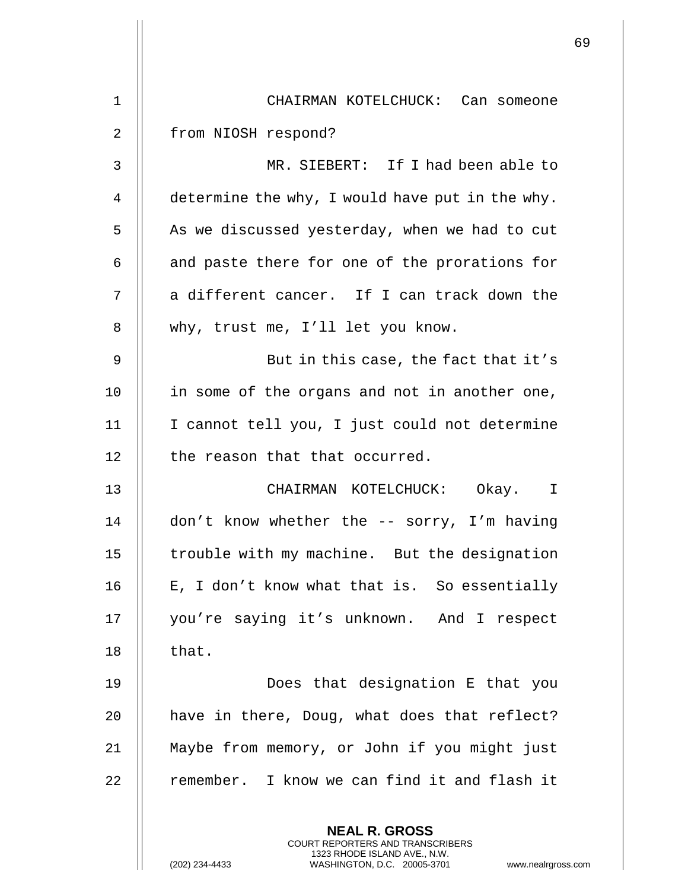|    |                                                                                                                                                                 | 69 |
|----|-----------------------------------------------------------------------------------------------------------------------------------------------------------------|----|
| 1  | CHAIRMAN KOTELCHUCK: Can someone                                                                                                                                |    |
| 2  | from NIOSH respond?                                                                                                                                             |    |
| 3  | MR. SIEBERT: If I had been able to                                                                                                                              |    |
| 4  | determine the why, I would have put in the why.                                                                                                                 |    |
| 5  | As we discussed yesterday, when we had to cut                                                                                                                   |    |
| 6  | and paste there for one of the prorations for                                                                                                                   |    |
| 7  | a different cancer. If I can track down the                                                                                                                     |    |
| 8  | why, trust me, I'll let you know.                                                                                                                               |    |
| 9  | But in this case, the fact that it's                                                                                                                            |    |
| 10 | in some of the organs and not in another one,                                                                                                                   |    |
| 11 | I cannot tell you, I just could not determine                                                                                                                   |    |
| 12 | the reason that that occurred.                                                                                                                                  |    |
| 13 | CHAIRMAN KOTELCHUCK: Okay. I                                                                                                                                    |    |
| 14 | don't know whether the -- sorry, I'm having                                                                                                                     |    |
| 15 | trouble with my machine. But the designation                                                                                                                    |    |
| 16 | E, I don't know what that is. So essentially                                                                                                                    |    |
| 17 | you're saying it's unknown. And I respect                                                                                                                       |    |
| 18 | that.                                                                                                                                                           |    |
| 19 | Does that designation E that you                                                                                                                                |    |
| 20 | have in there, Doug, what does that reflect?                                                                                                                    |    |
| 21 | Maybe from memory, or John if you might just                                                                                                                    |    |
| 22 | remember. I know we can find it and flash it                                                                                                                    |    |
|    | <b>NEAL R. GROSS</b><br>COURT REPORTERS AND TRANSCRIBERS<br>1323 RHODE ISLAND AVE., N.W.<br>(202) 234-4433<br>www.nealrgross.com<br>WASHINGTON, D.C. 20005-3701 |    |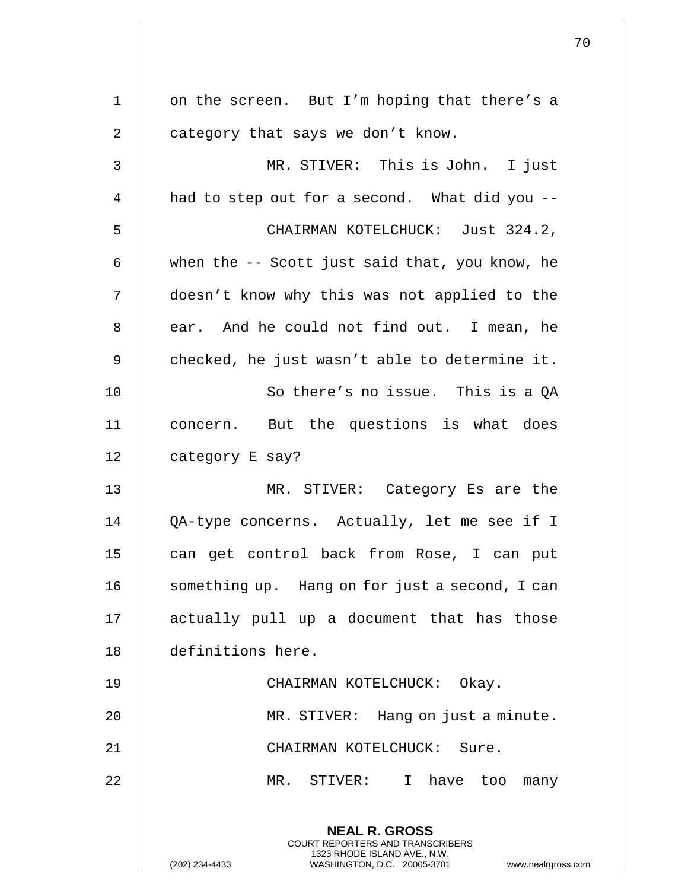|    |                                                                                                                                                                 | 70 |
|----|-----------------------------------------------------------------------------------------------------------------------------------------------------------------|----|
| 1  | on the screen. But I'm hoping that there's a                                                                                                                    |    |
| 2  | category that says we don't know.                                                                                                                               |    |
|    |                                                                                                                                                                 |    |
| 3  | MR. STIVER: This is John. I just                                                                                                                                |    |
| 4  | had to step out for a second. What did you --                                                                                                                   |    |
| 5  | CHAIRMAN KOTELCHUCK: Just 324.2,                                                                                                                                |    |
| 6  | when the -- Scott just said that, you know, he                                                                                                                  |    |
| 7  | doesn't know why this was not applied to the                                                                                                                    |    |
| 8  | ear. And he could not find out. I mean, he                                                                                                                      |    |
| 9  | checked, he just wasn't able to determine it.                                                                                                                   |    |
| 10 | So there's no issue. This is a QA                                                                                                                               |    |
| 11 | concern. But the questions is what does                                                                                                                         |    |
| 12 | category E say?                                                                                                                                                 |    |
| 13 | MR. STIVER: Category Es are the                                                                                                                                 |    |
| 14 | QA-type concerns. Actually, let me see if I                                                                                                                     |    |
| 15 | can get control back from Rose, I can put                                                                                                                       |    |
| 16 | something up. Hang on for just a second, I can                                                                                                                  |    |
| 17 | actually pull up a document that has those                                                                                                                      |    |
| 18 | definitions here.                                                                                                                                               |    |
| 19 | CHAIRMAN KOTELCHUCK: Okay.                                                                                                                                      |    |
| 20 | MR. STIVER: Hang on just a minute.                                                                                                                              |    |
| 21 | CHAIRMAN KOTELCHUCK: Sure.                                                                                                                                      |    |
| 22 | MR. STIVER: I have too<br>many                                                                                                                                  |    |
|    | <b>NEAL R. GROSS</b><br>COURT REPORTERS AND TRANSCRIBERS<br>1323 RHODE ISLAND AVE., N.W.<br>WASHINGTON, D.C. 20005-3701<br>(202) 234-4433<br>www.nealrgross.com |    |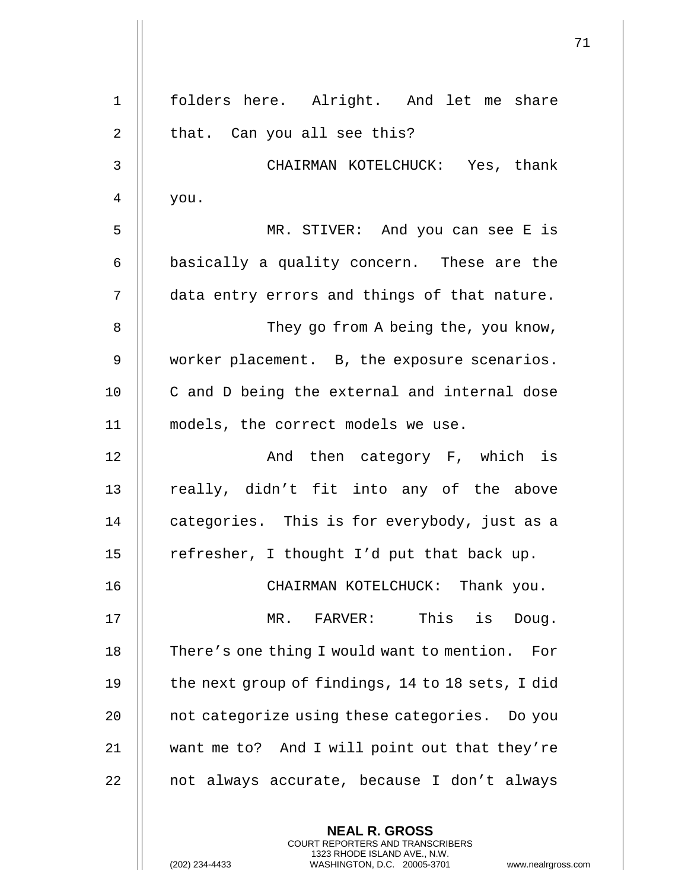| $\mathbf{1}$ | folders here. Alright. And let me share                                                                                                                      |
|--------------|--------------------------------------------------------------------------------------------------------------------------------------------------------------|
| 2            | that. Can you all see this?                                                                                                                                  |
| $\mathsf{3}$ | CHAIRMAN KOTELCHUCK: Yes, thank                                                                                                                              |
| 4            | you.                                                                                                                                                         |
| 5            | MR. STIVER: And you can see E is                                                                                                                             |
| 6            | basically a quality concern. These are the                                                                                                                   |
| 7            | data entry errors and things of that nature.                                                                                                                 |
| 8            | They go from A being the, you know,                                                                                                                          |
| 9            | worker placement. B, the exposure scenarios.                                                                                                                 |
| 10           | C and D being the external and internal dose                                                                                                                 |
| 11           | models, the correct models we use.                                                                                                                           |
| 12           | And then category F, which is                                                                                                                                |
| 13           | really, didn't fit into any of the above                                                                                                                     |
| 14           | categories. This is for everybody, just as a                                                                                                                 |
| 15           | refresher, I thought I'd put that back up.                                                                                                                   |
| 16           | CHAIRMAN KOTELCHUCK: Thank you.                                                                                                                              |
| 17           | This<br>MR. FARVER:<br>is<br>Doug.                                                                                                                           |
| 18           | There's one thing I would want to mention. For                                                                                                               |
| 19           | the next group of findings, 14 to 18 sets, I did                                                                                                             |
| 20           | not categorize using these categories. Do you                                                                                                                |
| 21           | want me to? And I will point out that they're                                                                                                                |
| 22           | not always accurate, because I don't always                                                                                                                  |
|              | <b>NEAL R. GROSS</b><br>COURT REPORTERS AND TRANSCRIBERS<br>1323 RHODE ISLAND AVE., N.W.<br>(202) 234-4433<br>WASHINGTON, D.C. 20005-3701<br>www.nealrgross. |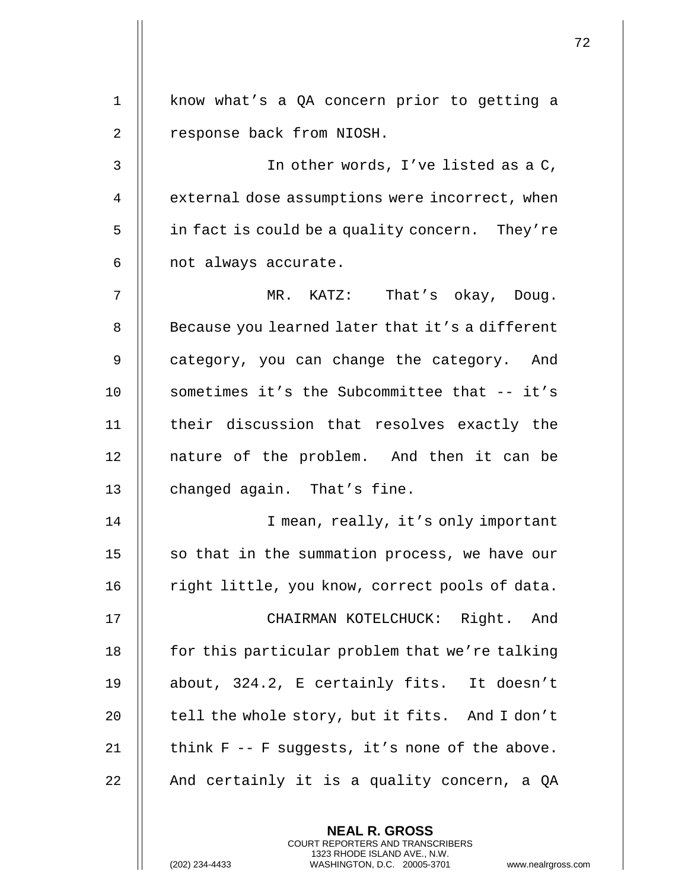| $\mathbf{1}$ | know what's a QA concern prior to getting a     |
|--------------|-------------------------------------------------|
| 2            | response back from NIOSH.                       |
| 3            | In other words, I've listed as a C,             |
| 4            | external dose assumptions were incorrect, when  |
| 5            | in fact is could be a quality concern. They're  |
| 6            | not always accurate.                            |
| 7            | MR. KATZ: That's okay, Doug.                    |
| 8            | Because you learned later that it's a different |
| 9            | category, you can change the category. And      |
| 10           | sometimes it's the Subcommittee that -- it's    |
| 11           | their discussion that resolves exactly the      |
| 12           | nature of the problem. And then it can be       |
| 13           | changed again. That's fine.                     |
| 14           | I mean, really, it's only important             |
| 15           | so that in the summation process, we have our   |
| 16           | right little, you know, correct pools of data.  |
| 17           | CHAIRMAN KOTELCHUCK: Right. And                 |
| 18           | for this particular problem that we're talking  |
| 19           | about, 324.2, E certainly fits. It doesn't      |
| 20           | tell the whole story, but it fits. And I don't  |
| 21           | think F -- F suggests, it's none of the above.  |
| 22           | And certainly it is a quality concern, a QA     |
|              | <b>NEAL R. GROSS</b>                            |
|              | COURT REPORTERS AND TRANSCRIBERS                |

1323 RHODE ISLAND AVE., N.W.

 $\prod$ 

(202) 234-4433 WASHINGTON, D.C. 20005-3701 www.nealrgross.com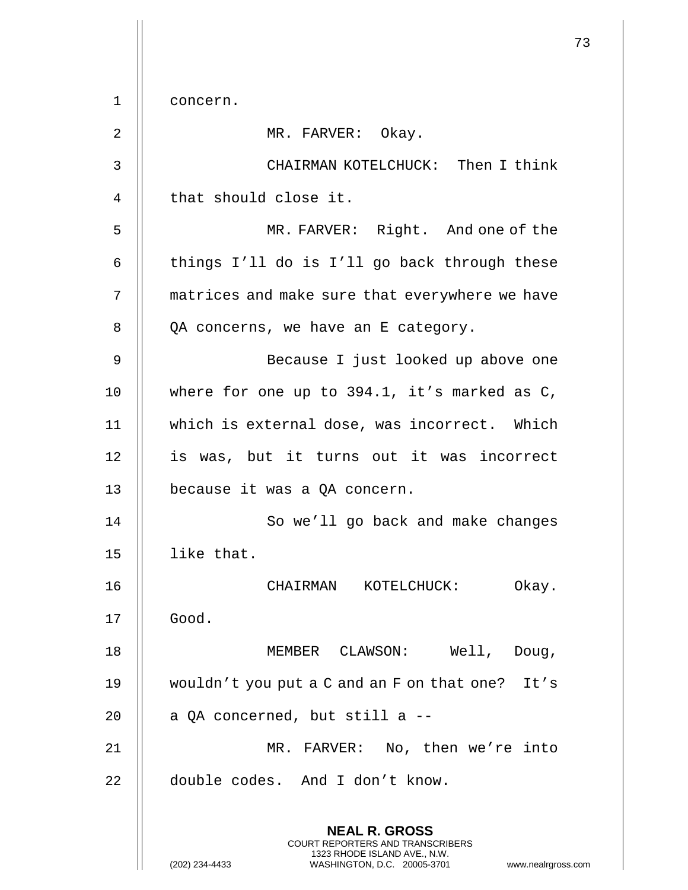73 **NEAL R. GROSS** COURT REPORTERS AND TRANSCRIBERS 1323 RHODE ISLAND AVE., N.W. (202) 234-4433 WASHINGTON, D.C. 20005-3701 www.nealrgross.com 1 concern. 2 || MR. FARVER: Okay. 3 CHAIRMAN KOTELCHUCK: Then I think 4 | that should close it. 5 MR. FARVER: Right. And one of the 6  $\parallel$  things I'll do is I'll go back through these 7 | matrices and make sure that everywhere we have  $8$  | QA concerns, we have an E category. 9 Because I just looked up above one 10 where for one up to 394.1, it's marked as C, 11 which is external dose, was incorrect. Which 12 || is was, but it turns out it was incorrect 13 | because it was a QA concern. 14 || So we'll go back and make changes 15 like that. 16 CHAIRMAN KOTELCHUCK: Okay. 17 Good. 18 MEMBER CLAWSON: Well, Doug, 19 wouldn't you put a C and an F on that one? It's 20  $\parallel$  a QA concerned, but still a  $-$ 21 MR. FARVER: No, then we're into 22 || double codes. And I don't know.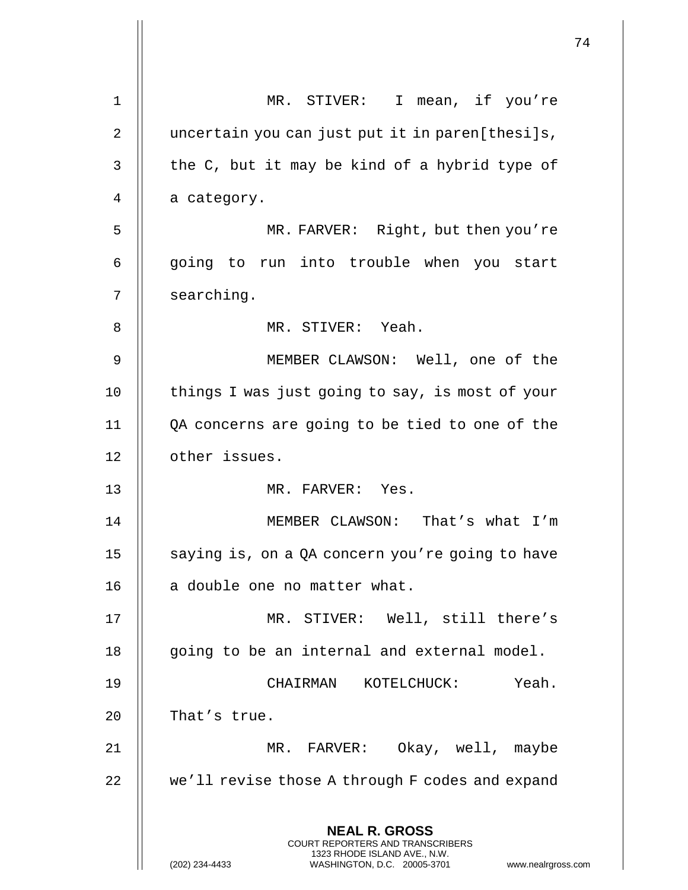|             |                                                                                          | 74 |
|-------------|------------------------------------------------------------------------------------------|----|
| $\mathbf 1$ | MR. STIVER: I mean, if you're                                                            |    |
| 2           | uncertain you can just put it in paren[thesi]s,                                          |    |
| 3           | the C, but it may be kind of a hybrid type of                                            |    |
| 4           | a category.                                                                              |    |
| 5           | MR. FARVER: Right, but then you're                                                       |    |
| 6           | going to run into trouble when you start                                                 |    |
| 7           | searching.                                                                               |    |
| 8           | MR. STIVER: Yeah.                                                                        |    |
| $\mathsf 9$ | MEMBER CLAWSON: Well, one of the                                                         |    |
| 10          | things I was just going to say, is most of your                                          |    |
|             |                                                                                          |    |
| 11          | QA concerns are going to be tied to one of the                                           |    |
| 12          | other issues.                                                                            |    |
| 13          | MR. FARVER: Yes.                                                                         |    |
| 14          | MEMBER CLAWSON: That's what I'm                                                          |    |
| 15          | saying is, on a QA concern you're going to have                                          |    |
| 16          | a double one no matter what.                                                             |    |
| 17          | MR. STIVER: Well, still there's                                                          |    |
| 18          | going to be an internal and external model.                                              |    |
| 19          | Yeah.<br>KOTELCHUCK:<br>CHAIRMAN                                                         |    |
| 20          | That's true.                                                                             |    |
| 21          | MR. FARVER: Okay, well, maybe                                                            |    |
| 22          | we'll revise those A through F codes and expand                                          |    |
|             | <b>NEAL R. GROSS</b><br>COURT REPORTERS AND TRANSCRIBERS<br>1323 RHODE ISLAND AVE., N.W. |    |
|             | (202) 234-4433<br>WASHINGTON, D.C. 20005-3701<br>www.nealrgross.com                      |    |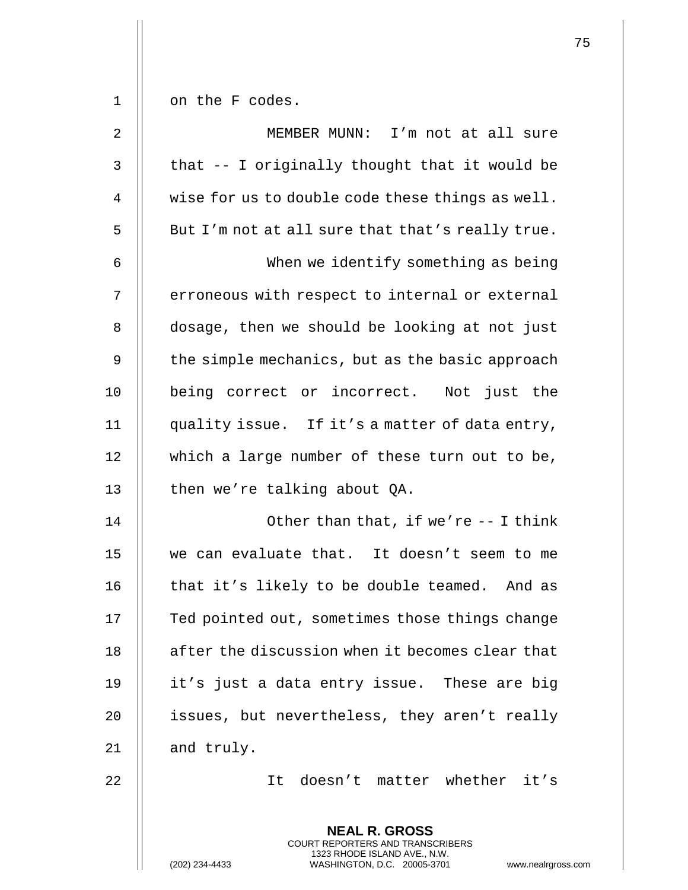$1 \parallel$  on the F codes.

| $\sqrt{2}$     | MEMBER MUNN: I'm not at all sure                 |
|----------------|--------------------------------------------------|
| 3              | that -- I originally thought that it would be    |
| $\overline{4}$ | wise for us to double code these things as well. |
| 5              | But I'm not at all sure that that's really true. |
| 6              | When we identify something as being              |
| 7              | erroneous with respect to internal or external   |
| 8              | dosage, then we should be looking at not just    |
| 9              | the simple mechanics, but as the basic approach  |
| 10             | being correct or incorrect. Not just the         |
| 11             | quality issue. If it's a matter of data entry,   |
| 12             | which a large number of these turn out to be,    |
| 13             | then we're talking about QA.                     |
| 14             | Other than that, if we're -- I think             |
| 15             | we can evaluate that. It doesn't seem to me      |
| 16             | that it's likely to be double teamed. And as     |
| 17             | Ted pointed out, sometimes those things change   |
| 18             | after the discussion when it becomes clear that  |
| 19             | it's just a data entry issue. These are big      |
| 20             | issues, but nevertheless, they aren't really     |
| 21             | and truly.                                       |
| 22             | It doesn't matter whether it's                   |
|                | <b>NEAL R. GROSS</b>                             |

COURT REPORTERS AND TRANSCRIBERS 1323 RHODE ISLAND AVE., N.W.

 $\mathsf{I}$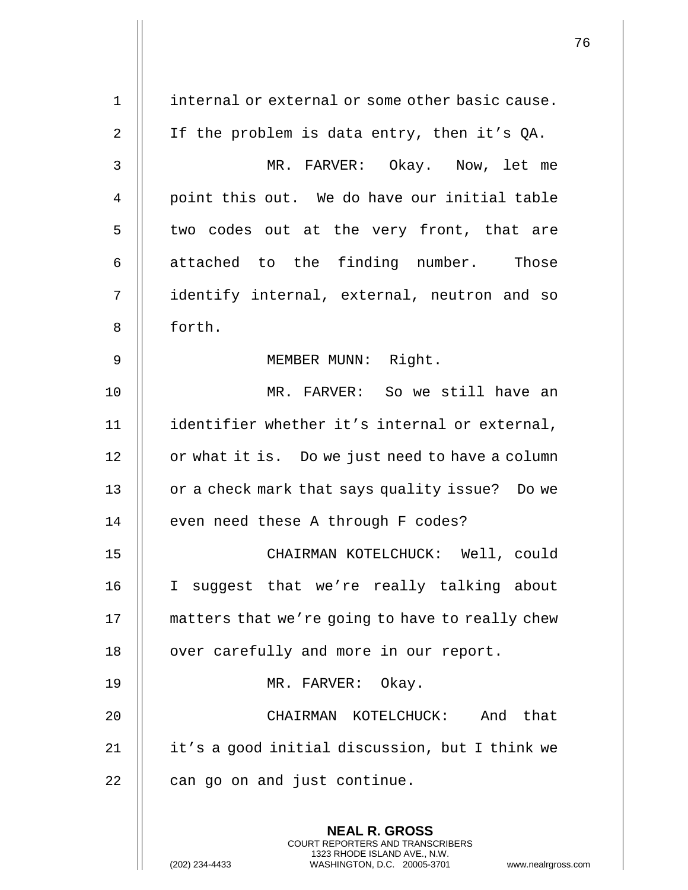| $\mathbf 1$    | internal or external or some other basic cause.                                                   |
|----------------|---------------------------------------------------------------------------------------------------|
| $\overline{2}$ | If the problem is data entry, then it's QA.                                                       |
| 3              | MR. FARVER: Okay. Now, let me                                                                     |
| 4              | point this out. We do have our initial table                                                      |
| 5              | two codes out at the very front, that are                                                         |
| $\epsilon$     | attached to the finding number. Those                                                             |
| 7              | identify internal, external, neutron and so                                                       |
| 8              | forth.                                                                                            |
| $\mathsf 9$    | MEMBER MUNN: Right.                                                                               |
| 10             | MR. FARVER: So we still have an                                                                   |
| 11             | identifier whether it's internal or external,                                                     |
| 12             | or what it is. Do we just need to have a column                                                   |
| 13             | or a check mark that says quality issue? Do we                                                    |
| 14             | even need these A through F codes?                                                                |
| 15             | CHAIRMAN KOTELCHUCK: Well, could                                                                  |
| 16             | I suggest that we're really talking about                                                         |
| 17             | matters that we're going to have to really chew                                                   |
| 18             | over carefully and more in our report.                                                            |
| 19             | MR. FARVER: Okay.                                                                                 |
| 20             | CHAIRMAN KOTELCHUCK: And that                                                                     |
| 21             | it's a good initial discussion, but I think we                                                    |
| 22             | can go on and just continue.                                                                      |
|                | <b>NEAL R. GROSS</b><br>COURT REPORTERS AND TRANSCRIBERS                                          |
|                | 1323 RHODE ISLAND AVE., N.W.<br>(202) 234-4433<br>WASHINGTON, D.C. 20005-3701<br>www.nealrgross.o |

 $\mathbf{1}$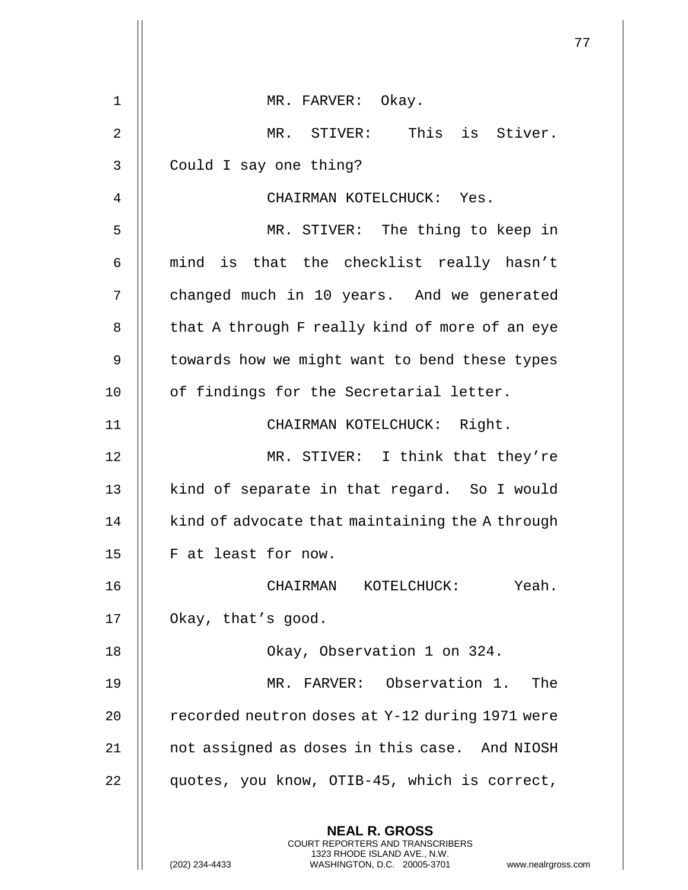|    |                                                                                                                                                                        | 77 |
|----|------------------------------------------------------------------------------------------------------------------------------------------------------------------------|----|
| 1  | MR. FARVER: Okay.                                                                                                                                                      |    |
| 2  | MR. STIVER: This is Stiver.                                                                                                                                            |    |
|    |                                                                                                                                                                        |    |
| 3  | Could I say one thing?                                                                                                                                                 |    |
| 4  | CHAIRMAN KOTELCHUCK: Yes.                                                                                                                                              |    |
| 5  | MR. STIVER: The thing to keep in                                                                                                                                       |    |
| 6  | mind is that the checklist really hasn't                                                                                                                               |    |
| 7  | changed much in 10 years. And we generated                                                                                                                             |    |
| 8  | that A through F really kind of more of an eye                                                                                                                         |    |
| 9  | towards how we might want to bend these types                                                                                                                          |    |
| 10 | of findings for the Secretarial letter.                                                                                                                                |    |
| 11 | CHAIRMAN KOTELCHUCK: Right.                                                                                                                                            |    |
| 12 | MR. STIVER: I think that they're                                                                                                                                       |    |
| 13 | kind of separate in that regard. So I would                                                                                                                            |    |
| 14 | kind of advocate that maintaining the A through                                                                                                                        |    |
| 15 | F at least for now.                                                                                                                                                    |    |
| 16 | CHAIRMAN KOTELCHUCK: Yeah.                                                                                                                                             |    |
| 17 | Okay, that's good.                                                                                                                                                     |    |
| 18 | Okay, Observation 1 on 324.                                                                                                                                            |    |
| 19 | MR. FARVER: Observation 1.<br>The                                                                                                                                      |    |
| 20 | recorded neutron doses at Y-12 during 1971 were                                                                                                                        |    |
| 21 | not assigned as doses in this case. And NIOSH                                                                                                                          |    |
| 22 | quotes, you know, OTIB-45, which is correct,                                                                                                                           |    |
|    | <b>NEAL R. GROSS</b><br><b>COURT REPORTERS AND TRANSCRIBERS</b><br>1323 RHODE ISLAND AVE., N.W.<br>(202) 234-4433<br>WASHINGTON, D.C. 20005-3701<br>www.nealrgross.com |    |

 $\mathbf{I}$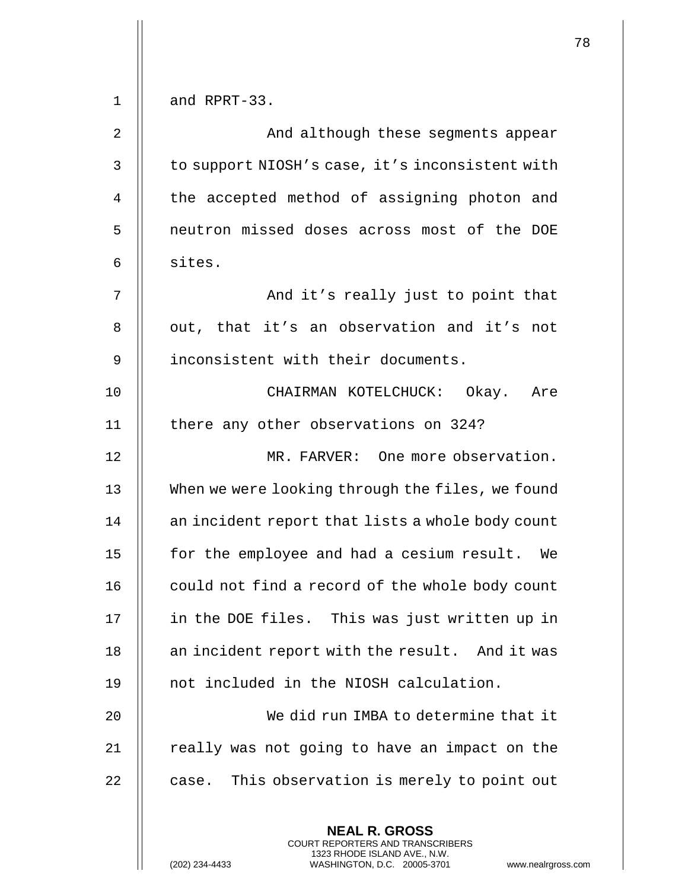|    |                                                                                                                                                                 | 78 |
|----|-----------------------------------------------------------------------------------------------------------------------------------------------------------------|----|
| 1  | and RPRT-33.                                                                                                                                                    |    |
| 2  | And although these segments appear                                                                                                                              |    |
| 3  | to support NIOSH's case, it's inconsistent with                                                                                                                 |    |
| 4  | the accepted method of assigning photon and                                                                                                                     |    |
| 5  | neutron missed doses across most of the DOE                                                                                                                     |    |
| 6  | sites.                                                                                                                                                          |    |
| 7  | And it's really just to point that                                                                                                                              |    |
| 8  | out, that it's an observation and it's not                                                                                                                      |    |
| 9  | inconsistent with their documents.                                                                                                                              |    |
| 10 | CHAIRMAN KOTELCHUCK: Okay. Are                                                                                                                                  |    |
| 11 | there any other observations on 324?                                                                                                                            |    |
| 12 | MR. FARVER: One more observation.                                                                                                                               |    |
| 13 | When we were looking through the files, we found                                                                                                                |    |
|    |                                                                                                                                                                 |    |
| 14 | an incident report that lists a whole body count                                                                                                                |    |
| 15 | for the employee and had a cesium result. We                                                                                                                    |    |
| 16 | could not find a record of the whole body count                                                                                                                 |    |
| 17 | in the DOE files. This was just written up in                                                                                                                   |    |
| 18 | an incident report with the result. And it was                                                                                                                  |    |
| 19 | not included in the NIOSH calculation.                                                                                                                          |    |
| 20 | We did run IMBA to determine that it                                                                                                                            |    |
| 21 | really was not going to have an impact on the                                                                                                                   |    |
| 22 | case. This observation is merely to point out                                                                                                                   |    |
|    | <b>NEAL R. GROSS</b><br>COURT REPORTERS AND TRANSCRIBERS<br>1323 RHODE ISLAND AVE., N.W.<br>(202) 234-4433<br>WASHINGTON, D.C. 20005-3701<br>www.nealrgross.com |    |

 $\mathbf{1}$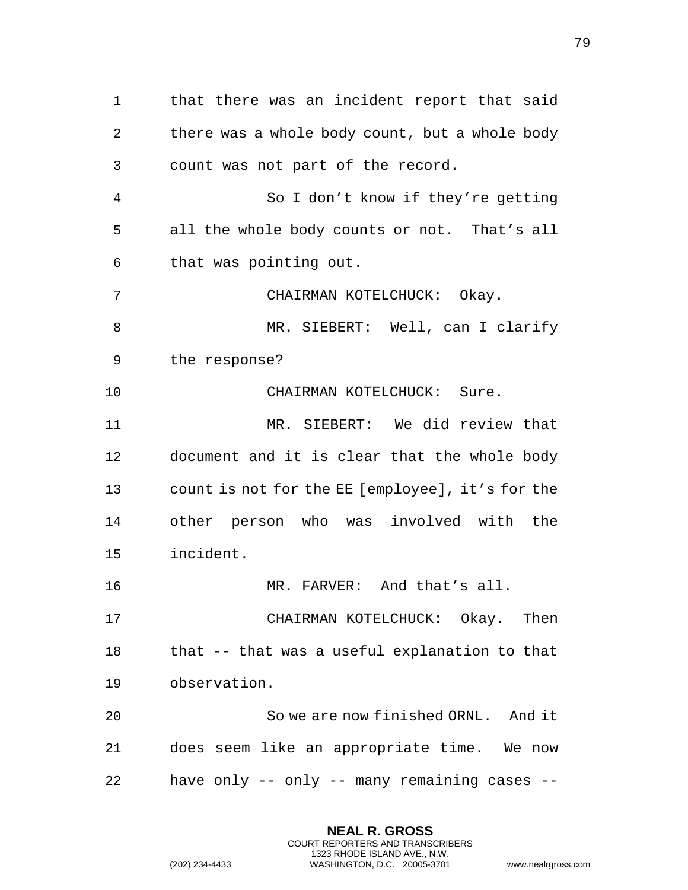**NEAL R. GROSS** COURT REPORTERS AND TRANSCRIBERS 1323 RHODE ISLAND AVE., N.W. (202) 234-4433 WASHINGTON, D.C. 20005-3701 www.nealrgross.com 1 || that there was an incident report that said 2 | there was a whole body count, but a whole body  $3 \parallel$  count was not part of the record. 4 || So I don't know if they're getting 5 || all the whole body counts or not. That's all  $6$  || that was pointing out. 7 CHAIRMAN KOTELCHUCK: Okay. 8 MR. SIEBERT: Well, can I clarify  $9$  | the response? 10 CHAIRMAN KOTELCHUCK: Sure. 11 MR. SIEBERT: We did review that 12 | document and it is clear that the whole body 13 | count is not for the EE [employee], it's for the 14 || other person who was involved with the 15 incident. 16 MR. FARVER: And that's all. 17 CHAIRMAN KOTELCHUCK: Okay. Then 18  $\parallel$  that -- that was a useful explanation to that 19 observation. 20 || So we are now finished ORNL. And it 21 does seem like an appropriate time. We now  $22$  || have only -- only -- many remaining cases --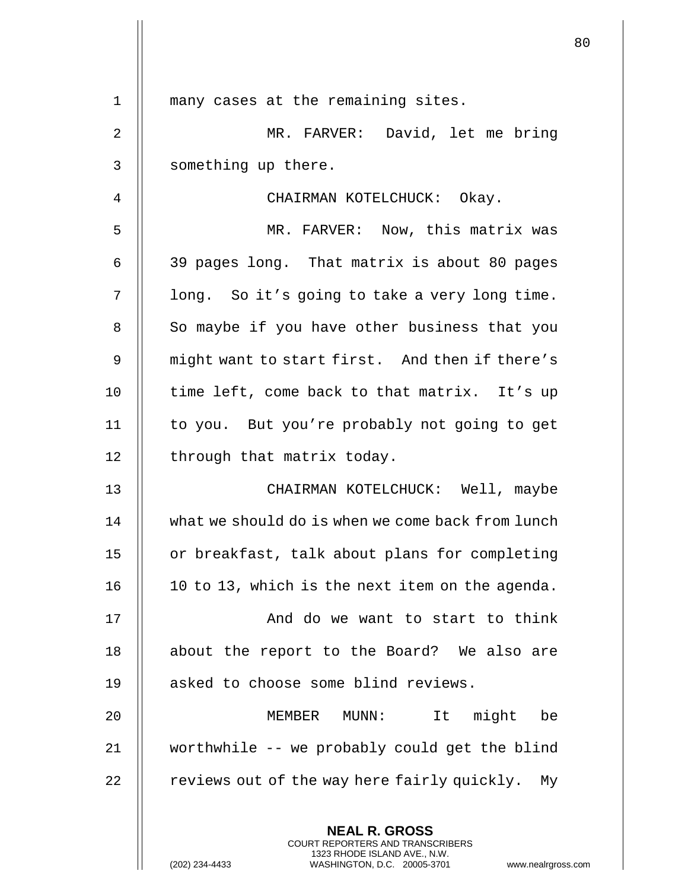|    |                                                                                                                                                                        | 80 |
|----|------------------------------------------------------------------------------------------------------------------------------------------------------------------------|----|
| 1  | many cases at the remaining sites.                                                                                                                                     |    |
| 2  | MR. FARVER: David, let me bring                                                                                                                                        |    |
|    |                                                                                                                                                                        |    |
| 3  | something up there.                                                                                                                                                    |    |
| 4  | CHAIRMAN KOTELCHUCK: Okay.                                                                                                                                             |    |
| 5  | MR. FARVER: Now, this matrix was                                                                                                                                       |    |
| 6  | 39 pages long. That matrix is about 80 pages                                                                                                                           |    |
| 7  | long. So it's going to take a very long time.                                                                                                                          |    |
| 8  | So maybe if you have other business that you                                                                                                                           |    |
| 9  | might want to start first. And then if there's                                                                                                                         |    |
| 10 | time left, come back to that matrix. It's up                                                                                                                           |    |
| 11 | to you. But you're probably not going to get                                                                                                                           |    |
| 12 | through that matrix today.                                                                                                                                             |    |
| 13 | CHAIRMAN KOTELCHUCK: Well, maybe                                                                                                                                       |    |
| 14 | what we should do is when we come back from lunch                                                                                                                      |    |
| 15 | or breakfast, talk about plans for completing                                                                                                                          |    |
| 16 | 10 to 13, which is the next item on the agenda.                                                                                                                        |    |
| 17 | And do we want to start to think                                                                                                                                       |    |
| 18 | about the report to the Board? We also are                                                                                                                             |    |
| 19 | asked to choose some blind reviews.                                                                                                                                    |    |
| 20 | It might be<br>MEMBER MUNN:                                                                                                                                            |    |
| 21 | worthwhile -- we probably could get the blind                                                                                                                          |    |
| 22 | reviews out of the way here fairly quickly. My                                                                                                                         |    |
|    | <b>NEAL R. GROSS</b><br><b>COURT REPORTERS AND TRANSCRIBERS</b><br>1323 RHODE ISLAND AVE., N.W.<br>(202) 234-4433<br>WASHINGTON, D.C. 20005-3701<br>www.nealrgross.com |    |

 $\mathbf{I}$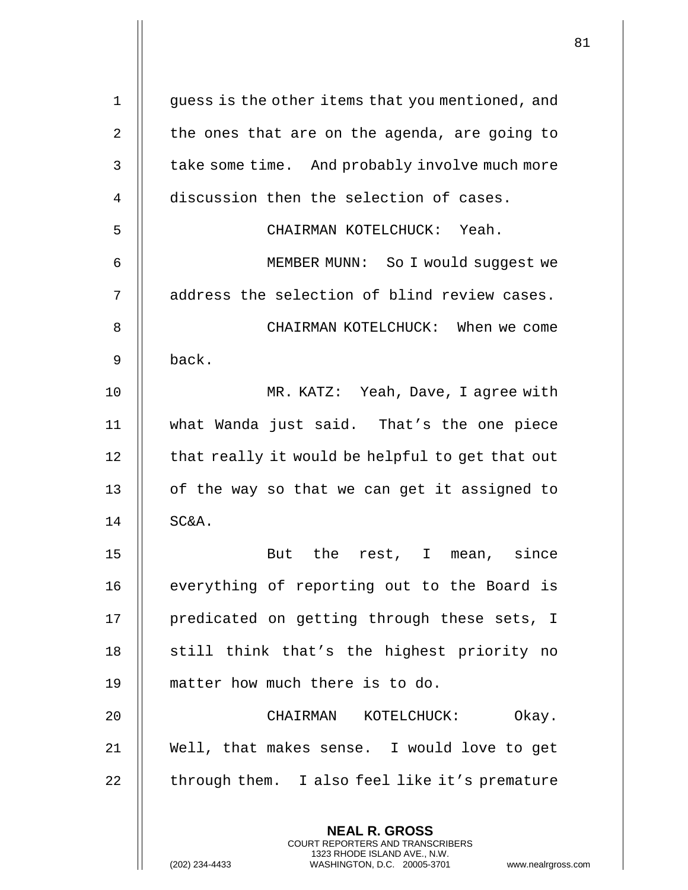| $\mathbf 1$    | guess is the other items that you mentioned, and                                                                                                          |
|----------------|-----------------------------------------------------------------------------------------------------------------------------------------------------------|
| $\overline{2}$ | the ones that are on the agenda, are going to                                                                                                             |
| 3              | take some time. And probably involve much more                                                                                                            |
| 4              | discussion then the selection of cases.                                                                                                                   |
| 5              | CHAIRMAN KOTELCHUCK: Yeah.                                                                                                                                |
| 6              | MEMBER MUNN: So I would suggest we                                                                                                                        |
| 7              | address the selection of blind review cases.                                                                                                              |
| 8              | CHAIRMAN KOTELCHUCK: When we come                                                                                                                         |
| 9              | back.                                                                                                                                                     |
| 10             | MR. KATZ: Yeah, Dave, I agree with                                                                                                                        |
| 11             | what Wanda just said. That's the one piece                                                                                                                |
| 12             | that really it would be helpful to get that out                                                                                                           |
| 13             | of the way so that we can get it assigned to                                                                                                              |
| 14             | SC&A.                                                                                                                                                     |
| 15             | But the rest, I mean, since                                                                                                                               |
| 16             | everything of reporting out to the Board is                                                                                                               |
| 17             | predicated on getting through these sets, I                                                                                                               |
| 18             | still think that's the highest priority no                                                                                                                |
| 19             | matter how much there is to do.                                                                                                                           |
| 20             | Okay.<br>CHAIRMAN KOTELCHUCK:                                                                                                                             |
| 21             | Well, that makes sense. I would love to get                                                                                                               |
| 22             | through them. I also feel like it's premature                                                                                                             |
|                | <b>NEAL R. GROSS</b><br>COURT REPORTERS AND TRANSCRIBERS<br>1323 RHODE ISLAND AVE., N.W.<br>(202) 234-4433<br>WASHINGTON, D.C. 20005-3701 www.nealrgross. |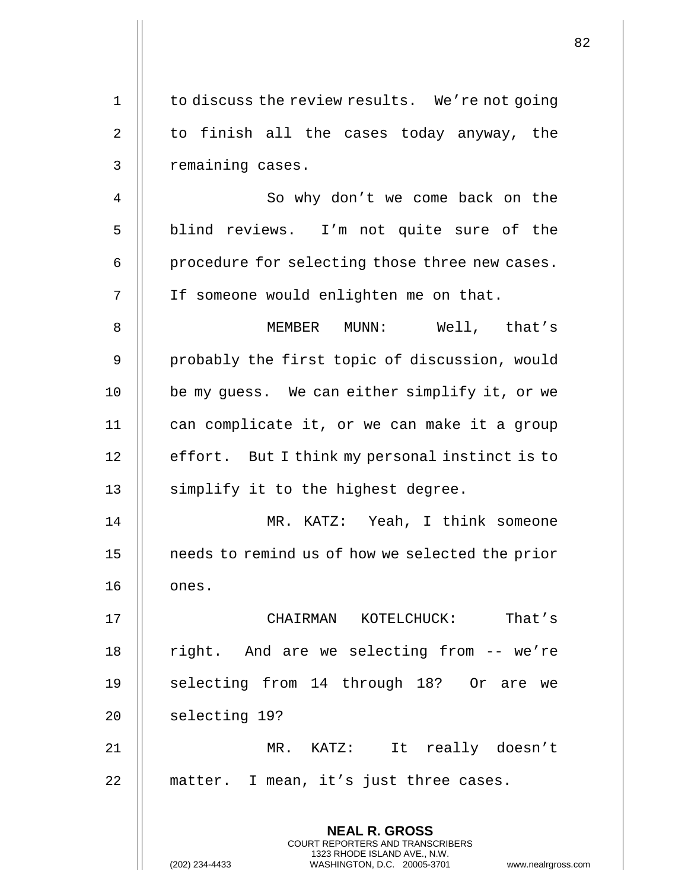|                |                                                                                                                                                                        | 82 |
|----------------|------------------------------------------------------------------------------------------------------------------------------------------------------------------------|----|
| 1              | to discuss the review results. We're not going                                                                                                                         |    |
| $\overline{2}$ | to finish all the cases today anyway, the                                                                                                                              |    |
| 3              | remaining cases.                                                                                                                                                       |    |
| 4              | So why don't we come back on the                                                                                                                                       |    |
| 5              | blind reviews. I'm not quite sure of the                                                                                                                               |    |
| 6              | procedure for selecting those three new cases.                                                                                                                         |    |
| 7              | If someone would enlighten me on that.                                                                                                                                 |    |
| 8              | MEMBER MUNN: Well, that's                                                                                                                                              |    |
| 9              | probably the first topic of discussion, would                                                                                                                          |    |
| 10             | be my guess. We can either simplify it, or we                                                                                                                          |    |
| 11             | can complicate it, or we can make it a group                                                                                                                           |    |
| 12             | effort. But I think my personal instinct is to                                                                                                                         |    |
| 13             | simplify it to the highest degree.                                                                                                                                     |    |
| 14             | MR. KATZ: Yeah, I think someone                                                                                                                                        |    |
| 15             | needs to remind us of how we selected the prior                                                                                                                        |    |
| 16             | ones.                                                                                                                                                                  |    |
| 17             | CHAIRMAN KOTELCHUCK:<br>That's                                                                                                                                         |    |
| 18             | right. And are we selecting from -- we're                                                                                                                              |    |
| 19             | selecting from 14 through 18? Or are we                                                                                                                                |    |
| 20             | selecting 19?                                                                                                                                                          |    |
| 21             | $MR.$ $KATZ:$<br>It really doesn't                                                                                                                                     |    |
| 22             | matter. I mean, it's just three cases.                                                                                                                                 |    |
|                | <b>NEAL R. GROSS</b><br><b>COURT REPORTERS AND TRANSCRIBERS</b><br>1323 RHODE ISLAND AVE., N.W.<br>(202) 234-4433<br>WASHINGTON, D.C. 20005-3701<br>www.nealrgross.com |    |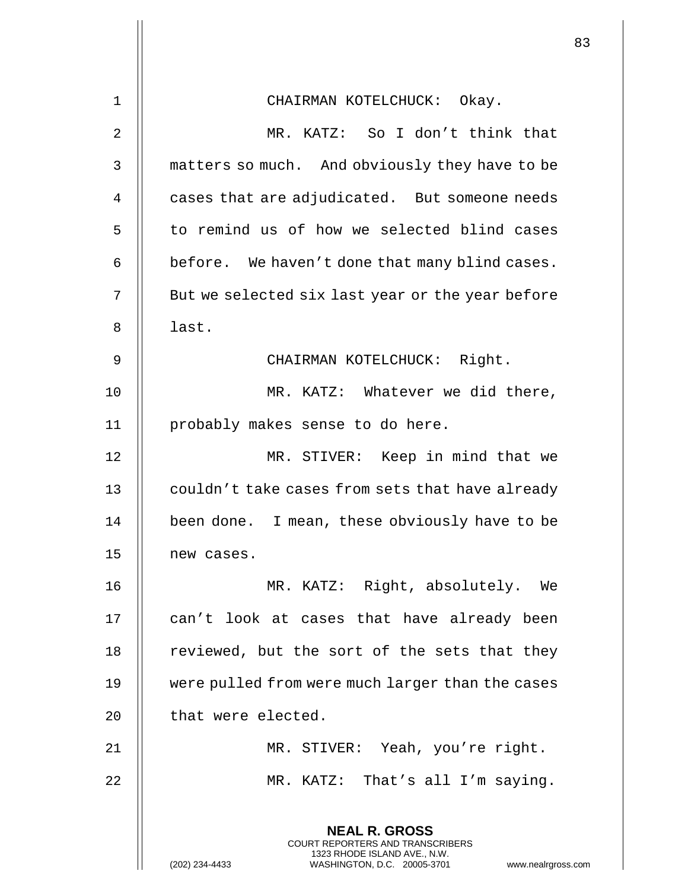| 1              | CHAIRMAN KOTELCHUCK: Okay.                                                                                                                  |
|----------------|---------------------------------------------------------------------------------------------------------------------------------------------|
| $\overline{a}$ | MR. KATZ: So I don't think that                                                                                                             |
| $\mathsf{3}$   | matters so much. And obviously they have to be                                                                                              |
| $\overline{4}$ | cases that are adjudicated. But someone needs                                                                                               |
| 5              | to remind us of how we selected blind cases                                                                                                 |
| 6              | before. We haven't done that many blind cases.                                                                                              |
| 7              | But we selected six last year or the year before                                                                                            |
| 8              | last.                                                                                                                                       |
| 9              | CHAIRMAN KOTELCHUCK: Right.                                                                                                                 |
| 10             | MR. KATZ: Whatever we did there,                                                                                                            |
| 11             | probably makes sense to do here.                                                                                                            |
| 12             | MR. STIVER: Keep in mind that we                                                                                                            |
| 13             | couldn't take cases from sets that have already                                                                                             |
| 14             | been done. I mean, these obviously have to be                                                                                               |
| 15             | new cases.                                                                                                                                  |
| 16             | MR. KATZ: Right, absolutely. We                                                                                                             |
| 17             | can't look at cases that have already been                                                                                                  |
| 18             | reviewed, but the sort of the sets that they                                                                                                |
| 19             | were pulled from were much larger than the cases                                                                                            |
| 20             | that were elected.                                                                                                                          |
| 21             | MR. STIVER: Yeah, you're right.                                                                                                             |
| 22             | MR. KATZ: That's all I'm saying.                                                                                                            |
|                | <b>NEAL R. GROSS</b>                                                                                                                        |
|                | <b>COURT REPORTERS AND TRANSCRIBERS</b><br>1323 RHODE ISLAND AVE., N.W.<br>(202) 234-4433<br>WASHINGTON, D.C. 20005-3701<br>www.nealrgross. |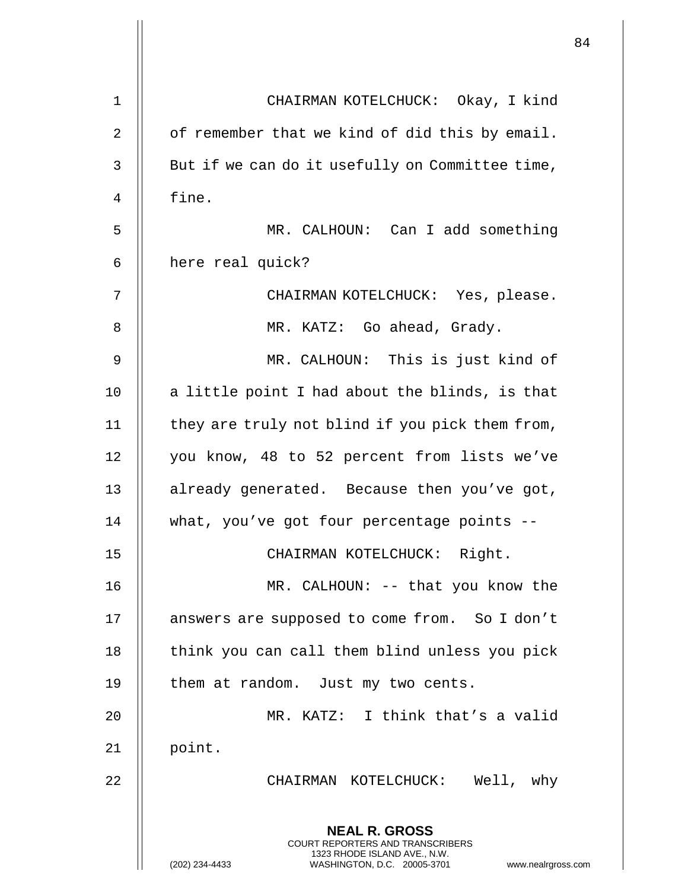|    |                                                                                                                                                                        | 84 |
|----|------------------------------------------------------------------------------------------------------------------------------------------------------------------------|----|
| 1  | CHAIRMAN KOTELCHUCK: Okay, I kind                                                                                                                                      |    |
| 2  | of remember that we kind of did this by email.                                                                                                                         |    |
| 3  | But if we can do it usefully on Committee time,                                                                                                                        |    |
| 4  | fine.                                                                                                                                                                  |    |
| 5  | MR. CALHOUN: Can I add something                                                                                                                                       |    |
| 6  | here real quick?                                                                                                                                                       |    |
| 7  | CHAIRMAN KOTELCHUCK: Yes, please.                                                                                                                                      |    |
| 8  | MR. KATZ: Go ahead, Grady.                                                                                                                                             |    |
| 9  | MR. CALHOUN: This is just kind of                                                                                                                                      |    |
| 10 | a little point I had about the blinds, is that                                                                                                                         |    |
| 11 | they are truly not blind if you pick them from,                                                                                                                        |    |
| 12 | you know, 48 to 52 percent from lists we've                                                                                                                            |    |
| 13 | already generated. Because then you've got,                                                                                                                            |    |
| 14 | what, you've got four percentage points --                                                                                                                             |    |
| 15 | CHAIRMAN KOTELCHUCK: Right.                                                                                                                                            |    |
| 16 | MR. CALHOUN: -- that you know the                                                                                                                                      |    |
| 17 | answers are supposed to come from. So I don't                                                                                                                          |    |
| 18 | think you can call them blind unless you pick                                                                                                                          |    |
| 19 | them at random. Just my two cents.                                                                                                                                     |    |
| 20 | MR. KATZ: I think that's a valid                                                                                                                                       |    |
| 21 | point.                                                                                                                                                                 |    |
| 22 | CHAIRMAN KOTELCHUCK: Well, why                                                                                                                                         |    |
|    | <b>NEAL R. GROSS</b><br><b>COURT REPORTERS AND TRANSCRIBERS</b><br>1323 RHODE ISLAND AVE., N.W.<br>(202) 234-4433<br>WASHINGTON, D.C. 20005-3701<br>www.nealrgross.com |    |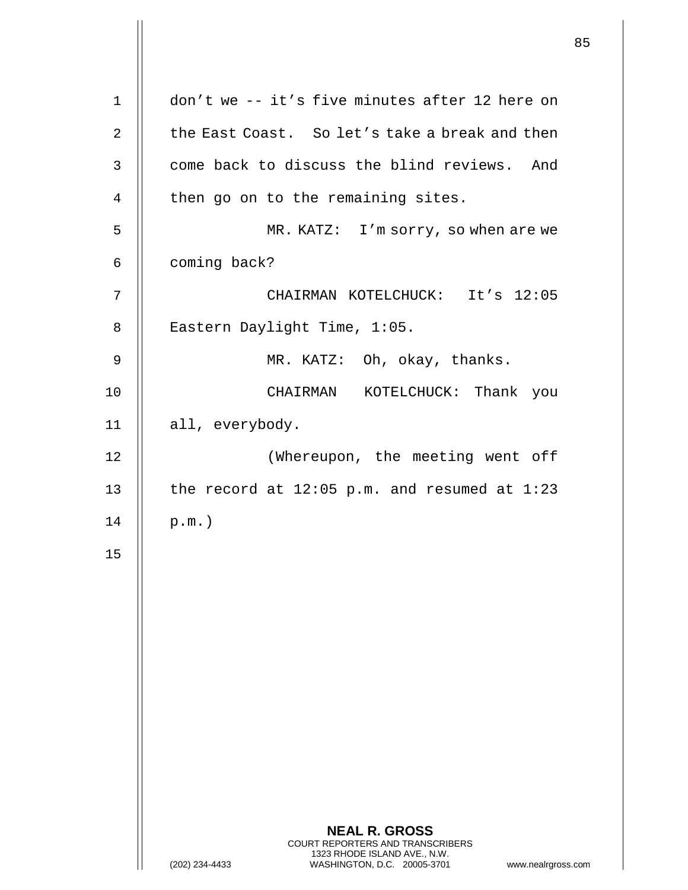|                |                                                                                                                                                                        | 85 |
|----------------|------------------------------------------------------------------------------------------------------------------------------------------------------------------------|----|
| $\mathbf 1$    | don't we -- it's five minutes after 12 here on                                                                                                                         |    |
| $\overline{2}$ | the East Coast. So let's take a break and then                                                                                                                         |    |
| 3              | come back to discuss the blind reviews. And                                                                                                                            |    |
| $\overline{4}$ | then go on to the remaining sites.                                                                                                                                     |    |
| 5              | MR. KATZ: I'm sorry, so when are we                                                                                                                                    |    |
| 6              | coming back?                                                                                                                                                           |    |
| 7              | CHAIRMAN KOTELCHUCK: It's 12:05                                                                                                                                        |    |
| 8              | Eastern Daylight Time, 1:05.                                                                                                                                           |    |
| 9              | MR. KATZ: Oh, okay, thanks.                                                                                                                                            |    |
| 10             | CHAIRMAN KOTELCHUCK: Thank you                                                                                                                                         |    |
| 11             | all, everybody.                                                                                                                                                        |    |
| 12             | (Whereupon, the meeting went off                                                                                                                                       |    |
| 13             | the record at $12:05$ p.m. and resumed at $1:23$                                                                                                                       |    |
| 14             | $p.m.$ )                                                                                                                                                               |    |
| 15             |                                                                                                                                                                        |    |
|                |                                                                                                                                                                        |    |
|                |                                                                                                                                                                        |    |
|                |                                                                                                                                                                        |    |
|                |                                                                                                                                                                        |    |
|                |                                                                                                                                                                        |    |
|                |                                                                                                                                                                        |    |
|                |                                                                                                                                                                        |    |
|                |                                                                                                                                                                        |    |
|                | <b>NEAL R. GROSS</b><br><b>COURT REPORTERS AND TRANSCRIBERS</b><br>1323 RHODE ISLAND AVE., N.W.<br>(202) 234-4433<br>WASHINGTON, D.C. 20005-3701<br>www.nealrgross.com |    |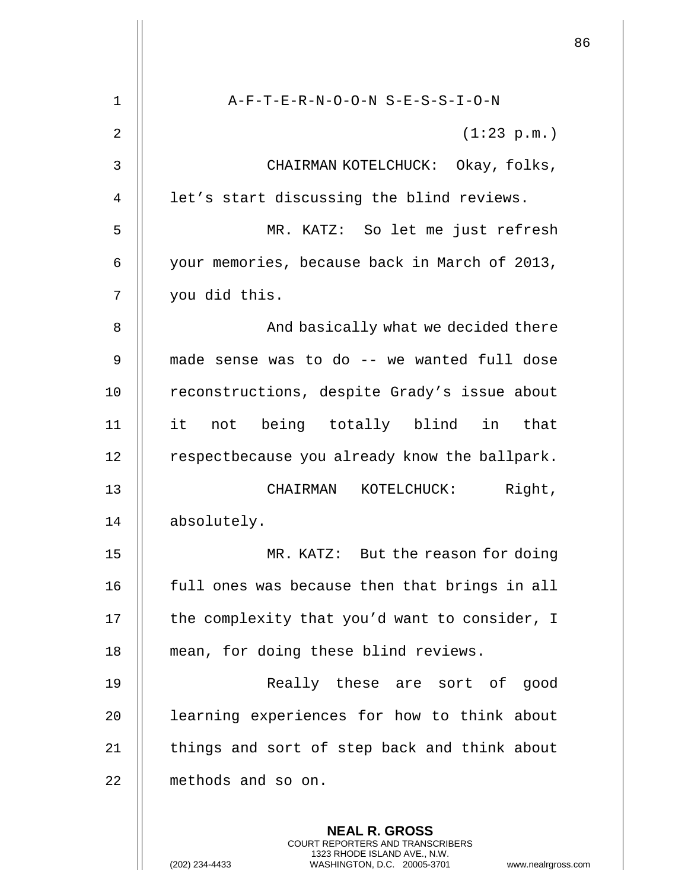|    |                                                                                                                                                                 | 86 |
|----|-----------------------------------------------------------------------------------------------------------------------------------------------------------------|----|
| 1  | A-F-T-E-R-N-O-O-N S-E-S-S-I-O-N                                                                                                                                 |    |
| 2  | (1:23 p.m.)                                                                                                                                                     |    |
| 3  | CHAIRMAN KOTELCHUCK: Okay, folks,                                                                                                                               |    |
| 4  | let's start discussing the blind reviews.                                                                                                                       |    |
| 5  | MR. KATZ: So let me just refresh                                                                                                                                |    |
| 6  | your memories, because back in March of 2013,                                                                                                                   |    |
| 7  | you did this.                                                                                                                                                   |    |
| 8  | And basically what we decided there                                                                                                                             |    |
| 9  | made sense was to do -- we wanted full dose                                                                                                                     |    |
| 10 | reconstructions, despite Grady's issue about                                                                                                                    |    |
| 11 | not being totally blind in<br>it<br>that                                                                                                                        |    |
| 12 | respectbecause you already know the ballpark.                                                                                                                   |    |
| 13 | Right,<br>CHAIRMAN KOTELCHUCK:                                                                                                                                  |    |
| 14 | absolutely.                                                                                                                                                     |    |
| 15 | MR. KATZ: But the reason for doing                                                                                                                              |    |
| 16 | full ones was because then that brings in all                                                                                                                   |    |
| 17 | the complexity that you'd want to consider, I                                                                                                                   |    |
| 18 | mean, for doing these blind reviews.                                                                                                                            |    |
| 19 | Really these are sort of good                                                                                                                                   |    |
| 20 | learning experiences for how to think about                                                                                                                     |    |
| 21 | things and sort of step back and think about                                                                                                                    |    |
| 22 | methods and so on.                                                                                                                                              |    |
|    | <b>NEAL R. GROSS</b><br>COURT REPORTERS AND TRANSCRIBERS<br>1323 RHODE ISLAND AVE., N.W.<br>(202) 234-4433<br>WASHINGTON, D.C. 20005-3701<br>www.nealrgross.com |    |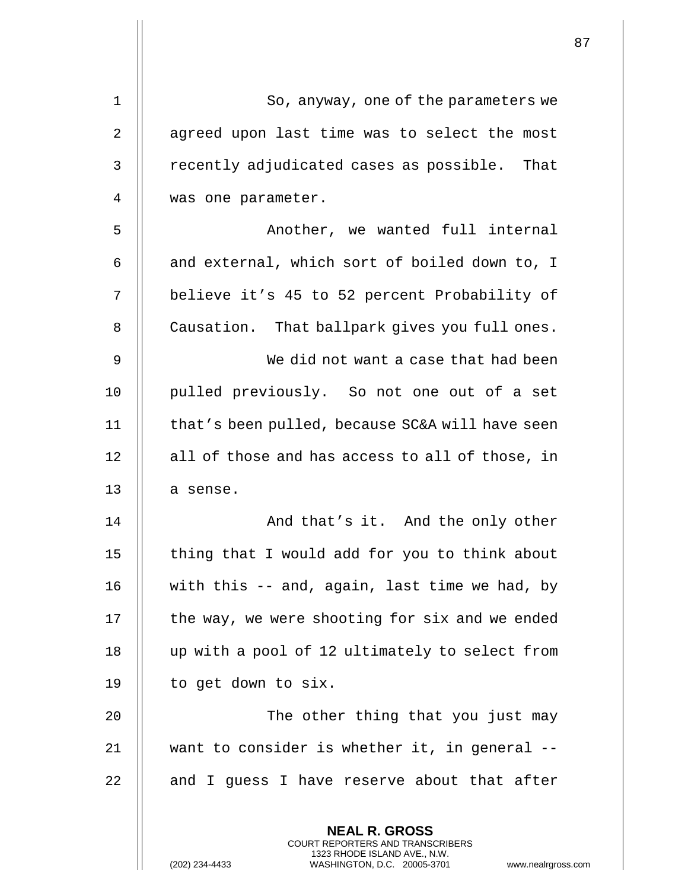| $\mathbf{1}$ | So, anyway, one of the parameters we                                                                                                                                   |
|--------------|------------------------------------------------------------------------------------------------------------------------------------------------------------------------|
| 2            | agreed upon last time was to select the most                                                                                                                           |
| 3            | recently adjudicated cases as possible. That                                                                                                                           |
| 4            | was one parameter.                                                                                                                                                     |
| 5            | Another, we wanted full internal                                                                                                                                       |
| 6            | and external, which sort of boiled down to, I                                                                                                                          |
| 7            | believe it's 45 to 52 percent Probability of                                                                                                                           |
| 8            | Causation. That ballpark gives you full ones.                                                                                                                          |
| 9            | We did not want a case that had been                                                                                                                                   |
| 10           | pulled previously. So not one out of a set                                                                                                                             |
| 11           | that's been pulled, because SC&A will have seen                                                                                                                        |
| 12           | all of those and has access to all of those, in                                                                                                                        |
| 13           | a sense.                                                                                                                                                               |
| 14           | And that's it. And the only other                                                                                                                                      |
| 15           | thing that I would add for you to think about                                                                                                                          |
| 16           | with this -- and, again, last time we had, by                                                                                                                          |
| 17           | the way, we were shooting for six and we ended                                                                                                                         |
| 18           | up with a pool of 12 ultimately to select from                                                                                                                         |
| 19           | to get down to six.                                                                                                                                                    |
| 20           | The other thing that you just may                                                                                                                                      |
| 21           | want to consider is whether it, in general --                                                                                                                          |
| 22           | and I guess I have reserve about that after                                                                                                                            |
|              | <b>NEAL R. GROSS</b><br><b>COURT REPORTERS AND TRANSCRIBERS</b><br>1323 RHODE ISLAND AVE., N.W.<br>(202) 234-4433<br>WASHINGTON, D.C. 20005-3701<br>www.nealrgross.com |

 $\mathsf{I}$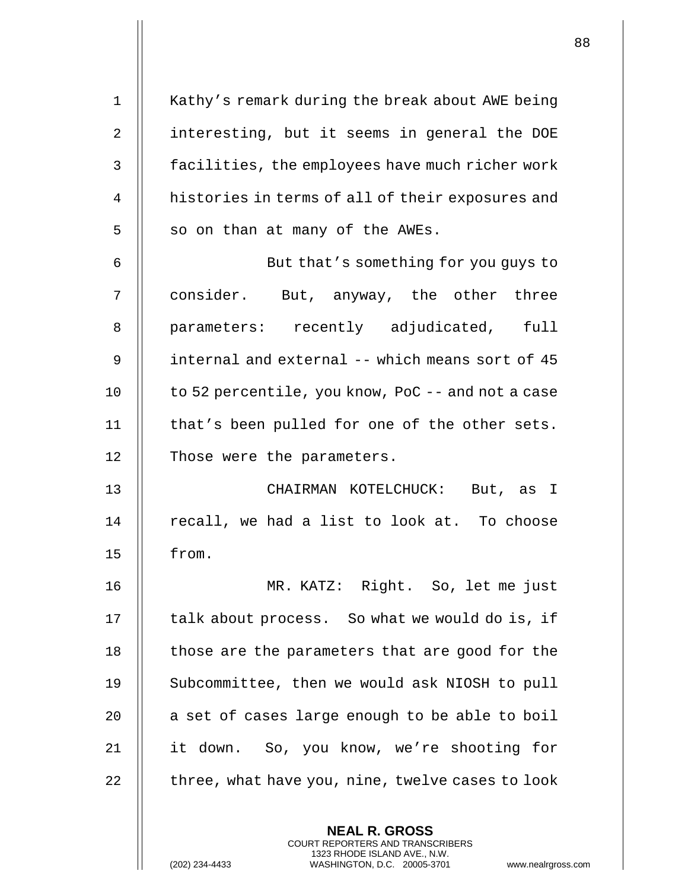| $\mathbf{1}$   | Kathy's remark during the break about AWE being   |
|----------------|---------------------------------------------------|
| $\overline{2}$ | interesting, but it seems in general the DOE      |
| 3              | facilities, the employees have much richer work   |
| 4              | histories in terms of all of their exposures and  |
| 5              | so on than at many of the AWEs.                   |
| 6              | But that's something for you guys to              |
| 7              | consider. But, anyway, the other three            |
| 8              | parameters: recently adjudicated, full            |
| 9              | internal and external -- which means sort of 45   |
| 10             | to 52 percentile, you know, PoC -- and not a case |
| 11             | that's been pulled for one of the other sets.     |
| 12             | Those were the parameters.                        |
| 13             | CHAIRMAN KOTELCHUCK: But, as I                    |
| 14             | recall, we had a list to look at. To choose       |
| 15             | from.                                             |
| 16             | MR. KATZ: Right. So, let me just                  |
| 17             | talk about process. So what we would do is, if    |
| 18             | those are the parameters that are good for the    |
| 19             | Subcommittee, then we would ask NIOSH to pull     |
| 20             | a set of cases large enough to be able to boil    |
| 21             | So, you know, we're shooting for<br>it down.      |
| 22             | three, what have you, nine, twelve cases to look  |
|                |                                                   |

**NEAL R. GROSS** COURT REPORTERS AND TRANSCRIBERS 1323 RHODE ISLAND AVE., N.W.

(202) 234-4433 WASHINGTON, D.C. 20005-3701 www.nealrgross.com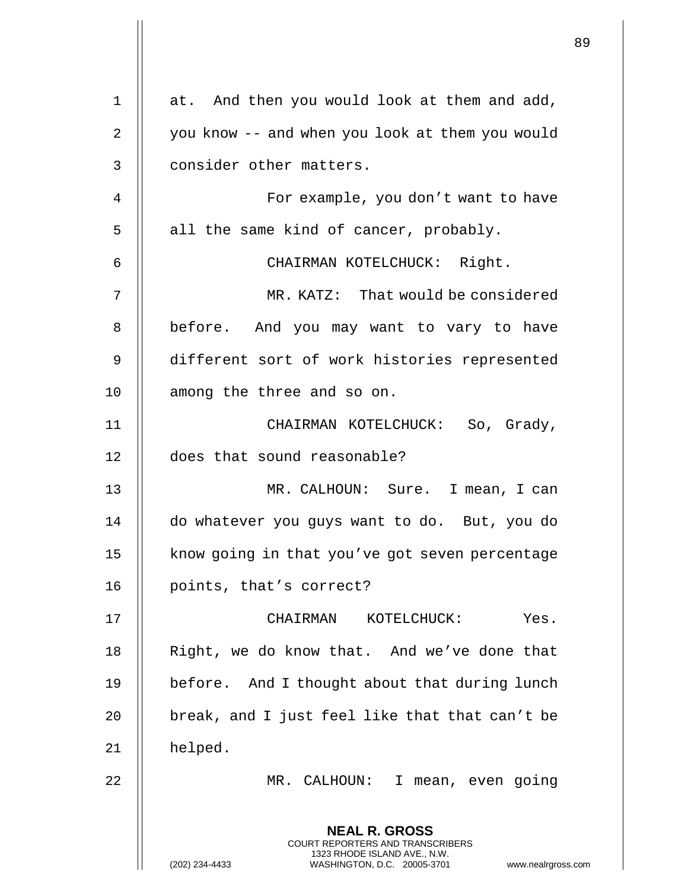|             |                                                                                                                                                              | 89 |
|-------------|--------------------------------------------------------------------------------------------------------------------------------------------------------------|----|
| $\mathbf 1$ | at. And then you would look at them and add,                                                                                                                 |    |
| 2           | you know -- and when you look at them you would                                                                                                              |    |
| 3           | consider other matters.                                                                                                                                      |    |
| 4           | For example, you don't want to have                                                                                                                          |    |
| 5           | all the same kind of cancer, probably.                                                                                                                       |    |
| 6           | CHAIRMAN KOTELCHUCK: Right.                                                                                                                                  |    |
| 7           | MR. KATZ: That would be considered                                                                                                                           |    |
| 8           | before. And you may want to vary to have                                                                                                                     |    |
| 9           | different sort of work histories represented                                                                                                                 |    |
| 10          | among the three and so on.                                                                                                                                   |    |
| 11          | CHAIRMAN KOTELCHUCK: So, Grady,                                                                                                                              |    |
| 12          | does that sound reasonable?                                                                                                                                  |    |
| 13          | MR. CALHOUN: Sure. I mean, I can                                                                                                                             |    |
| 14          | do whatever you guys want to do. But, you do                                                                                                                 |    |
| 15          | know going in that you've got seven percentage                                                                                                               |    |
| 16          | points, that's correct?                                                                                                                                      |    |
| 17          | CHAIRMAN KOTELCHUCK:<br>Yes.                                                                                                                                 |    |
| 18          | Right, we do know that. And we've done that                                                                                                                  |    |
| 19          | before. And I thought about that during lunch                                                                                                                |    |
| 20          | break, and I just feel like that that can't be                                                                                                               |    |
| 21          | helped.                                                                                                                                                      |    |
| 22          | MR. CALHOUN: I mean, even going                                                                                                                              |    |
|             | <b>NEAL R. GROSS</b><br>COURT REPORTERS AND TRANSCRIBERS<br>1323 RHODE ISLAND AVE., N.W.<br>(202) 234-4433<br>WASHINGTON, D.C. 20005-3701 www.nealrgross.com |    |

 $\overline{\phantom{a}}$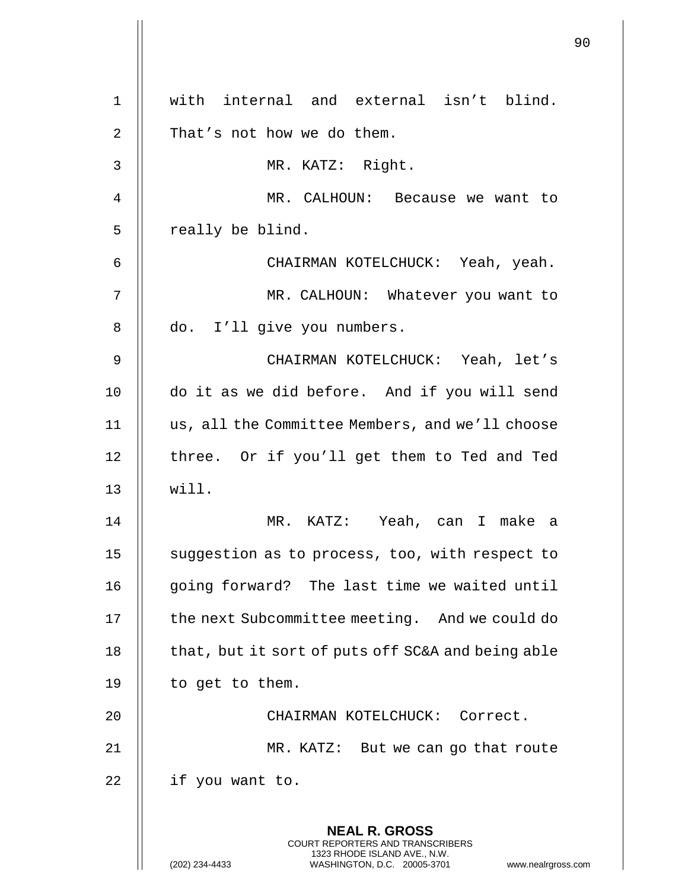| $\mathbf 1$ | with internal and external isn't blind.                                                                                                                             |
|-------------|---------------------------------------------------------------------------------------------------------------------------------------------------------------------|
| $\mathbf 2$ | That's not how we do them.                                                                                                                                          |
| 3           | MR. KATZ: Right.                                                                                                                                                    |
| 4           | MR. CALHOUN: Because we want to                                                                                                                                     |
| 5           | really be blind.                                                                                                                                                    |
| 6           | CHAIRMAN KOTELCHUCK: Yeah, yeah.                                                                                                                                    |
| 7           | MR. CALHOUN: Whatever you want to                                                                                                                                   |
| 8           | do. I'll give you numbers.                                                                                                                                          |
| 9           | CHAIRMAN KOTELCHUCK: Yeah, let's                                                                                                                                    |
| 10          | do it as we did before. And if you will send                                                                                                                        |
| 11          | us, all the Committee Members, and we'll choose                                                                                                                     |
| 12          | three. Or if you'll get them to Ted and Ted                                                                                                                         |
| 13          | will.                                                                                                                                                               |
| 14          | MR. KATZ: Yeah, can I make a                                                                                                                                        |
| 15          | suggestion as to process, too, with respect to                                                                                                                      |
| 16          | going forward? The last time we waited until                                                                                                                        |
| 17          | the next Subcommittee meeting. And we could do                                                                                                                      |
| 18          | that, but it sort of puts off SC&A and being able                                                                                                                   |
| 19          | to get to them.                                                                                                                                                     |
| 20          | CHAIRMAN KOTELCHUCK: Correct.                                                                                                                                       |
| 21          | MR. KATZ: But we can go that route                                                                                                                                  |
| 22          | if you want to.                                                                                                                                                     |
|             | <b>NEAL R. GROSS</b><br><b>COURT REPORTERS AND TRANSCRIBERS</b><br>1323 RHODE ISLAND AVE., N.W.<br>WASHINGTON, D.C. 20005-3701<br>(202) 234-4433<br>www.nealrgross. |

 $\begin{array}{c} \hline \end{array}$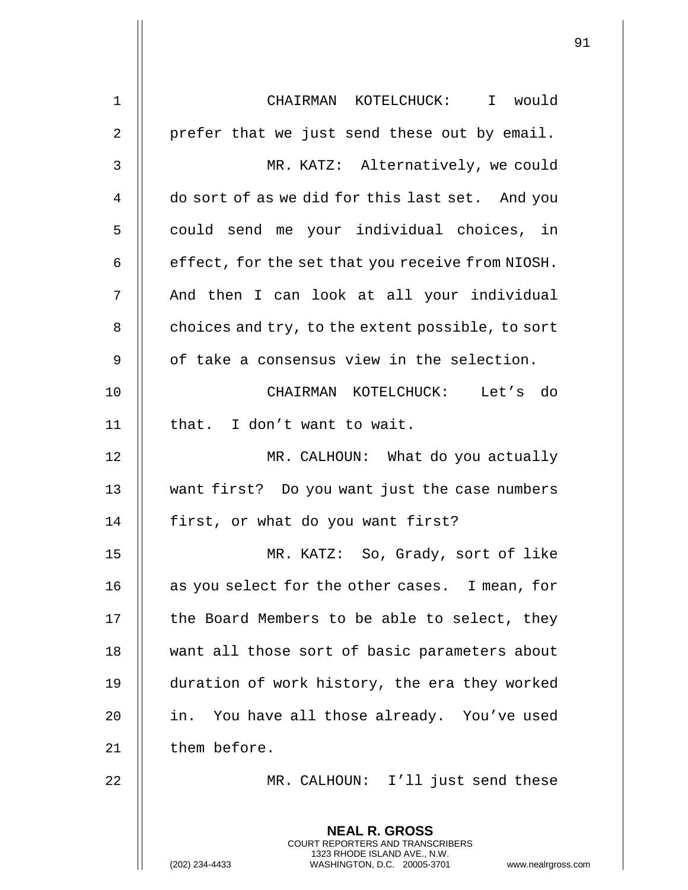| 1  | CHAIRMAN KOTELCHUCK: I would                                                                                                                                    |
|----|-----------------------------------------------------------------------------------------------------------------------------------------------------------------|
| 2  | prefer that we just send these out by email.                                                                                                                    |
| 3  | MR. KATZ: Alternatively, we could                                                                                                                               |
| 4  | do sort of as we did for this last set. And you                                                                                                                 |
| 5  | could send me your individual choices, in                                                                                                                       |
| 6  | effect, for the set that you receive from NIOSH.                                                                                                                |
| 7  | And then I can look at all your individual                                                                                                                      |
| 8  | choices and try, to the extent possible, to sort                                                                                                                |
| 9  | of take a consensus view in the selection.                                                                                                                      |
| 10 | CHAIRMAN KOTELCHUCK: Let's do                                                                                                                                   |
| 11 | that. I don't want to wait.                                                                                                                                     |
| 12 | MR. CALHOUN: What do you actually                                                                                                                               |
| 13 | want first? Do you want just the case numbers                                                                                                                   |
| 14 | first, or what do you want first?                                                                                                                               |
| 15 | MR. KATZ: So, Grady, sort of like                                                                                                                               |
| 16 | as you select for the other cases. I mean, for                                                                                                                  |
| 17 | the Board Members to be able to select, they                                                                                                                    |
| 18 | want all those sort of basic parameters about                                                                                                                   |
| 19 | duration of work history, the era they worked                                                                                                                   |
| 20 | in. You have all those already. You've used                                                                                                                     |
| 21 | them before.                                                                                                                                                    |
| 22 | MR. CALHOUN: I'll just send these                                                                                                                               |
|    | <b>NEAL R. GROSS</b><br>COURT REPORTERS AND TRANSCRIBERS<br>1323 RHODE ISLAND AVE., N.W.<br>(202) 234-4433<br>WASHINGTON, D.C. 20005-3701<br>www.nealrgross.com |

 $\mathsf{II}$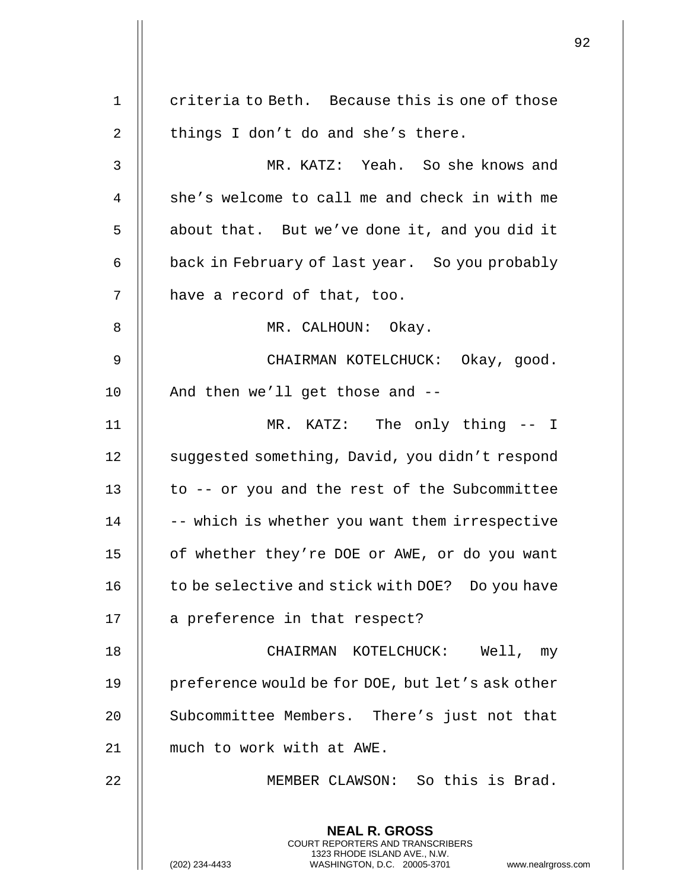|                |                                                                                                                                                                        | 92 |
|----------------|------------------------------------------------------------------------------------------------------------------------------------------------------------------------|----|
| $\mathbf 1$    | criteria to Beth. Because this is one of those                                                                                                                         |    |
|                |                                                                                                                                                                        |    |
| $\overline{2}$ | things I don't do and she's there.                                                                                                                                     |    |
| 3              | MR. KATZ: Yeah. So she knows and                                                                                                                                       |    |
| 4              | she's welcome to call me and check in with me                                                                                                                          |    |
| 5              | about that. But we've done it, and you did it                                                                                                                          |    |
| 6              | back in February of last year. So you probably                                                                                                                         |    |
| 7              | have a record of that, too.                                                                                                                                            |    |
| 8              | MR. CALHOUN: Okay.                                                                                                                                                     |    |
| 9              | CHAIRMAN KOTELCHUCK: Okay, good.                                                                                                                                       |    |
| 10             | And then we'll get those and --                                                                                                                                        |    |
| 11             | MR. KATZ: The only thing -- I                                                                                                                                          |    |
| 12             | suggested something, David, you didn't respond                                                                                                                         |    |
| 13             | to -- or you and the rest of the Subcommittee                                                                                                                          |    |
| 14             | -- which is whether you want them irrespective                                                                                                                         |    |
| 15             | of whether they're DOE or AWE, or do you want                                                                                                                          |    |
| 16             | to be selective and stick with DOE? Do you have                                                                                                                        |    |
| 17             | a preference in that respect?                                                                                                                                          |    |
| 18             | CHAIRMAN KOTELCHUCK: Well, my                                                                                                                                          |    |
| 19             | preference would be for DOE, but let's ask other                                                                                                                       |    |
| 20             | Subcommittee Members. There's just not that                                                                                                                            |    |
| 21             | much to work with at AWE.                                                                                                                                              |    |
| 22             | MEMBER CLAWSON: So this is Brad.                                                                                                                                       |    |
|                | <b>NEAL R. GROSS</b><br><b>COURT REPORTERS AND TRANSCRIBERS</b><br>1323 RHODE ISLAND AVE., N.W.<br>(202) 234-4433<br>WASHINGTON, D.C. 20005-3701<br>www.nealrgross.com |    |

 $\mathbf{1}$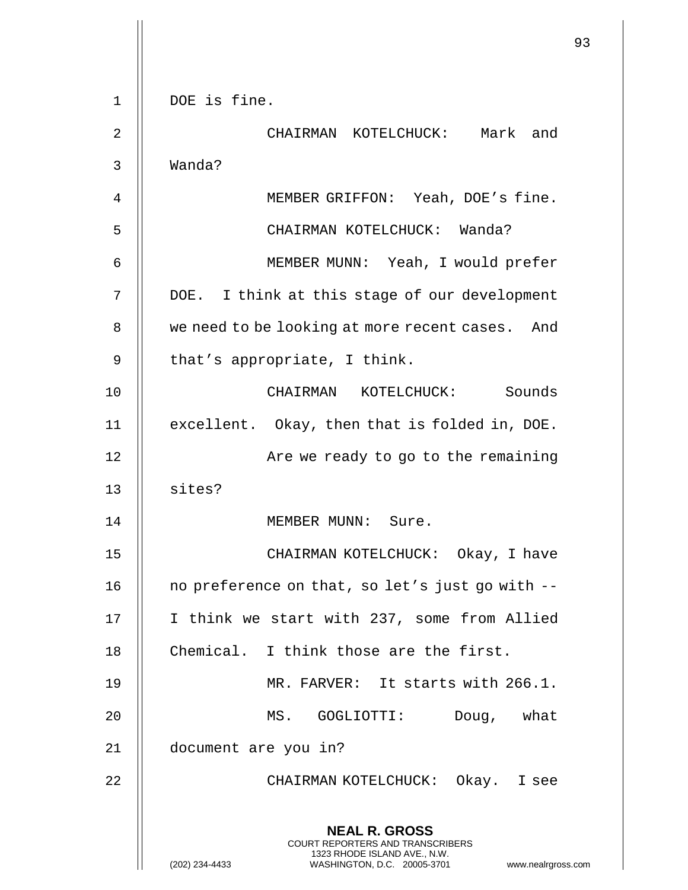|    |                                                                                                                                                                        | 93 |
|----|------------------------------------------------------------------------------------------------------------------------------------------------------------------------|----|
| 1  | DOE is fine.                                                                                                                                                           |    |
| 2  | CHAIRMAN KOTELCHUCK: Mark and                                                                                                                                          |    |
| 3  | Wanda?                                                                                                                                                                 |    |
| 4  | MEMBER GRIFFON: Yeah, DOE's fine.                                                                                                                                      |    |
| 5  | CHAIRMAN KOTELCHUCK: Wanda?                                                                                                                                            |    |
| 6  | MEMBER MUNN: Yeah, I would prefer                                                                                                                                      |    |
| 7  | DOE. I think at this stage of our development                                                                                                                          |    |
| 8  | we need to be looking at more recent cases. And                                                                                                                        |    |
| 9  | that's appropriate, I think.                                                                                                                                           |    |
| 10 | CHAIRMAN KOTELCHUCK: Sounds                                                                                                                                            |    |
| 11 | excellent. Okay, then that is folded in, DOE.                                                                                                                          |    |
| 12 | Are we ready to go to the remaining                                                                                                                                    |    |
| 13 | sites?                                                                                                                                                                 |    |
| 14 | MEMBER MUNN:<br>Sure.                                                                                                                                                  |    |
| 15 | CHAIRMAN KOTELCHUCK: Okay, I have                                                                                                                                      |    |
| 16 | no preference on that, so let's just go with --                                                                                                                        |    |
| 17 | I think we start with 237, some from Allied                                                                                                                            |    |
| 18 | Chemical. I think those are the first.                                                                                                                                 |    |
| 19 | MR. FARVER: It starts with 266.1.                                                                                                                                      |    |
| 20 | MS. GOGLIOTTI:<br>Doug, what                                                                                                                                           |    |
| 21 | document are you in?                                                                                                                                                   |    |
| 22 | CHAIRMAN KOTELCHUCK: Okay. I see                                                                                                                                       |    |
|    | <b>NEAL R. GROSS</b><br><b>COURT REPORTERS AND TRANSCRIBERS</b><br>1323 RHODE ISLAND AVE., N.W.<br>(202) 234-4433<br>WASHINGTON, D.C. 20005-3701<br>www.nealrgross.com |    |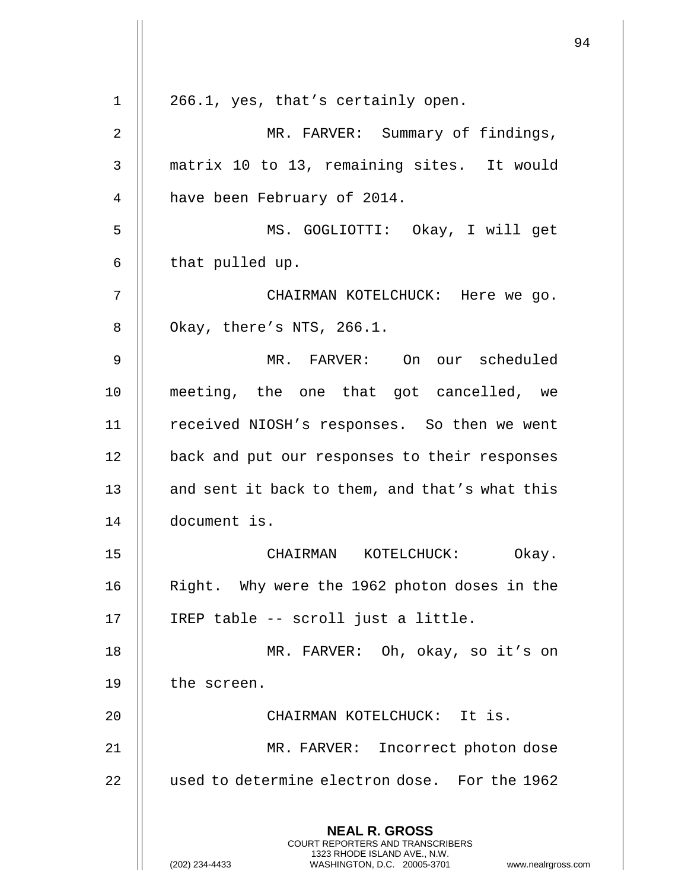|                |                                                                                                                                                                        | 94 |
|----------------|------------------------------------------------------------------------------------------------------------------------------------------------------------------------|----|
| 1              | 266.1, yes, that's certainly open.                                                                                                                                     |    |
| $\overline{2}$ | MR. FARVER: Summary of findings,                                                                                                                                       |    |
| 3              | matrix 10 to 13, remaining sites. It would                                                                                                                             |    |
| 4              | have been February of 2014.                                                                                                                                            |    |
| 5              | MS. GOGLIOTTI: Okay, I will get                                                                                                                                        |    |
|                |                                                                                                                                                                        |    |
| 6              | that pulled up.                                                                                                                                                        |    |
| 7              | CHAIRMAN KOTELCHUCK: Here we go.                                                                                                                                       |    |
| 8              | Okay, there's NTS, 266.1.                                                                                                                                              |    |
| 9              | MR. FARVER: On our scheduled                                                                                                                                           |    |
| 10             | meeting, the one that got cancelled, we                                                                                                                                |    |
| 11             | received NIOSH's responses. So then we went                                                                                                                            |    |
| 12             | back and put our responses to their responses                                                                                                                          |    |
| 13             | and sent it back to them, and that's what this                                                                                                                         |    |
| 14             | document is.                                                                                                                                                           |    |
| 15             | CHAIRMAN KOTELCHUCK:<br>Okay.                                                                                                                                          |    |
| 16             | Right. Why were the 1962 photon doses in the                                                                                                                           |    |
| 17             | IREP table -- scroll just a little.                                                                                                                                    |    |
| 18             | MR. FARVER: Oh, okay, so it's on                                                                                                                                       |    |
| 19             | the screen.                                                                                                                                                            |    |
| 20             | CHAIRMAN KOTELCHUCK: It is.                                                                                                                                            |    |
| 21             | MR. FARVER: Incorrect photon dose                                                                                                                                      |    |
| 22             | used to determine electron dose. For the 1962                                                                                                                          |    |
|                | <b>NEAL R. GROSS</b><br><b>COURT REPORTERS AND TRANSCRIBERS</b><br>1323 RHODE ISLAND AVE., N.W.<br>WASHINGTON, D.C. 20005-3701<br>(202) 234-4433<br>www.nealrgross.com |    |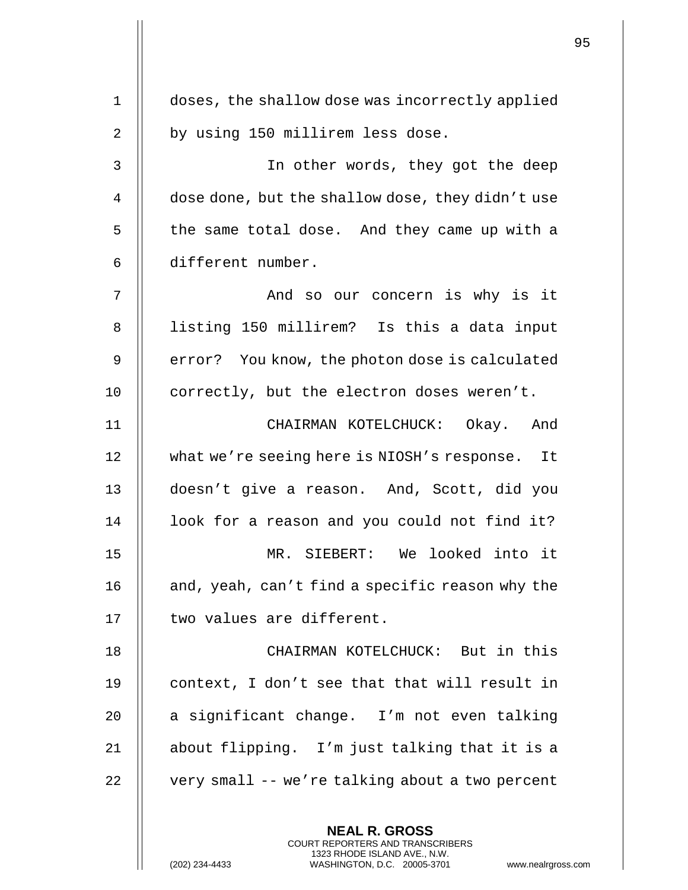| $\mathbf 1$    | doses, the shallow dose was incorrectly applied                                                                                                                     |
|----------------|---------------------------------------------------------------------------------------------------------------------------------------------------------------------|
| $\overline{2}$ | by using 150 millirem less dose.                                                                                                                                    |
| 3              | In other words, they got the deep                                                                                                                                   |
| 4              | dose done, but the shallow dose, they didn't use                                                                                                                    |
| 5              | the same total dose. And they came up with a                                                                                                                        |
| 6              | different number.                                                                                                                                                   |
| 7              | And so our concern is why is it                                                                                                                                     |
| 8              | listing 150 millirem? Is this a data input                                                                                                                          |
|                |                                                                                                                                                                     |
| 9              | error? You know, the photon dose is calculated                                                                                                                      |
| 10             | correctly, but the electron doses weren't.                                                                                                                          |
| 11             | CHAIRMAN KOTELCHUCK: Okay. And                                                                                                                                      |
| 12             | what we're seeing here is NIOSH's response. It                                                                                                                      |
| 13             | doesn't give a reason. And, Scott, did you                                                                                                                          |
| 14             | look for a reason and you could not find it?                                                                                                                        |
| 15             | MR. SIEBERT: We looked into it                                                                                                                                      |
| 16             | and, yeah, can't find a specific reason why the                                                                                                                     |
| 17             | two values are different.                                                                                                                                           |
| 18             | CHAIRMAN KOTELCHUCK: But in this                                                                                                                                    |
| 19             | context, I don't see that that will result in                                                                                                                       |
| 20             | a significant change. I'm not even talking                                                                                                                          |
| 21             | about flipping. I'm just talking that it is a                                                                                                                       |
| 22             | very small -- we're talking about a two percent                                                                                                                     |
|                | <b>NEAL R. GROSS</b><br><b>COURT REPORTERS AND TRANSCRIBERS</b><br>1323 RHODE ISLAND AVE., N.W.<br>(202) 234-4433<br>WASHINGTON, D.C. 20005-3701<br>www.nealrgross. |

 $\mathbf{I}$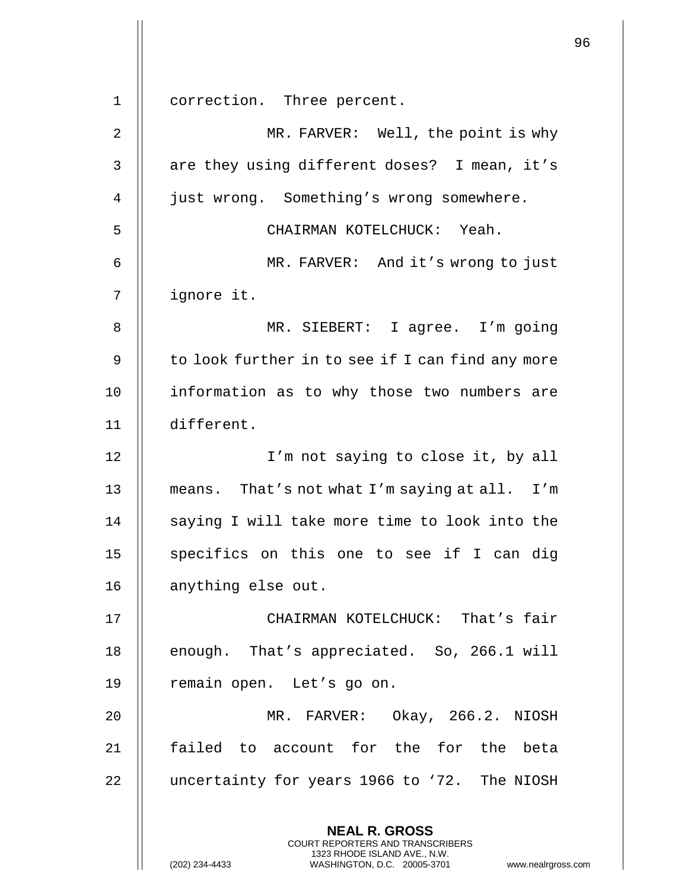**NEAL R. GROSS** COURT REPORTERS AND TRANSCRIBERS 1323 RHODE ISLAND AVE., N.W. (202) 234-4433 WASHINGTON, D.C. 20005-3701 www.nealrgross.com 1 | correction. Three percent. 2 MR. FARVER: Well, the point is why 3 | are they using different doses? I mean, it's 4 | just wrong. Something's wrong somewhere. 5 CHAIRMAN KOTELCHUCK: Yeah. 6 MR. FARVER: And it's wrong to just 7 ignore it. 8 || MR. SIEBERT: I agree. I'm going 9  $\parallel$  to look further in to see if I can find any more 10 || information as to why those two numbers are 11 different. 12 || I'm not saying to close it, by all 13 means. That's not what I'm saying at all. I'm  $14$   $\parallel$  saying I will take more time to look into the  $15$  || specifics on this one to see if I can dig 16 | anything else out. 17 CHAIRMAN KOTELCHUCK: That's fair 18 || enough. That's appreciated. So, 266.1 will 19 || remain open. Let's go on. 20 MR. FARVER: Okay, 266.2. NIOSH 21 || failed to account for the for the beta 22 | uncertainty for years 1966 to '72. The NIOSH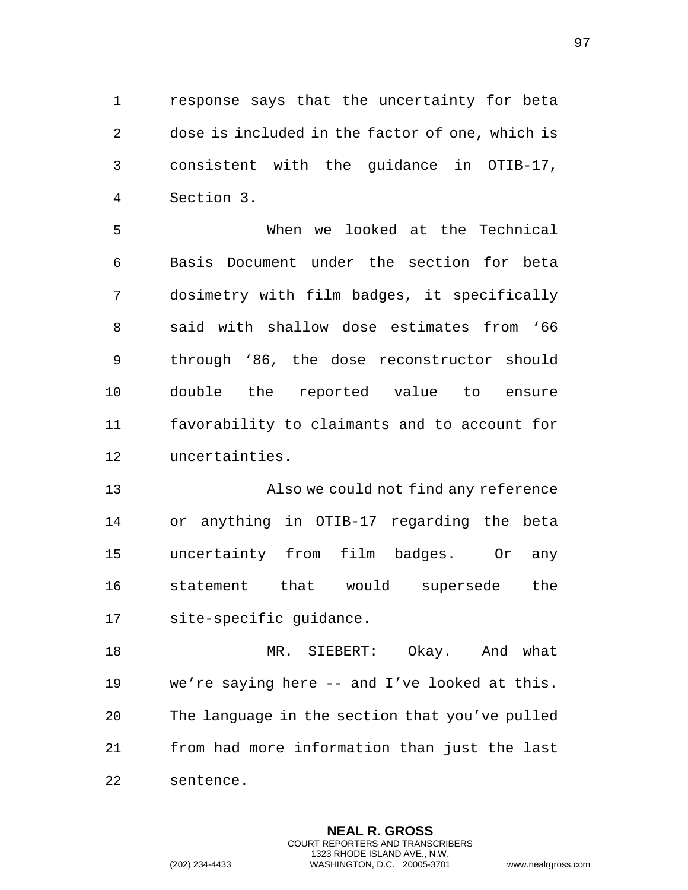1 || response says that the uncertainty for beta 2 | dose is included in the factor of one, which is 3 || consistent with the quidance in OTIB-17, 4 Section 3. 5 When we looked at the Technical 6 || Basis Document under the section for beta 7 dosimetry with film badges, it specifically 8 || said with shallow dose estimates from '66 9 || through '86, the dose reconstructor should 10 double the reported value to ensure 11 || favorability to claimants and to account for 12 uncertainties. 13 || Also we could not find any reference 14 || or anything in OTIB-17 regarding the beta 15 uncertainty from film badges. Or any 16 || statement that would supersede the 17 | site-specific guidance. 18 MR. SIEBERT: Okay. And what 19 we're saying here -- and I've looked at this. 20 | The language in the section that you've pulled 21 | from had more information than just the last 22 | sentence.

> **NEAL R. GROSS** COURT REPORTERS AND TRANSCRIBERS 1323 RHODE ISLAND AVE., N.W.

(202) 234-4433 WASHINGTON, D.C. 20005-3701 www.nealrgross.com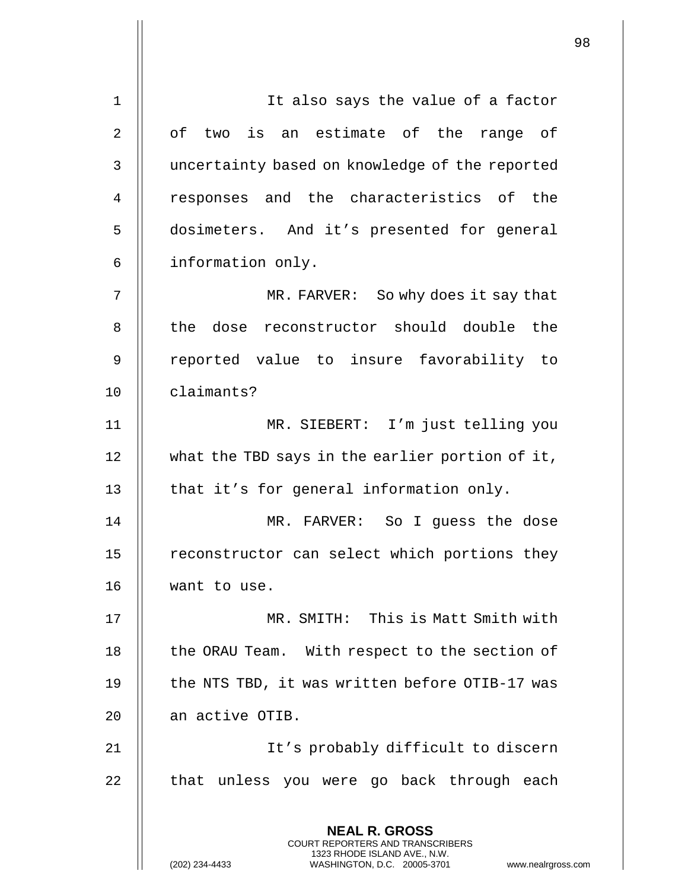**NEAL R. GROSS** COURT REPORTERS AND TRANSCRIBERS 1323 RHODE ISLAND AVE., N.W. (202) 234-4433 WASHINGTON, D.C. 20005-3701 www.nealrgross.com 1 || It also says the value of a factor 2 || of two is an estimate of the range of 3 | uncertainty based on knowledge of the reported 4 || responses and the characteristics of the 5 dosimeters. And it's presented for general 6 information only. 7 || MR. FARVER: So why does it say that 8 || the dose reconstructor should double the 9 reported value to insure favorability to 10 claimants? 11 MR. SIEBERT: I'm just telling you 12 || what the TBD says in the earlier portion of it,  $13$  || that it's for general information only. 14 MR. FARVER: So I guess the dose 15 || reconstructor can select which portions they 16 want to use. 17 MR. SMITH: This is Matt Smith with 18 || the ORAU Team. With respect to the section of 19 || the NTS TBD, it was written before OTIB-17 was 20 | an active OTIB. 21 || It's probably difficult to discern 22 || that unless you were go back through each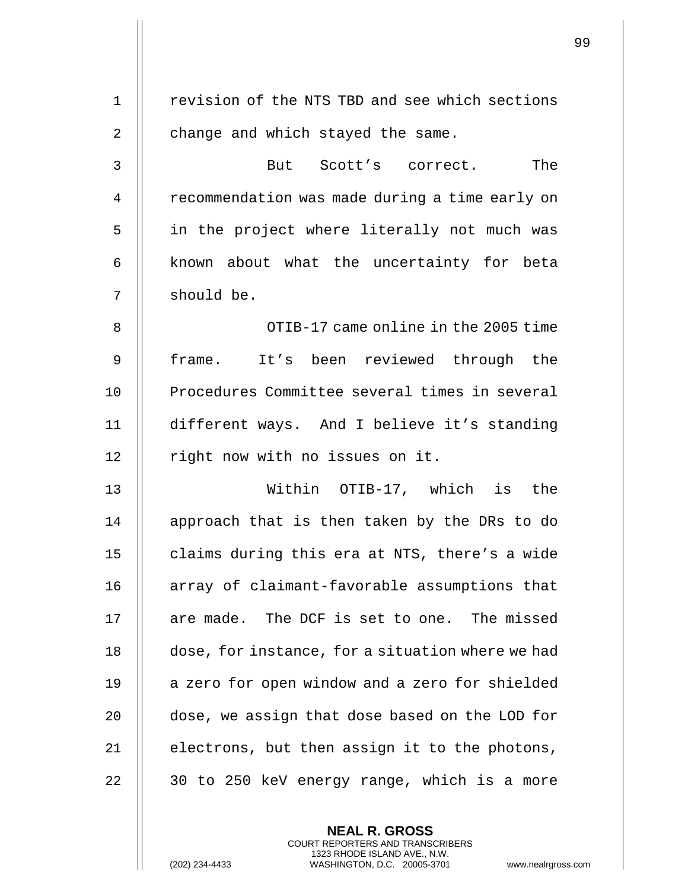| $\mathbf 1$    | revision of the NTS TBD and see which sections   |
|----------------|--------------------------------------------------|
| $\overline{2}$ | change and which stayed the same.                |
| 3              | But Scott's correct.<br>The                      |
| 4              | recommendation was made during a time early on   |
| 5              | in the project where literally not much was      |
| 6              | known about what the uncertainty for beta        |
| 7              | should be.                                       |
| 8              | OTIB-17 came online in the 2005 time             |
| 9              | It's been reviewed through the<br>frame.         |
| 10             | Procedures Committee several times in several    |
| 11             | different ways. And I believe it's standing      |
| 12             | right now with no issues on it.                  |
| 13             | Within OTIB-17, which is the                     |
| 14             | approach that is then taken by the DRs to do     |
| 15             | claims during this era at NTS, there's a wide    |
| 16             | array of claimant-favorable assumptions that     |
| 17             | are made. The DCF is set to one. The missed      |
| 18             | dose, for instance, for a situation where we had |
| 19             | a zero for open window and a zero for shielded   |
| 20             | dose, we assign that dose based on the LOD for   |
| 21             | electrons, but then assign it to the photons,    |
| 22             | 30 to 250 keV energy range, which is a more      |
|                |                                                  |

**NEAL R. GROSS** COURT REPORTERS AND TRANSCRIBERS 1323 RHODE ISLAND AVE., N.W.

(202) 234-4433 WASHINGTON, D.C. 20005-3701 www.nealrgross.com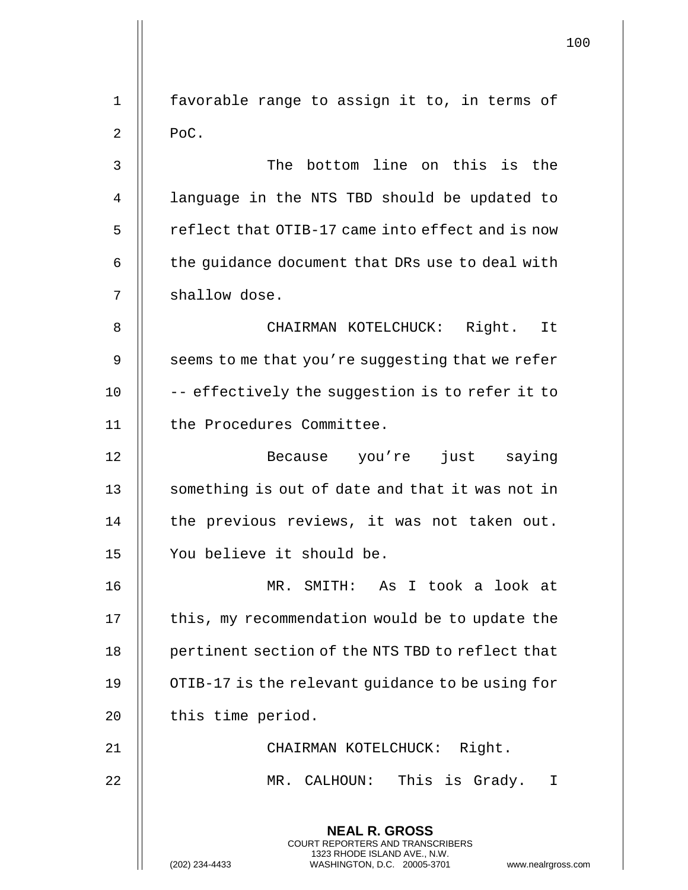|                |                                                                                                                                                                 | 100 |
|----------------|-----------------------------------------------------------------------------------------------------------------------------------------------------------------|-----|
| $\mathbf 1$    | favorable range to assign it to, in terms of                                                                                                                    |     |
| $\overline{2}$ | PoC.                                                                                                                                                            |     |
| 3              | The bottom line on this is the                                                                                                                                  |     |
| $\overline{4}$ | language in the NTS TBD should be updated to                                                                                                                    |     |
| 5              | reflect that OTIB-17 came into effect and is now                                                                                                                |     |
| 6              | the guidance document that DRs use to deal with                                                                                                                 |     |
| 7              | shallow dose.                                                                                                                                                   |     |
| 8              | CHAIRMAN KOTELCHUCK: Right. It                                                                                                                                  |     |
| 9              | seems to me that you're suggesting that we refer                                                                                                                |     |
| 10             | -- effectively the suggestion is to refer it to                                                                                                                 |     |
| 11             | the Procedures Committee.                                                                                                                                       |     |
| 12             | Because you're just saying                                                                                                                                      |     |
| 13             | something is out of date and that it was not in                                                                                                                 |     |
| 14             | the previous reviews, it was not taken out.                                                                                                                     |     |
| 15             | You believe it should be.                                                                                                                                       |     |
| 16             | MR. SMITH: As I took a look at                                                                                                                                  |     |
| 17             | this, my recommendation would be to update the                                                                                                                  |     |
| 18             | pertinent section of the NTS TBD to reflect that                                                                                                                |     |
| 19             | OTIB-17 is the relevant guidance to be using for                                                                                                                |     |
| 20             | this time period.                                                                                                                                               |     |
| 21             | CHAIRMAN KOTELCHUCK: Right.                                                                                                                                     |     |
| 22             | MR. CALHOUN: This is Grady. I                                                                                                                                   |     |
|                | <b>NEAL R. GROSS</b><br>COURT REPORTERS AND TRANSCRIBERS<br>1323 RHODE ISLAND AVE., N.W.<br>(202) 234-4433<br>WASHINGTON, D.C. 20005-3701<br>www.nealrgross.com |     |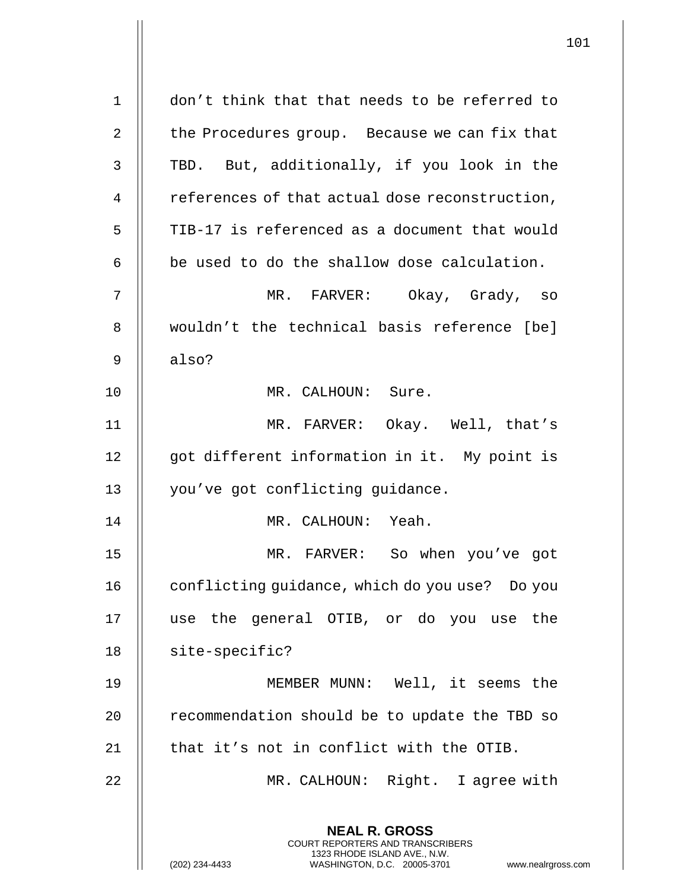| $\mathbf 1$ | don't think that that needs to be referred to                                                                                                                |
|-------------|--------------------------------------------------------------------------------------------------------------------------------------------------------------|
| 2           | the Procedures group. Because we can fix that                                                                                                                |
| 3           | TBD. But, additionally, if you look in the                                                                                                                   |
| 4           | references of that actual dose reconstruction,                                                                                                               |
| 5           | TIB-17 is referenced as a document that would                                                                                                                |
| 6           | be used to do the shallow dose calculation.                                                                                                                  |
| 7           | MR. FARVER: Okay, Grady, so                                                                                                                                  |
| 8           | wouldn't the technical basis reference [be]                                                                                                                  |
| 9           | also?                                                                                                                                                        |
| 10          | MR. CALHOUN: Sure.                                                                                                                                           |
| 11          | MR. FARVER: Okay. Well, that's                                                                                                                               |
| 12          | got different information in it. My point is                                                                                                                 |
| 13          | you've got conflicting guidance.                                                                                                                             |
| 14          | MR. CALHOUN: Yeah.                                                                                                                                           |
| 15          | MR. FARVER: So when you've got                                                                                                                               |
| 16          | conflicting guidance, which do you use? Do you                                                                                                               |
| 17          | use the general OTIB, or do you use the                                                                                                                      |
| 18          | site-specific?                                                                                                                                               |
| 19          | MEMBER MUNN: Well, it seems the                                                                                                                              |
| 20          | recommendation should be to update the TBD so                                                                                                                |
| 21          | that it's not in conflict with the OTIB.                                                                                                                     |
| 22          | MR. CALHOUN: Right. I agree with                                                                                                                             |
|             | <b>NEAL R. GROSS</b><br>COURT REPORTERS AND TRANSCRIBERS<br>1323 RHODE ISLAND AVE., N.W.<br>(202) 234-4433<br>WASHINGTON, D.C. 20005-3701<br>www.nealrgross. |

 $\mathcal{L}$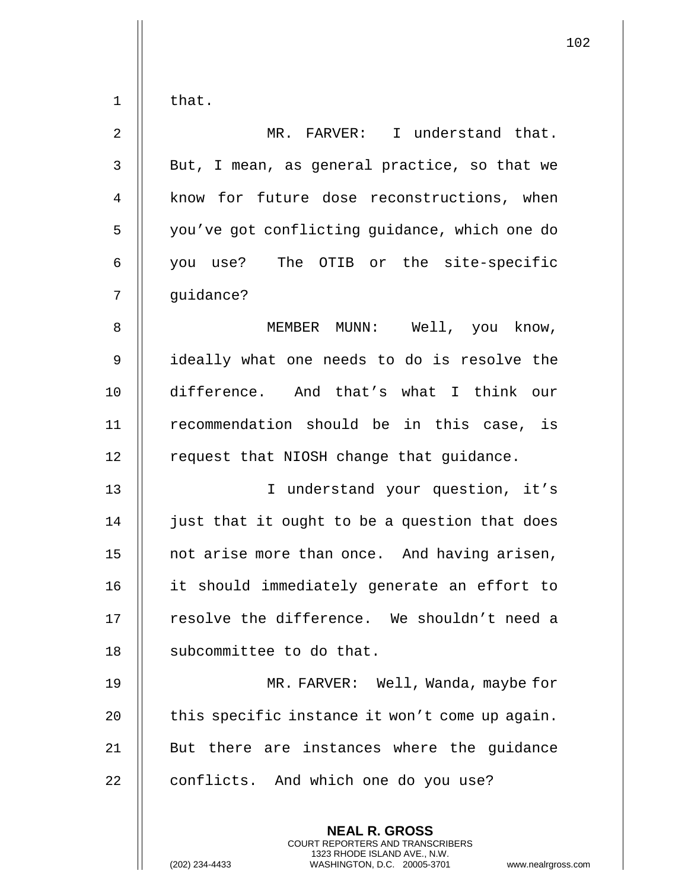| $\mathbf 1$ | that.                                                                                                                                                                  |
|-------------|------------------------------------------------------------------------------------------------------------------------------------------------------------------------|
| 2           | MR. FARVER: I understand that.                                                                                                                                         |
| 3           | But, I mean, as general practice, so that we                                                                                                                           |
| 4           | know for future dose reconstructions, when                                                                                                                             |
| 5           | you've got conflicting guidance, which one do                                                                                                                          |
| 6           | you use? The OTIB or the site-specific                                                                                                                                 |
| 7           | quidance?                                                                                                                                                              |
| 8           | MEMBER MUNN: Well, you know,                                                                                                                                           |
| 9           | ideally what one needs to do is resolve the                                                                                                                            |
| 10          | difference. And that's what I think our                                                                                                                                |
| 11          | recommendation should be in this case, is                                                                                                                              |
| 12          | request that NIOSH change that guidance.                                                                                                                               |
| 13          | I understand your question, it's                                                                                                                                       |
| 14          | just that it ought to be a question that does                                                                                                                          |
| 15          | not arise more than once. And having arisen,                                                                                                                           |
| 16          | it should immediately generate an effort to                                                                                                                            |
| 17          | resolve the difference. We shouldn't need a                                                                                                                            |
| 18          | subcommittee to do that.                                                                                                                                               |
| 19          | MR. FARVER: Well, Wanda, maybe for                                                                                                                                     |
| 20          | this specific instance it won't come up again.                                                                                                                         |
| 21          | But there are instances where the quidance                                                                                                                             |
| 22          | conflicts. And which one do you use?                                                                                                                                   |
|             | <b>NEAL R. GROSS</b><br><b>COURT REPORTERS AND TRANSCRIBERS</b><br>1323 RHODE ISLAND AVE., N.W.<br>(202) 234-4433<br>WASHINGTON, D.C. 20005-3701<br>www.nealrgross.com |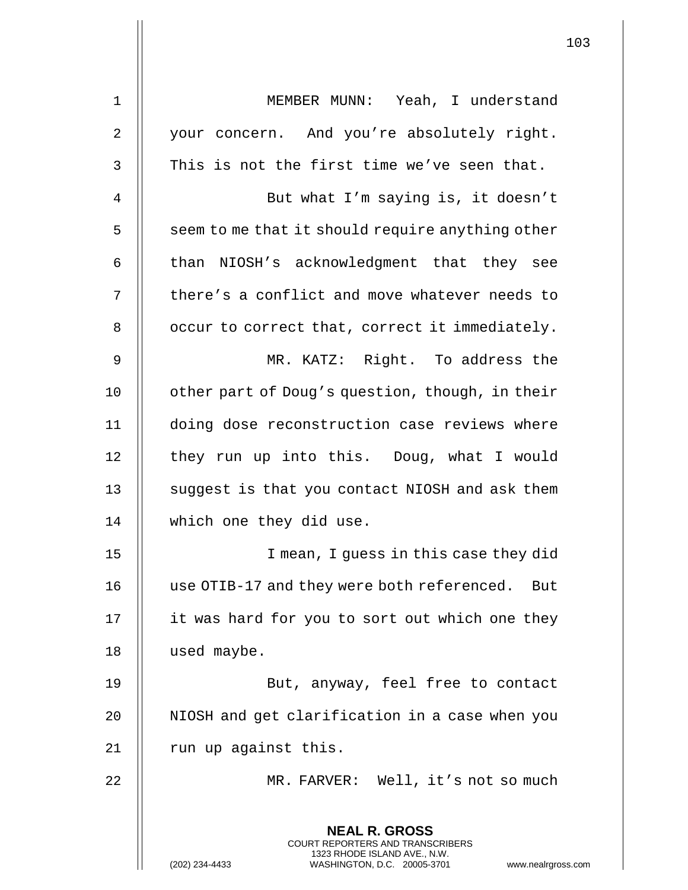| 1              | MEMBER MUNN: Yeah, I understand                                                          |
|----------------|------------------------------------------------------------------------------------------|
| $\overline{2}$ | your concern. And you're absolutely right.                                               |
| 3              | This is not the first time we've seen that.                                              |
| 4              | But what I'm saying is, it doesn't                                                       |
| 5              | seem to me that it should require anything other                                         |
| 6              | than NIOSH's acknowledgment that they see                                                |
| 7              | there's a conflict and move whatever needs to                                            |
| 8              | occur to correct that, correct it immediately.                                           |
| 9              | MR. KATZ: Right. To address the                                                          |
| 10             | other part of Doug's question, though, in their                                          |
| 11             | doing dose reconstruction case reviews where                                             |
| 12             | they run up into this. Doug, what I would                                                |
| 13             | suggest is that you contact NIOSH and ask them                                           |
| 14             | which one they did use.                                                                  |
| 15             | I mean, I quess in this case they did                                                    |
| 16             | use OTIB-17 and they were both referenced. But                                           |
| 17             | it was hard for you to sort out which one they                                           |
| 18             | used maybe.                                                                              |
| 19             | But, anyway, feel free to contact                                                        |
| 20             | NIOSH and get clarification in a case when you                                           |
| 21             | run up against this.                                                                     |
| 22             | MR. FARVER: Well, it's not so much                                                       |
|                | <b>NEAL R. GROSS</b><br>COURT REPORTERS AND TRANSCRIBERS<br>1323 RHODE ISLAND AVE., N.W. |
|                | WASHINGTON, D.C. 20005-3701<br>(202) 234-4433<br>www.nealrgross.com                      |

 $\mathsf{I}$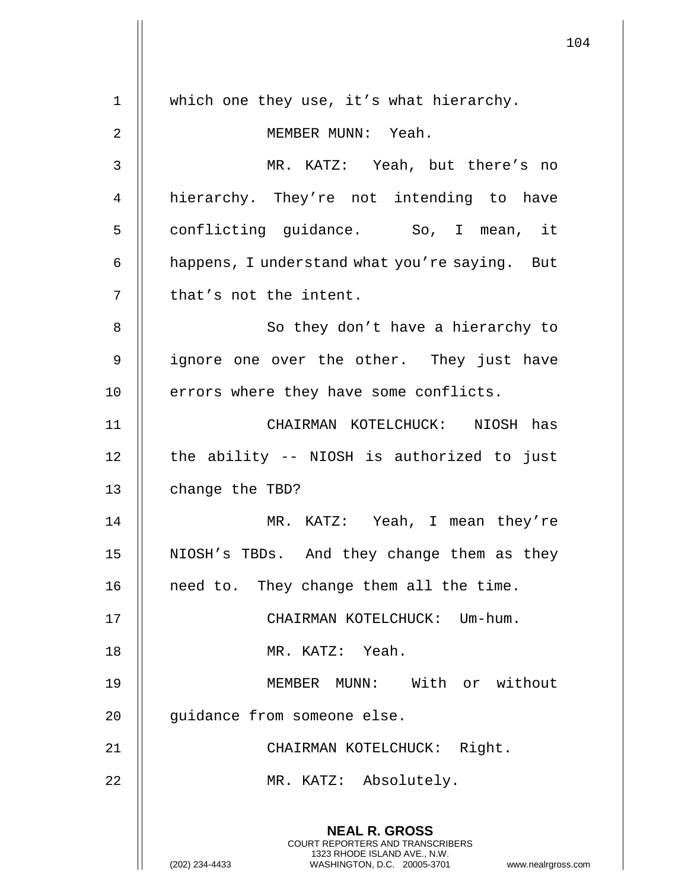**NEAL R. GROSS** COURT REPORTERS AND TRANSCRIBERS 1323 RHODE ISLAND AVE., N.W. (202) 234-4433 WASHINGTON, D.C. 20005-3701 www.nealrgross.com 1 | which one they use, it's what hierarchy. 2 MEMBER MUNN: Yeah. 3 MR. KATZ: Yeah, but there's no 4 hierarchy. They're not intending to have 5 || conflicting guidance. So, I mean, it 6 | happens, I understand what you're saying. But  $7 \parallel$  that's not the intent. 8 || So they don't have a hierarchy to 9 || ignore one over the other. They just have 10 || errors where they have some conflicts. 11 CHAIRMAN KOTELCHUCK: NIOSH has 12 || the ability -- NIOSH is authorized to just 13 **change the TBD?** 14 MR. KATZ: Yeah, I mean they're 15 NIOSH's TBDs. And they change them as they 16 | need to. They change them all the time. 17 || CHAIRMAN KOTELCHUCK: Um-hum. 18 MR. KATZ: Yeah. 19 MEMBER MUNN: With or without 20 | guidance from someone else. 21 || CHAIRMAN KOTELCHUCK: Right. 22 || MR. KATZ: Absolutely.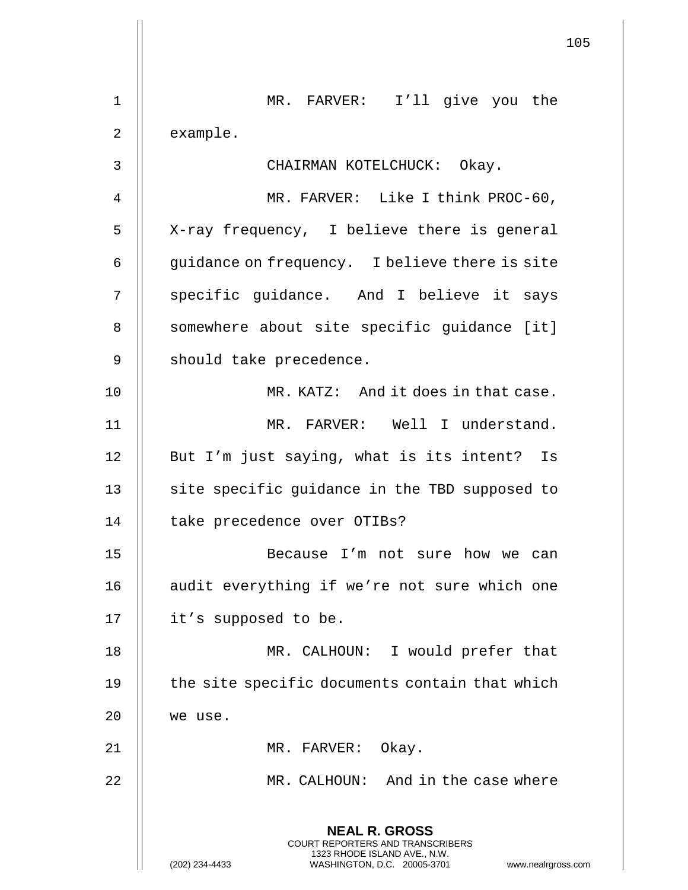|                | 105                                                                                                                                                                    |
|----------------|------------------------------------------------------------------------------------------------------------------------------------------------------------------------|
| 1              | MR. FARVER: I'll give you the                                                                                                                                          |
| 2              | example.                                                                                                                                                               |
| 3              | CHAIRMAN KOTELCHUCK: Okay.                                                                                                                                             |
| $\overline{4}$ | MR. FARVER: Like I think PROC-60,                                                                                                                                      |
| 5              | X-ray frequency, I believe there is general                                                                                                                            |
| 6              | guidance on frequency. I believe there is site                                                                                                                         |
| 7              | specific guidance. And I believe it says                                                                                                                               |
| 8              | somewhere about site specific quidance [it]                                                                                                                            |
| 9              | should take precedence.                                                                                                                                                |
| 10             | MR. KATZ: And it does in that case.                                                                                                                                    |
| 11             | MR. FARVER: Well I understand.                                                                                                                                         |
| 12             | But I'm just saying, what is its intent? Is                                                                                                                            |
| 13             | site specific guidance in the TBD supposed to                                                                                                                          |
| 14             | take precedence over OTIBs?                                                                                                                                            |
| 15             | Because I'm not sure how we can                                                                                                                                        |
| 16             | audit everything if we're not sure which one                                                                                                                           |
| 17             | it's supposed to be.                                                                                                                                                   |
| 18             | MR. CALHOUN: I would prefer that                                                                                                                                       |
| 19             | the site specific documents contain that which                                                                                                                         |
| 20             | we use.                                                                                                                                                                |
| 21             | MR. FARVER: Okay.                                                                                                                                                      |
| 22             | MR. CALHOUN: And in the case where                                                                                                                                     |
|                | <b>NEAL R. GROSS</b><br><b>COURT REPORTERS AND TRANSCRIBERS</b><br>1323 RHODE ISLAND AVE., N.W.<br>(202) 234-4433<br>WASHINGTON, D.C. 20005-3701<br>www.nealrgross.com |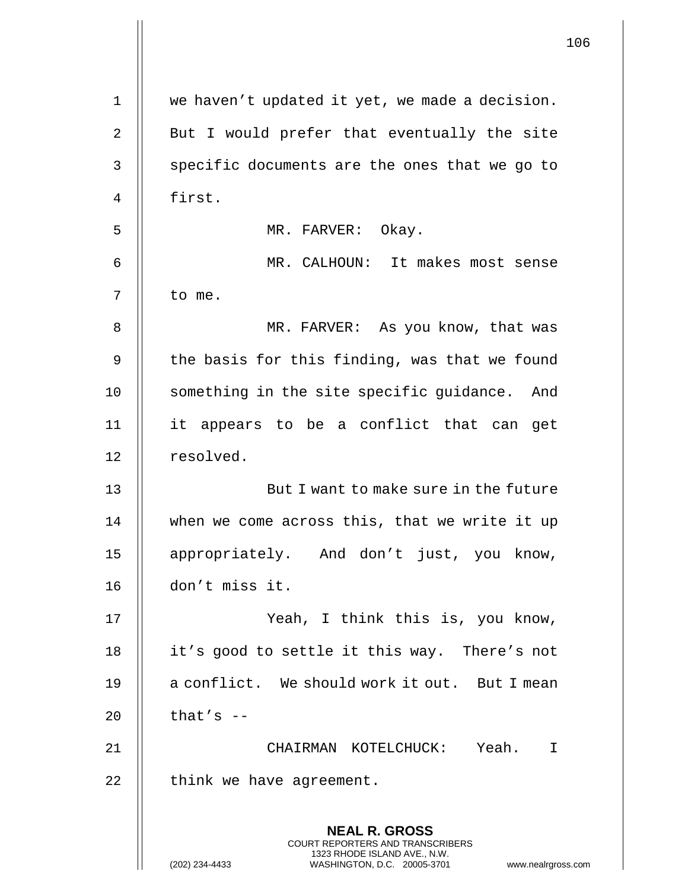|    |                                                                                                                                                                 | 106 |
|----|-----------------------------------------------------------------------------------------------------------------------------------------------------------------|-----|
| 1  | we haven't updated it yet, we made a decision.                                                                                                                  |     |
| 2  | But I would prefer that eventually the site                                                                                                                     |     |
| 3  | specific documents are the ones that we go to                                                                                                                   |     |
| 4  | first.                                                                                                                                                          |     |
| 5  | MR. FARVER: Okay.                                                                                                                                               |     |
| 6  | MR. CALHOUN: It makes most sense                                                                                                                                |     |
| 7  | to me.                                                                                                                                                          |     |
| 8  | MR. FARVER: As you know, that was                                                                                                                               |     |
| 9  | the basis for this finding, was that we found                                                                                                                   |     |
| 10 | something in the site specific guidance.<br>And                                                                                                                 |     |
| 11 | it appears to be a conflict that can<br>get                                                                                                                     |     |
| 12 | resolved.                                                                                                                                                       |     |
| 13 | But I want to make sure in the future                                                                                                                           |     |
| 14 | when we come across this, that we write it up                                                                                                                   |     |
| 15 | appropriately. And don't just, you know,                                                                                                                        |     |
| 16 | don't miss it.                                                                                                                                                  |     |
| 17 | Yeah, I think this is, you know,                                                                                                                                |     |
| 18 | it's good to settle it this way. There's not                                                                                                                    |     |
| 19 | a conflict. We should work it out. But I mean                                                                                                                   |     |
| 20 | that's $-$                                                                                                                                                      |     |
| 21 | CHAIRMAN KOTELCHUCK: Yeah. I                                                                                                                                    |     |
| 22 | think we have agreement.                                                                                                                                        |     |
|    | <b>NEAL R. GROSS</b><br>COURT REPORTERS AND TRANSCRIBERS<br>1323 RHODE ISLAND AVE., N.W.<br>(202) 234-4433<br>www.nealrgross.com<br>WASHINGTON, D.C. 20005-3701 |     |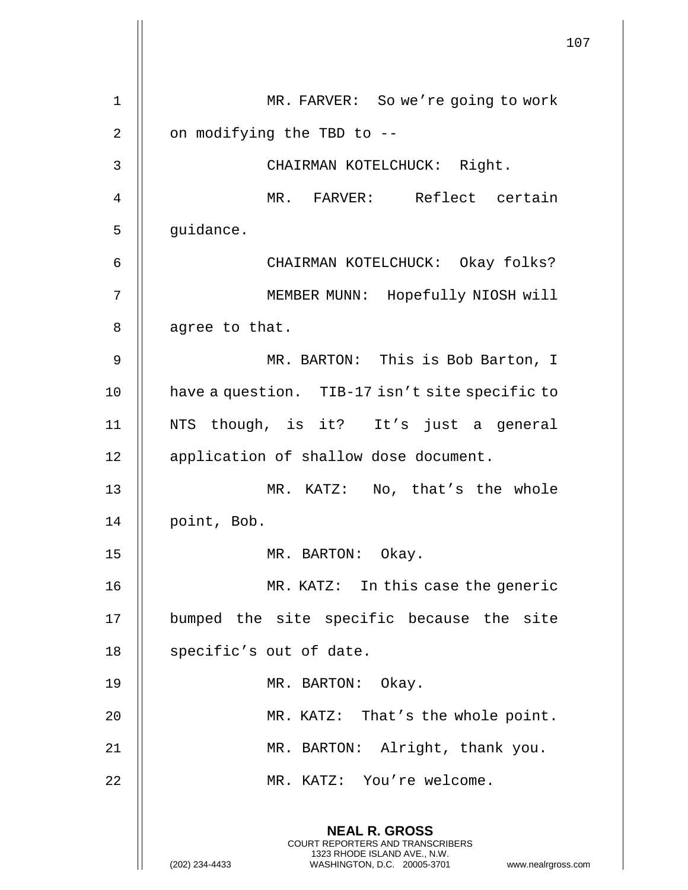|    |                                                                                                                                                                        | 107 |
|----|------------------------------------------------------------------------------------------------------------------------------------------------------------------------|-----|
| 1  | MR. FARVER: So we're going to work                                                                                                                                     |     |
| 2  | on modifying the TBD to --                                                                                                                                             |     |
| 3  | CHAIRMAN KOTELCHUCK: Right.                                                                                                                                            |     |
| 4  | MR. FARVER: Reflect certain                                                                                                                                            |     |
| 5  | guidance.                                                                                                                                                              |     |
| 6  | CHAIRMAN KOTELCHUCK: Okay folks?                                                                                                                                       |     |
| 7  | MEMBER MUNN: Hopefully NIOSH will                                                                                                                                      |     |
| 8  | agree to that.                                                                                                                                                         |     |
| 9  | MR. BARTON: This is Bob Barton, I                                                                                                                                      |     |
| 10 | have a question. TIB-17 isn't site specific to                                                                                                                         |     |
| 11 | NTS though, is it? It's just a general                                                                                                                                 |     |
| 12 | application of shallow dose document.                                                                                                                                  |     |
| 13 | MR. KATZ: No, that's the whole                                                                                                                                         |     |
| 14 | point, Bob.                                                                                                                                                            |     |
| 15 | MR. BARTON: Okay.                                                                                                                                                      |     |
| 16 | MR. KATZ: In this case the generic                                                                                                                                     |     |
| 17 | bumped the site specific because the site                                                                                                                              |     |
| 18 | specific's out of date.                                                                                                                                                |     |
| 19 | MR. BARTON: Okay.                                                                                                                                                      |     |
| 20 | MR. KATZ: That's the whole point.                                                                                                                                      |     |
| 21 | MR. BARTON: Alright, thank you.                                                                                                                                        |     |
| 22 | MR. KATZ: You're welcome.                                                                                                                                              |     |
|    | <b>NEAL R. GROSS</b><br><b>COURT REPORTERS AND TRANSCRIBERS</b><br>1323 RHODE ISLAND AVE., N.W.<br>(202) 234-4433<br>www.nealrgross.com<br>WASHINGTON, D.C. 20005-3701 |     |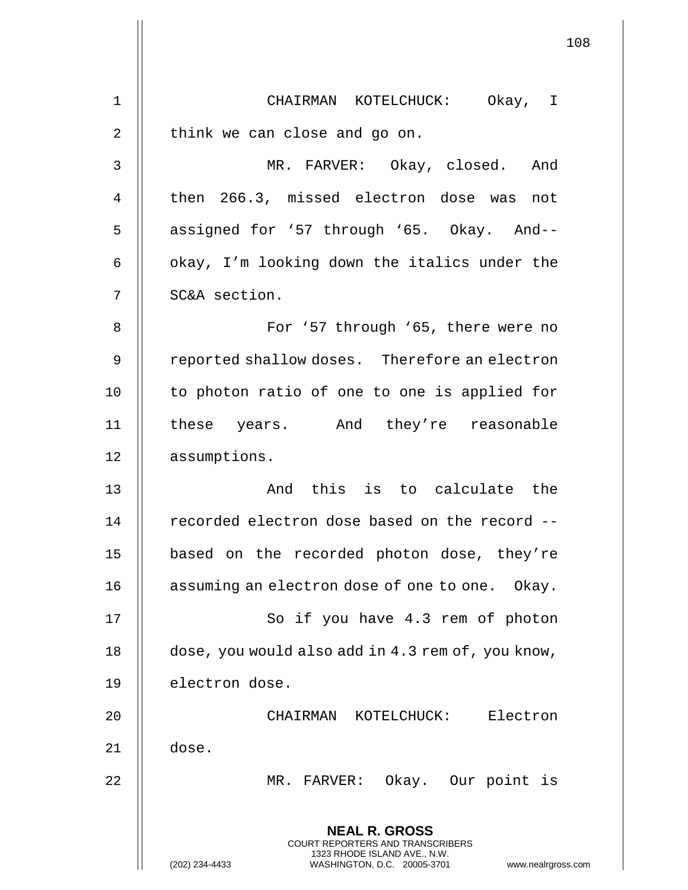|                | 108                                                                                                                                                                    |
|----------------|------------------------------------------------------------------------------------------------------------------------------------------------------------------------|
|                |                                                                                                                                                                        |
| $\mathbf 1$    | CHAIRMAN KOTELCHUCK: Okay, I                                                                                                                                           |
| 2              | think we can close and go on.                                                                                                                                          |
| $\mathsf{3}$   | MR. FARVER: Okay, closed. And                                                                                                                                          |
| $\overline{4}$ | then 266.3, missed electron dose was<br>not                                                                                                                            |
| 5              | assigned for '57 through '65. Okay. And--                                                                                                                              |
| 6              | okay, I'm looking down the italics under the                                                                                                                           |
| 7              | SC&A section.                                                                                                                                                          |
| $\, 8$         | For '57 through '65, there were no                                                                                                                                     |
| 9              | reported shallow doses. Therefore an electron                                                                                                                          |
| 10             | to photon ratio of one to one is applied for                                                                                                                           |
| 11             | these years. And they're reasonable                                                                                                                                    |
| 12             | assumptions.                                                                                                                                                           |
| 13             | And this is to calculate the                                                                                                                                           |
| 14             | recorded electron dose based on the record --                                                                                                                          |
| 15             | based on the recorded photon dose, they're                                                                                                                             |
| 16             | assuming an electron dose of one to one. Okay.                                                                                                                         |
| 17             | So if you have 4.3 rem of photon                                                                                                                                       |
| 18             | dose, you would also add in 4.3 rem of, you know,                                                                                                                      |
| 19             | electron dose.                                                                                                                                                         |
| 20             | CHAIRMAN KOTELCHUCK: Electron                                                                                                                                          |
| 21             | dose.                                                                                                                                                                  |
| 22             | MR. FARVER: Okay. Our point is                                                                                                                                         |
|                | <b>NEAL R. GROSS</b><br><b>COURT REPORTERS AND TRANSCRIBERS</b><br>1323 RHODE ISLAND AVE., N.W.<br>(202) 234-4433<br>WASHINGTON, D.C. 20005-3701<br>www.nealrgross.com |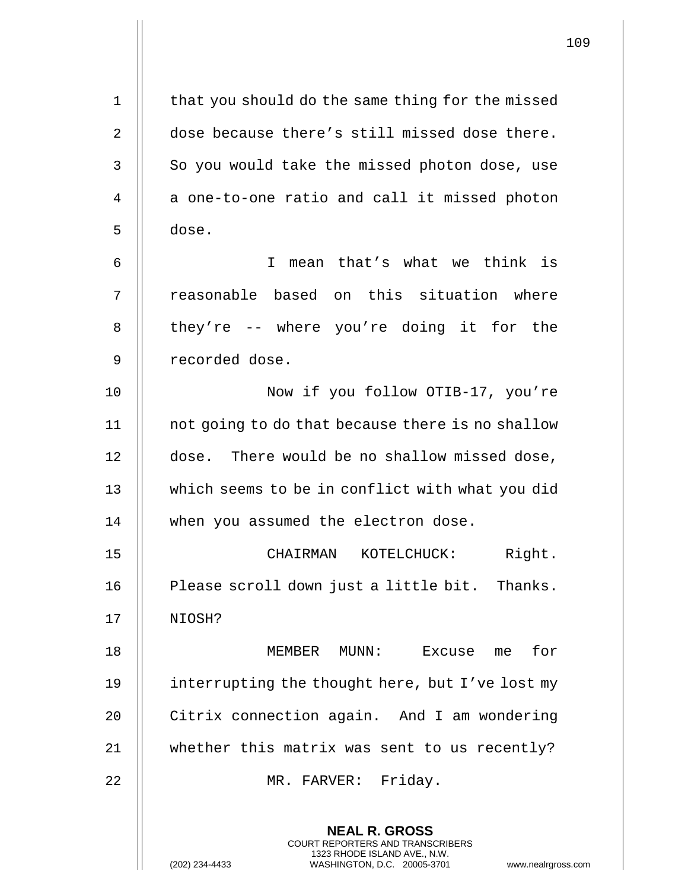| $\mathbf 1$ | that you should do the same thing for the missed                                                                                                                   |
|-------------|--------------------------------------------------------------------------------------------------------------------------------------------------------------------|
| 2           | dose because there's still missed dose there.                                                                                                                      |
| 3           | So you would take the missed photon dose, use                                                                                                                      |
| 4           | a one-to-one ratio and call it missed photon                                                                                                                       |
| 5           | dose.                                                                                                                                                              |
| 6           | mean that's what we think is<br>T.                                                                                                                                 |
| 7           | reasonable based on this situation where                                                                                                                           |
| 8           | they're -- where you're doing it for the                                                                                                                           |
| 9           | recorded dose.                                                                                                                                                     |
| 10          | Now if you follow OTIB-17, you're                                                                                                                                  |
| 11          | not going to do that because there is no shallow                                                                                                                   |
| 12          | dose. There would be no shallow missed dose,                                                                                                                       |
| 13          | which seems to be in conflict with what you did                                                                                                                    |
| 14          | when you assumed the electron dose.                                                                                                                                |
| 15          | Right.<br>CHAIRMAN KOTELCHUCK:                                                                                                                                     |
| 16          | Please scroll down just a little bit. Thanks.                                                                                                                      |
| 17          | NIOSH?                                                                                                                                                             |
| 18          | for<br>MEMBER MUNN:<br>Excuse<br>me                                                                                                                                |
| 19          | interrupting the thought here, but I've lost my                                                                                                                    |
| 20          | Citrix connection again. And I am wondering                                                                                                                        |
| 21          | whether this matrix was sent to us recently?                                                                                                                       |
| 22          | MR. FARVER: Friday.                                                                                                                                                |
|             | <b>NEAL R. GROSS</b><br><b>COURT REPORTERS AND TRANSCRIBERS</b><br>1323 RHODE ISLAND AVE., N.W.<br>(202) 234-4433<br>WASHINGTON, D.C. 20005-3701<br>www.nealrgross |

 $\mathsf{I}$ 

(202) 234-4433 WASHINGTON, D.C. 20005-3701 www.nealrgross.com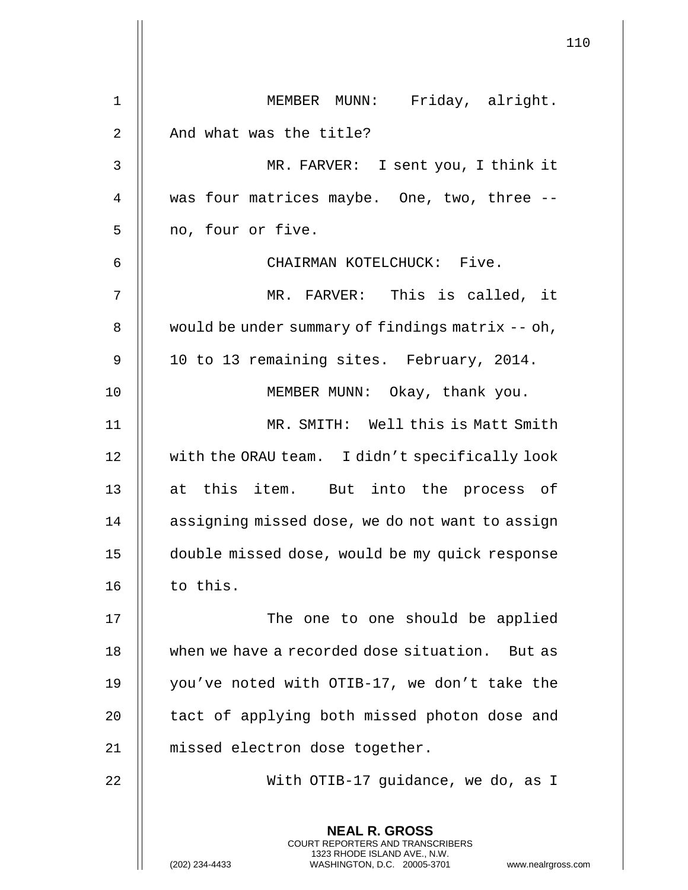| $\mathbf{1}$ | MEMBER MUNN: Friday, alright.                                                                                                                                          |
|--------------|------------------------------------------------------------------------------------------------------------------------------------------------------------------------|
| 2            | And what was the title?                                                                                                                                                |
| 3            | MR. FARVER: I sent you, I think it                                                                                                                                     |
| 4            | was four matrices maybe. One, two, three --                                                                                                                            |
| 5            | no, four or five.                                                                                                                                                      |
| 6            | CHAIRMAN KOTELCHUCK: Five.                                                                                                                                             |
| 7            | MR. FARVER: This is called, it                                                                                                                                         |
| 8            | would be under summary of findings matrix -- oh,                                                                                                                       |
| 9            | 10 to 13 remaining sites. February, 2014.                                                                                                                              |
| 10           | MEMBER MUNN: Okay, thank you.                                                                                                                                          |
| 11           | MR. SMITH: Well this is Matt Smith                                                                                                                                     |
| 12           | with the ORAU team. I didn't specifically look                                                                                                                         |
| 13           | at this item. But into the process of                                                                                                                                  |
| 14           | assigning missed dose, we do not want to assign                                                                                                                        |
| 15           | double missed dose, would be my quick response                                                                                                                         |
| 16           | to this.                                                                                                                                                               |
| 17           | The one to one should be applied                                                                                                                                       |
| 18           | when we have a recorded dose situation. But as                                                                                                                         |
| 19           | you've noted with OTIB-17, we don't take the                                                                                                                           |
| 20           | tact of applying both missed photon dose and                                                                                                                           |
| 21           | missed electron dose together.                                                                                                                                         |
| 22           | With OTIB-17 guidance, we do, as I                                                                                                                                     |
|              | <b>NEAL R. GROSS</b><br><b>COURT REPORTERS AND TRANSCRIBERS</b><br>1323 RHODE ISLAND AVE., N.W.<br>(202) 234-4433<br>WASHINGTON, D.C. 20005-3701<br>www.nealrgross.com |

 $\mathsf{l}$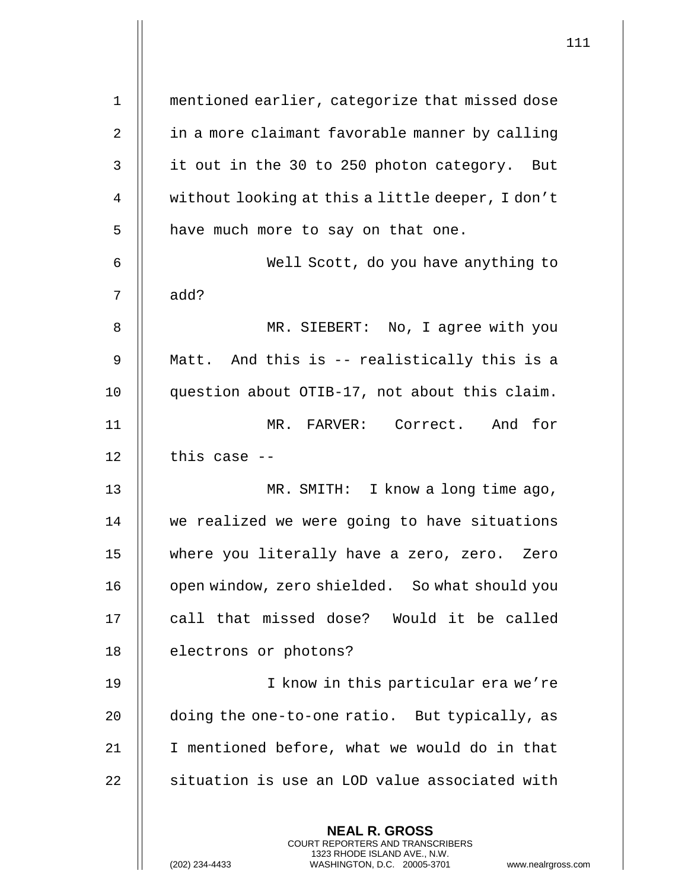| $1\,$ | mentioned earlier, categorize that missed dose                                                                                                               |
|-------|--------------------------------------------------------------------------------------------------------------------------------------------------------------|
| 2     | in a more claimant favorable manner by calling                                                                                                               |
| 3     | it out in the 30 to 250 photon category. But                                                                                                                 |
| 4     | without looking at this a little deeper, I don't                                                                                                             |
| 5     | have much more to say on that one.                                                                                                                           |
| 6     | Well Scott, do you have anything to                                                                                                                          |
| 7     | add?                                                                                                                                                         |
| 8     | MR. SIEBERT: No, I agree with you                                                                                                                            |
| 9     | Matt. And this is -- realistically this is a                                                                                                                 |
| 10    | question about OTIB-17, not about this claim.                                                                                                                |
| 11    | MR. FARVER: Correct. And for                                                                                                                                 |
| 12    | this case --                                                                                                                                                 |
| 13    | MR. SMITH: I know a long time ago,                                                                                                                           |
| 14    | we realized we were going to have situations                                                                                                                 |
| 15    | where you literally have a zero, zero. Zero                                                                                                                  |
| 16    | open window, zero shielded. So what should you                                                                                                               |
| 17    | call that missed dose? Would it be called                                                                                                                    |
| 18    | electrons or photons?                                                                                                                                        |
| 19    | I know in this particular era we're                                                                                                                          |
| 20    | doing the one-to-one ratio. But typically, as                                                                                                                |
| 21    | I mentioned before, what we would do in that                                                                                                                 |
| 22    | situation is use an LOD value associated with                                                                                                                |
|       | <b>NEAL R. GROSS</b><br>COURT REPORTERS AND TRANSCRIBERS<br>1323 RHODE ISLAND AVE., N.W.<br>(202) 234-4433<br>WASHINGTON, D.C. 20005-3701<br>www.nealrgross. |

 $\mathsf{l}\mathsf{l}$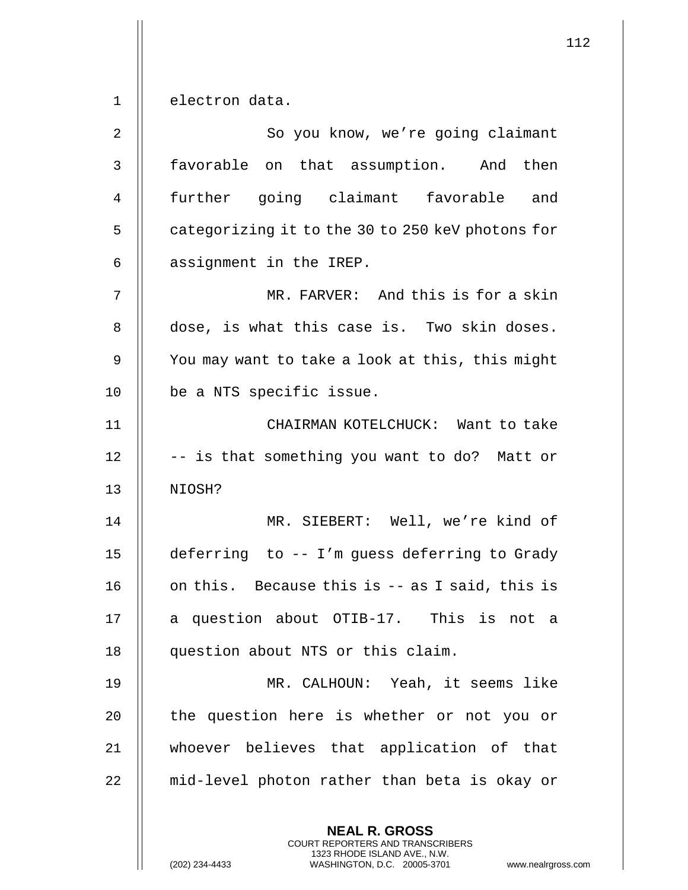$1 \parallel$  electron data.

| 2  | So you know, we're going claimant                                                                                                                                 |
|----|-------------------------------------------------------------------------------------------------------------------------------------------------------------------|
| 3  | favorable on that assumption. And then                                                                                                                            |
| 4  | further going claimant favorable<br>and                                                                                                                           |
| 5  | categorizing it to the 30 to 250 keV photons for                                                                                                                  |
| 6  | assignment in the IREP.                                                                                                                                           |
| 7  | MR. FARVER: And this is for a skin                                                                                                                                |
| 8  | dose, is what this case is. Two skin doses.                                                                                                                       |
| 9  | You may want to take a look at this, this might                                                                                                                   |
| 10 | be a NTS specific issue.                                                                                                                                          |
| 11 | CHAIRMAN KOTELCHUCK: Want to take                                                                                                                                 |
| 12 | -- is that something you want to do? Matt or                                                                                                                      |
| 13 | NIOSH?                                                                                                                                                            |
| 14 | MR. SIEBERT: Well, we're kind of                                                                                                                                  |
| 15 | deferring to -- I'm guess deferring to Grady                                                                                                                      |
| 16 | on this. Because this is -- as I said, this is                                                                                                                    |
| 17 | a question about OTIB-17. This is not a                                                                                                                           |
| 18 | question about NTS or this claim.                                                                                                                                 |
| 19 | MR. CALHOUN: Yeah, it seems like                                                                                                                                  |
| 20 | the question here is whether or not you or                                                                                                                        |
| 21 | whoever believes that application of that                                                                                                                         |
| 22 | mid-level photon rather than beta is okay or                                                                                                                      |
|    | <b>NEAL R. GROSS</b><br><b>COURT REPORTERS AND TRANSCRIBERS</b><br>1323 RHODE ISLAND AVE., N.W.<br>(202) 234-4433<br>WASHINGTON, D.C. 20005-3701<br>www.nealrgros |

(202) 234-4433 WASHINGTON, D.C. 20005-3701 www.nealrgross.com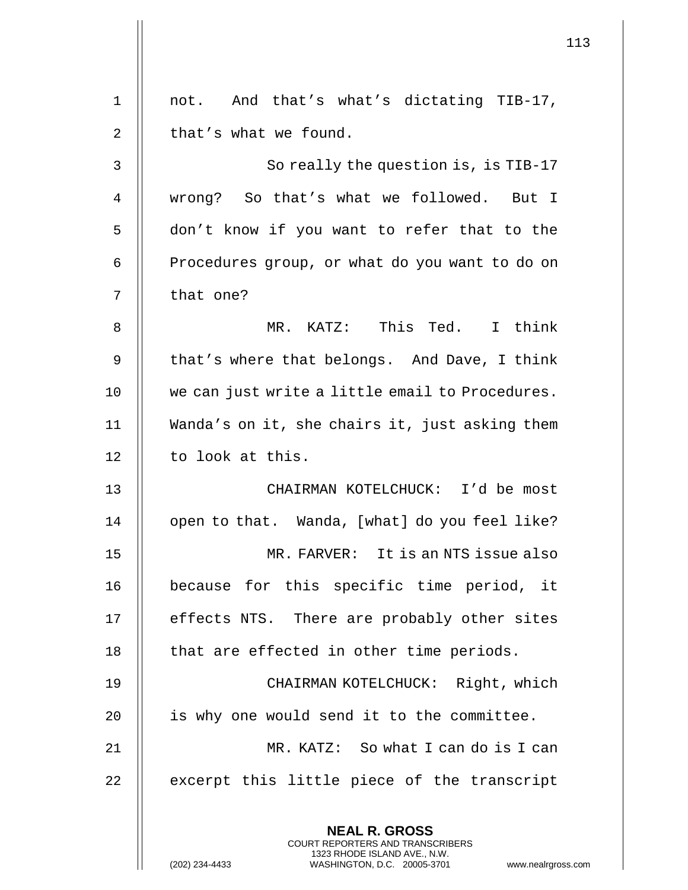| $\mathbf 1$    | not. And that's what's dictating TIB-17,        |
|----------------|-------------------------------------------------|
| 2              | that's what we found.                           |
| $\mathfrak{Z}$ | So really the question is, is TIB-17            |
| 4              | wrong? So that's what we followed. But I        |
| 5              | don't know if you want to refer that to the     |
| 6              | Procedures group, or what do you want to do on  |
| 7              | that one?                                       |
| 8              | MR. KATZ: This Ted. I think                     |
| 9              | that's where that belongs. And Dave, I think    |
| 10             | we can just write a little email to Procedures. |
| 11             | Wanda's on it, she chairs it, just asking them  |
| 12             | to look at this.                                |
| 13             | CHAIRMAN KOTELCHUCK: I'd be most                |
| 14             | open to that. Wanda, [what] do you feel like?   |
| 15             | FARVER: It is an NTS issue also<br>MR.          |
| 16             | because for this specific time period, it       |
| 17             | effects NTS. There are probably other sites     |
| 18             | that are effected in other time periods.        |
| 19             | CHAIRMAN KOTELCHUCK: Right, which               |
| 20             | is why one would send it to the committee.      |
| 21             | MR. KATZ: So what I can do is I can             |
| 22             | excerpt this little piece of the transcript     |
|                | <b>NEAL R. GROSS</b>                            |

COURT REPORTERS AND TRANSCRIBERS 1323 RHODE ISLAND AVE., N.W.

 $\mathsf{II}$ 

 $\mathsf I$ 

(202) 234-4433 WASHINGTON, D.C. 20005-3701 www.nealrgross.com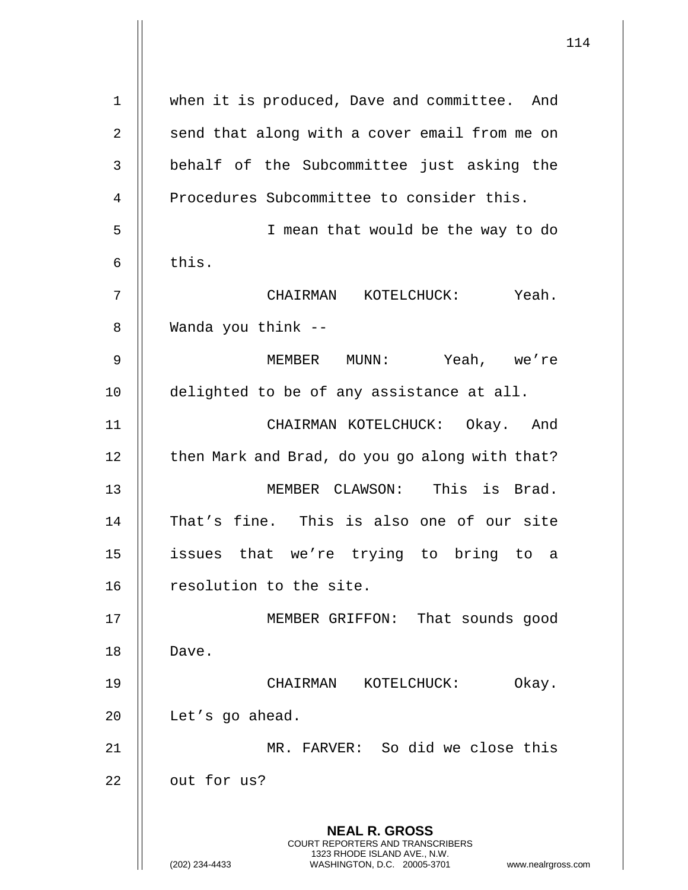|    | 114                                                                                                                                                             |
|----|-----------------------------------------------------------------------------------------------------------------------------------------------------------------|
| 1  | when it is produced, Dave and committee. And                                                                                                                    |
| 2  | send that along with a cover email from me on                                                                                                                   |
| 3  | behalf of the Subcommittee just asking the                                                                                                                      |
| 4  | Procedures Subcommittee to consider this.                                                                                                                       |
| 5  | I mean that would be the way to do                                                                                                                              |
| 6  | this.                                                                                                                                                           |
| 7  | CHAIRMAN KOTELCHUCK: Yeah.                                                                                                                                      |
| 8  | Wanda you think --                                                                                                                                              |
| 9  | Yeah, we're<br>MEMBER MUNN:                                                                                                                                     |
| 10 | delighted to be of any assistance at all.                                                                                                                       |
|    |                                                                                                                                                                 |
| 11 | CHAIRMAN KOTELCHUCK: Okay. And                                                                                                                                  |
| 12 | then Mark and Brad, do you go along with that?                                                                                                                  |
| 13 | MEMBER CLAWSON: This is Brad.                                                                                                                                   |
| 14 | That's fine. This is also one of our site                                                                                                                       |
| 15 | issues that we're trying to bring to a                                                                                                                          |
| 16 | resolution to the site.                                                                                                                                         |
| 17 | MEMBER GRIFFON: That sounds good                                                                                                                                |
| 18 | Dave.                                                                                                                                                           |
| 19 | KOTELCHUCK:<br>Okay.<br>CHAIRMAN                                                                                                                                |
| 20 | Let's go ahead.                                                                                                                                                 |
| 21 | MR. FARVER: So did we close this                                                                                                                                |
| 22 | out for us?                                                                                                                                                     |
|    | <b>NEAL R. GROSS</b><br>COURT REPORTERS AND TRANSCRIBERS<br>1323 RHODE ISLAND AVE., N.W.<br>(202) 234-4433<br>WASHINGTON, D.C. 20005-3701<br>www.nealrgross.com |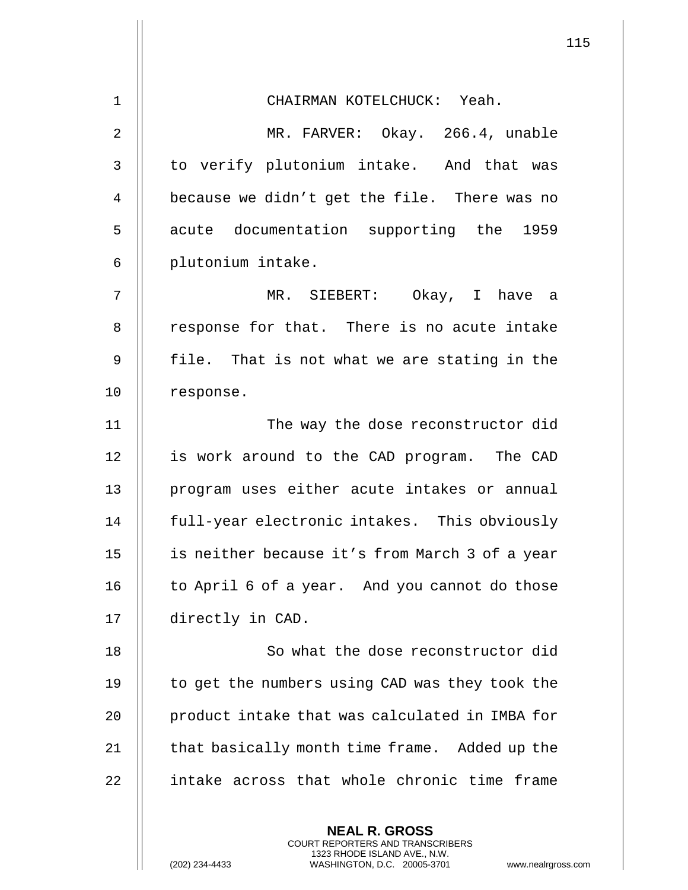**NEAL R. GROSS** 1 CHAIRMAN KOTELCHUCK: Yeah. 2 MR. FARVER: Okay. 266.4, unable 3 | to verify plutonium intake. And that was 4 | because we didn't get the file. There was no 5 || acute documentation supporting the 1959 6 || plutonium intake. 7 MR. SIEBERT: Okay, I have a 8 | response for that. There is no acute intake 9  $\parallel$  file. That is not what we are stating in the 10 | response. 11 The way the dose reconstructor did 12 || is work around to the CAD program. The CAD 13 || program uses either acute intakes or annual 14 full-year electronic intakes. This obviously 15 is neither because it's from March 3 of a year 16 | to April 6 of a year. And you cannot do those 17 | directly in CAD. 18 || So what the dose reconstructor did 19 || to get the numbers using CAD was they took the 20 | product intake that was calculated in IMBA for 21  $\parallel$  that basically month time frame. Added up the 22 intake across that whole chronic time frame

> COURT REPORTERS AND TRANSCRIBERS 1323 RHODE ISLAND AVE., N.W.

(202) 234-4433 WASHINGTON, D.C. 20005-3701 www.nealrgross.com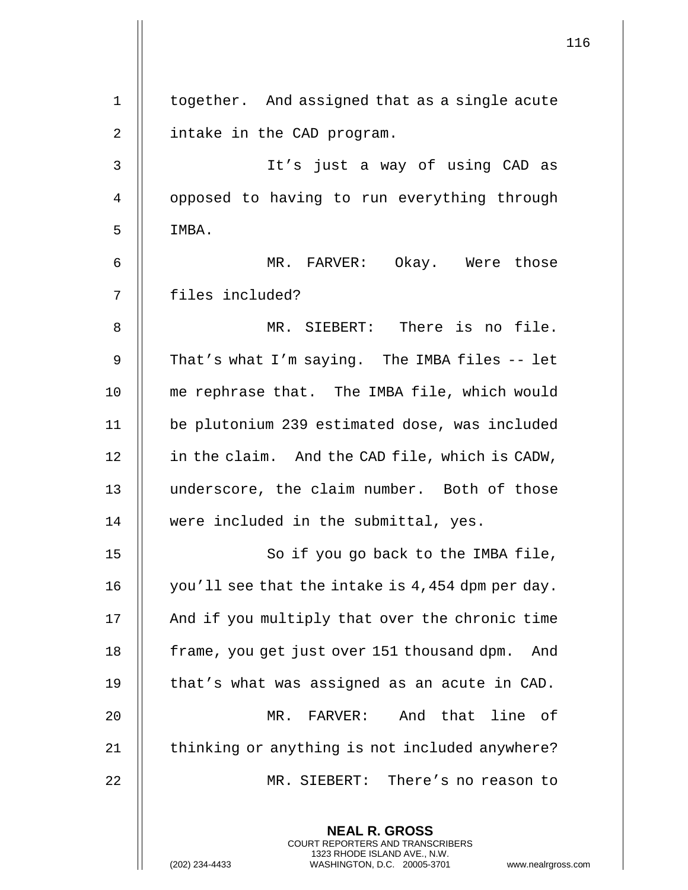| $\mathbf 1$    | together. And assigned that as a single acute                                                                                                                      |
|----------------|--------------------------------------------------------------------------------------------------------------------------------------------------------------------|
| $\overline{2}$ | intake in the CAD program.                                                                                                                                         |
| 3              | It's just a way of using CAD as                                                                                                                                    |
| 4              | opposed to having to run everything through                                                                                                                        |
| 5              | IMBA.                                                                                                                                                              |
| 6              | MR. FARVER: Okay. Were those                                                                                                                                       |
| 7              | files included?                                                                                                                                                    |
| 8              | MR. SIEBERT: There is no file.                                                                                                                                     |
| 9              | That's what I'm saying. The IMBA files -- let                                                                                                                      |
| 10             | me rephrase that. The IMBA file, which would                                                                                                                       |
| 11             | be plutonium 239 estimated dose, was included                                                                                                                      |
| 12             | in the claim. And the CAD file, which is CADW,                                                                                                                     |
| 13             | underscore, the claim number. Both of those                                                                                                                        |
| 14             | were included in the submittal, yes.                                                                                                                               |
| 15             | So if you go back to the IMBA file,                                                                                                                                |
| 16             | you'll see that the intake is 4,454 dpm per day.                                                                                                                   |
| 17             | And if you multiply that over the chronic time                                                                                                                     |
| 18             | frame, you get just over 151 thousand dpm.<br>And                                                                                                                  |
| 19             | that's what was assigned as an acute in CAD.                                                                                                                       |
| 20             | MR. FARVER: And that line of                                                                                                                                       |
| 21             | thinking or anything is not included anywhere?                                                                                                                     |
| 22             | MR. SIEBERT: There's no reason to                                                                                                                                  |
|                | <b>NEAL R. GROSS</b><br><b>COURT REPORTERS AND TRANSCRIBERS</b><br>1323 RHODE ISLAND AVE., N.W.<br>(202) 234-4433<br>WASHINGTON, D.C. 20005-3701<br>www.nealrgross |

 $\mathsf{l}\mathsf{l}$ 

(202) 234-4433 WASHINGTON, D.C. 20005-3701 www.nealrgross.com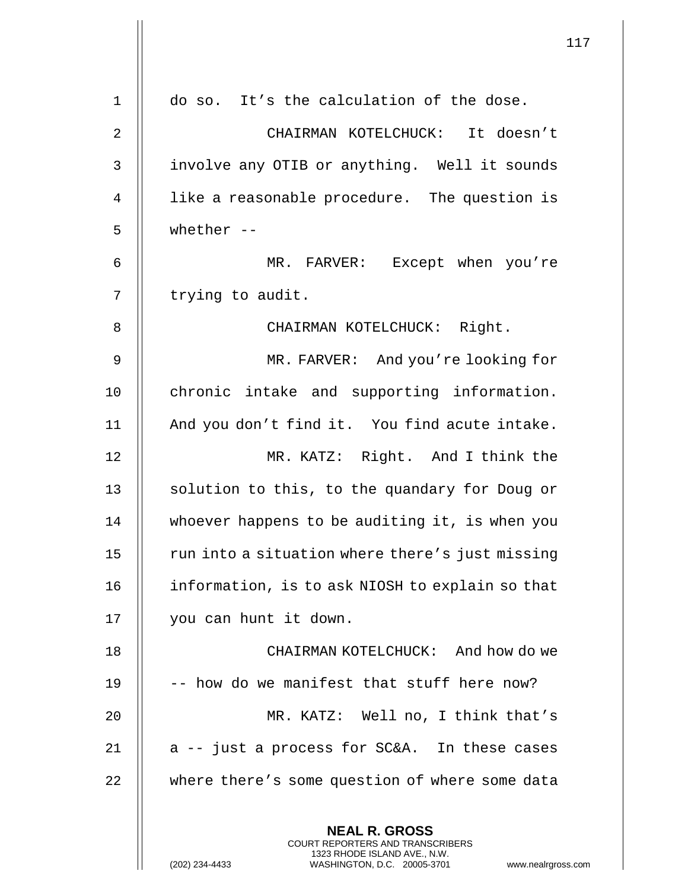|                |                                                                                                                                                                        | 117 |
|----------------|------------------------------------------------------------------------------------------------------------------------------------------------------------------------|-----|
| 1              | do so. It's the calculation of the dose.                                                                                                                               |     |
|                |                                                                                                                                                                        |     |
| $\overline{2}$ | CHAIRMAN KOTELCHUCK: It doesn't                                                                                                                                        |     |
| 3              | involve any OTIB or anything. Well it sounds                                                                                                                           |     |
| 4              | like a reasonable procedure. The question is                                                                                                                           |     |
| 5              | whether $--$                                                                                                                                                           |     |
| 6              | MR. FARVER: Except when you're                                                                                                                                         |     |
| 7              | trying to audit.                                                                                                                                                       |     |
| 8              | CHAIRMAN KOTELCHUCK: Right.                                                                                                                                            |     |
| 9              | MR. FARVER: And you're looking for                                                                                                                                     |     |
| 10             | chronic intake and supporting information.                                                                                                                             |     |
| 11             | And you don't find it. You find acute intake.                                                                                                                          |     |
| 12             | MR. KATZ: Right. And I think the                                                                                                                                       |     |
| 13             | solution to this, to the quandary for Doug or                                                                                                                          |     |
| 14             | whoever happens to be auditing it, is when you                                                                                                                         |     |
| 15             | run into a situation where there's just missing                                                                                                                        |     |
| 16             | information, is to ask NIOSH to explain so that                                                                                                                        |     |
| 17             | you can hunt it down.                                                                                                                                                  |     |
| 18             | CHAIRMAN KOTELCHUCK: And how do we                                                                                                                                     |     |
| 19             | -- how do we manifest that stuff here now?                                                                                                                             |     |
| 20             | MR. KATZ: Well no, I think that's                                                                                                                                      |     |
| 21             | a -- just a process for SC&A. In these cases                                                                                                                           |     |
| 22             | where there's some question of where some data                                                                                                                         |     |
|                | <b>NEAL R. GROSS</b><br><b>COURT REPORTERS AND TRANSCRIBERS</b><br>1323 RHODE ISLAND AVE., N.W.<br>(202) 234-4433<br>WASHINGTON, D.C. 20005-3701<br>www.nealrgross.com |     |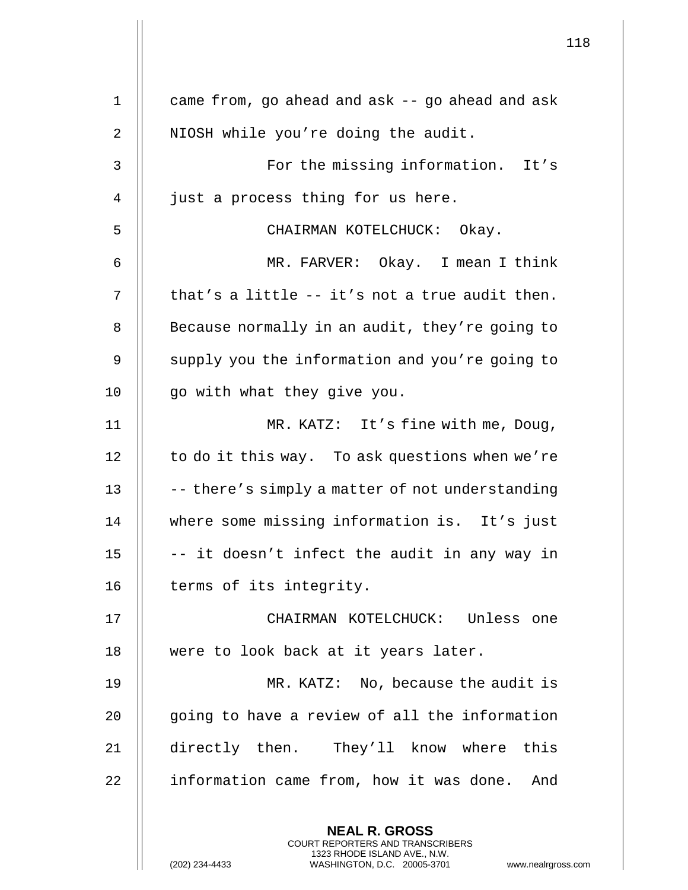|    |                                                                                                                                                                 | 118 |
|----|-----------------------------------------------------------------------------------------------------------------------------------------------------------------|-----|
| 1  | came from, go ahead and ask -- go ahead and ask                                                                                                                 |     |
| 2  | NIOSH while you're doing the audit.                                                                                                                             |     |
|    |                                                                                                                                                                 |     |
| 3  | For the missing information. It's                                                                                                                               |     |
| 4  | just a process thing for us here.                                                                                                                               |     |
| 5  | CHAIRMAN KOTELCHUCK: Okay.                                                                                                                                      |     |
| 6  | MR. FARVER: Okay. I mean I think                                                                                                                                |     |
| 7  | that's a little -- it's not a true audit then.                                                                                                                  |     |
| 8  | Because normally in an audit, they're going to                                                                                                                  |     |
| 9  | supply you the information and you're going to                                                                                                                  |     |
| 10 | go with what they give you.                                                                                                                                     |     |
| 11 | MR. KATZ: It's fine with me, Doug,                                                                                                                              |     |
| 12 | to do it this way. To ask questions when we're                                                                                                                  |     |
| 13 | -- there's simply a matter of not understanding                                                                                                                 |     |
| 14 | where some missing information is. It's just                                                                                                                    |     |
| 15 | -- it doesn't infect the audit in any way in                                                                                                                    |     |
| 16 | terms of its integrity.                                                                                                                                         |     |
| 17 | CHAIRMAN KOTELCHUCK: Unless one                                                                                                                                 |     |
| 18 | were to look back at it years later.                                                                                                                            |     |
| 19 | MR. KATZ: No, because the audit is                                                                                                                              |     |
| 20 | going to have a review of all the information                                                                                                                   |     |
| 21 | directly then. They'll know where this                                                                                                                          |     |
| 22 | information came from, how it was done. And                                                                                                                     |     |
|    | <b>NEAL R. GROSS</b><br>COURT REPORTERS AND TRANSCRIBERS<br>1323 RHODE ISLAND AVE., N.W.<br>(202) 234-4433<br>WASHINGTON, D.C. 20005-3701<br>www.nealrgross.com |     |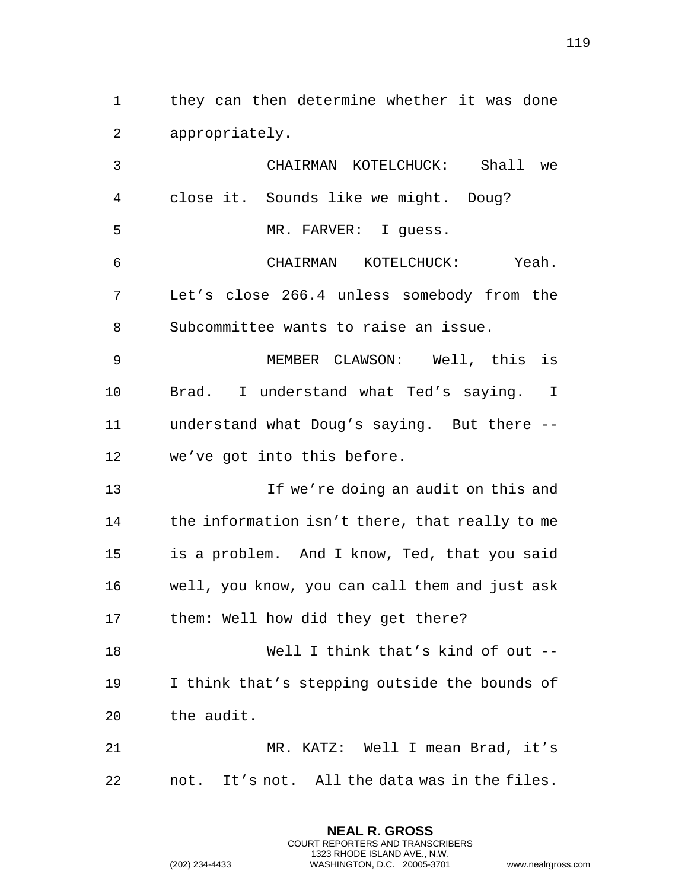|             | 119                                                                                                                                                                    |
|-------------|------------------------------------------------------------------------------------------------------------------------------------------------------------------------|
| $\mathbf 1$ | they can then determine whether it was done                                                                                                                            |
|             |                                                                                                                                                                        |
| 2           | appropriately.                                                                                                                                                         |
| 3           | CHAIRMAN KOTELCHUCK: Shall we                                                                                                                                          |
| 4           | close it. Sounds like we might. Doug?                                                                                                                                  |
| 5           | MR. FARVER: I quess.                                                                                                                                                   |
| 6           | CHAIRMAN KOTELCHUCK: Yeah.                                                                                                                                             |
| 7           | Let's close 266.4 unless somebody from the                                                                                                                             |
| 8           | Subcommittee wants to raise an issue.                                                                                                                                  |
| 9           | MEMBER CLAWSON: Well, this is                                                                                                                                          |
| 10          | Brad. I understand what Ted's saying. I                                                                                                                                |
| 11          | understand what Doug's saying. But there --                                                                                                                            |
| 12          | we've got into this before.                                                                                                                                            |
| 13          | If we're doing an audit on this and                                                                                                                                    |
| 14          | the information isn't there, that really to me                                                                                                                         |
| 15          | is a problem. And I know, Ted, that you said                                                                                                                           |
| 16          | well, you know, you can call them and just ask                                                                                                                         |
| 17          | them: Well how did they get there?                                                                                                                                     |
| 18          | Well I think that's kind of out --                                                                                                                                     |
| 19          | I think that's stepping outside the bounds of                                                                                                                          |
| 20          | the audit.                                                                                                                                                             |
| 21          | MR. KATZ: Well I mean Brad, it's                                                                                                                                       |
| 22          | not. It's not. All the data was in the files.                                                                                                                          |
|             | <b>NEAL R. GROSS</b><br><b>COURT REPORTERS AND TRANSCRIBERS</b><br>1323 RHODE ISLAND AVE., N.W.<br>(202) 234-4433<br>WASHINGTON, D.C. 20005-3701<br>www.nealrgross.com |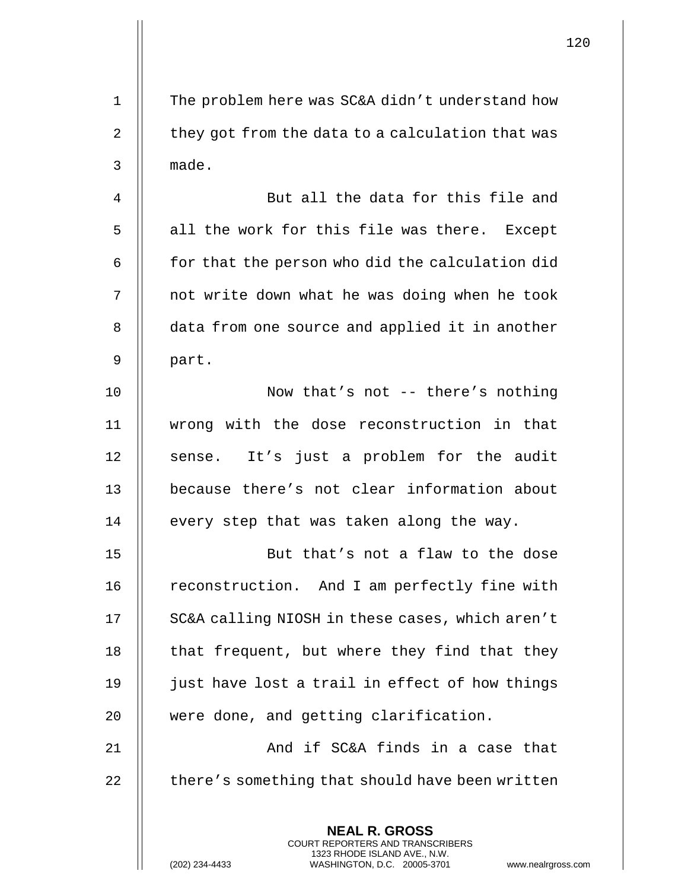**NEAL R. GROSS** COURT REPORTERS AND TRANSCRIBERS 1323 RHODE ISLAND AVE., N.W. 1 | The problem here was SC&A didn't understand how 2 | they got from the data to a calculation that was 3 made. 4 | But all the data for this file and 5 || all the work for this file was there. Except  $6$   $\parallel$  for that the person who did the calculation did 7 || not write down what he was doing when he took 8 | data from one source and applied it in another  $9 \parallel$  part. 10 || Now that's not -- there's nothing 11 wrong with the dose reconstruction in that 12 || sense. It's just a problem for the audit 13 because there's not clear information about  $14$  || every step that was taken along the way. 15 || But that's not a flaw to the dose 16 | reconstruction. And I am perfectly fine with 17 | SC&A calling NIOSH in these cases, which aren't 18  $\parallel$  that frequent, but where they find that they 19  $\parallel$  just have lost a trail in effect of how things 20 | were done, and getting clarification. 21 || And if SC&A finds in a case that  $22$   $\parallel$  there's something that should have been written

(202) 234-4433 WASHINGTON, D.C. 20005-3701 www.nealrgross.com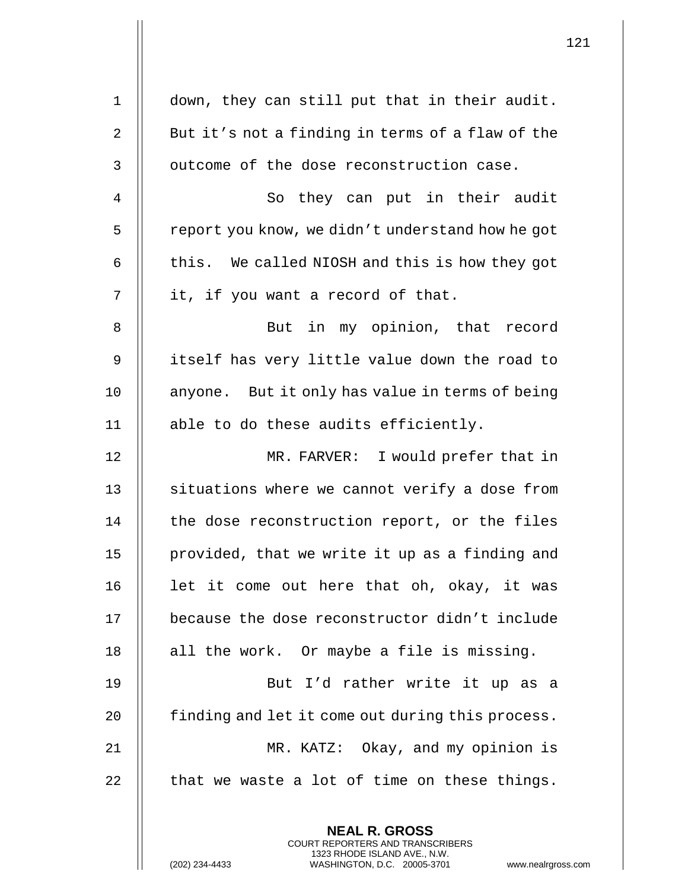| $\mathbf 1$    | down, they can still put that in their audit.                    |
|----------------|------------------------------------------------------------------|
| 2              | But it's not a finding in terms of a flaw of the                 |
| $\mathsf{3}$   | outcome of the dose reconstruction case.                         |
| $\overline{4}$ | So they can put in their audit                                   |
| 5              | report you know, we didn't understand how he got                 |
| 6              | this. We called NIOSH and this is how they got                   |
| 7              | it, if you want a record of that.                                |
| 8              | But in my opinion, that record                                   |
| 9              | itself has very little value down the road to                    |
| 10             | anyone. But it only has value in terms of being                  |
| 11             | able to do these audits efficiently.                             |
| 12             | MR. FARVER: I would prefer that in                               |
| 13             | situations where we cannot verify a dose from                    |
| 14             | the dose reconstruction report, or the files                     |
| 15             | provided, that we write it up as a finding and                   |
| 16             | let it come out here that oh, okay, it was                       |
| 17             | because the dose reconstructor didn't include                    |
| 18             | all the work. Or maybe a file is missing.                        |
| 19             | But I'd rather write it up as a                                  |
| 20             | finding and let it come out during this process.                 |
| 21             | MR. KATZ: Okay, and my opinion is                                |
| 22             | that we waste a lot of time on these things.                     |
|                | <b>NEAL R. GROSS</b>                                             |
|                | COURT REPORTERS AND TRANSCRIBERS<br>1323 RHODE ISLAND AVE., N.W. |
|                | (202) 234-4433<br>WASHINGTON, D.C. 20005-3701<br>www.nealrgross. |

 $\mathbf{I}$  $\mathsf{l}\mathsf{l}$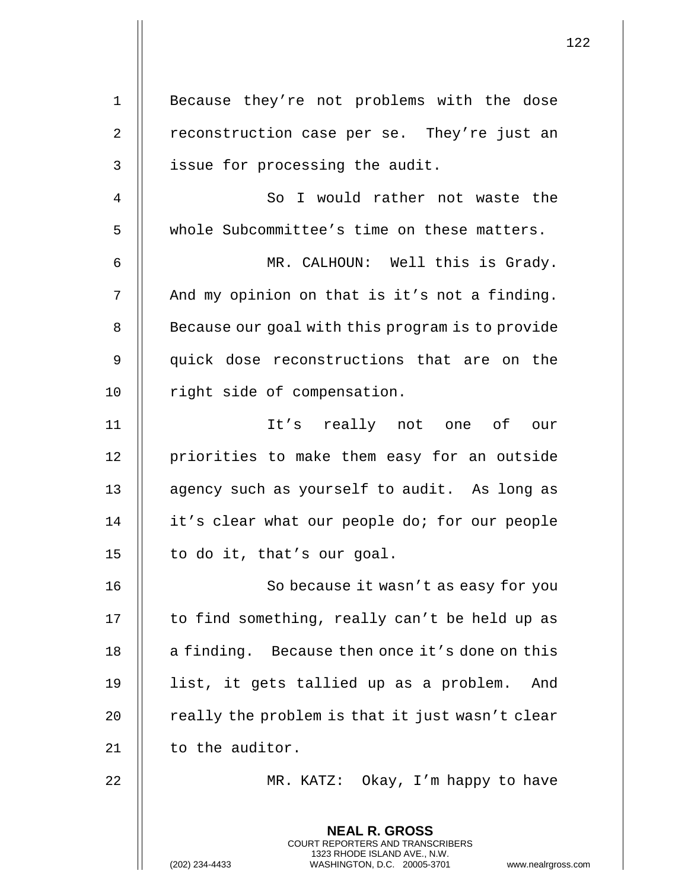| $\mathbf 1$    | Because they're not problems with the dose                                                                                                                         |
|----------------|--------------------------------------------------------------------------------------------------------------------------------------------------------------------|
| $\overline{2}$ | reconstruction case per se. They're just an                                                                                                                        |
| $\mathsf{3}$   | issue for processing the audit.                                                                                                                                    |
| $\overline{4}$ | So I would rather not waste the                                                                                                                                    |
| 5              | whole Subcommittee's time on these matters.                                                                                                                        |
| 6              | MR. CALHOUN: Well this is Grady.                                                                                                                                   |
| 7              | And my opinion on that is it's not a finding.                                                                                                                      |
| 8              | Because our goal with this program is to provide                                                                                                                   |
| 9              | quick dose reconstructions that are on the                                                                                                                         |
| 10             | right side of compensation.                                                                                                                                        |
| 11             | It's really not one of our                                                                                                                                         |
| 12             | priorities to make them easy for an outside                                                                                                                        |
| 13             | agency such as yourself to audit. As long as                                                                                                                       |
| 14             | it's clear what our people do; for our people                                                                                                                      |
| 15             | to do it, that's our goal.                                                                                                                                         |
| 16             | So because it wasn't as easy for you                                                                                                                               |
| 17             | to find something, really can't be held up as                                                                                                                      |
| 18             | a finding. Because then once it's done on this                                                                                                                     |
| 19             | list, it gets tallied up as a problem.<br>And                                                                                                                      |
| 20             | really the problem is that it just wasn't clear                                                                                                                    |
| 21             | to the auditor.                                                                                                                                                    |
| 22             | MR. KATZ: Okay, I'm happy to have                                                                                                                                  |
|                | <b>NEAL R. GROSS</b><br><b>COURT REPORTERS AND TRANSCRIBERS</b><br>1323 RHODE ISLAND AVE., N.W.<br>(202) 234-4433<br>WASHINGTON, D.C. 20005-3701<br>www.nealrgross |

(202) 234-4433 WASHINGTON, D.C. 20005-3701 www.nealrgross.com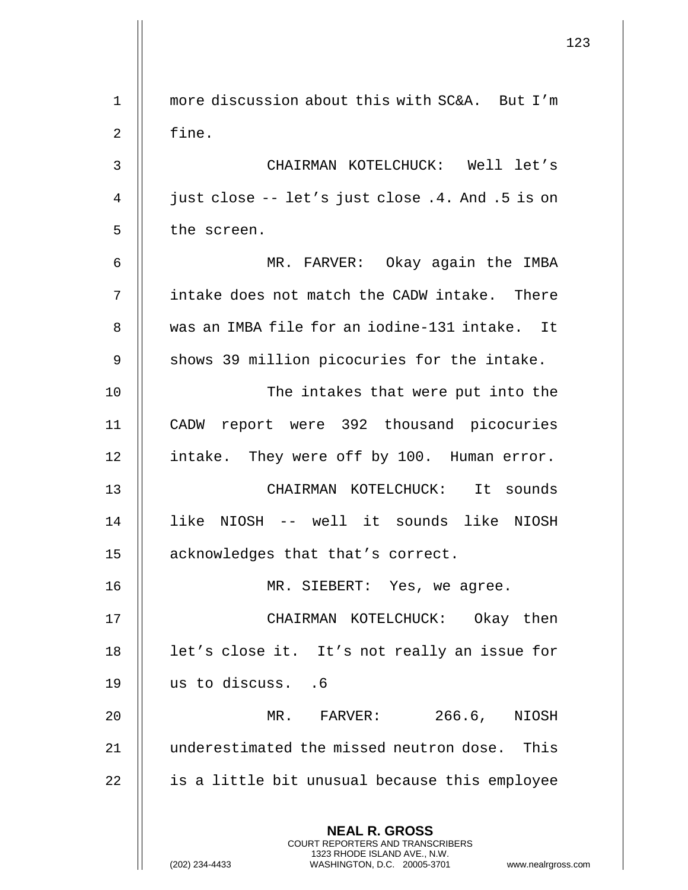**NEAL R. GROSS** COURT REPORTERS AND TRANSCRIBERS 1323 RHODE ISLAND AVE., N.W. (202) 234-4433 WASHINGTON, D.C. 20005-3701 www.nealrgross.com 1 more discussion about this with SC&A. But I'm 2 || fine. 3 CHAIRMAN KOTELCHUCK: Well let's 4 | just close -- let's just close .4. And .5 is on 5 | the screen. 6 MR. FARVER: Okay again the IMBA 7 intake does not match the CADW intake. There 8 || was an IMBA file for an iodine-131 intake. It  $9$  || shows 39 million picocuries for the intake. 10 || The intakes that were put into the 11 CADW report were 392 thousand picocuries 12 | intake. They were off by 100. Human error. 13 CHAIRMAN KOTELCHUCK: It sounds 14 like NIOSH -- well it sounds like NIOSH 15 acknowledges that that's correct. 16 || MR. SIEBERT: Yes, we agree. 17 CHAIRMAN KOTELCHUCK: Okay then 18 || let's close it. It's not really an issue for 19 us to discuss. .6 20 MR. FARVER: 266.6, NIOSH 21 || underestimated the missed neutron dose. This  $22$   $\parallel$  is a little bit unusual because this employee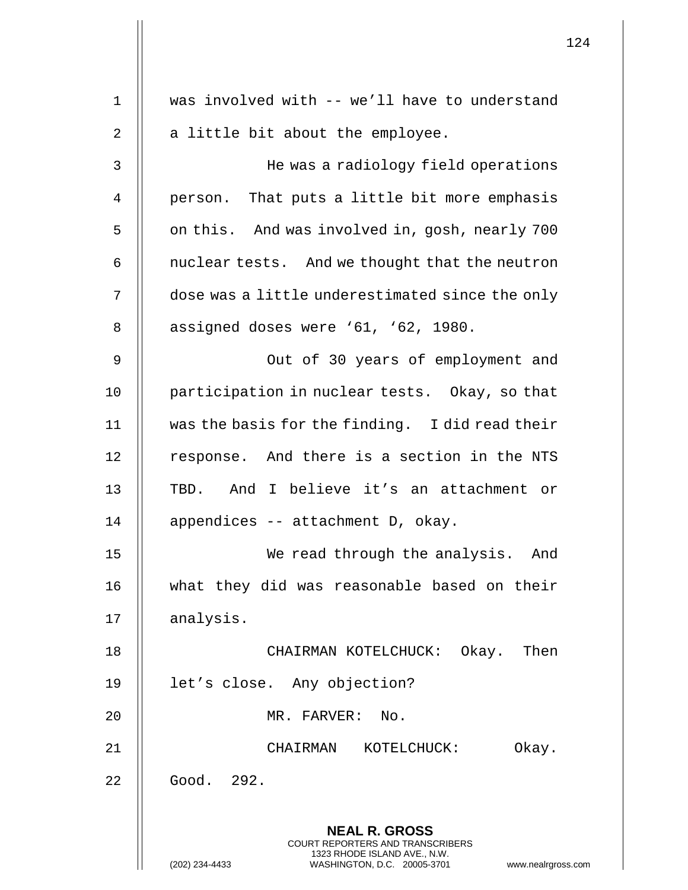|                |                                                                                                                                                                        | 124 |
|----------------|------------------------------------------------------------------------------------------------------------------------------------------------------------------------|-----|
| 1              | was involved with -- we'll have to understand                                                                                                                          |     |
| $\overline{2}$ | a little bit about the employee.                                                                                                                                       |     |
| 3              | He was a radiology field operations                                                                                                                                    |     |
| 4              | person. That puts a little bit more emphasis                                                                                                                           |     |
| 5              | on this. And was involved in, gosh, nearly 700                                                                                                                         |     |
| 6              | nuclear tests. And we thought that the neutron                                                                                                                         |     |
| 7              | dose was a little underestimated since the only                                                                                                                        |     |
| 8              | assigned doses were '61, '62, 1980.                                                                                                                                    |     |
| 9              | Out of 30 years of employment and                                                                                                                                      |     |
| 10             | participation in nuclear tests. Okay, so that                                                                                                                          |     |
| 11             | was the basis for the finding. I did read their                                                                                                                        |     |
| 12             | response. And there is a section in the NTS                                                                                                                            |     |
| 13             | TBD. And I believe it's an attachment or                                                                                                                               |     |
| 14             | appendices -- attachment D, okay.                                                                                                                                      |     |
| 15             | We read through the analysis. And                                                                                                                                      |     |
| 16             | what they did was reasonable based on their                                                                                                                            |     |
| 17             | analysis.                                                                                                                                                              |     |
| 18             | CHAIRMAN KOTELCHUCK: Okay. Then                                                                                                                                        |     |
| 19             | let's close. Any objection?                                                                                                                                            |     |
| 20             | MR. FARVER: No.                                                                                                                                                        |     |
| 21             | CHAIRMAN KOTELCHUCK:<br>Okay.                                                                                                                                          |     |
| 22             | Good. 292.                                                                                                                                                             |     |
|                | <b>NEAL R. GROSS</b><br><b>COURT REPORTERS AND TRANSCRIBERS</b><br>1323 RHODE ISLAND AVE., N.W.<br>(202) 234-4433<br>WASHINGTON, D.C. 20005-3701<br>www.nealrgross.com |     |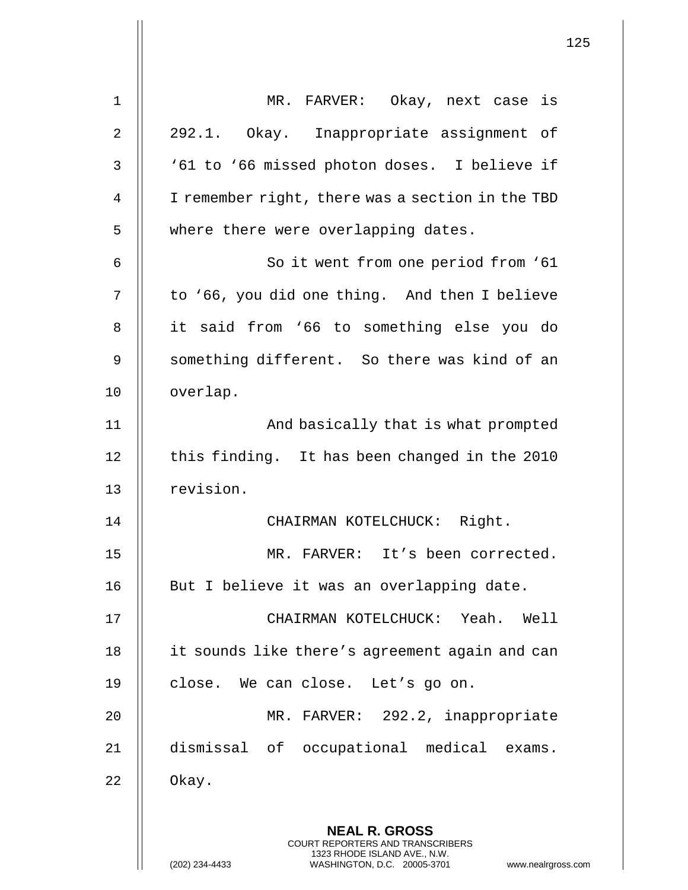|                | 125                                                                                                                                                                    |
|----------------|------------------------------------------------------------------------------------------------------------------------------------------------------------------------|
| 1              | MR. FARVER: Okay, next case is                                                                                                                                         |
| $\overline{2}$ | 292.1. Okay. Inappropriate assignment of                                                                                                                               |
| 3              | '61 to '66 missed photon doses. I believe if                                                                                                                           |
| 4              | I remember right, there was a section in the TBD                                                                                                                       |
| 5              | where there were overlapping dates.                                                                                                                                    |
| 6              | So it went from one period from '61                                                                                                                                    |
| 7              | to '66, you did one thing. And then I believe                                                                                                                          |
| 8              | it said from '66 to something else you do                                                                                                                              |
| 9              | something different. So there was kind of an                                                                                                                           |
| 10             | overlap.                                                                                                                                                               |
| 11             | And basically that is what prompted                                                                                                                                    |
| 12             | this finding. It has been changed in the 2010                                                                                                                          |
| 13             | revision.                                                                                                                                                              |
| 14             | CHAIRMAN KOTELCHUCK: Right.                                                                                                                                            |
| 15             | MR. FARVER: It's been corrected.                                                                                                                                       |
| 16             | But I believe it was an overlapping date.                                                                                                                              |
| 17             | CHAIRMAN KOTELCHUCK: Yeah. Well                                                                                                                                        |
| 18             | it sounds like there's agreement again and can                                                                                                                         |
| 19             | close. We can close. Let's go on.                                                                                                                                      |
| 20             | MR. FARVER: 292.2, inappropriate                                                                                                                                       |
| 21             | dismissal of occupational medical exams.                                                                                                                               |
| 22             | Okay.                                                                                                                                                                  |
|                | <b>NEAL R. GROSS</b><br><b>COURT REPORTERS AND TRANSCRIBERS</b><br>1323 RHODE ISLAND AVE., N.W.<br>(202) 234-4433<br>WASHINGTON, D.C. 20005-3701<br>www.nealrgross.com |

 $\overline{1}$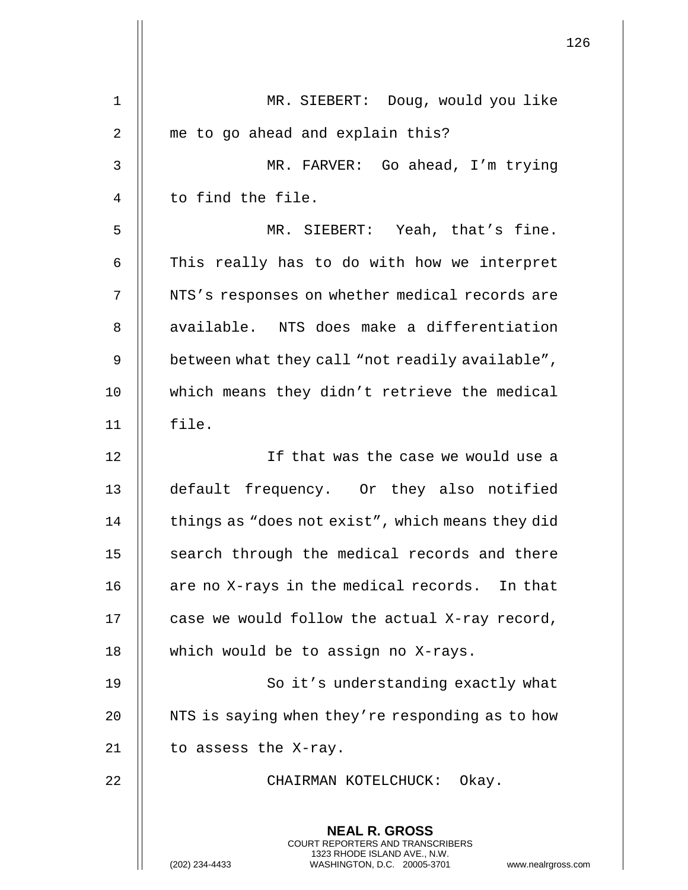|    |                                                                                                                                                                 | 126 |
|----|-----------------------------------------------------------------------------------------------------------------------------------------------------------------|-----|
| 1  | MR. SIEBERT: Doug, would you like                                                                                                                               |     |
| 2  | me to go ahead and explain this?                                                                                                                                |     |
| 3  | MR. FARVER: Go ahead, I'm trying                                                                                                                                |     |
| 4  | to find the file.                                                                                                                                               |     |
| 5  | MR. SIEBERT: Yeah, that's fine.                                                                                                                                 |     |
| 6  | This really has to do with how we interpret                                                                                                                     |     |
| 7  | NTS's responses on whether medical records are                                                                                                                  |     |
| 8  | available. NTS does make a differentiation                                                                                                                      |     |
| 9  | between what they call "not readily available",                                                                                                                 |     |
| 10 | which means they didn't retrieve the medical                                                                                                                    |     |
| 11 | file.                                                                                                                                                           |     |
| 12 | If that was the case we would use a                                                                                                                             |     |
| 13 | default frequency. Or they also notified                                                                                                                        |     |
| 14 | things as "does not exist", which means they did                                                                                                                |     |
| 15 | search through the medical records and there                                                                                                                    |     |
| 16 | are no X-rays in the medical records. In that                                                                                                                   |     |
| 17 | case we would follow the actual X-ray record,                                                                                                                   |     |
| 18 | which would be to assign no X-rays.                                                                                                                             |     |
| 19 | So it's understanding exactly what                                                                                                                              |     |
| 20 | NTS is saying when they're responding as to how                                                                                                                 |     |
| 21 | to assess the X-ray.                                                                                                                                            |     |
|    |                                                                                                                                                                 |     |
| 22 | CHAIRMAN KOTELCHUCK: Okay.                                                                                                                                      |     |
|    | <b>NEAL R. GROSS</b><br>COURT REPORTERS AND TRANSCRIBERS<br>1323 RHODE ISLAND AVE., N.W.<br>(202) 234-4433<br>www.nealrgross.com<br>WASHINGTON, D.C. 20005-3701 |     |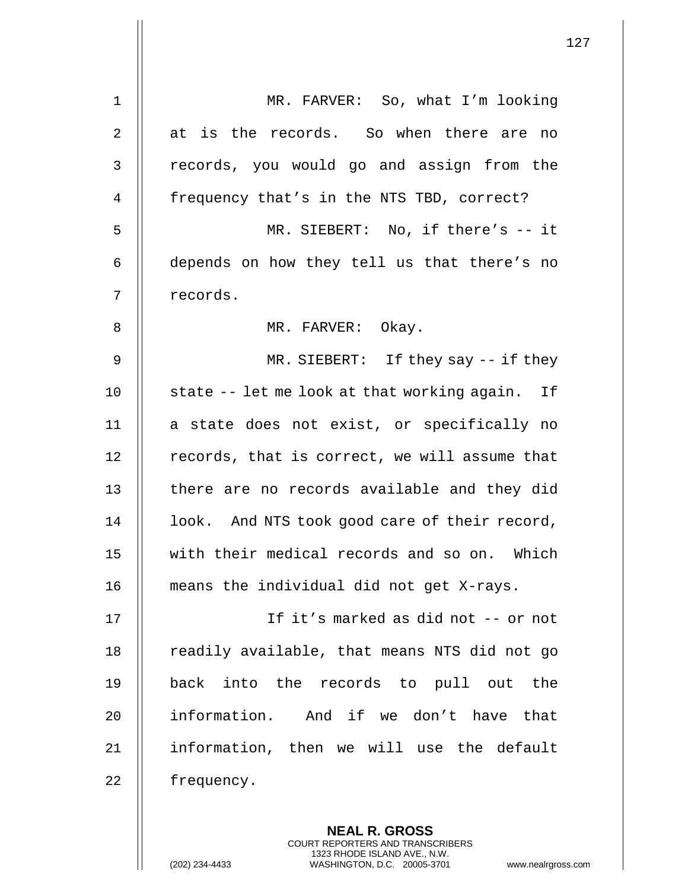| $\mathbf 1$ | MR. FARVER: So, what I'm looking                                                                                                                                   |
|-------------|--------------------------------------------------------------------------------------------------------------------------------------------------------------------|
| 2           | at is the records. So when there are no                                                                                                                            |
| 3           | records, you would go and assign from the                                                                                                                          |
| 4           | frequency that's in the NTS TBD, correct?                                                                                                                          |
| 5           | MR. SIEBERT: No, if there's -- it                                                                                                                                  |
| 6           | depends on how they tell us that there's no                                                                                                                        |
| 7           | records.                                                                                                                                                           |
| 8           | MR. FARVER: Okay.                                                                                                                                                  |
| 9           | $MR. SIEBERT: If they say -- if they$                                                                                                                              |
| 10          | state -- let me look at that working again. If                                                                                                                     |
| 11          | a state does not exist, or specifically no                                                                                                                         |
| 12          | records, that is correct, we will assume that                                                                                                                      |
| 13          | there are no records available and they did                                                                                                                        |
| 14          | look. And NTS took good care of their record,                                                                                                                      |
| 15          | with their medical records and so on. Which                                                                                                                        |
| 16          | means the individual did not get X-rays.                                                                                                                           |
| 17          | If it's marked as did not -- or not                                                                                                                                |
| 18          | readily available, that means NTS did not go                                                                                                                       |
| 19          | into the records to pull out the<br>back                                                                                                                           |
| 20          | information. And if we don't have that                                                                                                                             |
| 21          | information, then we will use the default                                                                                                                          |
| 22          | frequency.                                                                                                                                                         |
|             | <b>NEAL R. GROSS</b><br><b>COURT REPORTERS AND TRANSCRIBERS</b><br>1323 RHODE ISLAND AVE., N.W.<br>WASHINGTON, D.C. 20005-3701<br>(202) 234-4433<br>www.nealrgross |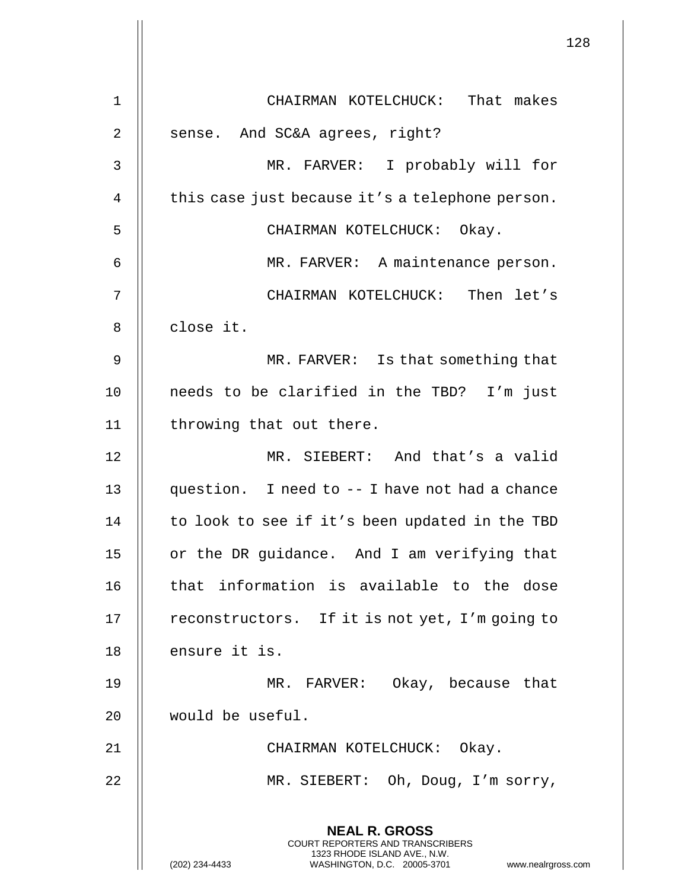|                |                                                                                                                                                                        | 128 |
|----------------|------------------------------------------------------------------------------------------------------------------------------------------------------------------------|-----|
| 1              | CHAIRMAN KOTELCHUCK: That makes                                                                                                                                        |     |
| $\overline{2}$ | sense. And SC&A agrees, right?                                                                                                                                         |     |
| 3              | MR. FARVER: I probably will for                                                                                                                                        |     |
| 4              | this case just because it's a telephone person.                                                                                                                        |     |
| 5              | CHAIRMAN KOTELCHUCK: Okay.                                                                                                                                             |     |
| 6              | MR. FARVER: A maintenance person.                                                                                                                                      |     |
| 7              | CHAIRMAN KOTELCHUCK: Then let's                                                                                                                                        |     |
| 8              | close it.                                                                                                                                                              |     |
| 9              | MR. FARVER: Is that something that                                                                                                                                     |     |
| 10             | needs to be clarified in the TBD? I'm just                                                                                                                             |     |
| 11             | throwing that out there.                                                                                                                                               |     |
| 12             | MR. SIEBERT: And that's a valid                                                                                                                                        |     |
| 13             | question. I need to -- I have not had a chance                                                                                                                         |     |
| 14             | to look to see if it's been updated in the TBD                                                                                                                         |     |
| 15             | or the DR guidance. And I am verifying that                                                                                                                            |     |
| 16             | that information is available to the dose                                                                                                                              |     |
| 17             | reconstructors. If it is not yet, I'm going to                                                                                                                         |     |
| 18             | ensure it is.                                                                                                                                                          |     |
| 19             | MR. FARVER: Okay, because that                                                                                                                                         |     |
| 20             | would be useful.                                                                                                                                                       |     |
| 21             | CHAIRMAN KOTELCHUCK: Okay.                                                                                                                                             |     |
| 22             | MR. SIEBERT: Oh, Doug, I'm sorry,                                                                                                                                      |     |
|                | <b>NEAL R. GROSS</b><br><b>COURT REPORTERS AND TRANSCRIBERS</b><br>1323 RHODE ISLAND AVE., N.W.<br>WASHINGTON, D.C. 20005-3701<br>(202) 234-4433<br>www.nealrgross.com |     |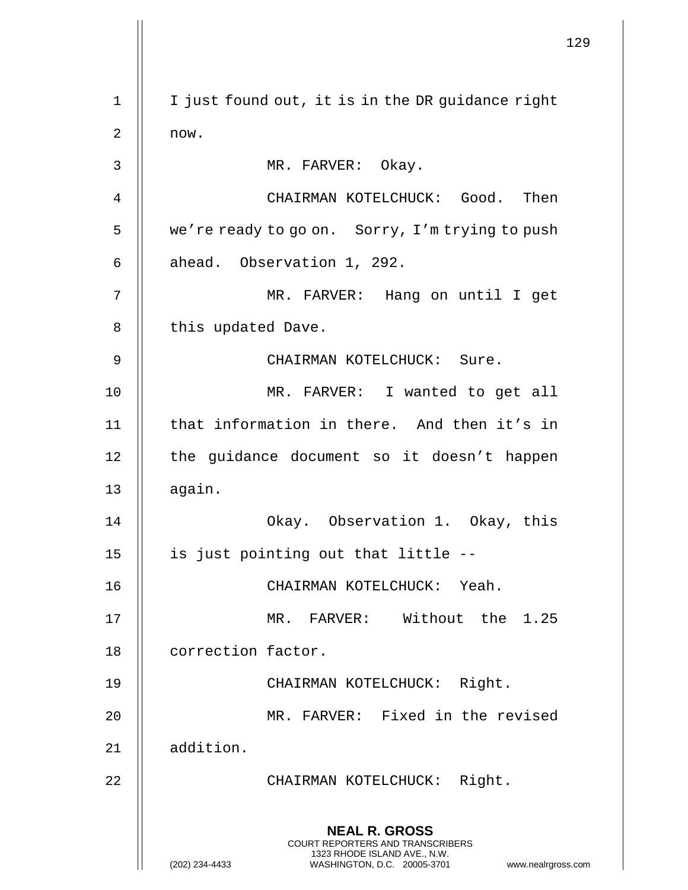129 **NEAL R. GROSS** COURT REPORTERS AND TRANSCRIBERS 1323 RHODE ISLAND AVE., N.W. (202) 234-4433 WASHINGTON, D.C. 20005-3701 www.nealrgross.com 1 | I just found out, it is in the DR guidance right  $2 \parallel$  now. 3 || MR. FARVER: Okay. 4 CHAIRMAN KOTELCHUCK: Good. Then 5 | we're ready to go on. Sorry, I'm trying to push  $6 \parallel$  ahead. Observation 1, 292. 7 MR. FARVER: Hang on until I get  $8$  | this updated Dave. 9 CHAIRMAN KOTELCHUCK: Sure. 10 MR. FARVER: I wanted to get all 11 that information in there. And then it's in 12 || the guidance document so it doesn't happen  $13$   $\parallel$  again. 14 Okay. Observation 1. Okay, this 15 || is just pointing out that little --16 CHAIRMAN KOTELCHUCK: Yeah. 17 || MR. FARVER: Without the 1.25 18 | correction factor. 19 CHAIRMAN KOTELCHUCK: Right. 20 MR. FARVER: Fixed in the revised 21 || addition. 22 || CHAIRMAN KOTELCHUCK: Right.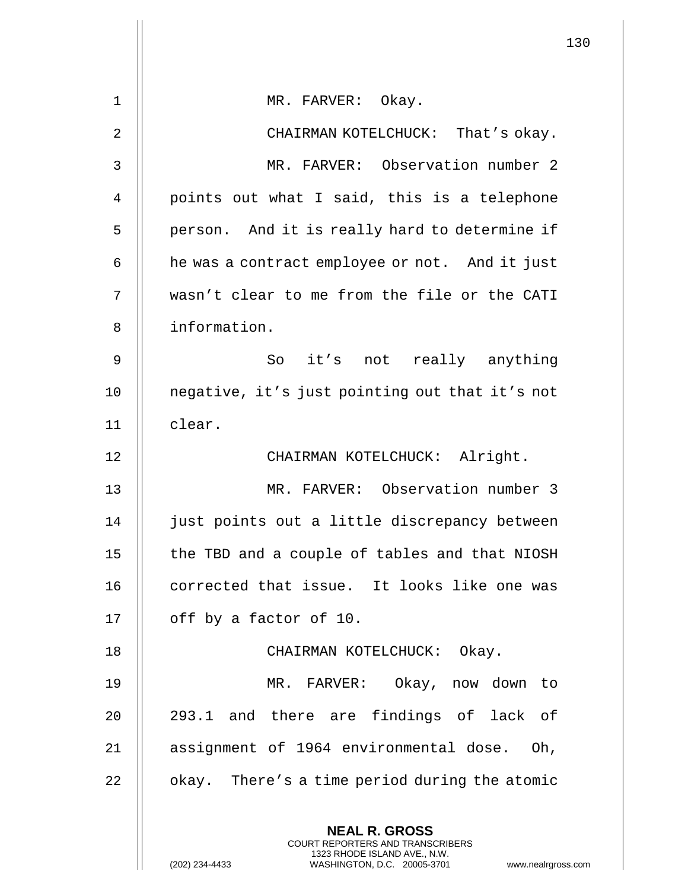|                |                                                                                                                                                                        | 130 |
|----------------|------------------------------------------------------------------------------------------------------------------------------------------------------------------------|-----|
| $\mathbf 1$    | MR. FARVER: Okay.                                                                                                                                                      |     |
| $\overline{2}$ | CHAIRMAN KOTELCHUCK: That's okay.                                                                                                                                      |     |
| 3              | MR. FARVER: Observation number 2                                                                                                                                       |     |
| 4              | points out what I said, this is a telephone                                                                                                                            |     |
| 5              | person. And it is really hard to determine if                                                                                                                          |     |
| 6              | he was a contract employee or not. And it just                                                                                                                         |     |
| 7              | wasn't clear to me from the file or the CATI                                                                                                                           |     |
| 8              | information.                                                                                                                                                           |     |
|                |                                                                                                                                                                        |     |
| 9              | So it's not really anything                                                                                                                                            |     |
| 10             | negative, it's just pointing out that it's not                                                                                                                         |     |
| 11             | clear.                                                                                                                                                                 |     |
| 12             | CHAIRMAN KOTELCHUCK: Alright.                                                                                                                                          |     |
| 13             | MR. FARVER: Observation number 3                                                                                                                                       |     |
| 14             | just points out a little discrepancy between                                                                                                                           |     |
| 15             | the TBD and a couple of tables and that NIOSH                                                                                                                          |     |
| 16             | corrected that issue. It looks like one was                                                                                                                            |     |
| 17             | off by a factor of 10.                                                                                                                                                 |     |
| 18             | CHAIRMAN KOTELCHUCK: Okay.                                                                                                                                             |     |
| 19             | MR. FARVER: Okay, now down to                                                                                                                                          |     |
| 20             | 293.1 and there are findings of lack of                                                                                                                                |     |
| 21             | assignment of 1964 environmental dose. Oh,                                                                                                                             |     |
| 22             | okay. There's a time period during the atomic                                                                                                                          |     |
|                | <b>NEAL R. GROSS</b><br><b>COURT REPORTERS AND TRANSCRIBERS</b><br>1323 RHODE ISLAND AVE., N.W.<br>(202) 234-4433<br>WASHINGTON, D.C. 20005-3701<br>www.nealrgross.com |     |

 $\mathbf{I}$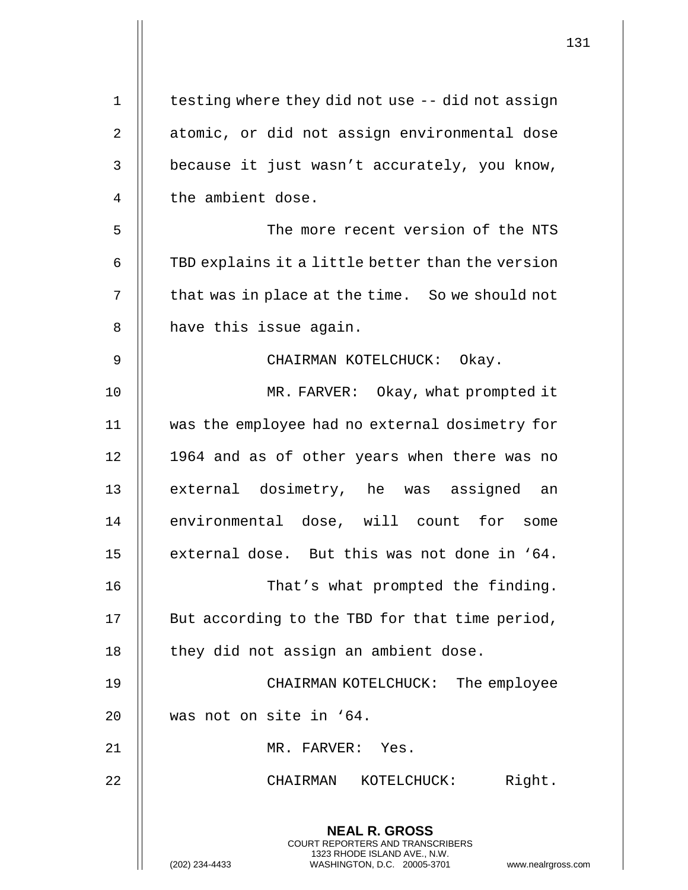| 1  | testing where they did not use -- did not assign                                                                                                             |
|----|--------------------------------------------------------------------------------------------------------------------------------------------------------------|
| 2  | atomic, or did not assign environmental dose                                                                                                                 |
| 3  | because it just wasn't accurately, you know,                                                                                                                 |
| 4  | the ambient dose.                                                                                                                                            |
| 5  | The more recent version of the NTS                                                                                                                           |
| 6  | TBD explains it a little better than the version                                                                                                             |
| 7  | that was in place at the time. So we should not                                                                                                              |
| 8  | have this issue again.                                                                                                                                       |
| 9  | CHAIRMAN KOTELCHUCK: Okay.                                                                                                                                   |
| 10 | MR. FARVER: Okay, what prompted it                                                                                                                           |
| 11 | was the employee had no external dosimetry for                                                                                                               |
| 12 | 1964 and as of other years when there was no                                                                                                                 |
| 13 | external dosimetry, he was assigned an                                                                                                                       |
| 14 | environmental dose, will count for some                                                                                                                      |
| 15 | external dose. But this was not done in '64.                                                                                                                 |
| 16 | That's what prompted the finding.                                                                                                                            |
| 17 | But according to the TBD for that time period,                                                                                                               |
| 18 | they did not assign an ambient dose.                                                                                                                         |
| 19 | CHAIRMAN KOTELCHUCK:<br>The employee                                                                                                                         |
| 20 | was not on site in '64.                                                                                                                                      |
| 21 | MR. FARVER: Yes.                                                                                                                                             |
| 22 | Right.<br>CHAIRMAN KOTELCHUCK:                                                                                                                               |
|    | <b>NEAL R. GROSS</b><br>COURT REPORTERS AND TRANSCRIBERS<br>1323 RHODE ISLAND AVE., N.W.<br>(202) 234-4433<br>WASHINGTON, D.C. 20005-3701<br>www.nealrgross. |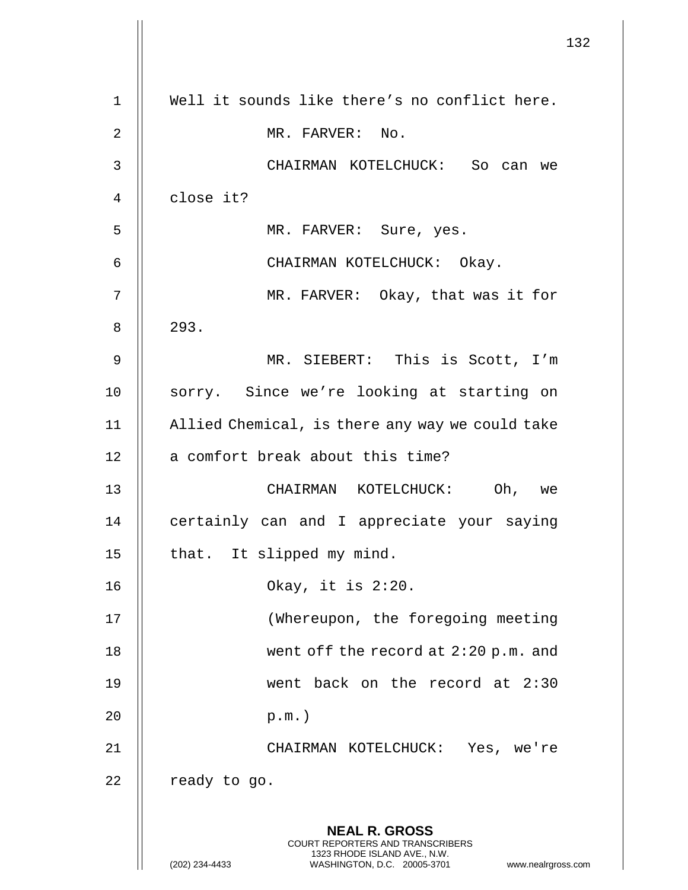|                | 132                                                                                             |
|----------------|-------------------------------------------------------------------------------------------------|
| $\mathbf 1$    | Well it sounds like there's no conflict here.                                                   |
| $\overline{2}$ | MR. FARVER: No.                                                                                 |
| $\mathsf{3}$   | CHAIRMAN KOTELCHUCK: So can we                                                                  |
| $\overline{4}$ | close it?                                                                                       |
| 5              | MR. FARVER: Sure, yes.                                                                          |
| 6              | CHAIRMAN KOTELCHUCK: Okay.                                                                      |
| 7              | MR. FARVER: Okay, that was it for                                                               |
| 8              | 293.                                                                                            |
| $\mathsf 9$    | MR. SIEBERT: This is Scott, I'm                                                                 |
| 10             | sorry. Since we're looking at starting on                                                       |
| 11             | Allied Chemical, is there any way we could take                                                 |
| 12             | a comfort break about this time?                                                                |
| 13             | CHAIRMAN KOTELCHUCK: Oh,<br>we                                                                  |
| 14             | certainly can and I appreciate your saying                                                      |
| 15             | that. It slipped my mind.                                                                       |
| 16             | Okay, it is $2:20$ .                                                                            |
| 17             | (Whereupon, the foregoing meeting                                                               |
| 18             | went off the record at $2:20$ p.m. and                                                          |
| 19             | went back on the record at 2:30                                                                 |
| 20             | $p.m.$ )                                                                                        |
| 21             | CHAIRMAN KOTELCHUCK: Yes, we're                                                                 |
| 22             | ready to go.                                                                                    |
|                |                                                                                                 |
|                | <b>NEAL R. GROSS</b><br><b>COURT REPORTERS AND TRANSCRIBERS</b><br>1323 RHODE ISLAND AVE., N.W. |
|                | (202) 234-4433<br>WASHINGTON, D.C. 20005-3701<br>www.nealrgross.com                             |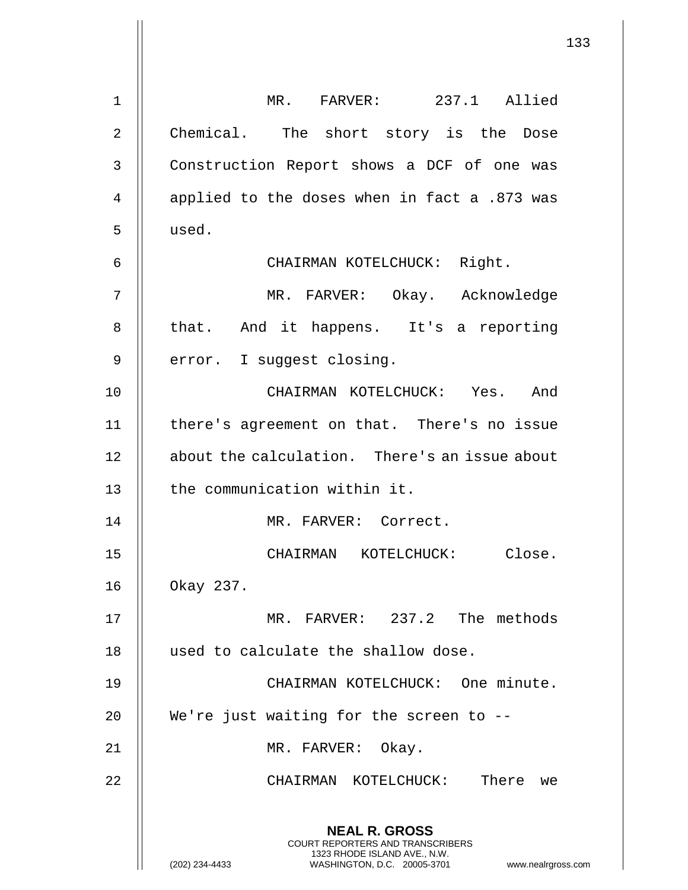**NEAL R. GROSS** COURT REPORTERS AND TRANSCRIBERS 1323 RHODE ISLAND AVE., N.W. (202) 234-4433 WASHINGTON, D.C. 20005-3701 www.nealrgross.com 1 MR. FARVER: 237.1 Allied 2 || Chemical. The short story is the Dose 3 | Construction Report shows a DCF of one was 4  $\parallel$  applied to the doses when in fact a .873 was 5 used. 6 CHAIRMAN KOTELCHUCK: Right. 7 MR. FARVER: Okay. Acknowledge 8 || that. And it happens. It's a reporting  $9$  | error. I suggest closing. 10 CHAIRMAN KOTELCHUCK: Yes. And 11 there's agreement on that. There's no issue 12 || about the calculation. There's an issue about 13 || the communication within it. 14 || MR. FARVER: Correct. 15 CHAIRMAN KOTELCHUCK: Close. 16 Okay 237. 17 MR. FARVER: 237.2 The methods 18 || used to calculate the shallow dose. 19 CHAIRMAN KOTELCHUCK: One minute. 20 || We're just waiting for the screen to --21 || MR. FARVER: Okay. 22 CHAIRMAN KOTELCHUCK: There we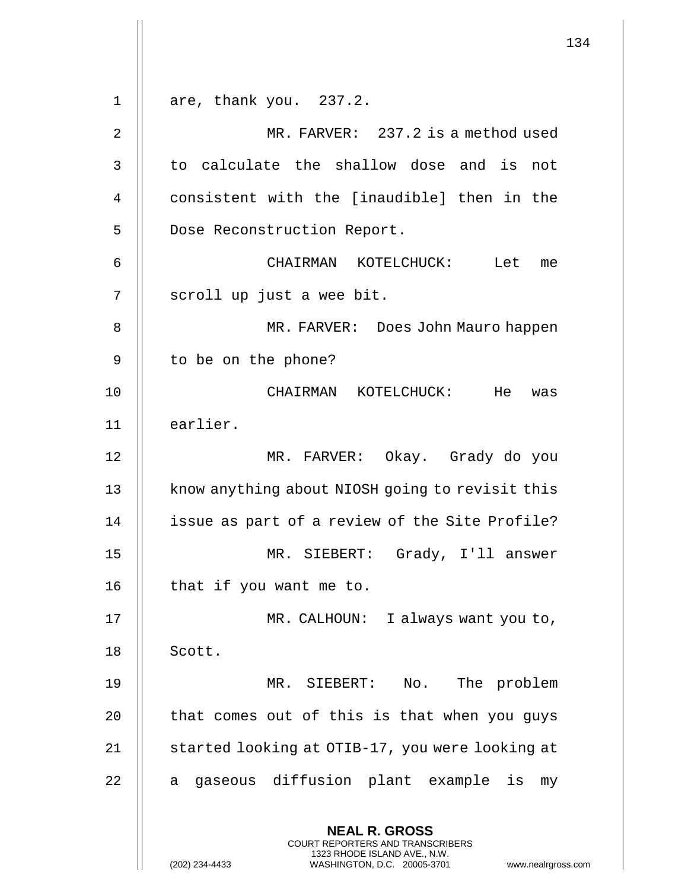**NEAL R. GROSS** COURT REPORTERS AND TRANSCRIBERS 1323 RHODE ISLAND AVE., N.W. (202) 234-4433 WASHINGTON, D.C. 20005-3701 www.nealrgross.com  $1 \parallel$  are, thank you. 237.2. 2 MR. FARVER: 237.2 is a method used  $3$   $\parallel$  to calculate the shallow dose and is not 4 || consistent with the [inaudible] then in the 5 | Dose Reconstruction Report. 6 CHAIRMAN KOTELCHUCK: Let me 7 || scroll up just a wee bit. 8 MR. FARVER: Does John Mauro happen 9 | to be on the phone? 10 CHAIRMAN KOTELCHUCK: He was 11 earlier. 12 MR. FARVER: Okay. Grady do you 13 | know anything about NIOSH going to revisit this 14 || issue as part of a review of the Site Profile? 15 MR. SIEBERT: Grady, I'll answer  $16$  | that if you want me to. 17 MR. CALHOUN: I always want you to, 18 || Scott. 19 MR. SIEBERT: No. The problem  $20$  || that comes out of this is that when you guys 21 | started looking at OTIB-17, you were looking at  $22$  || a gaseous diffusion plant example is my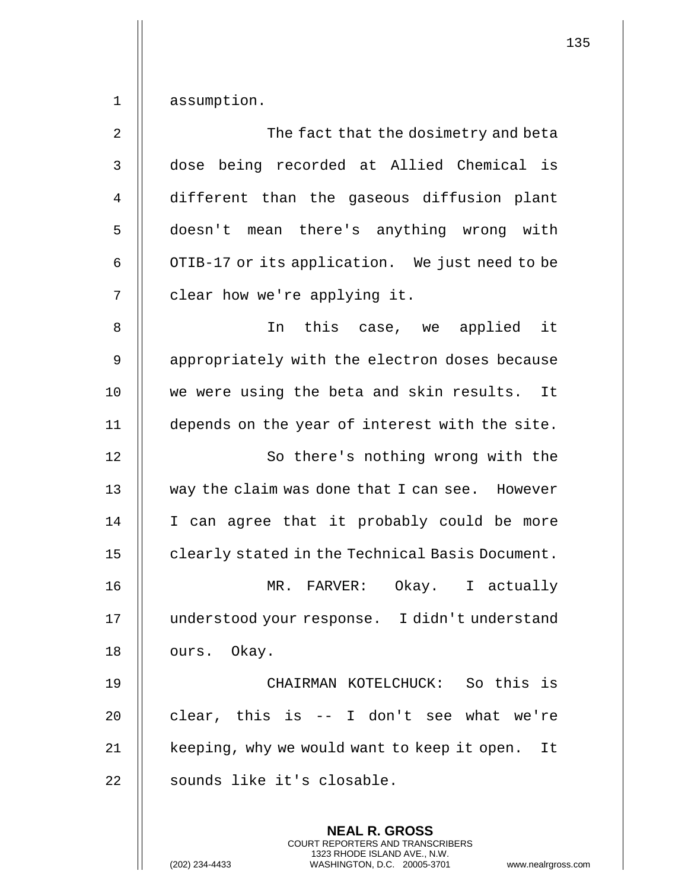| $\overline{2}$ | The fact that the dosimetry and beta            |
|----------------|-------------------------------------------------|
| 3              | dose being recorded at Allied Chemical is       |
| 4              | different than the gaseous diffusion plant      |
| 5              | doesn't mean there's anything wrong with        |
| 6              | OTIB-17 or its application. We just need to be  |
| 7              | clear how we're applying it.                    |
| 8              | In this case, we applied it                     |
| 9              | appropriately with the electron doses because   |
| 10             | we were using the beta and skin results. It     |
| 11             | depends on the year of interest with the site.  |
| 12             | So there's nothing wrong with the               |
| 13             | way the claim was done that I can see. However  |
| 14             | I can agree that it probably could be more      |
| 15             | clearly stated in the Technical Basis Document. |
| 16             | MR. FARVER: Okay. I actually                    |
| 17             | understood your response. I didn't understand   |
| 18             | ours. Okay.                                     |
| 19             | CHAIRMAN KOTELCHUCK: So this is                 |
| 20             | clear, this is -- I don't see what we're        |
| 21             | keeping, why we would want to keep it open. It  |
| 22             | sounds like it's closable.                      |
|                |                                                 |

**NEAL R. GROSS** COURT REPORTERS AND TRANSCRIBERS 1323 RHODE ISLAND AVE., N.W.

(202) 234-4433 WASHINGTON, D.C. 20005-3701 www.nealrgross.com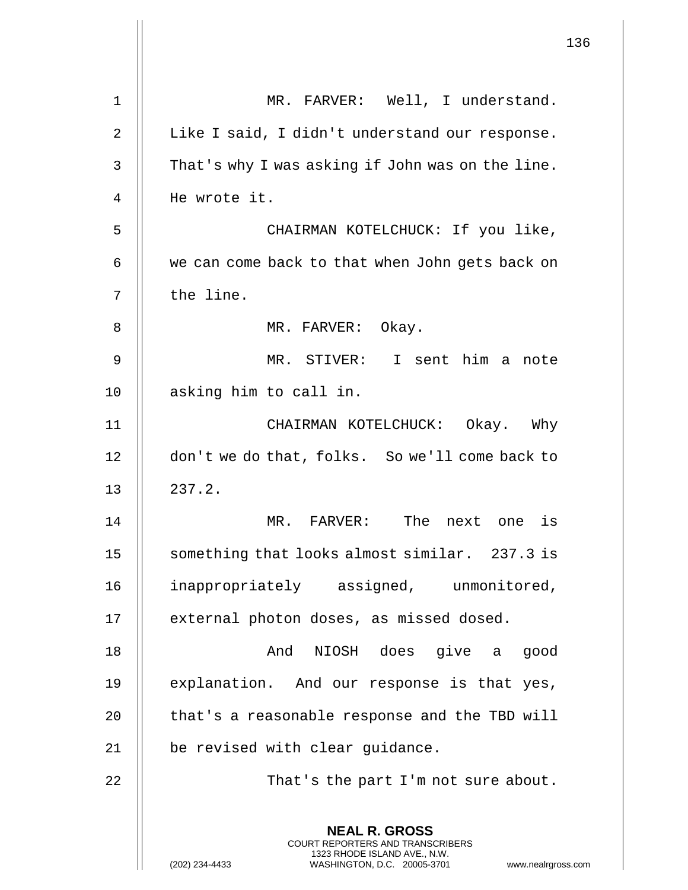|    |                                                                                                                                                                     | 136 |
|----|---------------------------------------------------------------------------------------------------------------------------------------------------------------------|-----|
| 1  | MR. FARVER: Well, I understand.                                                                                                                                     |     |
| 2  | Like I said, I didn't understand our response.                                                                                                                      |     |
| 3  | That's why I was asking if John was on the line.                                                                                                                    |     |
| 4  | He wrote it.                                                                                                                                                        |     |
| 5  | CHAIRMAN KOTELCHUCK: If you like,                                                                                                                                   |     |
| 6  | we can come back to that when John gets back on                                                                                                                     |     |
| 7  | the line.                                                                                                                                                           |     |
| 8  | MR. FARVER: Okay.                                                                                                                                                   |     |
| 9  | MR. STIVER: I sent him a note                                                                                                                                       |     |
| 10 | asking him to call in.                                                                                                                                              |     |
| 11 | CHAIRMAN KOTELCHUCK: Okay. Why                                                                                                                                      |     |
| 12 | don't we do that, folks. So we'll come back to                                                                                                                      |     |
| 13 | 237.2.                                                                                                                                                              |     |
| 14 | MR.<br>FARVER: The next one is                                                                                                                                      |     |
| 15 | something that looks almost similar. 237.3 is                                                                                                                       |     |
| 16 | inappropriately assigned, unmonitored,                                                                                                                              |     |
| 17 | external photon doses, as missed dosed.                                                                                                                             |     |
| 18 | And NIOSH does give a good                                                                                                                                          |     |
| 19 | explanation. And our response is that yes,                                                                                                                          |     |
| 20 | that's a reasonable response and the TBD will                                                                                                                       |     |
| 21 | be revised with clear guidance.                                                                                                                                     |     |
| 22 | That's the part I'm not sure about.                                                                                                                                 |     |
|    | <b>NEAL R. GROSS</b><br><b>COURT REPORTERS AND TRANSCRIBERS</b><br>1323 RHODE ISLAND AVE., N.W.<br>WASHINGTON, D.C. 20005-3701 www.nealrgross.com<br>(202) 234-4433 |     |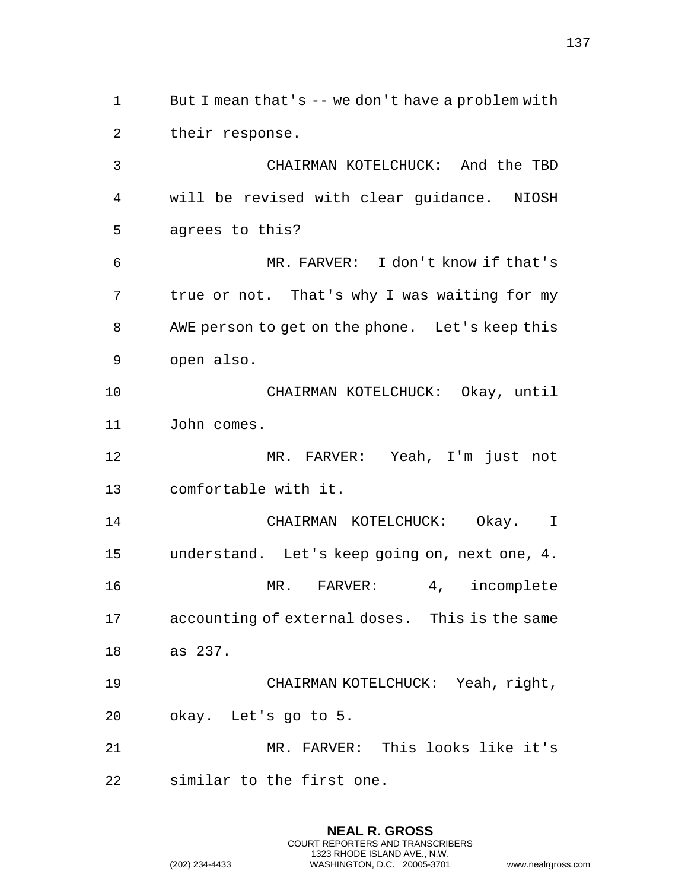|    |                                                                                                                                                                        | 137 |
|----|------------------------------------------------------------------------------------------------------------------------------------------------------------------------|-----|
| 1  | But I mean that's -- we don't have a problem with                                                                                                                      |     |
| 2  | their response.                                                                                                                                                        |     |
| 3  | CHAIRMAN KOTELCHUCK: And the TBD                                                                                                                                       |     |
|    |                                                                                                                                                                        |     |
| 4  | will be revised with clear guidance. NIOSH                                                                                                                             |     |
| 5  | agrees to this?                                                                                                                                                        |     |
| 6  | MR. FARVER: I don't know if that's                                                                                                                                     |     |
| 7  | true or not. That's why I was waiting for my                                                                                                                           |     |
| 8  | AWE person to get on the phone. Let's keep this                                                                                                                        |     |
| 9  | open also.                                                                                                                                                             |     |
| 10 | CHAIRMAN KOTELCHUCK: Okay, until                                                                                                                                       |     |
| 11 | John comes.                                                                                                                                                            |     |
| 12 | MR. FARVER: Yeah, I'm just not                                                                                                                                         |     |
| 13 | comfortable with it.                                                                                                                                                   |     |
| 14 | CHAIRMAN KOTELCHUCK: Okay.                                                                                                                                             |     |
| 15 | understand. Let's keep going on, next one, 4.                                                                                                                          |     |
| 16 | 4, incomplete<br>MR. FARVER:                                                                                                                                           |     |
| 17 | accounting of external doses. This is the same                                                                                                                         |     |
| 18 | as 237.                                                                                                                                                                |     |
| 19 | CHAIRMAN KOTELCHUCK: Yeah, right,                                                                                                                                      |     |
| 20 | okay. Let's go to 5.                                                                                                                                                   |     |
| 21 | MR. FARVER: This looks like it's                                                                                                                                       |     |
| 22 | similar to the first one.                                                                                                                                              |     |
|    | <b>NEAL R. GROSS</b><br><b>COURT REPORTERS AND TRANSCRIBERS</b><br>1323 RHODE ISLAND AVE., N.W.<br>(202) 234-4433<br>WASHINGTON, D.C. 20005-3701<br>www.nealrgross.com |     |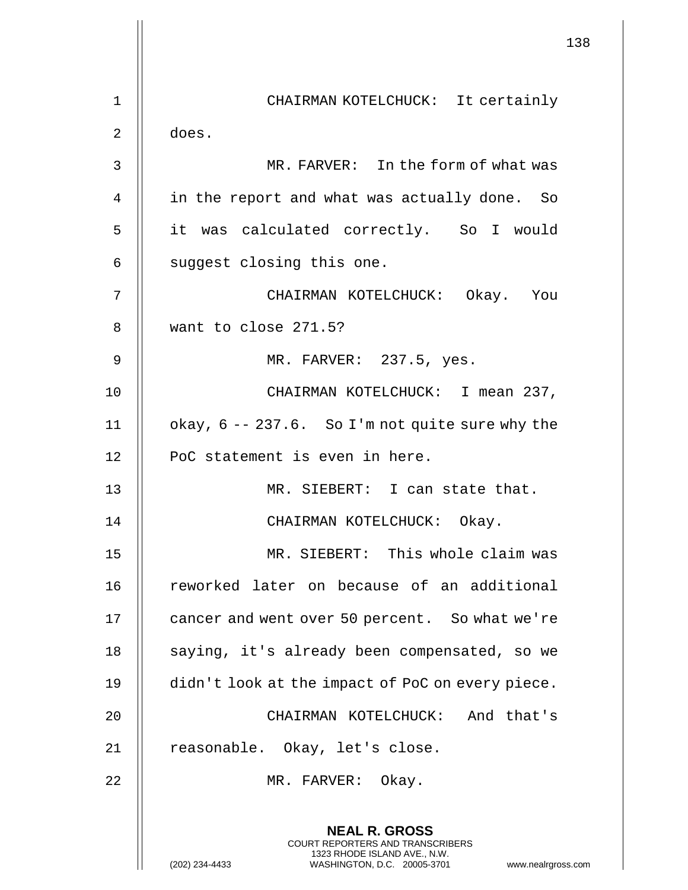|    | 138                                                                                                                                                             |  |
|----|-----------------------------------------------------------------------------------------------------------------------------------------------------------------|--|
| 1  | CHAIRMAN KOTELCHUCK: It certainly                                                                                                                               |  |
| 2  | does.                                                                                                                                                           |  |
| 3  | MR. FARVER: In the form of what was                                                                                                                             |  |
| 4  | in the report and what was actually done. So                                                                                                                    |  |
| 5  | it was calculated correctly. So I would                                                                                                                         |  |
| 6  | suggest closing this one.                                                                                                                                       |  |
| 7  | CHAIRMAN KOTELCHUCK: Okay. You                                                                                                                                  |  |
| 8  | want to close 271.5?                                                                                                                                            |  |
| 9  | MR. FARVER: 237.5, yes.                                                                                                                                         |  |
| 10 | CHAIRMAN KOTELCHUCK: I mean 237,                                                                                                                                |  |
| 11 | okay, 6 -- 237.6. So I'm not quite sure why the                                                                                                                 |  |
| 12 | PoC statement is even in here.                                                                                                                                  |  |
| 13 | MR. SIEBERT: I can state that.                                                                                                                                  |  |
| 14 | CHAIRMAN KOTELCHUCK: Okay.                                                                                                                                      |  |
| 15 | MR. SIEBERT: This whole claim was                                                                                                                               |  |
| 16 | reworked later on because of an additional                                                                                                                      |  |
| 17 | cancer and went over 50 percent. So what we're                                                                                                                  |  |
| 18 | saying, it's already been compensated, so we                                                                                                                    |  |
| 19 | didn't look at the impact of PoC on every piece.                                                                                                                |  |
| 20 | CHAIRMAN KOTELCHUCK: And that's                                                                                                                                 |  |
| 21 | reasonable. Okay, let's close.                                                                                                                                  |  |
| 22 | MR. FARVER: Okay.                                                                                                                                               |  |
|    | <b>NEAL R. GROSS</b><br>COURT REPORTERS AND TRANSCRIBERS<br>1323 RHODE ISLAND AVE., N.W.<br>(202) 234-4433<br>WASHINGTON, D.C. 20005-3701<br>www.nealrgross.com |  |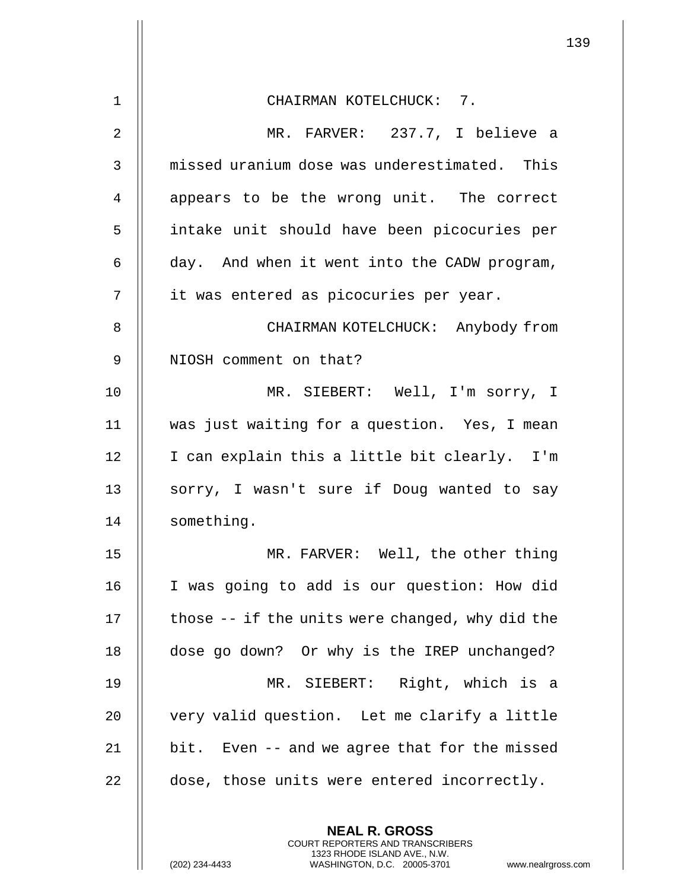| $1\,$          | CHAIRMAN KOTELCHUCK: 7.                                                                                                                                            |
|----------------|--------------------------------------------------------------------------------------------------------------------------------------------------------------------|
| $\overline{2}$ | MR. FARVER: 237.7, I believe a                                                                                                                                     |
| 3              | missed uranium dose was underestimated. This                                                                                                                       |
| 4              | appears to be the wrong unit. The correct                                                                                                                          |
| 5              | intake unit should have been picocuries per                                                                                                                        |
| 6              | day. And when it went into the CADW program,                                                                                                                       |
| 7              | it was entered as picocuries per year.                                                                                                                             |
| 8              | CHAIRMAN KOTELCHUCK: Anybody from                                                                                                                                  |
| 9              | NIOSH comment on that?                                                                                                                                             |
| 10             | MR. SIEBERT: Well, I'm sorry, I                                                                                                                                    |
| 11             | was just waiting for a question. Yes, I mean                                                                                                                       |
| 12             | I can explain this a little bit clearly. I'm                                                                                                                       |
| 13             | sorry, I wasn't sure if Doug wanted to say                                                                                                                         |
| 14             | something.                                                                                                                                                         |
| 15             | MR. FARVER: Well, the other thing                                                                                                                                  |
| 16             | I was going to add is our question: How did                                                                                                                        |
| 17             | those -- if the units were changed, why did the                                                                                                                    |
| 18             | dose go down? Or why is the IREP unchanged?                                                                                                                        |
| 19             | MR. SIEBERT: Right, which is a                                                                                                                                     |
| 20             | very valid question. Let me clarify a little                                                                                                                       |
| 21             | bit. Even -- and we agree that for the missed                                                                                                                      |
| 22             | dose, those units were entered incorrectly.                                                                                                                        |
|                |                                                                                                                                                                    |
|                | <b>NEAL R. GROSS</b><br><b>COURT REPORTERS AND TRANSCRIBERS</b><br>1323 RHODE ISLAND AVE., N.W.<br>(202) 234-4433<br>WASHINGTON, D.C. 20005-3701<br>www.nealrgross |

 $\mathsf{l}\mathsf{l}$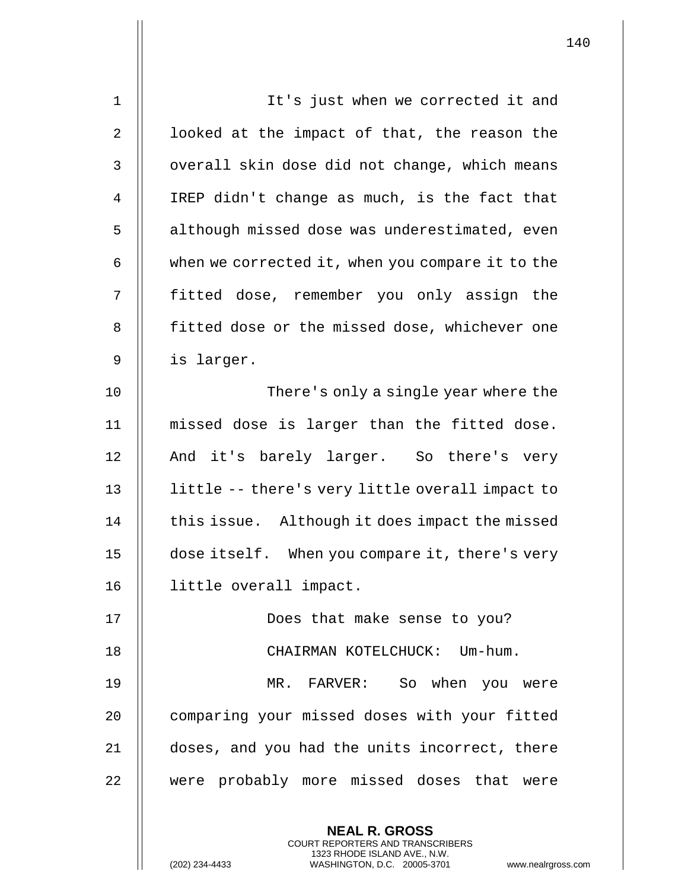| $\mathbf 1$    | It's just when we corrected it and                                                                                                                                  |
|----------------|---------------------------------------------------------------------------------------------------------------------------------------------------------------------|
| 2              | looked at the impact of that, the reason the                                                                                                                        |
| $\mathfrak{Z}$ | overall skin dose did not change, which means                                                                                                                       |
| 4              | IREP didn't change as much, is the fact that                                                                                                                        |
| 5              | although missed dose was underestimated, even                                                                                                                       |
| 6              | when we corrected it, when you compare it to the                                                                                                                    |
| 7              | fitted dose, remember you only assign the                                                                                                                           |
| 8              | fitted dose or the missed dose, whichever one                                                                                                                       |
| 9              | is larger.                                                                                                                                                          |
| 10             | There's only a single year where the                                                                                                                                |
| 11             | missed dose is larger than the fitted dose.                                                                                                                         |
| 12             | And it's barely larger. So there's very                                                                                                                             |
| 13             | little -- there's very little overall impact to                                                                                                                     |
| 14             | this issue. Although it does impact the missed                                                                                                                      |
| 15             | dose itself. When you compare it, there's very                                                                                                                      |
| 16             | little overall impact.                                                                                                                                              |
| 17             | Does that make sense to you?                                                                                                                                        |
| 18             | CHAIRMAN KOTELCHUCK: Um-hum.                                                                                                                                        |
| 19             | MR. FARVER: So when you were                                                                                                                                        |
| 20             | comparing your missed doses with your fitted                                                                                                                        |
| 21             | doses, and you had the units incorrect, there                                                                                                                       |
| 22             | were probably more missed doses that were                                                                                                                           |
|                | <b>NEAL R. GROSS</b><br><b>COURT REPORTERS AND TRANSCRIBERS</b><br>1323 RHODE ISLAND AVE., N.W.<br>(202) 234-4433<br>WASHINGTON, D.C. 20005-3701<br>www.nealrgross. |

 $\overline{\phantom{a}}$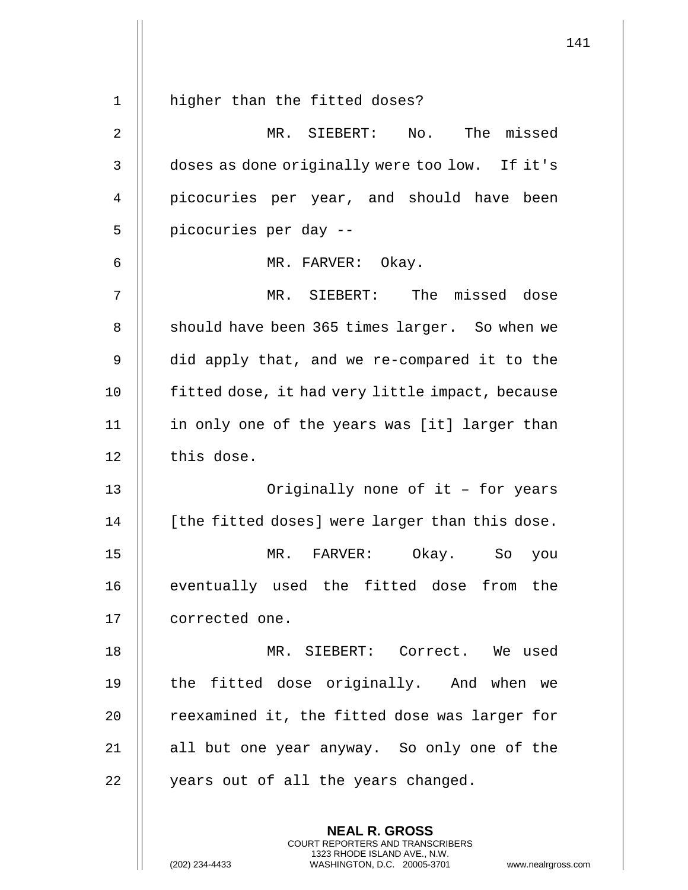| $\mathbf 1$    | higher than the fitted doses?                   |
|----------------|-------------------------------------------------|
| $\overline{2}$ | MR. SIEBERT: No.<br>The missed                  |
| 3              | doses as done originally were too low. If it's  |
| 4              | picocuries per year, and should have been       |
| 5              | picocuries per day --                           |
| 6              | MR. FARVER: Okay.                               |
| 7              | MR. SIEBERT:<br>The missed dose                 |
| 8              | should have been 365 times larger. So when we   |
| 9              | did apply that, and we re-compared it to the    |
| 10             | fitted dose, it had very little impact, because |
| 11             | in only one of the years was [it] larger than   |
| 12             | this dose.                                      |
| 13             | Originally none of it - for years               |
| 14             | [the fitted doses] were larger than this dose.  |
| 15             | MR.<br>Okay.<br>FARVER:<br>So you               |
| 16             | eventually used the fitted dose from the        |
| 17             | corrected one.                                  |
| 18             | MR. SIEBERT: Correct. We used                   |
| 19             | the fitted dose originally. And when we         |
| 20             | reexamined it, the fitted dose was larger for   |
| 21             | all but one year anyway. So only one of the     |
| 22             | years out of all the years changed.             |
|                | <b>NEAL R. GROSS</b>                            |
|                |                                                 |

COURT REPORTERS AND TRANSCRIBERS 1323 RHODE ISLAND AVE., N.W.

 $\prod$ 

 $\mathsf{||}$ 

(202) 234-4433 WASHINGTON, D.C. 20005-3701 www.nealrgross.com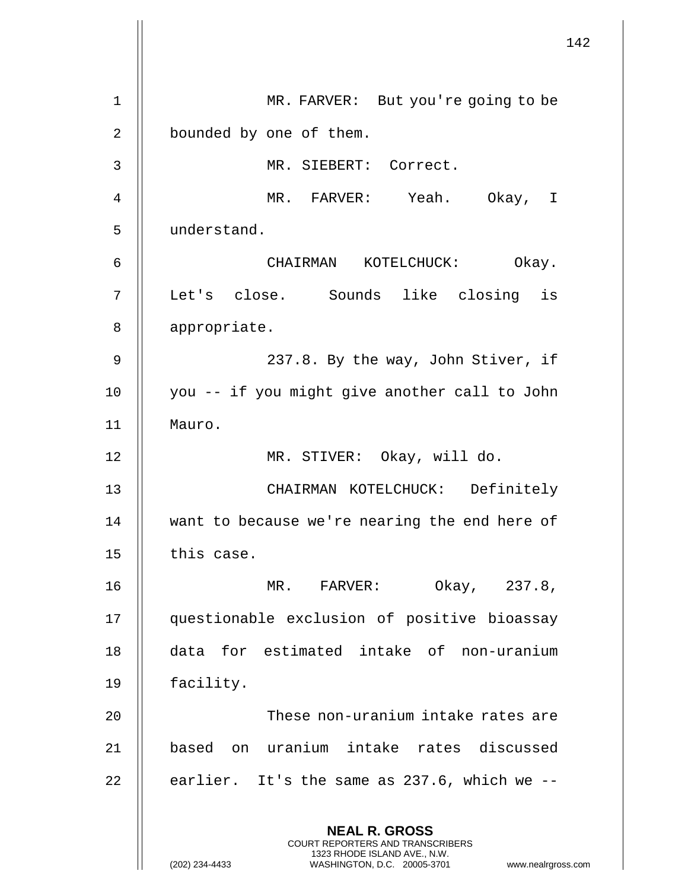|             | 142                                                                                                                                                                    |
|-------------|------------------------------------------------------------------------------------------------------------------------------------------------------------------------|
| $\mathbf 1$ | MR. FARVER: But you're going to be                                                                                                                                     |
| 2           | bounded by one of them.                                                                                                                                                |
| 3           | MR. SIEBERT: Correct.                                                                                                                                                  |
| 4           | MR. FARVER: Yeah. Okay, I                                                                                                                                              |
| 5           | understand.                                                                                                                                                            |
| 6           | Okay.<br>CHAIRMAN KOTELCHUCK:                                                                                                                                          |
| 7           | Let's close. Sounds like closing is                                                                                                                                    |
| 8           | appropriate.                                                                                                                                                           |
| 9           | 237.8. By the way, John Stiver, if                                                                                                                                     |
| 10          | you -- if you might give another call to John                                                                                                                          |
| 11          | Mauro.                                                                                                                                                                 |
| 12          | MR. STIVER: Okay, will do.                                                                                                                                             |
|             |                                                                                                                                                                        |
| 13          | CHAIRMAN KOTELCHUCK: Definitely                                                                                                                                        |
| 14          | want to because we're nearing the end here of                                                                                                                          |
| 15          | this case.                                                                                                                                                             |
| 16          | Okay, 237.8,<br>MR. FARVER:                                                                                                                                            |
| 17          | questionable exclusion of positive bioassay                                                                                                                            |
| 18          | data for estimated intake of non-uranium                                                                                                                               |
| 19          | facility.                                                                                                                                                              |
| 20          | These non-uranium intake rates are                                                                                                                                     |
| 21          | based on uranium intake rates discussed                                                                                                                                |
| 22          | earlier. It's the same as 237.6, which we --                                                                                                                           |
|             | <b>NEAL R. GROSS</b><br><b>COURT REPORTERS AND TRANSCRIBERS</b><br>1323 RHODE ISLAND AVE., N.W.<br>(202) 234-4433<br>www.nealrgross.com<br>WASHINGTON, D.C. 20005-3701 |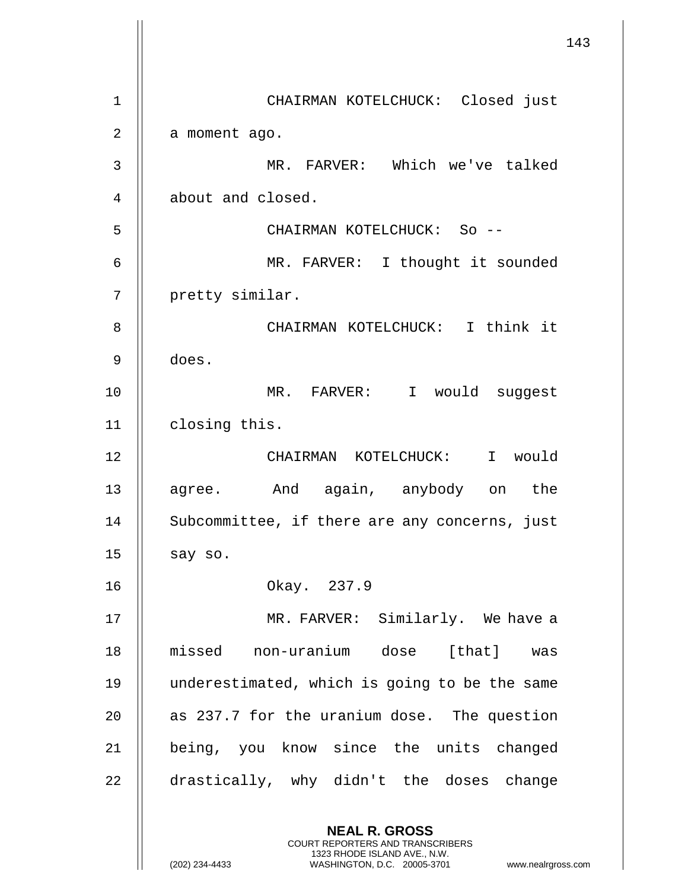|                |                                                                                                                                                                 | 143 |
|----------------|-----------------------------------------------------------------------------------------------------------------------------------------------------------------|-----|
| 1              | CHAIRMAN KOTELCHUCK: Closed just                                                                                                                                |     |
| $\overline{2}$ | a moment ago.                                                                                                                                                   |     |
| 3              | MR. FARVER: Which we've talked                                                                                                                                  |     |
| 4              | about and closed.                                                                                                                                               |     |
| 5              | CHAIRMAN KOTELCHUCK: So --                                                                                                                                      |     |
| 6              | MR. FARVER: I thought it sounded                                                                                                                                |     |
| 7              | pretty similar.                                                                                                                                                 |     |
| 8              | CHAIRMAN KOTELCHUCK: I think it                                                                                                                                 |     |
| 9              | does.                                                                                                                                                           |     |
| 10             | MR. FARVER: I would suggest                                                                                                                                     |     |
| 11             | closing this.                                                                                                                                                   |     |
| 12             | CHAIRMAN KOTELCHUCK: I would                                                                                                                                    |     |
| 13             | agree. And again, anybody on the                                                                                                                                |     |
| 14             | Subcommittee, if there are any concerns, just                                                                                                                   |     |
| 15             | say so.                                                                                                                                                         |     |
| 16             | Okay. 237.9                                                                                                                                                     |     |
| 17             | MR. FARVER: Similarly. We have a                                                                                                                                |     |
| 18             | missed non-uranium dose [that] was                                                                                                                              |     |
| 19             | underestimated, which is going to be the same                                                                                                                   |     |
| 20             | as 237.7 for the uranium dose. The question                                                                                                                     |     |
| 21             | being, you know since the units changed                                                                                                                         |     |
| 22             | drastically, why didn't the doses change                                                                                                                        |     |
|                | <b>NEAL R. GROSS</b><br>COURT REPORTERS AND TRANSCRIBERS<br>1323 RHODE ISLAND AVE., N.W.<br>(202) 234-4433<br>WASHINGTON, D.C. 20005-3701<br>www.nealrgross.com |     |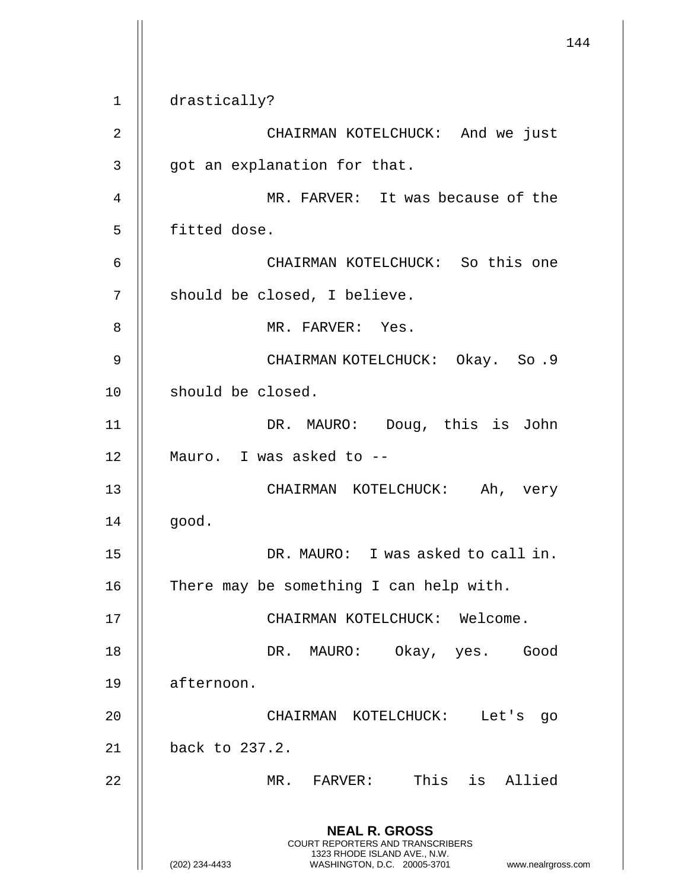144 **NEAL R. GROSS** COURT REPORTERS AND TRANSCRIBERS 1323 RHODE ISLAND AVE., N.W. (202) 234-4433 WASHINGTON, D.C. 20005-3701 www.nealrgross.com 1 drastically? 2 CHAIRMAN KOTELCHUCK: And we just 3 || got an explanation for that. 4 || MR. FARVER: It was because of the 5 | fitted dose. 6 CHAIRMAN KOTELCHUCK: So this one 7 | should be closed, I believe. 8 || MR. FARVER: Yes. 9 CHAIRMAN KOTELCHUCK: Okay. So .9 10 || should be closed. 11 || DR. MAURO: Doug, this is John 12 Mauro. I was asked to -- 13 CHAIRMAN KOTELCHUCK: Ah, very  $14$  |  $qood.$ 15 || DR. MAURO: I was asked to call in. 16  $\parallel$  There may be something I can help with. 17 CHAIRMAN KOTELCHUCK: Welcome. 18 DR. MAURO: Okay, yes. Good 19 afternoon. 20 CHAIRMAN KOTELCHUCK: Let's go 21 back to 237.2. 22 MR. FARVER: This is Allied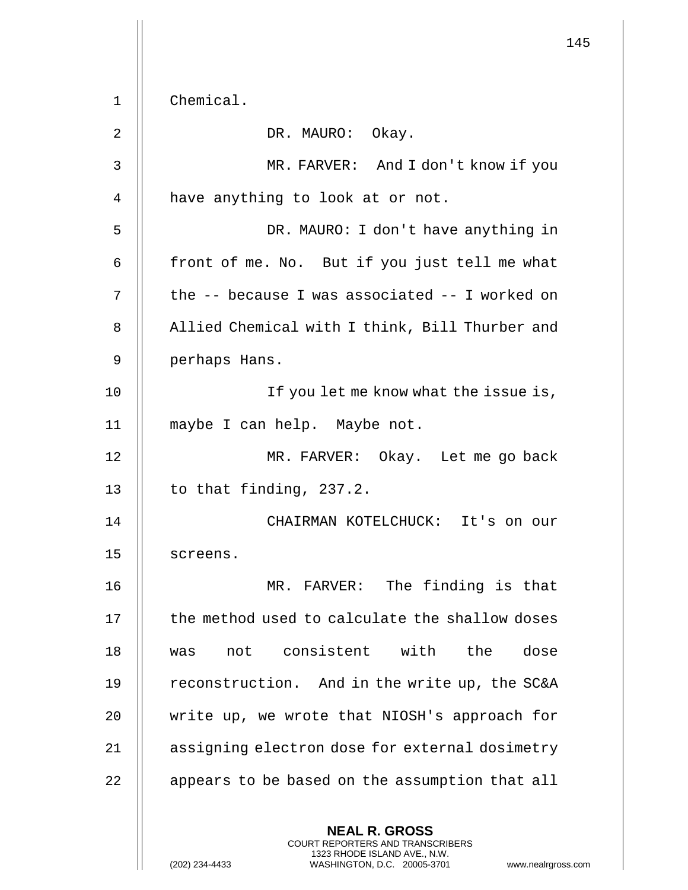145 **NEAL R. GROSS** COURT REPORTERS AND TRANSCRIBERS 1323 RHODE ISLAND AVE., N.W. 1 Chemical. 2 || DR. MAURO: Okay. 3 MR. FARVER: And I don't know if you 4 | have anything to look at or not. 5 DR. MAURO: I don't have anything in  $6$  || front of me. No. But if you just tell me what  $7 \parallel$  the -- because I was associated -- I worked on 8 | Allied Chemical with I think, Bill Thurber and 9 perhaps Hans. 10 || If you let me know what the issue is, 11 maybe I can help. Maybe not. 12 || MR. FARVER: Okay. Let me go back 13  $\parallel$  to that finding, 237.2. 14 CHAIRMAN KOTELCHUCK: It's on our 15 || screens. 16 MR. FARVER: The finding is that 17 | the method used to calculate the shallow doses 18 was not consistent with the dose 19 || reconstruction. And in the write up, the SC&A 20 || write up, we wrote that NIOSH's approach for 21 | assigning electron dose for external dosimetry 22 | appears to be based on the assumption that all

(202) 234-4433 WASHINGTON, D.C. 20005-3701 www.nealrgross.com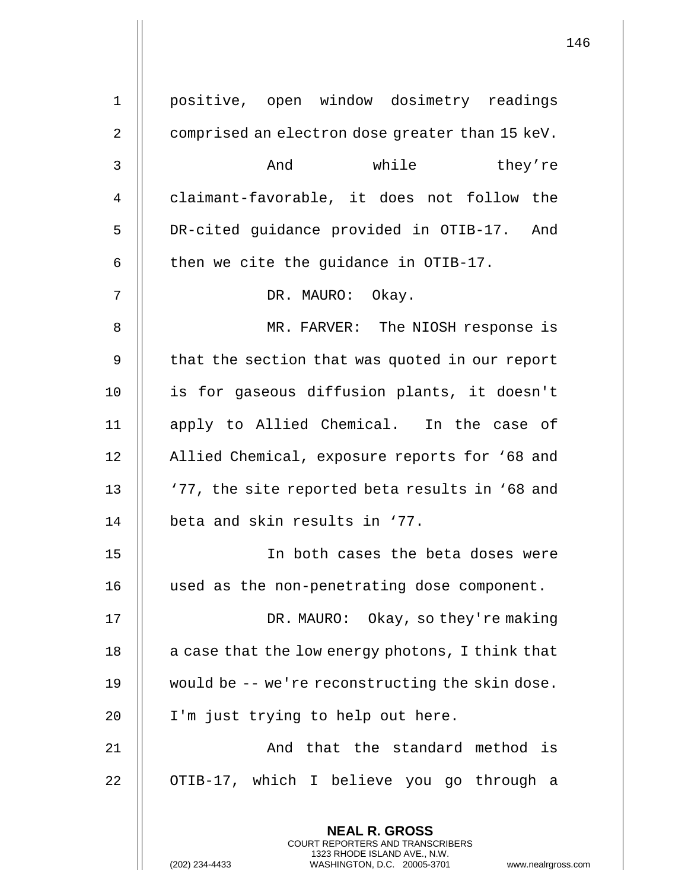| $\mathbf{1}$   | positive, open window dosimetry readings                                                        |  |  |  |
|----------------|-------------------------------------------------------------------------------------------------|--|--|--|
| $\overline{2}$ | comprised an electron dose greater than 15 keV.                                                 |  |  |  |
| 3              | And<br>while<br>they're                                                                         |  |  |  |
| 4              | claimant-favorable, it does not follow the                                                      |  |  |  |
| 5              | DR-cited guidance provided in OTIB-17. And                                                      |  |  |  |
| 6              | then we cite the guidance in OTIB-17.                                                           |  |  |  |
| 7              | DR. MAURO: Okay.                                                                                |  |  |  |
| 8              | MR. FARVER: The NIOSH response is                                                               |  |  |  |
| 9              | that the section that was quoted in our report                                                  |  |  |  |
| 10             | is for gaseous diffusion plants, it doesn't                                                     |  |  |  |
| 11             | apply to Allied Chemical. In the case of                                                        |  |  |  |
| 12             | Allied Chemical, exposure reports for '68 and                                                   |  |  |  |
| 13             | '77, the site reported beta results in '68 and                                                  |  |  |  |
| 14             | beta and skin results in '77.                                                                   |  |  |  |
| 15             | In both cases the beta doses were                                                               |  |  |  |
| 16             | used as the non-penetrating dose component.                                                     |  |  |  |
| 17             | DR. MAURO: Okay, so they're making                                                              |  |  |  |
| 18             | a case that the low energy photons, I think that                                                |  |  |  |
| 19             | would be -- we're reconstructing the skin dose.                                                 |  |  |  |
| 20             | I'm just trying to help out here.                                                               |  |  |  |
| 21             | And that the standard method is                                                                 |  |  |  |
| 22             | OTIB-17, which I believe you go through a                                                       |  |  |  |
|                | <b>NEAL R. GROSS</b><br><b>COURT REPORTERS AND TRANSCRIBERS</b><br>1323 RHODE ISLAND AVE., N.W. |  |  |  |
|                | WASHINGTON, D.C. 20005-3701<br>(202) 234-4433<br>www.nealrgross.                                |  |  |  |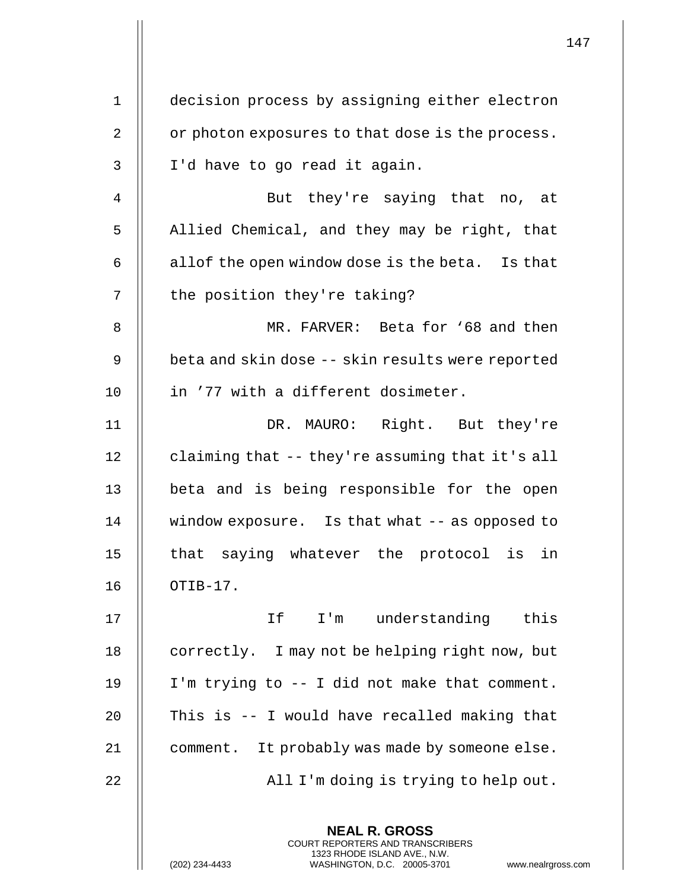| $\mathbf 1$  | decision process by assigning either electron                                                                                                                |
|--------------|--------------------------------------------------------------------------------------------------------------------------------------------------------------|
| 2            | or photon exposures to that dose is the process.                                                                                                             |
| $\mathsf{3}$ | I'd have to go read it again.                                                                                                                                |
| 4            | But they're saying that no, at                                                                                                                               |
| 5            | Allied Chemical, and they may be right, that                                                                                                                 |
| 6            | allof the open window dose is the beta. Is that                                                                                                              |
| 7            | the position they're taking?                                                                                                                                 |
| 8            | MR. FARVER: Beta for '68 and then                                                                                                                            |
| 9            | beta and skin dose -- skin results were reported                                                                                                             |
| 10           | in '77 with a different dosimeter.                                                                                                                           |
| 11           | DR. MAURO: Right. But they're                                                                                                                                |
| 12           | claiming that -- they're assuming that it's all                                                                                                              |
| 13           | beta and is being responsible for the open                                                                                                                   |
| 14           | window exposure. Is that what -- as opposed to                                                                                                               |
| 15           | that saying whatever the protocol is in                                                                                                                      |
| 16           | OTIB-17.                                                                                                                                                     |
| 17           | understanding this<br>If<br>$I'$ m                                                                                                                           |
| 18           | correctly. I may not be helping right now, but                                                                                                               |
| 19           | I'm trying to -- I did not make that comment.                                                                                                                |
| 20           | This is -- I would have recalled making that                                                                                                                 |
| 21           | comment. It probably was made by someone else.                                                                                                               |
| 22           | All I'm doing is trying to help out.                                                                                                                         |
|              | <b>NEAL R. GROSS</b><br>COURT REPORTERS AND TRANSCRIBERS<br>1323 RHODE ISLAND AVE., N.W.<br>(202) 234-4433<br>WASHINGTON, D.C. 20005-3701<br>www.nealrgross. |

 $\begin{array}{c} \hline \end{array}$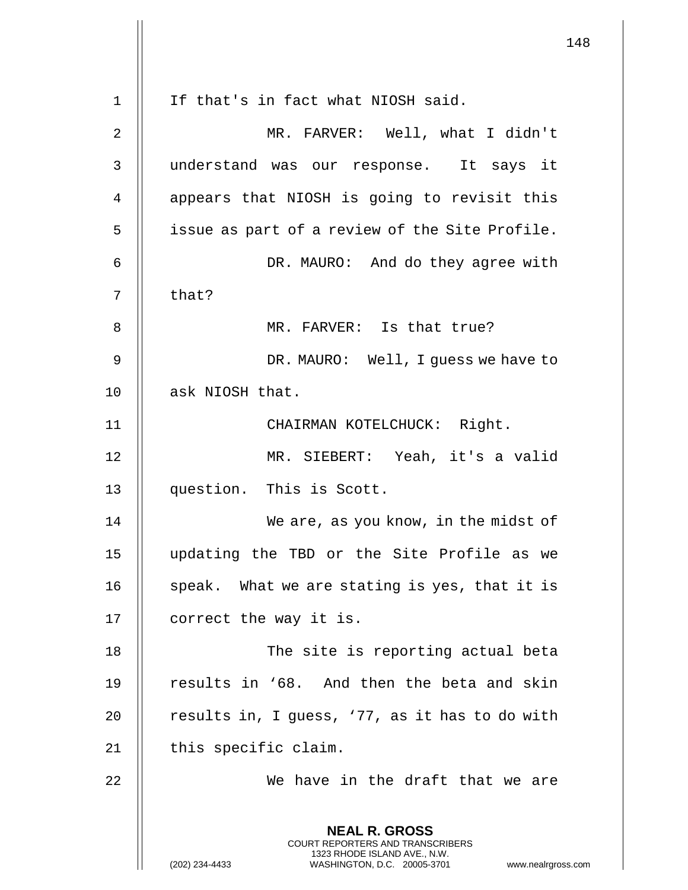**NEAL R. GROSS** COURT REPORTERS AND TRANSCRIBERS 1323 RHODE ISLAND AVE., N.W. (202) 234-4433 WASHINGTON, D.C. 20005-3701 www.nealrgross.com 1 || If that's in fact what NIOSH said. 2 MR. FARVER: Well, what I didn't 3 understand was our response. It says it 4 || appears that NIOSH is going to revisit this 5 | issue as part of a review of the Site Profile. 6 DR. MAURO: And do they agree with 7 || that? 8 || MR. FARVER: Is that true? 9 || DR. MAURO: Well, I guess we have to 10 | ask NIOSH that. 11 || CHAIRMAN KOTELCHUCK: Right. 12 MR. SIEBERT: Yeah, it's a valid 13 question. This is Scott. 14 || We are, as you know, in the midst of 15 updating the TBD or the Site Profile as we 16  $\parallel$  speak. What we are stating is yes, that it is 17 | correct the way it is. 18 || The site is reporting actual beta 19 || results in '68. And then the beta and skin 20  $\parallel$  results in, I guess, '77, as it has to do with  $21$  | this specific claim. 22 We have in the draft that we are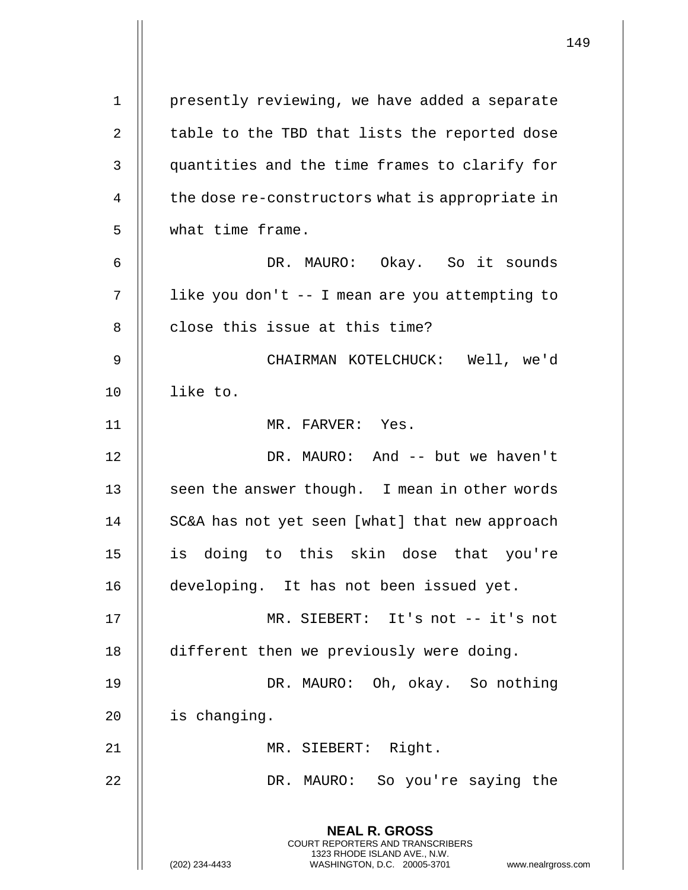**NEAL R. GROSS** COURT REPORTERS AND TRANSCRIBERS 1323 RHODE ISLAND AVE., N.W. (202) 234-4433 WASHINGTON, D.C. 20005-3701 www.nealrgross.com 1 | presently reviewing, we have added a separate  $2 \parallel$  table to the TBD that lists the reported dose 3 | quantities and the time frames to clarify for  $4$   $\parallel$  the dose re-constructors what is appropriate in 5 what time frame. 6 DR. MAURO: Okay. So it sounds 7 | like you don't -- I mean are you attempting to 8 | close this issue at this time? 9 CHAIRMAN KOTELCHUCK: Well, we'd 10 like to. 11 MR. FARVER: Yes. 12 || DR. MAURO: And -- but we haven't 13  $\parallel$  seen the answer though. I mean in other words 14 | SC&A has not yet seen [what] that new approach 15 is doing to this skin dose that you're 16 | developing. It has not been issued yet. 17 MR. SIEBERT: It's not -- it's not 18 | different then we previously were doing. 19 DR. MAURO: Oh, okay. So nothing 20 | is changing. 21 || MR. SIEBERT: Right. 22 DR. MAURO: So you're saying the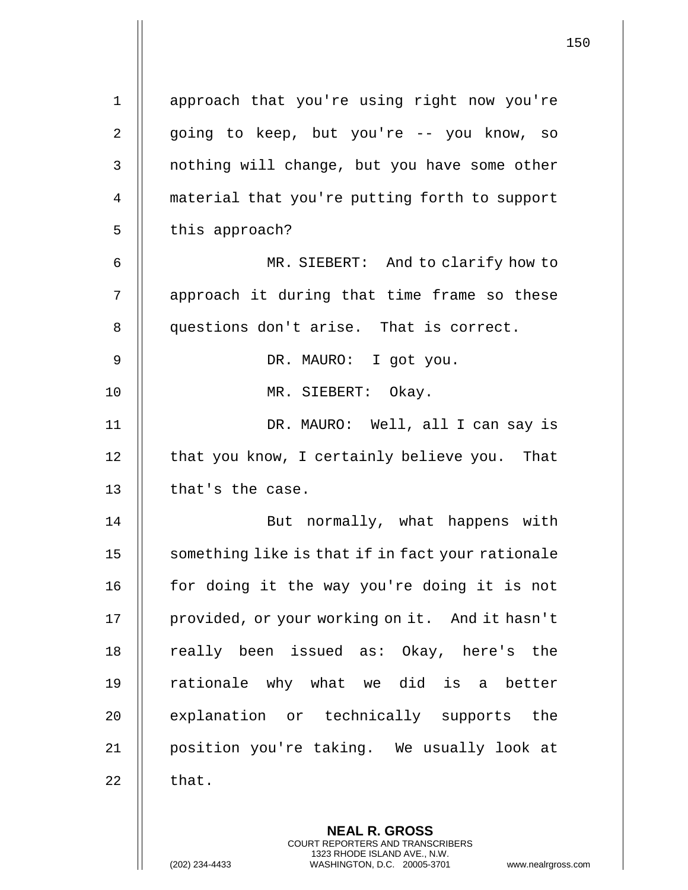**NEAL R. GROSS** 1 || approach that you're using right now you're 2 || going to keep, but you're -- you know, so 3 | nothing will change, but you have some other 4 | material that you're putting forth to support  $5 \parallel$  this approach? 6 MR. SIEBERT: And to clarify how to 7 || approach it during that time frame so these 8 | questions don't arise. That is correct. 9 DR. MAURO: I got you. 10 MR. SIEBERT: Okay. 11 DR. MAURO: Well, all I can say is 12 | that you know, I certainly believe you. That 13  $\parallel$  that's the case. 14 || But normally, what happens with 15 || something like is that if in fact your rationale 16 || for doing it the way you're doing it is not 17 | provided, or your working on it. And it hasn't 18 || really been issued as: Okay, here's the 19 || rationale why what we did is a better 20 || explanation or technically supports the 21 position you're taking. We usually look at 22  $\parallel$  that.

> COURT REPORTERS AND TRANSCRIBERS 1323 RHODE ISLAND AVE., N.W.

(202) 234-4433 WASHINGTON, D.C. 20005-3701 www.nealrgross.com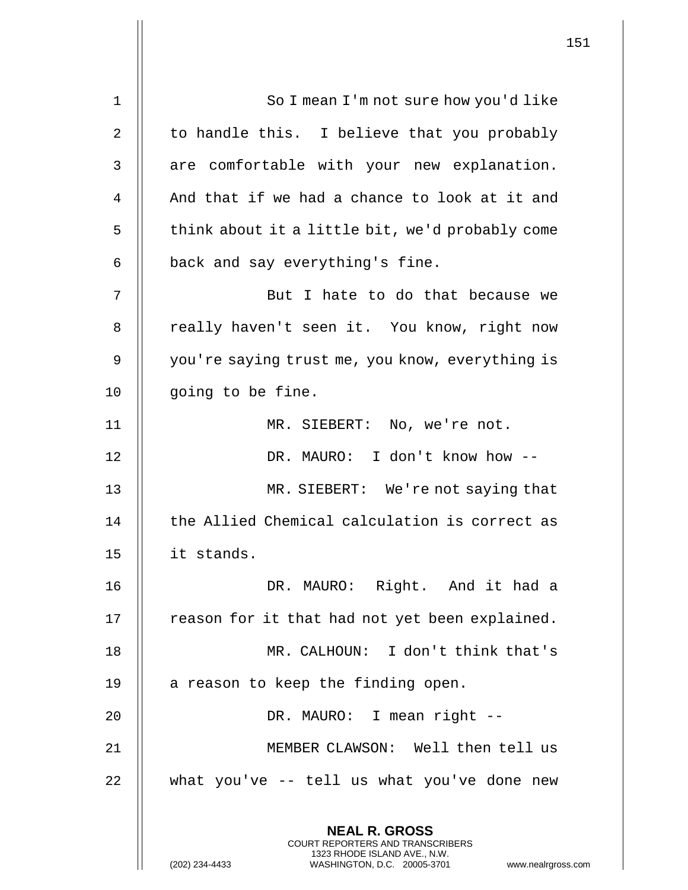**NEAL R. GROSS** COURT REPORTERS AND TRANSCRIBERS 1323 RHODE ISLAND AVE., N.W. 1 || So I mean I'm not sure how you'd like 2 || to handle this. I believe that you probably  $3$  || are comfortable with your new explanation. 4  $\parallel$  And that if we had a chance to look at it and  $5$  | think about it a little bit, we'd probably come  $6$  || back and say everything's fine. 7 || But I hate to do that because we 8 || really haven't seen it. You know, right now 9 | you're saying trust me, you know, everything is 10 || going to be fine. 11 || MR. SIEBERT: No, we're not. 12 DR. MAURO: I don't know how -- 13 MR. SIEBERT: We're not saying that 14 || the Allied Chemical calculation is correct as 15 it stands. 16 DR. MAURO: Right. And it had a  $17$  | reason for it that had not yet been explained. 18 MR. CALHOUN: I don't think that's 19  $\parallel$  a reason to keep the finding open. 20 || DR. MAURO: I mean right --21 MEMBER CLAWSON: Well then tell us  $22$  || what you've -- tell us what you've done new

(202) 234-4433 WASHINGTON, D.C. 20005-3701 www.nealrgross.com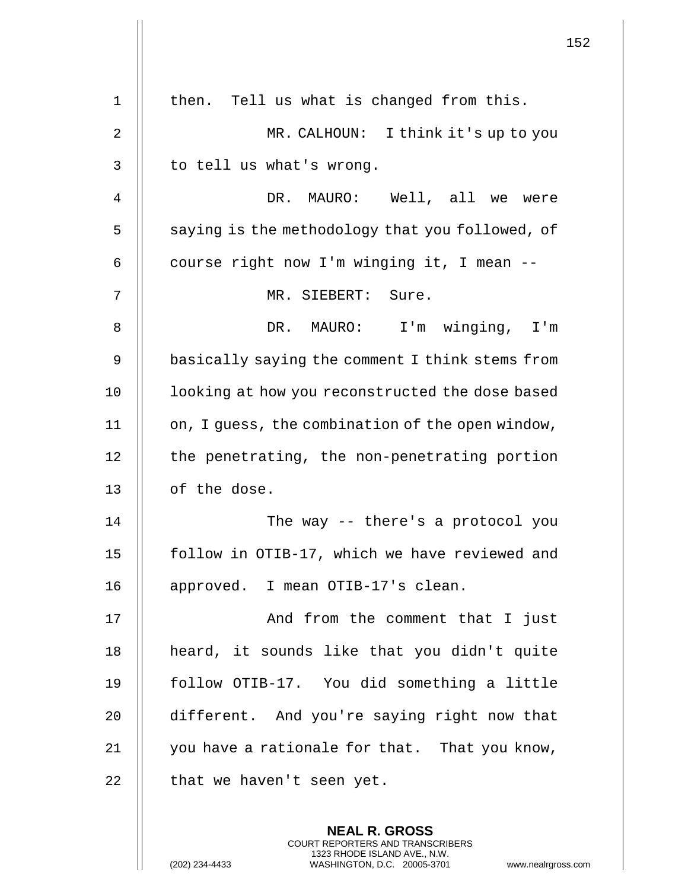|    | 152                                                                                                                                                                    |
|----|------------------------------------------------------------------------------------------------------------------------------------------------------------------------|
| 1  | then. Tell us what is changed from this.                                                                                                                               |
| 2  | MR. CALHOUN: I think it's up to you                                                                                                                                    |
| 3  | to tell us what's wrong.                                                                                                                                               |
| 4  | DR. MAURO: Well, all we were                                                                                                                                           |
| 5  | saying is the methodology that you followed, of                                                                                                                        |
|    |                                                                                                                                                                        |
| 6  | course right now I'm winging it, I mean --                                                                                                                             |
| 7  | MR. SIEBERT: Sure.                                                                                                                                                     |
| 8  | I'm winging, I'm<br>DR. MAURO:                                                                                                                                         |
| 9  | basically saying the comment I think stems from                                                                                                                        |
| 10 | looking at how you reconstructed the dose based                                                                                                                        |
| 11 | on, I guess, the combination of the open window,                                                                                                                       |
| 12 | the penetrating, the non-penetrating portion                                                                                                                           |
| 13 | of the dose.                                                                                                                                                           |
| 14 | The way -- there's a protocol you                                                                                                                                      |
| 15 | follow in OTIB-17, which we have reviewed and                                                                                                                          |
| 16 | approved. I mean OTIB-17's clean.                                                                                                                                      |
| 17 | And from the comment that I just                                                                                                                                       |
| 18 | heard, it sounds like that you didn't quite                                                                                                                            |
| 19 | follow OTIB-17. You did something a little                                                                                                                             |
| 20 | different. And you're saying right now that                                                                                                                            |
| 21 | you have a rationale for that. That you know,                                                                                                                          |
| 22 | that we haven't seen yet.                                                                                                                                              |
|    | <b>NEAL R. GROSS</b><br><b>COURT REPORTERS AND TRANSCRIBERS</b><br>1323 RHODE ISLAND AVE., N.W.<br>(202) 234-4433<br>WASHINGTON, D.C. 20005-3701<br>www.nealrgross.com |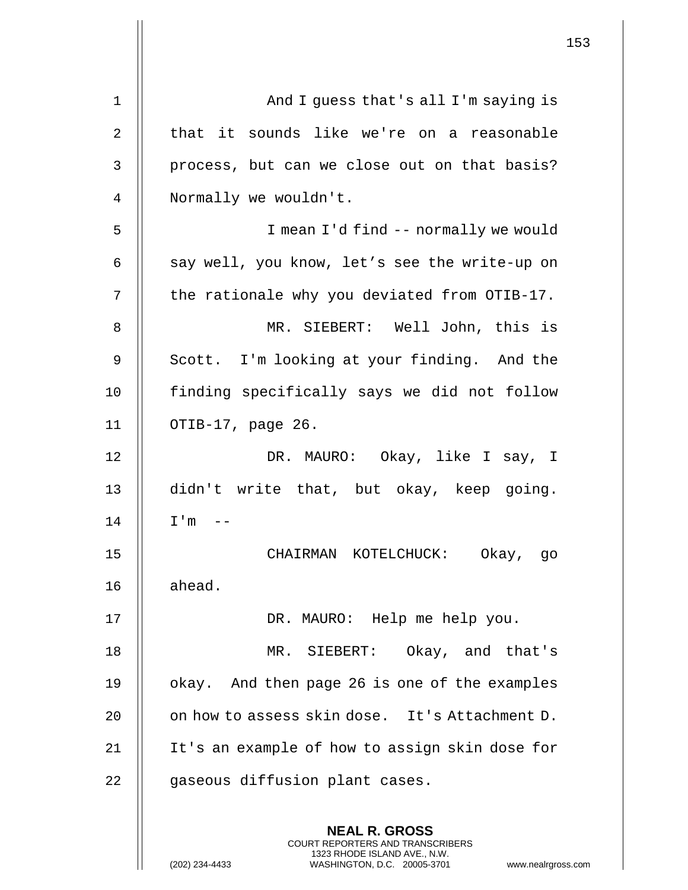| $\mathbf 1$    | And I guess that's all I'm saying is                                                                                                       |
|----------------|--------------------------------------------------------------------------------------------------------------------------------------------|
| 2              | that it sounds like we're on a reasonable                                                                                                  |
| $\mathsf{3}$   | process, but can we close out on that basis?                                                                                               |
| $\overline{4}$ | Normally we wouldn't.                                                                                                                      |
| 5              | I mean I'd find -- normally we would                                                                                                       |
| 6              | say well, you know, let's see the write-up on                                                                                              |
| 7              | the rationale why you deviated from OTIB-17.                                                                                               |
| 8              | MR. SIEBERT: Well John, this is                                                                                                            |
| 9              | Scott. I'm looking at your finding. And the                                                                                                |
| 10             | finding specifically says we did not follow                                                                                                |
| 11             | OTIB-17, page 26.                                                                                                                          |
| 12             | DR. MAURO: Okay, like I say, I                                                                                                             |
| 13             | didn't write that, but okay, keep going.                                                                                                   |
| 14             | I'm                                                                                                                                        |
| 15             | CHAIRMAN KOTELCHUCK: Okay, go                                                                                                              |
| 16             | ahead.                                                                                                                                     |
| 17             | DR. MAURO: Help me help you.                                                                                                               |
| 18             | MR. SIEBERT: Okay, and that's                                                                                                              |
| 19             | okay. And then page 26 is one of the examples                                                                                              |
| 20             | on how to assess skin dose. It's Attachment D.                                                                                             |
| 21             | It's an example of how to assign skin dose for                                                                                             |
| 22             | gaseous diffusion plant cases.                                                                                                             |
|                | <b>NEAL R. GROSS</b>                                                                                                                       |
|                | <b>COURT REPORTERS AND TRANSCRIBERS</b><br>1323 RHODE ISLAND AVE., N.W.<br>(202) 234-4433<br>WASHINGTON, D.C. 20005-3701<br>www.nealrgross |

 $\begin{array}{c} \hline \end{array}$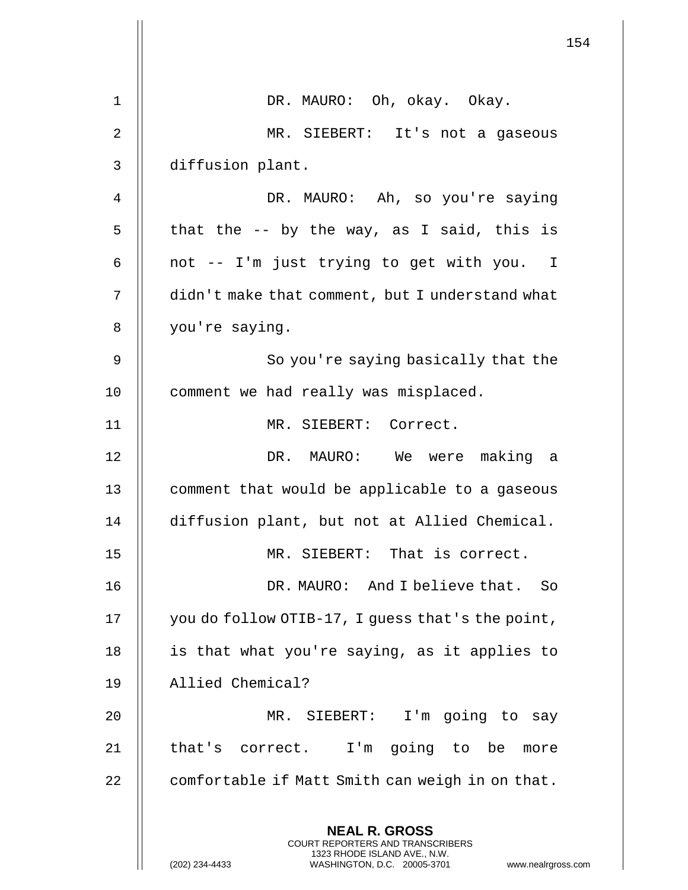|    |                                                                                                                                                                        | 154 |
|----|------------------------------------------------------------------------------------------------------------------------------------------------------------------------|-----|
| 1  | DR. MAURO: Oh, okay. Okay.                                                                                                                                             |     |
| 2  | MR. SIEBERT: It's not a gaseous                                                                                                                                        |     |
| 3  | diffusion plant.                                                                                                                                                       |     |
| 4  | DR. MAURO: Ah, so you're saying                                                                                                                                        |     |
| 5  | that the -- by the way, as I said, this is                                                                                                                             |     |
| 6  | not -- I'm just trying to get with you. I                                                                                                                              |     |
| 7  | didn't make that comment, but I understand what                                                                                                                        |     |
| 8  | you're saying.                                                                                                                                                         |     |
| 9  | So you're saying basically that the                                                                                                                                    |     |
| 10 | comment we had really was misplaced.                                                                                                                                   |     |
| 11 | MR. SIEBERT: Correct.                                                                                                                                                  |     |
| 12 | DR. MAURO: We were making a                                                                                                                                            |     |
| 13 | comment that would be applicable to a gaseous                                                                                                                          |     |
| 14 | diffusion plant, but not at Allied Chemical.                                                                                                                           |     |
| 15 | MR. SIEBERT: That is correct.                                                                                                                                          |     |
| 16 | DR. MAURO: And I believe that. So                                                                                                                                      |     |
| 17 | you do follow OTIB-17, I guess that's the point,                                                                                                                       |     |
| 18 | is that what you're saying, as it applies to                                                                                                                           |     |
| 19 | Allied Chemical?                                                                                                                                                       |     |
| 20 | MR. SIEBERT:<br>I'm going to say                                                                                                                                       |     |
| 21 | that's correct. I'm going to be more                                                                                                                                   |     |
| 22 | comfortable if Matt Smith can weigh in on that.                                                                                                                        |     |
|    | <b>NEAL R. GROSS</b><br><b>COURT REPORTERS AND TRANSCRIBERS</b><br>1323 RHODE ISLAND AVE., N.W.<br>(202) 234-4433<br>WASHINGTON, D.C. 20005-3701<br>www.nealrgross.com |     |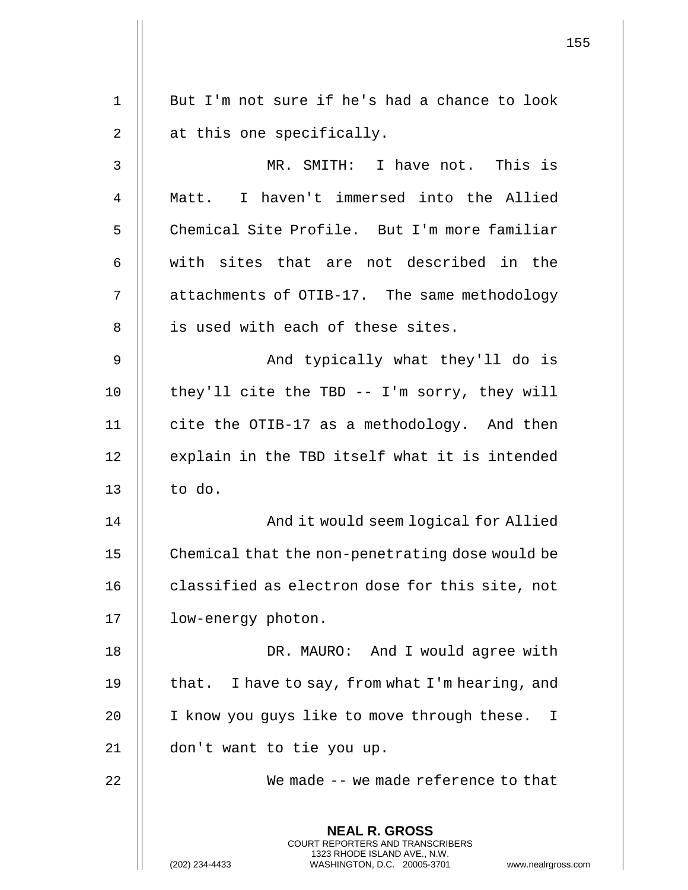|    |                                                                                                                                                                 | 155 |
|----|-----------------------------------------------------------------------------------------------------------------------------------------------------------------|-----|
| 1  | But I'm not sure if he's had a chance to look                                                                                                                   |     |
|    |                                                                                                                                                                 |     |
| 2  | at this one specifically.                                                                                                                                       |     |
| 3  | MR. SMITH: I have not. This is                                                                                                                                  |     |
| 4  | Matt. I haven't immersed into the Allied                                                                                                                        |     |
| 5  | Chemical Site Profile. But I'm more familiar                                                                                                                    |     |
| 6  | with sites that are not described in the                                                                                                                        |     |
| 7  | attachments of OTIB-17. The same methodology                                                                                                                    |     |
| 8  | is used with each of these sites.                                                                                                                               |     |
| 9  | And typically what they'll do is                                                                                                                                |     |
| 10 | they'll cite the TBD -- I'm sorry, they will                                                                                                                    |     |
| 11 | cite the OTIB-17 as a methodology. And then                                                                                                                     |     |
| 12 | explain in the TBD itself what it is intended                                                                                                                   |     |
| 13 | to do.                                                                                                                                                          |     |
| 14 | And it would seem logical for Allied                                                                                                                            |     |
| 15 | Chemical that the non-penetrating dose would be                                                                                                                 |     |
| 16 | classified as electron dose for this site, not                                                                                                                  |     |
| 17 | low-energy photon.                                                                                                                                              |     |
| 18 | DR. MAURO: And I would agree with                                                                                                                               |     |
| 19 | that. I have to say, from what I'm hearing, and                                                                                                                 |     |
| 20 | I know you guys like to move through these.<br>$\mathbf{I}$                                                                                                     |     |
| 21 | don't want to tie you up.                                                                                                                                       |     |
| 22 | We made -- we made reference to that                                                                                                                            |     |
|    | <b>NEAL R. GROSS</b><br>COURT REPORTERS AND TRANSCRIBERS<br>1323 RHODE ISLAND AVE., N.W.<br>(202) 234-4433<br>WASHINGTON, D.C. 20005-3701<br>www.nealrgross.com |     |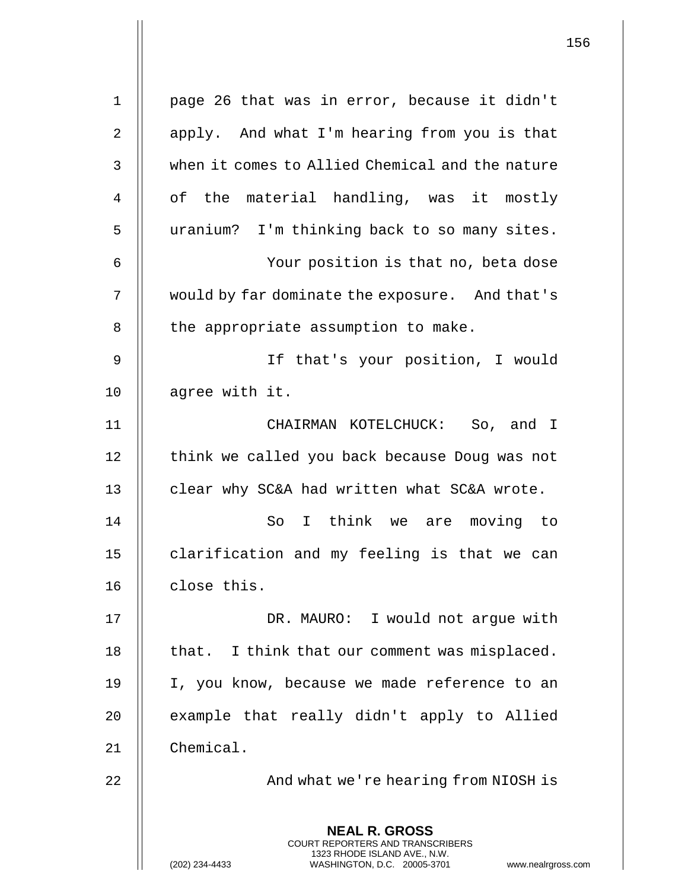| $\mathbf 1$    | page 26 that was in error, because it didn't                                                                                                                    |
|----------------|-----------------------------------------------------------------------------------------------------------------------------------------------------------------|
| $\overline{2}$ | apply. And what I'm hearing from you is that                                                                                                                    |
| 3              | when it comes to Allied Chemical and the nature                                                                                                                 |
| 4              | of the material handling, was it mostly                                                                                                                         |
| 5              | uranium? I'm thinking back to so many sites.                                                                                                                    |
| 6              | Your position is that no, beta dose                                                                                                                             |
| 7              | would by far dominate the exposure. And that's                                                                                                                  |
| 8              | the appropriate assumption to make.                                                                                                                             |
| 9              | If that's your position, I would                                                                                                                                |
| 10             | agree with it.                                                                                                                                                  |
| 11             | CHAIRMAN KOTELCHUCK: So, and I                                                                                                                                  |
| 12             | think we called you back because Doug was not                                                                                                                   |
| 13             | clear why SC&A had written what SC&A wrote.                                                                                                                     |
| 14             | think we are moving to<br>So<br>I.                                                                                                                              |
| 15             | clarification and my feeling is that we can                                                                                                                     |
| 16             | close this.                                                                                                                                                     |
| 17             | DR. MAURO: I would not argue with                                                                                                                               |
| 18             | that. I think that our comment was misplaced.                                                                                                                   |
| 19             | I, you know, because we made reference to an                                                                                                                    |
| 20             | example that really didn't apply to Allied                                                                                                                      |
| 21             | Chemical.                                                                                                                                                       |
| 22             | And what we're hearing from NIOSH is                                                                                                                            |
|                | <b>NEAL R. GROSS</b><br>COURT REPORTERS AND TRANSCRIBERS<br>1323 RHODE ISLAND AVE., N.W.<br>WASHINGTON, D.C. 20005-3701<br>(202) 234-4433<br>www.nealrgross.com |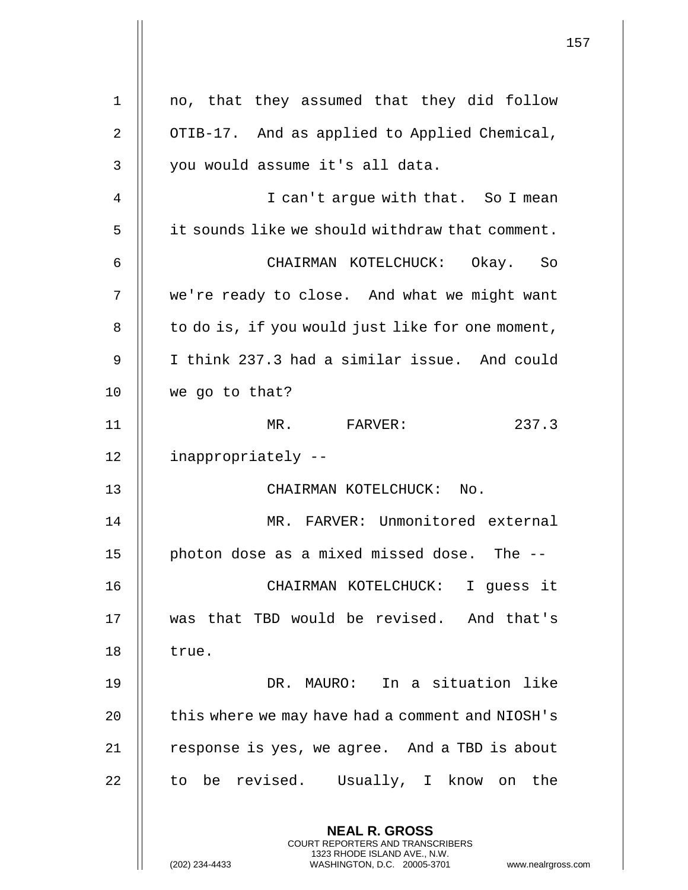|                | 157                                                                                             |
|----------------|-------------------------------------------------------------------------------------------------|
| $\mathbf 1$    | no, that they assumed that they did follow                                                      |
| $\overline{2}$ | OTIB-17. And as applied to Applied Chemical,                                                    |
| 3              | you would assume it's all data.                                                                 |
| 4              | I can't argue with that. So I mean                                                              |
|                |                                                                                                 |
| 5              | it sounds like we should withdraw that comment.                                                 |
| 6              | CHAIRMAN KOTELCHUCK: Okay. So                                                                   |
| 7              | we're ready to close. And what we might want                                                    |
| 8              | to do is, if you would just like for one moment,                                                |
| 9              | I think 237.3 had a similar issue. And could                                                    |
| 10             | we go to that?                                                                                  |
| 11             | MR. FARVER:<br>237.3                                                                            |
| 12             | inappropriately --                                                                              |
| 13             | CHAIRMAN KOTELCHUCK: No.                                                                        |
| 14             | MR. FARVER: Unmonitored external                                                                |
| 15             | photon dose as a mixed missed dose. The --                                                      |
| 16             | CHAIRMAN KOTELCHUCK: I quess it                                                                 |
| 17             | was that TBD would be revised. And that's                                                       |
| 18             | true.                                                                                           |
| 19             | DR. MAURO: In a situation like                                                                  |
| 20             | this where we may have had a comment and NIOSH's                                                |
| 21             | response is yes, we agree. And a TBD is about                                                   |
| 22             | to be revised. Usually, I know on the                                                           |
|                | <b>NEAL R. GROSS</b><br><b>COURT REPORTERS AND TRANSCRIBERS</b><br>1323 RHODE ISLAND AVE., N.W. |
|                | (202) 234-4433<br>WASHINGTON, D.C. 20005-3701<br>www.nealrgross.com                             |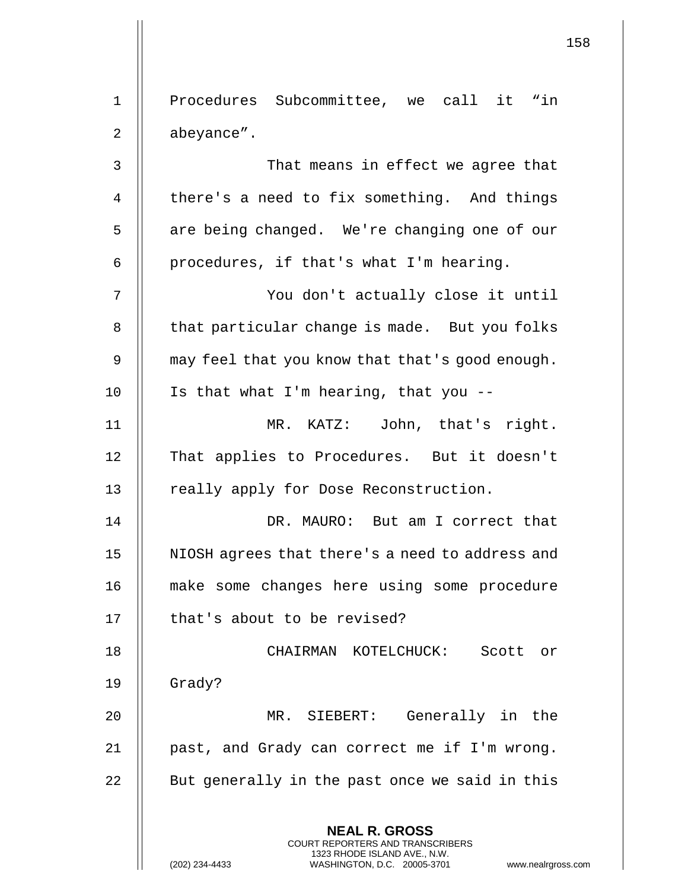**NEAL R. GROSS** COURT REPORTERS AND TRANSCRIBERS 1323 RHODE ISLAND AVE., N.W. (202) 234-4433 WASHINGTON, D.C. 20005-3701 www.nealrgross.com 1 Procedures Subcommittee, we call it "in 2 | abeyance". 3 || That means in effect we agree that 4  $\parallel$  there's a need to fix something. And things 5 || are being changed. We're changing one of our 6  $\parallel$  procedures, if that's what I'm hearing. 7 || You don't actually close it until 8 | that particular change is made. But you folks 9  $\parallel$  may feel that you know that that's good enough.  $10$  || Is that what I'm hearing, that you --11 MR. KATZ: John, that's right. 12 || That applies to Procedures. But it doesn't 13 || really apply for Dose Reconstruction. 14 DR. MAURO: But am I correct that 15 NIOSH agrees that there's a need to address and 16 make some changes here using some procedure 17 | that's about to be revised? 18 CHAIRMAN KOTELCHUCK: Scott or 19 Grady? 20 MR. SIEBERT: Generally in the 21 || past, and Grady can correct me if I'm wrong.  $22$   $\parallel$  But generally in the past once we said in this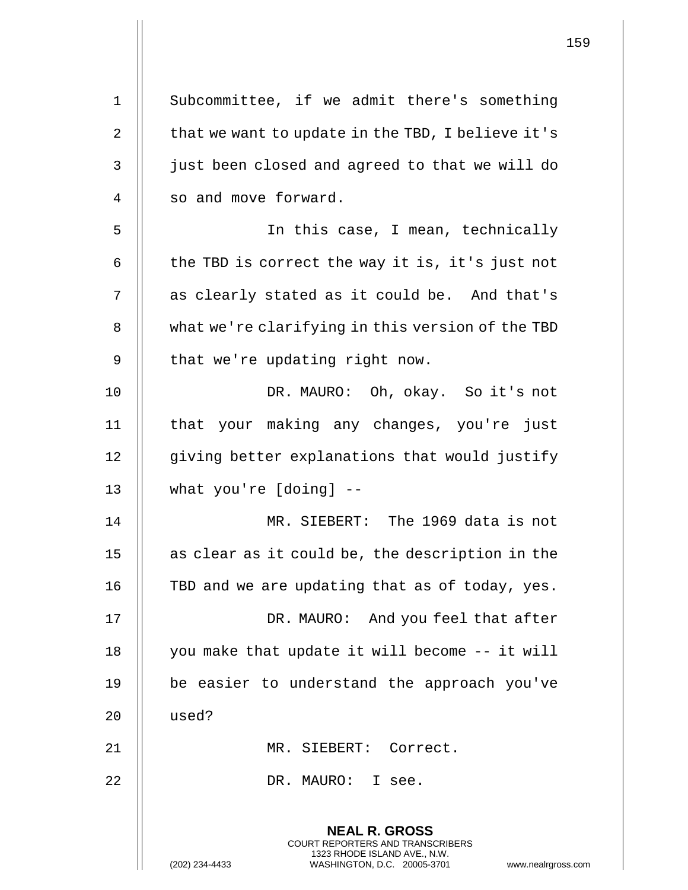| 1              | Subcommittee, if we admit there's something                                                                                                                        |
|----------------|--------------------------------------------------------------------------------------------------------------------------------------------------------------------|
| $\overline{2}$ | that we want to update in the TBD, I believe it's                                                                                                                  |
| 3              | just been closed and agreed to that we will do                                                                                                                     |
| $\overline{4}$ | so and move forward.                                                                                                                                               |
| 5              | In this case, I mean, technically                                                                                                                                  |
| 6              | the TBD is correct the way it is, it's just not                                                                                                                    |
| 7              | as clearly stated as it could be. And that's                                                                                                                       |
| 8              | what we're clarifying in this version of the TBD                                                                                                                   |
| 9              | that we're updating right now.                                                                                                                                     |
| 10             | DR. MAURO: Oh, okay. So it's not                                                                                                                                   |
| 11             | that your making any changes, you're just                                                                                                                          |
| 12             | giving better explanations that would justify                                                                                                                      |
| 13             | what you're [doing] --                                                                                                                                             |
| 14             | MR. SIEBERT: The 1969 data is not                                                                                                                                  |
| 15             | as clear as it could be, the description in the                                                                                                                    |
| 16             | TBD and we are updating that as of today, yes.                                                                                                                     |
| 17             | DR. MAURO: And you feel that after                                                                                                                                 |
| 18             | you make that update it will become -- it will                                                                                                                     |
| 19             | be easier to understand the approach you've                                                                                                                        |
| 20             | used?                                                                                                                                                              |
| 21             | MR. SIEBERT: Correct.                                                                                                                                              |
| 22             | DR. MAURO: I see.                                                                                                                                                  |
|                | <b>NEAL R. GROSS</b><br><b>COURT REPORTERS AND TRANSCRIBERS</b><br>1323 RHODE ISLAND AVE., N.W.<br>(202) 234-4433<br>WASHINGTON, D.C. 20005-3701<br>www.nealrgross |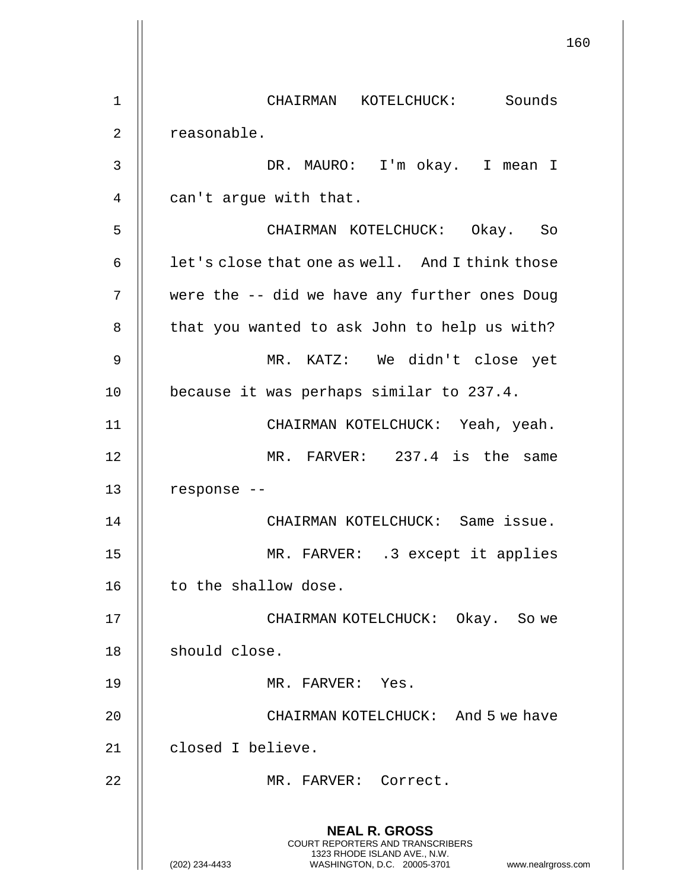**NEAL R. GROSS** COURT REPORTERS AND TRANSCRIBERS 1323 RHODE ISLAND AVE., N.W. (202) 234-4433 WASHINGTON, D.C. 20005-3701 www.nealrgross.com 1 CHAIRMAN KOTELCHUCK: Sounds 2 | reasonable. 3 DR. MAURO: I'm okay. I mean I  $4 \parallel$  can't argue with that. 5 CHAIRMAN KOTELCHUCK: Okay. So 6  $\parallel$  let's close that one as well. And I think those 7 were the -- did we have any further ones Doug 8 | that you wanted to ask John to help us with? 9 MR. KATZ: We didn't close yet 10 | because it was perhaps similar to 237.4. 11 CHAIRMAN KOTELCHUCK: Yeah, yeah. 12 MR. FARVER: 237.4 is the same 13 || response --14 CHAIRMAN KOTELCHUCK: Same issue. 15 MR. FARVER: .3 except it applies 16 | to the shallow dose. 17 CHAIRMAN KOTELCHUCK: Okay. So we 18 | should close. 19 MR. FARVER: Yes. 20 CHAIRMAN KOTELCHUCK: And 5 we have 21 | closed I believe. 22 || MR. FARVER: Correct.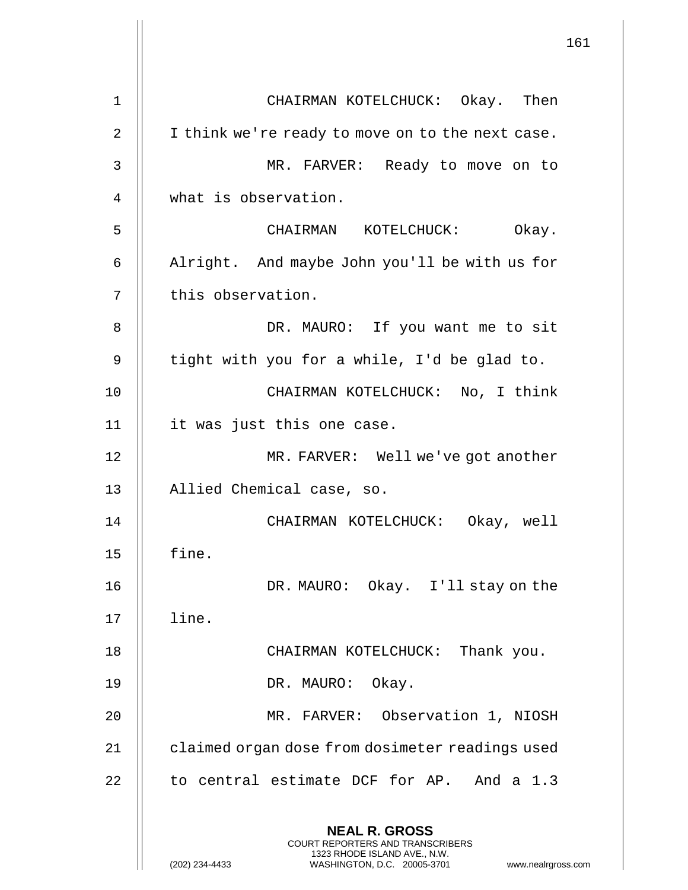|    | 161                                                                                                                                                                    |
|----|------------------------------------------------------------------------------------------------------------------------------------------------------------------------|
| 1  | CHAIRMAN KOTELCHUCK: Okay. Then                                                                                                                                        |
| 2  | I think we're ready to move on to the next case.                                                                                                                       |
| 3  | MR. FARVER: Ready to move on to                                                                                                                                        |
| 4  | what is observation.                                                                                                                                                   |
| 5  | CHAIRMAN KOTELCHUCK:<br>Okay.                                                                                                                                          |
| 6  | Alright. And maybe John you'll be with us for                                                                                                                          |
| 7  | this observation.                                                                                                                                                      |
| 8  | DR. MAURO: If you want me to sit                                                                                                                                       |
| 9  | tight with you for a while, I'd be glad to.                                                                                                                            |
| 10 | CHAIRMAN KOTELCHUCK: No, I think                                                                                                                                       |
| 11 | it was just this one case.                                                                                                                                             |
| 12 | MR. FARVER: Well we've got another                                                                                                                                     |
| 13 | Allied Chemical case, so.                                                                                                                                              |
| 14 | CHAIRMAN KOTELCHUCK: Okay, well                                                                                                                                        |
| 15 | fine.                                                                                                                                                                  |
| 16 | DR. MAURO: Okay. I'll stay on the                                                                                                                                      |
| 17 | line.                                                                                                                                                                  |
| 18 | CHAIRMAN KOTELCHUCK: Thank you.                                                                                                                                        |
| 19 | DR. MAURO: Okay.                                                                                                                                                       |
| 20 | MR. FARVER: Observation 1, NIOSH                                                                                                                                       |
| 21 | claimed organ dose from dosimeter readings used                                                                                                                        |
| 22 | to central estimate DCF for AP. And a 1.3                                                                                                                              |
|    | <b>NEAL R. GROSS</b><br><b>COURT REPORTERS AND TRANSCRIBERS</b><br>1323 RHODE ISLAND AVE., N.W.<br>(202) 234-4433<br>WASHINGTON, D.C. 20005-3701<br>www.nealrgross.com |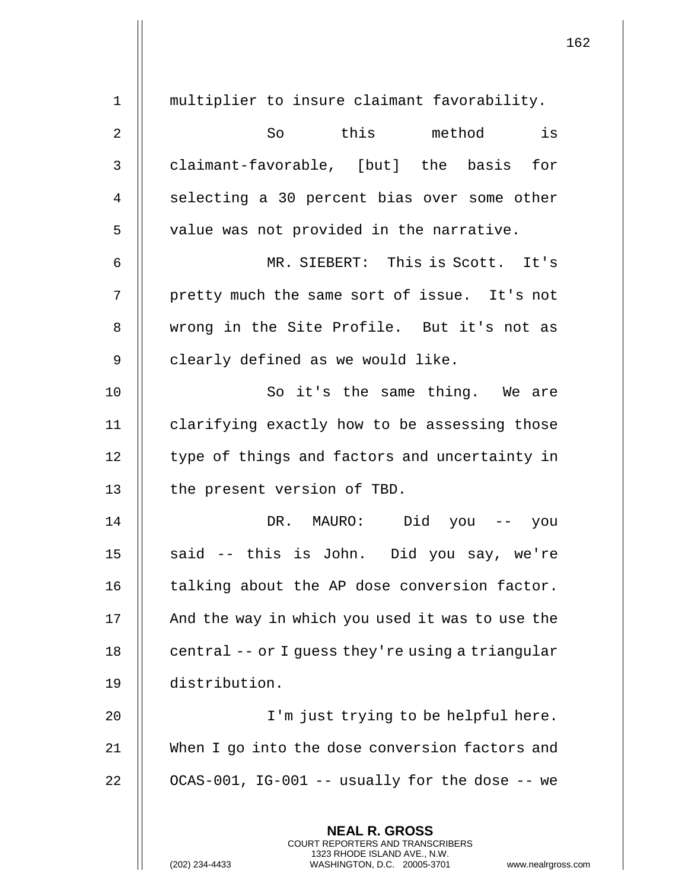|                |                                                                                                                                                                 | 162 |
|----------------|-----------------------------------------------------------------------------------------------------------------------------------------------------------------|-----|
| 1              | multiplier to insure claimant favorability.                                                                                                                     |     |
| $\overline{2}$ | this method<br>is<br>So                                                                                                                                         |     |
| 3              | claimant-favorable, [but] the basis for                                                                                                                         |     |
| 4              | selecting a 30 percent bias over some other                                                                                                                     |     |
| 5              | value was not provided in the narrative.                                                                                                                        |     |
| 6              | MR. SIEBERT: This is Scott. It's                                                                                                                                |     |
| 7              | pretty much the same sort of issue. It's not                                                                                                                    |     |
| 8              | wrong in the Site Profile. But it's not as                                                                                                                      |     |
| 9              | clearly defined as we would like.                                                                                                                               |     |
| 10             | So it's the same thing. We are                                                                                                                                  |     |
| 11             | clarifying exactly how to be assessing those                                                                                                                    |     |
| 12             | type of things and factors and uncertainty in                                                                                                                   |     |
| 13             | the present version of TBD.                                                                                                                                     |     |
| 14             | DR. MAURO: Did you --<br>you                                                                                                                                    |     |
| 15             | said -- this is John. Did you say, we're                                                                                                                        |     |
| 16             | talking about the AP dose conversion factor.                                                                                                                    |     |
| 17             | And the way in which you used it was to use the                                                                                                                 |     |
| 18             | central -- or I guess they're using a triangular                                                                                                                |     |
| 19             | distribution.                                                                                                                                                   |     |
| 20             | I'm just trying to be helpful here.                                                                                                                             |     |
| 21             | When I go into the dose conversion factors and                                                                                                                  |     |
| 22             | OCAS-001, IG-001 -- usually for the dose -- we                                                                                                                  |     |
|                | <b>NEAL R. GROSS</b><br>COURT REPORTERS AND TRANSCRIBERS<br>1323 RHODE ISLAND AVE., N.W.<br>(202) 234-4433<br>WASHINGTON, D.C. 20005-3701<br>www.nealrgross.com |     |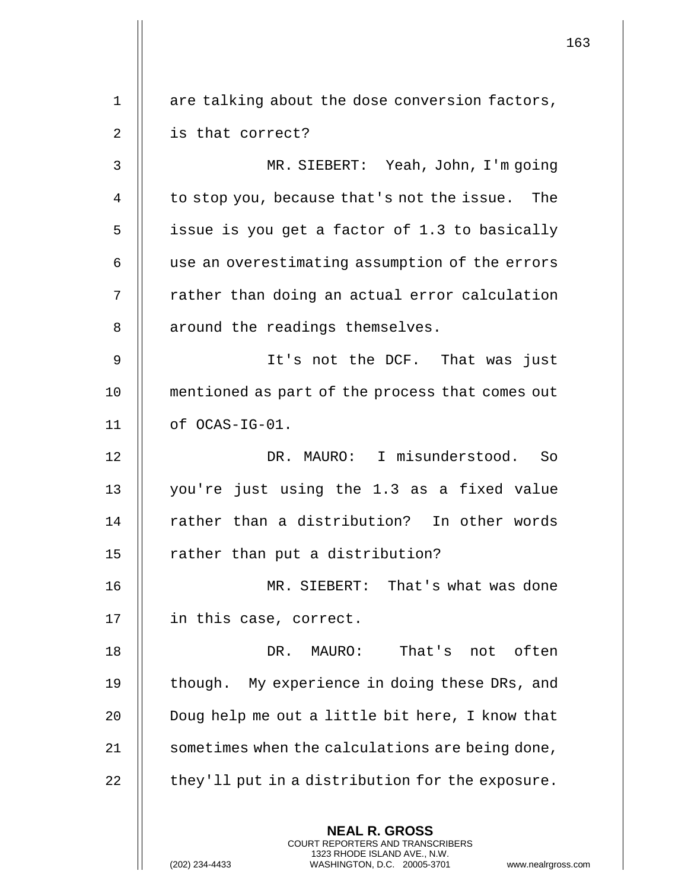|    |                                                                                                                                                                        | 163 |
|----|------------------------------------------------------------------------------------------------------------------------------------------------------------------------|-----|
| 1  | are talking about the dose conversion factors,                                                                                                                         |     |
| 2  | is that correct?                                                                                                                                                       |     |
| 3  | MR. SIEBERT: Yeah, John, I'm going                                                                                                                                     |     |
| 4  | to stop you, because that's not the issue. The                                                                                                                         |     |
| 5  | issue is you get a factor of 1.3 to basically                                                                                                                          |     |
| 6  | use an overestimating assumption of the errors                                                                                                                         |     |
| 7  | rather than doing an actual error calculation                                                                                                                          |     |
| 8  | around the readings themselves.                                                                                                                                        |     |
| 9  | It's not the DCF. That was just                                                                                                                                        |     |
| 10 | mentioned as part of the process that comes out                                                                                                                        |     |
| 11 | of OCAS-IG-01.                                                                                                                                                         |     |
| 12 | DR. MAURO: I misunderstood. So                                                                                                                                         |     |
| 13 | you're just using the 1.3 as a fixed value                                                                                                                             |     |
| 14 | rather than a distribution? In other words                                                                                                                             |     |
| 15 | rather than put a distribution?                                                                                                                                        |     |
| 16 | MR. SIEBERT: That's what was done                                                                                                                                      |     |
| 17 | in this case, correct.                                                                                                                                                 |     |
| 18 | DR. MAURO:<br>That's not often                                                                                                                                         |     |
| 19 | though. My experience in doing these DRs, and                                                                                                                          |     |
| 20 | Doug help me out a little bit here, I know that                                                                                                                        |     |
| 21 | sometimes when the calculations are being done,                                                                                                                        |     |
| 22 | they'll put in a distribution for the exposure.                                                                                                                        |     |
|    | <b>NEAL R. GROSS</b><br><b>COURT REPORTERS AND TRANSCRIBERS</b><br>1323 RHODE ISLAND AVE., N.W.<br>WASHINGTON, D.C. 20005-3701<br>(202) 234-4433<br>www.nealrgross.com |     |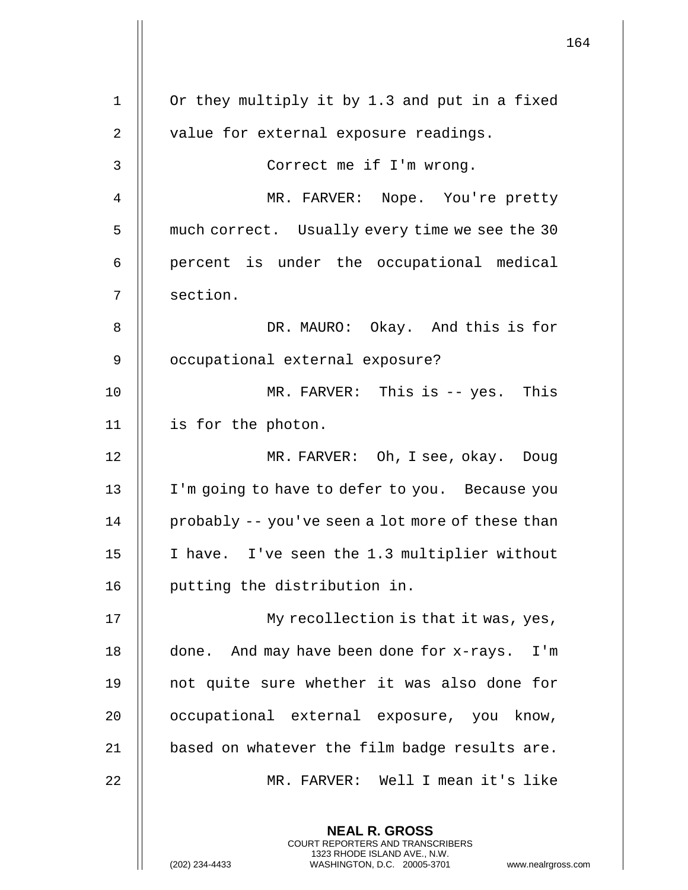|             |                                                                                                 | 164 |
|-------------|-------------------------------------------------------------------------------------------------|-----|
| $\mathbf 1$ | Or they multiply it by 1.3 and put in a fixed                                                   |     |
| 2           | value for external exposure readings.                                                           |     |
| 3           | Correct me if I'm wrong.                                                                        |     |
|             |                                                                                                 |     |
| 4           | MR. FARVER: Nope. You're pretty                                                                 |     |
| 5           | much correct. Usually every time we see the 30                                                  |     |
| 6           | percent is under the occupational medical                                                       |     |
| 7           | section.                                                                                        |     |
| 8           | DR. MAURO: Okay. And this is for                                                                |     |
| 9           | occupational external exposure?                                                                 |     |
| 10          | MR. FARVER: This is -- yes. This                                                                |     |
| 11          | is for the photon.                                                                              |     |
| 12          | MR. FARVER: Oh, I see, okay. Doug                                                               |     |
| 13          | I'm going to have to defer to you. Because you                                                  |     |
| 14          | probably -- you've seen a lot more of these than                                                |     |
| 15          | I have. I've seen the 1.3 multiplier without                                                    |     |
| 16          | putting the distribution in.                                                                    |     |
| 17          | My recollection is that it was, yes,                                                            |     |
| 18          | done. And may have been done for x-rays. I'm                                                    |     |
| 19          | not quite sure whether it was also done for                                                     |     |
| 20          | occupational external exposure, you know,                                                       |     |
| 21          | based on whatever the film badge results are.                                                   |     |
| 22          | MR. FARVER: Well I mean it's like                                                               |     |
|             | <b>NEAL R. GROSS</b><br><b>COURT REPORTERS AND TRANSCRIBERS</b><br>1323 RHODE ISLAND AVE., N.W. |     |
|             | (202) 234-4433<br>WASHINGTON, D.C. 20005-3701<br>www.nealrgross.com                             |     |

 $\mathbf{I}$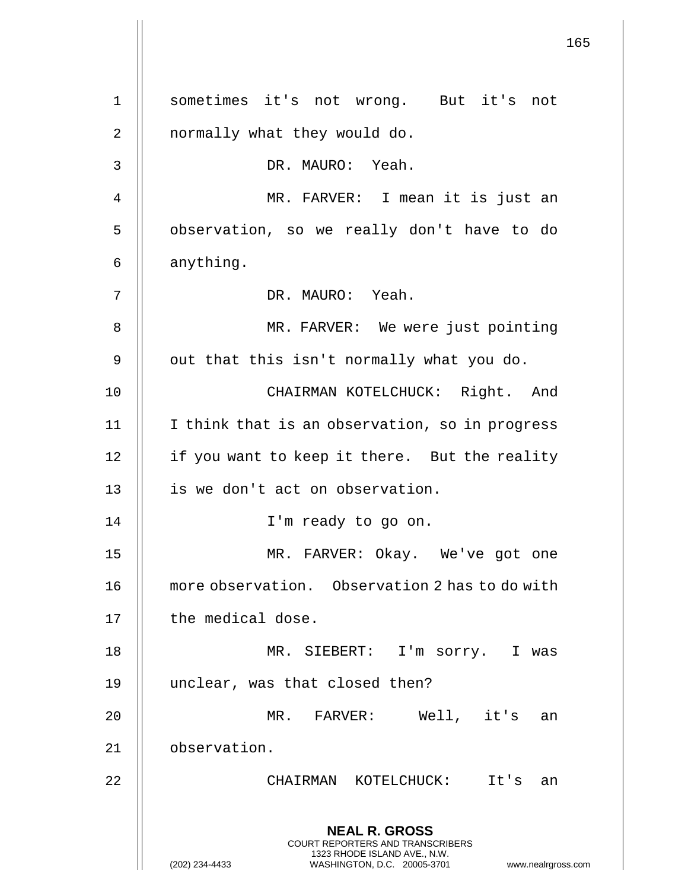**NEAL R. GROSS** COURT REPORTERS AND TRANSCRIBERS 1323 RHODE ISLAND AVE., N.W. (202) 234-4433 WASHINGTON, D.C. 20005-3701 www.nealrgross.com 1 sometimes it's not wrong. But it's not 2 || normally what they would do. 3 DR. MAURO: Yeah. 4 MR. FARVER: I mean it is just an 5 || observation, so we really don't have to do 6 anything. 7 DR. MAURO: Yeah. 8 || MR. FARVER: We were just pointing  $9 \parallel$  out that this isn't normally what you do. 10 CHAIRMAN KOTELCHUCK: Right. And 11 I think that is an observation, so in progress 12 || if you want to keep it there. But the reality 13 || is we don't act on observation. 14 || I'm ready to go on. 15 MR. FARVER: Okay. We've got one 16 | more observation. Observation 2 has to do with 17 || the medical dose. 18 MR. SIEBERT: I'm sorry. I was 19 unclear, was that closed then? 20 MR. FARVER: Well, it's an 21 observation. 22 CHAIRMAN KOTELCHUCK: It's an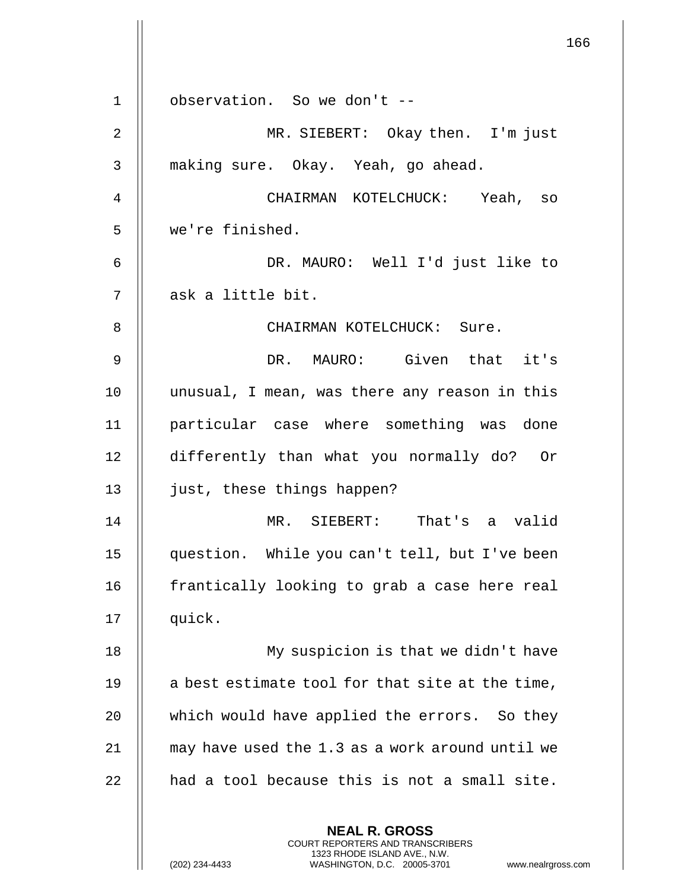**NEAL R. GROSS** COURT REPORTERS AND TRANSCRIBERS 1323 RHODE ISLAND AVE., N.W. 1 observation. So we don't -- 2 MR. SIEBERT: Okay then. I'm just 3 || making sure. Okay. Yeah, go ahead. 4 CHAIRMAN KOTELCHUCK: Yeah, so 5 we're finished. 6 DR. MAURO: Well I'd just like to 7 || ask a little bit. 8 || CHAIRMAN KOTELCHUCK: Sure. 9 DR. MAURO: Given that it's 10 unusual, I mean, was there any reason in this 11 particular case where something was done 12 differently than what you normally do? Or 13 || just, these things happen? 14 MR. SIEBERT: That's a valid 15 question. While you can't tell, but I've been 16 | frantically looking to grab a case here real 17 quick. 18 || My suspicion is that we didn't have 19  $\parallel$  a best estimate tool for that site at the time, 20 || which would have applied the errors. So they 21 | may have used the 1.3 as a work around until we  $22$  || had a tool because this is not a small site.

(202) 234-4433 WASHINGTON, D.C. 20005-3701 www.nealrgross.com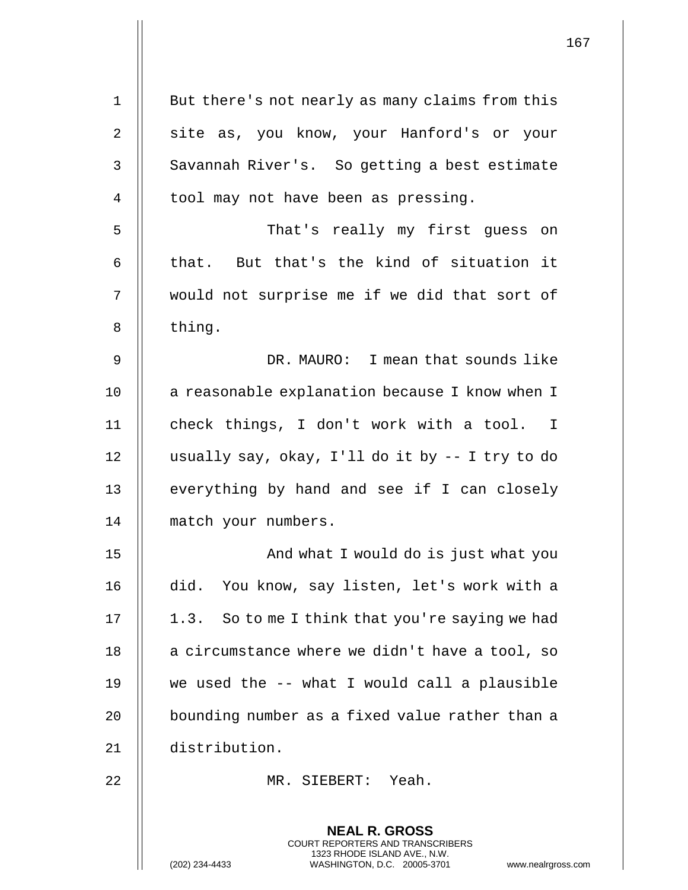| $\mathbf 1$ | But there's not nearly as many claims from this                                                                                                                    |
|-------------|--------------------------------------------------------------------------------------------------------------------------------------------------------------------|
| 2           | site as, you know, your Hanford's or your                                                                                                                          |
| 3           | Savannah River's. So getting a best estimate                                                                                                                       |
| 4           | tool may not have been as pressing.                                                                                                                                |
| 5           | That's really my first guess on                                                                                                                                    |
| 6           | that. But that's the kind of situation it                                                                                                                          |
| 7           | would not surprise me if we did that sort of                                                                                                                       |
| 8           | thing.                                                                                                                                                             |
| 9           | DR. MAURO: I mean that sounds like                                                                                                                                 |
| 10          | a reasonable explanation because I know when I                                                                                                                     |
| 11          | check things, I don't work with a tool. I                                                                                                                          |
| 12          | usually say, okay, I'll do it by -- I try to do                                                                                                                    |
| 13          | everything by hand and see if I can closely                                                                                                                        |
| 14          | match your numbers.                                                                                                                                                |
| 15          | And what I would do is just what you                                                                                                                               |
| 16          | did. You know, say listen, let's work with a                                                                                                                       |
| 17          | 1.3. So to me I think that you're saying we had                                                                                                                    |
| 18          | a circumstance where we didn't have a tool, so                                                                                                                     |
| 19          | we used the -- what I would call a plausible                                                                                                                       |
| 20          | bounding number as a fixed value rather than a                                                                                                                     |
| 21          | distribution.                                                                                                                                                      |
| 22          | MR. SIEBERT: Yeah.                                                                                                                                                 |
|             | <b>NEAL R. GROSS</b><br><b>COURT REPORTERS AND TRANSCRIBERS</b><br>1323 RHODE ISLAND AVE., N.W.<br>WASHINGTON, D.C. 20005-3701<br>(202) 234-4433<br>www.nealrgross |

(202) 234-4433 WASHINGTON, D.C. 20005-3701 www.nealrgross.com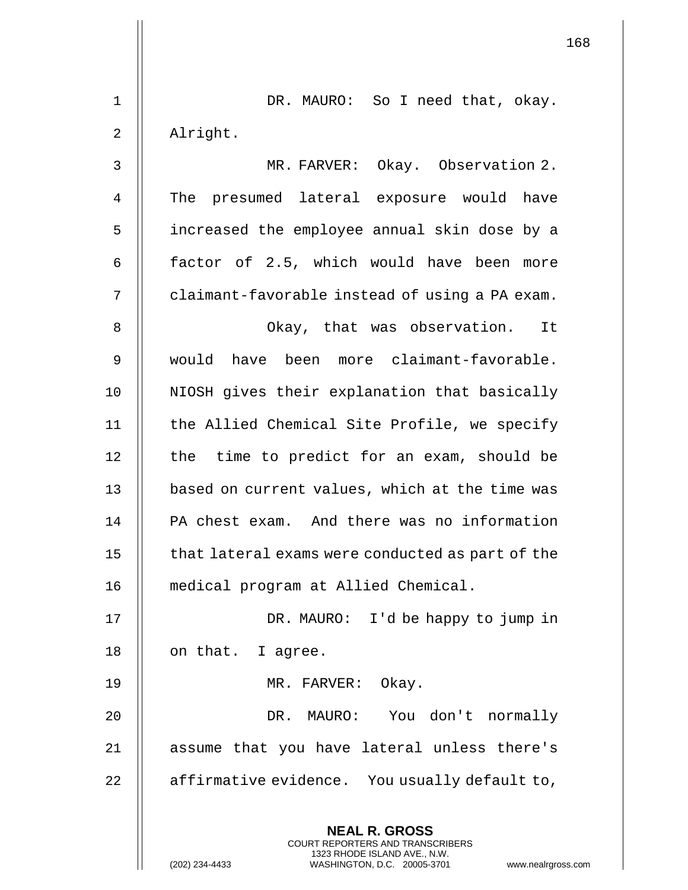|    | 168                                                                                             |
|----|-------------------------------------------------------------------------------------------------|
| 1  | DR. MAURO: So I need that, okay.                                                                |
| 2  | Alright.                                                                                        |
| 3  | MR. FARVER: Okay. Observation 2.                                                                |
| 4  | The presumed lateral exposure would have                                                        |
| 5  | increased the employee annual skin dose by a                                                    |
| 6  | factor of 2.5, which would have been more                                                       |
| 7  | claimant-favorable instead of using a PA exam.                                                  |
| 8  | Okay, that was observation. It                                                                  |
| 9  | would have been more claimant-favorable.                                                        |
| 10 | NIOSH gives their explanation that basically                                                    |
| 11 | the Allied Chemical Site Profile, we specify                                                    |
| 12 | the time to predict for an exam, should be                                                      |
| 13 | based on current values, which at the time was                                                  |
| 14 | PA chest exam. And there was no information                                                     |
| 15 | that lateral exams were conducted as part of the                                                |
| 16 | medical program at Allied Chemical.                                                             |
| 17 | DR. MAURO: I'd be happy to jump in                                                              |
| 18 | on that. I agree.                                                                               |
| 19 | MR. FARVER: Okay.                                                                               |
| 20 | DR. MAURO: You don't normally                                                                   |
| 21 | assume that you have lateral unless there's                                                     |
| 22 | affirmative evidence. You usually default to,                                                   |
|    | <b>NEAL R. GROSS</b><br><b>COURT REPORTERS AND TRANSCRIBERS</b><br>1323 RHODE ISLAND AVE., N.W. |
|    | (202) 234-4433<br>WASHINGTON, D.C. 20005-3701<br>www.nealrgross.com                             |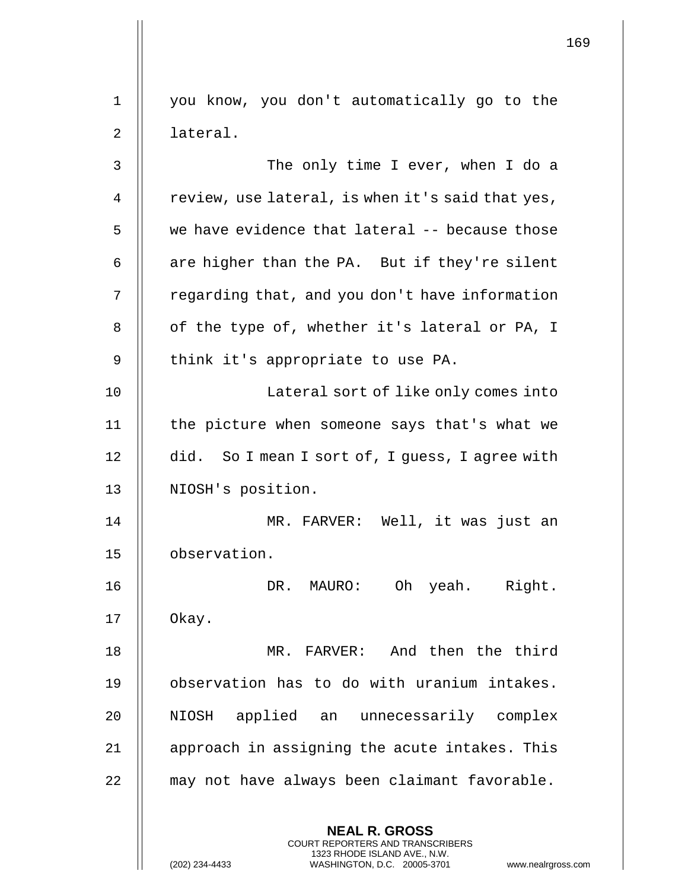| $\mathbf 1$ | you know, you don't automatically go to the                                                                                                                          |
|-------------|----------------------------------------------------------------------------------------------------------------------------------------------------------------------|
| 2           | lateral.                                                                                                                                                             |
| 3           | The only time I ever, when I do a                                                                                                                                    |
| 4           | review, use lateral, is when it's said that yes,                                                                                                                     |
| 5           | we have evidence that lateral -- because those                                                                                                                       |
| 6           | are higher than the PA. But if they're silent                                                                                                                        |
| 7           | regarding that, and you don't have information                                                                                                                       |
| 8           | of the type of, whether it's lateral or PA, I                                                                                                                        |
| 9           | think it's appropriate to use PA.                                                                                                                                    |
| 10          | Lateral sort of like only comes into                                                                                                                                 |
| 11          | the picture when someone says that's what we                                                                                                                         |
| 12          | did. So I mean I sort of, I guess, I agree with                                                                                                                      |
| 13          | NIOSH's position.                                                                                                                                                    |
| 14          | MR. FARVER: Well, it was just an                                                                                                                                     |
| 15          | observation.                                                                                                                                                         |
| 16          | Oh yeah. Right.<br>DR. MAURO:                                                                                                                                        |
| 17          | Okay.                                                                                                                                                                |
| 18          | MR. FARVER: And then the third                                                                                                                                       |
| 19          | observation has to do with uranium intakes.                                                                                                                          |
| 20          | applied an unnecessarily complex<br>NIOSH                                                                                                                            |
| 21          | approach in assigning the acute intakes. This                                                                                                                        |
| 22          | may not have always been claimant favorable.                                                                                                                         |
|             | <b>NEAL R. GROSS</b><br><b>COURT REPORTERS AND TRANSCRIBERS</b><br>1323 RHODE ISLAND AVE., N.W.<br>(202) 234-4433<br>WASHINGTON, D.C. 20005-3701<br>www.nealrgross.o |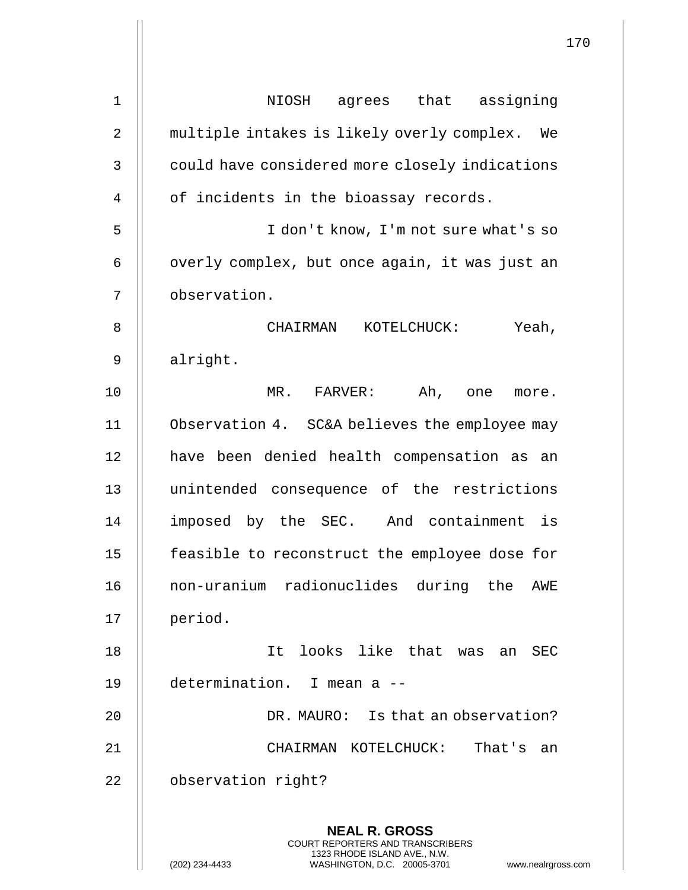| $\mathbf 1$    | agrees that assigning<br>NIOSH                                                                  |
|----------------|-------------------------------------------------------------------------------------------------|
| $\overline{2}$ | multiple intakes is likely overly complex. We                                                   |
| $\mathsf{3}$   | could have considered more closely indications                                                  |
| 4              | of incidents in the bioassay records.                                                           |
| 5              | I don't know, I'm not sure what's so                                                            |
| 6              | overly complex, but once again, it was just an                                                  |
| 7              | observation.                                                                                    |
| 8              | Yeah,<br>CHAIRMAN<br>KOTELCHUCK:                                                                |
| 9              | alright.                                                                                        |
| 10             | Ah, one<br>MR. FARVER:<br>more.                                                                 |
| 11             | Observation 4. SC&A believes the employee may                                                   |
| 12             | have been denied health compensation as an                                                      |
| 13             | unintended consequence of the restrictions                                                      |
| 14             | imposed by the SEC. And containment is                                                          |
| 15             | feasible to reconstruct the employee dose for                                                   |
| 16             | non-uranium radionuclides during the AWE                                                        |
| 17             | period.                                                                                         |
| 18             | It looks like that was an<br>SEC                                                                |
| 19             | determination. I mean a --                                                                      |
| 20             | DR. MAURO: Is that an observation?                                                              |
| 21             | That's<br>CHAIRMAN KOTELCHUCK:<br>an                                                            |
| 22             | observation right?                                                                              |
|                | <b>NEAL R. GROSS</b><br><b>COURT REPORTERS AND TRANSCRIBERS</b><br>1323 RHODE ISLAND AVE., N.W. |
|                | (202) 234-4433<br>WASHINGTON, D.C. 20005-3701<br>www.nealrgross.                                |

 $\overline{\phantom{a}}$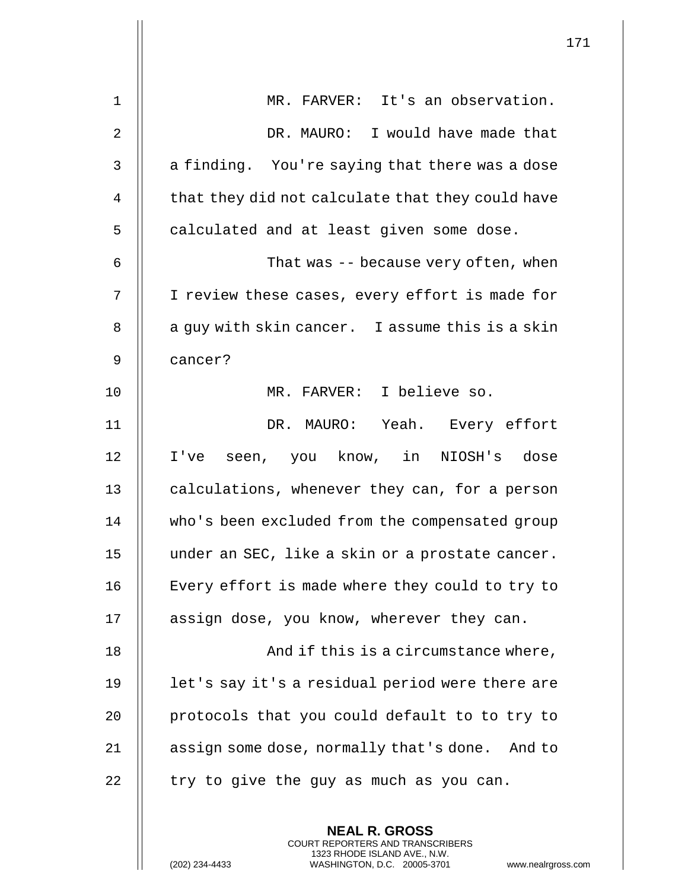| $\mathbf 1$    | MR. FARVER: It's an observation.                         |
|----------------|----------------------------------------------------------|
| $\overline{2}$ | DR. MAURO: I would have made that                        |
| 3              | a finding. You're saying that there was a dose           |
| 4              | that they did not calculate that they could have         |
| 5              | calculated and at least given some dose.                 |
| 6              | That was -- because very often, when                     |
| 7              | I review these cases, every effort is made for           |
| 8              | a guy with skin cancer. I assume this is a skin          |
| 9              | cancer?                                                  |
| 10             | MR. FARVER: I believe so.                                |
| 11             | DR. MAURO: Yeah. Every effort                            |
| 12             | I've seen, you know, in NIOSH's dose                     |
| 13             | calculations, whenever they can, for a person            |
| 14             | who's been excluded from the compensated group           |
| 15             | under an SEC, like a skin or a prostate cancer.          |
| 16             | Every effort is made where they could to try to          |
| 17             | assign dose, you know, wherever they can.                |
| 18             | And if this is a circumstance where,                     |
| 19             | let's say it's a residual period were there are          |
| 20             | protocols that you could default to to try to            |
| 21             | assign some dose, normally that's done. And to           |
| 22             | try to give the guy as much as you can.                  |
|                | <b>NEAL R. GROSS</b><br>COURT REPORTERS AND TRANSCRIBERS |

1323 RHODE ISLAND AVE., N.W.

 $\prod$ 

 $\mathsf{l}\mathsf{l}$ 

(202) 234-4433 WASHINGTON, D.C. 20005-3701 www.nealrgross.com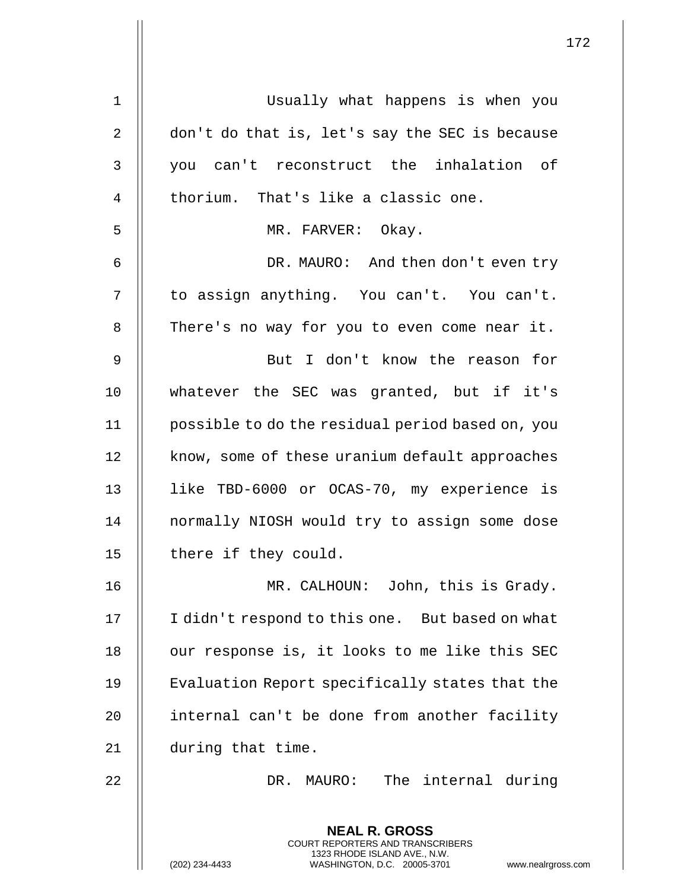| $\mathbf{1}$ | Usually what happens is when you                                                                                                                                   |
|--------------|--------------------------------------------------------------------------------------------------------------------------------------------------------------------|
| 2            | don't do that is, let's say the SEC is because                                                                                                                     |
| 3            | you can't reconstruct the inhalation of                                                                                                                            |
| 4            | thorium. That's like a classic one.                                                                                                                                |
| 5            | MR. FARVER: Okay.                                                                                                                                                  |
| 6            | DR. MAURO: And then don't even try                                                                                                                                 |
| 7            | to assign anything. You can't. You can't.                                                                                                                          |
| 8            | There's no way for you to even come near it.                                                                                                                       |
| $\mathsf 9$  | But I don't know the reason for                                                                                                                                    |
| 10           | whatever the SEC was granted, but if it's                                                                                                                          |
| 11           | possible to do the residual period based on, you                                                                                                                   |
| 12           | know, some of these uranium default approaches                                                                                                                     |
| 13           | like TBD-6000 or OCAS-70, my experience is                                                                                                                         |
| 14           | normally NIOSH would try to assign some dose                                                                                                                       |
| 15           | there if they could.                                                                                                                                               |
| 16           | MR. CALHOUN: John, this is Grady.                                                                                                                                  |
| 17           | I didn't respond to this one. But based on what                                                                                                                    |
| 18           | our response is, it looks to me like this SEC                                                                                                                      |
| 19           | Evaluation Report specifically states that the                                                                                                                     |
| 20           | internal can't be done from another facility                                                                                                                       |
| 21           | during that time.                                                                                                                                                  |
| 22           | The internal during<br>DR. MAURO:                                                                                                                                  |
|              | <b>NEAL R. GROSS</b><br><b>COURT REPORTERS AND TRANSCRIBERS</b><br>1323 RHODE ISLAND AVE., N.W.<br>(202) 234-4433<br>WASHINGTON, D.C. 20005-3701<br>www.nealrgross |

(202) 234-4433 WASHINGTON, D.C. 20005-3701 www.nealrgross.com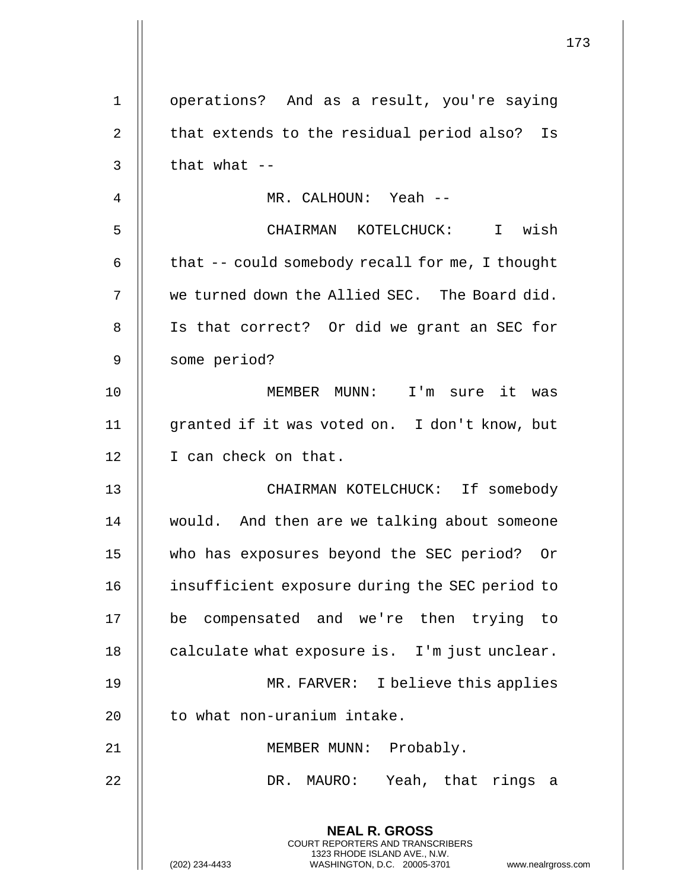|                | $\mathbf 1$                                                                                                                                                  |
|----------------|--------------------------------------------------------------------------------------------------------------------------------------------------------------|
| $\mathbf 1$    | operations? And as a result, you're saying                                                                                                                   |
| 2              | that extends to the residual period also?<br>Is                                                                                                              |
| 3              | that what $-$                                                                                                                                                |
| $\overline{4}$ | MR. CALHOUN: Yeah --                                                                                                                                         |
| 5              | CHAIRMAN KOTELCHUCK: I wish                                                                                                                                  |
|                |                                                                                                                                                              |
| 6              | that -- could somebody recall for me, I thought                                                                                                              |
| 7              | we turned down the Allied SEC. The Board did.                                                                                                                |
| 8              | Is that correct? Or did we grant an SEC for                                                                                                                  |
| 9              | some period?                                                                                                                                                 |
| 10             | MEMBER MUNN: I'm sure it<br>was                                                                                                                              |
| 11             | granted if it was voted on. I don't know, but                                                                                                                |
| 12             | I can check on that.                                                                                                                                         |
| 13             | CHAIRMAN KOTELCHUCK: If somebody                                                                                                                             |
| 14             | would. And then are we talking about someone                                                                                                                 |
| 15             | who has exposures beyond the SEC period? Or                                                                                                                  |
| 16             | insufficient exposure during the SEC period to                                                                                                               |
| 17             | compensated and we're then trying to<br>be                                                                                                                   |
| 18             | calculate what exposure is. I'm just unclear.                                                                                                                |
| 19             | MR. FARVER: I believe this applies                                                                                                                           |
| 20             | to what non-uranium intake.                                                                                                                                  |
| 21             | MEMBER MUNN: Probably.                                                                                                                                       |
| 22             | DR. MAURO: Yeah, that rings a                                                                                                                                |
|                | <b>NEAL R. GROSS</b><br>COURT REPORTERS AND TRANSCRIBERS<br>1323 RHODE ISLAND AVE., N.W.<br>WASHINGTON, D.C. 20005-3701<br>(202) 234-4433<br>www.nealrgross. |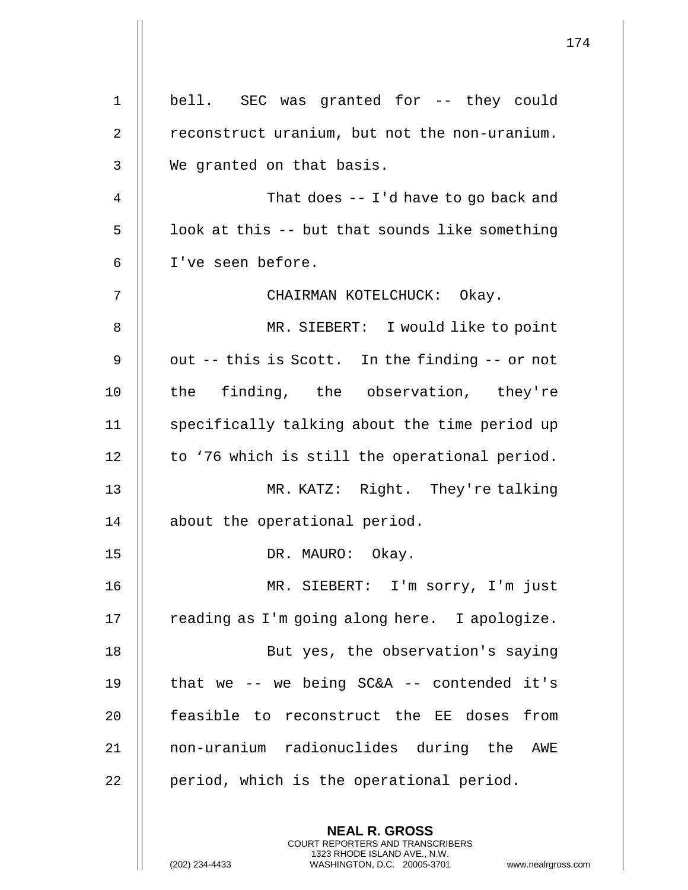| $\mathbf 1$    | bell. SEC was granted for -- they could        |
|----------------|------------------------------------------------|
| 2              | reconstruct uranium, but not the non-uranium.  |
| 3              | We granted on that basis.                      |
| $\overline{4}$ | That does $-1$ d have to go back and           |
| 5              | look at this -- but that sounds like something |
| 6              | I've seen before.                              |
| 7              | CHAIRMAN KOTELCHUCK: Okay.                     |
| 8              | MR. SIEBERT: I would like to point             |
| 9              | out -- this is Scott. In the finding -- or not |
| 10             | the finding, the observation, they're          |
| 11             | specifically talking about the time period up  |
| 12             | to '76 which is still the operational period.  |
| 13             | MR. KATZ: Right. They're talking               |
| 14             | about the operational period.                  |
| 15             | DR. MAURO: Okay.                               |
| 16             | MR. SIEBERT: I'm sorry, I'm just               |
| 17             | reading as I'm going along here. I apologize.  |
| 18             | But yes, the observation's saying              |
| 19             | that we $-$ we being SC&A $-$ contended it's   |
| 20             | feasible to reconstruct the EE doses from      |
| 21             | non-uranium radionuclides during the AWE       |
| 22             | period, which is the operational period.       |
|                | <b>NEAL R. GROSS</b>                           |
|                |                                                |

COURT REPORTERS AND TRANSCRIBERS 1323 RHODE ISLAND AVE., N.W.

(202) 234-4433 WASHINGTON, D.C. 20005-3701 www.nealrgross.com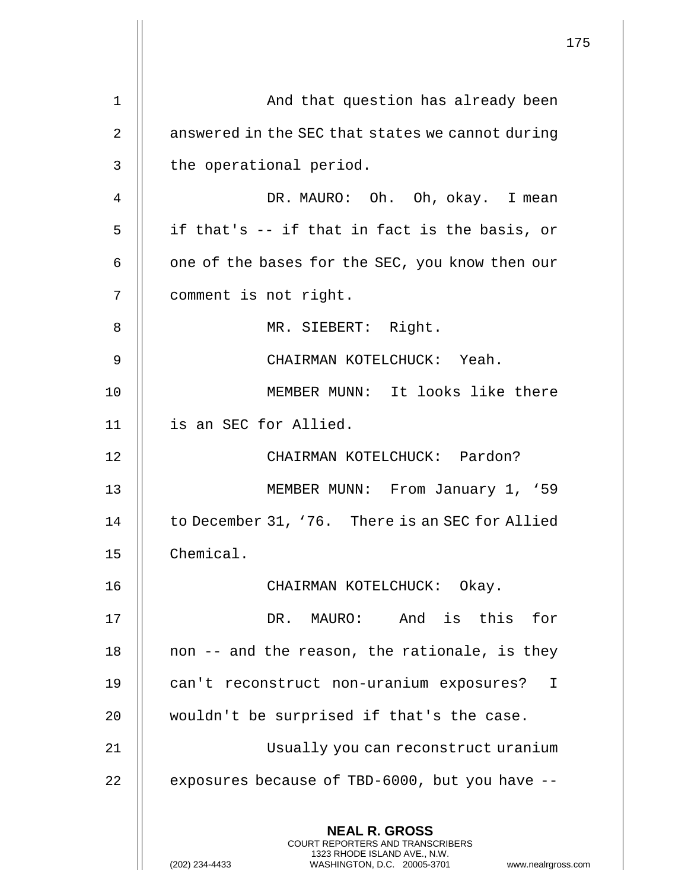|    |                                                                                                                                                                        | 175 |
|----|------------------------------------------------------------------------------------------------------------------------------------------------------------------------|-----|
| 1  | And that question has already been                                                                                                                                     |     |
| 2  | answered in the SEC that states we cannot during                                                                                                                       |     |
| 3  | the operational period.                                                                                                                                                |     |
| 4  | DR. MAURO: Oh. Oh, okay. I mean                                                                                                                                        |     |
| 5  | if that's -- if that in fact is the basis, or                                                                                                                          |     |
| 6  | one of the bases for the SEC, you know then our                                                                                                                        |     |
| 7  | comment is not right.                                                                                                                                                  |     |
| 8  | MR. SIEBERT: Right.                                                                                                                                                    |     |
| 9  | CHAIRMAN KOTELCHUCK: Yeah.                                                                                                                                             |     |
| 10 | MEMBER MUNN: It looks like there                                                                                                                                       |     |
| 11 | is an SEC for Allied.                                                                                                                                                  |     |
| 12 | CHAIRMAN KOTELCHUCK: Pardon?                                                                                                                                           |     |
| 13 | MEMBER MUNN: From January 1, '59                                                                                                                                       |     |
| 14 | to December 31, '76. There is an SEC for Allied                                                                                                                        |     |
| 15 | Chemical.                                                                                                                                                              |     |
| 16 | CHAIRMAN KOTELCHUCK: Okay.                                                                                                                                             |     |
| 17 | DR. MAURO: And is this for                                                                                                                                             |     |
| 18 | non -- and the reason, the rationale, is they                                                                                                                          |     |
| 19 |                                                                                                                                                                        |     |
| 20 | can't reconstruct non-uranium exposures? I                                                                                                                             |     |
|    | wouldn't be surprised if that's the case.                                                                                                                              |     |
| 21 | Usually you can reconstruct uranium                                                                                                                                    |     |
| 22 | exposures because of TBD-6000, but you have --                                                                                                                         |     |
|    | <b>NEAL R. GROSS</b><br><b>COURT REPORTERS AND TRANSCRIBERS</b><br>1323 RHODE ISLAND AVE., N.W.<br>(202) 234-4433<br>WASHINGTON, D.C. 20005-3701<br>www.nealrgross.com |     |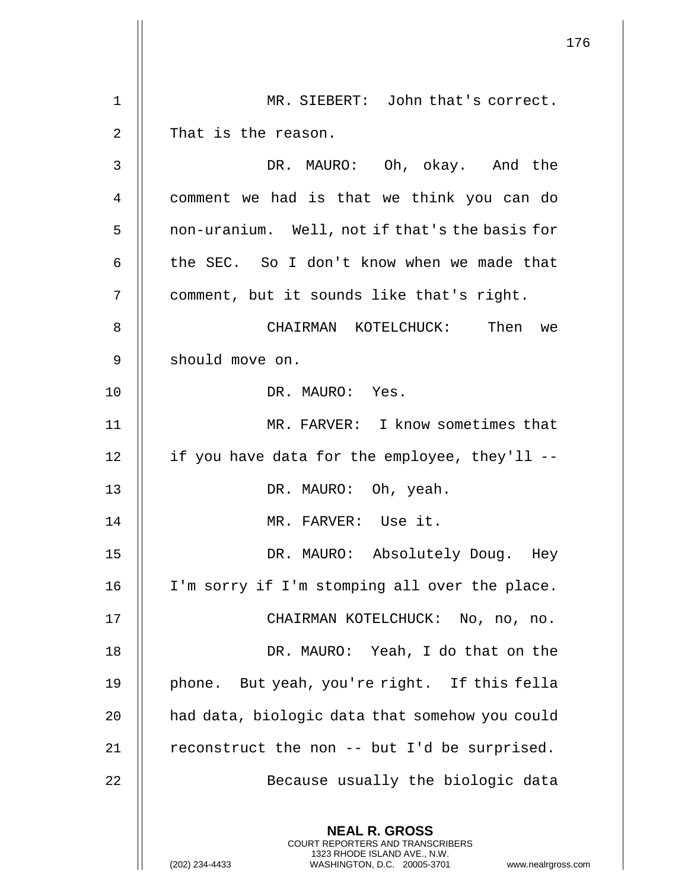|                |                                                                                                                                                                        | 176 |
|----------------|------------------------------------------------------------------------------------------------------------------------------------------------------------------------|-----|
| 1              | MR. SIEBERT: John that's correct.                                                                                                                                      |     |
| $\overline{2}$ | That is the reason.                                                                                                                                                    |     |
| 3              | DR. MAURO: Oh, okay. And the                                                                                                                                           |     |
| 4              | comment we had is that we think you can do                                                                                                                             |     |
| 5              |                                                                                                                                                                        |     |
|                | non-uranium. Well, not if that's the basis for                                                                                                                         |     |
| 6              | the SEC. So I don't know when we made that                                                                                                                             |     |
| 7              | comment, but it sounds like that's right.                                                                                                                              |     |
| 8              | CHAIRMAN KOTELCHUCK: Then<br>we                                                                                                                                        |     |
| 9              | should move on.                                                                                                                                                        |     |
| 10             | DR. MAURO: Yes.                                                                                                                                                        |     |
| 11             | MR. FARVER: I know sometimes that                                                                                                                                      |     |
| 12             | if you have data for the employee, they'll --                                                                                                                          |     |
| 13             | DR. MAURO: Oh, yeah.                                                                                                                                                   |     |
| 14             | MR. FARVER: Use it.                                                                                                                                                    |     |
| 15             | DR. MAURO: Absolutely Doug. Hey                                                                                                                                        |     |
| 16             | I'm sorry if I'm stomping all over the place.                                                                                                                          |     |
| 17             | CHAIRMAN KOTELCHUCK: No, no, no.                                                                                                                                       |     |
| 18             | DR. MAURO: Yeah, I do that on the                                                                                                                                      |     |
| 19             | phone. But yeah, you're right. If this fella                                                                                                                           |     |
| 20             | had data, biologic data that somehow you could                                                                                                                         |     |
| 21             | reconstruct the non -- but I'd be surprised.                                                                                                                           |     |
| 22             | Because usually the biologic data                                                                                                                                      |     |
|                | <b>NEAL R. GROSS</b><br><b>COURT REPORTERS AND TRANSCRIBERS</b><br>1323 RHODE ISLAND AVE., N.W.<br>WASHINGTON, D.C. 20005-3701<br>(202) 234-4433<br>www.nealrgross.com |     |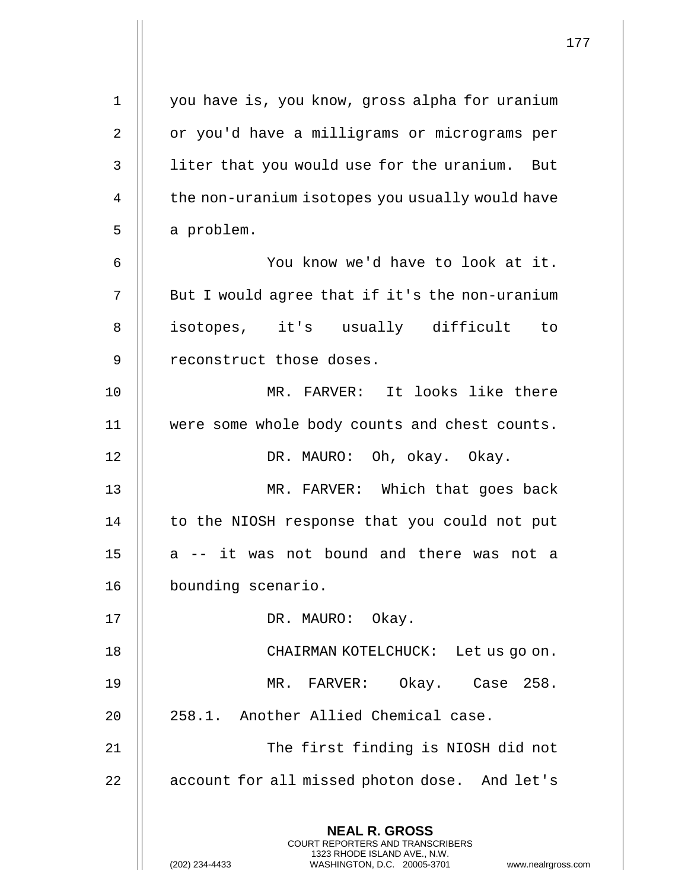| $\mathbf 1$ | you have is, you know, gross alpha for uranium                                                                                                                         |
|-------------|------------------------------------------------------------------------------------------------------------------------------------------------------------------------|
| 2           | or you'd have a milligrams or micrograms per                                                                                                                           |
| 3           | liter that you would use for the uranium. But                                                                                                                          |
| 4           | the non-uranium isotopes you usually would have                                                                                                                        |
| 5           | a problem.                                                                                                                                                             |
| 6           | You know we'd have to look at it.                                                                                                                                      |
| 7           | But I would agree that if it's the non-uranium                                                                                                                         |
| 8           | isotopes, it's usually difficult to                                                                                                                                    |
| 9           | reconstruct those doses.                                                                                                                                               |
| 10          | MR. FARVER: It looks like there                                                                                                                                        |
| 11          | were some whole body counts and chest counts.                                                                                                                          |
| 12          | DR. MAURO: Oh, okay. Okay.                                                                                                                                             |
| 13          | MR. FARVER: Which that goes back                                                                                                                                       |
| 14          | to the NIOSH response that you could not put                                                                                                                           |
| 15          | a -- it was not bound and there was not a                                                                                                                              |
| 16          | bounding scenario.                                                                                                                                                     |
| 17          | DR. MAURO: Okay.                                                                                                                                                       |
| 18          | CHAIRMAN KOTELCHUCK: Let us go on.                                                                                                                                     |
| 19          | MR. FARVER: Okay. Case 258.                                                                                                                                            |
| 20          | 258.1. Another Allied Chemical case.                                                                                                                                   |
| 21          | The first finding is NIOSH did not                                                                                                                                     |
| 22          | account for all missed photon dose. And let's                                                                                                                          |
|             | <b>NEAL R. GROSS</b><br><b>COURT REPORTERS AND TRANSCRIBERS</b><br>1323 RHODE ISLAND AVE., N.W.<br>(202) 234-4433<br>WASHINGTON, D.C. 20005-3701<br>www.nealrgross.com |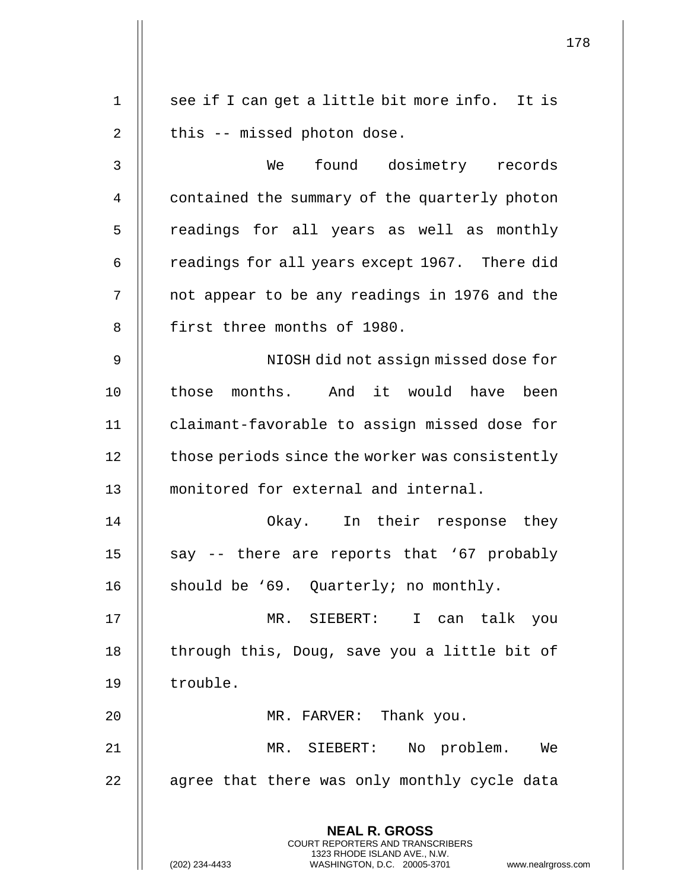|                | 178                                                                                                 |
|----------------|-----------------------------------------------------------------------------------------------------|
|                |                                                                                                     |
| $\mathbf 1$    | see if I can get a little bit more info. It is                                                      |
| 2              | this -- missed photon dose.                                                                         |
| 3              | found dosimetry records<br>We                                                                       |
| $\overline{4}$ | contained the summary of the quarterly photon                                                       |
| 5              | readings for all years as well as monthly                                                           |
| 6              | readings for all years except 1967. There did                                                       |
| 7              | not appear to be any readings in 1976 and the                                                       |
| 8              | first three months of 1980.                                                                         |
| 9              | NIOSH did not assign missed dose for                                                                |
| 10             | those months. And it would have been                                                                |
| 11             | claimant-favorable to assign missed dose for                                                        |
| 12             | those periods since the worker was consistently                                                     |
| 13             | monitored for external and internal.                                                                |
| 14             | Okay. In their response they                                                                        |
| 15             | say -- there are reports that '67 probably                                                          |
| 16             | should be '69. Quarterly; no monthly.                                                               |
| 17             | MR. SIEBERT: I can talk you                                                                         |
| 18             | through this, Doug, save you a little bit of                                                        |
| 19             | trouble.                                                                                            |
| 20             | MR. FARVER: Thank you.                                                                              |
| 21             | MR. SIEBERT:<br>No problem. We                                                                      |
| 22             | agree that there was only monthly cycle data                                                        |
|                | <b>NEAL R. GROSS</b><br><b>COURT REPORTERS AND TRANSCRIBERS</b>                                     |
|                | 1323 RHODE ISLAND AVE., N.W.<br>(202) 234-4433<br>WASHINGTON, D.C. 20005-3701<br>www.nealrgross.com |

 $\mathbf{I}$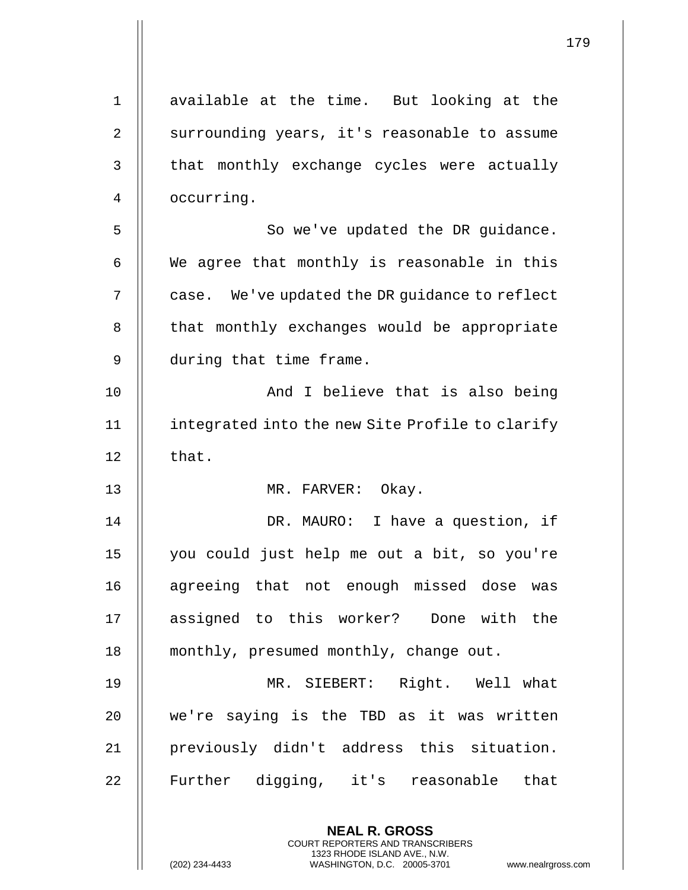| $\mathbf 1$    | available at the time. But looking at the                                                                                                                   |
|----------------|-------------------------------------------------------------------------------------------------------------------------------------------------------------|
| $\overline{2}$ | surrounding years, it's reasonable to assume                                                                                                                |
| 3              | that monthly exchange cycles were actually                                                                                                                  |
| 4              | occurring.                                                                                                                                                  |
| 5              | So we've updated the DR guidance.                                                                                                                           |
| 6              | We agree that monthly is reasonable in this                                                                                                                 |
| 7              | case. We've updated the DR guidance to reflect                                                                                                              |
| 8              | that monthly exchanges would be appropriate                                                                                                                 |
| 9              | during that time frame.                                                                                                                                     |
| 10             | And I believe that is also being                                                                                                                            |
| 11             | integrated into the new Site Profile to clarify                                                                                                             |
| 12             | that.                                                                                                                                                       |
| 13             | MR. FARVER: Okay.                                                                                                                                           |
| 14             | DR. MAURO: I have a question, if                                                                                                                            |
| $15$           | you could just help me out a bit, so you're                                                                                                                 |
| 16             | agreeing that not enough missed dose was                                                                                                                    |
| 17             | assigned to this worker? Done with the                                                                                                                      |
| 18             | monthly, presumed monthly, change out.                                                                                                                      |
| 19             | MR. SIEBERT: Right. Well what                                                                                                                               |
| 20             | we're saying is the TBD as it was written                                                                                                                   |
| 21             | previously didn't address this situation.                                                                                                                   |
| 22             | Further digging, it's reasonable<br>that                                                                                                                    |
|                | <b>NEAL R. GROSS</b><br>COURT REPORTERS AND TRANSCRIBERS<br>1323 RHODE ISLAND AVE., N.W.<br>(202) 234-4433<br>WASHINGTON, D.C. 20005-3701<br>www.nealrgross |

 $\mathsf{l}\mathsf{l}$ 

(202) 234-4433 WASHINGTON, D.C. 20005-3701 www.nealrgross.com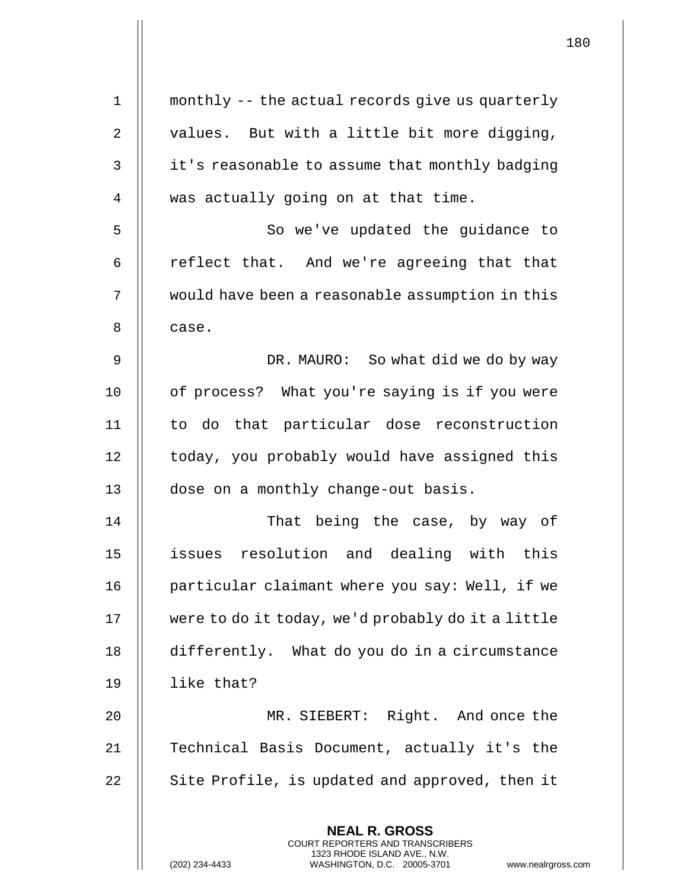| $\mathbf 1$ | monthly -- the actual records give us quarterly                                                                                                                 |
|-------------|-----------------------------------------------------------------------------------------------------------------------------------------------------------------|
| 2           | values. But with a little bit more digging,                                                                                                                     |
| 3           | it's reasonable to assume that monthly badging                                                                                                                  |
| 4           | was actually going on at that time.                                                                                                                             |
| 5           | So we've updated the guidance to                                                                                                                                |
| 6           | reflect that. And we're agreeing that that                                                                                                                      |
| 7           | would have been a reasonable assumption in this                                                                                                                 |
| 8           | case.                                                                                                                                                           |
| 9           | DR. MAURO: So what did we do by way                                                                                                                             |
| 10          | of process? What you're saying is if you were                                                                                                                   |
| 11          | to do that particular dose reconstruction                                                                                                                       |
| 12          | today, you probably would have assigned this                                                                                                                    |
| 13          | dose on a monthly change-out basis.                                                                                                                             |
| 14          | That being the case, by way of                                                                                                                                  |
| 15          | issues resolution and dealing with this                                                                                                                         |
| 16          | particular claimant where you say: Well, if we                                                                                                                  |
| 17          | were to do it today, we'd probably do it a little                                                                                                               |
| 18          | differently. What do you do in a circumstance                                                                                                                   |
| 19          | like that?                                                                                                                                                      |
| 20          | MR. SIEBERT: Right. And once the                                                                                                                                |
| 21          | Technical Basis Document, actually it's the                                                                                                                     |
| 22          | Site Profile, is updated and approved, then it                                                                                                                  |
|             | <b>NEAL R. GROSS</b><br>COURT REPORTERS AND TRANSCRIBERS<br>1323 RHODE ISLAND AVE., N.W.<br>(202) 234-4433<br>WASHINGTON, D.C. 20005-3701<br>www.nealrgross.com |

 $\mathbf{\mathsf{H}}$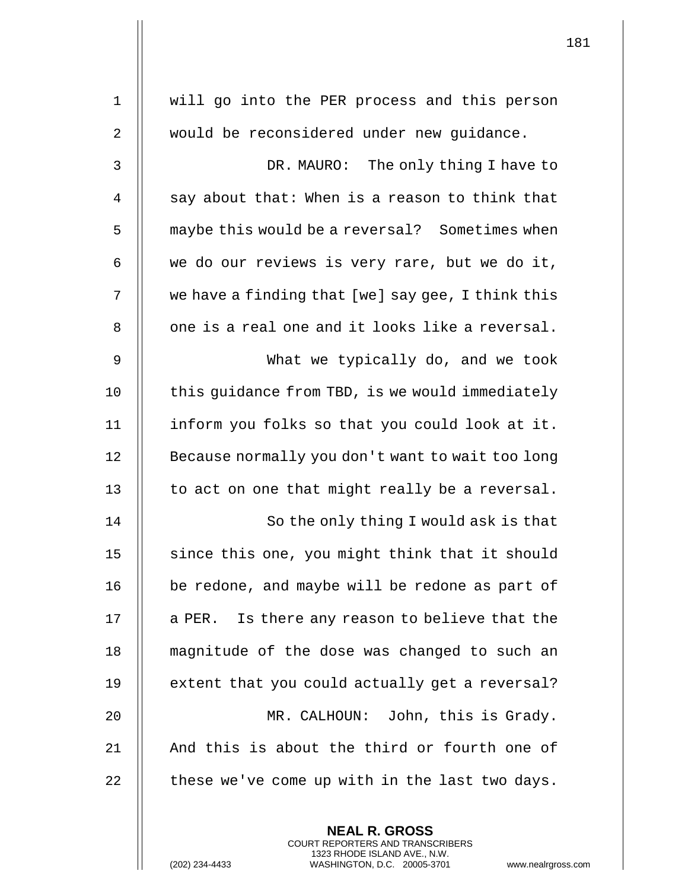| $\mathbf 1$    | will go into the PER process and this person                                                                                                                       |
|----------------|--------------------------------------------------------------------------------------------------------------------------------------------------------------------|
| $\overline{2}$ | would be reconsidered under new quidance.                                                                                                                          |
| 3              | DR. MAURO: The only thing I have to                                                                                                                                |
| $\overline{4}$ | say about that: When is a reason to think that                                                                                                                     |
| 5              | maybe this would be a reversal? Sometimes when                                                                                                                     |
| 6              | we do our reviews is very rare, but we do it,                                                                                                                      |
| 7              | we have a finding that [we] say gee, I think this                                                                                                                  |
| 8              | one is a real one and it looks like a reversal.                                                                                                                    |
| 9              | What we typically do, and we took                                                                                                                                  |
| 10             | this guidance from TBD, is we would immediately                                                                                                                    |
| 11             | inform you folks so that you could look at it.                                                                                                                     |
| 12             | Because normally you don't want to wait too long                                                                                                                   |
| 13             | to act on one that might really be a reversal.                                                                                                                     |
| 14             | So the only thing I would ask is that                                                                                                                              |
| 15             | since this one, you might think that it should                                                                                                                     |
| 16             | be redone, and maybe will be redone as part of                                                                                                                     |
| 17             | a PER. Is there any reason to believe that the                                                                                                                     |
| 18             | magnitude of the dose was changed to such an                                                                                                                       |
| 19             | extent that you could actually get a reversal?                                                                                                                     |
| 20             | MR. CALHOUN: John, this is Grady.                                                                                                                                  |
| 21             | And this is about the third or fourth one of                                                                                                                       |
| 22             | these we've come up with in the last two days.                                                                                                                     |
|                | <b>NEAL R. GROSS</b><br><b>COURT REPORTERS AND TRANSCRIBERS</b><br>1323 RHODE ISLAND AVE., N.W.<br>(202) 234-4433<br>WASHINGTON, D.C. 20005-3701<br>www.nealrgross |

 $\mathbf{I}$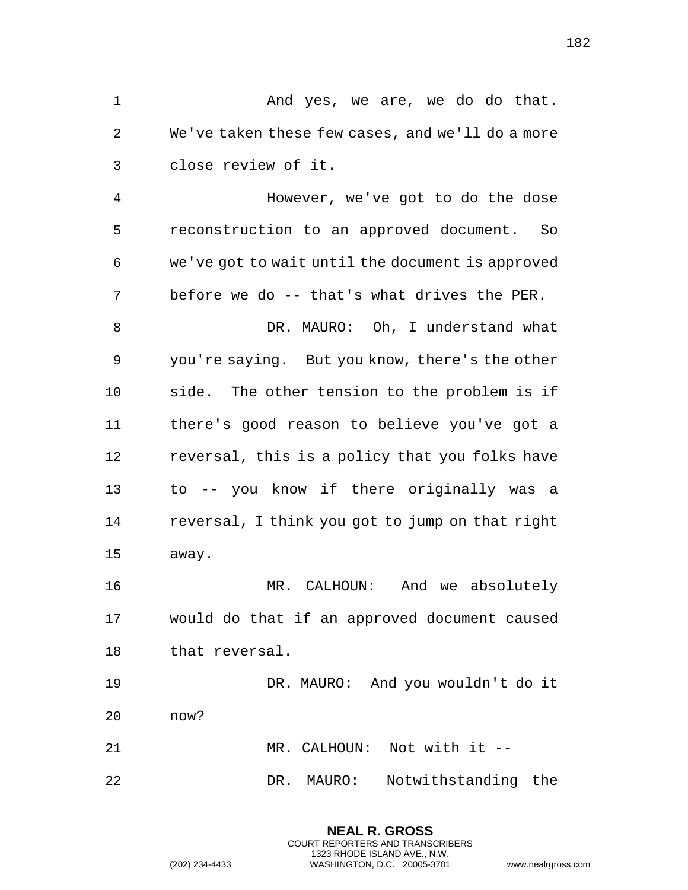|    |                                                                                                                                                                        | 182 |
|----|------------------------------------------------------------------------------------------------------------------------------------------------------------------------|-----|
| 1  | And yes, we are, we do do that.                                                                                                                                        |     |
| 2  | We've taken these few cases, and we'll do a more                                                                                                                       |     |
| 3  | close review of it.                                                                                                                                                    |     |
| 4  | However, we've got to do the dose                                                                                                                                      |     |
| 5  | reconstruction to an approved document. So                                                                                                                             |     |
|    |                                                                                                                                                                        |     |
| 6  | we've got to wait until the document is approved                                                                                                                       |     |
| 7  | before we do -- that's what drives the PER.                                                                                                                            |     |
| 8  | DR. MAURO: Oh, I understand what                                                                                                                                       |     |
| 9  | you're saying. But you know, there's the other                                                                                                                         |     |
| 10 | side. The other tension to the problem is if                                                                                                                           |     |
| 11 | there's good reason to believe you've got a                                                                                                                            |     |
| 12 | reversal, this is a policy that you folks have                                                                                                                         |     |
| 13 | to -- you know if there originally was a                                                                                                                               |     |
| 14 | reversal, I think you got to jump on that right                                                                                                                        |     |
| 15 | away.                                                                                                                                                                  |     |
| 16 | MR. CALHOUN: And we absolutely                                                                                                                                         |     |
| 17 | would do that if an approved document caused                                                                                                                           |     |
| 18 | that reversal.                                                                                                                                                         |     |
| 19 | DR. MAURO: And you wouldn't do it                                                                                                                                      |     |
| 20 | now?                                                                                                                                                                   |     |
| 21 | MR. CALHOUN: Not with it --                                                                                                                                            |     |
| 22 | Notwithstanding the<br>DR. MAURO:                                                                                                                                      |     |
|    | <b>NEAL R. GROSS</b><br><b>COURT REPORTERS AND TRANSCRIBERS</b><br>1323 RHODE ISLAND AVE., N.W.<br>(202) 234-4433<br>www.nealrgross.com<br>WASHINGTON, D.C. 20005-3701 |     |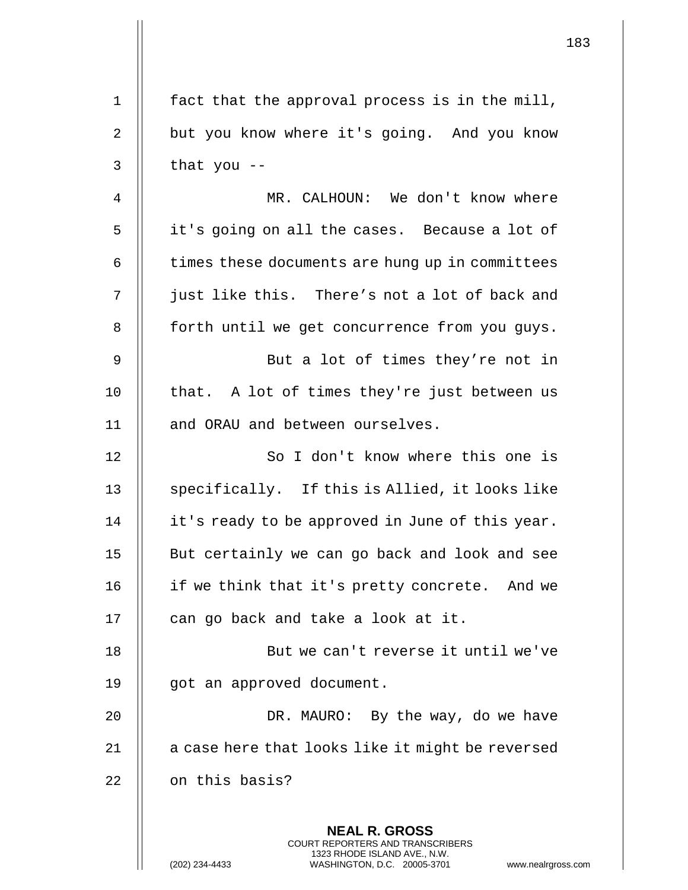|             |                                                                                                                                                                 | 183 |
|-------------|-----------------------------------------------------------------------------------------------------------------------------------------------------------------|-----|
| $\mathbf 1$ | fact that the approval process is in the mill,                                                                                                                  |     |
| 2           | but you know where it's going. And you know                                                                                                                     |     |
| 3           | that you $-$                                                                                                                                                    |     |
| 4           | MR. CALHOUN: We don't know where                                                                                                                                |     |
| 5           | it's going on all the cases. Because a lot of                                                                                                                   |     |
| 6           | times these documents are hung up in committees                                                                                                                 |     |
| 7           | just like this. There's not a lot of back and                                                                                                                   |     |
| 8           | forth until we get concurrence from you guys.                                                                                                                   |     |
| 9           | But a lot of times they're not in                                                                                                                               |     |
| 10          | that. A lot of times they're just between us                                                                                                                    |     |
| 11          | and ORAU and between ourselves.                                                                                                                                 |     |
| 12          | So I don't know where this one is                                                                                                                               |     |
| 13          | specifically. If this is Allied, it looks like                                                                                                                  |     |
| 14          | it's ready to be approved in June of this year.                                                                                                                 |     |
| 15          | But certainly we can go back and look and see                                                                                                                   |     |
| 16          | if we think that it's pretty concrete. And we                                                                                                                   |     |
| 17          | can go back and take a look at it.                                                                                                                              |     |
| 18          | But we can't reverse it until we've                                                                                                                             |     |
| 19          | got an approved document.                                                                                                                                       |     |
| 20          | DR. MAURO: By the way, do we have                                                                                                                               |     |
| 21          | a case here that looks like it might be reversed                                                                                                                |     |
| 22          | on this basis?                                                                                                                                                  |     |
|             | <b>NEAL R. GROSS</b><br>COURT REPORTERS AND TRANSCRIBERS<br>1323 RHODE ISLAND AVE., N.W.<br>(202) 234-4433<br>WASHINGTON, D.C. 20005-3701<br>www.nealrgross.com |     |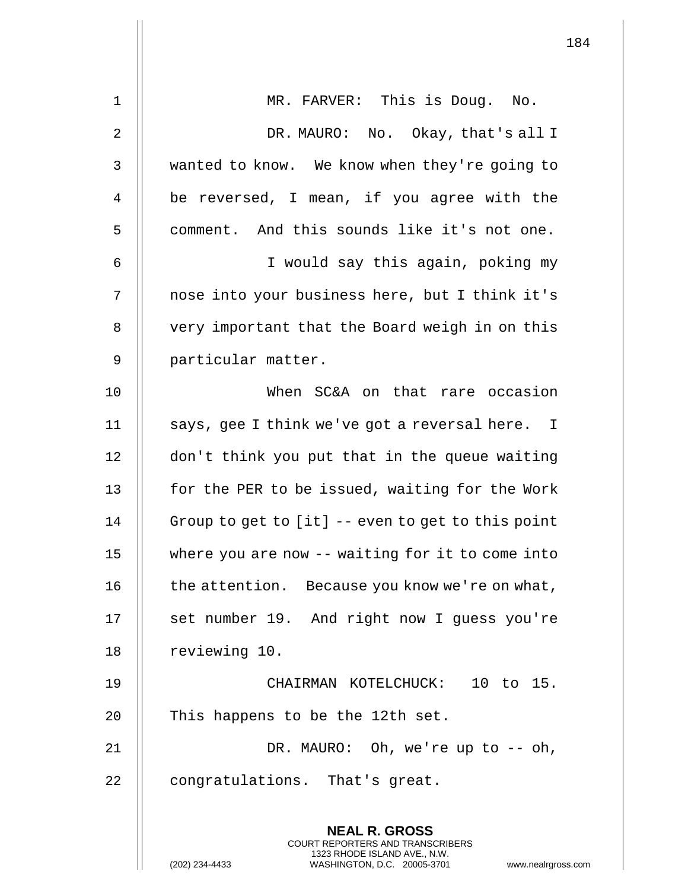| $\mathbf 1$ | MR. FARVER: This is Doug. No.                                                                       |
|-------------|-----------------------------------------------------------------------------------------------------|
| 2           | DR. MAURO: No. Okay, that's all I                                                                   |
| 3           | wanted to know. We know when they're going to                                                       |
| 4           | be reversed, I mean, if you agree with the                                                          |
| 5           | comment. And this sounds like it's not one.                                                         |
| 6           | I would say this again, poking my                                                                   |
| 7           | nose into your business here, but I think it's                                                      |
| 8           | very important that the Board weigh in on this                                                      |
| 9           | particular matter.                                                                                  |
| 10          | When SC&A on that rare occasion                                                                     |
| 11          | says, gee I think we've got a reversal here. I                                                      |
| 12          | don't think you put that in the queue waiting                                                       |
| 13          | for the PER to be issued, waiting for the Work                                                      |
| 14          | Group to get to [it] -- even to get to this point                                                   |
| 15          | where you are now -- waiting for it to come into                                                    |
| 16          | the attention. Because you know we're on what,                                                      |
| 17          | set number 19. And right now I guess you're                                                         |
| 18          | reviewing 10.                                                                                       |
| 19          | CHAIRMAN KOTELCHUCK: 10 to 15.                                                                      |
| 20          | This happens to be the 12th set.                                                                    |
| 21          | DR. MAURO: Oh, we're up to -- oh,                                                                   |
| 22          | congratulations. That's great.                                                                      |
|             | <b>NEAL R. GROSS</b><br><b>COURT REPORTERS AND TRANSCRIBERS</b>                                     |
|             | 1323 RHODE ISLAND AVE., N.W.<br>(202) 234-4433<br>WASHINGTON, D.C. 20005-3701<br>www.nealrgross.com |

 $\mathsf{l}$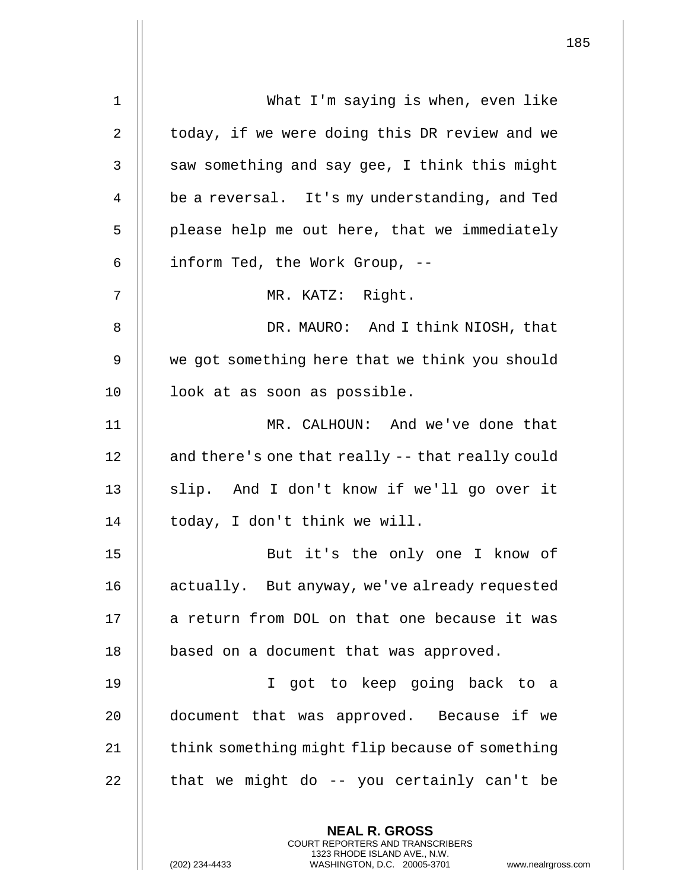| $\mathbf{1}$   | What I'm saying is when, even like                                                                                                                                  |
|----------------|---------------------------------------------------------------------------------------------------------------------------------------------------------------------|
| $\overline{2}$ | today, if we were doing this DR review and we                                                                                                                       |
| 3              | saw something and say gee, I think this might                                                                                                                       |
| 4              | be a reversal. It's my understanding, and Ted                                                                                                                       |
| 5              | please help me out here, that we immediately                                                                                                                        |
| 6              | inform Ted, the Work Group, --                                                                                                                                      |
| 7              | MR. KATZ: Right.                                                                                                                                                    |
| 8              | DR. MAURO: And I think NIOSH, that                                                                                                                                  |
| 9              | we got something here that we think you should                                                                                                                      |
| 10             | look at as soon as possible.                                                                                                                                        |
| 11             | MR. CALHOUN: And we've done that                                                                                                                                    |
| 12             | and there's one that really -- that really could                                                                                                                    |
| 13             | slip. And I don't know if we'll go over it                                                                                                                          |
| 14             | today, I don't think we will.                                                                                                                                       |
| 15             | But it's the only one I know of                                                                                                                                     |
| 16             | actually. But anyway, we've already requested                                                                                                                       |
| 17             | a return from DOL on that one because it was                                                                                                                        |
| 18             | based on a document that was approved.                                                                                                                              |
| 19             | I got to keep going back to a                                                                                                                                       |
| 20             | document that was approved. Because if we                                                                                                                           |
| 21             | think something might flip because of something                                                                                                                     |
| 22             | that we might do -- you certainly can't be                                                                                                                          |
|                | <b>NEAL R. GROSS</b><br><b>COURT REPORTERS AND TRANSCRIBERS</b><br>1323 RHODE ISLAND AVE., N.W.<br>(202) 234-4433<br>WASHINGTON, D.C. 20005-3701<br>www.nealrgross. |

 $\mathsf{I}$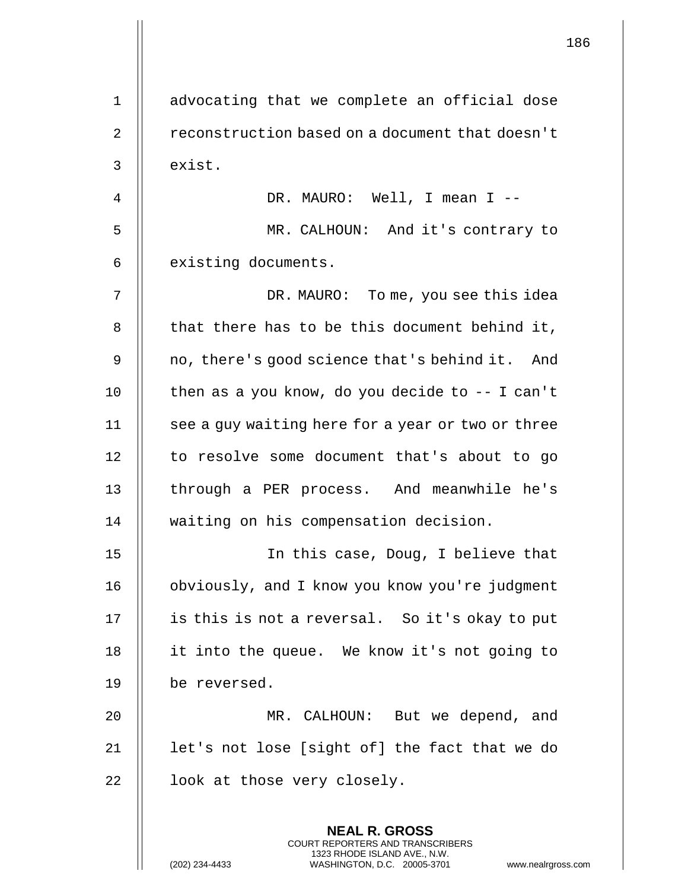| $\mathbf 1$    | advocating that we complete an official dose                                                                                                                 |
|----------------|--------------------------------------------------------------------------------------------------------------------------------------------------------------|
| $\overline{2}$ | reconstruction based on a document that doesn't                                                                                                              |
| 3              | exist.                                                                                                                                                       |
| 4              | DR. MAURO: Well, I mean I --                                                                                                                                 |
| 5              | MR. CALHOUN: And it's contrary to                                                                                                                            |
| 6              | existing documents.                                                                                                                                          |
| 7              | DR. MAURO: To me, you see this idea                                                                                                                          |
| 8              | that there has to be this document behind it,                                                                                                                |
| 9              | no, there's good science that's behind it. And                                                                                                               |
| 10             | then as a you know, do you decide to $-$ - I can't                                                                                                           |
| 11             | see a guy waiting here for a year or two or three                                                                                                            |
| 12             | to resolve some document that's about to go                                                                                                                  |
| 13             | through a PER process. And meanwhile he's                                                                                                                    |
| 14             | waiting on his compensation decision.                                                                                                                        |
| 15             | In this case, Doug, I believe that                                                                                                                           |
| 16             | obviously, and I know you know you're judgment                                                                                                               |
| 17             | is this is not a reversal. So it's okay to put                                                                                                               |
| 18             | it into the queue. We know it's not going to                                                                                                                 |
| 19             | be reversed.                                                                                                                                                 |
| 20             | MR. CALHOUN: But we depend, and                                                                                                                              |
| 21             | let's not lose [sight of] the fact that we do                                                                                                                |
| 22             | look at those very closely.                                                                                                                                  |
|                | <b>NEAL R. GROSS</b><br>COURT REPORTERS AND TRANSCRIBERS<br>1323 RHODE ISLAND AVE., N.W.<br>(202) 234-4433<br>WASHINGTON, D.C. 20005-3701<br>www.nealrgross. |

 $\begin{array}{c} \hline \end{array}$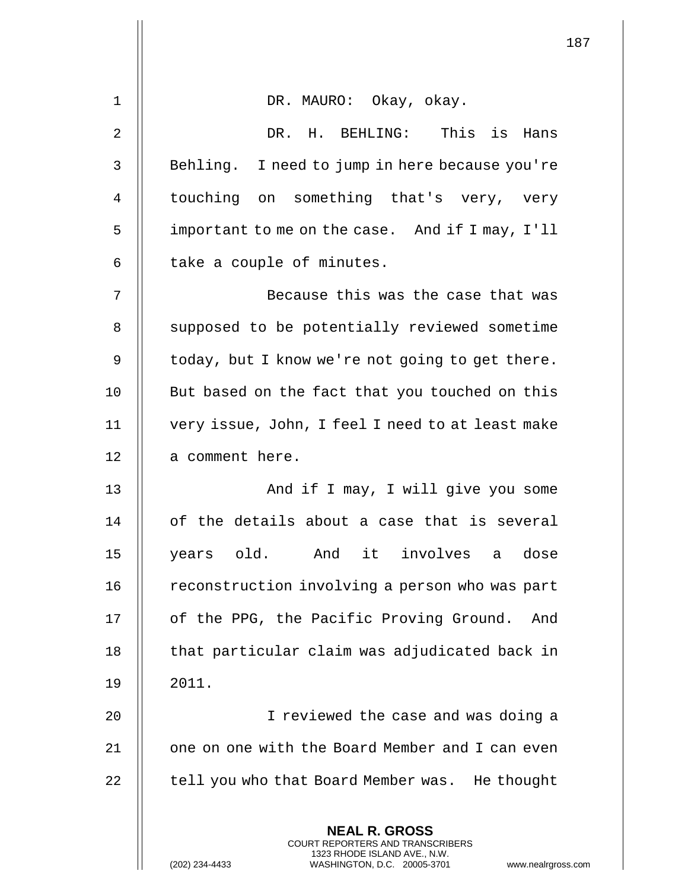| $\mathbf 1$ | DR. MAURO: Okay, okay.                                                                                                                                             |
|-------------|--------------------------------------------------------------------------------------------------------------------------------------------------------------------|
| 2           | DR. H. BEHLING: This is Hans                                                                                                                                       |
| 3           | Behling. I need to jump in here because you're                                                                                                                     |
| 4           | touching on something that's very, very                                                                                                                            |
| 5           | important to me on the case. And if I may, I'll                                                                                                                    |
| 6           | take a couple of minutes.                                                                                                                                          |
| 7           | Because this was the case that was                                                                                                                                 |
| 8           | supposed to be potentially reviewed sometime                                                                                                                       |
| 9           | today, but I know we're not going to get there.                                                                                                                    |
| 10          | But based on the fact that you touched on this                                                                                                                     |
| 11          | very issue, John, I feel I need to at least make                                                                                                                   |
| 12          | a comment here.                                                                                                                                                    |
| 13          | And if I may, I will give you some                                                                                                                                 |
| 14          | of the details about a case that is several                                                                                                                        |
| 15          | years old. And it involves a dose                                                                                                                                  |
| 16          | reconstruction involving a person who was part                                                                                                                     |
| 17          | of the PPG, the Pacific Proving Ground.<br>And                                                                                                                     |
| 18          | that particular claim was adjudicated back in                                                                                                                      |
| 19          | 2011.                                                                                                                                                              |
| 20          | I reviewed the case and was doing a                                                                                                                                |
| 21          | one on one with the Board Member and I can even                                                                                                                    |
| 22          | tell you who that Board Member was. He thought                                                                                                                     |
|             | <b>NEAL R. GROSS</b><br><b>COURT REPORTERS AND TRANSCRIBERS</b><br>1323 RHODE ISLAND AVE., N.W.<br>(202) 234-4433<br>WASHINGTON, D.C. 20005-3701<br>www.nealrgross |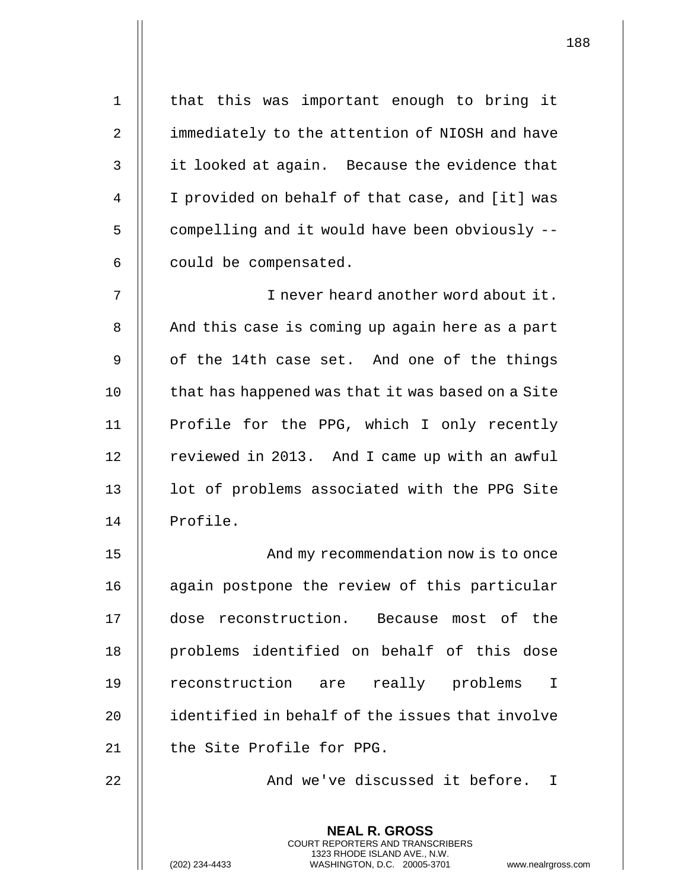| $\mathbf 1$    | that this was important enough to bring it                                                                                                                        |
|----------------|-------------------------------------------------------------------------------------------------------------------------------------------------------------------|
| $\overline{2}$ | immediately to the attention of NIOSH and have                                                                                                                    |
| 3              | it looked at again. Because the evidence that                                                                                                                     |
| 4              | I provided on behalf of that case, and [it] was                                                                                                                   |
| 5              | compelling and it would have been obviously --                                                                                                                    |
| 6              | could be compensated.                                                                                                                                             |
| 7              | I never heard another word about it.                                                                                                                              |
| 8              | And this case is coming up again here as a part                                                                                                                   |
| 9              | of the 14th case set. And one of the things                                                                                                                       |
| 10             | that has happened was that it was based on a Site                                                                                                                 |
| 11             | Profile for the PPG, which I only recently                                                                                                                        |
| 12             | reviewed in 2013. And I came up with an awful                                                                                                                     |
| 13             | lot of problems associated with the PPG Site                                                                                                                      |
| 14             | Profile.                                                                                                                                                          |
| 15             | And my recommendation now is to once                                                                                                                              |
| 16             | again postpone the review of this particular                                                                                                                      |
| 17             | dose reconstruction. Because most of the                                                                                                                          |
| 18             | problems identified on behalf of this dose                                                                                                                        |
| 19             | reconstruction are<br>really problems<br>$\mathbf I$                                                                                                              |
| 20             | identified in behalf of the issues that involve                                                                                                                   |
| 21             | the Site Profile for PPG.                                                                                                                                         |
| 22             | And we've discussed it before.<br>$\mathbf I$                                                                                                                     |
|                | <b>NEAL R. GROSS</b><br><b>COURT REPORTERS AND TRANSCRIBERS</b><br>1323 RHODE ISLAND AVE., N.W.<br>WASHINGTON, D.C. 20005-3701<br>(202) 234-4433<br>www.nealrgros |

(202) 234-4433 WASHINGTON, D.C. 20005-3701 www.nealrgross.com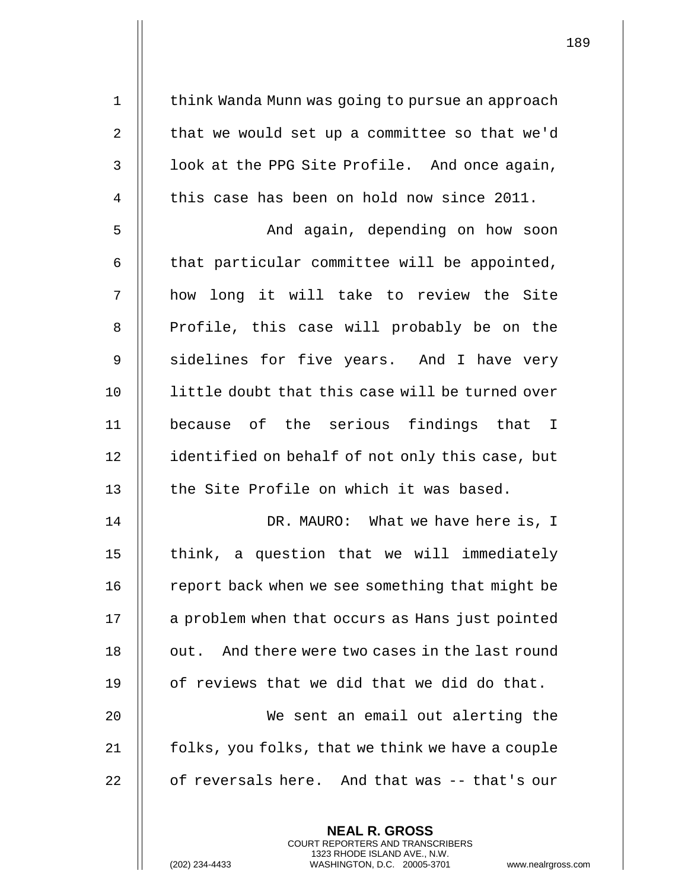1 | think Wanda Munn was going to pursue an approach  $\parallel$  that we would set up a committee so that we'd |  $\blacksquare$  look at the PPG Site Profile. And once again,  $\parallel$  this case has been on hold now since 2011.

5 And again, depending on how soon  $6$   $\parallel$  that particular committee will be appointed, 7 how long it will take to review the Site 8 || Profile, this case will probably be on the 9 Sidelines for five years. And I have very 10 || little doubt that this case will be turned over 11 because of the serious findings that I 12 | identified on behalf of not only this case, but 13 || the Site Profile on which it was based.

14 DR. MAURO: What we have here is, I 15 || think, a question that we will immediately 16 | report back when we see something that might be 17 | a problem when that occurs as Hans just pointed 18 | out. And there were two cases in the last round 19  $\parallel$  of reviews that we did that we did do that. 20 We sent an email out alerting the  $21$  | folks, you folks, that we think we have a couple

22  $\parallel$  of reversals here. And that was -- that's our

**NEAL R. GROSS** COURT REPORTERS AND TRANSCRIBERS 1323 RHODE ISLAND AVE., N.W.

(202) 234-4433 WASHINGTON, D.C. 20005-3701 www.nealrgross.com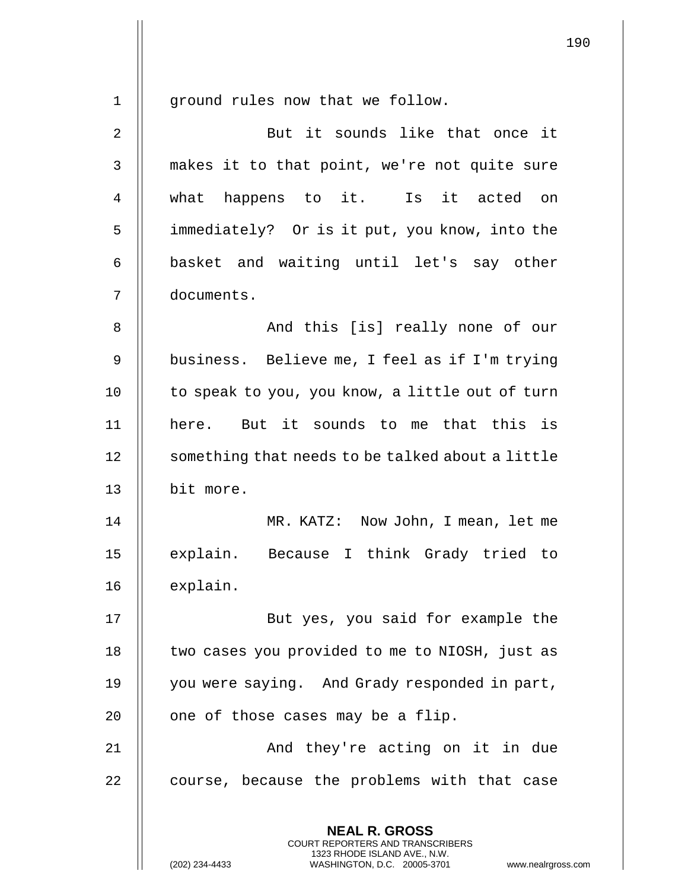1 | ground rules now that we follow.

| $\mathbf{2}$   | But it sounds like that once it                                                                                                                                    |
|----------------|--------------------------------------------------------------------------------------------------------------------------------------------------------------------|
| $\mathsf{3}$   | makes it to that point, we're not quite sure                                                                                                                       |
| $\overline{4}$ | what happens to it. Is it acted on                                                                                                                                 |
| 5              | immediately? Or is it put, you know, into the                                                                                                                      |
| 6              | basket and waiting until let's say other                                                                                                                           |
| 7              | documents.                                                                                                                                                         |
| $\,8\,$        | And this [is] really none of our                                                                                                                                   |
| 9              | business. Believe me, I feel as if I'm trying                                                                                                                      |
| 10             | to speak to you, you know, a little out of turn                                                                                                                    |
| 11             | here. But it sounds to me that this is                                                                                                                             |
| 12             | something that needs to be talked about a little                                                                                                                   |
| 13             | bit more.                                                                                                                                                          |
| 14             | MR. KATZ: Now John, I mean, let me                                                                                                                                 |
| 15             | explain. Because I think Grady tried to                                                                                                                            |
| 16             | explain.                                                                                                                                                           |
| 17             | But yes, you said for example the                                                                                                                                  |
| 18             | two cases you provided to me to NIOSH, just as                                                                                                                     |
| 19             | you were saying. And Grady responded in part,                                                                                                                      |
| 20             | one of those cases may be a flip.                                                                                                                                  |
| 21             | And they're acting on it in due                                                                                                                                    |
| 22             | course, because the problems with that case                                                                                                                        |
|                | <b>NEAL R. GROSS</b><br><b>COURT REPORTERS AND TRANSCRIBERS</b><br>1323 RHODE ISLAND AVE., N.W.<br>(202) 234-4433<br>WASHINGTON, D.C. 20005-3701<br>www.nealrgross |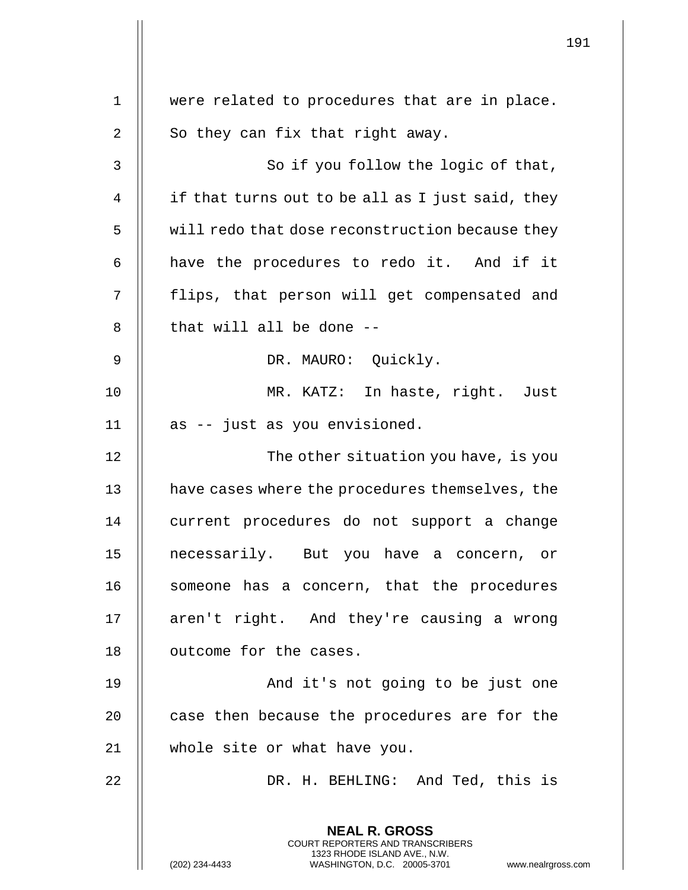|    |                                                                                                                                                                     | 191 |
|----|---------------------------------------------------------------------------------------------------------------------------------------------------------------------|-----|
| 1  | were related to procedures that are in place.                                                                                                                       |     |
| 2  | So they can fix that right away.                                                                                                                                    |     |
| 3  | So if you follow the logic of that,                                                                                                                                 |     |
|    |                                                                                                                                                                     |     |
| 4  | if that turns out to be all as I just said, they                                                                                                                    |     |
| 5  | will redo that dose reconstruction because they                                                                                                                     |     |
| 6  | have the procedures to redo it. And if it                                                                                                                           |     |
| 7  | flips, that person will get compensated and                                                                                                                         |     |
| 8  | that will all be done --                                                                                                                                            |     |
| 9  | DR. MAURO: Quickly.                                                                                                                                                 |     |
| 10 | MR. KATZ: In haste, right. Just                                                                                                                                     |     |
| 11 | as -- just as you envisioned.                                                                                                                                       |     |
| 12 | The other situation you have, is you                                                                                                                                |     |
| 13 | have cases where the procedures themselves, the                                                                                                                     |     |
| 14 | current procedures do not support a change                                                                                                                          |     |
| 15 | necessarily. But you have a concern, or                                                                                                                             |     |
| 16 | someone has a concern, that the procedures                                                                                                                          |     |
| 17 | aren't right. And they're causing a wrong                                                                                                                           |     |
| 18 | outcome for the cases.                                                                                                                                              |     |
| 19 | And it's not going to be just one                                                                                                                                   |     |
| 20 | case then because the procedures are for the                                                                                                                        |     |
| 21 | whole site or what have you.                                                                                                                                        |     |
| 22 | DR. H. BEHLING: And Ted, this is                                                                                                                                    |     |
|    | <b>NEAL R. GROSS</b><br><b>COURT REPORTERS AND TRANSCRIBERS</b><br>1323 RHODE ISLAND AVE., N.W.<br>(202) 234-4433<br>WASHINGTON, D.C. 20005-3701 www.nealrgross.com |     |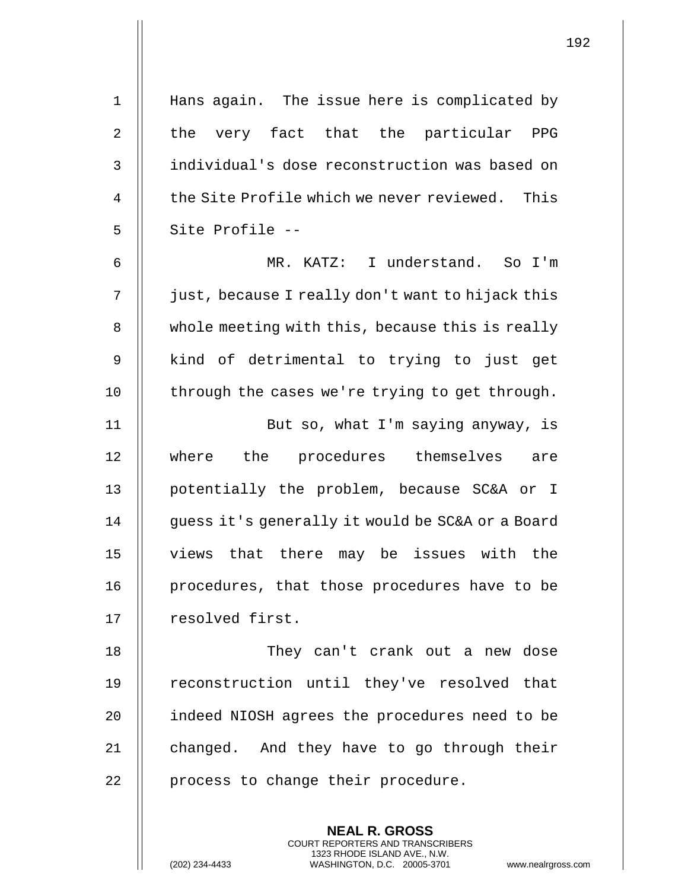1 Hans again. The issue here is complicated by 2 || the very fact that the particular PPG 3 individual's dose reconstruction was based on 4  $\parallel$  the Site Profile which we never reviewed. This 5 || Site Profile --6 MR. KATZ: I understand. So I'm 7 | just, because I really don't want to hijack this 8 | whole meeting with this, because this is really 9 || kind of detrimental to trying to just get 10 || through the cases we're trying to get through. 11 || But so, what I'm saying anyway, is 12 where the procedures themselves are 13 || potentially the problem, because SC&A or I 14 | quess it's generally it would be SC&A or a Board 15 views that there may be issues with the 16 || procedures, that those procedures have to be 17 | resolved first. 18 They can't crank out a new dose 19 || reconstruction until they've resolved that 20 | indeed NIOSH agrees the procedures need to be 21  $\parallel$  changed. And they have to go through their 22 || process to change their procedure.

> **NEAL R. GROSS** COURT REPORTERS AND TRANSCRIBERS 1323 RHODE ISLAND AVE., N.W.

(202) 234-4433 WASHINGTON, D.C. 20005-3701 www.nealrgross.com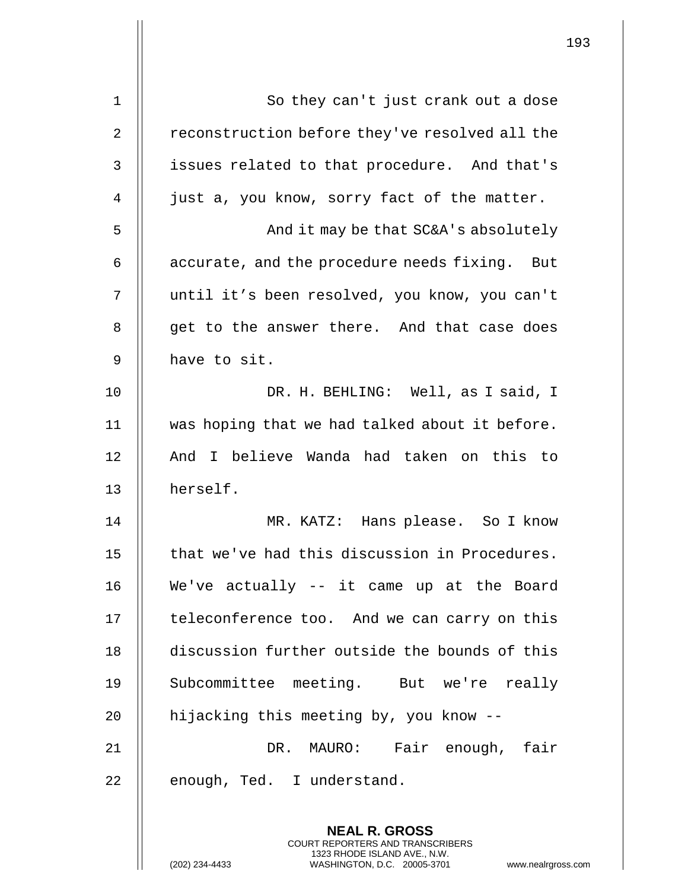| $\mathbf 1$ | So they can't just crank out a dose            |
|-------------|------------------------------------------------|
| 2           | reconstruction before they've resolved all the |
| 3           | issues related to that procedure. And that's   |
| 4           | just a, you know, sorry fact of the matter.    |
| 5           | And it may be that SC&A's absolutely           |
| 6           | accurate, and the procedure needs fixing. But  |
| 7           | until it's been resolved, you know, you can't  |
| 8           | get to the answer there. And that case does    |
| 9           | have to sit.                                   |
| 10          | DR. H. BEHLING: Well, as I said, I             |
| 11          | was hoping that we had talked about it before. |
| 12          | And I believe Wanda had taken on this to       |
| 13          | herself.                                       |
| 14          | MR. KATZ: Hans please. So I know               |
| 15          | that we've had this discussion in Procedures.  |
| 16          | We've actually -- it came up at the Board      |
| 17          | teleconference too. And we can carry on this   |
| 18          | discussion further outside the bounds of this  |
| 19          | Subcommittee meeting. But we're really         |
| 20          | hijacking this meeting by, you know --         |
| 21          | DR. MAURO: Fair enough, fair                   |
| 22          | enough, Ted. I understand.                     |
|             | <b>NEAL R. GROSS</b>                           |
|             |                                                |

COURT REPORTERS AND TRANSCRIBERS 1323 RHODE ISLAND AVE., N.W.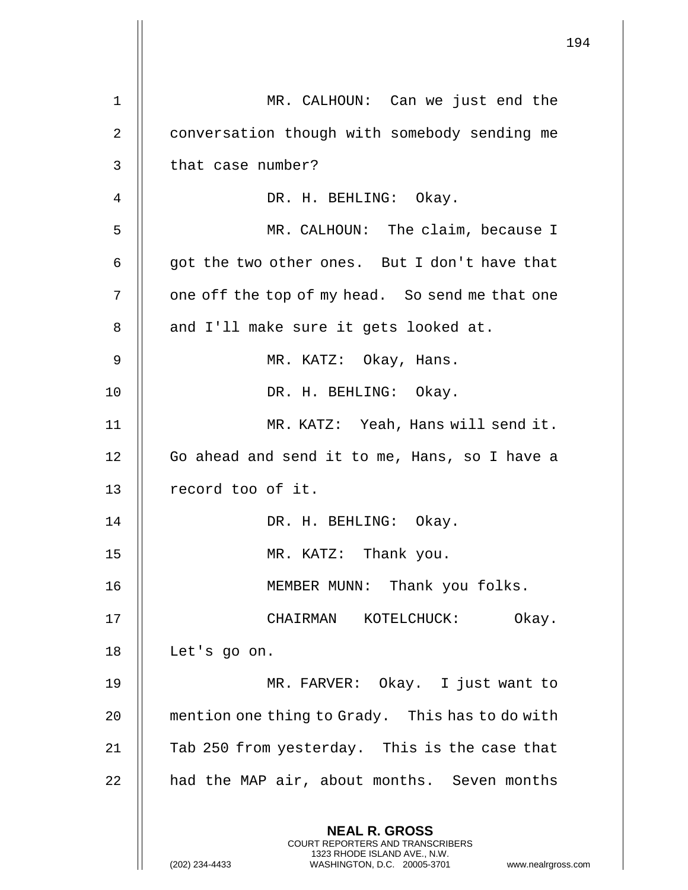|    |                                                                                                                                                                 | 194 |
|----|-----------------------------------------------------------------------------------------------------------------------------------------------------------------|-----|
| 1  | MR. CALHOUN: Can we just end the                                                                                                                                |     |
| 2  | conversation though with somebody sending me                                                                                                                    |     |
| 3  | that case number?                                                                                                                                               |     |
| 4  | DR. H. BEHLING: Okay.                                                                                                                                           |     |
| 5  | MR. CALHOUN: The claim, because I                                                                                                                               |     |
| 6  | got the two other ones. But I don't have that                                                                                                                   |     |
| 7  | one off the top of my head. So send me that one                                                                                                                 |     |
| 8  | and I'll make sure it gets looked at.                                                                                                                           |     |
| 9  | MR. KATZ: Okay, Hans.                                                                                                                                           |     |
| 10 | DR. H. BEHLING: Okay.                                                                                                                                           |     |
| 11 | MR. KATZ: Yeah, Hans will send it.                                                                                                                              |     |
| 12 | Go ahead and send it to me, Hans, so I have a                                                                                                                   |     |
| 13 | record too of it.                                                                                                                                               |     |
| 14 | DR. H. BEHLING: Okay.                                                                                                                                           |     |
| 15 | MR. KATZ: Thank you.                                                                                                                                            |     |
| 16 | MEMBER MUNN: Thank you folks.                                                                                                                                   |     |
| 17 | CHAIRMAN KOTELCHUCK:<br>Okay.                                                                                                                                   |     |
| 18 | Let's go on.                                                                                                                                                    |     |
| 19 | MR. FARVER: Okay. I just want to                                                                                                                                |     |
| 20 | mention one thing to Grady. This has to do with                                                                                                                 |     |
| 21 | Tab 250 from yesterday. This is the case that                                                                                                                   |     |
| 22 | had the MAP air, about months. Seven months                                                                                                                     |     |
|    | <b>NEAL R. GROSS</b><br>COURT REPORTERS AND TRANSCRIBERS<br>1323 RHODE ISLAND AVE., N.W.<br>(202) 234-4433<br>WASHINGTON, D.C. 20005-3701<br>www.nealrgross.com |     |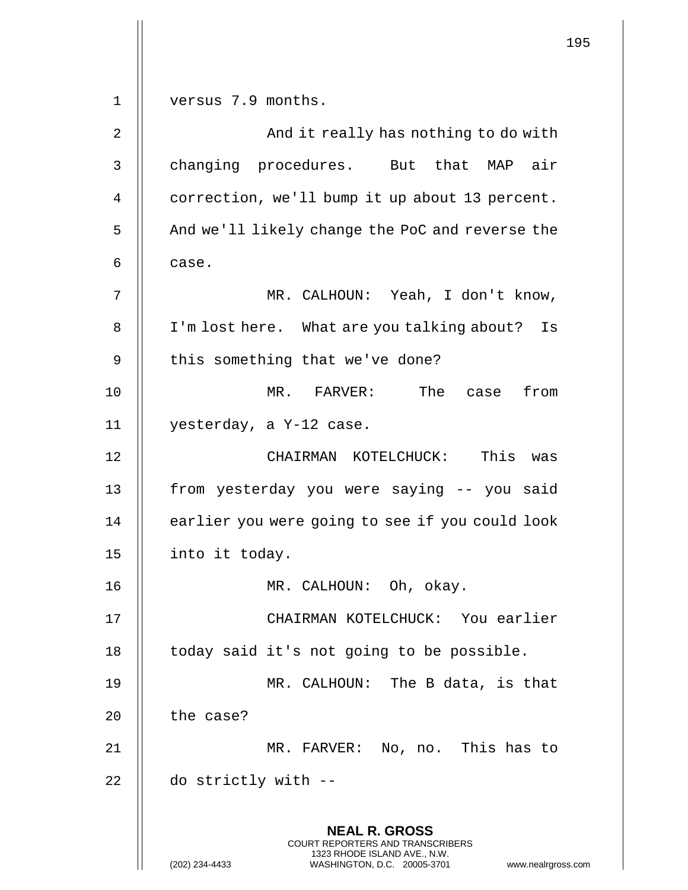**NEAL R. GROSS** COURT REPORTERS AND TRANSCRIBERS 1323 RHODE ISLAND AVE., N.W. (202) 234-4433 WASHINGTON, D.C. 20005-3701 www.nealrgross.com 1 | versus 7.9 months. 2 And it really has nothing to do with 3 | changing procedures. But that MAP air 4 | correction, we'll bump it up about 13 percent. 5 | And we'll likely change the PoC and reverse the  $6 \parallel$  case. 7 MR. CALHOUN: Yeah, I don't know, 8 | I'm lost here. What are you talking about? Is  $9$  | this something that we've done? 10 MR. FARVER: The case from 11 yesterday, a Y-12 case. 12 CHAIRMAN KOTELCHUCK: This was 13 from yesterday you were saying -- you said  $14$   $\parallel$  earlier you were going to see if you could look 15 || into it today. 16 MR. CALHOUN: Oh, okay. 17 CHAIRMAN KOTELCHUCK: You earlier  $18$  | today said it's not going to be possible. 19 || MR. CALHOUN: The B data, is that  $20$  | the case? 21 MR. FARVER: No, no. This has to  $22$  | do strictly with  $-$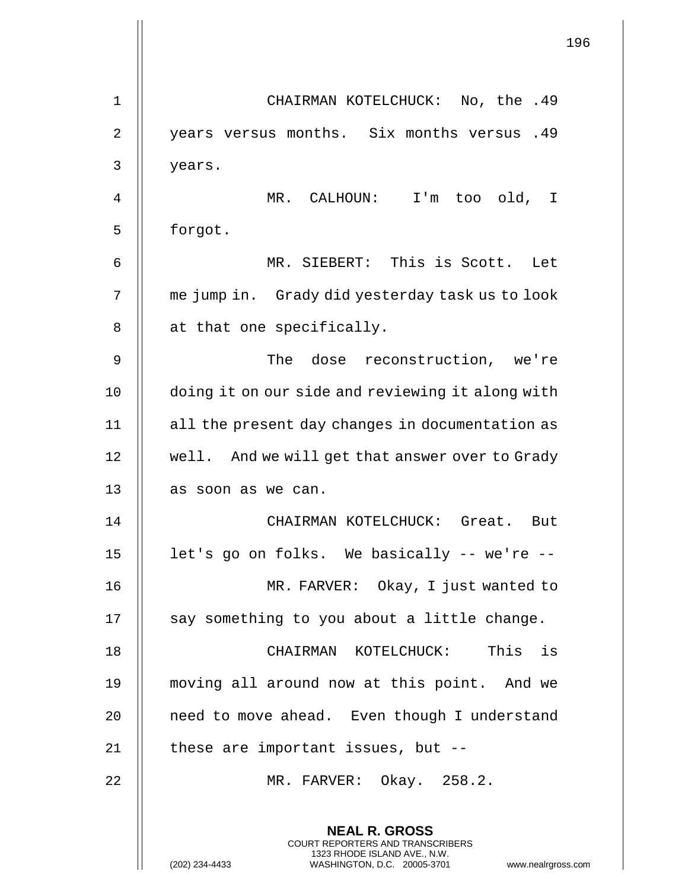|    | 196                                                                                                                                                                    |
|----|------------------------------------------------------------------------------------------------------------------------------------------------------------------------|
| 1  | CHAIRMAN KOTELCHUCK: No, the .49                                                                                                                                       |
| 2  | years versus months. Six months versus<br>.49                                                                                                                          |
| 3  | years.                                                                                                                                                                 |
| 4  | MR. CALHOUN: I'm too old, I                                                                                                                                            |
| 5  | forgot.                                                                                                                                                                |
| 6  | MR. SIEBERT: This is Scott. Let                                                                                                                                        |
| 7  | me jump in. Grady did yesterday task us to look                                                                                                                        |
| 8  | at that one specifically.                                                                                                                                              |
| 9  | The dose reconstruction, we're                                                                                                                                         |
| 10 |                                                                                                                                                                        |
|    | doing it on our side and reviewing it along with                                                                                                                       |
| 11 | all the present day changes in documentation as                                                                                                                        |
| 12 | well. And we will get that answer over to Grady                                                                                                                        |
| 13 | as soon as we can.                                                                                                                                                     |
| 14 | CHAIRMAN KOTELCHUCK: Great. But                                                                                                                                        |
| 15 | let's go on folks. We basically -- we're --                                                                                                                            |
| 16 | MR. FARVER: Okay, I just wanted to                                                                                                                                     |
| 17 | say something to you about a little change.                                                                                                                            |
| 18 | CHAIRMAN KOTELCHUCK: This is                                                                                                                                           |
| 19 | moving all around now at this point. And we                                                                                                                            |
| 20 | need to move ahead. Even though I understand                                                                                                                           |
| 21 | these are important issues, but --                                                                                                                                     |
| 22 | MR. FARVER: Okay. 258.2.                                                                                                                                               |
|    | <b>NEAL R. GROSS</b><br><b>COURT REPORTERS AND TRANSCRIBERS</b><br>1323 RHODE ISLAND AVE., N.W.<br>(202) 234-4433<br>www.nealrgross.com<br>WASHINGTON, D.C. 20005-3701 |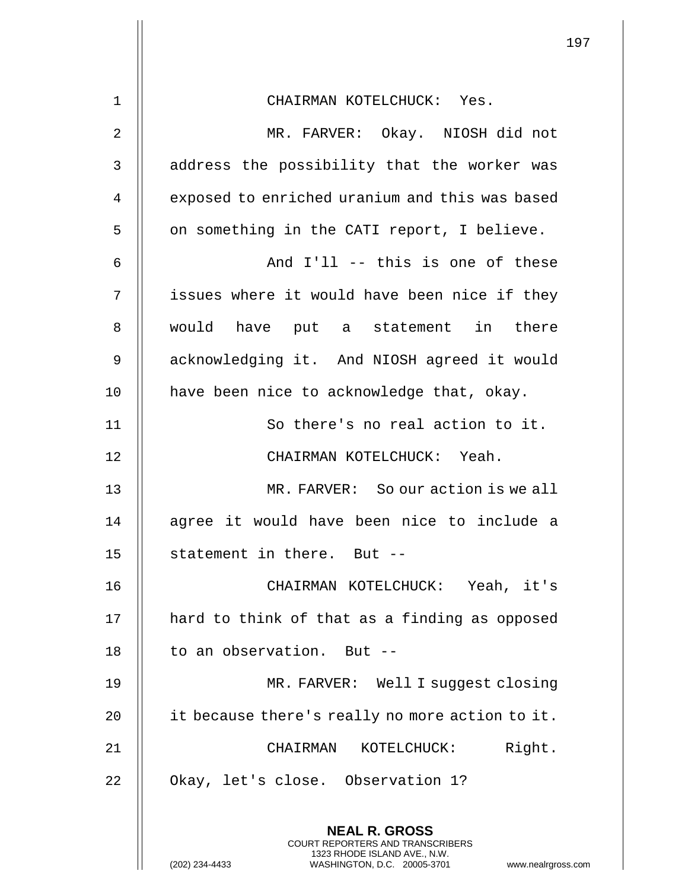| $1\,$       | CHAIRMAN KOTELCHUCK: Yes.                                                                                                                                         |
|-------------|-------------------------------------------------------------------------------------------------------------------------------------------------------------------|
| 2           | MR. FARVER: Okay. NIOSH did not                                                                                                                                   |
| $\mathsf 3$ | address the possibility that the worker was                                                                                                                       |
| 4           | exposed to enriched uranium and this was based                                                                                                                    |
| 5           | on something in the CATI report, I believe.                                                                                                                       |
| 6           | And I'll -- this is one of these                                                                                                                                  |
| 7           | issues where it would have been nice if they                                                                                                                      |
| 8           | would have put a statement in there                                                                                                                               |
| 9           | acknowledging it. And NIOSH agreed it would                                                                                                                       |
| 10          | have been nice to acknowledge that, okay.                                                                                                                         |
| 11          | So there's no real action to it.                                                                                                                                  |
| 12          | CHAIRMAN KOTELCHUCK: Yeah.                                                                                                                                        |
| 13          | MR. FARVER: So our action is we all                                                                                                                               |
| 14          | agree it would have been nice to include a                                                                                                                        |
| 15          | statement in there. But --                                                                                                                                        |
| 16          | CHAIRMAN KOTELCHUCK: Yeah, it's                                                                                                                                   |
| 17          | hard to think of that as a finding as opposed                                                                                                                     |
| 18          | to an observation. But --                                                                                                                                         |
| 19          | MR. FARVER: Well I suggest closing                                                                                                                                |
| 20          | it because there's really no more action to it.                                                                                                                   |
| 21          | Right.<br>CHAIRMAN KOTELCHUCK:                                                                                                                                    |
| 22          | Okay, let's close. Observation 1?                                                                                                                                 |
|             | <b>NEAL R. GROSS</b><br><b>COURT REPORTERS AND TRANSCRIBERS</b><br>1323 RHODE ISLAND AVE., N.W.<br>WASHINGTON, D.C. 20005-3701<br>(202) 234-4433<br>www.nealrgros |

 $\parallel$ 

(202) 234-4433 WASHINGTON, D.C. 20005-3701 www.nealrgross.com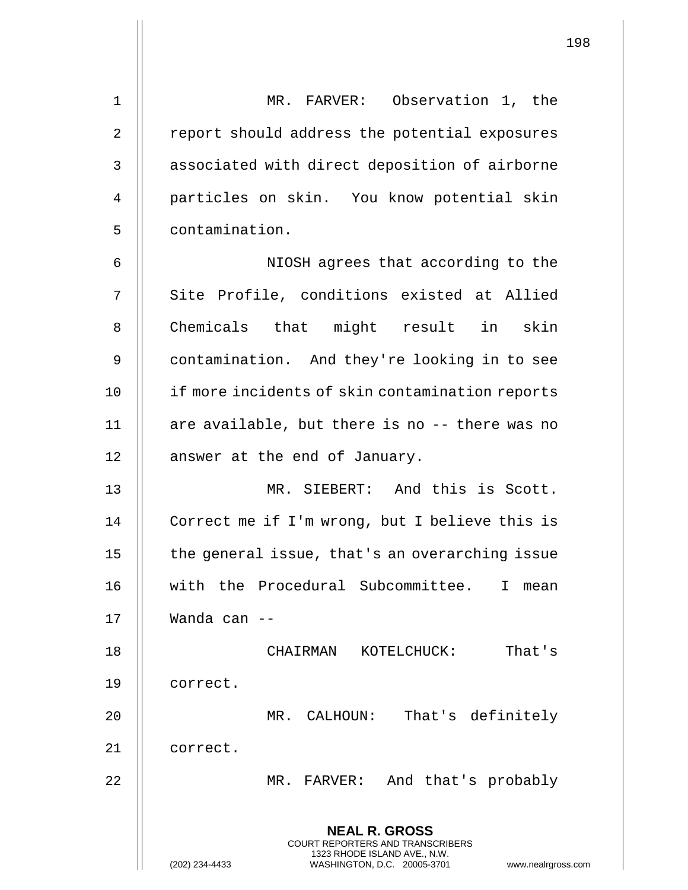**NEAL R. GROSS** COURT REPORTERS AND TRANSCRIBERS 1323 RHODE ISLAND AVE., N.W. 1 MR. FARVER: Observation 1, the 2 | report should address the potential exposures 3 | associated with direct deposition of airborne 4 || particles on skin. You know potential skin 5 contamination. 6 || NIOSH agrees that according to the 7 || Site Profile, conditions existed at Allied 8 || Chemicals that might result in skin 9 contamination. And they're looking in to see 10 || if more incidents of skin contamination reports 11 || are available, but there is no -- there was no 12 | answer at the end of January. 13 MR. SIEBERT: And this is Scott. 14 | Correct me if I'm wrong, but I believe this is 15 || the general issue, that's an overarching issue 16 with the Procedural Subcommittee. I mean 17 Wanda can -- 18 CHAIRMAN KOTELCHUCK: That's 19 correct. 20 MR. CALHOUN: That's definitely 21 || correct. 22 MR. FARVER: And that's probably

(202) 234-4433 WASHINGTON, D.C. 20005-3701 www.nealrgross.com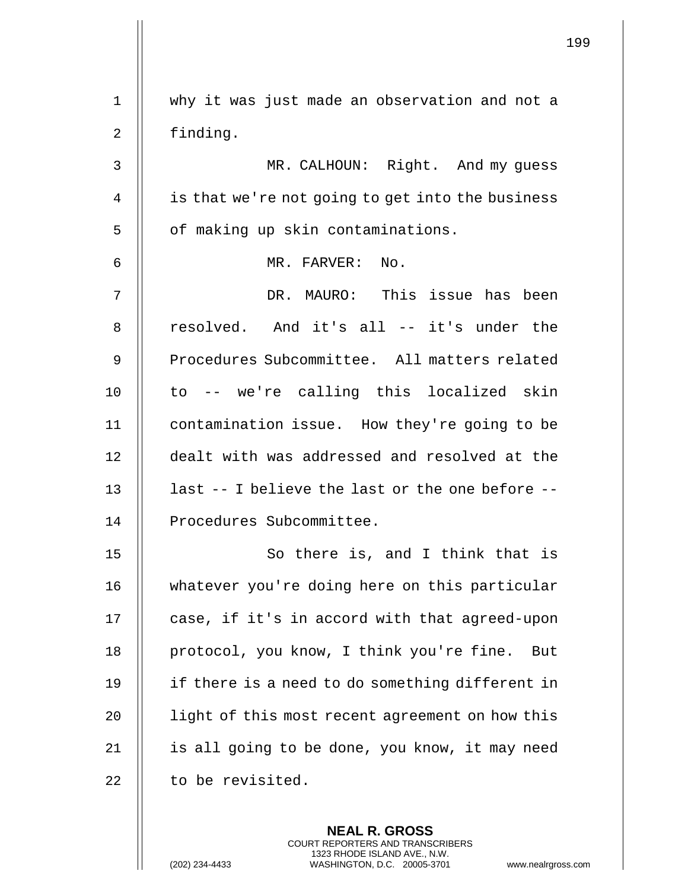| $\mathbf 1$    | why it was just made an observation and not a    |
|----------------|--------------------------------------------------|
| $\overline{2}$ | finding.                                         |
| 3              | MR. CALHOUN: Right. And my guess                 |
| 4              | is that we're not going to get into the business |
| 5              | of making up skin contaminations.                |
| 6              | MR. FARVER: No.                                  |
| 7              | DR. MAURO: This issue has been                   |
| 8              | resolved. And it's all -- it's under the         |
| 9              | Procedures Subcommittee. All matters related     |
| 10             | to -- we're calling this localized skin          |
| 11             | contamination issue. How they're going to be     |
| 12             | dealt with was addressed and resolved at the     |
| 13             | last -- I believe the last or the one before --  |
| 14             | Procedures Subcommittee.                         |
| 15             | So there is, and I think that is                 |
| 16             | whatever you're doing here on this particular    |
| 17             | case, if it's in accord with that agreed-upon    |
| 18             | protocol, you know, I think you're fine.<br>But  |
| 19             | if there is a need to do something different in  |
| 20             | light of this most recent agreement on how this  |
| 21             | is all going to be done, you know, it may need   |
| 22             | to be revisited.                                 |
|                |                                                  |
|                | <b>NEAL R. GROSS</b>                             |

COURT REPORTERS AND TRANSCRIBERS 1323 RHODE ISLAND AVE., N.W.

(202) 234-4433 WASHINGTON, D.C. 20005-3701 www.nealrgross.com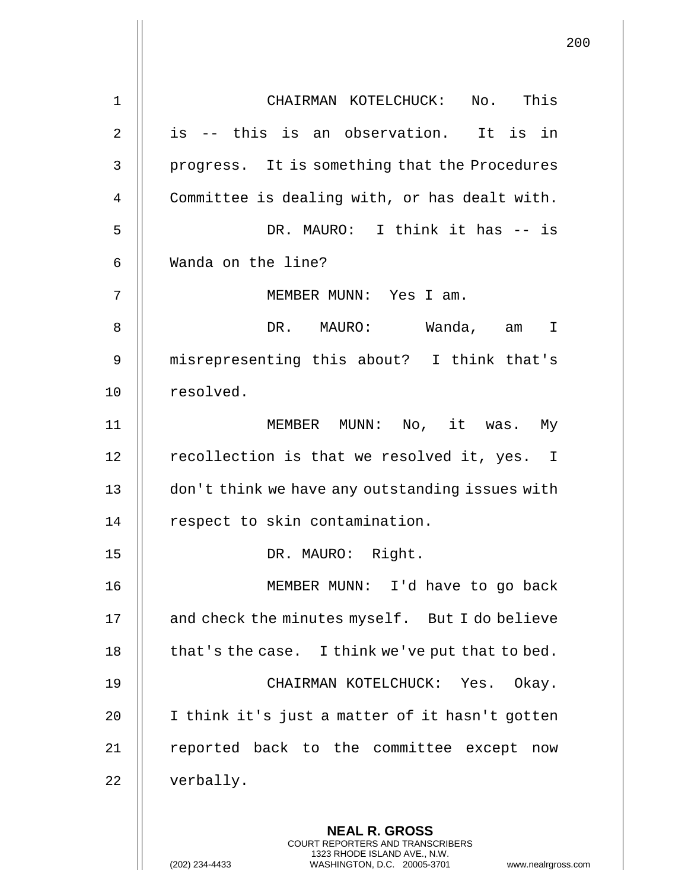| $\mathbf 1$    | CHAIRMAN KOTELCHUCK: No. This                                                                                                                                      |
|----------------|--------------------------------------------------------------------------------------------------------------------------------------------------------------------|
| $\overline{2}$ | is -- this is an observation. It is in                                                                                                                             |
| 3              | progress. It is something that the Procedures                                                                                                                      |
| 4              | Committee is dealing with, or has dealt with.                                                                                                                      |
| 5              | DR. MAURO: I think it has -- is                                                                                                                                    |
| 6              | Wanda on the line?                                                                                                                                                 |
| 7              | MEMBER MUNN: Yes I am.                                                                                                                                             |
| 8              | DR. MAURO: Wanda, am<br>I                                                                                                                                          |
| 9              | misrepresenting this about? I think that's                                                                                                                         |
| 10             | resolved.                                                                                                                                                          |
| 11             | MEMBER MUNN: No, it was. My                                                                                                                                        |
| 12             | recollection is that we resolved it, yes. I                                                                                                                        |
| 13             | don't think we have any outstanding issues with                                                                                                                    |
| 14             | respect to skin contamination.                                                                                                                                     |
| 15             | DR. MAURO:<br>Right.                                                                                                                                               |
| 16             | MEMBER MUNN: I'd have to go back                                                                                                                                   |
| 17             | and check the minutes myself. But I do believe                                                                                                                     |
| 18             | that's the case. I think we've put that to bed.                                                                                                                    |
| 19             | CHAIRMAN KOTELCHUCK: Yes. Okay.                                                                                                                                    |
| 20             | I think it's just a matter of it hasn't gotten                                                                                                                     |
| 21             | reported back to the committee except now                                                                                                                          |
| 22             | verbally.                                                                                                                                                          |
|                | <b>NEAL R. GROSS</b><br><b>COURT REPORTERS AND TRANSCRIBERS</b><br>1323 RHODE ISLAND AVE., N.W.<br>WASHINGTON, D.C. 20005-3701<br>(202) 234-4433<br>www.nealrgross |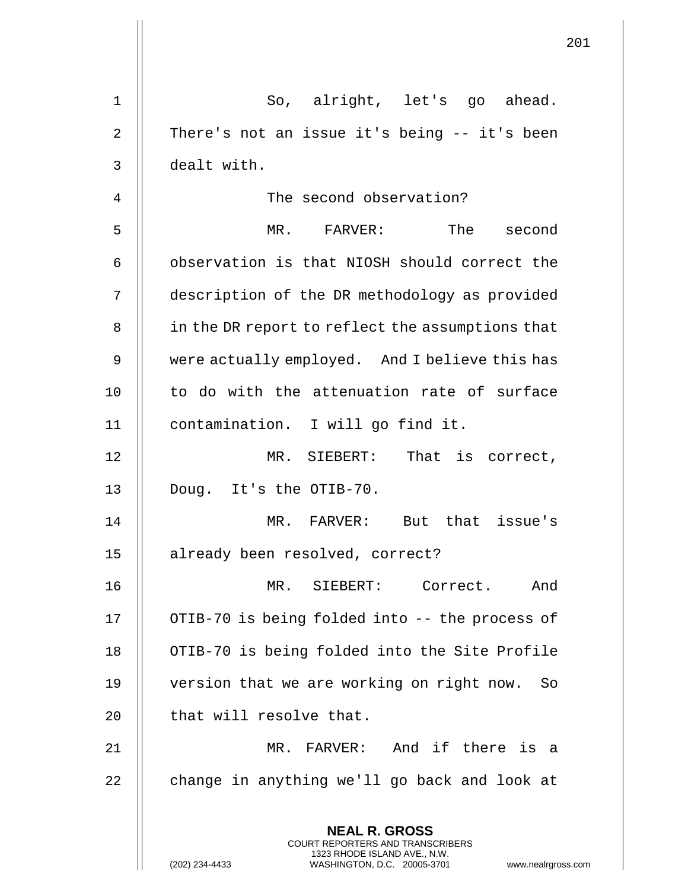|                |                                                                                                                                                                        | 201 |
|----------------|------------------------------------------------------------------------------------------------------------------------------------------------------------------------|-----|
| 1              | So, alright, let's go ahead.                                                                                                                                           |     |
| $\overline{2}$ | There's not an issue it's being -- it's been                                                                                                                           |     |
| 3              | dealt with.                                                                                                                                                            |     |
| 4              | The second observation?                                                                                                                                                |     |
| 5              | MR. FARVER: The<br>second                                                                                                                                              |     |
| 6              | observation is that NIOSH should correct the                                                                                                                           |     |
| 7              | description of the DR methodology as provided                                                                                                                          |     |
| 8              | in the DR report to reflect the assumptions that                                                                                                                       |     |
| 9              | were actually employed. And I believe this has                                                                                                                         |     |
| 10             | to do with the attenuation rate of surface                                                                                                                             |     |
| 11             | contamination. I will go find it.                                                                                                                                      |     |
| 12             | MR. SIEBERT: That is correct,                                                                                                                                          |     |
| 13             | Doug. It's the OTIB-70.                                                                                                                                                |     |
| 14             | MR. FARVER: But that issue's                                                                                                                                           |     |
| 15             | already been resolved, correct?                                                                                                                                        |     |
| 16             | MR. SIEBERT: Correct. And                                                                                                                                              |     |
| 17             | OTIB-70 is being folded into -- the process of                                                                                                                         |     |
| 18             | OTIB-70 is being folded into the Site Profile                                                                                                                          |     |
| 19             | version that we are working on right now. So                                                                                                                           |     |
| 20             | that will resolve that.                                                                                                                                                |     |
| 21             | MR. FARVER: And if there is a                                                                                                                                          |     |
| 22             | change in anything we'll go back and look at                                                                                                                           |     |
|                | <b>NEAL R. GROSS</b><br><b>COURT REPORTERS AND TRANSCRIBERS</b><br>1323 RHODE ISLAND AVE., N.W.<br>(202) 234-4433<br>WASHINGTON, D.C. 20005-3701<br>www.nealrgross.com |     |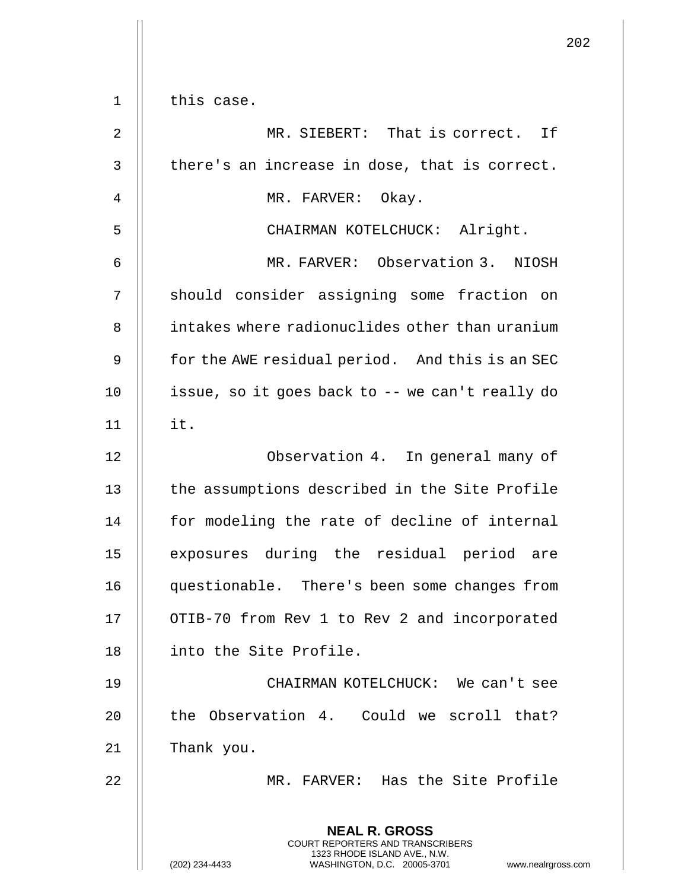|                |                                                                                                                                                                        | 202 |
|----------------|------------------------------------------------------------------------------------------------------------------------------------------------------------------------|-----|
| 1              | this case.                                                                                                                                                             |     |
| 2              | MR. SIEBERT: That is correct. If                                                                                                                                       |     |
| 3              | there's an increase in dose, that is correct.                                                                                                                          |     |
| $\overline{4}$ | MR. FARVER: Okay.                                                                                                                                                      |     |
| 5              | CHAIRMAN KOTELCHUCK: Alright.                                                                                                                                          |     |
| 6              | MR. FARVER: Observation 3. NIOSH                                                                                                                                       |     |
| 7              | should consider assigning some fraction on                                                                                                                             |     |
| 8              | intakes where radionuclides other than uranium                                                                                                                         |     |
| 9              | for the AWE residual period. And this is an SEC                                                                                                                        |     |
| 10             | issue, so it goes back to -- we can't really do                                                                                                                        |     |
| 11             | it.                                                                                                                                                                    |     |
| 12             | Observation 4. In general many of                                                                                                                                      |     |
| 13             | the assumptions described in the Site Profile                                                                                                                          |     |
| 14             | for modeling the rate of decline of internal                                                                                                                           |     |
| 15             | exposures during the residual period are                                                                                                                               |     |
| 16             | questionable. There's been some changes from                                                                                                                           |     |
| 17             | OTIB-70 from Rev 1 to Rev 2 and incorporated                                                                                                                           |     |
| 18             | into the Site Profile.                                                                                                                                                 |     |
| 19             | CHAIRMAN KOTELCHUCK: We can't see                                                                                                                                      |     |
| 20             | the Observation 4. Could we scroll that?                                                                                                                               |     |
| 21             | Thank you.                                                                                                                                                             |     |
| 22             | MR. FARVER: Has the Site Profile                                                                                                                                       |     |
|                | <b>NEAL R. GROSS</b><br><b>COURT REPORTERS AND TRANSCRIBERS</b><br>1323 RHODE ISLAND AVE., N.W.<br>(202) 234-4433<br>WASHINGTON, D.C. 20005-3701<br>www.nealrgross.com |     |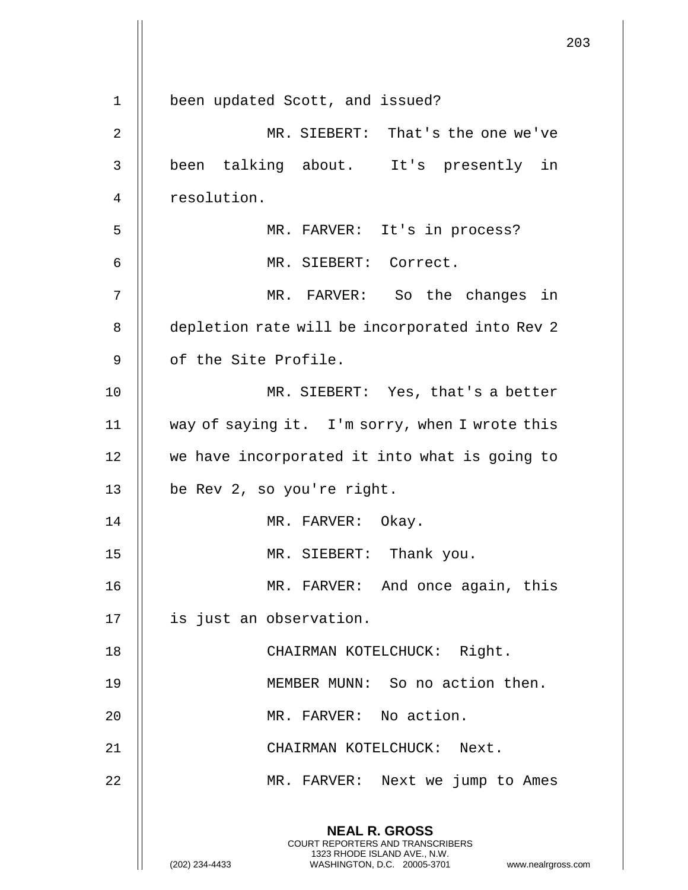|                |                                                                                                                                                                        | 203 |
|----------------|------------------------------------------------------------------------------------------------------------------------------------------------------------------------|-----|
|                |                                                                                                                                                                        |     |
| $\mathbf 1$    | been updated Scott, and issued?                                                                                                                                        |     |
| 2              | MR. SIEBERT: That's the one we've                                                                                                                                      |     |
| 3              | been talking about. It's presently in                                                                                                                                  |     |
| $\overline{4}$ | resolution.                                                                                                                                                            |     |
| 5              | MR. FARVER: It's in process?                                                                                                                                           |     |
| 6              | MR. SIEBERT: Correct.                                                                                                                                                  |     |
| 7              | MR. FARVER: So the changes in                                                                                                                                          |     |
| 8              | depletion rate will be incorporated into Rev 2                                                                                                                         |     |
| 9              | of the Site Profile.                                                                                                                                                   |     |
| 10             | MR. SIEBERT: Yes, that's a better                                                                                                                                      |     |
| 11             | way of saying it. I'm sorry, when I wrote this                                                                                                                         |     |
| 12             | we have incorporated it into what is going to                                                                                                                          |     |
| 13             | be Rev 2, so you're right.                                                                                                                                             |     |
| 14             | MR. FARVER: Okay.                                                                                                                                                      |     |
| 15             | MR. SIEBERT: Thank you.                                                                                                                                                |     |
| 16             | MR. FARVER: And once again, this                                                                                                                                       |     |
| 17             | is just an observation.                                                                                                                                                |     |
| 18             | CHAIRMAN KOTELCHUCK: Right.                                                                                                                                            |     |
| 19             | MEMBER MUNN: So no action then.                                                                                                                                        |     |
| 20             | MR. FARVER: No action.                                                                                                                                                 |     |
| 21             | CHAIRMAN KOTELCHUCK: Next.                                                                                                                                             |     |
| 22             | MR. FARVER: Next we jump to Ames                                                                                                                                       |     |
|                | <b>NEAL R. GROSS</b><br><b>COURT REPORTERS AND TRANSCRIBERS</b><br>1323 RHODE ISLAND AVE., N.W.<br>(202) 234-4433<br>WASHINGTON, D.C. 20005-3701<br>www.nealrgross.com |     |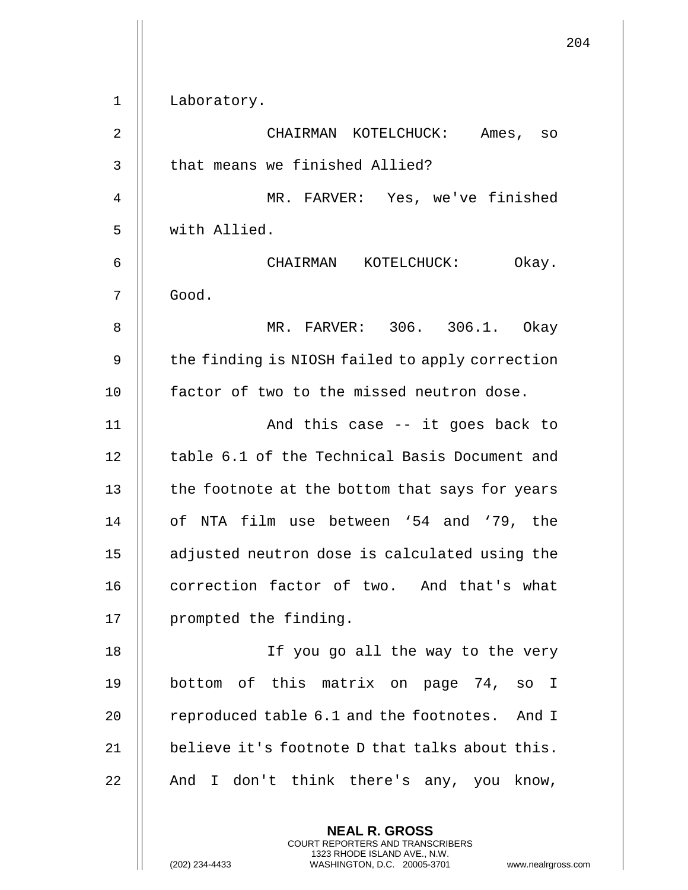|             | 204                                             |
|-------------|-------------------------------------------------|
| $\mathbf 1$ | Laboratory.                                     |
| 2           | CHAIRMAN KOTELCHUCK:<br>Ames, so                |
| 3           | that means we finished Allied?                  |
| 4           | MR. FARVER: Yes, we've finished                 |
| 5           | with Allied.                                    |
| 6           | CHAIRMAN KOTELCHUCK:<br>Okay.                   |
| 7           | Good.                                           |
| 8           | MR. FARVER: 306. 306.1. Okay                    |
| 9           | the finding is NIOSH failed to apply correction |
| 10          | factor of two to the missed neutron dose.       |
| 11          | And this case -- it goes back to                |
| 12          | table 6.1 of the Technical Basis Document and   |
| 13          | the footnote at the bottom that says for years  |
| 14          | of NTA film use between '54 and '79, the        |
| 15          | adjusted neutron dose is calculated using the   |
| 16          | correction factor of two. And that's what       |
| 17          | prompted the finding.                           |
| 18          | If you go all the way to the very               |
| 19          | bottom of this matrix on page 74, so I          |
| 20          | reproduced table 6.1 and the footnotes. And I   |
| 21          | believe it's footnote D that talks about this.  |
| 22          | And I don't think there's any, you know,        |
|             | <b>NEAL R. GROSS</b>                            |

COURT REPORTERS AND TRANSCRIBERS 1323 RHODE ISLAND AVE., N.W.

 $\mathsf{II}$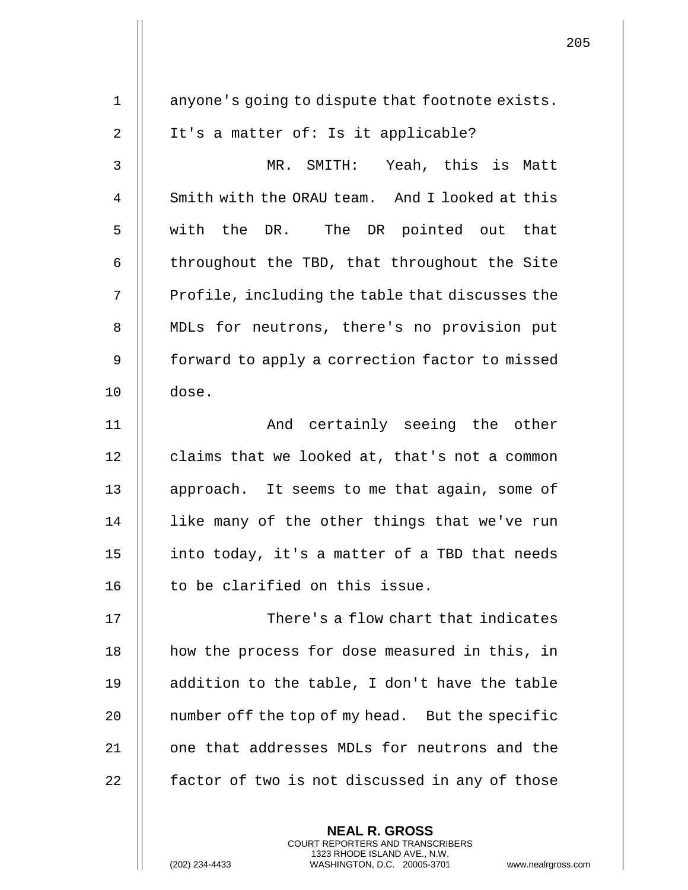| $\mathbf 1$    | anyone's going to dispute that footnote exists. |
|----------------|-------------------------------------------------|
| $\sqrt{2}$     | It's a matter of: Is it applicable?             |
| $\mathfrak{Z}$ | MR. SMITH: Yeah, this is Matt                   |
| 4              | Smith with the ORAU team. And I looked at this  |
| 5              | with the DR. The DR pointed out that            |
| 6              | throughout the TBD, that throughout the Site    |
| 7              | Profile, including the table that discusses the |
| 8              | MDLs for neutrons, there's no provision put     |
| 9              | forward to apply a correction factor to missed  |
| 10             | dose.                                           |
| 11             | And certainly seeing the other                  |
| 12             | claims that we looked at, that's not a common   |
| 13             | approach. It seems to me that again, some of    |
| 14             | like many of the other things that we've run    |
| 15             | into today, it's a matter of a TBD that needs   |
| 16             | to be clarified on this issue.                  |
| 17             | There's a flow chart that indicates             |
| 18             | how the process for dose measured in this, in   |
| 19             | addition to the table, I don't have the table   |
| 20             | number off the top of my head. But the specific |
| 21             | one that addresses MDLs for neutrons and the    |
| 22             | factor of two is not discussed in any of those  |
|                |                                                 |
|                | <b>NEAL R. GROSS</b>                            |

COURT REPORTERS AND TRANSCRIBERS 1323 RHODE ISLAND AVE., N.W.

 $\prod$ 

(202) 234-4433 WASHINGTON, D.C. 20005-3701 www.nealrgross.com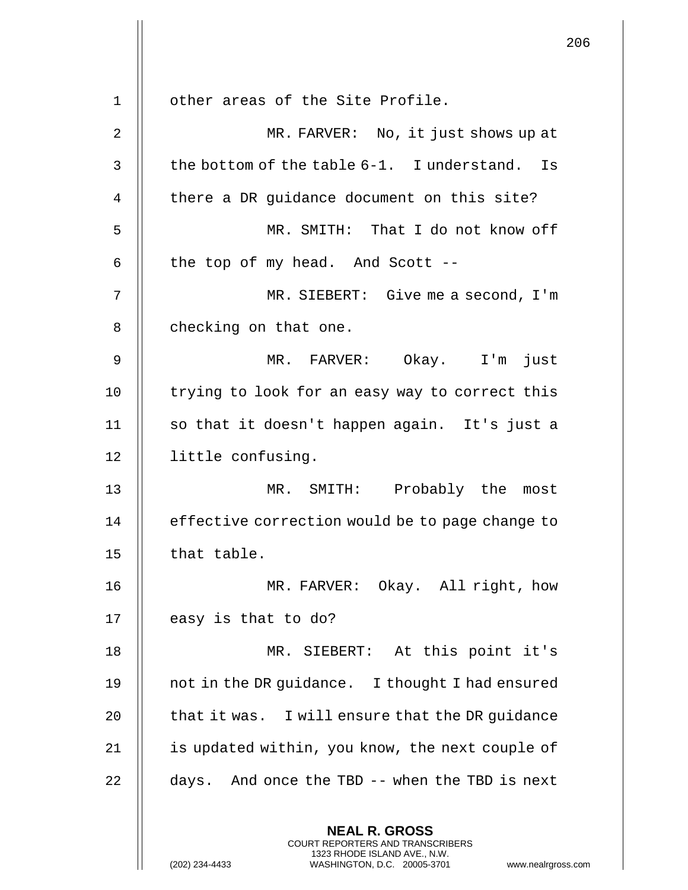|    |                                                                                                                                                                        | 206 |
|----|------------------------------------------------------------------------------------------------------------------------------------------------------------------------|-----|
| 1  | other areas of the Site Profile.                                                                                                                                       |     |
| 2  | MR. FARVER: No, it just shows up at                                                                                                                                    |     |
| 3  | the bottom of the table 6-1. I understand. Is                                                                                                                          |     |
| 4  | there a DR guidance document on this site?                                                                                                                             |     |
| 5  | MR. SMITH: That I do not know off                                                                                                                                      |     |
|    |                                                                                                                                                                        |     |
| 6  | the top of my head. And Scott --                                                                                                                                       |     |
| 7  | MR. SIEBERT: Give me a second, I'm                                                                                                                                     |     |
| 8  | checking on that one.                                                                                                                                                  |     |
| 9  | MR. FARVER: Okay. I'm just                                                                                                                                             |     |
| 10 | trying to look for an easy way to correct this                                                                                                                         |     |
| 11 | so that it doesn't happen again. It's just a                                                                                                                           |     |
| 12 | little confusing.                                                                                                                                                      |     |
| 13 | MR. SMITH: Probably the most                                                                                                                                           |     |
| 14 | effective correction would be to page change to                                                                                                                        |     |
| 15 | that table.                                                                                                                                                            |     |
| 16 | MR. FARVER: Okay. All right, how                                                                                                                                       |     |
| 17 | easy is that to do?                                                                                                                                                    |     |
| 18 | MR. SIEBERT: At this point it's                                                                                                                                        |     |
| 19 | not in the DR guidance. I thought I had ensured                                                                                                                        |     |
| 20 | that it was. I will ensure that the DR guidance                                                                                                                        |     |
| 21 | is updated within, you know, the next couple of                                                                                                                        |     |
| 22 | days. And once the TBD -- when the TBD is next                                                                                                                         |     |
|    | <b>NEAL R. GROSS</b><br><b>COURT REPORTERS AND TRANSCRIBERS</b><br>1323 RHODE ISLAND AVE., N.W.<br>(202) 234-4433<br>WASHINGTON, D.C. 20005-3701<br>www.nealrgross.com |     |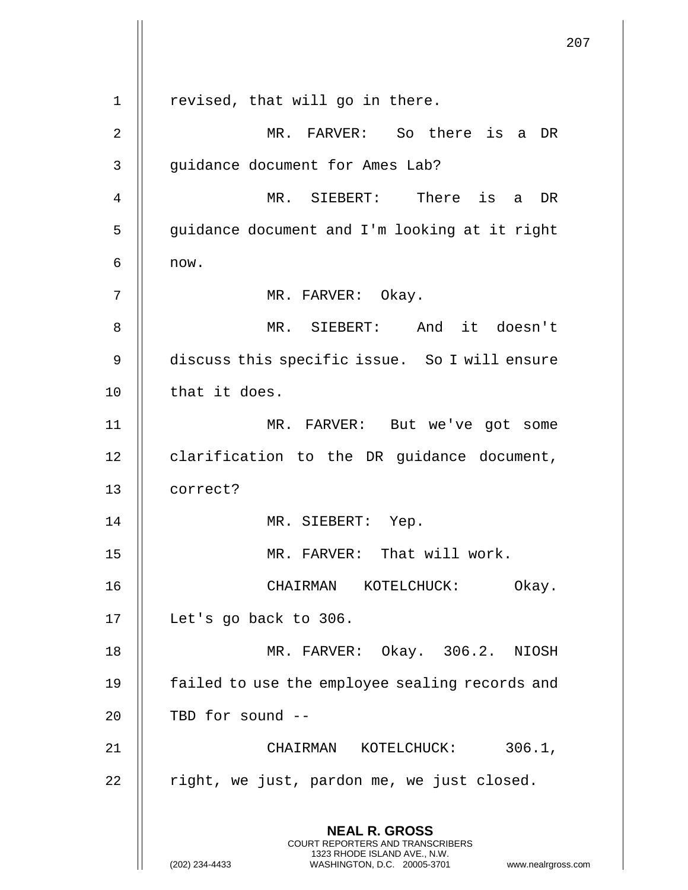207 **NEAL R. GROSS** COURT REPORTERS AND TRANSCRIBERS 1323 RHODE ISLAND AVE., N.W. (202) 234-4433 WASHINGTON, D.C. 20005-3701 www.nealrgross.com  $1 \parallel$  revised, that will go in there. 2 MR. FARVER: So there is a DR 3 | guidance document for Ames Lab? 4 MR. SIEBERT: There is a DR 5 || guidance document and I'm looking at it right  $6 \parallel$  now. 7 | MR. FARVER: Okay. 8 || MR. SIEBERT: And it doesn't 9 discuss this specific issue. So I will ensure 10 || that it does. 11 MR. FARVER: But we've got some 12 | clarification to the DR guidance document, 13 correct? 14 || MR. SIEBERT: Yep. 15 || MR. FARVER: That will work. 16 CHAIRMAN KOTELCHUCK: Okay. 17 | Let's go back to 306. 18 MR. FARVER: Okay. 306.2. NIOSH 19 || failed to use the employee sealing records and  $20$  || TBD for sound  $-$ 21 CHAIRMAN KOTELCHUCK: 306.1,  $22$  || right, we just, pardon me, we just closed.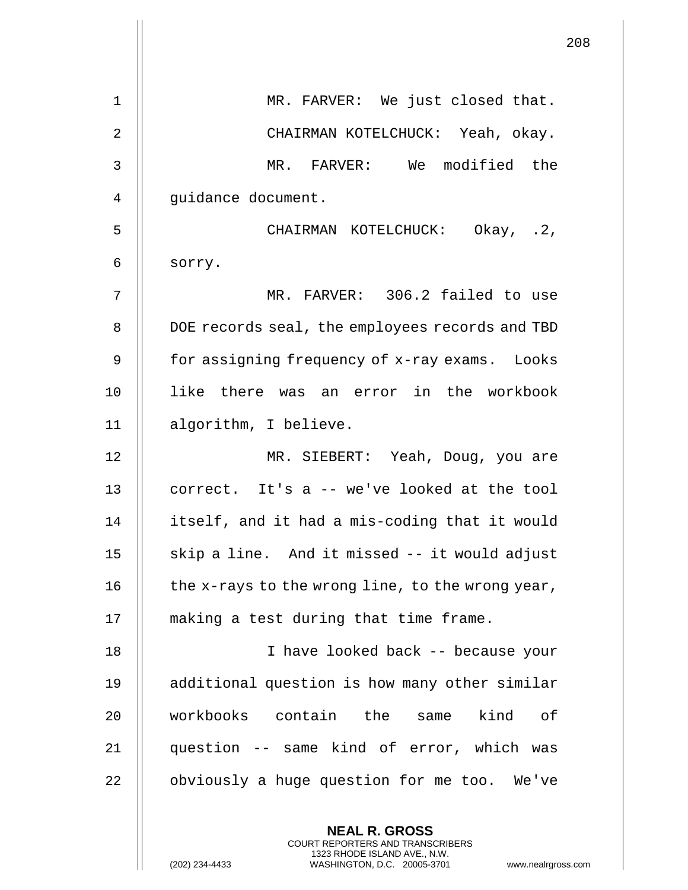|                | 208                                                      |
|----------------|----------------------------------------------------------|
| 1              | MR. FARVER: We just closed that.                         |
| $\overline{2}$ | CHAIRMAN KOTELCHUCK: Yeah, okay.                         |
| 3              | MR. FARVER: We modified the                              |
| 4              | guidance document.                                       |
| 5              | CHAIRMAN KOTELCHUCK: Okay, .2,                           |
| 6              | sorry.                                                   |
| 7              | MR. FARVER: 306.2 failed to use                          |
| 8              | DOE records seal, the employees records and TBD          |
| 9              | for assigning frequency of x-ray exams. Looks            |
| 10             | like there was an error in the workbook                  |
| 11             | algorithm, I believe.                                    |
| 12             | MR. SIEBERT: Yeah, Doug, you are                         |
| 13             | correct. It's a -- we've looked at the tool              |
| 14             | itself, and it had a mis-coding that it would            |
| 15             | skip a line. And it missed -- it would adjust            |
| 16             | the x-rays to the wrong line, to the wrong year,         |
| 17             | making a test during that time frame.                    |
| 18             | I have looked back -- because your                       |
| 19             | additional question is how many other similar            |
| 20             | workbooks contain the same<br>kind of                    |
| 21             | question -- same kind of error, which was                |
| 22             | obviously a huge question for me too. We've              |
|                | <b>NEAL R. GROSS</b><br>COURT REPORTERS AND TRANSCRIBERS |

1323 RHODE ISLAND AVE., N.W.

 $\prod$ 

 $\begin{array}{c} \hline \end{array}$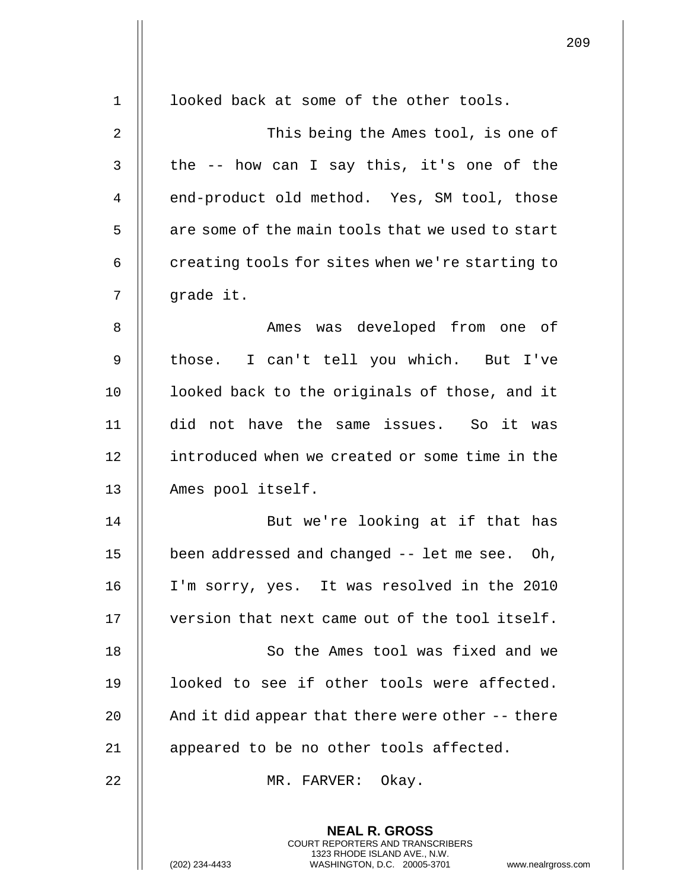| 1              | looked back at some of the other tools.                                                                                                                           |
|----------------|-------------------------------------------------------------------------------------------------------------------------------------------------------------------|
| 2              | This being the Ames tool, is one of                                                                                                                               |
| 3              | the -- how can I say this, it's one of the                                                                                                                        |
| $\overline{4}$ | end-product old method. Yes, SM tool, those                                                                                                                       |
| 5              | are some of the main tools that we used to start                                                                                                                  |
| 6              | creating tools for sites when we're starting to                                                                                                                   |
| 7              | grade it.                                                                                                                                                         |
| 8              | Ames was developed from one of                                                                                                                                    |
| 9              | those. I can't tell you which. But I've                                                                                                                           |
| 10             | looked back to the originals of those, and it                                                                                                                     |
| 11             | did not have the same issues. So it was                                                                                                                           |
| 12             | introduced when we created or some time in the                                                                                                                    |
| 13             | Ames pool itself.                                                                                                                                                 |
| 14             | But we're looking at if that has                                                                                                                                  |
| 15             | been addressed and changed -- let me see. Oh,                                                                                                                     |
| 16             | I'm sorry, yes. It was resolved in the 2010                                                                                                                       |
| 17             | version that next came out of the tool itself.                                                                                                                    |
| 18             | So the Ames tool was fixed and we                                                                                                                                 |
| 19             | looked to see if other tools were affected.                                                                                                                       |
| 20             | And it did appear that there were other -- there                                                                                                                  |
| 21             | appeared to be no other tools affected.                                                                                                                           |
| 22             | MR. FARVER: Okay.                                                                                                                                                 |
|                | <b>NEAL R. GROSS</b><br><b>COURT REPORTERS AND TRANSCRIBERS</b><br>1323 RHODE ISLAND AVE., N.W.<br>WASHINGTON, D.C. 20005-3701<br>(202) 234-4433<br>www.nealrgros |

 $\mathbf{I}$ 

(202) 234-4433 WASHINGTON, D.C. 20005-3701 www.nealrgross.com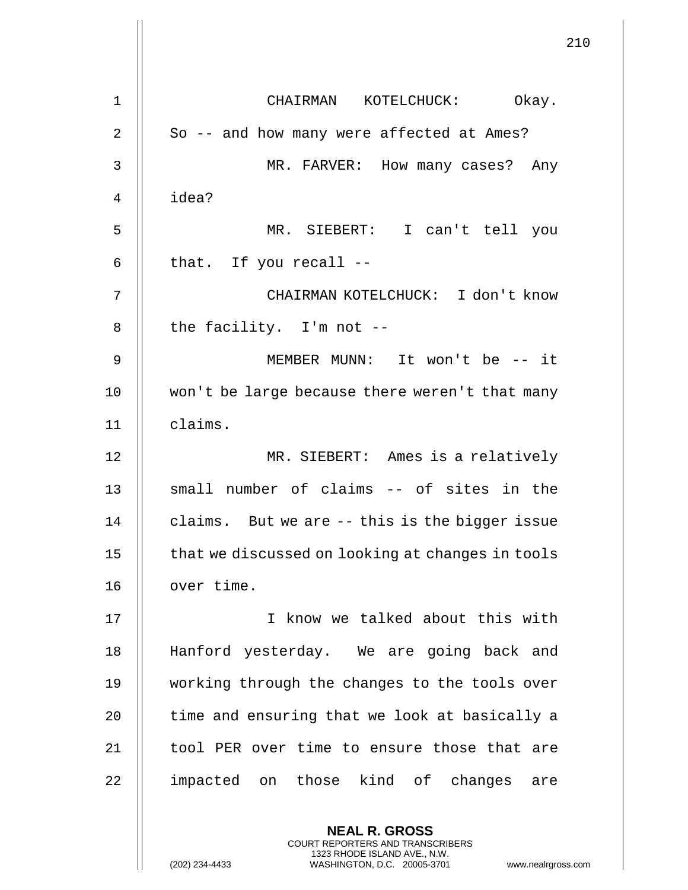**NEAL R. GROSS** 1 || CHAIRMAN KOTELCHUCK: Okay. 2 || So -- and how many were affected at Ames? 3 MR. FARVER: How many cases? Any 4 idea? 5 MR. SIEBERT: I can't tell you  $6 \parallel$  that. If you recall  $-$ 7 CHAIRMAN KOTELCHUCK: I don't know  $8$  || the facility. I'm not --9 MEMBER MUNN: It won't be -- it 10 won't be large because there weren't that many 11 claims. 12 MR. SIEBERT: Ames is a relatively 13 || small number of claims -- of sites in the 14  $\parallel$  claims. But we are  $-$ - this is the bigger issue 15 | that we discussed on looking at changes in tools 16 | over time. 17 || I know we talked about this with 18 || Hanford yesterday. We are going back and 19 || working through the changes to the tools over  $20$   $\parallel$  time and ensuring that we look at basically a 21 || tool PER over time to ensure those that are 22 || impacted on those kind of changes are

> COURT REPORTERS AND TRANSCRIBERS 1323 RHODE ISLAND AVE., N.W.

(202) 234-4433 WASHINGTON, D.C. 20005-3701 www.nealrgross.com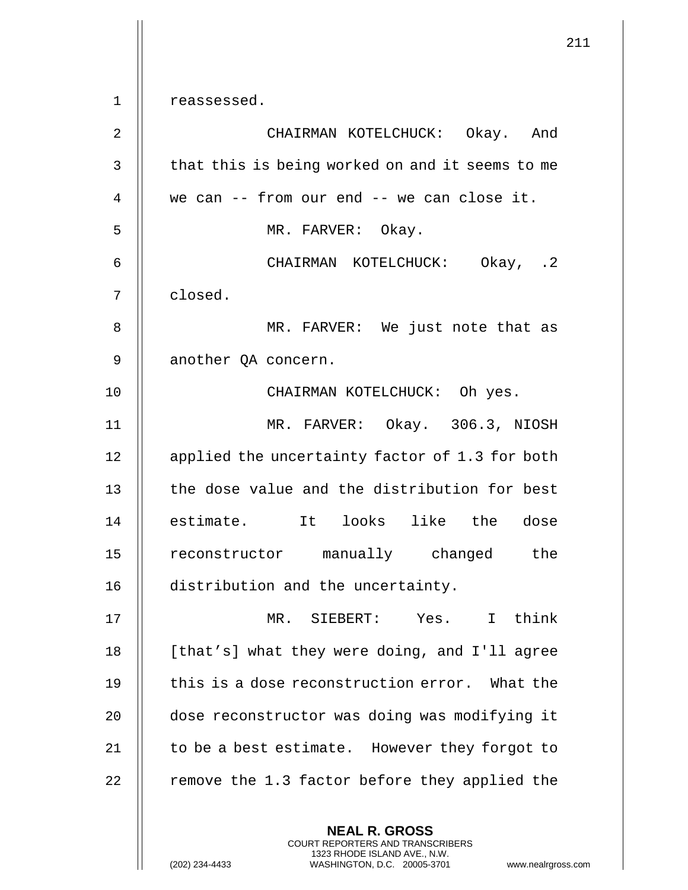| 1              | reassessed.                                                                                                                                                 |
|----------------|-------------------------------------------------------------------------------------------------------------------------------------------------------------|
| 2              | CHAIRMAN KOTELCHUCK: Okay. And                                                                                                                              |
| 3              | that this is being worked on and it seems to me                                                                                                             |
| $\overline{4}$ | we can -- from our end -- we can close it.                                                                                                                  |
| 5              | MR. FARVER: Okay.                                                                                                                                           |
| 6              | CHAIRMAN KOTELCHUCK: Okay, .2                                                                                                                               |
| 7              | closed.                                                                                                                                                     |
| 8              | MR. FARVER: We just note that as                                                                                                                            |
| 9              | another QA concern.                                                                                                                                         |
| 10             | CHAIRMAN KOTELCHUCK: Oh yes.                                                                                                                                |
| 11             | MR. FARVER: Okay. 306.3, NIOSH                                                                                                                              |
| 12             | applied the uncertainty factor of 1.3 for both                                                                                                              |
| 13             | the dose value and the distribution for best                                                                                                                |
| 14             | estimate. It looks like the dose                                                                                                                            |
| 15             | reconstructor manually changed the                                                                                                                          |
| 16             | distribution and the uncertainty.                                                                                                                           |
| 17             | MR. SIEBERT: Yes. I think                                                                                                                                   |
| 18             | [that's] what they were doing, and I'll agree                                                                                                               |
| 19             | this is a dose reconstruction error. What the                                                                                                               |
| 20             | dose reconstructor was doing was modifying it                                                                                                               |
| 21             | to be a best estimate. However they forgot to                                                                                                               |
| 22             | remove the 1.3 factor before they applied the                                                                                                               |
|                | <b>NEAL R. GROSS</b><br>COURT REPORTERS AND TRANSCRIBERS<br>1323 RHODE ISLAND AVE., N.W.<br>(202) 234-4433<br>WASHINGTON, D.C. 20005-3701<br>www.nealrgross |

 $\overline{1}$ 

(202) 234-4433 WASHINGTON, D.C. 20005-3701 www.nealrgross.com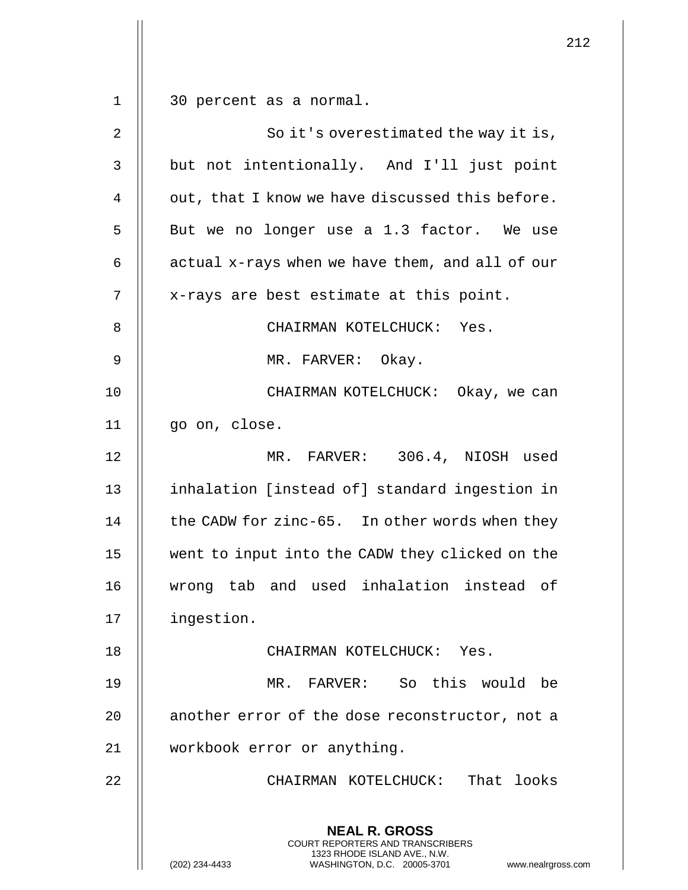**NEAL R. GROSS** COURT REPORTERS AND TRANSCRIBERS 1323 RHODE ISLAND AVE., N.W. (202) 234-4433 WASHINGTON, D.C. 20005-3701 www.nealrgross.com 1 30 percent as a normal. 2 || So it's overestimated the way it is, 3 | but not intentionally. And I'll just point 4  $\parallel$  out, that I know we have discussed this before. 5 || But we no longer use a 1.3 factor. We use 6  $\parallel$  actual x-rays when we have them, and all of our 7 || x-rays are best estimate at this point. 8 || CHAIRMAN KOTELCHUCK: Yes. 9 || MR. FARVER: Okay. 10 CHAIRMAN KOTELCHUCK: Okay, we can 11 go on, close. 12 MR. FARVER: 306.4, NIOSH used 13 || inhalation [instead of] standard ingestion in 14  $\parallel$  the CADW for zinc-65. In other words when they 15 went to input into the CADW they clicked on the 16 wrong tab and used inhalation instead of 17 ingestion. 18 CHAIRMAN KOTELCHUCK: Yes. 19 MR. FARVER: So this would be 20 | another error of the dose reconstructor, not a 21 workbook error or anything. 22 CHAIRMAN KOTELCHUCK: That looks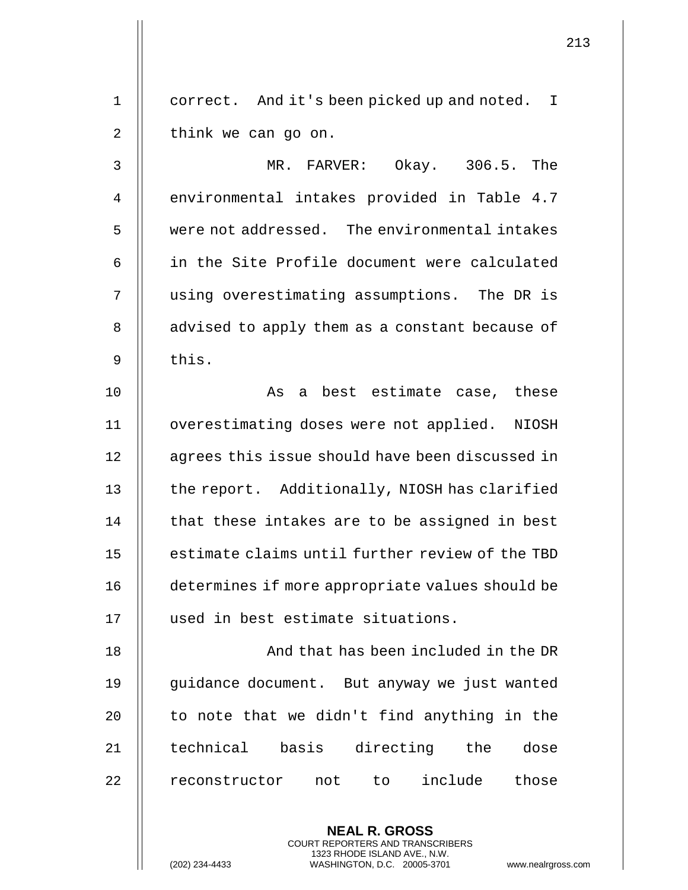1 | correct. And it's been picked up and noted. I  $2 \parallel$  think we can go on.

3 MR. FARVER: Okay. 306.5. The 4 | environmental intakes provided in Table 4.7 5 were not addressed. The environmental intakes 6 || in the Site Profile document were calculated 7 || using overestimating assumptions. The DR is 8 || advised to apply them as a constant because of  $9$   $\parallel$  this.

10 || As a best estimate case, these 11 overestimating doses were not applied. NIOSH 12 | agrees this issue should have been discussed in 13 || the report. Additionally, NIOSH has clarified  $14$   $\parallel$  that these intakes are to be assigned in best 15 || estimate claims until further review of the TBD 16 determines if more appropriate values should be 17 || used in best estimate situations.

18 || And that has been included in the DR 19 || guidance document. But anyway we just wanted 20  $\parallel$  to note that we didn't find anything in the 21 || technical basis directing the dose 22 || reconstructor not to include those

> **NEAL R. GROSS** COURT REPORTERS AND TRANSCRIBERS 1323 RHODE ISLAND AVE., N.W.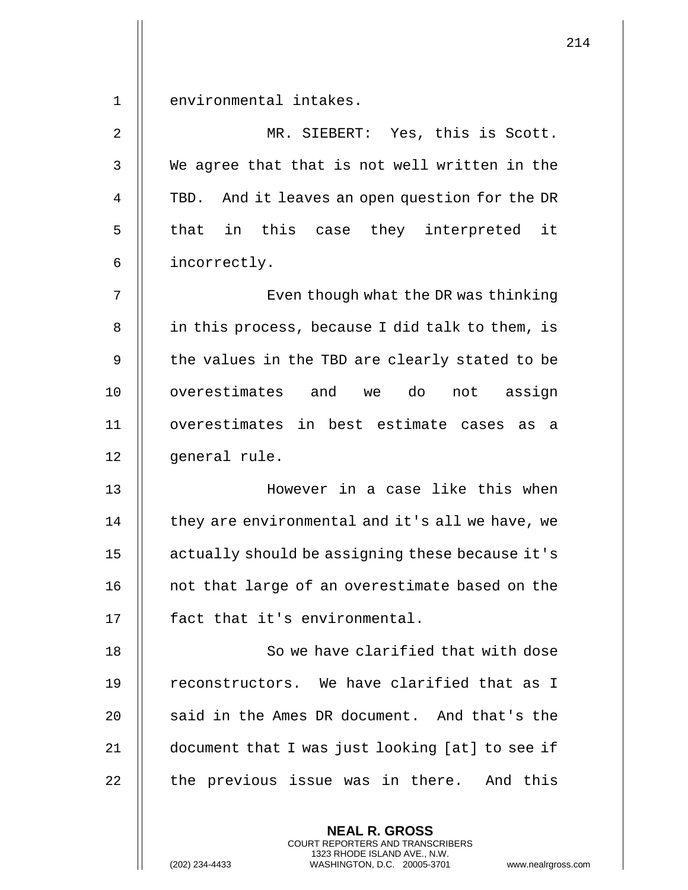1 II environmental intakes.

2 MR. SIEBERT: Yes, this is Scott. 3 || We agree that that is not well written in the 4 | TBD. And it leaves an open question for the DR 5 || that in this case they interpreted it 6 incorrectly.

7 || Even though what the DR was thinking 8 | in this process, because I did talk to them, is 9  $\parallel$  the values in the TBD are clearly stated to be 10 || overestimates and we do not assign 11 overestimates in best estimate cases as a 12 || general rule.

13 However in a case like this when  $14$   $\parallel$  they are environmental and it's all we have, we 15 actually should be assigning these because it's 16 || not that large of an overestimate based on the 17 || fact that it's environmental.

18 || So we have clarified that with dose 19 || reconstructors. We have clarified that as I 20  $\parallel$  said in the Ames DR document. And that's the 21 document that I was just looking [at] to see if 22 || the previous issue was in there. And this

> **NEAL R. GROSS** COURT REPORTERS AND TRANSCRIBERS 1323 RHODE ISLAND AVE., N.W.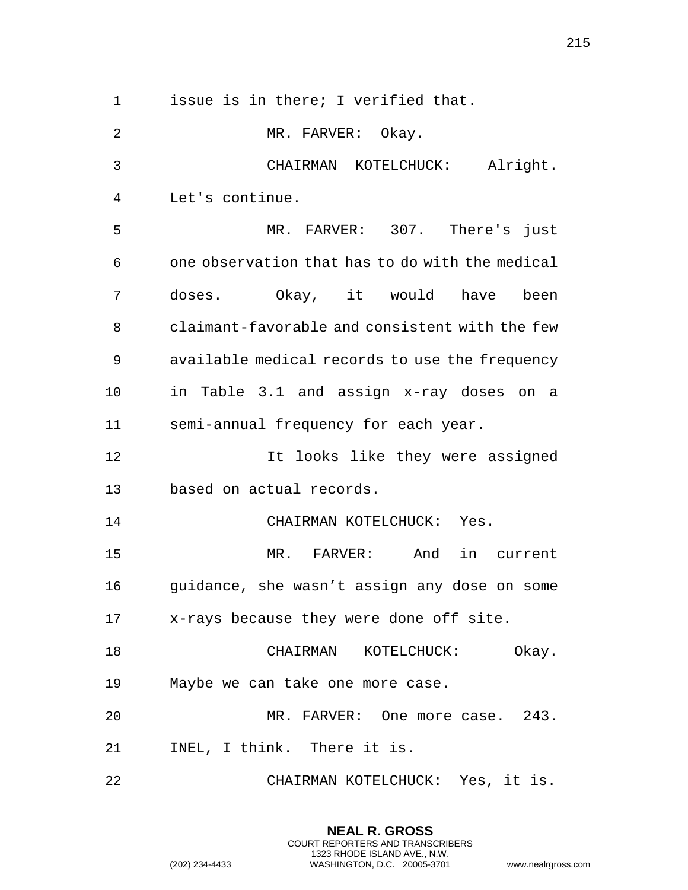|    |                                                                                                                                                                     | 215 |
|----|---------------------------------------------------------------------------------------------------------------------------------------------------------------------|-----|
| 1  | issue is in there; I verified that.                                                                                                                                 |     |
| 2  | MR. FARVER: Okay.                                                                                                                                                   |     |
| 3  | CHAIRMAN KOTELCHUCK: Alright.                                                                                                                                       |     |
| 4  | Let's continue.                                                                                                                                                     |     |
| 5  | MR. FARVER: 307. There's just                                                                                                                                       |     |
| 6  | one observation that has to do with the medical                                                                                                                     |     |
| 7  | doses. Okay, it would have<br>been                                                                                                                                  |     |
| 8  | claimant-favorable and consistent with the few                                                                                                                      |     |
| 9  | available medical records to use the frequency                                                                                                                      |     |
| 10 | in Table 3.1 and assign x-ray doses on a                                                                                                                            |     |
| 11 | semi-annual frequency for each year.                                                                                                                                |     |
| 12 | It looks like they were assigned                                                                                                                                    |     |
| 13 | based on actual records.                                                                                                                                            |     |
| 14 | CHAIRMAN KOTELCHUCK: Yes.                                                                                                                                           |     |
| 15 | MR. FARVER: And in current                                                                                                                                          |     |
| 16 | guidance, she wasn't assign any dose on some                                                                                                                        |     |
| 17 | x-rays because they were done off site.                                                                                                                             |     |
| 18 | CHAIRMAN KOTELCHUCK: Okay.                                                                                                                                          |     |
| 19 | Maybe we can take one more case.                                                                                                                                    |     |
| 20 | MR. FARVER: One more case. 243.                                                                                                                                     |     |
| 21 | INEL, I think. There it is.                                                                                                                                         |     |
| 22 | CHAIRMAN KOTELCHUCK: Yes, it is.                                                                                                                                    |     |
|    | <b>NEAL R. GROSS</b><br><b>COURT REPORTERS AND TRANSCRIBERS</b><br>1323 RHODE ISLAND AVE., N.W.<br>WASHINGTON, D.C. 20005-3701 www.nealrgross.com<br>(202) 234-4433 |     |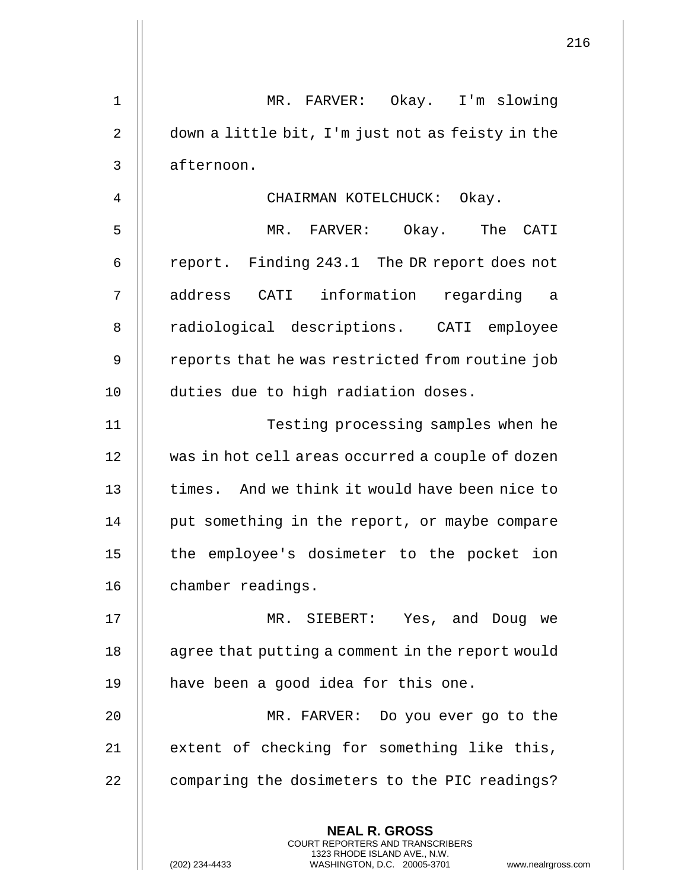| $\mathbf 1$    | MR. FARVER: Okay. I'm slowing                                                                                                                               |
|----------------|-------------------------------------------------------------------------------------------------------------------------------------------------------------|
| 2              | down a little bit, I'm just not as feisty in the                                                                                                            |
| 3              | afternoon.                                                                                                                                                  |
| $\overline{4}$ | CHAIRMAN KOTELCHUCK: Okay.                                                                                                                                  |
| 5              | MR. FARVER: Okay. The CATI                                                                                                                                  |
| 6              | report. Finding 243.1 The DR report does not                                                                                                                |
| 7              | address CATI information regarding a                                                                                                                        |
| 8              | radiological descriptions. CATI employee                                                                                                                    |
| 9              | reports that he was restricted from routine job                                                                                                             |
| 10             | duties due to high radiation doses.                                                                                                                         |
| 11             | Testing processing samples when he                                                                                                                          |
| 12             | was in hot cell areas occurred a couple of dozen                                                                                                            |
| 13             | times. And we think it would have been nice to                                                                                                              |
| 14             | put something in the report, or maybe compare                                                                                                               |
| 15             | the employee's dosimeter to the pocket ion                                                                                                                  |
| 16             | chamber readings.                                                                                                                                           |
| 17             | MR. SIEBERT: Yes, and Doug we                                                                                                                               |
| 18             | agree that putting a comment in the report would                                                                                                            |
| 19             | have been a good idea for this one.                                                                                                                         |
| 20             | MR. FARVER: Do you ever go to the                                                                                                                           |
| 21             | extent of checking for something like this,                                                                                                                 |
| 22             | comparing the dosimeters to the PIC readings?                                                                                                               |
|                | <b>NEAL R. GROSS</b><br>COURT REPORTERS AND TRANSCRIBERS<br>1323 RHODE ISLAND AVE., N.W.<br>(202) 234-4433<br>WASHINGTON, D.C. 20005-3701<br>www.nealrgross |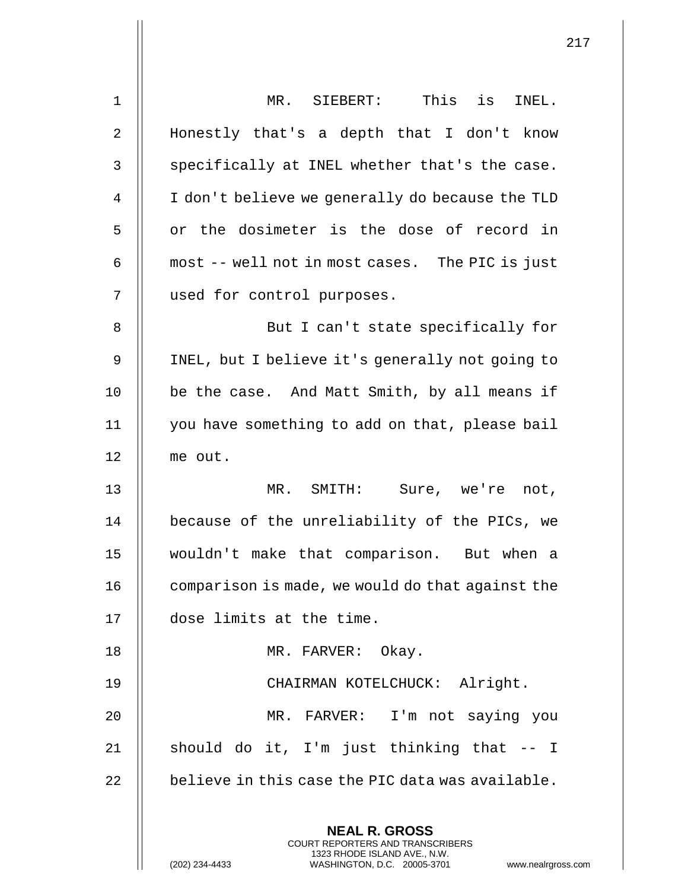| $\mathbf 1$  | MR. SIEBERT: This is INEL.                                                                                                                                  |
|--------------|-------------------------------------------------------------------------------------------------------------------------------------------------------------|
| 2            | Honestly that's a depth that I don't know                                                                                                                   |
| $\mathsf{3}$ | specifically at INEL whether that's the case.                                                                                                               |
| 4            | I don't believe we generally do because the TLD                                                                                                             |
| 5            | or the dosimeter is the dose of record in                                                                                                                   |
| 6            | most -- well not in most cases. The PIC is just                                                                                                             |
| 7            | used for control purposes.                                                                                                                                  |
| 8            | But I can't state specifically for                                                                                                                          |
| 9            | INEL, but I believe it's generally not going to                                                                                                             |
| 10           | be the case. And Matt Smith, by all means if                                                                                                                |
| 11           | you have something to add on that, please bail                                                                                                              |
| 12           | me out.                                                                                                                                                     |
| 13           | Sure, we're not,<br>MR. SMITH:                                                                                                                              |
| 14           | because of the unreliability of the PICs, we                                                                                                                |
| 15           | wouldn't make that comparison. But when a                                                                                                                   |
| 16           | comparison is made, we would do that against the                                                                                                            |
| 17           | dose limits at the time.                                                                                                                                    |
| 18           | MR. FARVER: Okay.                                                                                                                                           |
| 19           | CHAIRMAN KOTELCHUCK: Alright.                                                                                                                               |
| 20           | MR. FARVER: I'm not saying you                                                                                                                              |
| 21           | should do it, I'm just thinking that -- I                                                                                                                   |
| 22           | believe in this case the PIC data was available.                                                                                                            |
|              | <b>NEAL R. GROSS</b><br>COURT REPORTERS AND TRANSCRIBERS<br>1323 RHODE ISLAND AVE., N.W.<br>(202) 234-4433<br>WASHINGTON, D.C. 20005-3701<br>www.nealrgross |

 $\mathsf{I}$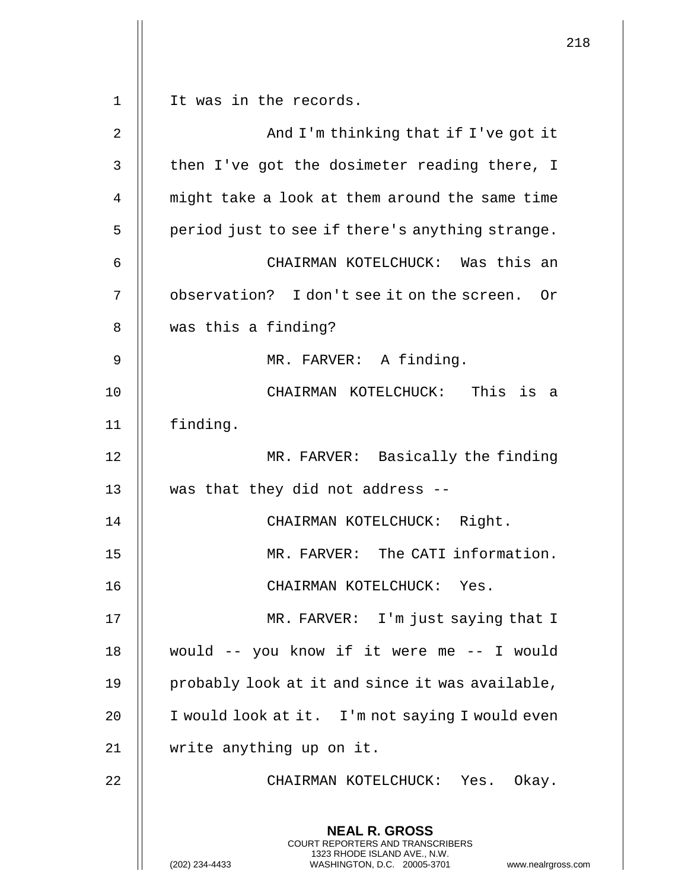**NEAL R. GROSS** COURT REPORTERS AND TRANSCRIBERS 1323 RHODE ISLAND AVE., N.W. (202) 234-4433 WASHINGTON, D.C. 20005-3701 www.nealrgross.com 1 It was in the records. 2 And I'm thinking that if I've got it 3 | then I've got the dosimeter reading there, I 4 | might take a look at them around the same time  $5$  | period just to see if there's anything strange. 6 CHAIRMAN KOTELCHUCK: Was this an 7 || observation? I don't see it on the screen. Or 8 | was this a finding? 9 MR. FARVER: A finding. 10 CHAIRMAN KOTELCHUCK: This is a 11 finding. 12 || MR. FARVER: Basically the finding 13  $\parallel$  was that they did not address --14 || CHAIRMAN KOTELCHUCK: Right. 15 MR. FARVER: The CATI information. 16 || CHAIRMAN KOTELCHUCK: Yes. 17 || MR. FARVER: I'm just saying that I 18 would -- you know if it were me -- I would 19  $\parallel$  probably look at it and since it was available, 20 | I would look at it. I'm not saying I would even 21 | write anything up on it. 22 CHAIRMAN KOTELCHUCK: Yes. Okay.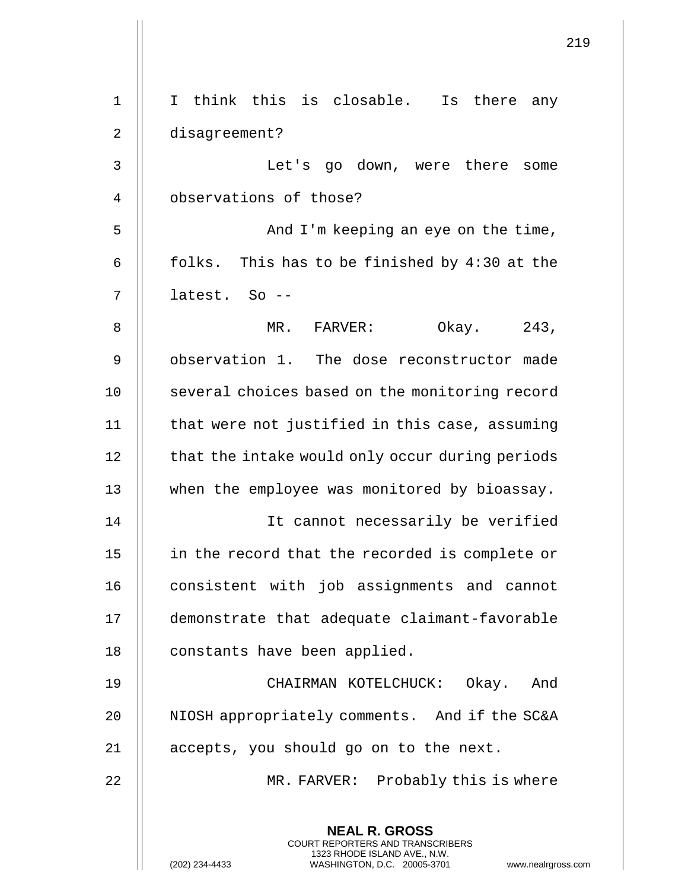| $\mathbf 1$ | I think this is closable. Is there any                                                                                                                              |
|-------------|---------------------------------------------------------------------------------------------------------------------------------------------------------------------|
| 2           | disagreement?                                                                                                                                                       |
| 3           | Let's go down, were there<br>some                                                                                                                                   |
| 4           | observations of those?                                                                                                                                              |
| 5           | And I'm keeping an eye on the time,                                                                                                                                 |
| б           | folks. This has to be finished by 4:30 at the                                                                                                                       |
| 7           | latest. So --                                                                                                                                                       |
| 8           | Okay. 243,<br>MR. FARVER:                                                                                                                                           |
| 9           | observation 1. The dose reconstructor made                                                                                                                          |
| 10          | several choices based on the monitoring record                                                                                                                      |
| 11          | that were not justified in this case, assuming                                                                                                                      |
| 12          | that the intake would only occur during periods                                                                                                                     |
| 13          | when the employee was monitored by bioassay.                                                                                                                        |
| 14          | It cannot necessarily be verified                                                                                                                                   |
| 15          | in the record that the recorded is complete or                                                                                                                      |
| 16          | consistent with job assignments and cannot                                                                                                                          |
| 17          | demonstrate that adequate claimant-favorable                                                                                                                        |
| 18          | constants have been applied.                                                                                                                                        |
| 19          | CHAIRMAN KOTELCHUCK: Okay. And                                                                                                                                      |
| 20          | NIOSH appropriately comments. And if the SC&A                                                                                                                       |
| 21          | accepts, you should go on to the next.                                                                                                                              |
| 22          | MR. FARVER: Probably this is where                                                                                                                                  |
|             | <b>NEAL R. GROSS</b><br><b>COURT REPORTERS AND TRANSCRIBERS</b><br>1323 RHODE ISLAND AVE., N.W.<br>(202) 234-4433<br>WASHINGTON, D.C. 20005-3701<br>www.nealrgross. |

 $\mathsf{l}$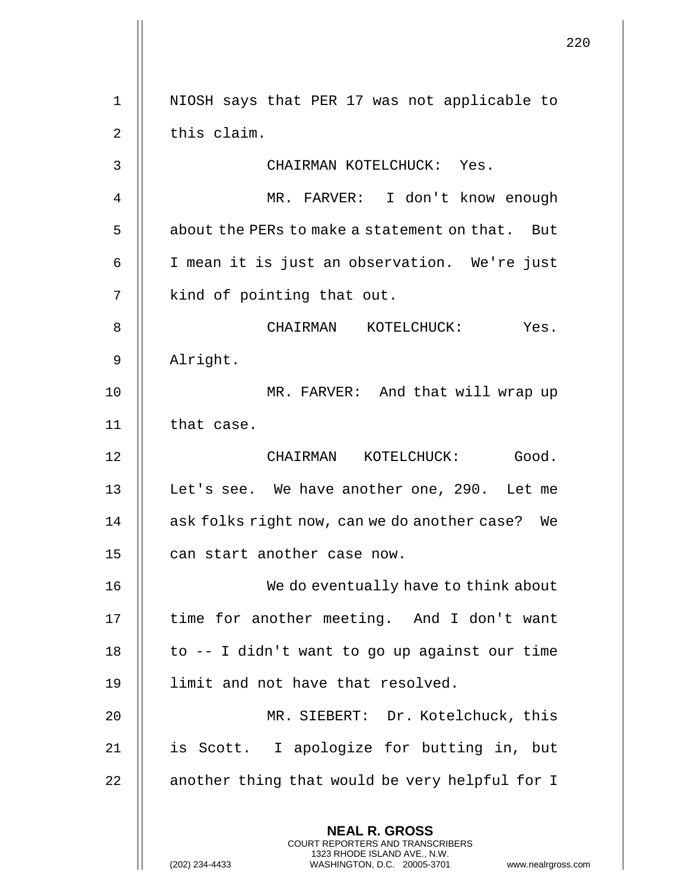**NEAL R. GROSS** COURT REPORTERS AND TRANSCRIBERS 1323 RHODE ISLAND AVE., N.W. (202) 234-4433 WASHINGTON, D.C. 20005-3701 www.nealrgross.com 1 || NIOSH says that PER 17 was not applicable to  $2 \parallel$  this claim. 3 CHAIRMAN KOTELCHUCK: Yes. 4 MR. FARVER: I don't know enough 5 | about the PERs to make a statement on that. But 6 I mean it is just an observation. We're just 7 || kind of pointing that out. 8 CHAIRMAN KOTELCHUCK: Yes. 9 Alright. 10 || MR. FARVER: And that will wrap up 11 || that case. 12 CHAIRMAN KOTELCHUCK: Good. 13 || Let's see. We have another one, 290. Let me 14 || ask folks right now, can we do another case? We 15 || can start another case now. 16 || We do eventually have to think about 17 || time for another meeting. And I don't want 18  $\parallel$  to -- I didn't want to go up against our time 19 || limit and not have that resolved. 20 || MR. SIEBERT: Dr. Kotelchuck, this 21 || is Scott. I apologize for butting in, but  $22$   $\parallel$  another thing that would be very helpful for I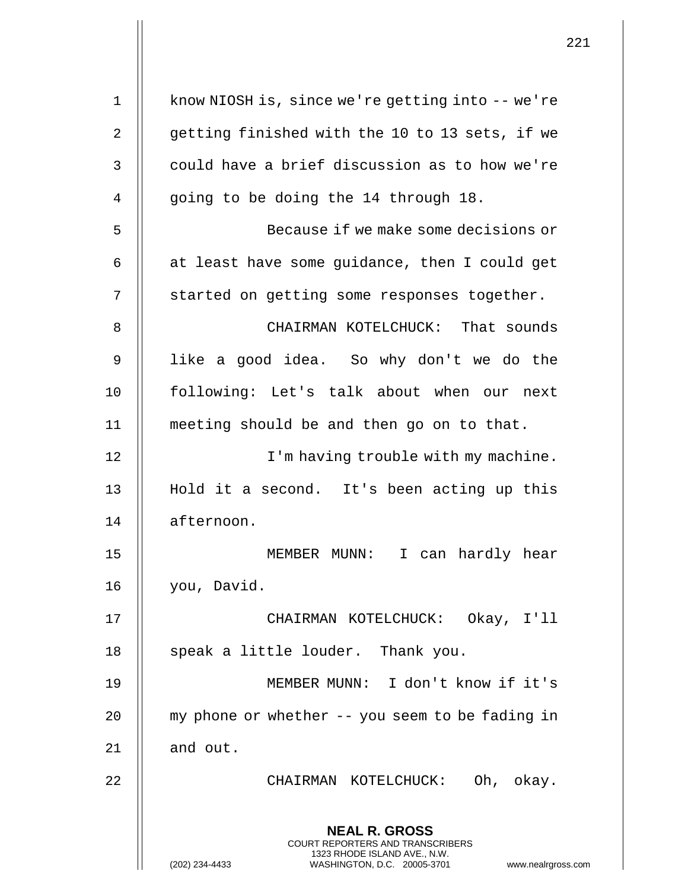|    | 221                                                                                                                                                                    |
|----|------------------------------------------------------------------------------------------------------------------------------------------------------------------------|
| 1  | know NIOSH is, since we're getting into -- we're                                                                                                                       |
| 2  | getting finished with the 10 to 13 sets, if we                                                                                                                         |
| 3  | could have a brief discussion as to how we're                                                                                                                          |
| 4  | going to be doing the 14 through 18.                                                                                                                                   |
| 5  | Because if we make some decisions or                                                                                                                                   |
| 6  | at least have some guidance, then I could get                                                                                                                          |
| 7  | started on getting some responses together.                                                                                                                            |
| 8  | CHAIRMAN KOTELCHUCK: That sounds                                                                                                                                       |
| 9  | like a good idea. So why don't we do the                                                                                                                               |
| 10 | following: Let's talk about when our next                                                                                                                              |
| 11 | meeting should be and then go on to that.                                                                                                                              |
| 12 | I'm having trouble with my machine.                                                                                                                                    |
| 13 | Hold it a second. It's been acting up this                                                                                                                             |
| 14 | afternoon.                                                                                                                                                             |
| 15 | I can hardly hear<br>MEMBER MUNN:                                                                                                                                      |
| 16 | you, David.                                                                                                                                                            |
| 17 | CHAIRMAN KOTELCHUCK: Okay, I'll                                                                                                                                        |
| 18 | speak a little louder. Thank you.                                                                                                                                      |
| 19 | MEMBER MUNN: I don't know if it's                                                                                                                                      |
| 20 | my phone or whether -- you seem to be fading in                                                                                                                        |
| 21 | and out.                                                                                                                                                               |
| 22 | CHAIRMAN KOTELCHUCK: Oh, okay.                                                                                                                                         |
|    | <b>NEAL R. GROSS</b><br><b>COURT REPORTERS AND TRANSCRIBERS</b><br>1323 RHODE ISLAND AVE., N.W.<br>(202) 234-4433<br>WASHINGTON, D.C. 20005-3701<br>www.nealrgross.com |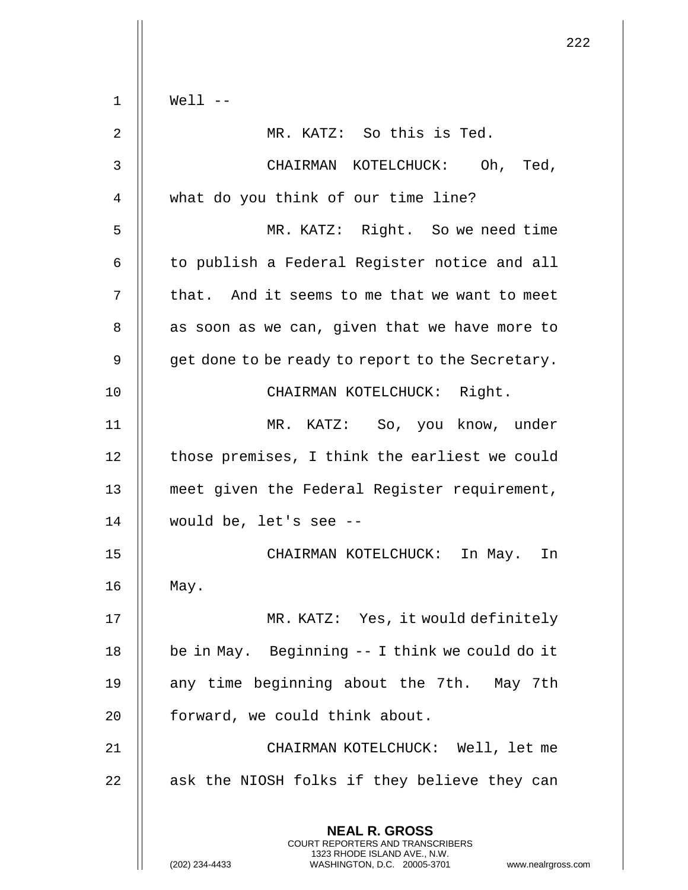**NEAL R. GROSS** COURT REPORTERS AND TRANSCRIBERS 1323 RHODE ISLAND AVE., N.W. 1 Well -- 2 MR. KATZ: So this is Ted. 3 CHAIRMAN KOTELCHUCK: Oh, Ted, 4 || what do you think of our time line? 5 MR. KATZ: Right. So we need time 6 | to publish a Federal Register notice and all  $7$  || that. And it seems to me that we want to meet  $8$  || as soon as we can, given that we have more to  $9 \parallel$  qet done to be ready to report to the Secretary. 10 CHAIRMAN KOTELCHUCK: Right. 11 MR. KATZ: So, you know, under 12 | those premises, I think the earliest we could 13 meet given the Federal Register requirement, 14 would be, let's see -- 15 CHAIRMAN KOTELCHUCK: In May. In 16 May. 17 MR. KATZ: Yes, it would definitely 18 | be in May. Beginning -- I think we could do it 19 || any time beginning about the 7th. May 7th 20 | forward, we could think about. 21 CHAIRMAN KOTELCHUCK: Well, let me  $22$  || ask the NIOSH folks if they believe they can

(202) 234-4433 WASHINGTON, D.C. 20005-3701 www.nealrgross.com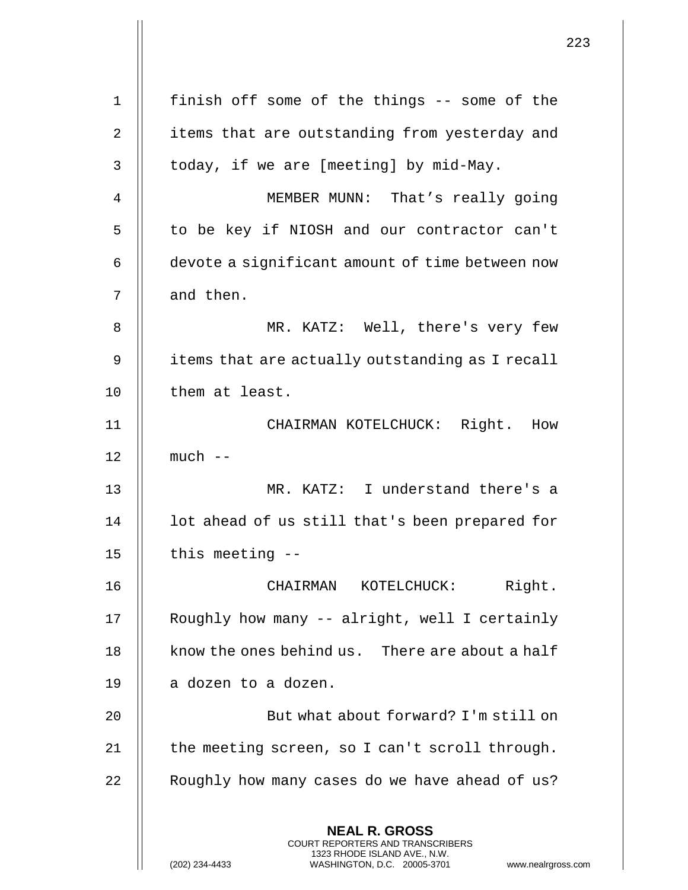| $\mathbf 1$ | finish off some of the things -- some of the                                                                                                                        |
|-------------|---------------------------------------------------------------------------------------------------------------------------------------------------------------------|
| 2           | items that are outstanding from yesterday and                                                                                                                       |
| 3           | today, if we are [meeting] by mid-May.                                                                                                                              |
| 4           | MEMBER MUNN: That's really going                                                                                                                                    |
| 5           | to be key if NIOSH and our contractor can't                                                                                                                         |
| 6           | devote a significant amount of time between now                                                                                                                     |
| 7           | and then.                                                                                                                                                           |
| 8           | MR. KATZ: Well, there's very few                                                                                                                                    |
| 9           | items that are actually outstanding as I recall                                                                                                                     |
| 10          | them at least.                                                                                                                                                      |
| 11          | CHAIRMAN KOTELCHUCK: Right. How                                                                                                                                     |
| 12          | $much$ --                                                                                                                                                           |
| 13          | MR. KATZ: I understand there's a                                                                                                                                    |
| 14          | lot ahead of us still that's been prepared for                                                                                                                      |
| 15          | this meeting $--$                                                                                                                                                   |
| 16          | Right.<br>CHAIRMAN KOTELCHUCK:                                                                                                                                      |
| 17          | Roughly how many -- alright, well I certainly                                                                                                                       |
| 18          | know the ones behind us. There are about a half                                                                                                                     |
| 19          | a dozen to a dozen.                                                                                                                                                 |
| 20          | But what about forward? I'm still on                                                                                                                                |
| 21          | the meeting screen, so I can't scroll through.                                                                                                                      |
| 22          | Roughly how many cases do we have ahead of us?                                                                                                                      |
|             | <b>NEAL R. GROSS</b><br><b>COURT REPORTERS AND TRANSCRIBERS</b><br>1323 RHODE ISLAND AVE., N.W.<br>(202) 234-4433<br>WASHINGTON, D.C. 20005-3701<br>www.nealrgross. |

 $\begin{array}{c} \hline \end{array}$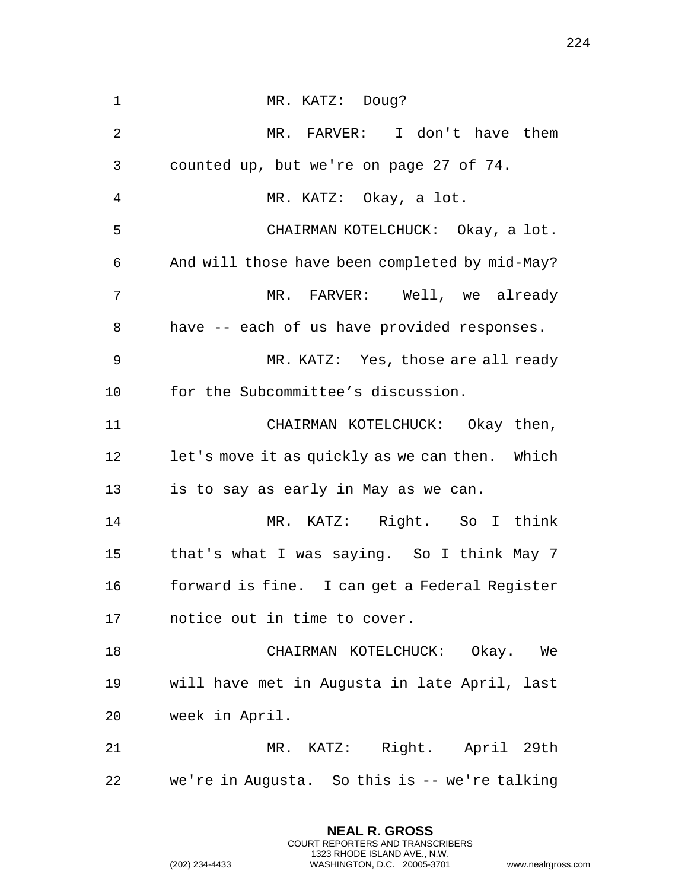|    |                                                                                                                                                                 | 224 |
|----|-----------------------------------------------------------------------------------------------------------------------------------------------------------------|-----|
| 1  | MR. KATZ: Doug?                                                                                                                                                 |     |
| 2  | MR. FARVER: I don't have them                                                                                                                                   |     |
| 3  | counted up, but we're on page 27 of 74.                                                                                                                         |     |
| 4  | MR. KATZ: Okay, a lot.                                                                                                                                          |     |
| 5  | CHAIRMAN KOTELCHUCK: Okay, a lot.                                                                                                                               |     |
| 6  | And will those have been completed by mid-May?                                                                                                                  |     |
| 7  | MR. FARVER: Well, we already                                                                                                                                    |     |
| 8  | have -- each of us have provided responses.                                                                                                                     |     |
| 9  |                                                                                                                                                                 |     |
|    | MR. KATZ: Yes, those are all ready                                                                                                                              |     |
| 10 | for the Subcommittee's discussion.                                                                                                                              |     |
| 11 | CHAIRMAN KOTELCHUCK: Okay then,                                                                                                                                 |     |
| 12 | let's move it as quickly as we can then. Which                                                                                                                  |     |
| 13 | is to say as early in May as we can.                                                                                                                            |     |
| 14 | MR. KATZ: Right. So I think                                                                                                                                     |     |
| 15 | that's what I was saying. So I think May 7                                                                                                                      |     |
| 16 | forward is fine. I can get a Federal Register                                                                                                                   |     |
| 17 | notice out in time to cover.                                                                                                                                    |     |
| 18 | CHAIRMAN KOTELCHUCK: Okay. We                                                                                                                                   |     |
| 19 | will have met in Augusta in late April, last                                                                                                                    |     |
| 20 | week in April.                                                                                                                                                  |     |
| 21 | MR. KATZ: Right. April 29th                                                                                                                                     |     |
| 22 | we're in Augusta. So this is -- we're talking                                                                                                                   |     |
|    | <b>NEAL R. GROSS</b><br>COURT REPORTERS AND TRANSCRIBERS<br>1323 RHODE ISLAND AVE., N.W.<br>(202) 234-4433<br>WASHINGTON, D.C. 20005-3701<br>www.nealrgross.com |     |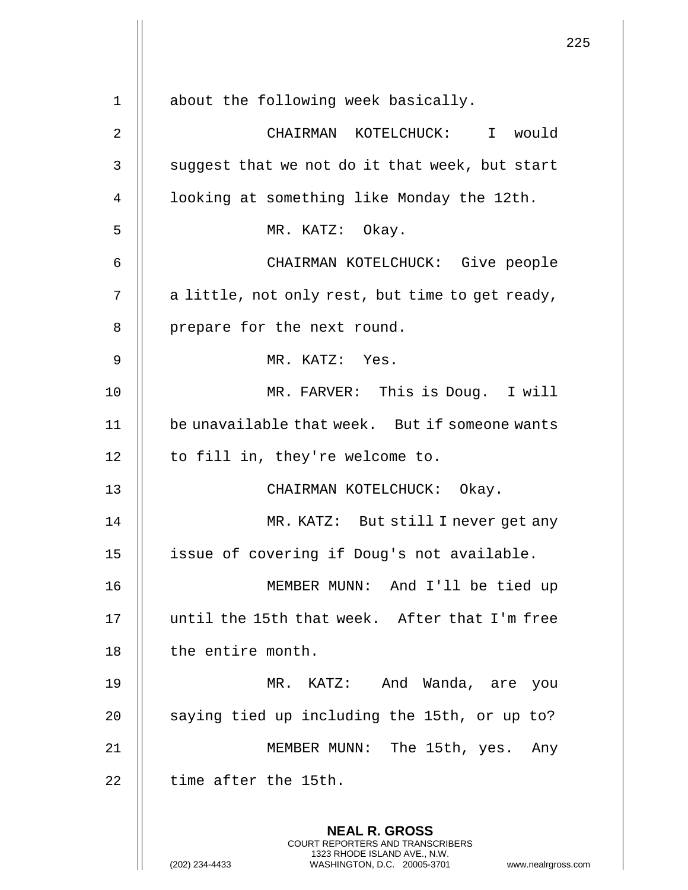|    |                                                                                                                                                                        | 225 |
|----|------------------------------------------------------------------------------------------------------------------------------------------------------------------------|-----|
| 1  | about the following week basically.                                                                                                                                    |     |
| 2  | CHAIRMAN KOTELCHUCK: I would                                                                                                                                           |     |
| 3  | suggest that we not do it that week, but start                                                                                                                         |     |
| 4  | looking at something like Monday the 12th.                                                                                                                             |     |
| 5  | MR. KATZ: Okay.                                                                                                                                                        |     |
| 6  | CHAIRMAN KOTELCHUCK: Give people                                                                                                                                       |     |
| 7  | a little, not only rest, but time to get ready,                                                                                                                        |     |
| 8  | prepare for the next round.                                                                                                                                            |     |
| 9  | MR. KATZ: Yes.                                                                                                                                                         |     |
| 10 | MR. FARVER: This is Doug. I will                                                                                                                                       |     |
| 11 | be unavailable that week. But if someone wants                                                                                                                         |     |
| 12 | to fill in, they're welcome to.                                                                                                                                        |     |
|    |                                                                                                                                                                        |     |
| 13 | CHAIRMAN KOTELCHUCK: Okay.                                                                                                                                             |     |
| 14 | MR. KATZ: But still I never get any                                                                                                                                    |     |
| 15 | issue of covering if Doug's not available.                                                                                                                             |     |
| 16 | MEMBER MUNN: And I'll be tied up                                                                                                                                       |     |
| 17 | until the 15th that week. After that I'm free                                                                                                                          |     |
| 18 | the entire month.                                                                                                                                                      |     |
| 19 | MR. KATZ: And Wanda, are you                                                                                                                                           |     |
| 20 | saying tied up including the 15th, or up to?                                                                                                                           |     |
| 21 | MEMBER MUNN: The 15th, yes.<br>Any                                                                                                                                     |     |
| 22 | time after the 15th.                                                                                                                                                   |     |
|    | <b>NEAL R. GROSS</b><br><b>COURT REPORTERS AND TRANSCRIBERS</b><br>1323 RHODE ISLAND AVE., N.W.<br>(202) 234-4433<br>WASHINGTON, D.C. 20005-3701<br>www.nealrgross.com |     |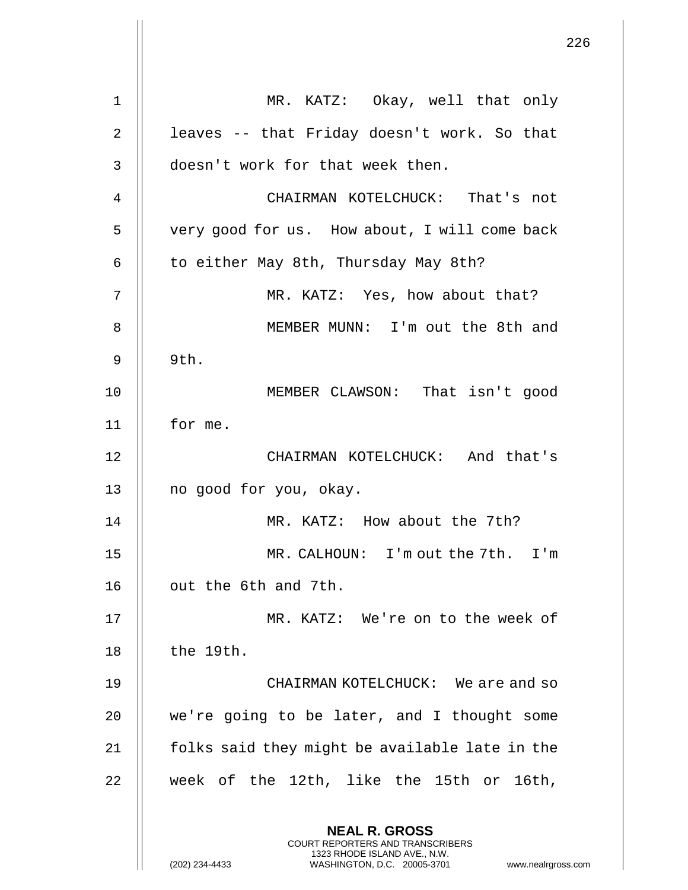**NEAL R. GROSS** COURT REPORTERS AND TRANSCRIBERS 1323 RHODE ISLAND AVE., N.W. 1 MR. KATZ: Okay, well that only 2 | leaves -- that Friday doesn't work. So that 3 || doesn't work for that week then. 4 CHAIRMAN KOTELCHUCK: That's not 5 | very good for us. How about, I will come back 6 | to either May 8th, Thursday May 8th? 7 MR. KATZ: Yes, how about that? 8 || MEMBER MUNN: I'm out the 8th and  $9 \parallel 9th.$ 10 MEMBER CLAWSON: That isn't good 11 for me. 12 CHAIRMAN KOTELCHUCK: And that's 13 || no good for you, okay. 14 MR. KATZ: How about the 7th? 15 MR. CALHOUN: I'm out the 7th. I'm 16 | out the 6th and 7th. 17 MR. KATZ: We're on to the week of 18 || the 19th. 19 CHAIRMAN KOTELCHUCK: We are and so 20 || we're going to be later, and I thought some  $21$  | folks said they might be available late in the  $22$  || week of the 12th, like the 15th or 16th,

(202) 234-4433 WASHINGTON, D.C. 20005-3701 www.nealrgross.com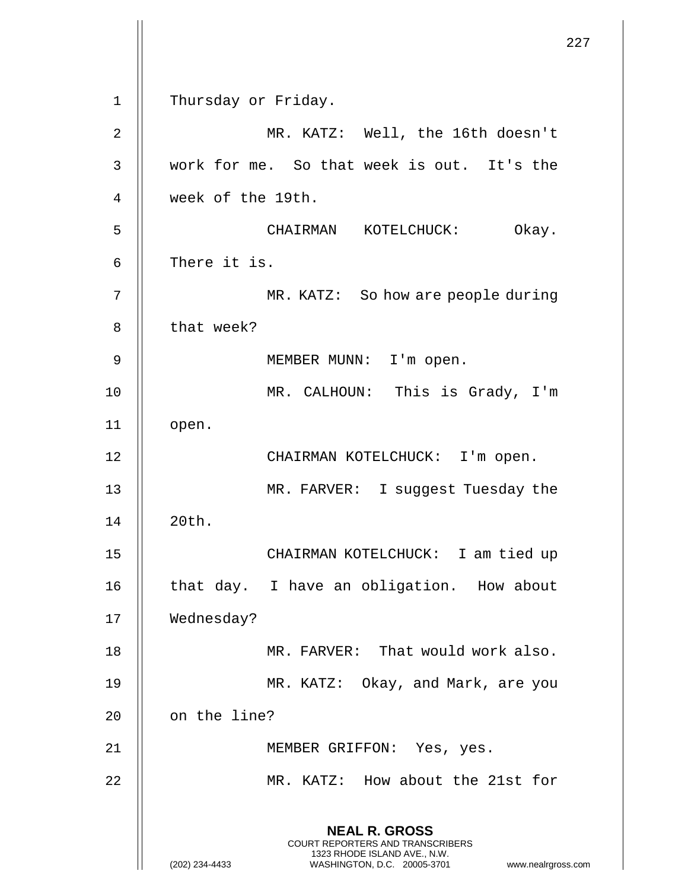|             |                                                                                                                                                                 | 227 |
|-------------|-----------------------------------------------------------------------------------------------------------------------------------------------------------------|-----|
| $\mathbf 1$ | Thursday or Friday.                                                                                                                                             |     |
| 2           | MR. KATZ: Well, the 16th doesn't                                                                                                                                |     |
| 3           | work for me. So that week is out. It's the                                                                                                                      |     |
| 4           | week of the 19th.                                                                                                                                               |     |
| 5           | CHAIRMAN KOTELCHUCK: Okay.                                                                                                                                      |     |
| 6           | There it is.                                                                                                                                                    |     |
| 7           | MR. KATZ: So how are people during                                                                                                                              |     |
| 8           | that week?                                                                                                                                                      |     |
| 9           | MEMBER MUNN: I'm open.                                                                                                                                          |     |
| 10          | MR. CALHOUN: This is Grady, I'm                                                                                                                                 |     |
| 11          | open.                                                                                                                                                           |     |
| 12          | CHAIRMAN KOTELCHUCK: I'm open.                                                                                                                                  |     |
| 13          | MR. FARVER: I suggest Tuesday the                                                                                                                               |     |
| 14          | 20th.                                                                                                                                                           |     |
| 15          | CHAIRMAN KOTELCHUCK: I am tied up                                                                                                                               |     |
| 16          | that day. I have an obligation. How about                                                                                                                       |     |
| 17          | Wednesday?                                                                                                                                                      |     |
| 18          | MR. FARVER: That would work also.                                                                                                                               |     |
| 19          | MR. KATZ: Okay, and Mark, are you                                                                                                                               |     |
| 20          | on the line?                                                                                                                                                    |     |
| 21          | MEMBER GRIFFON: Yes, yes.                                                                                                                                       |     |
| 22          | MR. KATZ: How about the 21st for                                                                                                                                |     |
|             | <b>NEAL R. GROSS</b><br>COURT REPORTERS AND TRANSCRIBERS<br>1323 RHODE ISLAND AVE., N.W.<br>(202) 234-4433<br>www.nealrgross.com<br>WASHINGTON, D.C. 20005-3701 |     |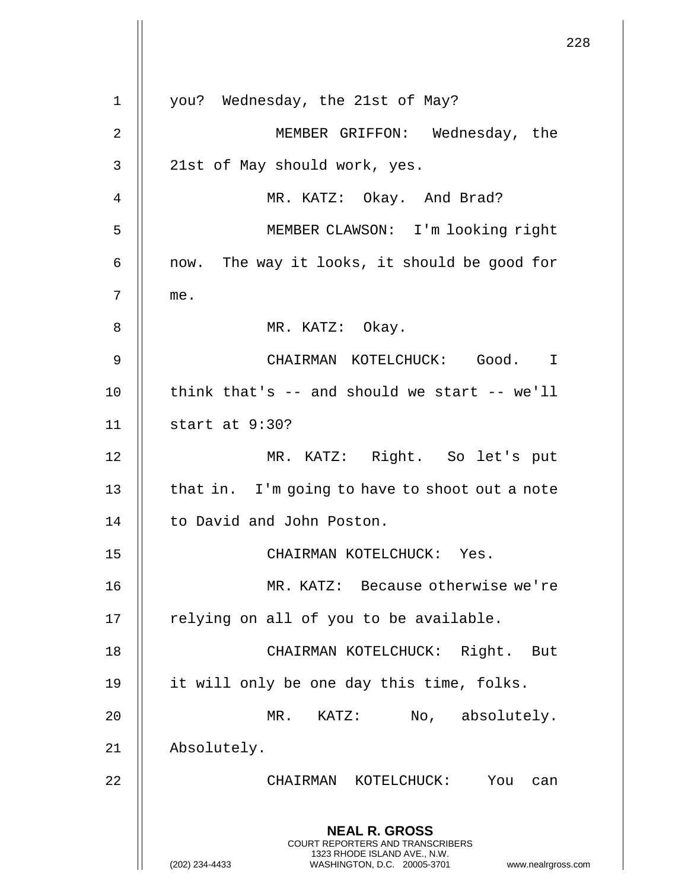**NEAL R. GROSS** COURT REPORTERS AND TRANSCRIBERS 1323 RHODE ISLAND AVE., N.W. (202) 234-4433 WASHINGTON, D.C. 20005-3701 www.nealrgross.com 1 || you? Wednesday, the 21st of May? 2 MEMBER GRIFFON: Wednesday, the  $3 \parallel$  21st of May should work, yes. 4 || MR. KATZ: Okay. And Brad? 5 MEMBER CLAWSON: I'm looking right  $6$  || now. The way it looks, it should be good for 7 me. 8 || MR. KATZ: Okay. 9 CHAIRMAN KOTELCHUCK: Good. I  $10$  || think that's  $-$  and should we start  $-$ - we'll 11 start at 9:30? 12 MR. KATZ: Right. So let's put 13  $\parallel$  that in. I'm going to have to shoot out a note 14 | to David and John Poston. 15 CHAIRMAN KOTELCHUCK: Yes. 16 MR. KATZ: Because otherwise we're 17 || relying on all of you to be available. 18 CHAIRMAN KOTELCHUCK: Right. But 19 || it will only be one day this time, folks. 20 || MR. KATZ: No, absolutely. 21 Absolutely. 22 CHAIRMAN KOTELCHUCK: You can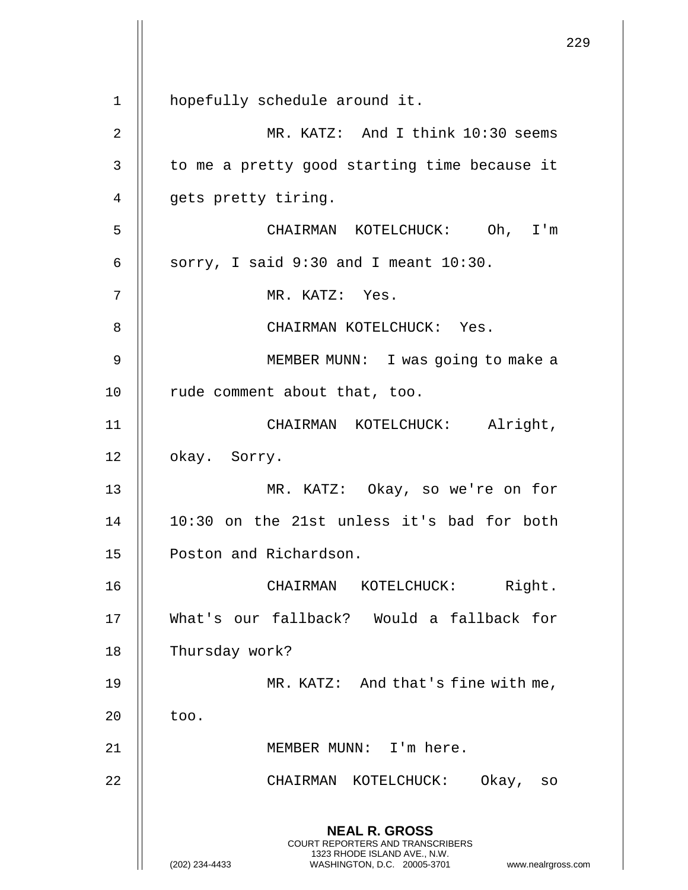**NEAL R. GROSS** COURT REPORTERS AND TRANSCRIBERS 1323 RHODE ISLAND AVE., N.W. (202) 234-4433 WASHINGTON, D.C. 20005-3701 www.nealrgross.com 1 | hopefully schedule around it. 2 MR. KATZ: And I think 10:30 seems  $3$  | to me a pretty good starting time because it 4 || gets pretty tiring. 5 CHAIRMAN KOTELCHUCK: Oh, I'm 6  $\parallel$  sorry, I said 9:30 and I meant 10:30. 7 || MR. KATZ: Yes. 8 || CHAIRMAN KOTELCHUCK: Yes. 9 || MEMBER MUNN: I was going to make a 10 || rude comment about that, too. 11 || CHAIRMAN KOTELCHUCK: Alright, 12 || okay. Sorry. 13 MR. KATZ: Okay, so we're on for 14 10:30 on the 21st unless it's bad for both 15 | Poston and Richardson. 16 CHAIRMAN KOTELCHUCK: Right. 17 What's our fallback? Would a fallback for 18 | Thursday work? 19 || MR. KATZ: And that's fine with me,  $20$  || too. 21 MEMBER MUNN: I'm here. 22 CHAIRMAN KOTELCHUCK: Okay, so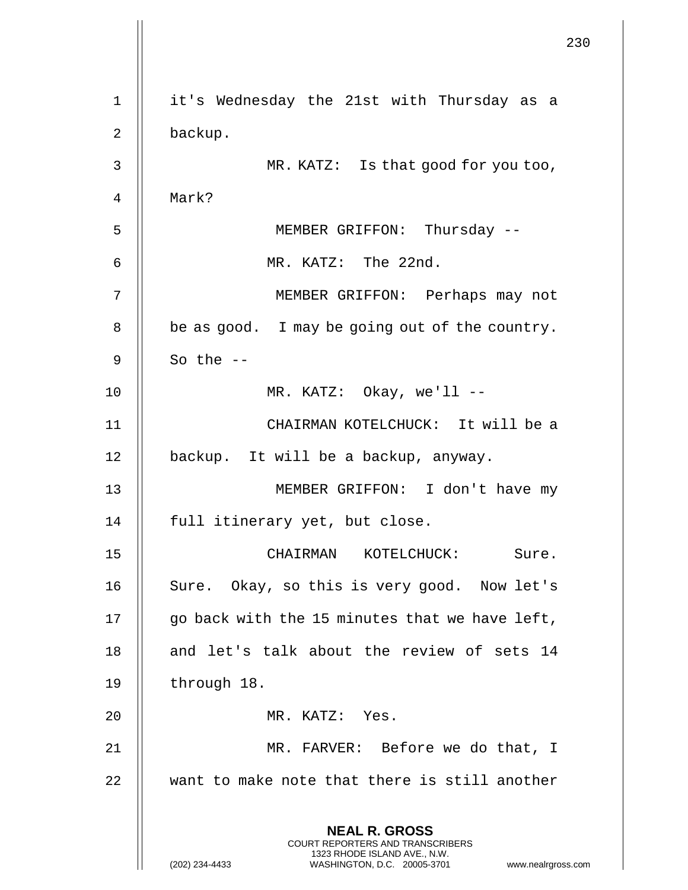|    |                                                                                                 | 230 |
|----|-------------------------------------------------------------------------------------------------|-----|
| 1  | it's Wednesday the 21st with Thursday as a                                                      |     |
| 2  | backup.                                                                                         |     |
| 3  | MR. KATZ: Is that good for you too,                                                             |     |
| 4  | Mark?                                                                                           |     |
| 5  | MEMBER GRIFFON: Thursday --                                                                     |     |
| 6  | MR. KATZ: The 22nd.                                                                             |     |
| 7  | MEMBER GRIFFON: Perhaps may not                                                                 |     |
| 8  | be as good. I may be going out of the country.                                                  |     |
| 9  | So the $--$                                                                                     |     |
| 10 | MR. KATZ: Okay, we'll --                                                                        |     |
| 11 | CHAIRMAN KOTELCHUCK: It will be a                                                               |     |
| 12 | backup. It will be a backup, anyway.                                                            |     |
| 13 | MEMBER GRIFFON: I don't have my                                                                 |     |
| 14 | full itinerary yet, but close.                                                                  |     |
| 15 | CHAIRMAN KOTELCHUCK:<br>Sure.                                                                   |     |
| 16 | Sure. Okay, so this is very good. Now let's                                                     |     |
| 17 | go back with the 15 minutes that we have left,                                                  |     |
| 18 | and let's talk about the review of sets 14                                                      |     |
| 19 | through 18.                                                                                     |     |
| 20 | MR. KATZ: Yes.                                                                                  |     |
| 21 | MR. FARVER: Before we do that, I                                                                |     |
| 22 | want to make note that there is still another                                                   |     |
|    | <b>NEAL R. GROSS</b><br><b>COURT REPORTERS AND TRANSCRIBERS</b><br>1323 RHODE ISLAND AVE., N.W. |     |
|    | (202) 234-4433<br>WASHINGTON, D.C. 20005-3701<br>www.nealrgross.com                             |     |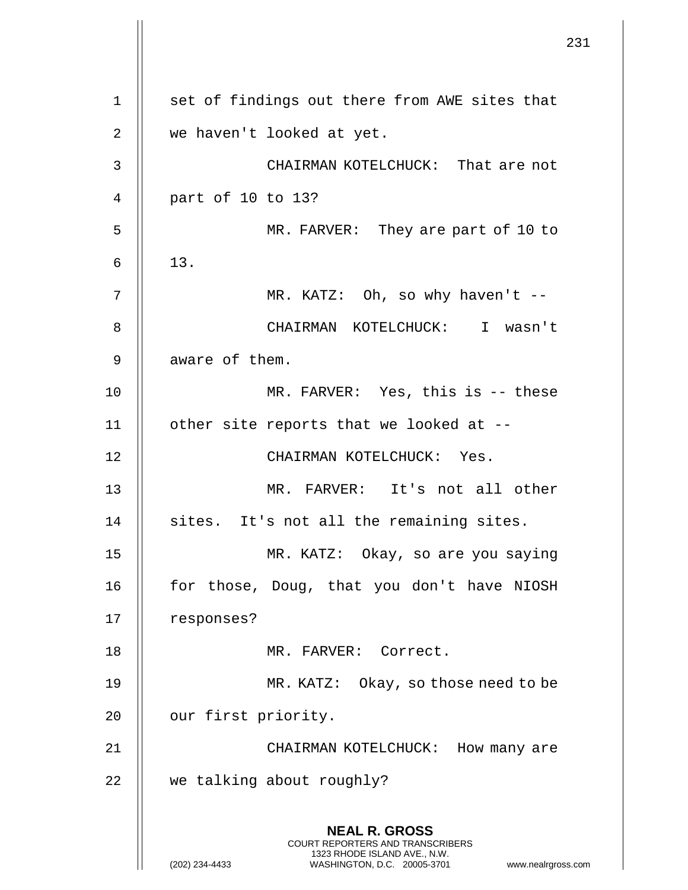**NEAL R. GROSS** COURT REPORTERS AND TRANSCRIBERS 1323 RHODE ISLAND AVE., N.W. (202) 234-4433 WASHINGTON, D.C. 20005-3701 www.nealrgross.com 1 || set of findings out there from AWE sites that 2 || we haven't looked at yet. 3 CHAIRMAN KOTELCHUCK: That are not 4 part of 10 to 13? 5 MR. FARVER: They are part of 10 to  $6 \parallel 13.$ 7 MR. KATZ: Oh, so why haven't -- 8 CHAIRMAN KOTELCHUCK: I wasn't 9 | aware of them. 10 MR. FARVER: Yes, this is -- these 11 | other site reports that we looked at --12 || CHAIRMAN KOTELCHUCK: Yes. 13 MR. FARVER: It's not all other 14 || sites. It's not all the remaining sites. 15 MR. KATZ: Okay, so are you saying 16 || for those, Doug, that you don't have NIOSH 17 || responses? 18 MR. FARVER: Correct. 19 || MR. KATZ: Okay, so those need to be 20 | our first priority. 21 CHAIRMAN KOTELCHUCK: How many are 22 | we talking about roughly?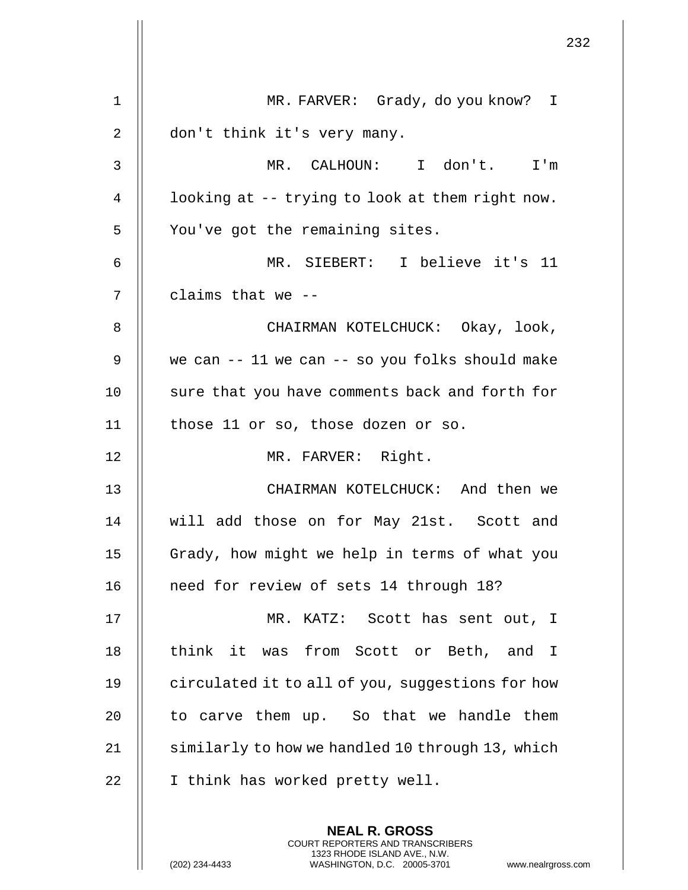| $\mathbf 1$    | MR. FARVER: Grady, do you know? I                       |
|----------------|---------------------------------------------------------|
| $\overline{2}$ | don't think it's very many.                             |
| 3              | MR. CALHOUN: I don't. I'm                               |
| 4              | looking at -- trying to look at them right now.         |
| 5              | You've got the remaining sites.                         |
| 6              | MR. SIEBERT: I believe it's 11                          |
| 7              | claims that we --                                       |
| 8              | CHAIRMAN KOTELCHUCK: Okay, look,                        |
| 9              | we can -- 11 we can -- so you folks should make         |
| 10             | sure that you have comments back and forth for          |
| 11             | those 11 or so, those dozen or so.                      |
| 12             | MR. FARVER: Right.                                      |
| 13             | CHAIRMAN KOTELCHUCK: And then we                        |
| 14             | will add those on for May 21st. Scott and               |
| 15             | Grady, how might we help in terms of what you           |
| 16             | need for review of sets 14 through 18?                  |
| 17             | MR. KATZ: Scott has sent out, I                         |
| 18             | think it<br>was from Scott or Beth, and<br>$\mathbb{I}$ |
| 19             | circulated it to all of you, suggestions for how        |
| 20             | to carve them up. So that we handle them                |
| 21             | similarly to how we handled 10 through 13, which        |
| 22             | I think has worked pretty well.                         |
|                | <b>NEAL R. GROSS</b>                                    |
|                | COURT REPORTERS AND TRANSCRIBERS                        |

1323 RHODE ISLAND AVE., N.W.

 $\prod$ 

 $\mathbf{I}$  $\mathop{\parallel}$ 

(202) 234-4433 WASHINGTON, D.C. 20005-3701 www.nealrgross.com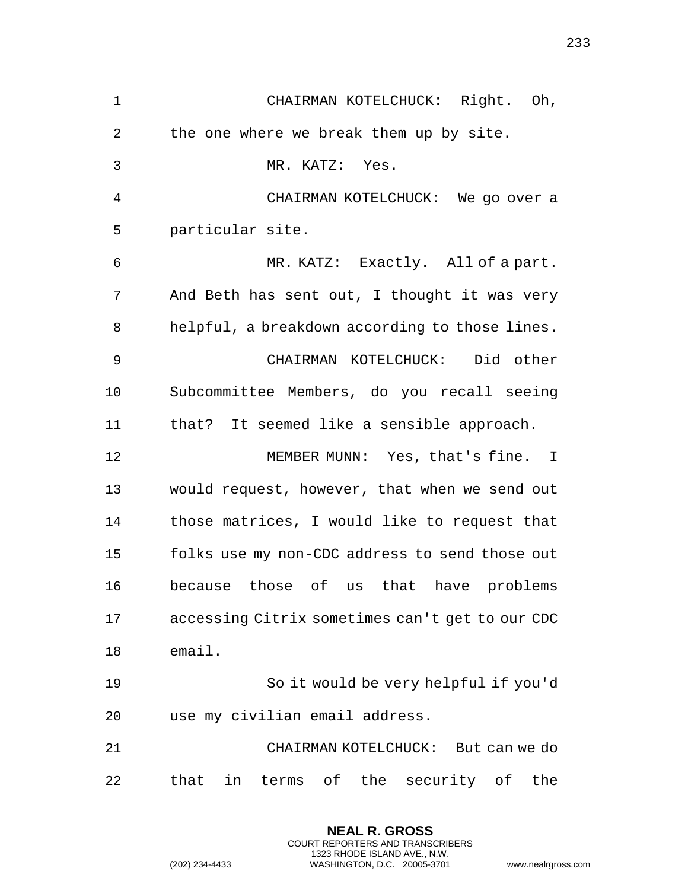|    |                                                                                                                                                                        | 233 |
|----|------------------------------------------------------------------------------------------------------------------------------------------------------------------------|-----|
| 1  | CHAIRMAN KOTELCHUCK: Right. Oh,                                                                                                                                        |     |
| 2  | the one where we break them up by site.                                                                                                                                |     |
| 3  | MR. KATZ: Yes.                                                                                                                                                         |     |
| 4  | CHAIRMAN KOTELCHUCK: We go over a                                                                                                                                      |     |
| 5  | particular site.                                                                                                                                                       |     |
|    |                                                                                                                                                                        |     |
| 6  | MR. KATZ: Exactly. All of a part.                                                                                                                                      |     |
| 7  | And Beth has sent out, I thought it was very                                                                                                                           |     |
| 8  | helpful, a breakdown according to those lines.                                                                                                                         |     |
| 9  | CHAIRMAN KOTELCHUCK: Did other                                                                                                                                         |     |
| 10 | Subcommittee Members, do you recall seeing                                                                                                                             |     |
| 11 | that? It seemed like a sensible approach.                                                                                                                              |     |
| 12 | MEMBER MUNN: Yes, that's fine. I                                                                                                                                       |     |
| 13 | would request, however, that when we send out                                                                                                                          |     |
| 14 | those matrices, I would like to request that                                                                                                                           |     |
| 15 | folks use my non-CDC address to send those out                                                                                                                         |     |
| 16 | because those of us that have problems                                                                                                                                 |     |
| 17 | accessing Citrix sometimes can't get to our CDC                                                                                                                        |     |
| 18 | email.                                                                                                                                                                 |     |
| 19 | So it would be very helpful if you'd                                                                                                                                   |     |
| 20 | use my civilian email address.                                                                                                                                         |     |
| 21 | CHAIRMAN KOTELCHUCK: But can we do                                                                                                                                     |     |
| 22 | terms of the security of the<br>that<br>in                                                                                                                             |     |
|    | <b>NEAL R. GROSS</b><br><b>COURT REPORTERS AND TRANSCRIBERS</b><br>1323 RHODE ISLAND AVE., N.W.<br>(202) 234-4433<br>WASHINGTON, D.C. 20005-3701<br>www.nealrgross.com |     |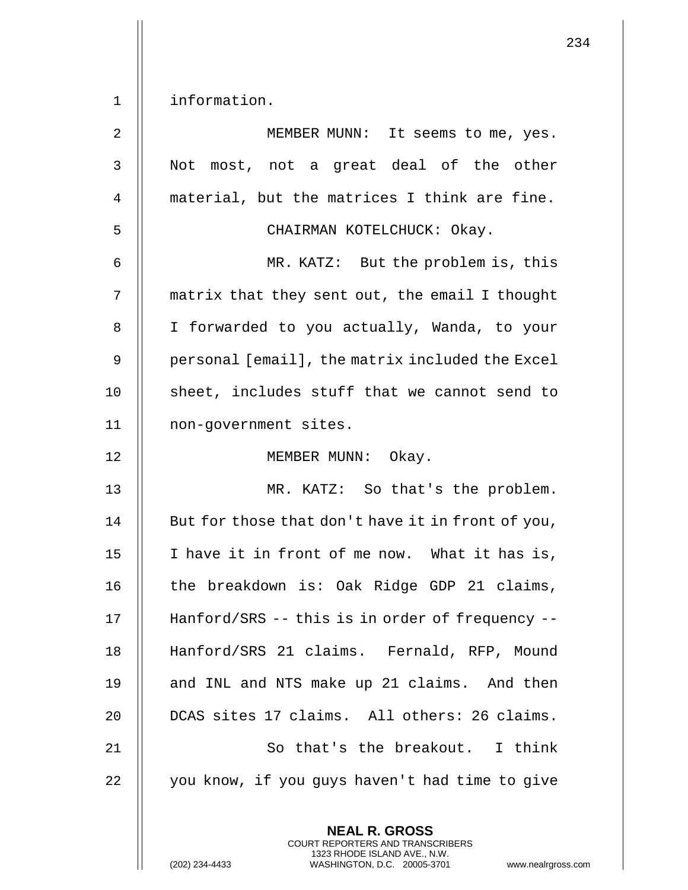1 | information.

| $\overline{2}$ | MEMBER MUNN: It seems to me, yes.                 |
|----------------|---------------------------------------------------|
| 3              | Not most, not a great deal of the other           |
| 4              | material, but the matrices I think are fine.      |
| 5              | CHAIRMAN KOTELCHUCK: Okay.                        |
| 6              | MR. KATZ: But the problem is, this                |
| 7              | matrix that they sent out, the email I thought    |
| 8              | I forwarded to you actually, Wanda, to your       |
| 9              | personal [email], the matrix included the Excel   |
| 10             | sheet, includes stuff that we cannot send to      |
| 11             | non-government sites.                             |
| 12             | MEMBER MUNN: Okay.                                |
| 13             | MR. KATZ: So that's the problem.                  |
| 14             | But for those that don't have it in front of you, |
| 15             | I have it in front of me now. What it has is,     |
| 16             | the breakdown is: Oak Ridge GDP 21 claims,        |
| 17             | Hanford/SRS -- this is in order of frequency --   |
| 18             | Hanford/SRS 21 claims. Fernald, RFP, Mound        |
| 19             | and INL and NTS make up 21 claims. And then       |
| 20             | DCAS sites 17 claims. All others: 26 claims.      |
| 21             | So that's the breakout. I think                   |
| 22             | you know, if you guys haven't had time to give    |
|                | <b>NEAL R. GROSS</b>                              |

COURT REPORTERS AND TRANSCRIBERS 1323 RHODE ISLAND AVE., N.W.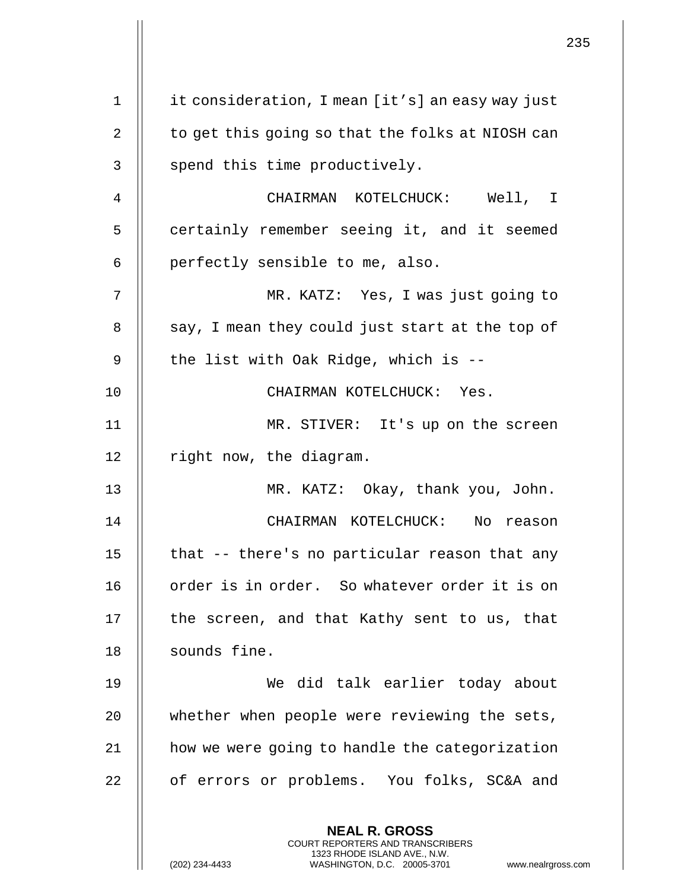|    |                                                                                                                                                                        | 235 |
|----|------------------------------------------------------------------------------------------------------------------------------------------------------------------------|-----|
| 1  | it consideration, I mean [it's] an easy way just                                                                                                                       |     |
| 2  | to get this going so that the folks at NIOSH can                                                                                                                       |     |
| 3  | spend this time productively.                                                                                                                                          |     |
|    |                                                                                                                                                                        |     |
| 4  | CHAIRMAN KOTELCHUCK: Well, I                                                                                                                                           |     |
| 5  | certainly remember seeing it, and it seemed                                                                                                                            |     |
| 6  | perfectly sensible to me, also.                                                                                                                                        |     |
| 7  | MR. KATZ: Yes, I was just going to                                                                                                                                     |     |
| 8  | say, I mean they could just start at the top of                                                                                                                        |     |
| 9  | the list with Oak Ridge, which is --                                                                                                                                   |     |
| 10 | CHAIRMAN KOTELCHUCK: Yes.                                                                                                                                              |     |
| 11 | MR. STIVER: It's up on the screen                                                                                                                                      |     |
| 12 | right now, the diagram.                                                                                                                                                |     |
| 13 | MR. KATZ: Okay, thank you, John.                                                                                                                                       |     |
| 14 | CHAIRMAN KOTELCHUCK:<br>No<br>reason                                                                                                                                   |     |
| 15 | that -- there's no particular reason that any                                                                                                                          |     |
| 16 | order is in order. So whatever order it is on                                                                                                                          |     |
| 17 | the screen, and that Kathy sent to us, that                                                                                                                            |     |
| 18 | sounds fine.                                                                                                                                                           |     |
| 19 | We did talk earlier today about                                                                                                                                        |     |
| 20 | whether when people were reviewing the sets,                                                                                                                           |     |
| 21 | how we were going to handle the categorization                                                                                                                         |     |
| 22 | of errors or problems. You folks, SC&A and                                                                                                                             |     |
|    | <b>NEAL R. GROSS</b><br><b>COURT REPORTERS AND TRANSCRIBERS</b><br>1323 RHODE ISLAND AVE., N.W.<br>WASHINGTON, D.C. 20005-3701<br>(202) 234-4433<br>www.nealrgross.com |     |

 $\mathbf{1}$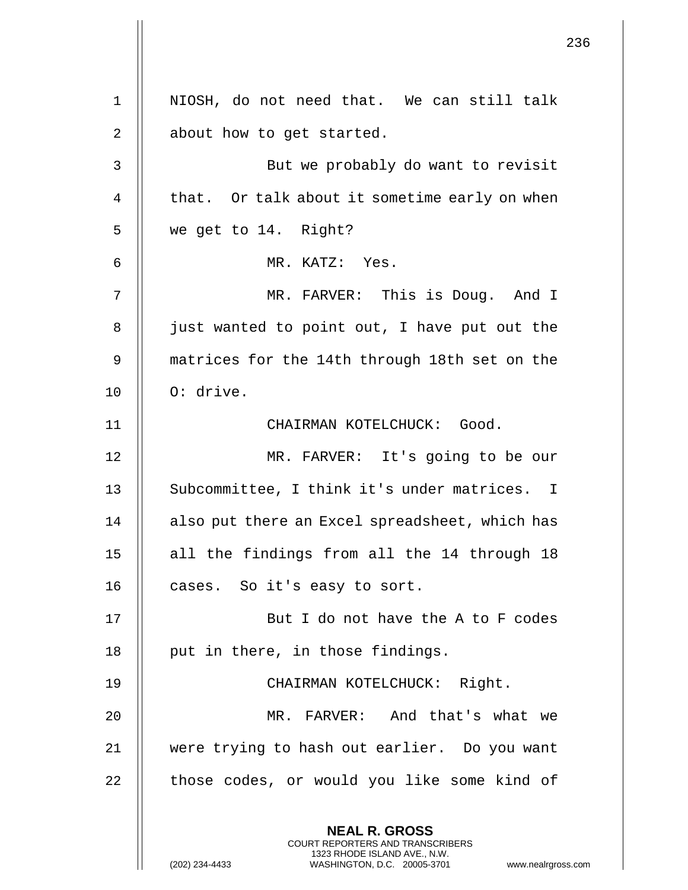**NEAL R. GROSS** COURT REPORTERS AND TRANSCRIBERS 1323 RHODE ISLAND AVE., N.W. (202) 234-4433 WASHINGTON, D.C. 20005-3701 www.nealrgross.com 1 || NIOSH, do not need that. We can still talk 2 || about how to get started. 3 || But we probably do want to revisit 4  $\parallel$  that. Or talk about it sometime early on when 5 we get to 14. Right? 6 MR. KATZ: Yes. 7 MR. FARVER: This is Doug. And I 8 || just wanted to point out, I have put out the 9 matrices for the 14th through 18th set on the 10 || 0: drive. 11 CHAIRMAN KOTELCHUCK: Good. 12 || MR. FARVER: It's going to be our 13 || Subcommittee, I think it's under matrices. I 14 || also put there an Excel spreadsheet, which has 15 || all the findings from all the 14 through 18 16 | cases. So it's easy to sort. 17 || But I do not have the A to F codes 18 || put in there, in those findings. 19 CHAIRMAN KOTELCHUCK: Right. 20 MR. FARVER: And that's what we 21 || were trying to hash out earlier. Do you want 22 | those codes, or would you like some kind of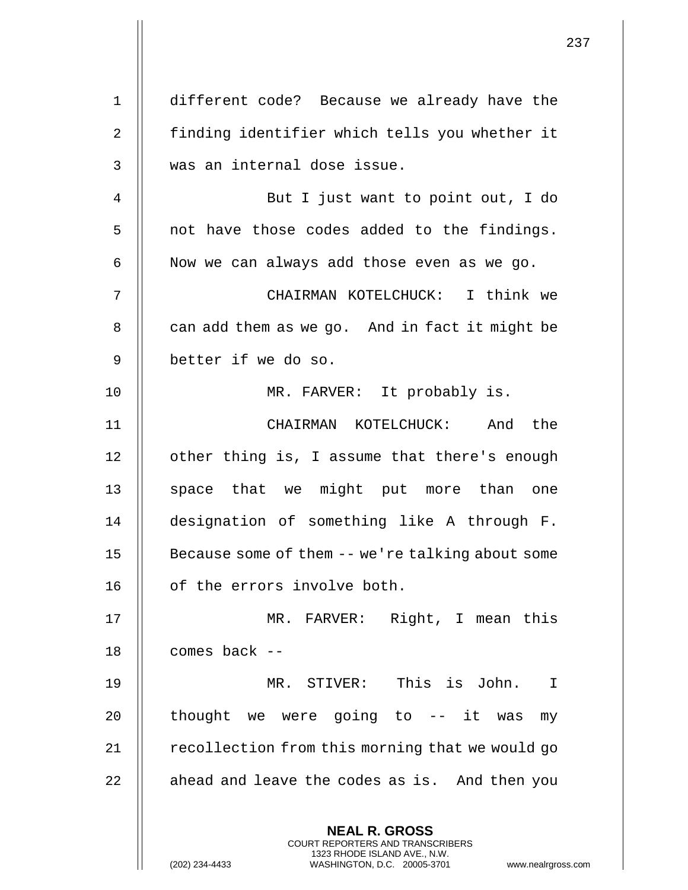**NEAL R. GROSS** COURT REPORTERS AND TRANSCRIBERS 1323 RHODE ISLAND AVE., N.W. (202) 234-4433 WASHINGTON, D.C. 20005-3701 www.nealrgross.com 1 different code? Because we already have the 2 || finding identifier which tells you whether it 3 || was an internal dose issue. 4 || But I just want to point out, I do  $5$  || not have those codes added to the findings.  $6$  | Now we can always add those even as we go. 7 CHAIRMAN KOTELCHUCK: I think we  $8$  | can add them as we go. And in fact it might be 9 better if we do so. 10 || MR. FARVER: It probably is. 11 CHAIRMAN KOTELCHUCK: And the 12 | other thing is, I assume that there's enough 13 || space that we might put more than one 14 designation of something like A through F. 15 || Because some of them -- we're talking about some 16 | of the errors involve both. 17 MR. FARVER: Right, I mean this 18 comes back -- 19 MR. STIVER: This is John. I 20  $\parallel$  thought we were going to -- it was my 21  $\parallel$  recollection from this morning that we would go  $22$  || ahead and leave the codes as is. And then you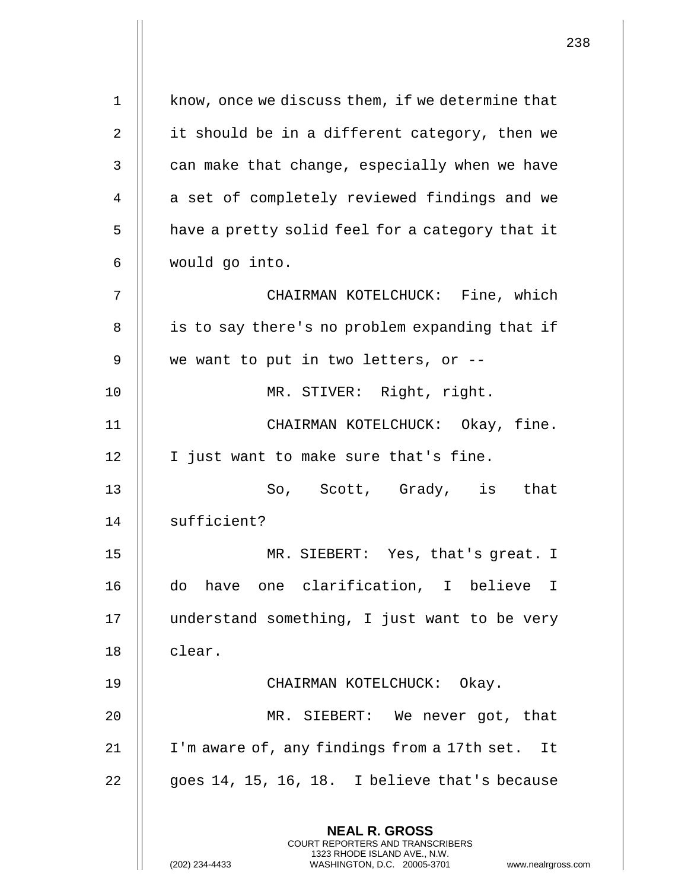| $\mathbf 1$    | know, once we discuss them, if we determine that                                                                                                             |
|----------------|--------------------------------------------------------------------------------------------------------------------------------------------------------------|
| $\overline{2}$ | it should be in a different category, then we                                                                                                                |
| 3              | can make that change, especially when we have                                                                                                                |
| 4              | a set of completely reviewed findings and we                                                                                                                 |
| 5              | have a pretty solid feel for a category that it                                                                                                              |
| 6              | would go into.                                                                                                                                               |
| 7              | CHAIRMAN KOTELCHUCK: Fine, which                                                                                                                             |
| 8              | is to say there's no problem expanding that if                                                                                                               |
| 9              | we want to put in two letters, or --                                                                                                                         |
| 10             | MR. STIVER: Right, right.                                                                                                                                    |
| 11             | CHAIRMAN KOTELCHUCK: Okay, fine.                                                                                                                             |
| 12             | I just want to make sure that's fine.                                                                                                                        |
| 13             | So, Scott, Grady, is that                                                                                                                                    |
| 14             | sufficient?                                                                                                                                                  |
| 15             | MR. SIEBERT: Yes, that's great. I                                                                                                                            |
| 16             | have one clarification, I believe I<br>do                                                                                                                    |
| 17             | understand something, I just want to be very                                                                                                                 |
| 18             | clear.                                                                                                                                                       |
| 19             | CHAIRMAN KOTELCHUCK: Okay.                                                                                                                                   |
| 20             | MR. SIEBERT: We never got, that                                                                                                                              |
| 21             | I'm aware of, any findings from a 17th set.<br>It                                                                                                            |
| 22             | goes 14, 15, 16, 18. I believe that's because                                                                                                                |
|                | <b>NEAL R. GROSS</b><br>COURT REPORTERS AND TRANSCRIBERS<br>1323 RHODE ISLAND AVE., N.W.<br>(202) 234-4433<br>WASHINGTON, D.C. 20005-3701<br>www.nealrgross. |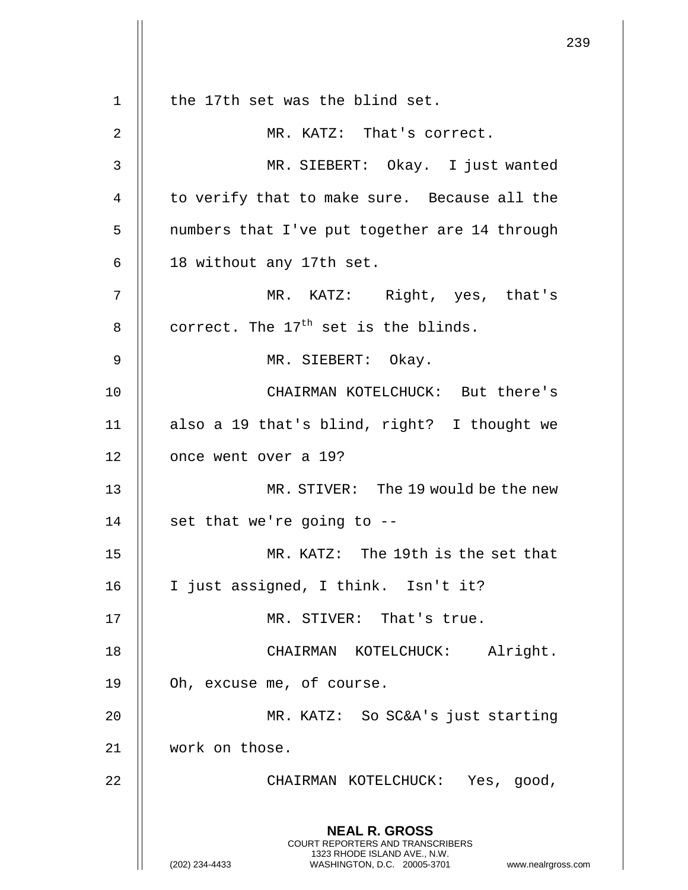|             |                                                                                                                                                                     | 239 |
|-------------|---------------------------------------------------------------------------------------------------------------------------------------------------------------------|-----|
| $\mathbf 1$ | the 17th set was the blind set.                                                                                                                                     |     |
| 2           | MR. KATZ: That's correct.                                                                                                                                           |     |
| 3           | MR. SIEBERT: Okay. I just wanted                                                                                                                                    |     |
| 4           | to verify that to make sure. Because all the                                                                                                                        |     |
| 5           | numbers that I've put together are 14 through                                                                                                                       |     |
| 6           | 18 without any 17th set.                                                                                                                                            |     |
| 7           | MR. KATZ: Right, yes, that's                                                                                                                                        |     |
| 8           | correct. The $17th$ set is the blinds.                                                                                                                              |     |
| 9           | MR. SIEBERT: Okay.                                                                                                                                                  |     |
| 10          | CHAIRMAN KOTELCHUCK: But there's                                                                                                                                    |     |
| 11          | also a 19 that's blind, right? I thought we                                                                                                                         |     |
| 12          | once went over a 19?                                                                                                                                                |     |
| 13          | MR. STIVER: The 19 would be the new                                                                                                                                 |     |
| 14          | set that we're going to -                                                                                                                                           |     |
| 15          | MR. KATZ: The 19th is the set that                                                                                                                                  |     |
| 16          | I just assigned, I think. Isn't it?                                                                                                                                 |     |
| 17          | MR. STIVER: That's true.                                                                                                                                            |     |
| 18          | CHAIRMAN KOTELCHUCK: Alright.                                                                                                                                       |     |
| 19          | Oh, excuse me, of course.                                                                                                                                           |     |
| 20          | MR. KATZ: So SC&A's just starting                                                                                                                                   |     |
| 21          | work on those.                                                                                                                                                      |     |
| 22          | CHAIRMAN KOTELCHUCK: Yes, good,                                                                                                                                     |     |
|             | <b>NEAL R. GROSS</b><br><b>COURT REPORTERS AND TRANSCRIBERS</b><br>1323 RHODE ISLAND AVE., N.W.<br>WASHINGTON, D.C. 20005-3701 www.nealrgross.com<br>(202) 234-4433 |     |